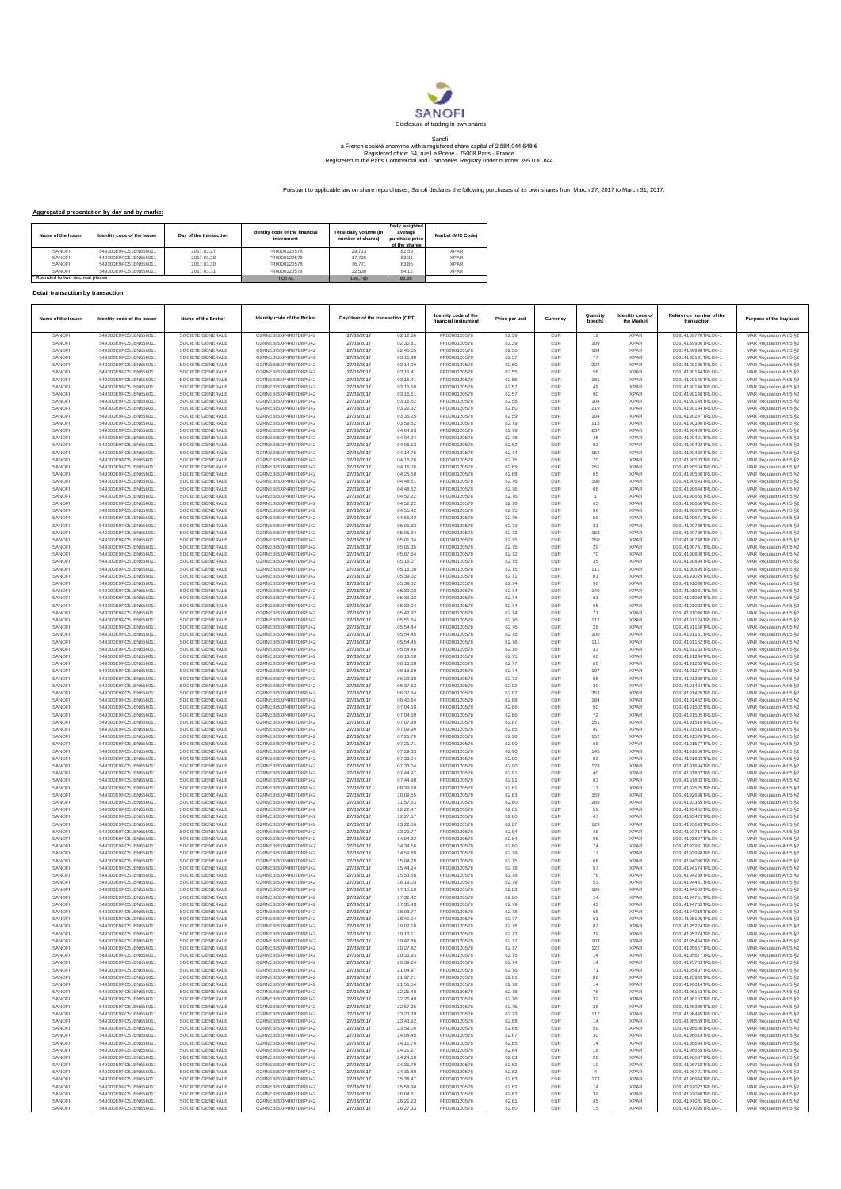

## Sanofi<br>a French société anonyme with a registered share capital of 2,584,044,648 €<br>Registered office: 54, rue La Boétie - 75008 Paris - France<br>Registered at the Paris Commercial and Companies Registry under number 395 030

Pursuant to applicable law on share repurchases, Sanofi declares the following purchases of its own shares from March 27, 2017 to March 31, 2017.

## **Aggregated presentation by day and by market**

| Name of the Issuer            | Identity code of the Issuer | Day of the transaction | Identity code of the financial<br>instrument | Total daily volume (in<br>number of shares) | Daily weighted<br>average<br>purchase price<br>of the shares | Market (MIC Code) |
|-------------------------------|-----------------------------|------------------------|----------------------------------------------|---------------------------------------------|--------------------------------------------------------------|-------------------|
| SANOFI                        | 549300E9PC51EN656011        | 2017.03.27             | FR0000120578                                 | 29.713                                      | 82.59                                                        | <b>XPAR</b>       |
| SANOFI                        | 549300E9PC51EN656011        | 2017.03.28             | FR0000120578                                 | 17.726                                      | 83.21                                                        | <b>XPAR</b>       |
| SANOFI                        | 549300E9PC51EN656011        | 2017.03.30             | FR0000120578                                 | 76.771                                      | 83.86                                                        | <b>XPAR</b>       |
| SANOFI                        | 549300E9PC51EN656011        | 2017.03.31             | FR0000120578                                 | 32.530                                      | 84 12                                                        | <b>XPAR</b>       |
| Rounded to two decimal places |                             |                        | <b>TOTAL</b>                                 | 156,740                                     | 83,60                                                        |                   |

## **Detail transaction by transaction**

| Name of the Issuer | Identity code of the Issuer                  | Name of the Broker                   | Identity code of the Broke                     | Day/Hour of the transaction (CET) |                      | Identity code of the<br>financial instrument | Price per unit | Currency          | Quantity<br>bought | Identity code of<br>the Market | Reference number of the<br>transaction   | Purpose of the buyback                             |
|--------------------|----------------------------------------------|--------------------------------------|------------------------------------------------|-----------------------------------|----------------------|----------------------------------------------|----------------|-------------------|--------------------|--------------------------------|------------------------------------------|----------------------------------------------------|
| SANOFI             | 549300E9PC51EN656011<br>549300E9PC51EN656011 | SOCIETE GENERALE<br>SOCIETE GENERALE | O2RNE8IBXP4R0TD8PU42                           | 27/03/2017                        | 02:12.56             | FR0000120578                                 | 82.39          | EUR               | 12                 | <b>XPAR</b>                    | 00314189770TRLO0-1                       | MAR Regulation Art 5 §2                            |
| SANOFI<br>SANOFI   | 549300E9PC51EN656011                         | SOCIETE GENERALE                     | O2RNE8IBXP4R0TD8PU42<br>O2RNE8IBXP4R0TD8PU42   | 27/03/2017<br>27/03/2017          | 02:30.81<br>02:45.65 | FR0000120578<br>FR0000120578                 | 82.39<br>82.50 | EUR<br>EUR        | 109<br>184         | <b>XPAR</b><br><b>XPAR</b>     | 00314189906TRLO0-1<br>00314189998TRLO0-1 | MAR Regulation Art 5 §2<br>MAR Regulation Art 5 §2 |
| SANOFI             | 549300E9PC51EN656011                         | SOCIETE GENERALE                     | O2RNE8IBXP4R0TD8PU42                           | 27/03/2017                        | 03:11.80             | FR0000120578                                 | 82.57          | EUR               | 77                 | <b>XPAR</b>                    | 00314190131TRLO0-1                       | MAR Regulation Art 5 §2                            |
| SANOFI<br>SANOFI   | 549300E9PC51EN656011<br>549300E9PC51EN656011 | SOCIETE GENERALE<br>SOCIETE GENERALE | O2RNE8IBXP4R0TD8PU42<br>O2RNE8IBXP4R0TD8PU42   | 27/03/2017<br>27/03/2017          | 03:14.00<br>03:16.41 | FR0000120578<br>FR0000120578                 | 82.60<br>82.55 | EUR<br><b>EUR</b> | 222<br>56          | <b>XPAR</b><br><b>XPAR</b>     | 00314190135TRLO0-1<br>00314190144TRLO0-1 | MAR Regulation Art 5 §2<br>MAR Regulation Art 5 §2 |
| SANOFI             | 549300E9PC51EN656011                         | SOCIETE GENERALE                     | O2RNE8IBXP4R0TD8PU42                           | 27/03/2017                        | 03:16.41             | FR0000120578                                 | 82.55          | EUR               | 181                | <b>XPAR</b>                    | 00314190145TRLO0-1                       | MAR Regulation Art 5 §2                            |
| SANOFI             | 549300E9PC51EN656011                         | SOCIETE GENERALE                     | O2RNE8IBXP4R0TD8PU42                           | 27/03/2017                        | 03:16.50             | FR0000120578                                 | 82.57          | <b>EUR</b>        | 49                 | <b>XPAR</b>                    | 00314190146TRLO0-1                       | MAR Regulation Art 5 §2                            |
| SANOFI<br>SANOFI   | 549300E9PC51EN656011<br>549300E9PC51EN656011 | SOCIETE GENERALE<br>SOCIETE GENERALE | O2RNE8IBXP4R0TD8PU42<br>O2RNE8IBXP4R0TD8PU42   | 27/03/2017<br>27/03/2017          | 03:16.51<br>03:16.52 | FR0000120578<br>FR0000120578                 | 82.57<br>82.58 | EUR<br>EUR        | 90<br>104          | <b>XPAR</b><br><b>XPAR</b>     | 00314190148TRLO0-1<br>00314190149TRLO0-1 | MAR Regulation Art 5 §2<br>MAR Regulation Art 5 §2 |
| SANOFI             | 549300E9PC51EN656011                         | SOCIETE GENERALE                     | O2RNE8IBXP4R0TD8PU42                           | 27/03/2017                        | 03:22.32             | FR0000120578                                 | 82.60          | EUR               | 219                | <b>XPAR</b>                    | 00314190194TRLO0-1                       | MAR Regulation Art 5 §2                            |
| SANOFI             | 549300E9PC51EN656011                         | SOCIETE GENERALE                     | O2RNE8IBXP4R0TD8PU42                           | 27/03/2017                        | 03:35.25             | FR0000120578                                 | 82.59          | EUR               | 104                | <b>XPAR</b>                    | 00314190247TRLO0-1                       | MAR Regulation Art 5 §2                            |
| SANOFI<br>SANOFI   | 549300E9PC51EN656011<br>549300E9PC51EN656011 | SOCIETE GENERALE<br>SOCIETE GENERALE | O2RNE8IBXP4R0TD8PU42<br>O2RNE8IBXP4R0TD8PU42   | 27/03/2017<br>27/03/2017          | 03:59.52<br>04:04.93 | FR0000120578<br>FR0000120578                 | 82.79<br>82.78 | EUR<br>EUR        | 115<br>237         | <b>XPAR</b><br><b>XPAR</b>     | 00314190390TRLO0-1<br>00314190420TRLO0-1 | MAR Regulation Art 5 §2<br>MAR Regulation Art 5 §2 |
| SANOFI             | 549300E9PC51EN656011                         | SOCIETE GENERALE                     | O2RNE8IBXP4R0TD8PU42                           | 27/03/2017                        | 04:04.94             | FR0000120578                                 | 82.78          | <b>EUR</b>        | 45                 | <b>XPAR</b>                    | 00314190421TRLO0-1                       | MAR Regulation Art 5 §2                            |
| SANOFI             | 549300E9PC51EN656011                         | SOCIETE GENERALE                     | O2RNE8IBXP4R0TD8PU42                           | 27/03/2017                        | 04:05.13             | FR0000120578                                 | 82.82          | EUR               | 82                 | <b>XPAR</b>                    | 00314190422TRLO0-1                       | MAR Regulation Art 5 §2                            |
| SANOFI<br>SANOFI   | 549300E9PC51EN656011<br>549300E9PC51EN656011 | SOCIETE GENERALE<br>SOCIETE GENERALE | O2RNE8IBXP4R0TD8PU42<br>O2RNE8IBXP4R0TD8PU42   | 27/03/2017<br>27/03/2017          | 04:14.75<br>04:16.26 | FR0000120578<br>FR0000120578                 | 82.74<br>82.75 | <b>EUR</b><br>EUR | 152<br>$70\,$      | <b>XPAR</b><br><b>XPAR</b>     | 00314190482TRLO0-1<br>00314190503TRLO0-1 | MAR Regulation Art 5 §2<br>MAR Regulation Art 5 §2 |
| SANOFI             | 549300E9PC51EN656011                         | SOCIETE GENERALE                     | O2RNE8IBXP4R0TD8PU42                           | 27/03/2017                        | 04:16.76             | FR0000120578                                 | 82.69          | EUR               | 151                | <b>XPAR</b>                    | 00314190504TRLO0-1                       | MAR Regulation Art 5 §2                            |
| SANOFI             | 549300E9PC51EN656011                         | SOCIETE GENERALE                     | O2RNE8IBXP4R0TD8PU42                           | 27/03/2017                        | 04:25.58             | FR0000120578                                 | 82.68          | EUR               | 65                 | <b>XPAR</b>                    | 00314190560TRLO0-1                       | MAR Regulation Art 5 §2                            |
| SANOFI<br>SANOFI   | 549300E9PC51EN656011<br>549300E9PC51EN656011 | SOCIETE GENERALE<br>SOCIETE GENERALE | O2RNE8IBXP4R0TD8PU42<br>O2RNE8IBXP4R0TD8PU42   | 27/03/2017<br>27/03/2017          | 04:48.51<br>04:48.52 | FR0000120578<br>FR0000120578                 | 82.76<br>82.76 | EUR<br><b>EUR</b> | 190<br>66          | <b>XPAR</b><br><b>XPAR</b>     | 00314190643TRLO0-1<br>00314190644TRLO0-1 | MAR Regulation Art 5 §2<br>MAR Regulation Art 5 §2 |
| SANOFI             | 549300E9PC51EN656011                         | SOCIETE GENERALE                     | O2RNE8IBXP4R0TD8PU42                           | 27/03/2017                        | 04:52.22             | FR0000120578                                 | 82.76          | EUR               |                    | <b>XPAR</b>                    | 00314190655TRLO0-1                       | MAR Regulation Art 5 §2                            |
| SANOFI             | 549300E9PC51EN656011                         | SOCIETE GENERALE                     | O2RNE8IBXP4R0TD8PU42                           | 27/03/2017                        | 04:52.22             | FR0000120578                                 | 82.76          | <b>EUR</b>        | 65                 | <b>XPAR</b>                    | 00314190656TRLO0-1                       | MAR Regulation Art 5 §2                            |
| SANOFI<br>SANOFI   | 549300E9PC51EN656011<br>549300E9PC51EN656011 | SOCIETE GENERALE<br>SOCIETE GENERALE | O2RNE8IBXP4R0TD8PU42<br>O2RNE8IBXP4R0TD8PU42   | 27/03/2017<br>27/03/2017          | 04:55.42<br>04:55.42 | FR0000120578<br>FR0000120578                 | 82.75<br>82.75 | EUR<br><b>EUR</b> | 36<br>59           | <b>XPAR</b><br><b>XPAR</b>     | 00314190670TRLO0-1<br>00314190671TRLO0-1 | MAR Regulation Art 5 §2                            |
| SANOFI             | 549300E9PC51EN656011                         | SOCIETE GENERALE                     | O2RNE8IBXP4R0TD8PU42                           | 27/03/2017                        | 05:01.33             | FR0000120578                                 | 82.72          | EUR               | 31                 | <b>XPAR</b>                    | 00314190738TRLO0-1                       | MAR Regulation Art 5 §2<br>MAR Regulation Art 5 §2 |
| SANOFI             | 549300E9PC51EN656011                         | SOCIETE GENERALE                     | O2RNE8IBXP4R0TD8PU42                           | 27/03/2017                        | 05:01.34             | FR0000120578                                 | 82.72          | EUR               | 163                | <b>XPAR</b>                    | 00314190739TRLO0-1                       | MAR Regulation Art 5 §2                            |
| SANOFI             | 549300E9PC51EN656011                         | SOCIETE GENERALE                     | O2RNE8IBXP4R0TD8PU42                           | 27/03/2017                        | 05:01.34             | FR0000120578                                 | 82.75          | EUR               | 150                | <b>XPAR</b>                    | 00314190740TRLO0-1                       | MAR Regulation Art 5 §2                            |
| SANOFI<br>SANOFI   | 549300E9PC51EN656011<br>549300E9PC51EN656011 | SOCIETE GENERALE<br>SOCIETE GENERALE | O2RNE8IBXP4R0TD8PU42<br>O2RNE8IBXP4R0TD8PU42   | 27/03/2017<br>27/03/2017          | 05:01.35<br>05:07.64 | FR0000120578<br>FR0000120578                 | 82.75<br>82.72 | EUR<br><b>EUR</b> | 29<br>70           | <b>XPAR</b><br><b>XPAR</b>     | 00314190741TRLO0-1<br>00314190800TRLO0-1 | MAR Regulation Art 5 §2<br>MAR Regulation Art 5 §2 |
| SANOFI             | 549300E9PC51EN656011                         | SOCIETE GENERALE                     | O2RNE8IBXP4R0TD8PU42                           | 27/03/2017                        | 05:16.07             | FR0000120578                                 | 82.75          | EUR               | 35                 | <b>XPAR</b>                    | 00314190894TRLO0-1                       | MAR Regulation Art 5 §2                            |
| SANOFI             | 549300E9PC51EN656011                         | SOCIETE GENERALE                     | O2RNE8IBXP4R0TD8PU42                           | 27/03/2017                        | 05:16.08             | FR0000120578                                 | 82.75          | <b>EUR</b>        | 111                | <b>XPAR</b>                    | 00314190895TRLO0-1                       | MAR Regulation Art 5 §2                            |
| SANOFI<br>SANOFI   | 549300E9PC51EN656011<br>549300E9PC51EN656011 | SOCIETE GENERALE<br>SOCIETE GENERALE | O2RNE8IBXP4R0TD8PU42<br>O2RNE8IBXP4R0TD8PU42   | 27/03/2017<br>27/03/2017          | 05:39.02<br>05:39.02 | FR0000120578<br>FR0000120578                 | 82.71<br>82.74 | EUR<br>EUR        | 81<br>96           | <b>XPAR</b><br><b>XPAR</b>     | 00314191029TRLO0-1<br>00314191030TRLO0-1 | MAR Regulation Art 5 §2<br>MAR Regulation Art 5 §2 |
| SANOFI             | 549300E9PC51EN656011                         | SOCIETE GENERALE                     | O2RNE8IBXP4R0TD8PU42                           | 27/03/2017                        | 05:39.03             | FR0000120578                                 | 82.74          | EUR               | 140                | <b>XPAR</b>                    | 00314191031TRLO0-1                       | MAR Regulation Art 5 §2                            |
| SANOFI             | 549300E9PC51EN656011                         | SOCIETE GENERALE                     | O2RNE8IBXP4R0TD8PU42                           | 27/03/2017                        | 05:39.03             | FR0000120578                                 | 82.74          | EUR               | 61                 | <b>XPAR</b>                    | 00314191032TRLO0-1                       | MAR Regulation Art 5 §2                            |
| SANOFI<br>SANOFI   | 549300E9PC51EN656011<br>549300E9PC51EN656011 | SOCIETE GENERALE<br>SOCIETE GENERALE | O2RNE8IBXP4R0TD8PU42<br>O2RNE8IBXP4R0TD8PU42   | 27/03/2017<br>27/03/2017          | 05:39.04<br>05:42.92 | FR0000120578<br>FR0000120578                 | 82.74<br>82.74 | EUR<br>EUR        | 65<br>71           | <b>XPAR</b><br><b>XPAR</b>     | 00314191033TRLO0-1<br>00314191046TRLO0-1 | MAR Regulation Art 5 §2<br>MAR Regulation Art 5 §2 |
| SANOFI             | 549300E9PC51EN656011                         | SOCIETE GENERALE                     | O2RNE8IBXP4R0TD8PU42                           | 27/03/2017                        | 05:51.64             | FR0000120578                                 | 82.76          | <b>EUR</b>        | 112                | <b>XPAR</b>                    | 00314191124TRLO0-1                       | MAR Regulation Art 5 §2                            |
| SANOFI             | 549300E9PC51EN656011                         | SOCIETE GENERALE                     | O2RNE8IBXP4R0TD8PU42                           | 27/03/2017                        | 05:54.44             | FR0000120578                                 | 82.76          | EUR               | 28                 | <b>XPAR</b>                    | 00314191150TRLO0-1                       | MAR Regulation Art 5 §2                            |
| SANOFI             | 549300E9PC51EN656011                         | SOCIETE GENERALE                     | O2RNE8IBXP4R0TD8PU42                           | 27/03/2017                        | 05:54.45             | FR0000120578<br>FR0000120578                 | 82.76          | <b>EUR</b>        | 100                | <b>XPAR</b>                    | 00314191151TRLO0-1                       | MAR Regulation Art 5 §2                            |
| SANOFI<br>SANOFI   | 549300E9PC51EN656011<br>549300E9PC51EN656011 | SOCIETE GENERALE<br>SOCIETE GENERALE | O2RNE8IBXP4R0TD8PU42<br>O2RNE8IBXP4R0TD8PU42   | 27/03/2017<br>27/03/2017          | 05:54.45<br>05:54.46 | FR0000120578                                 | 82.76<br>82.76 | EUR<br>EUR        | 111<br>33          | <b>XPAR</b><br><b>XPAR</b>     | 00314191152TRLO0-1<br>00314191153TRLO0-1 | MAR Regulation Art 5 §2<br>MAR Regulation Art 5 §2 |
| SANOFI             | 549300E9PC51EN656011                         | SOCIETE GENERALE                     | O2RNE8IBXP4R0TD8PU42                           | 27/03/2017                        | 06:13.58             | FR0000120578                                 | 82.75          | EUR               | 60                 | <b>XPAR</b>                    | 00314191234TRLO0-1                       | MAR Regulation Art 5 §2                            |
| SANOFI             | 549300E9PC51EN656011                         | SOCIETE GENERALE                     | O2RNE8IBXP4R0TD8PU42                           | 27/03/2017                        | 06:13.68             | FR0000120578                                 | 82.77          | EUR               | 66                 | <b>XPAR</b>                    | 00314191235TRLO0-1                       | MAR Regulation Art 5 §2                            |
| SANOFI<br>SANOFI   | 549300E9PC51EN656011<br>549300E9PC51EN656011 | SOCIETE GENERALE<br>SOCIETE GENERALE | O2RNE8IBXP4R0TD8PU42<br>O2RNE8IBXP4R0TD8PU42   | 27/03/2017<br>27/03/2017          | 06:18.59<br>06:23.30 | FR0000120578<br>FR0000120578                 | 82.74<br>82.72 | EUR<br>EUR        | $107\,$<br>88      | <b>XPAR</b><br><b>XPAR</b>     | 00314191277TRLO0-1<br>00314191330TRLO0-1 | MAR Regulation Art 5 §2<br>MAR Regulation Art 5 §2 |
| SANOFI             | 549300E9PC51EN656011                         | SOCIETE GENERALE                     | O2RNE8IBXP4R0TD8PU42                           | 27/03/2017                        | 06:37.63             | FR0000120578                                 | 82.92          | <b>EUR</b>        | 30                 | <b>XPAR</b>                    | 00314191424TRLO0-1                       | MAR Regulation Art 5 §2                            |
| SANOFI             | 549300E9PC51EN656011                         | SOCIETE GENERALE                     | O2RNE8IBXP4R0TD8PU42                           | 27/03/2017                        | 06:37.64             | FR0000120578                                 | 82.92          | EUR               | 353                | <b>XPAR</b>                    | 00314191425TRLO0-1                       | MAR Regulation Art 5 §2                            |
| SANOFI<br>SANOFI   | 549300E9PC51EN656011<br>549300E9PC51EN656011 | SOCIETE GENERALE<br>SOCIETE GENERALE | O2RNE8IBXP4R0TD8PU42<br>O2RNE8IBXP4R0TD8PU42   | 27/03/2017<br>27/03/2017          | 06:40.64<br>07:04.58 | FR0000120578<br>FR0000120578                 | 82.88<br>82.86 | <b>EUR</b><br>EUR | 184<br>50          | <b>XPAR</b><br><b>XPAR</b>     | 00314191442TRLO0-1<br>00314191502TRLO0-1 | MAR Regulation Art 5 §2<br>MAR Regulation Art 5 §2 |
| SANOFI             | 549300E9PC51EN656011                         | SOCIETE GENERALE                     | O2RNE8IBXP4R0TD8PU42                           | 27/03/2017                        | 07:04.59             | FR0000120578                                 | 82.86          | EUR               | ${\bf 72}$         | <b>XPAR</b>                    | 00314191505TRLO0-1                       | MAR Regulation Art 5 §2                            |
| SANOFI             | 549300E9PC51EN656011                         | SOCIETE GENERALE                     | O2RNE8IBXP4R0TD8PU42                           | 27/03/2017                        | 07:07.88             | FR0000120578                                 | 82.87          | EUR               | 151                | <b>XPAR</b>                    | 00314191510TRLO0-1                       | MAR Regulation Art 5 §2                            |
| SANOFI<br>SANOFI   | 549300E9PC51EN656011<br>549300E9PC51EN656011 | SOCIETE GENERALE<br>SOCIETE GENERALE | O2RNE8IBXP4R0TD8PU42<br>O2RNE8IBXP4R0TD8PU42   | 27/03/2017<br>27/03/2017          | 07:09.99<br>07:21.70 | FR0000120578<br>FR0000120578                 | 82.85<br>82.90 | EUR<br>EUR        | 40<br>152          | <b>XPAR</b><br><b>XPAR</b>     | 00314191516TRLO0-1<br>00314191576TRLO0-1 | MAR Regulation Art 5 §2<br>MAR Regulation Art 5 §2 |
| SANOFI             | 549300E9PC51EN656011                         | SOCIETE GENERALE                     | O2RNE8IBXP4R0TD8PU42                           | 27/03/2017                        | 07:21.71             | FR0000120578                                 | 82.90          | EUR               | 68                 | <b>XPAR</b>                    | 00314191577TRLO0-1                       | MAR Regulation Art 5 §2                            |
| SANOFI             | 549300E9PC51EN656011                         | SOCIETE GENERALE                     | O2RNE8IBXP4R0TD8PU42                           | 27/03/2017                        | 07:29.33             | FR0000120578                                 | 82.90          | <b>EUR</b>        | 145                | <b>XPAR</b>                    | 00314191666TRLO0-1                       | MAR Regulation Art 5 §2                            |
| SANOFI<br>SANOFI   | 549300E9PC51EN656011<br>549300E9PC51EN656011 | SOCIETE GENERALE<br>SOCIETE GENERALE | O2RNE8IBXP4R0TD8PU42<br>O2RNE8IBXP4R0TD8PU42   | 27/03/2017<br>27/03/2017          | 07:33.04<br>07:33.04 | FR0000120578<br>FR0000120578                 | 82.90<br>82.90 | EUR<br><b>EUR</b> | 83<br>129          | <b>XPAR</b><br><b>XPAR</b>     | 00314191693TRLO0-1<br>00314191694TRLO0-1 | MAR Regulation Art 5 §2<br>MAR Regulation Art 5 §2 |
| SANOFI             | 549300E9PC51EN656011                         | SOCIETE GENERALE                     | O2RNE8IBXP4R0TD8PU42                           | 27/03/2017                        | 07:44.97             | FR0000120578                                 | 82.91          | EUR               | 40                 | <b>XPAR</b>                    | 00314191802TRLO0-1                       | MAR Regulation Art 5 §2                            |
| SANOFI             | 549300E9PC51EN656011                         | SOCIETE GENERALE                     | O2RNE8IBXP4R0TD8PU42                           | 27/03/2017                        | 07:44.98             | FR0000120578                                 | 82.91          | EUR               | 63                 | <b>XPAR</b>                    | 00314191803TRLO0-1                       | MAR Regulation Art 5 §2                            |
| SANOFI             | 549300E9PC51EN656011                         | SOCIETE GENERALE                     | O2RNE8IBXP4R0TD8PU42                           | 27/03/2017                        | 09:39.69             | FR0000120578                                 | 82.61          | EUR               | 11                 | <b>XPAR</b>                    | 00314192525TRLO0-1                       | MAR Regulation Art 5 §2                            |
| SANOFI<br>SANOFI   | 549300E9PC51EN656011<br>549300E9PC51EN656011 | SOCIETE GENERALE<br>SOCIETE GENERALE | O2RNE8IBXP4R0TD8PU42<br>O2RNE8IBXP4R0TD8PU42   | 27/03/2017<br>27/03/2017          | 10:09.55<br>11:57.63 | FR0000120578<br>FR0000120578                 | 82.63<br>82.80 | EUR<br><b>EUR</b> | 159<br>289         | <b>XPAR</b><br><b>XPAR</b>     | 00314192698TRLO0-1<br>00314193365TRLO0-1 | MAR Regulation Art 5 §2<br>MAR Regulation Art 5 §2 |
| SANOFI             | 549300E9PC51EN656011                         | SOCIETE GENERALE                     | O2RNE8IBXP4R0TD8PU42                           | 27/03/2017                        | 12:22.47             | FR0000120578                                 | 82.81          | EUR               | 59                 | <b>XPAR</b>                    | 00314193452TRLO0-1                       | MAR Regulation Art 5 §2                            |
| SANOFI             | 549300E9PC51EN656011                         | SOCIETE GENERALE                     | O2RNE8IBXP4R0TD8PU42                           | 27/03/2017                        | 12:27.57             | FR0000120578                                 | 82.80          | <b>EUR</b>        | 47                 | <b>XPAR</b>                    | 00314193473TRLO0-1                       | MAR Regulation Art 5 §2                            |
| SANOFI<br>SANOFI   | 549300E9PC51EN656011<br>549300E9PC51EN656011 | SOCIETE GENERALE<br>SOCIETE GENERALE | O2RNE8IBXP4R0TD8PU42<br>O2RNE8IBXP4R0TD8PU42   | 27/03/2017<br>27/03/2017          | 13:22.56<br>13:29.77 | FR0000120578<br>FR0000120578                 | 82.87<br>82.84 | EUR<br>EUR        | 129<br>46          | <b>XPAR</b><br><b>XPAR</b>     | 00314193693TRLO0-1<br>00314193717TRLO0-1 | MAR Regulation Art 5 §2<br>MAR Regulation Art 5 §2 |
| SANOFI             | 549300E9PC51EN656011                         | SOCIETE GENERALE                     | O2RNE8IBXP4R0TD8PU42                           | 27/03/2017                        | 14:04.22             | FR0000120578                                 | 82.84          | EUR               | 98                 | <b>XPAR</b>                    | 00314193827TRLO0-1                       | MAR Regulation Art 5 §2                            |
| SANOFI             | 549300E9PC51EN656011                         | SOCIETE GENERALE                     | O2RNE8IBXP4R0TD8PU42                           | 27/03/2017                        | 14:34.56             | FR0000120578                                 | 82.80          | EUR               | $74\,$             | <b>XPAR</b>                    | 00314193931TRLO0-1                       | MAR Regulation Art 5 §2                            |
| SANOFI<br>SANOFI   | 549300E9PC51EN656011<br>549300E9PC51EN656011 | SOCIETE GENERALE<br>SOCIETE GENERALE | O2RNE8IBXP4R0TD8PU42<br>O2RNE8IBXP4R0TD8PU42   | 27/03/2017<br>27/03/2017          | 14:59.88<br>15:04.29 | FR0000120578<br>FR0000120578                 | 82.79<br>82.75 | EUR<br>EUR        | $17\,$<br>68       | <b>XPAR</b><br><b>XPAR</b>     | 00314193998TRLO0-1<br>00314194036TRLO0-1 | MAR Regulation Art 5 §2<br>MAR Regulation Art 5 §2 |
| SANOFI             | 549300E9PC51EN656011                         | SOCIETE GENERALE                     | O2RNE8IBXP4R0TD8PLI42                          | 27/03/2017                        | 15:44.24             | FR0000120578                                 | 82.78          | EUR               | 57                 | <b>XPAR</b>                    | 00314194174TRLO0-1                       | MAR Regulation Art 5 §2                            |
| SANOFI             | 549300E9PC51EN656011                         | SOCIETE GENERALE                     | O2RNE8IBXP4R0TD8PU42                           | 27/03/2017                        | 15:53.56             | FR0000120578                                 | 82.78          | EUR               | 76                 | <b>XPAR</b>                    | 00314194239TRLO0-1                       | MAR Regulation Art 5 §2                            |
| SANOFI<br>SANOFI   | 549300E9PC51EN656011<br>549300E9PC51EN656011 | SOCIETE GENERALE<br>SOCIETE GENERALE | O2RNE8IBXP4R0TD8PU42<br>O2RNE8IBXP4R0TD8PU42   | 27/03/2017<br>27/03/2017          | 16:19.03<br>17:15.10 | FR0000120578<br>FR0000120578                 | 82.79<br>82.83 | <b>EUR</b><br>EUR | 53<br>186          | <b>XPAR</b><br><b>XPAR</b>     | 00314194431TRLO0-1<br>00314194669TRLO0-1 | MAR Regulation Art 5 §2                            |
| SANOFI             | 549300E9PC51EN656011                         | SOCIETE GENERALE                     | O2RNE8IBXP4R0TD8PU42                           | 27/03/2017                        | 17:32.42             | FR0000120578                                 | 82.80          | EUR               | $14\,$             | <b>XPAR</b>                    | 00314194751TRLO0-1                       | MAR Regulation Art 5 §2<br>MAR Regulation Art 5 §2 |
| SANOFI             | 549300E9PC51EN656011                         | SOCIETE GENERALE                     | O2RNE8IBXP4R0TD8PU42                           | 27/03/2017                        | 17:35.43             | FR0000120578                                 | 82.79          | EUR               | $45\,$             | <b>XPAR</b>                    | 00314194765TRLO0-1                       | MAR Regulation Art 5 §2                            |
| SANOFI<br>SANOFI   | 549300E9PC51EN656011<br>549300E9PC51EN656011 | SOCIETE GENERALE<br>SOCIETE GENERALE | O2RNE8IBXP4R0TD8PLI42<br>O2RNE8IBXP4R0TD8PLI42 | 27/03/2017<br>27/03/2017          | 18:03.77<br>18:40.04 | FR0000120578<br>FR0000120578                 | 82.78<br>82.77 | EUR<br>EUR        | 68                 | <b>XPAR</b><br><b>XPAR</b>     | 00314194919TRLO0-1<br>00314195125TRLO0-1 | MAR Regulation Art 5 §2                            |
| SANOFI             | 549300E9PC51EN656011                         | SOCIETE GENERALE                     | O2RNE8IBXP4R0TD8PU42                           | 27/03/2017                        | 19:02.18             | FR0000120578                                 | 82.76          | EUR               | 61<br>87           | <b>XPAR</b>                    | 00314195224TRLO0-1                       | MAR Regulation Art 5 §2<br>MAR Regulation Art 5 §2 |
| SANOFI             | 549300E9PC51EN656011                         | SOCIETE GENERALE                     | O2RNE8IBXP4R0TD8PU42                           | 27/03/2017                        | 19:13.11             | FR0000120578                                 | 82.73          | <b>EUR</b>        | 39                 | <b>XPAR</b>                    | 00314195274TRLO0-1                       | MAR Regulation Art 5 §2                            |
| SANOF              | 549300E9PC51EN656011                         | SOCIETE GENERALE                     | O2RNE8IBXP4R0TD8PU42                           | 27/03/2017                        | 19:42.86             | FR0000120578                                 | 82.77          | EUF               | 103                | <b>XPAR</b>                    | 00314195454TRLO0-1                       | MAR Regulation Art 5 §2                            |
| SANOFI<br>SANOFI   | 549300E9PC51EN656011<br>549300E9PC51EN656011 | SOCIETE GENERALE<br>SOCIETE GENERALE | O2RNE8IBXP4R0TD8PU42<br>O2RNE8IBXP4R0TD8PU42   | 27/03/2017<br>27/03/2017          | 20:27.82<br>20:33.93 | FR0000120578<br>FR0000120578                 | 82.77<br>82.75 | <b>EUR</b><br>EUR | 122<br>14          | <b>XPAR</b><br><b>XPAR</b>     | 00314195657TRLO0-1<br>00314195677TRLO0-1 | MAR Regulation Art 5 §2<br>MAR Regulation Art 5 §2 |
| SANOFI             | 549300E9PC51EN656011                         | SOCIETE GENERALE                     | O2RNE8IBXP4R0TD8PU42                           | 27/03/2017                        | 20:39.24             | FR0000120578                                 | 82.74          | EUR               | 14                 | <b>XPAR</b>                    | 00314195703TRLO0-1                       | MAR Regulation Art 5 §2                            |
| SANOFI             | 549300E9PC51EN656011                         | SOCIETE GENERALE                     | O2RNE8IBXP4R0TD8PU42                           | 27/03/2017                        | 21:04.97             | FR0000120578                                 | 82.76          | EUR               | 71                 | <b>XPAR</b>                    | 00314195807TRLO0-1                       | MAR Regulation Art 5 §2                            |
| SANOFI<br>SANOFI   | 549300E9PC51EN656011<br>549300E9PC51EN656011 | SOCIETE GENERALE<br>SOCIETE GENERALE | O2RNE8IBXP4R0TD8PU42<br>O2RNE8IBXP4R0TD8PU42   | 27/03/2017<br>27/03/2017          | 21:37.71<br>21:51.54 | FR0000120578<br>FR0000120578                 | 82.81<br>82.78 | EUR<br><b>EUR</b> | 86<br>14           | <b>XPAR</b><br><b>XPAR</b>     | 00314195943TRLO0-1<br>00314196014TRLO0-1 | MAR Regulation Art 5 §2<br>MAR Regulation Art 5 §2 |
| SANOFI             | 549300E9PC51EN656011                         | SOCIETE GENERALE                     | O2RNE8IBXP4R0TD8PU42                           | 27/03/2017                        | 22:21.48             | FR0000120578                                 | 82.78          | EUR               | 76                 | <b>XPAR</b>                    | 00314196153TRLO0-1                       | MAR Regulation Art 5 §2                            |
| SANOFI             | 549300E9PC51EN656011                         | SOCIETE GENERALE                     | O2RNE8IBXP4R0TD8PU42                           | 27/03/2017                        | 22:26.49             | FR0000120578                                 | 82.76          | <b>EUR</b>        | 32                 | <b>XPAR</b>                    | 00314196163TRLO0-1                       | MAR Regulation Art 5 §2                            |
| SANOFI<br>SANOFI   | 549300E9PC51EN656011<br>549300E9PC51EN656011 | SOCIETE GENERALE<br>SOCIETE GENERALE | O2RNE8IBXP4R0TD8PU42<br>O2RNE8IBXP4R0TD8PLI42  | 27/03/2017<br>27/03/2017          | 22:57.25<br>23:23.39 | FR0000120578<br>FR0000120578                 | 82.75<br>82.73 | EUR<br><b>EUR</b> | 38<br>117          | <b>XPAR</b><br><b>XPAR</b>     | 00314196330TRLO0-1<br>00314196445TRLO0-1 | MAR Regulation Art 5 §2<br>MAR Regulation Art 5 §2 |
| SANOFI             | 549300E9PC51EN656011                         | SOCIETE GENERALE                     | O2RNE8IBXP4R0TD8PU42                           | 27/03/2017                        | 23:43.92             | FR0000120578                                 | 82.68          | EUR               | 14                 | <b>XPAR</b>                    | 00314196559TRLO0-1                       | MAR Regulation Art 5 §2                            |
| SANOFI             | 549300E9PC51EN656011                         | SOCIETE GENERALE                     | O2RNE8IBXP4R0TD8PU42                           | 27/03/2017                        | 23:59.04             | FR0000120578                                 | 82.68          | EUR               | 59                 | <b>XPAR</b>                    | 00314196600TRLO0-1                       | MAR Regulation Art 5 §2                            |
| SANOFI<br>SANOFI   | 549300E9PC51EN656011<br>549300E9PC51EN656011 | SOCIETE GENERALE<br>SOCIETE GENERALE | O2RNE8IBXP4R0TD8PU42<br>O2RNE8IBXP4R0TD8PU42   | 27/03/2017<br>27/03/2017          | 24:04.45<br>24:11.76 | FR0000120578<br>FR0000120578                 | 82.67<br>82.65 | EUR<br>EUR        | 30<br>14           | <b>XPAR</b><br><b>XPAR</b>     | 00314196614TRLO0-1<br>00314196634TRLO0-1 | MAR Regulation Art 5 §2<br>MAR Regulation Art 5 §2 |
| SANOFI             | 549300E9PC51EN656011                         | SOCIETE GENERALE                     | O2RNE8IBXP4R0TD8PLI42                          | 27/03/2017                        | 24:21.27             | FR0000120578                                 | 82.64          | <b>EUR</b>        | 18                 | <b>XPAR</b>                    | 00314196669TRLO0-1                       | MAR Regulation Art 5 §2                            |
| SANOFI             | 549300E9PC51EN656011                         | SOCIETE GENERALE                     | O2RNE8IBXP4R0TD8PU42                           | 27/03/2017                        | 24:24.68             | FR0000120578                                 | 82.63          | EUR               | 26                 | <b>XPAR</b>                    | 00314196687TRLO0-1                       | MAR Regulation Art 5 §2                            |
| SANOFI             | 549300E9PC51EN656011                         | SOCIETE GENERALE                     | O2RNE8IBXP4R0TD8PLI42                          | 27/03/2017                        | 24:31.79             | FR0000120578                                 | 82.62          | <b>EUR</b>        | 10                 | <b>XPAR</b>                    | 00314196718TRLO0-1                       | MAR Regulation Art 5 §2                            |
| SANOFI<br>SANOFI   | 549300E9PC51EN656011<br>549300E9PC51EN656011 | SOCIETE GENERALE<br>SOCIETE GENERALE | O2RNE8IBXP4R0TD8PU42<br>O2RNE8IBXP4R0TD8PU42   | 27/03/2017<br>27/03/2017          | 24:31.80<br>25:38.47 | FR0000120578<br>FR0000120578                 | 82.62<br>82.63 | EUR<br>EUR        | 173                | <b>XPAR</b><br><b>XPAR</b>     | 00314196721TRLO0-1<br>00314196944TRLO0-1 | MAR Regulation Art 5 §2<br>MAR Regulation Art 5 §2 |
| SANOFI             | 549300E9PC51EN656011                         | SOCIETE GENERALE                     | O2RNE8IBXP4R0TD8PU42                           | 27/03/2017                        | 25:58.90             | FR0000120578                                 | 82.62          | EUR               | 14                 | <b>XPAR</b>                    | 00314197022TRLO0-1                       | MAR Regulation Art 5 §2                            |
| SANOFI             | 549300E9PC51EN656011                         | SOCIETE GENERALE                     | O2RNE8IBXP4R0TD8PU42                           | 27/03/2017                        | 26:04.61             | FR0000120578                                 | 82.62          | EUR               | 39                 | <b>XPAR</b>                    | 00314197040TRLO0-1                       | MAR Regulation Art 5 §2                            |
| SANOFI<br>SANOFI   | 549300E9PC51EN656011<br>549300E9PC51EN656011 | SOCIETE GENERALE<br>SOCIETE GENERALE | O2RNE8IBXP4R0TD8PU42<br>O2RNE8IBXP4R0TD8PU42   | 27/03/2017<br>27/03/2017          | 26:21.23<br>26:27.33 | FR0000120578<br>FR0000120578                 | 82.61<br>82.60 | <b>EUR</b><br>EUR | 45<br>15           | <b>XPAR</b><br><b>XPAR</b>     | 00314197081TRLO0-1<br>00314197095TRLO0-1 | MAR Regulation Art 5 §2<br>MAR Regulation Art 5 §2 |
|                    |                                              |                                      |                                                |                                   |                      |                                              |                |                   |                    |                                |                                          |                                                    |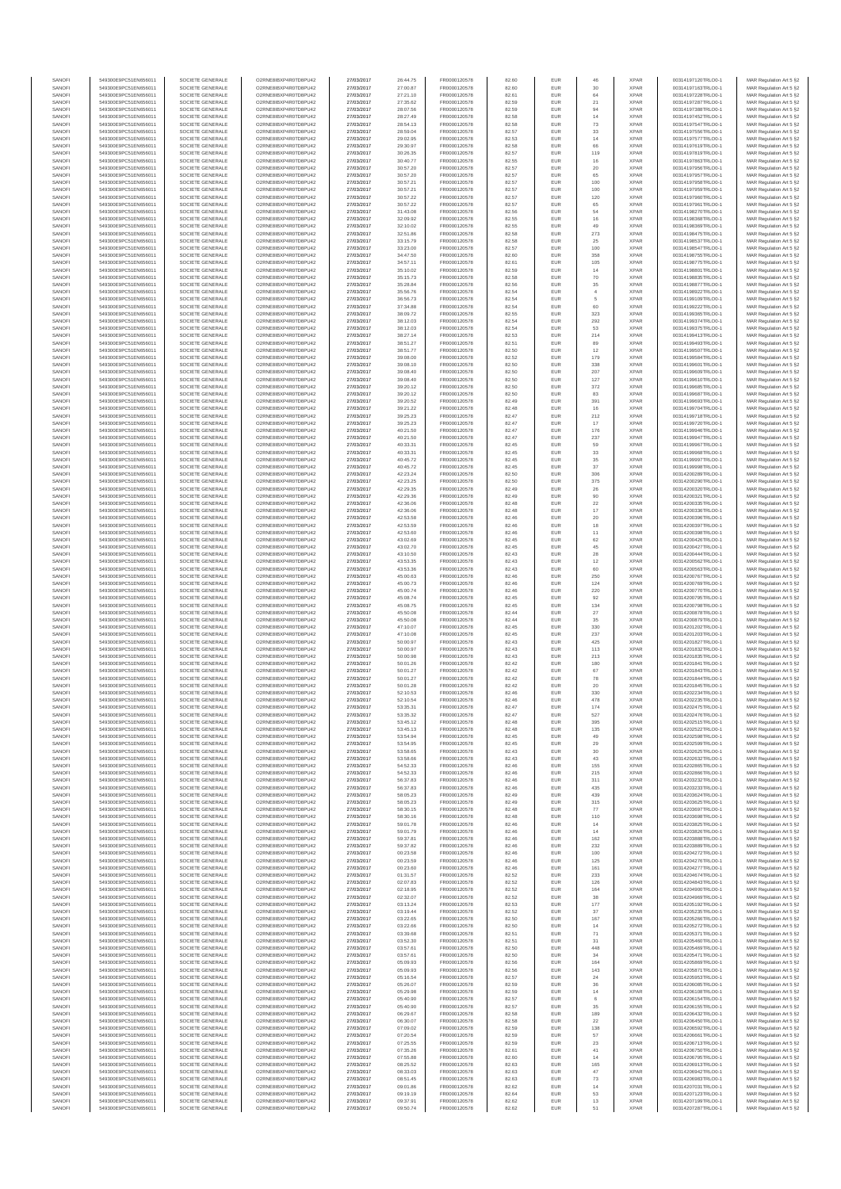| SANOF            | 549300E9PC51EN656011                         | SOCIETE GENERALE                     | O2RNE8IBXP4R0TD8PU42                          | 27/03/2017               | 26:44.75             | FR0000120578                 | 82.60          | EUR               | 46              | <b>XPAF</b>                | 00314197120TRLO0-1                       | MAR Regulation Art 5 §2                            |
|------------------|----------------------------------------------|--------------------------------------|-----------------------------------------------|--------------------------|----------------------|------------------------------|----------------|-------------------|-----------------|----------------------------|------------------------------------------|----------------------------------------------------|
| SANOFI<br>SANOFI | 549300E9PC51EN656011<br>549300E9PC51EN656011 | SOCIETE GENERALE<br>SOCIETE GENERALE | O2RNE8IBXP4R0TD8PU42<br>O2RNE8IBXP4R0TD8PU42  | 27/03/2017<br>27/03/2017 | 27:00.87             | FR0000120578<br>FR0000120578 | 82.60<br>82.61 | EUR<br>EUR        | 30<br>64        | <b>XPAR</b><br><b>XPAR</b> | 00314197163TRLO0-1<br>00314197228TRLO0-1 | MAR Regulation Art 5 §2                            |
| SANOFI           | 549300E9PC51EN656011                         | SOCIETE GENERALE                     | O2RNE8IBXP4R0TD8PU42                          | 27/03/2017               | 27:21.10<br>27:35.62 | FR0000120578                 | 82.59          | EUR               | 21              | <b>XPAR</b>                | 00314197287TRLO0-1                       | MAR Regulation Art 5 §2<br>MAR Regulation Art 5 §2 |
| SANOFI           | 549300E9PC51EN656011                         | SOCIETE GENERALE                     | O2RNE8IBXP4R0TD8PU42                          | 27/03/2017               | 28:07.56             | FR0000120578                 | 82.59          | EUR               | 94              | <b>XPAR</b>                | 00314197388TRLO0-1                       | MAR Regulation Art 5 §2                            |
| SANOFI           | 549300E9PC51EN656011                         | SOCIETE GENERALE                     | O2RNE8IBXP4R0TD8PU42                          | 27/03/2017               | 28:27.49             | FR0000120578                 | 82.58          | EUR               | 14              | <b>XPAF</b>                | 00314197452TRLO0-1                       | MAR Regulation Art 5 §2                            |
| SANOFI<br>SANOFI | 549300E9PC51EN656011<br>549300E9PC51EN656011 | SOCIETE GENERALE<br>SOCIETE GENERALE | O2RNE8IBXP4R0TD8PLI42<br>O2RNE8IBXP4R0TD8PU42 | 27/03/2017<br>27/03/2017 | 28:54.13<br>28:59.04 | FR0000120578<br>FR0000120578 | 82.58<br>82.57 | EUR<br>EUR        | 73<br>33        | <b>XPAR</b><br><b>XPAR</b> | 00314197547TRLO0-1<br>00314197556TRLO0-1 | MAR Regulation Art 5 §2<br>MAR Regulation Art 5 §2 |
| SANOFI           | 549300E9PC51EN656011                         | SOCIETE GENERALE                     | O2RNE8IBXP4R0TD8PU42                          | 27/03/2017               | 29:02.95             | FR0000120578                 | 82.53          | EUR               | 14              | <b>XPAR</b>                | 00314197577TRLO0-1                       | MAR Regulation Art 5 §2                            |
| SANOFI           | 549300E9PC51EN656011                         | SOCIETE GENERALE                     | O2RNE8IBXP4R0TD8PU42                          | 27/03/2017               | 29:30.97             | FR0000120578                 | 82.58          | EUR               | 66              | <b>XPAR</b>                | 00314197619TRLO0-1                       | MAR Regulation Art 5 §2                            |
| SANOFI<br>SANOFI | 549300E9PC51EN656011<br>549300E9PC51EN656011 | SOCIETE GENERALE<br>SOCIETE GENERALE | O2RNE8IBXP4R0TD8PU42<br>O2RNE8IBXP4R0TD8PU42  | 27/03/2017<br>27/03/2017 | 30:26.35<br>30:40.77 | FR0000120578<br>FR0000120578 | 82.57<br>82.55 | EUR<br>EUR        | 119<br>$16\,$   | <b>XPAR</b><br><b>XPAR</b> | 00314197819TRLO0-1<br>00314197863TRLO0-1 | MAR Regulation Art 5 §2<br>MAR Regulation Art 5 §2 |
| SANOFI           | 549300E9PC51EN656011                         | SOCIETE GENERALE                     | O2RNE8IBXP4R0TD8PU42                          | 27/03/2017               | 30:57.20             | FR0000120578                 | 82.57          | EUR               | 20              | <b>XPAR</b>                | 00314197956TRLO0-1                       | MAR Regulation Art 5 §2                            |
| SANOFI           | 549300E9PC51EN656011                         | SOCIETE GENERALE                     | O2RNE8IBXP4R0TD8PU42                          | 27/03/2017               | 30:57.20             | FR0000120578                 | 82.57          | EUR               | 65              | <b>XPAR</b>                | 00314197957TRLO0-1                       | MAR Regulation Art 5 §2                            |
| SANOFI           | 549300E9PC51EN656011                         | SOCIETE GENERALE                     | O2RNE8IBXP4R0TD8PU42                          | 27/03/2017               | 30:57.21             | FR0000120578                 | 82.57          | EUR               | 100             | <b>XPAR</b>                | 00314197958TRLO0-1                       | MAR Regulation Art 5 §2                            |
| SANOFI<br>SANOFI | 549300E9PC51EN656011<br>549300E9PC51EN656011 | SOCIETE GENERALE<br>SOCIETE GENERALE | O2RNE8IBXP4R0TD8PU42<br>O2RNE8IBXP4R0TD8PU42  | 27/03/2017<br>27/03/2017 | 30:57.21<br>30:57.22 | FR0000120578<br>FR0000120578 | 82.57<br>82.57 | EUR<br>EUR        | 100<br>120      | <b>XPAR</b><br><b>XPAR</b> | 00314197959TRLO0-1<br>00314197960TRLO0-1 | MAR Regulation Art 5 §2<br>MAR Regulation Art 5 §2 |
| SANOFI           | 549300E9PC51EN656011                         | SOCIETE GENERALE                     | O2RNE8IBXP4R0TD8PU42                          | 27/03/2017               | 30:57.22             | FR0000120578                 | 82.57          | EUR               | 65              | <b>XPAR</b>                | 00314197961TRLO0-1                       | MAR Regulation Art 5 §2                            |
| SANOFI           | 549300E9PC51EN656011                         | SOCIETE GENERALE                     | O2RNE8IBXP4R0TD8PU42                          | 27/03/2017               | 31:43.08             | FR0000120578                 | 82.56          | EUR               | 54              | <b>XPAR</b>                | 00314198270TRLO0-1                       | MAR Regulation Art 5 §2                            |
| SANOFI           | 549300E9PC51EN656011                         | SOCIETE GENERALE                     | O2RNE8IBXP4R0TD8PU42                          | 27/03/2017               | 32:09.92             | FR0000120578<br>FR0000120578 | 82.55          | EUR               | 16              | <b>XPAR</b>                | 00314198368TRLO0-1                       | MAR Regulation Art 5 §2                            |
| SANOFI<br>SANOFI | 549300E9PC51EN656011<br>549300E9PC51EN656011 | SOCIETE GENERALE<br>SOCIETE GENERALE | O2RNE8IBXP4R0TD8PU42<br>O2RNE8IBXP4R0TD8PU42  | 27/03/2017<br>27/03/2017 | 32:10.02<br>32:51.86 | FR0000120578                 | 82.55<br>82.58 | EUR<br>EUR        | 49<br>273       | <b>XPAR</b><br><b>XPAR</b> | 00314198369TRLO0-1<br>00314198475TRLO0-1 | MAR Regulation Art 5 §2<br>MAR Regulation Art 5 §2 |
| SANOFI           | 549300E9PC51EN656011                         | SOCIETE GENERALE                     | O2RNE8IBXP4R0TD8PU42                          | 27/03/2017               | 33:15.79             | FR0000120578                 | 82.58          | EUR               | 25              | <b>XPAR</b>                | 00314198537TRLO0-1                       | MAR Regulation Art 5 §2                            |
| SANOFI           | 549300E9PC51EN656011                         | SOCIETE GENERALE                     | O2RNE8IBXP4R0TD8PU42                          | 27/03/2017               | 33:23.00             | FR0000120578                 | 82.57          | EUR               | 100             | <b>XPAR</b>                | 00314198547TRLO0-1                       | MAR Regulation Art 5 §2                            |
| SANOFI<br>SANOFI | 549300E9PC51EN656011<br>549300E9PC51EN656011 | SOCIETE GENERALE<br>SOCIETE GENERALE | O2RNE8IBXP4R0TD8PU42<br>O2RNE8IBXP4R0TD8PU42  | 27/03/2017<br>27/03/2017 | 34:47.50<br>34:57.11 | FR0000120578<br>FR0000120578 | 82.60<br>82.61 | EUR<br>EUR        | 358<br>105      | <b>XPAR</b><br><b>XPAF</b> | 00314198755TRLO0-1<br>00314198775TRLO0-1 | MAR Regulation Art 5 §2<br>MAR Regulation Art 5 §2 |
| SANOFI           | 549300E9PC51EN656011                         | SOCIETE GENERALE                     | O2RNE8IBXP4R0TD8PU42                          | 27/03/2017               | 35:10.02             | FR0000120578                 | 82.59          | EUR               | 14              | <b>XPAR</b>                | 00314198801TRLO0-1                       | MAR Regulation Art 5 \$2                           |
| SANOFI           | 549300E9PC51EN656011                         | SOCIETE GENERALE                     | O2RNE8IBXP4R0TD8PU42                          | 27/03/2017               | 35:15.73             | FR0000120578                 | 82.58          | EUR               | $70$            | <b>XPAR</b>                | 00314198835TRLO0-1                       | MAR Regulation Art 5 §2                            |
| SANOFI           | 549300E9PC51EN656011                         | SOCIETE GENERALE                     | O2RNE8IBXP4R0TD8PU42                          | 27/03/2017               | 35:28.84             | FR0000120578                 | 82.56          | EUR               | $35\,$          | <b>XPAR</b>                | 00314198877TRLO0-1                       | MAR Regulation Art 5 §2                            |
| SANOFI<br>SANOFI | 549300E9PC51EN656011<br>549300E9PC51EN656011 | SOCIETE GENERALE<br>SOCIETE GENERALE | O2RNE8IBXP4R0TD8PU42<br>O2RNE8IBXP4R0TD8PU42  | 27/03/2017<br>27/03/2017 | 35:56.76<br>36:56.73 | FR0000120578<br>FR0000120578 | 82.54<br>82.54 | EUR<br>EUR        | $\ddot{4}$<br>5 | <b>XPAR</b><br><b>XPAR</b> | 00314198922TRLO0-1<br>00314199109TRLO0-1 | MAR Regulation Art 5 §2<br>MAR Regulation Art 5 §2 |
| SANOFI           | 549300E9PC51EN656011                         | SOCIETE GENERALE                     | O2RNE8IBXP4R0TD8PU42                          | 27/03/2017               | 37:34.88             | FR0000120578                 | 82.54          | EUR               | 60              | <b>XPAR</b>                | 00314199222TRLO0-1                       | MAR Regulation Art 5 §2                            |
| SANOFI           | 549300E9PC51EN656011                         | SOCIETE GENERALE                     | O2RNE8IBXP4R0TD8PU42                          | 27/03/2017               | 38:09.72             | FR0000120578                 | 82.55          | EUR               | 323             | <b>XPAR</b>                | 00314199365TRLO0-1                       | MAR Regulation Art 5 §2                            |
| SANOFI<br>SANOFI | 549300E9PC51EN656011<br>549300E9PC51EN656011 | SOCIETE GENERALE<br>SOCIETE GENERALE | O2RNE8IBXP4R0TD8PU42<br>O2RNE8IBXP4R0TD8PU42  | 27/03/2017<br>27/03/2017 | 38:12.03<br>38:12.03 | FR0000120578<br>FR0000120578 | 82.54<br>82.54 | EUR<br>EUR        | 292<br>53       | <b>XPAR</b><br><b>XPAF</b> | 00314199374TRLO0-1<br>00314199375TRLO0-1 | MAR Regulation Art 5 §2<br>MAR Regulation Art 5 §2 |
| SANOFI           | 549300E9PC51EN656011                         | SOCIETE GENERALE                     | O2RNE8IBXP4R0TD8PU42                          | 27/03/2017               | 38:27.14             | FR0000120578                 | 82.53          | EUR               | 214             | <b>XPAR</b>                | 00314199413TRLO0-1                       | MAR Regulation Art 5 §2                            |
| SANOFI           | 549300E9PC51EN656011                         | SOCIETE GENERALE                     | O2RNE8IBXP4R0TD8PU42                          | 27/03/2017               | 38:51.27             | FR0000120578                 | 82.51          | EUR               | 89              | <b>XPAR</b>                | 00314199493TRLO0-1                       | MAR Regulation Art 5 §2                            |
| SANOFI           | 549300E9PC51EN656011                         | SOCIETE GENERALE                     | O2RNE8IBXP4R0TD8PU42                          | 27/03/2017               | 38:51.77             | FR0000120578                 | 82.50          | EUR               | 12              | <b>XPAR</b>                | 00314199507TRLO0-1                       | MAR Regulation Art 5 §2                            |
| SANOFI<br>SANOFI | 549300E9PC51EN656011<br>549300E9PC51EN656011 | SOCIETE GENERALE<br>SOCIETE GENERALE | O2RNE8IBXP4R0TD8PU42<br>O2RNE8IBXP4R0TD8PU42  | 27/03/2017<br>27/03/2017 | 39:08.00<br>39:08.10 | FR0000120578<br>FR0000120578 | 82.52<br>82.50 | EUR<br>EUR        | 179<br>338      | <b>XPAR</b><br><b>XPAF</b> | 00314199584TRLO0-1<br>00314199601TRLO0-1 | MAR Regulation Art 5 §2<br>MAR Regulation Art 5 §2 |
| SANOFI           | 549300E9PC51EN656011                         | SOCIETE GENERALE                     | O2RNE8IBXP4R0TD8PLI42                         | 27/03/2017               | 39:08.40             | FR0000120578                 | 82.50          | EUR               | 207             | <b>XPAR</b>                | 00314199609TRLO0-1                       | MAR Regulation Art 5 \$2                           |
| SANOFI           | 549300E9PC51EN656011                         | SOCIETE GENERALE                     | O2RNE8IBXP4R0TD8PU42                          | 27/03/2017               | 39:08.40             | FR0000120578                 | 82.50          | EUR               | 127             | <b>XPAR</b>                | 00314199610TRLO0-1                       | MAR Regulation Art 5 §2                            |
| SANOFI<br>SANOFI | 549300E9PC51EN656011<br>549300E9PC51EN656011 | SOCIETE GENERALE<br>SOCIETE GENERALE | O2RNE8IBXP4R0TD8PU42<br>O2RNE8IBXP4R0TD8PU42  | 27/03/2017<br>27/03/2017 | 39:20.12<br>39:20.12 | FR0000120578<br>FR0000120578 | 82.50<br>82.50 | EUR<br>EUR        | 372<br>83       | <b>XPAR</b><br><b>XPAR</b> | 00314199685TRLO0-1<br>00314199687TRLO0-1 | MAR Regulation Art 5 §2<br>MAR Regulation Art 5 §2 |
| SANOFI           | 549300E9PC51EN656011                         | SOCIETE GENERALE                     | O2RNE8IBXP4R0TD8PU42                          | 27/03/2017               | 39:20.52             | FR0000120578                 | 82.49          | EUR               | 391             | <b>XPAR</b>                | 00314199693TRLO0-1                       | MAR Regulation Art 5 §2                            |
| SANOFI           | 549300E9PC51EN656011                         | SOCIETE GENERALE                     | O2RNE8IBXP4R0TD8PU42                          | 27/03/2017               | 39:21.22             | FR0000120578                 | 82.48          | EUR               | 16              | <b>XPAR</b>                | 00314199704TRLO0-1                       | MAR Regulation Art 5 §2                            |
| SANOFI           | 549300E9PC51EN656011                         | SOCIETE GENERALE                     | O2RNE8IBXP4R0TD8PU42<br>O2RNE8IBXP4R0TD8PU42  | 27/03/2017               | 39:25.23             | FR0000120578                 | 82.47          | EUR               | 212             | <b>XPAR</b>                | 00314199718TRLO0-1                       | MAR Regulation Art 5 §2                            |
| SANOFI<br>SANOFI | 549300E9PC51EN656011<br>549300E9PC51EN656011 | SOCIETE GENERALE<br>SOCIETE GENERALE | O2RNE8IBXP4R0TD8PU42                          | 27/03/2017<br>27/03/2017 | 39:25.23<br>40:21.50 | FR0000120578<br>FR0000120578 | 82.47<br>82.47 | EUR<br>EUR        | 17<br>176       | <b>XPAR</b><br><b>XPAF</b> | 00314199720TRLO0-1<br>00314199946TRLO0-1 | MAR Regulation Art 5 §2<br>MAR Regulation Art 5 §2 |
| SANOFI           | 549300E9PC51EN656011                         | SOCIETE GENERALE                     | O2RNE8IBXP4R0TD8PU42                          | 27/03/2017               | 40:21.50             | FR0000120578                 | 82.47          | EUR               | 237             | <b>XPAR</b>                | 00314199947TRLO0-1                       | MAR Regulation Art 5 §2                            |
| SANOFI           | 549300E9PC51EN656011                         | SOCIETE GENERALE                     | O2RNE8IBXP4R0TD8PU42                          | 27/03/2017               | 40:33.31             | FR0000120578                 | 82.45          | EUR               | 59              | <b>XPAR</b>                | 00314199967TRLO0-1                       | MAR Regulation Art 5 §2                            |
| SANOFI<br>SANOFI | 549300E9PC51EN656011<br>549300E9PC51EN656011 | SOCIETE GENERALE<br>SOCIETE GENERALE | O2RNE8IBXP4R0TD8PU42<br>O2RNE8IBXP4R0TD8PU42  | 27/03/2017<br>27/03/2017 | 40:33.31<br>40:45.72 | FR0000120578<br>FR0000120578 | 82.45<br>82.45 | EUR<br>EUR        | 33<br>$35\,$    | <b>XPAR</b><br><b>XPAR</b> | 00314199968TRLO0-1<br>00314199997TRLO0-1 | MAR Regulation Art 5 §2<br>MAR Regulation Art 5 §2 |
| SANOFI           | 549300E9PC51EN656011                         | SOCIETE GENERALE                     | O2RNE8IBXP4R0TD8PU42                          | 27/03/2017               | 40:45.72             | FR0000120578                 | 82.45          | EUR               | $37\,$          | <b>XPAR</b>                | 00314199998TRLO0-1                       | MAR Regulation Art 5 §2                            |
| SANOFI           | 549300E9PC51EN656011                         | SOCIETE GENERALE                     | O2RNE8IBXP4R0TD8PU42                          | 27/03/2017               | 42:23.24             | FR0000120578                 | 82.50          | EUR               | 306             | <b>XPAR</b>                | 00314200289TRLO0-1                       | MAR Regulation Art 5 §2                            |
| SANOFI           | 549300E9PC51EN656011                         | SOCIETE GENERALE                     | O2RNE8IBXP4R0TD8PU42                          | 27/03/2017               | 42:23.25             | FR0000120578                 | 82.50          | EUR               | 375             | <b>XPAR</b>                | 00314200290TRLO0-1                       | MAR Regulation Art 5 §2                            |
| SANOFI<br>SANOFI | 549300E9PC51EN656011<br>549300E9PC51EN656011 | SOCIETE GENERALE<br>SOCIETE GENERALE | O2RNE8IBXP4R0TD8PU42<br>O2RNE8IBXP4R0TD8PU42  | 27/03/2017<br>27/03/2017 | 42:29.35<br>42:29.36 | FR0000120578<br>FR0000120578 | 82.49<br>82.49 | EUR<br>EUR        | 26<br>90        | <b>XPAR</b><br><b>XPAR</b> | 00314200320TRLO0-1<br>00314200321TRLO0-1 | MAR Regulation Art 5 §2<br>MAR Regulation Art 5 §2 |
| SANOFI           | 549300E9PC51EN656011                         | SOCIETE GENERALE                     | O2RNE8IBXP4R0TD8PU42                          | 27/03/2017               | 42:36.06             | FR0000120578                 | 82.48          | EUR               | 22              | <b>XPAR</b>                | 00314200335TRLO0-1                       | MAR Regulation Art 5 §2                            |
| SANOFI           | 549300E9PC51EN656011                         | SOCIETE GENERALE                     | O2RNE8IBXP4R0TD8PU42                          | 27/03/2017               | 42:36.06             | FR0000120578                 | 82.48          | EUR               | 17              | <b>XPAR</b>                | 00314200336TRLO0-1                       | MAR Regulation Art 5 §2                            |
| SANOFI<br>SANOFI | 549300E9PC51EN656011<br>549300E9PC51EN656011 | SOCIETE GENERALE<br>SOCIETE GENERALE | O2RNE8IBXP4R0TD8PU42<br>O2RNE8IBXP4R0TD8PU42  | 27/03/2017<br>27/03/2017 | 42:53.58<br>42:53.59 | FR0000120578<br>FR0000120578 | 82.46<br>82.46 | EUR<br>EUR        | 20<br>18        | <b>XPAR</b><br><b>XPAR</b> | 00314200396TRLO0-1<br>00314200397TRLO0-1 | MAR Regulation Art 5 §2<br>MAR Regulation Art 5 §2 |
| SANOFI           | 549300E9PC51EN656011                         | SOCIETE GENERALE                     | O2RNE8IBXP4R0TD8PU42                          | 27/03/2017               | 42:53.60             | FR0000120578                 | 82.46          | EUR               | 11              | <b>XPAR</b>                | 00314200398TRLO0-1                       | MAR Regulation Art 5 §2                            |
| SANOFI           | 549300E9PC51EN656011                         | SOCIETE GENERALE                     | O2RNE8IBXP4R0TD8PU42                          | 27/03/2017               | 43:02.69             | FR0000120578                 | 82.45          | EUR               | 62              | <b>XPAR</b>                | 00314200426TRLO0-1                       | MAR Regulation Art 5 §2                            |
| SANOFI           | 549300E9PC51EN656011                         | SOCIETE GENERALE                     | O2RNE8IBXP4R0TD8PU42                          | 27/03/2017               | 43:02.70             | FR0000120578                 | 82.45          | EUR               | 45              | <b>XPAR</b>                | 00314200427TRLO0-1                       | MAR Regulation Art 5 §2                            |
| SANOFI<br>SANOFI | 549300E9PC51EN656011<br>549300E9PC51EN656011 | SOCIETE GENERALE<br>SOCIETE GENERALE | O2RNE8IBXP4R0TD8PU42<br>O2RNE8IBXP4R0TD8PU42  | 27/03/2017<br>27/03/2017 | 43:10.50<br>43:53.35 | FR0000120578<br>FR0000120578 | 82.43<br>82.43 | EUR<br>EUR        | 28<br>12        | <b>XPAR</b><br><b>XPAR</b> | 00314200444TRLO0-1<br>00314200562TRLO0-1 | MAR Regulation Art 5 §2<br>MAR Regulation Art 5 §2 |
| SANOFI           | 549300E9PC51EN656011                         | SOCIETE GENERALE                     | O2RNE8IBXP4R0TD8PU42                          | 27/03/2017               | 43:53.36             | FR0000120578                 | 82.43          | EUR               | 60              | <b>XPAR</b>                | 00314200563TRLO0-1                       | MAR Regulation Art 5 §2                            |
| SANOFI           | 549300E9PC51EN656011                         | SOCIETE GENERALE                     | O2RNE8IBXP4R0TD8PU42                          | 27/03/2017               | 45:00.63             | FR0000120578                 | 82.46          | EUR               | 250             | <b>XPAF</b>                | 00314200767TRLO0-1                       | MAR Regulation Art 5 §2                            |
| SANOFI<br>SANOFI | 549300E9PC51EN656011<br>549300E9PC51EN656011 | SOCIETE GENERALE<br>SOCIETE GENERALE | O2RNE8IBXP4R0TD8PU42<br>O2RNE8IBXP4R0TD8PU42  | 27/03/2017<br>27/03/2017 | 45:00.73<br>45:00.74 | FR0000120578<br>FR0000120578 | 82.46<br>82.46 | EUR<br>EUR        | 124<br>220      | <b>XPAR</b><br><b>XPAR</b> | 00314200769TRLO0-1<br>00314200770TRLO0-1 | MAR Regulation Art 5 §2<br>MAR Regulation Art 5 §2 |
| SANOFI           | 549300E9PC51EN656011                         | SOCIETE GENERALE                     | O2RNE8IBXP4R0TD8PU42                          | 27/03/2017               | 45:08.74             | FR0000120578                 | 82.45          | EUR               | $92\,$          | <b>XPAR</b>                | 00314200795TRLO0-1                       | MAR Regulation Art 5 §2                            |
| SANOFI           | 549300E9PC51EN656011                         | SOCIETE GENERALE                     | O2RNE8IBXP4R0TD8PU42                          | 27/03/2017               | 45:08.75             | FR0000120578                 | 82.45          | EUR               | 134             | <b>XPAR</b>                | 00314200798TRLO0-1                       | MAR Regulation Art 5 §2                            |
| SANOFI           | 549300E9PC51EN656011                         | SOCIETE GENERALE                     | O2RNE8IBXP4R0TD8PU42                          | 27/03/2017               | 45:50.08             | FR0000120578                 | 82.44          | EUR               | $27\,$          | <b>XPAR</b>                | 00314200878TRLO0-1                       | MAR Regulation Art 5 §2                            |
| SANOFI<br>SANOFI | 549300E9PC51EN656011<br>549300E9PC51EN656011 | SOCIETE GENERALE<br>SOCIETE GENERALE | O2RNE8IBXP4R0TD8PU42<br>O2RNE8IBXP4R0TD8PU42  | 27/03/2017<br>27/03/2017 | 45:50.08<br>47:10.07 | FR0000120578<br>FR0000120578 | 82.44<br>82.45 | EUR<br>EUR        | 35<br>330       | <b>XPAR</b><br><b>XPAR</b> | 00314200879TRLO0-1<br>00314201202TRLO0-1 | MAR Regulation Art 5 §2<br>MAR Regulation Art 5 §2 |
| SANOFI           | 549300E9PC51EN656011                         | SOCIETE GENERALE                     | O2RNE8IBXP4R0TD8PU42                          | 27/03/2017               | 47:10.08             | FR0000120578                 | 82.45          | EUR               | 237             | <b>XPAR</b>                | 00314201203TRLO0-1                       | MAR Regulation Art 5 §2                            |
| SANOFI           | 549300E9PC51EN656011                         | SOCIETE GENERALE                     | O2RNE8IBXP4R0TD8PU42                          | 27/03/2017               | 50:00.97             | FR0000120578                 | 82.43          | EUR               | 425             | <b>XPAF</b>                | 00314201827TRLO0-1                       | MAR Regulation Art 5 §2                            |
| SANOFI           | 549300E9PC51EN656011                         | SOCIETE GENERALE                     | O2RNE8IBXP4R0TD8PU42<br>O2RNE8IBXP4R0TD8PU42  | 27/03/2017               | 50:00.97             | FR0000120578                 | 82.43          | EUR               | 113             | <b>XPAR</b>                | 00314201832TRLO0-1                       | MAR Regulation Art 5 §2                            |
| SANOFI<br>SANOFI | 549300E9PC51EN656011<br>549300E9PC51EN656011 | SOCIETE GENERALE<br>SOCIETE GENERALE | O2RNE8IBXP4R0TD8PU42                          | 27/03/2017<br>27/03/2017 | 50:00.98<br>50:01.26 | FR0000120578<br>FR0000120578 | 82.43<br>82.42 | EUR<br>EUR        | 213<br>180      | <b>XPAR</b><br><b>XPAR</b> | 00314201835TRLO0-1<br>00314201841TRLO0-1 | MAR Regulation Art 5 §2<br>MAR Regulation Art 5 §2 |
| SANOFI           | 549300E9PC51EN656011                         | SOCIETE GENERALE                     | O2RNE8IBXP4R0TD8PU42                          | 27/03/2017               | 50:01.27             | FR0000120578                 | 82.42          | EUR               | 67              | <b>XPAR</b>                | 00314201843TRLO0-1                       | MAR Regulation Art 5 §2                            |
| SANOFI           | 549300E9PC51EN656011                         | SOCIETE GENERALE                     | O2RNE8IBXP4R0TD8PU42                          | 27/03/2017               | 50:01.27             | FR0000120578                 | 82.42          | EUR               | 78              | <b>XPAF</b>                | 00314201844TRLO0-1                       | MAR Regulation Art 5 §2                            |
| SANOFI<br>SANOFI | 549300E9PC51EN656011<br>549300E9PC51EN656011 | SOCIETE GENERALE<br>SOCIETE GENERALE | O2RNE8IBXP4R0TD8PU42<br>O2RNE8IBXP4R0TD8PU42  | 27/03/2017<br>27/03/2017 | 50:01.28<br>52:10.53 | FR0000120578<br>FR0000120578 | 82.42<br>82.46 | EUR<br>EUR        | 20<br>330       | <b>XPAR</b><br><b>XPAF</b> | 00314201845TRLO0-1<br>00314202234TRLO0-1 | MAR Regulation Art 5 §2<br>MAR Regulation Art 5 §2 |
| SANOFI           | 549300E9PC51EN656011                         | SOCIETE GENERALE                     | O2RNE8IBXP4R0TD8PU42                          | 27/03/2017               | 52:10.54             | FR0000120578                 | 82.46          | EUR               | 478             | <b>XPAR</b>                | 00314202235TRLO0-1                       | MAR Regulation Art 5 §2                            |
| SANOFI           | 549300E9PC51EN656011                         | SOCIETE GENERALE                     | O2RNE8IBXP4R0TD8PU42                          | 27/03/2017               | 53:35.31             | FR0000120578                 | 82.47          | EUR               | 174             | <b>XPAR</b>                | 00314202475TRLO0-1                       | MAR Regulation Art 5 §2                            |
| SANOFI           | 549300E9PC51EN656011                         | SOCIETE GENERALE                     | O2RNE8IBXP4R0TD8PLI42                         | 27/03/2017               | 53:35.32             | FR0000120578                 | 82.47          | EUR               | 527             | <b>XPAR</b>                | 00314202476TRLO0-1                       | MAR Regulation Art 5 §2                            |
| SANOFI<br>SANOFI | 549300E9PC51EN656011<br>549300E9PC51EN656011 | SOCIETE GENERALE<br>SOCIETE GENERALE | O2RNE8IBXP4R0TD8PU42<br>O2RNE8IBXP4R0TD8PU42  | 27/03/2017<br>27/03/2017 | 53:45.12<br>53:45.13 | FR0000120578<br>FR0000120578 | 82.48<br>82.48 | EUR<br>EUR        | 395<br>135      | <b>XPAR</b><br><b>XPAR</b> | 00314202515TRLO0-1<br>00314202522TRLO0-1 | MAR Regulation Art 5 §2<br>MAR Regulation Art 5 §2 |
| SANOFI           | 549300E9PC51EN656011                         | SOCIETE GENERALE                     | O2RNE8IBXP4R0TD8PU42                          | 27/03/2017               | 53:54.94             | FR0000120578                 | 82.45          | EUR               | 49              | <b>XPAR</b>                | 00314202598TRLO0-1                       | MAR Regulation Art 5 §2                            |
| SANOFI           | 549300E9PC51EN656011                         | SOCIETE GENERALE                     | O2RNE8IBXP4R0TD8PU42                          | 27/03/2017               | 53:54.95             | FR0000120578                 | 82.45          | EUR               | 29              | <b>XPAR</b>                | 00314202599TRLO0-1                       | MAR Regulation Art 5 §2                            |
| SANOFI<br>SANOFI | 549300E9PC51EN656011<br>549300E9PC51EN656011 | SOCIETE GENERALE<br>SOCIETE GENERALE | O2RNE8IBXP4R0TD8PU42<br>O2RNE8IBXP4R0TD8PU42  | 27/03/2017<br>27/03/2017 | 53:58.65<br>53:58.66 | FR0000120578<br>FR0000120578 | 82.43<br>82.43 | EUR<br>EUR        | 30<br>43        | <b>XPAR</b><br><b>XPAR</b> | 00314202625TRLO0-1<br>00314202632TRLO0-1 | MAR Regulation Art 5 §2                            |
| SANOFI           | 549300E9PC51EN656011                         | SOCIETE GENERALE                     | O2RNE8IBXP4R0TD8PU42                          | 27/03/2017               | 54:52.33             | FR0000120578                 | 82.46          | <b>EUR</b>        | 155             | <b>XPAR</b>                | 00314202865TRLO0-1                       | MAR Regulation Art 5 §2<br>MAR Regulation Art 5 §2 |
| SANOFI           | 549300E9PC51EN656011                         | SOCIETE GENERALE                     | O2RNE8IBXP4R0TD8PU42                          | 27/03/2017               | 54:52.33             | FR0000120578                 | 82.46          | EUR               | 215             | <b>XPAR</b>                | 00314202866TRLO0-1                       | MAR Regulation Art 5 §2                            |
| SANOFI<br>SANOFI | 549300E9PC51EN656011<br>549300E9PC51EN656011 | SOCIETE GENERALE<br>SOCIETE GENERALE | O2RNE8IBXP4R0TD8PU42<br>O2RNE8IBXP4R0TD8PU42  | 27/03/2017               | 56:37.83<br>56:37.83 | FR0000120578<br>FR0000120578 | 82.46<br>82.46 | EUR<br>EUR        | 311<br>435      | <b>XPAR</b><br><b>XPAR</b> | 00314203232TRLO0-1<br>00314203233TRLO0-1 | MAR Regulation Art 5 §2                            |
| SANOFI           | 549300E9PC51EN656011                         | SOCIETE GENERALE                     | O2RNE8IBXP4R0TD8PU42                          | 27/03/2017<br>27/03/2017 | 58:05.23             | FR0000120578                 | 82.49          | EUR               | 439             | <b>XPAR</b>                | 00314203624TRLO0-1                       | MAR Regulation Art 5 §2<br>MAR Regulation Art 5 §2 |
| SANOFI           | 549300E9PC51EN656011                         | SOCIETE GENERALE                     | O2RNE8IBXP4R0TD8PU42                          | 27/03/2017               | 58:05.23             | FR0000120578                 | 82.49          | <b>EUR</b>        | 315             | <b>XPAR</b>                | 00314203625TRLO0-1                       | MAR Regulation Art 5 §2                            |
| SANOFI<br>SANOFI | 549300E9PC51EN656011<br>549300E9PC51EN656011 | SOCIETE GENERALE<br>SOCIETE GENERALE | O2RNE8IBXP4R0TD8PU42<br>O2RNE8IBXP4R0TD8PU42  | 27/03/2017<br>27/03/2017 | 58:30.15<br>58:30.16 | FR0000120578<br>FR0000120578 | 82.48<br>82.48 | EUR<br><b>EUR</b> | $77\,$<br>110   | <b>XPAR</b><br><b>XPAR</b> | 00314203697TRLO0-1<br>00314203698TRLO0-1 | MAR Regulation Art 5 §2                            |
| SANOFI           | 549300E9PC51EN656011                         | SOCIETE GENERALE                     | O2RNE8IBXP4R0TD8PU42                          | 27/03/2017               | 59:01.78             | FR0000120578                 | 82.46          | EUR               | 14              | <b>XPAR</b>                | 00314203825TRLO0-1                       | MAR Regulation Art 5 §2<br>MAR Regulation Art 5 §2 |
| SANOFI           | 549300E9PC51EN656011                         | SOCIETE GENERALE                     | O2RNE8IBXP4R0TD8PU42                          | 27/03/2017               | 59:01.79             | FR0000120578                 | 82.46          | EUR               | 14              | <b>XPAR</b>                | 00314203826TRLO0-1                       | MAR Regulation Art 5 §2                            |
| SANOFI           | 549300E9PC51EN656011                         | SOCIETE GENERALE                     | O2RNE8IBXP4R0TD8PU42                          | 27/03/2017               | 59:37.81             | FR0000120578                 | 82.46          | EUR               | 162             | <b>XPAR</b>                | 00314203888TRLO0-1                       | MAR Regulation Art 5 §2                            |
| SANOFI<br>SANOFI | 549300E9PC51EN656011<br>549300E9PC51EN656011 | SOCIETE GENERALE<br>SOCIETE GENERALE | O2RNE8IBXP4R0TD8PU42<br>O2RNE8IBXP4R0TD8PU42  | 27/03/2017<br>27/03/2017 | 59:37.82<br>00:23.58 | FR0000120578<br>FR0000120578 | 82.46<br>82.46 | EUR<br>EUR        | 232<br>100      | <b>XPAR</b><br><b>XPAR</b> | 00314203889TRLO0-1<br>00314204272TRLO0-1 | MAR Regulation Art 5 §2<br>MAR Regulation Art 5 §2 |
| SANOFI           | 549300E9PC51EN656011                         | SOCIETE GENERALE                     | O2RNE8IBXP4R0TD8PU42                          | 27/03/2017               | 00:23.59             | FR0000120578                 | 82.46          | EUR               | 125             | <b>XPAR</b>                | 00314204276TRLO0-1                       | MAR Regulation Art 5 §2                            |
| SANOFI           | 549300E9PC51EN656011                         | SOCIETE GENERALE                     | O2RNE8IBXP4R0TD8PU42                          | 27/03/2017               | 00:23.60             | FR0000120578                 | 82.46          | <b>EUR</b>        | 161             | <b>XPAR</b>                | 00314204277TRLO0-1                       | MAR Regulation Art 5 §2                            |
| SANOFI<br>SANOFI | 549300E9PC51EN656011<br>549300E9PC51EN656011 | SOCIETE GENERALE<br>SOCIETE GENERALE | O2RNE8IBXP4R0TD8PU42<br>O2RNE8IBXP4R0TD8PU42  | 27/03/2017<br>27/03/2017 | 01:31.57<br>02:07.83 | FR0000120578<br>FR0000120578 | 82.52<br>82.52 | EUR<br><b>EUR</b> | 233<br>126      | <b>XPAR</b><br><b>XPAR</b> | 00314204674TRLO0-1<br>00314204843TRLO0-1 | MAR Regulation Art 5 §2                            |
| SANOFI           | 549300E9PC51EN656011                         | SOCIETE GENERALE                     | O2RNE8IBXP4R0TD8PU42                          | 27/03/2017               | 02:18.95             | FR0000120578                 | 82.52          | EUR               | 164             | <b>XPAR</b>                | 00314204900TRLO0-1                       | MAR Regulation Art 5 §2<br>MAR Regulation Art 5 §2 |
| SANOFI           | 549300E9PC51EN656011                         | SOCIETE GENERALE                     | O2RNE8IBXP4R0TD8PU42                          | 27/03/2017               | 02:32.07             | FR0000120578                 | 82.52          | EUR               | 38              | <b>XPAR</b>                | 00314204969TRLO0-1                       | MAR Regulation Art 5 §2                            |
| SANOFI<br>SANOFI | 549300E9PC51EN656011<br>549300E9PC51EN656011 | SOCIETE GENERALE<br>SOCIETE GENERALE | O2RNE8IBXP4R0TD8PU42<br>O2RNE8IBXP4R0TD8PU42  | 27/03/2017<br>27/03/2017 | 03:13.24             | FR0000120578<br>FR0000120578 | 82.53<br>82.52 | EUR<br>EUR        | $177\,$<br>37   | <b>XPAR</b><br><b>XPAR</b> | 00314205192TRLO0-1<br>00314205235TRLO0-1 | MAR Regulation Art 5 §2                            |
| SANOFI           | 549300E9PC51EN656011                         | SOCIETE GENERALE                     | O2RNE8IBXP4R0TD8PU42                          | 27/03/2017               | 03:19.44<br>03:22.65 | FR0000120578                 | 82.50          | EUR               | 167             | <b>XPAR</b>                | 00314205266TRLO0-1                       | MAR Regulation Art 5 §2<br>MAR Regulation Art 5 §2 |
| SANOFI           | 549300E9PC51EN656011                         | SOCIETE GENERALE                     | O2RNE8IBXP4R0TD8PU42                          | 27/03/2017               | 03:22.66             | FR0000120578                 | 82.50          | EUR               | 14              | <b>XPAR</b>                | 00314205272TRLO0-1                       | MAR Regulation Art 5 §2                            |
| SANOFI           | 549300E9PC51EN656011                         | SOCIETE GENERALE                     | O2RNE8IBXP4R0TD8PU42                          | 27/03/2017               | 03:39.68             | FR0000120578                 | 82.51          | EUR               | 71              | <b>XPAR</b>                | 00314205371TRLO0-1                       | MAR Regulation Art 5 §2                            |
| SANOFI<br>SANOFI | 549300E9PC51EN656011<br>549300E9PC51EN656011 | SOCIETE GENERALE<br>SOCIETE GENERALE | O2RNE8IBXP4R0TD8PU42<br>O2RNE8IBXP4R0TD8PU42  | 27/03/2017<br>27/03/2017 | 03:52.30<br>03:57.61 | FR0000120578<br>FR0000120578 | 82.51<br>82.50 | EUR<br><b>EUR</b> | 31<br>448       | <b>XPAR</b><br><b>XPAR</b> | 00314205460TRLO0-1<br>00314205469TRLO0-1 | MAR Regulation Art 5 §2<br>MAR Regulation Art 5 §2 |
| SANOFI           | 549300E9PC51EN656011                         | SOCIETE GENERALE                     | O2RNE8IBXP4R0TD8PU42                          | 27/03/2017               | 03:57.61             | FR0000120578                 | 82.50          | EUR               | 34              | <b>XPAR</b>                | 00314205471TRLO0-1                       | MAR Regulation Art 5 §2                            |
| SANOFI           | 549300E9PC51EN656011                         | SOCIETE GENERALE                     | O2RNE8IBXP4R0TD8PU42                          | 27/03/2017               | 05:09.93             | FR0000120578                 | 82.56          | EUR               | 164             | <b>XPAR</b>                | 00314205869TRLO0-1                       | MAR Regulation Art 5 §2                            |
| SANOFI           | 549300E9PC51EN656011                         | SOCIETE GENERALE                     | O2RNE8IBXP4R0TD8PU42                          | 27/03/2017               | 05:09.93             | FR0000120578                 | 82.56          | EUR               | 143             | <b>XPAR</b>                | 00314205871TRLO0-1                       | MAR Regulation Art 5 §2                            |
| SANOFI<br>SANOFI | 549300E9PC51EN656011<br>549300E9PC51EN656011 | SOCIETE GENERALE<br>SOCIETE GENERALE | O2RNE8IBXP4R0TD8PU42<br>O2RNE8IBXP4R0TD8PU42  | 27/03/2017<br>27/03/2017 | 05:16.54<br>05:26.07 | FR0000120578<br>FR0000120578 | 82.57<br>82.59 | EUR<br><b>EUR</b> | 24<br>36        | <b>XPAR</b><br><b>XPAR</b> | 00314205953TRLO0-1<br>00314206085TRLO0-1 | MAR Regulation Art 5 §2<br>MAR Regulation Art 5 §2 |
| SANOFI           | 549300E9PC51EN656011                         | SOCIETE GENERALE                     | O2RNE8IBXP4R0TD8PU42                          | 27/03/2017               | 05:29.98             | FR0000120578                 | 82.59          | EUR               | 14              | <b>XPAR</b>                | 00314206108TRLO0-1                       | MAR Regulation Art 5 §2                            |
| SANOFI           | 549300E9PC51EN656011                         | SOCIETE GENERALE                     | O2RNE8IBXP4R0TD8PU42                          | 27/03/2017               | 05:40.90             | FR0000120578                 | 82.57          | <b>EUR</b>        | 6               | <b>XPAR</b>                | 00314206154TRLO0-1                       | MAR Regulation Art 5 §2                            |
| SANOFI<br>SANOFI | 549300E9PC51EN656011<br>549300E9PC51EN656011 | SOCIETE GENERALE<br>SOCIETE GENERALE | O2RNE8IBXP4R0TD8PU42<br>O2RNE8IBXP4R0TD8PU42  | 27/03/2017<br>27/03/2017 | 05:40.90<br>06:29.67 | FR0000120578<br>FR0000120578 | 82.57<br>82.58 | EUR<br><b>EUR</b> | 35<br>189       | <b>XPAR</b><br><b>XPAR</b> | 00314206155TRLO0-1<br>00314206432TRLO0-1 | MAR Regulation Art 5 §2<br>MAR Regulation Art 5 §2 |
| SANOFI           | 549300E9PC51EN656011                         | SOCIETE GENERALE                     | O2RNE8IBXP4R0TD8PU42                          | 27/03/2017               | 06:30.07             | FR0000120578                 | 82.58          | EUR               | 22              | <b>XPAR</b>                | 00314206450TRLO0-1                       | MAR Regulation Art 5 §2                            |
| SANOFI           | 549300E9PC51EN656011                         | SOCIETE GENERALE                     | O2RNE8IBXP4R0TD8PU42                          | 27/03/2017               | 07:09.02             | FR0000120578                 | 82.59          | EUR               | 138             | <b>XPAR</b>                | 00314206592TRLO0-1                       | MAR Regulation Art 5 §2                            |
| SANOFI           | 549300E9PC51EN656011                         | SOCIETE GENERALE                     | O2RNE8IBXP4R0TD8PU42                          | 27/03/2017               | 07:20.54             | FR0000120578                 | 82.59<br>82.59 | EUR               | 57              | <b>XPAR</b><br><b>XPAR</b> | 00314206661TRLO0-1                       | MAR Regulation Art 5 §2                            |
| SANOFI<br>SANOFI | 549300E9PC51EN656011<br>549300E9PC51EN656011 | SOCIETE GENERALE<br>SOCIETE GENERALE | O2RNE8IBXP4R0TD8PU42<br>O2RNE8IBXP4R0TD8PU42  | 27/03/2017<br>27/03/2017 | 07:25.55<br>07:35.26 | FR0000120578<br>FR0000120578 | 82.61          | EUR<br><b>EUR</b> | $23\,$<br>41    | <b>XPAR</b>                | 00314206713TRLO0-1<br>00314206750TRLO0-1 | MAR Regulation Art 5 §2<br>MAR Regulation Art 5 §2 |
| SANOFI           | 549300E9PC51EN656011                         | SOCIETE GENERALE                     | O2RNE8IBXP4R0TD8PU42                          | 27/03/2017               | 07:55.88             | FR0000120578                 | 82.60          | EUR               | 14              | <b>XPAR</b>                | 00314206795TRLO0-1                       | MAR Regulation Art 5 §2                            |
| SANOFI           | 549300E9PC51EN656011                         | SOCIETE GENERALE                     | O2RNE8IBXP4R0TD8PU42                          | 27/03/2017               | 08:25.52             | FR0000120578                 | 82.63          | <b>EUR</b>        | 165             | <b>XPAR</b>                | 00314206913TRLO0-1                       | MAR Regulation Art 5 §2                            |
| SANOFI<br>SANOFI | 549300E9PC51EN656011<br>549300E9PC51EN656011 | SOCIETE GENERALE<br>SOCIETE GENERALE | O2RNE8IBXP4R0TD8PU42<br>O2RNE8IBXP4R0TD8PU42  | 27/03/2017<br>27/03/2017 | 08:33.03<br>08:51.45 | FR0000120578<br>FR0000120578 | 82.63<br>82.63 | EUR<br>EUR        | 47<br>73        | <b>XPAR</b><br><b>XPAR</b> | 00314206942TRLO0-1<br>00314206983TRLO0-1 | MAR Regulation Art 5 §2<br>MAR Regulation Art 5 §2 |
| SANOFI           | 549300E9PC51EN656011                         | SOCIETE GENERALE                     | O2RNE8IBXP4R0TD8PU42                          | 27/03/2017               | 09:01.86             | FR0000120578                 | 82.62          | EUR               | 14              | <b>XPAR</b>                | 00314207031TRLO0-1                       | MAR Regulation Art 5 §2                            |
| SANOFI           | 549300E9PC51EN656011                         | SOCIETE GENERALE                     | O2RNE8IBXP4R0TD8PU42                          | 27/03/2017               | 09:19.19             | FR0000120578                 | 82.64          | EUR               | 53              | <b>XPAR</b>                | 00314207123TRLO0-1                       | MAR Regulation Art 5 §2                            |
| SANOFI<br>SANOFI | 549300E9PC51EN656011<br>549300E9PC51EN656011 | SOCIETE GENERALE<br>SOCIETE GENERALE | O2RNE8IBXP4R0TD8PU42<br>O2RNE8IBXP4R0TD8PU42  | 27/03/2017<br>27/03/2017 | 09:37.91<br>09:50.74 | FR0000120578<br>FR0000120578 | 82.62<br>82.62 | EUR<br>EUR        | $13\,$<br>51    | <b>XPAR</b><br><b>XPAR</b> | 00314207199TRLO0-1<br>00314207287TRLO0-1 | MAR Regulation Art 5 §2<br>MAR Regulation Art 5 §2 |
|                  |                                              |                                      |                                               |                          |                      |                              |                |                   |                 |                            |                                          |                                                    |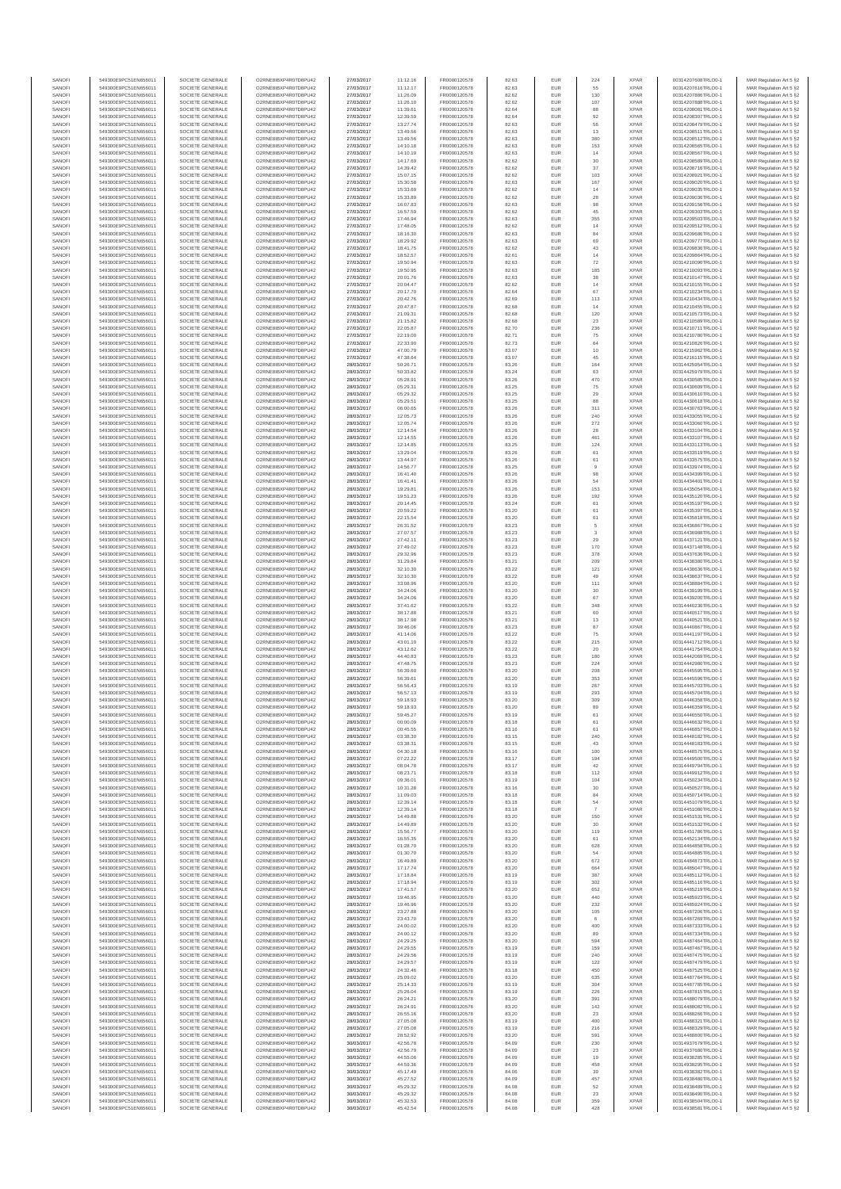| SANOFI           | 549300E9PC51EN656011                         | SOCIETE GENERALE                     | O2RNE8IBXP4R0TD8PU42                          | 27/03/2017               | 11:12.16             | FR0000120578                 | 82.63          | EUR               | 224              | <b>XPAR</b>                | 00314207608TRLO0-1                       | MAR Regulation Art 5 §2                             |
|------------------|----------------------------------------------|--------------------------------------|-----------------------------------------------|--------------------------|----------------------|------------------------------|----------------|-------------------|------------------|----------------------------|------------------------------------------|-----------------------------------------------------|
| SANOFI<br>SANOFI | 549300E9PC51EN656011<br>549300E9PC51EN656011 | SOCIETE GENERALE<br>SOCIETE GENERALE | O2RNE8IBXP4R0TD8PU42<br>O2RNE8IBXP4R0TD8PU42  | 27/03/2017<br>27/03/2017 | 11:12.17<br>11:26.09 | FR0000120578<br>FR0000120578 | 82.63<br>82.62 | EUR<br>EUR        | 55<br>130        | <b>XPAR</b><br><b>XPAR</b> | 00314207616TRLO0-1<br>00314207886TRLO0-1 | MAR Regulation Art 5 §2                             |
| SANOFI           | 549300E9PC51EN656011                         | SOCIETE GENERALE                     | O2RNE8IBXP4R0TD8PU42                          | 27/03/2017               | 11:26.10             | FR0000120578                 | 82.62          | EUR               | 107              | <b>XPAR</b>                | 00314207888TRLO0-1                       | MAR Regulation Art 5 §2<br>MAR Regulation Art 5 §2  |
| SANOFI           | 549300E9PC51EN656011                         | SOCIETE GENERALE                     | O2RNE8IBXP4R0TD8PU42                          | 27/03/2017               | 11:39.61             | FR0000120578                 | 82.64          | EUR               | 88               | <b>XPAR</b>                | 00314208081TRLO0-1                       | MAR Regulation Art 5 §2                             |
| SANOFI           | 549300E9PC51EN656011                         | SOCIETE GENERALE                     | O2RNE8IBXP4R0TD8PU42                          | 27/03/2017               | 12:39.59             | FR0000120578                 | 82.64          | EUR               | 92               | <b>XPAR</b>                | 00314208307TRLO0-1                       | MAR Regulation Art 5 §2                             |
| SANOFI<br>SANOFI | 549300E9PC51EN656011<br>549300E9PC51EN656011 | SOCIETE GENERALE<br>SOCIETE GENERALE | O2RNE8IBXP4R0TD8PU42<br>O2RNE8IBXP4R0TD8PU42  | 27/03/2017<br>27/03/2017 | 13:27.74<br>13:49.56 | FR0000120578<br>FR0000120578 | 82.63<br>82.63 | EUR<br>EUR        | 56<br>13         | <b>XPAR</b><br><b>XPAR</b> | 00314208479TRLO0-1<br>00314208511TRLO0-1 | MAR Regulation Art 5 §2<br>MAR Regulation Art 5 §2  |
| SANOFI           | 549300E9PC51EN656011                         | SOCIETE GENERALE                     | O2RNE8IBXP4R0TD8PU42                          | 27/03/2017               | 13:49.56             | FR0000120578                 | 82.63          | EUR               | 380              | <b>XPAR</b>                | 00314208512TRLO0-1                       | MAR Regulation Art 5 §2                             |
| SANOFI           | 549300E9PC51EN656011                         | SOCIETE GENERALE                     | O2RNE8IBXP4R0TD8PU42                          | 27/03/2017               | 14:10.18             | FR0000120578                 | 82.63          | EUR               | 153              | <b>XPAR</b>                | 00314208565TRLO0-1                       | MAR Regulation Art 5 §2                             |
| SANOFI<br>SANOFI | 549300E9PC51EN656011<br>549300E9PC51EN656011 | SOCIETE GENERALE<br>SOCIETE GENERALE | O2RNE8IBXP4R0TD8PU42<br>O2RNE8IBXP4R0TD8PU42  | 27/03/2017<br>27/03/2017 | 14:10.19<br>14:17.69 | FR0000120578<br>FR0000120578 | 82.63<br>82.62 | EUR<br>EUR        | $14$<br>$30\,$   | <b>XPAR</b><br><b>XPAR</b> | 00314208567TRLO0-1<br>00314208589TRLO0-1 | MAR Regulation Art 5 §2<br>MAR Regulation Art 5 §2  |
| SANOFI           | 549300E9PC51EN656011                         | SOCIETE GENERALE                     | O2RNE8IBXP4R0TD8PU42                          | 27/03/2017               | 14:39.42             | FR0000120578                 | 82.62          | EUR               | 37               | <b>XPAR</b>                | 00314208716TRLO0-1                       | MAR Regulation Art 5 §2                             |
| SANOFI           | 549300E9PC51EN656011                         | SOCIETE GENERALE                     | O2RNE8IBXP4R0TD8PU42                          | 27/03/2017               | 15:07.15             | FR0000120578                 | 82.62          | EUR               | 103              | <b>XPAR</b>                | 00314208921TRLO0-1                       | MAR Regulation Art 5 §2                             |
| SANOFI           | 549300E9PC51EN656011                         | SOCIETE GENERALE                     | O2RNE8IBXP4R0TD8PU42                          | 27/03/2017               | 15:30.58             | FR0000120578                 | 82.63          | EUR               | 167              | <b>XPAR</b>                | 00314209020TRLO0-1                       | MAR Regulation Art 5 §2                             |
| SANOFI<br>SANOFI | 549300E9PC51EN656011<br>549300E9PC51EN656011 | SOCIETE GENERALE<br>SOCIETE GENERALE | O2RNE8IBXP4R0TD8PU42<br>O2RNE8IBXP4R0TD8PU42  | 27/03/2017<br>27/03/2017 | 15:33.69<br>15:33.89 | FR0000120578<br>FR0000120578 | 82.62<br>82.62 | EUR<br>EUR        | 14<br>28         | <b>XPAR</b><br><b>XPAR</b> | 00314209035TRLO0-1<br>00314209036TRLO0-1 | MAR Regulation Art 5 §2<br>MAR Regulation Art 5 §2  |
| SANOFI           | 549300E9PC51EN656011                         | SOCIETE GENERALE                     | O2RNE8IBXP4R0TD8PU42                          | 27/03/2017               | 16:07.83             | FR0000120578                 | 82.63          | EUR               | 98               | <b>XPAR</b>                | 00314209156TRLO0-1                       | MAR Regulation Art 5 §2                             |
| SANOFI           | 549300E9PC51EN656011                         | SOCIETE GENERALE                     | O2RNE8IBXP4R0TD8PU42                          | 27/03/2017               | 16:57.59             | FR0000120578                 | 82.62          | EUR               | 45               | <b>XPAR</b>                | 00314209303TRLO0-1                       | MAR Regulation Art 5 §2                             |
| SANOFI           | 549300E9PC51EN656011                         | SOCIETE GENERALE                     | O2RNE8IBXP4R0TD8PU42                          | 27/03/2017               | 17:46.94             | FR0000120578                 | 82.63          | EUR               | 355              | <b>XPAR</b>                | 00314209503TRLO0-1                       | MAR Regulation Art 5 §2                             |
| SANOFI<br>SANOFI | 549300E9PC51EN656011<br>549300E9PC51EN656011 | SOCIETE GENERALE<br>SOCIETE GENERALE | O2RNE8IBXP4R0TD8PU42<br>O2RNE8IBXP4R0TD8PU42  | 27/03/2017<br>27/03/2017 | 17:48.05<br>18:16.30 | FR0000120578<br>FR0000120578 | 82.62<br>82.63 | EUR<br>EUR        | 14<br>84         | <b>XPAR</b><br><b>XPAR</b> | 00314209512TRLO0-1<br>00314209686TRLO0-1 | MAR Regulation Art 5 §2<br>MAR Regulation Art 5 §2  |
| SANOFI           | 549300E9PC51EN656011                         | SOCIETE GENERALE                     | O2RNE8IBXP4R0TD8PU42                          | 27/03/2017               | 18:29.92             | FR0000120578                 | 82.63          | EUR               | 69               | <b>XPAR</b>                | 00314209777TRLO0-1                       | MAR Regulation Art 5 §2                             |
| SANOFI           | 549300E9PC51EN656011                         | SOCIETE GENERALE                     | O2RNE8IBXP4R0TD8PU42                          | 27/03/2017               | 18:41.75             | FR0000120578                 | 82.62          | EUR               | 43               | <b>XPAR</b>                | 00314209836TRLO0-1                       | MAR Regulation Art 5 §2                             |
| SANOFI<br>SANOFI | 549300E9PC51EN656011<br>549300E9PC51EN656011 | SOCIETE GENERALE<br>SOCIETE GENERALE | O2RNE8IBXP4R0TD8PU42<br>O2RNE8IBXP4R0TD8PU42  | 27/03/2017<br>27/03/2017 | 18:52.57<br>19:50.94 | FR0000120578<br>FR0000120578 | 82.61<br>82.63 | EUR<br>EUR        | 14<br>72         | <b>XPAR</b><br><b>XPAR</b> | 00314209864TRLO0-1<br>00314210090TRLO0-1 | MAR Regulation Art 5 §2<br>MAR Regulation Art 5 §2  |
| SANOFI           | 549300E9PC51EN656011                         | SOCIETE GENERALE                     | O2RNE8IBXP4R0TD8PU42                          | 27/03/2017               | 19:50.95             | FR0000120578                 | 82.63          | EUR               | 185              | <b>XPAR</b>                | 00314210093TRLO0-1                       | MAR Regulation Art 5 62                             |
| SANOFI           | 549300E9PC51EN656011                         | SOCIETE GENERALE                     | O2RNE8IBXP4R0TD8PU42                          | 27/03/2017               | 20:01.76             | FR0000120578                 | 82.63          | EUR               | $_{\rm 38}$      | <b>XPAR</b>                | 00314210147TRLO0-1                       | MAR Regulation Art 5 §2                             |
| SANOFI           | 549300E9PC51EN656011                         | SOCIETE GENERALE                     | O2RNE8IBXP4R0TD8PU42                          | 27/03/2017               | 20:04.47             | FR0000120578                 | 82.62          | EUR               | $14$             | <b>XPAR</b>                | 00314210155TRLO0-1                       | MAR Regulation Art 5 §2                             |
| SANOFI<br>SANOFI | 549300E9PC51EN656011<br>549300E9PC51EN656011 | SOCIETE GENERALE<br>SOCIETE GENERALE | O2RNE8IBXP4R0TD8PU42<br>O2RNE8IBXP4R0TD8PU42  | 27/03/2017<br>27/03/2017 | 20:17.70<br>20:42.76 | FR0000120578<br>FR0000120578 | 82.64<br>82.69 | EUR<br>EUR        | 67<br>113        | <b>XPAR</b><br><b>XPAR</b> | 00314210234TRLO0-1<br>00314210434TRLO0-1 | MAR Regulation Art 5 §2<br>MAR Regulation Art 5 §2  |
| SANOFI           | 549300E9PC51EN656011                         | SOCIETE GENERALE                     | O2RNE8IBXP4R0TD8PU42                          | 27/03/2017               | 20:47.87             | FR0000120578                 | 82.68          | EUR               | 14               | <b>XPAR</b>                | 00314210455TRLO0-1                       | MAR Regulation Art 5 §2                             |
| SANOFI           | 549300E9PC51EN656011                         | SOCIETE GENERALE                     | O2RNE8IBXP4R0TD8PU42                          | 27/03/2017               | 21:09.31             | FR0000120578                 | 82.68          | EUR               | 120              | <b>XPAR</b>                | 00314210573TRLO0-1                       | MAR Regulation Art 5 §2                             |
| SANOFI<br>SANOFI | 549300E9PC51EN656011<br>549300E9PC51EN656011 | SOCIETE GENERALE<br>SOCIETE GENERALE | O2RNE8IBXP4R0TD8PU42<br>O2RNE8IBXP4R0TD8PU42  | 27/03/2017<br>27/03/2017 | 21:15.82<br>22:05.87 | FR0000120578<br>FR0000120578 | 82.68<br>82.70 | EUR<br>EUR        | 23<br>236        | <b>XPAR</b><br><b>XPAR</b> | 00314210589TRLO0-1<br>00314210711TRLO0-1 | MAR Regulation Art 5 \$2                            |
| SANOFI           | 549300E9PC51EN656011                         | SOCIETE GENERALE                     | O2RNE8IBXP4R0TD8PU42                          | 27/03/2017               | 22:19.00             | FR0000120578                 | 82.71          | EUR               | 75               | <b>XPAR</b>                | 00314210780TRLO0-1                       | MAR Regulation Art 5 §2<br>MAR Regulation Art 5 §2  |
| SANOFI           | 549300E9PC51EN656011                         | SOCIETE GENERALE                     | O2RNE8IBXP4R0TD8PU42                          | 27/03/2017               | 22:33.90             | FR0000120578                 | 82.73          | EUR               | 64               | <b>XPAR</b>                | 00314210826TRLO0-1                       | MAR Regulation Art 5 §2                             |
| SANOFI           | 549300E9PC51EN656011                         | SOCIETE GENERALE                     | O2RNE8IBXP4R0TD8PU42                          | 27/03/2017               | 47:00.79             | FR0000120578                 | 83.07          | EUR               | 10               | <b>XPAR</b>                | 00314215962TRLO0-1                       | MAR Regulation Art 5 §2                             |
| SANOFI<br>SANOFI | 549300E9PC51EN656011<br>549300E9PC51EN656011 | SOCIETE GENERALE<br>SOCIETE GENERALE | O2RNE8IBXP4R0TD8PU42<br>O2RNE8IBXP4R0TD8PU42  | 27/03/2017<br>28/03/2017 | 47:38.64<br>50:26.71 | FR0000120578<br>FR0000120578 | 83.07<br>83.26 | EUR<br>EUR        | 45<br>164        | <b>XPAR</b><br><b>XPAR</b> | 00314216115TRLO0-1<br>00314425954TRLO0-1 | MAR Regulation Art 5 §2<br>MAR Regulation Art 5 §2  |
| SANOFI           | 549300E9PC51EN656011                         | SOCIETE GENERALE                     | O2RNE8IBXP4R0TD8PU42                          | 28/03/2017               | 50:33.82             | FR0000120578                 | 83.24          | EUR               | 63               | <b>XPAR</b>                | 00314425979TRLO0-1                       | MAR Regulation Art 5 §2                             |
| SANOFI           | 549300E9PC51EN656011                         | SOCIETE GENERALE                     | O2RNE8IBXP4R0TD8PU42                          | 28/03/2017               | 05:28.91             | FR0000120578                 | 83.26          | EUR               | 470              | <b>XPAR</b>                | 00314430585TRLO0-1                       | MAR Regulation Art 5 §2                             |
| SANOFI           | 549300E9PC51EN656011                         | SOCIETE GENERALE                     | O2RNE8IBXP4R0TD8PU42                          | 28/03/2017               | 05:29.31             | FR0000120578<br>FR0000120578 | 83.25          | EUR               | 75               | <b>XPAR</b>                | 00314430609TRLO0-1                       | MAR Regulation Art 5 §2                             |
| SANOFI<br>SANOFI | 549300E9PC51EN656011<br>549300E9PC51EN656011 | SOCIETE GENERALE<br>SOCIETE GENERALE | O2RNE8IBXP4R0TD8PU42<br>O2RNE8IBXP4R0TD8PU42  | 28/03/2017<br>28/03/2017 | 05:29.32<br>05:29.51 | FR0000120578                 | 83.25<br>83.25 | EUR<br>EUR        | 29<br>88         | <b>XPAR</b><br><b>XPAR</b> | 00314430610TRLO0-1<br>00314430618TRLO0-1 | MAR Regulation Art 5 §2<br>MAR Regulation Art 5 §2  |
| SANOFI           | 549300E9PC51EN656011                         | SOCIETE GENERALE                     | O2RNE8IBXP4R0TD8PU42                          | 28/03/2017               | 06:00.65             | FR0000120578                 | 83.26          | EUR               | 311              | <b>XPAR</b>                | 00314430763TRLO0-1                       | MAR Regulation Art 5 §2                             |
| SANOFI           | 549300E9PC51EN656011                         | SOCIETE GENERALE                     | O2RNE8IBXP4R0TD8PU42                          | 28/03/2017               | 12:05.73             | FR0000120578                 | 83.26          | EUR               | 240              | <b>XPAR</b>                | 00314433055TRLO0-1                       | MAR Regulation Art 5 §2                             |
| SANOFI           | 549300E9PC51EN656011                         | SOCIETE GENERALE                     | O2RNE8IBXP4R0TD8PU42<br>O2RNE8IBXP4R0TD8PU42  | 28/03/2017               | 12:05.74             | FR0000120578<br>FR0000120578 | 83.26          | EUR               | 272              | <b>XPAR</b>                | 00314433060TRLO0-1                       | MAR Regulation Art 5 §2                             |
| SANOFI<br>SANOFI | 549300E9PC51EN656011<br>549300E9PC51EN656011 | SOCIETE GENERALE<br>SOCIETE GENERALE | O2RNE8IBXP4R0TD8PU42                          | 28/03/2017<br>28/03/2017 | 12:14.54<br>12:14.55 | FR0000120578                 | 83.26<br>83.26 | EUR<br>EUR        | 28<br>461        | <b>XPAR</b><br><b>XPAR</b> | 00314433104TRLO0-1<br>00314433107TRLO0-1 | MAR Regulation Art 5 §2<br>MAR Regulation Art 5 §2  |
| SANOFI           | 549300E9PC51EN656011                         | SOCIETE GENERALE                     | O2RNE8IBXP4R0TD8PU42                          | 28/03/2017               | 12:14.85             | FR0000120578                 | 83.25          | EUR               | 124              | <b>XPAR</b>                | 00314433113TRLO0-1                       | MAR Regulation Art 5 §2                             |
| SANOFI           | 549300E9PC51EN656011                         | SOCIETE GENERALE                     | O2RNE8IBXP4R0TD8PU42                          | 28/03/2017               | 13:29.04             | FR0000120578                 | 83.26          | EUR               | 61               | <b>XPAR</b>                | 00314433519TRLO0-1                       | MAR Regulation Art 5 §2                             |
| SANOFI<br>SANOFI | 549300E9PC51EN656011                         | SOCIETE GENERALE<br>SOCIETE GENERALE | O2RNE8IBXP4R0TD8PU42<br>O2RNE8IBXP4R0TD8PU42  | 28/03/2017<br>28/03/2017 | 13:44.97             | FR0000120578<br>FR0000120578 | 83.26<br>83.25 | EUR<br>EUR        | 61<br>$^{\rm 9}$ | <b>XPAR</b><br><b>XPAR</b> | 00314433575TRLO0-1                       | MAR Regulation Art 5 §2<br>MAR Regulation Art 5 §2  |
| SANOFI           | 549300E9PC51EN656011<br>549300E9PC51EN656011 | SOCIETE GENERALE                     | O2RNE8IBXP4R0TD8PU42                          | 28/03/2017               | 14:56.77<br>16:41.40 | FR0000120578                 | 83.26          | EUR               | 98               | <b>XPAR</b>                | 00314433974TRLO0-1<br>00314434399TRLO0-1 | MAR Regulation Art 5 §2                             |
| SANOFI           | 549300E9PC51EN656011                         | SOCIETE GENERALE                     | O2RNESIBXP4R0TD8PLI42                         | 28/03/2017               | 16:41.41             | FR0000120578                 | 83.26          | EUR               | 54               | <b>XPAR</b>                | 00314434401TRLO0-1                       | MAR Regulation Art 5 §2                             |
| SANOFI           | 549300E9PC51EN656011                         | SOCIETE GENERALE                     | O2RNE8IBXP4R0TD8PU42                          | 28/03/2017               | 19:29.81             | FR0000120578                 | 83.26          | EUR               | 153              | <b>XPAR</b>                | 00314435054TRLO0-1                       | MAR Regulation Art 5 §2                             |
| SANOFI<br>SANOFI | 549300E9PC51EN656011<br>549300E9PC51EN656011 | SOCIETE GENERALE<br>SOCIETE GENERALE | O2RNE8IBXP4R0TD8PU42<br>O2RNE8IBXP4R0TD8PU42  | 28/03/2017<br>28/03/2017 | 19:51.23<br>20:14.45 | FR0000120578<br>FR0000120578 | 83.26<br>83.24 | EUR<br>EUR        | 192<br>61        | <b>XPAR</b><br><b>XPAR</b> | 00314435120TRLO0-1<br>00314435197TRLO0-1 | MAR Regulation Art 5 §2<br>MAR Regulation Art 5 §2  |
| SANOFI           | 549300E9PC51EN656011                         | SOCIETE GENERALE                     | O2RNE8IBXP4R0TD8PU42                          | 28/03/2017               | 20:59.22             | FR0000120578                 | 83.20          | EUR               | 61               | <b>XPAR</b>                | 00314435397TRLO0-1                       | MAR Regulation Art 5 §2                             |
| SANOFI           | 549300E9PC51EN656011                         | SOCIETE GENERALE                     | O2RNE8IBXP4R0TD8PU42                          | 28/03/2017               | 22:15.54             | FR0000120578                 | 83.20          | EUR               | 61               | <b>XPAR</b>                | 00314435818TRLO0-1                       | MAR Regulation Art 5 §2                             |
| SANOFI           | 549300E9PC51EN656011                         | SOCIETE GENERALE                     | O2RNE8IBXP4R0TD8PU42                          | 28/03/2017               | 26:31.52             | FR0000120578                 | 83.23          | EUR               | 5                | <b>XPAR</b>                | 00314436867TRLO0-1                       | MAR Regulation Art 5 §2                             |
| SANOFI<br>SANOFI | 549300E9PC51EN656011<br>549300E9PC51EN656011 | SOCIETE GENERALE<br>SOCIETE GENERALE | O2RNE8IBXP4R0TD8PU42<br>O2RNE8IBXP4R0TD8PU42  | 28/03/2017<br>28/03/2017 | 27:07.57<br>27:42.11 | FR0000120578<br>FR0000120578 | 83.23<br>83.23 | EUR<br>EUR        | $_{3}$<br>29     | <b>XPAR</b><br><b>XPAR</b> | 00314436988TRLO0-1<br>00314437121TRLO0-1 | MAR Regulation Art 5 §2<br>MAR Regulation Art 5 §2  |
| SANOFI           | 549300E9PC51EN656011                         | SOCIETE GENERALE                     | O2RNE8IBXP4R0TD8PU42                          | 28/03/2017               | 27:49.02             | FR0000120578                 | 83.23          | EUR               | 170              | <b>XPAR</b>                | 00314437148TRLO0-1                       | MAR Regulation Art 5 §2                             |
| SANOFI           | 549300E9PC51EN656011                         | SOCIETE GENERALE                     | O2RNE8IBXP4R0TD8PU42                          | 28/03/2017               | 29:32.96             | FR0000120578                 | 83.23          | EUR               | 378              | <b>XPAR</b>                | 00314437636TRLO0-1                       | MAR Regulation Art 5 §2                             |
| SANOFI           | 549300E9PC51EN656011                         | SOCIETE GENERALE                     | O2RNE8IBXP4R0TD8PU42                          | 28/03/2017               | 31:29.84             | FR0000120578                 | 83.21          | EUR<br>EUR        | 209<br>121       | <b>XPAR</b>                | 00314438380TRLO0-1                       | MAR Regulation Art 5 §2                             |
| SANOFI<br>SANOFI | 549300E9PC51EN656011<br>549300E9PC51EN656011 | SOCIETE GENERALE<br>SOCIETE GENERALE | O2RNE8IBXP4R0TD8PU42<br>O2RNE8IBXP4R0TD8PU42  | 28/03/2017<br>28/03/2017 | 32:10.30<br>32:10.30 | FR0000120578<br>FR0000120578 | 83.22<br>83.22 | EUR               | 49               | <b>XPAR</b><br><b>XPAR</b> | 00314438636TRLO0-1<br>00314438637TRLO0-1 | MAR Regulation Art 5 §2<br>MAR Regulation Art 5 §2  |
| SANOFI           | 549300E9PC51EN656011                         | SOCIETE GENERALE                     | O2RNE8IBXP4R0TD8PU42                          | 28/03/2017               | 33:08.96             | FR0000120578                 | 83.20          | EUR               | 111              | <b>XPAR</b>                | 00314438884TRLO0-1                       | MAR Regulation Art 5 §2                             |
| SANOFI           | 549300E9PC51EN656011                         | SOCIETE GENERALE                     | O2RNE8IBXP4R0TD8PU42                          | 28/03/2017               | 34:24.06             | FR0000120578                 | 83.20          | EUR               | $30\,$           | <b>XPAR</b>                | 00314439199TRLO0-1                       | MAR Regulation Art 5 §2                             |
| SANOFI<br>SANOFI | 549300E9PC51EN656011<br>549300E9PC51EN656011 | SOCIETE GENERALE<br>SOCIETE GENERALE | O2RNE8IBXP4R0TD8PU42<br>O2RNE8IBXP4R0TD8PU42  | 28/03/2017<br>28/03/2017 | 34:24.06<br>37:41.62 | FR0000120578<br>FR0000120578 | 83.20<br>83.22 | EUR<br>EUR        | 67<br>348        | <b>XPAR</b><br><b>XPAR</b> | 00314439200TRLO0-1<br>00314440236TRLO0-1 | MAR Regulation Art 5 §2<br>MAR Regulation Art 5 §2  |
| SANOFI           | 549300E9PC51EN656011                         | SOCIETE GENERALE                     | O2RNE8IBXP4R0TD8PU42                          | 28/03/2017               | 38:17.88             | FR0000120578                 | 83.21          | EUR               | 60               | <b>XPAR</b>                | 00314440517TRLO0-1                       | MAR Regulation Art 5 §2                             |
| SANOFI           | 549300E9PC51EN656011                         | SOCIETE GENERALE                     | O2RNE8IBXP4R0TD8PU42                          | 28/03/2017               | 38:17.98             | FR0000120578                 | 83.21          | EUR               | 13               | <b>XPAR</b>                | 00314440521TRLO0-1                       | MAR Regulation Art 5 §2                             |
| SANOFI<br>SANOFI | 549300E9PC51EN656011<br>549300E9PC51EN656011 | SOCIETE GENERALE<br>SOCIETE GENERALE | O2RNE8IBXP4R0TD8PU42<br>O2RNE8IBXP4R0TD8PU42  | 28/03/2017<br>28/03/2017 | 39:46.06<br>41:14.06 | FR0000120578<br>FR0000120578 | 83.23<br>83.22 | EUR<br>EUR        | 87<br>75         | <b>XPAR</b><br><b>XPAR</b> | 00314440867TRLO0-1<br>00314441197TRLO0-1 | MAR Regulation Art 5 §2                             |
| SANOFI           | 549300E9PC51EN656011                         | SOCIETE GENERALE                     | O2RNE8IBXP4R0TD8PU42                          | 28/03/2017               | 43:01.10             | FR0000120578                 | 83.22          | EUR               | 215              | <b>XPAR</b>                | 00314441712TRLO0-1                       | MAR Regulation Art 5 §2<br>MAR Regulation Art 5 §2  |
| SANOFI           | 549300E9PC51EN656011                         | SOCIETE GENERALE                     | O2RNE8IBXP4R0TD8PU42                          | 28/03/2017               | 43:12.62             | FR0000120578                 | 83.22          | EUR               | 20               | <b>XPAR</b>                | 00314441754TRLO0-1                       | MAR Regulation Art 5 §2                             |
| SANOFI           | 549300E9PC51EN656011                         | SOCIETE GENERALE                     | O2RNE8IBXP4R0TD8PU42                          | 28/03/2017               | 44:40.83             | FR0000120578                 | 83.23          | EUR               | 180              | <b>XPAR</b>                | 00314442069TRLO0-1                       | MAR Regulation Art 5 §2                             |
| SANOFI<br>SANOFI | 549300E9PC51EN656011<br>549300E9PC51EN656011 | SOCIETE GENERALE<br>SOCIETE GENERALE | O2RNE8IBXP4R0TD8PU42<br>O2RNE8IBXP4R0TD8PU42  | 28/03/2017<br>28/03/2017 | 47:48.75<br>56:39.60 | FR0000120578<br>FR0000120578 | 83.23<br>83.20 | EUR<br>EUR        | 224<br>208       | <b>XPAR</b><br><b>XPAR</b> | 00314442980TRLO0-1<br>00314445595TRLO0-1 | MAR Regulation Art 5 §2                             |
| SANOFI           | 549300E9PC51EN656011                         | SOCIETE GENERALE                     | O2RNE8IBXP4R0TD8PU42                          | 28/03/2017               | 56:39.61             | FR0000120578                 | 83.20          | EUR               | 353              | <b>XPAR</b>                | 00314445596TRLO0-1                       | MAR Regulation Art 5 §2<br>MAR Regulation Art 5 §2  |
| SANOFI           | 549300E9PC51EN656011                         | SOCIETE GENERALE                     | O2RNE8IBXP4R0TD8PU42                          | 28/03/2017               | 56:56.43             | FR0000120578                 | 83.19          | EUR               | 267              | <b>XPAR</b>                | 00314445703TRLO0-1                       | MAR Regulation Art 5 §2                             |
| SANOFI           | 549300E9PC51EN656011                         | SOCIETE GENERALE                     | O2RNE8IBXP4R0TD8PU42                          | 28/03/2017               | 56:57.13             | FR0000120578                 | 83.19          | EUR               | 293              | <b>XPAR</b>                | 00314445704TRLO0-1                       | MAR Regulation Art 5 §2                             |
| SANOFI<br>SANOFI | 549300E9PC51EN656011<br>549300E9PC51EN656011 | SOCIETE GENERALE<br>SOCIETE GENERALE | O2RNE8IBXP4R0TD8PU42<br>O2RNE8IBXP4R0TD8PU42  | 28/03/2017<br>28/03/2017 | 59:18.93<br>59:18.93 | FR0000120578<br>FR0000120578 | 83.20<br>83.20 | <b>EUR</b><br>EUR | 309<br>89        | <b>XPAR</b><br><b>XPAR</b> | 00314446358TRLO0-1<br>00314446359TRLO0-1 | MAR Regulation Art 5 §2<br>MAR Regulation Art 5 §2  |
| SANOFI           | 549300E9PC51EN656011                         | SOCIETE GENERALE                     | O2RNE8IBXP4R0TD8PU42                          | 28/03/2017               | 59:45.27             | FR0000120578                 | 83.19          | EUR               | 61               | <b>XPAR</b>                | 00314446550TRLO0-1                       | MAR Regulation Art 5 §2                             |
| SANOFI           | 549300E9PC51EN656011                         | SOCIETE GENERALE                     | O2RNE8IBXP4R0TD8PU42                          | 28/03/2017               | 00:00.09             | FR0000120578                 | 83.18          | EUR               | 61               | <b>XPAR</b>                | 00314446632TRLO0-1                       | MAR Regulation Art 5 §2                             |
| SANOFI<br>SANOFI | 549300E9PC51EN656011<br>549300E9PC51EN656011 | SOCIETE GENERALE<br>SOCIETE GENERALE | O2RNE8IBXP4R0TD8PU42<br>O2RNE8IBXP4R0TD8PU42  | 28/03/2017               | 00:45.55             | FR0000120578                 | 83.16          | EUR<br>EUR        | 61               | <b>XPAR</b><br><b>XPAR</b> | 00314446857TRLO0-1                       | MAR Regulation Art 5 §2                             |
| SANOFI           | 549300E9PC51EN656011                         | SOCIETE GENERALE                     | O2RNE8IBXP4R0TD8PU42                          | 28/03/2017<br>28/03/2017 | 03:38.30<br>03:38.31 | FR0000120578<br>FR0000120578 | 83.15<br>83.15 | EUR               | 240<br>43        | <b>XPAR</b>                | 00314448182TRLO0-1<br>00314448183TRLO0-1 | MAR Regulation Art 5 §2<br>MAR Regulation Art 5 §2  |
| SANOFI           | 549300E9PC51EN656011                         | SOCIETE GENERALE                     | O2RNE8IBXP4R0TD8PU42                          | 28/03/2017               | 04:30.18             | FR0000120578                 | 83.16          | EUR               | 100              | <b>XPAR</b>                | 00314448575TRLO0-1                       | MAR Regulation Art 5 §2                             |
| SANOFI           | 549300E9PC51EN656011                         | SOCIETE GENERALE                     | O2RNE8IBXP4R0TD8PU42                          | 28/03/2017               | 07:22.22             | FR0000120578                 | 83.17          | EUR               | 194              | <b>XPAR</b>                | 00314449500TRLO0-1                       | MAR Regulation Art 5 §2                             |
| SANOFI<br>SANOFI | 549300E9PC51EN656011<br>549300E9PC51EN656011 | SOCIETE GENERALE<br>SOCIETE GENERALE | O2RNE8IBXP4R0TD8PU42<br>O2RNE8IBXP4R0TD8PU42  | 28/03/2017<br>28/03/2017 | 08:04.78<br>08:23.71 | FR0000120578<br>FR0000120578 | 83.17<br>83.18 | EUR<br>EUR        | 42<br>112        | <b>XPAR</b><br><b>XPAR</b> | 00314449794TRLO0-1<br>00314449912TRLO0-1 | MAR Regulation Art 5 \$2<br>MAR Regulation Art 5 §2 |
| SANOFI           | 549300E9PC51EN656011                         | SOCIETE GENERALE                     | O2RNE8IBXP4R0TD8PU42                          | 28/03/2017               | 09:36.01             | FR0000120578                 | 83.19          | EUR               | 104              | <b>XPAR</b>                | 00314450234TRLO0-1                       | MAR Regulation Art 5 §2                             |
| SANOFI           | 549300E9PC51EN656011                         | SOCIETE GENERALE                     | O2RNE8IBXP4R0TD8PU42                          | 28/03/2017               | 10:31.28             | FR0000120578                 | 83.16          | EUR               | $30\,$           | <b>XPAR</b>                | 00314450527TRLO0-1                       | MAR Regulation Art 5 §2                             |
| SANOFI<br>SANOFI | 549300E9PC51EN656011<br>549300E9PC51EN656011 | SOCIETE GENERALE<br>SOCIETE GENERALE | O2RNE8IBXP4R0TD8PU42<br>O2RNE8IBXP4R0TD8PU42  | 28/03/2017<br>28/03/2017 | 11:09.03<br>12:39.14 | FR0000120578<br>FR0000120578 | 83.18<br>83.18 | EUR<br>EUR        | 84<br>54         | <b>XPAR</b><br><b>XPAR</b> | 00314450714TRLO0-1<br>00314451079TRLO0-1 | MAR Regulation Art 5 §2<br>MAR Regulation Art 5 §2  |
| SANOFI           | 549300E9PC51EN656011                         | SOCIETE GENERALE                     | O2RNE8IBXP4R0TD8PU42                          | 28/03/2017               | 12:39.14             | FR0000120578                 | 83.18          | EUR               | $\boldsymbol{7}$ | <b>XPAR</b>                | 00314451080TRLO0-1                       | MAR Regulation Art 5 §2                             |
| SANOFI           | 549300E9PC51EN656011                         | SOCIETE GENERALE                     | O2RNE8IBXP4R0TD8PU42                          | 28/03/2017               | 14:49.88             | FR0000120578                 | 83.20          | EUR               | 150              | <b>XPAR</b>                | 00314451531TRLO0-1                       | MAR Regulation Art 5 §2                             |
| SANOFI<br>SANOFI | 549300E9PC51EN656011<br>549300E9PC51EN656011 | SOCIETE GENERALE<br>SOCIETE GENERALE | O2RNE8IBXP4R0TD8PU42<br>O2RNE8IBXP4R0TD8PU42  | 28/03/2017<br>28/03/2017 | 14:49.89<br>15:56.77 | FR0000120578<br>FR0000120578 | 83.20<br>83.20 | EUR<br>EUR        | 30<br>119        | <b>XPAR</b><br><b>XPAR</b> | 00314451532TRLO0-1<br>00314451786TRLO0-1 | MAR Regulation Art 5 §2<br>MAR Regulation Art 5 §2  |
| SANOFI           | 549300E9PC51EN656011                         | SOCIETE GENERALE                     | O2RNE8IBXP4R0TD8PU42                          | 28/03/2017               | 16:55.35             | FR0000120578                 | 83.20          | EUR               | 61               | <b>XPAR</b>                | 00314452134TRLO0-1                       | MAR Regulation Art 5 §2                             |
| SANOFI           | 549300E9PC51EN656011                         | SOCIETE GENERALE                     | O2RNE8IBXP4R0TD8PU42                          | 28/03/2017               | 01:28.70             | FR0000120578                 | 83.20          | EUR               | 628              | <b>XPAR</b>                | 00314464858TRLO0-1                       | MAR Regulation Art 5 §2                             |
| SANOFI<br>SANOFI | 549300E9PC51EN656011<br>549300E9PC51EN656011 | SOCIETE GENERALE<br>SOCIETE GENERALE | O2RNESIBXP4R0TD8PLI42<br>O2RNE8IBXP4R0TD8PU42 | 28/03/2017<br>28/03/2017 | 01:30.70<br>16:49.89 | FR0000120578<br>FR0000120578 | 83.20<br>83.20 | EUR<br>EUR        | 54<br>672        | <b>XPAR</b><br><b>XPAR</b> | 00314464885TRLO0-1<br>00314484873TRLO0-1 | MAR Regulation Art 5 §2                             |
| SANOFI           | 549300E9PC51EN656011                         | SOCIETE GENERALE                     | O2RNE8IBXP4R0TD8PU42                          | 28/03/2017               | 17:17.74             | FR0000120578                 | 83.20          | EUR               | 664              | <b>XPAR</b>                | 00314485047TRLO0-1                       | MAR Regulation Art 5 §2<br>MAR Regulation Art 5 §2  |
| SANOFI           | 549300E9PC51EN656011                         | SOCIETE GENERALE                     | O2RNE8IBXP4R0TD8PU42                          | 28/03/2017               | 17:18.84             | FR0000120578                 | 83.19          | EUR               | 387              | <b>XPAR</b>                | 00314485112TRLO0-1                       | MAR Regulation Art 5 §2                             |
| SANOFI           | 549300E9PC51EN656011                         | SOCIETE GENERALE                     | O2RNE8IBXP4R0TD8PU42                          | 28/03/2017               | 17:18.94             | FR0000120578                 | 83.19          | EUR               | 302              | <b>XPAR</b>                | 00314485116TRLO0-1                       | MAR Regulation Art 5 §2                             |
| SANOFI<br>SANOFI | 549300E9PC51EN656011<br>549300E9PC51EN656011 | SOCIETE GENERALE<br>SOCIETE GENERALE | O2RNE8IBXP4R0TD8PU42<br>O2RNE8IBXP4R0TD8PU42  | 28/03/2017<br>28/03/2017 | 17:41.57<br>19:46.95 | FR0000120578<br>FR0000120578 | 83.20<br>83.20 | EUR<br>EUR        | 652<br>440       | <b>XPAR</b><br><b>XPAR</b> | 00314485219TRLO0-1<br>00314485923TRLO0-1 | MAR Regulation Art 5 §2<br>MAR Regulation Art 5 §2  |
| SANOFI           | 549300E9PC51EN656011                         | SOCIETE GENERALE                     | O2RNE8IBXP4R0TD8PU42                          | 28/03/2017               | 19:46.96             | FR0000120578                 | 83.20          | EUR               | 232              | <b>XPAR</b>                | 00314485924TRLO0-1                       | MAR Regulation Art 5 §2                             |
| SANOFI           | 549300E9PC51EN656011                         | SOCIETE GENERALE                     | O2RNE8IBXP4R0TD8PU42                          | 28/03/2017               | 23:27.88             | FR0000120578                 | 83.20          | EUR               | 105              | <b>XPAR</b>                | 00314487206TRLO0-1                       | MAR Regulation Art 5 §2                             |
| SANOFI<br>SANOFI | 549300E9PC51EN656011<br>549300E9PC51EN656011 | SOCIETE GENERALE<br>SOCIETE GENERALE | O2RNE8IBXP4R0TD8PU42<br>O2RNE8IBXP4R0TD8PU42  | 28/03/2017<br>28/03/2017 | 23:43.70<br>24:00.02 | FR0000120578<br>FR0000120578 | 83.20<br>83.20 | EUR<br>EUR        | 6<br>400         | <b>XPAR</b><br><b>XPAR</b> | 00314487269TRLO0-1<br>00314487333TRLO0-1 | MAR Regulation Art 5 §2                             |
| SANOFI           | 549300E9PC51EN656011                         | SOCIETE GENERALE                     | O2RNE8IBXP4R0TD8PU42                          | 28/03/2017               | 24:00.12             | FR0000120578                 | 83.20          | EUR               | 89               | <b>XPAR</b>                | 00314487334TRLO0-1                       | MAR Regulation Art 5 §2<br>MAR Regulation Art 5 §2  |
| SANOFI           | 549300E9PC51EN656011                         | SOCIETE GENERALE                     | O2RNE8IBXP4R0TD8PU42                          | 28/03/2017               | 24:29.25             | FR0000120578                 | 83.20          | EUR               | 594              | <b>XPAR</b>                | 00314487464TRLO0-1                       | MAR Regulation Art 5 §2                             |
| SANOFI           | 549300E9PC51EN656011                         | SOCIETE GENERALE                     | O2RNE8IBXP4R0TD8PU42                          | 28/03/2017               | 24:29.55             | FR0000120578                 | 83.19          | EUR               | 159              | <b>XPAR</b>                | 00314487467TRLO0-1                       | MAR Regulation Art 5 §2                             |
| SANOFI<br>SANOFI | 549300E9PC51EN656011<br>549300E9PC51EN656011 | SOCIETE GENERALE<br>SOCIETE GENERALE | O2RNE8IBXP4R0TD8PU42<br>O2RNE8IBXP4R0TD8PU42  | 28/03/2017<br>28/03/2017 | 24:29.56<br>24:29.57 | FR0000120578<br>FR0000120578 | 83.19<br>83.19 | EUR<br>EUR        | 240<br>122       | <b>XPAR</b><br><b>XPAR</b> | 00314487475TRLO0-1<br>00314487479TRLO0-1 | MAR Regulation Art 5 §2<br>MAR Regulation Art 5 §2  |
| SANOFI           | 549300E9PC51EN656011                         | SOCIETE GENERALE                     | O2RNE8IBXP4R0TD8PU42                          | 28/03/2017               | 24:32.46             | FR0000120578                 | 83.18          | EUR               | 450              | <b>XPAR</b>                | 00314487525TRLO0-1                       | MAR Regulation Art 5 §2                             |
| SANOFI           | 549300E9PC51EN656011                         | SOCIETE GENERALE                     | O2RNE8IBXP4R0TD8PU42                          | 28/03/2017               | 25:09.02             | FR0000120578                 | 83.20          | EUR               | 635              | <b>XPAR</b>                | 00314487764TRLO0-1                       | MAR Regulation Art 5 §2                             |
| SANOFI           | 549300E9PC51EN656011                         | SOCIETE GENERALE                     | O2RNE8IBXP4R0TD8PU42                          | 28/03/2017               | 25:14.33             | FR0000120578                 | 83.19          | EUR               | 304              | <b>XPAR</b>                | 00314487785TRLO0-1                       | MAR Regulation Art 5 §2                             |
| SANOFI<br>SANOFI | 549300E9PC51EN656011<br>549300E9PC51EN656011 | SOCIETE GENERALE<br>SOCIETE GENERALE | O2RNE8IBXP4R0TD8PU42<br>O2RNE8IBXP4R0TD8PU42  | 28/03/2017<br>28/03/2017 | 25:26.04<br>26:24.21 | FR0000120578<br>FR0000120578 | 83.19<br>83.20 | EUR<br>EUR        | 226<br>391       | <b>XPAR</b><br><b>XPAR</b> | 00314487815TRLO0-1<br>00314488079TRLO0-1 | MAR Regulation Art 5 §2<br>MAR Regulation Art 5 §2  |
| SANOFI           | 549300E9PC51EN656011                         | SOCIETE GENERALE                     | O2RNE8IBXP4R0TD8PU42                          | 28/03/2017               | 26:24.91             | FR0000120578                 | 83.20          | EUR               | 142              | <b>XPAR</b>                | 00314488082TRLO0-1                       | MAR Regulation Art 5 §2                             |
| SANOFI           | 549300E9PC51EN656011                         | SOCIETE GENERALE                     | O2RNE8IBXP4R0TD8PU42                          | 28/03/2017               | 26:55.16             | FR0000120578                 | 83.20          | EUR               | 23               | <b>XPAR</b>                | 00314488266TRLO0-1                       | MAR Regulation Art 5 §2                             |
| SANOFI           | 549300E9PC51EN656011                         | SOCIETE GENERALE                     | O2RNE8IBXP4R0TD8PU42                          | 28/03/2017               | 27:05.08             | FR0000120578                 | 83.19          | EUR               | 400              | <b>XPAR</b>                | 00314488321TRLO0-1                       | MAR Regulation Art 5 §2                             |
| SANOFI<br>SANOFI | 549300E9PC51EN656011<br>549300E9PC51EN656011 | SOCIETE GENERALE<br>SOCIETE GENERALE | O2RNE8IBXP4R0TD8PU42<br>O2RNE8IBXP4R0TD8PU42  | 28/03/2017<br>28/03/2017 | 27:05.08<br>28:52.92 | FR0000120578<br>FR0000120578 | 83.19<br>83.20 | EUR<br>EUR        | 216<br>591       | <b>XPAR</b><br><b>XPAR</b> | 00314488329TRLO0-1<br>00314488800TRLO0-1 | MAR Regulation Art 5 §2<br>MAR Regulation Art 5 §2  |
| SANOFI           | 549300E9PC51EN656011                         | SOCIETE GENERALE                     | O2RNE8IBXP4R0TD8PU42                          | 30/03/2017               | 42:56.78             | FR0000120578                 | 84.09          | EUR               | 230              | <b>XPAR</b>                | 00314937679TRLO0-1                       | MAR Regulation Art 5 §2                             |
| SANOFI           | 549300E9PC51EN656011                         | SOCIETE GENERALE                     | O2RNE8IBXP4R0TD8PU42                          | 30/03/2017               | 42:56.79             | FR0000120578                 | 84.09          | EUR               | 23               | <b>XPAR</b>                | 00314937680TRLO0-1                       | MAR Regulation Art 5 §2                             |
| SANOFI<br>SANOFI | 549300E9PC51EN656011<br>549300E9PC51EN656011 | SOCIETE GENERALE<br>SOCIETE GENERALE | O2RNE8IBXP4R0TD8PU42<br>O2RNE8IBXP4R0TD8PU42  | 30/03/2017<br>30/03/2017 | 44:55.06<br>44:59.36 | FR0000120578<br>FR0000120578 | 84.09<br>84.09 | EUR<br>EUR        | 19<br>458        | <b>XPAR</b><br><b>XPAR</b> | 00314938285TRLO0-1<br>00314938295TRLO0-1 | MAR Regulation Art 5 §2<br>MAR Regulation Art 5 §2  |
| SANOFI           | 549300E9PC51EN656011                         | SOCIETE GENERALE                     | O2RNE8IBXP4R0TD8PU42                          | 30/03/2017               | 45:17.49             | FR0000120578                 | 84.06          | EUR               | 39               | <b>XPAR</b>                | 00314938382TRLO0-1                       | MAR Regulation Art 5 §2                             |
| SANOFI           | 549300E9PC51EN656011                         | SOCIETE GENERALE                     | O2RNE8IBXP4R0TD8PU42                          | 30/03/2017               | 45:27.52             | FR0000120578                 | 84.09          | EUR               | 457              | <b>XPAR</b>                | 00314938480TRLO0-1                       | MAR Regulation Art 5 §2                             |
| SANOFI           | 549300E9PC51EN656011                         | SOCIETE GENERALE                     | O2RNE8IBXP4R0TD8PU42                          | 30/03/2017               | 45:29.32             | FR0000120578                 | 84.08          | EUR               | 52               | <b>XPAR</b>                | 00314938489TRLO0-1                       | MAR Regulation Art 5 §2                             |
| SANOFI<br>SANOFI | 549300E9PC51EN656011<br>549300E9PC51EN656011 | SOCIETE GENERALE<br>SOCIETE GENERALE | O2RNE8IBXP4R0TD8PU42<br>O2RNE8IBXP4R0TD8PU42  | 30/03/2017<br>30/03/2017 | 45:29.32<br>45:32.53 | FR0000120578<br>FR0000120578 | 84.08<br>84.08 | EUR<br>EUR        | $23\,$<br>359    | <b>XPAR</b><br><b>XPAR</b> | 00314938490TRLO0-1<br>00314938504TRLO0-1 | MAR Regulation Art 5 §2<br>MAR Regulation Art 5 §2  |
| SANOFI           | 549300E9PC51EN656011                         | SOCIETE GENERALE                     | O2RNE8IBXP4R0TD8PU42                          | 30/03/2017               | 45:42.54             | FR0000120578                 | 84.08          | EUR               | 428              | <b>XPAR</b>                | 00314938581TRLO0-1                       | MAR Regulation Art 5 §2                             |
|                  |                                              |                                      |                                               |                          |                      |                              |                |                   |                  |                            |                                          |                                                     |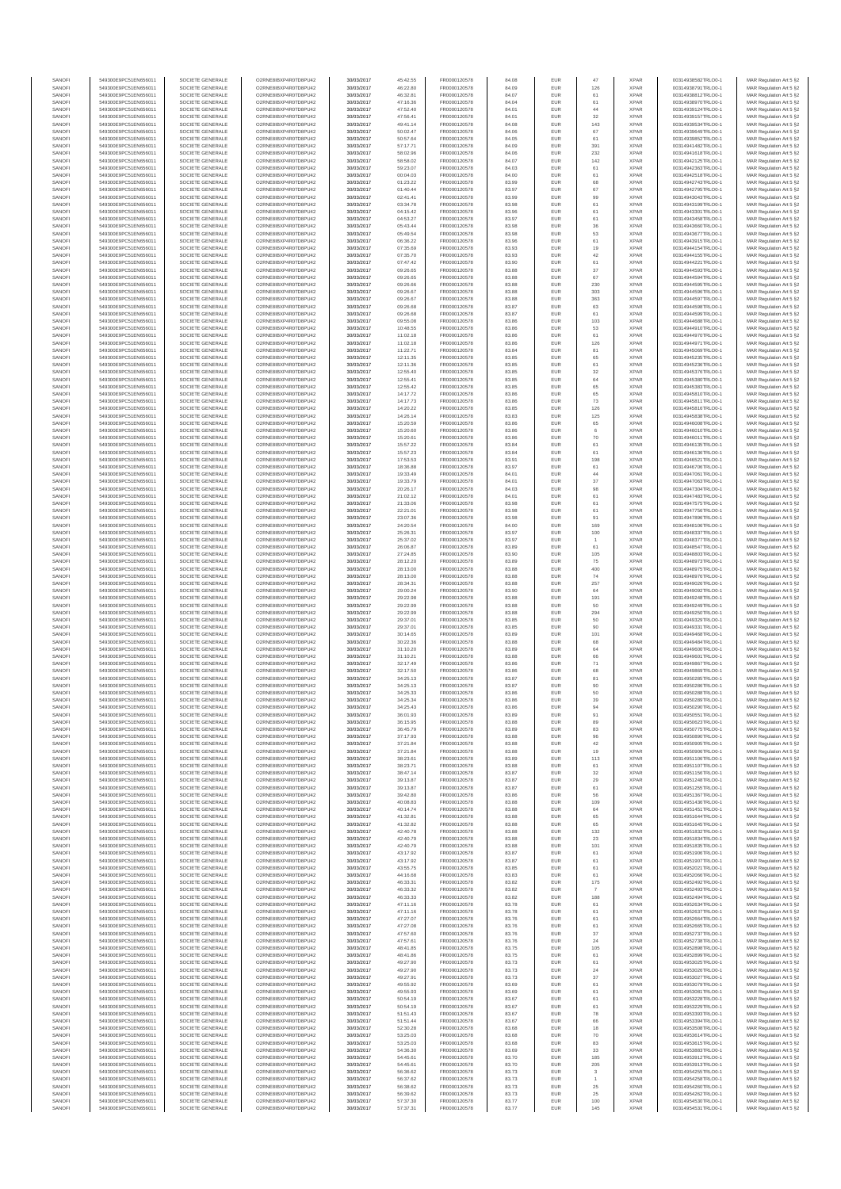| <b>XPAR</b><br>SANOFI<br>549300E9PC51EN656011<br>SOCIETE GENERALE<br>FR0000120578<br>EUR<br>126<br>00314938791TRLO0-1<br>MAR Regulation Art 5 §2<br>O2RNE8IBXP4R0TD8PLI42<br>30/03/2017<br>46:22.80<br>84.09<br>SANOFI<br>549300E9PC51EN656011<br>SOCIETE GENERALE<br>30/03/2017<br>46:32.81<br>FR0000120578<br>84.07<br>EUR<br>61<br><b>XPAR</b><br>00314938812TRLO0-1<br>MAR Regulation Art 5 §2<br>O2RNE8IBXP4R0TD8PU42<br>SANOFI<br>SOCIETE GENERALE<br>30/03/2017<br>FR0000120578<br>84.04<br>EUR<br>61<br><b>XPAR</b><br>MAR Regulation Art 5 §2<br>549300E9PC51EN656011<br>O2RNE8IBXP4R0TD8PLI42<br>47:16.36<br>00314938970TRLO0-1<br>549300E9PC51EN656011<br>SOCIETE GENERALE<br>O2RNE8IBXP4R0TD8PU42<br>30/03/2017<br>47:52.40<br>FR0000120578<br>84.01<br>EUR<br>44<br><b>XPAR</b><br>00314939124TRLO0-1<br>549300E9PC51EN656011<br>SOCIETE GENERALE<br>O2RNE8IBXP4R0TD8PU42<br>30/03/2017<br>47:56.41<br>FR0000120578<br>84.01<br>EUR<br>32<br><b>XPAR</b><br>00314939157TRLO0-1<br>143<br>549300E9PC51EN656011<br>SOCIETE GENERALE<br>O2RNE8IBXP4R0TD8PU42<br>30/03/2017<br>49:41.14<br>FR0000120578<br>84.08<br><b>EUR</b><br><b>XPAR</b><br>00314939534TRLO0-1<br>MAR Regulation Art 5 §2<br>549300E9PC51EN656011<br>SOCIETE GENERALE<br>O2RNE8IBXP4R0TD8PU42<br>30/03/2017<br>50:02.47<br>FR0000120578<br>84.06<br>EUR<br>67<br><b>XPAR</b><br>00314939649TRLO0-1<br>MAR Regulation Art 5 §2<br><b>XPAR</b><br>549300E9PC51EN656011<br>SOCIETE GENERALE<br>O2RNE8IBXP4R0TD8PU42<br>30/03/2017<br>50:57.64<br>FR0000120578<br>84.05<br><b>EUR</b><br>61<br>00314939852TRLO0-1<br>FR0000120578<br>391<br><b>XPAR</b><br>00314941482TRLO0-1<br>549300E9PC51EN656011<br>SOCIETE GENERALE<br>O2RNE8IBXP4R0TD8PU42<br>30/03/2017<br>57:17.71<br>84.09<br>EUR<br>232<br>SOCIETE GENERALE<br>O2RNE8IBXP4R0TD8PU42<br>FR0000120578<br>84.06<br>EUR<br><b>XPAR</b><br>MAR Regulation Art 5 §2<br>549300E9PC51EN656011<br>30/03/2017<br>58:02.96<br>00314941618TRLO0-1<br>SOCIETE GENERALE<br>30/03/2017<br>58:58.02<br>FR0000120578<br>84.07<br>EUR<br>142<br><b>XPAR</b><br>00314942125TRLO0-1<br>MAR Regulation Art 5 §2<br>549300E9PC51EN656011<br>O2RNE8IBXP4R0TD8PU42<br>MAR Regulation Art 5 §2<br>549300E9PC51EN656011<br>SOCIETE GENERALE<br>O2RNESIBXP4R0TD8PLI42<br>30/03/2017<br>59:23.07<br>FR0000120578<br>84.03<br>EUR<br>61<br><b>XPAR</b><br>00314942363TRLO0-1<br>549300E9PC51EN656011<br>SOCIETE GENERALE<br>O2RNE8IBXP4R0TD8PU42<br>30/03/2017<br>FR0000120578<br>84.00<br>61<br><b>XPAR</b><br>00314942518TRLO0-1<br>00:04.03<br><b>EUR</b><br>549300E9PC51EN656011<br>SOCIETE GENERALE<br>O2RNE8IBXP4R0TD8PU42<br>30/03/2017<br>01:23.22<br>FR0000120578<br>83.99<br>EUR<br>68<br><b>XPAR</b><br>00314942743TRLO0-1<br>67<br><b>XPAR</b><br>549300E9PC51EN656011<br>SOCIETE GENERALE<br>O2RNE8IBXP4R0TD8PU42<br>30/03/2017<br>01:40.44<br>FR0000120578<br>83.97<br><b>EUR</b><br>00314942795TRLO0-1<br>MAR Regulation Art 5 §2<br>549300E9PC51EN656011<br>SOCIETE GENERALE<br>O2RNE8IBXP4R0TD8PU42<br>30/03/2017<br>02:41.41<br>FR0000120578<br>83.99<br>EUR<br>99<br><b>XPAR</b><br>00314943043TRLO0-1<br>MAR Regulation Art 5 §2<br>61<br>549300E9PC51EN656011<br>SOCIETE GENERALE<br>O2RNE8IBXP4R0TD8PU42<br>30/03/2017<br>03:34.78<br>FR0000120578<br>83.98<br><b>EUR</b><br><b>XPAR</b><br>00314943199TRLO0-1<br>30/03/2017<br>04:15.42<br>FR0000120578<br>83.96<br>EUR<br>61<br><b>XPAR</b><br>00314943301TRLO0-1<br>549300E9PC51EN656011<br>SOCIETE GENERALE<br>O2RNE8IBXP4R0TD8PU42<br>O2RNESIBXP4R0TD8PLI42<br>30/03/2017<br>04:53.27<br>FR0000120578<br>83.97<br>EUR<br>61<br><b>XPAR</b><br>00314943458TRLO0-1<br>MAR Regulation Art 5 §2<br>549300E9PC51EN656011<br>SOCIETE GENERALE<br>549300E9PC51EN656011<br>SOCIETE GENERALE<br>O2RNE8IBXP4R0TD8PU42<br>30/03/2017<br>FR0000120578<br>EUR<br>$_{\rm 36}$<br><b>XPAR</b><br>00314943660TRLO0-1<br>MAR Regulation Art 5 §2<br>05:43.44<br>83.98<br>53<br><b>XPAR</b><br>549300E9PC51EN656011<br>SOCIETE GENERALE<br>O2RNE8IBXP4R0TD8PU42<br>30/03/2017<br>FR0000120578<br>83.98<br>EUR<br>00314943677TRLO0-1<br>MAR Regulation Art 5 §2<br>05:49.54<br>549300E9PC51EN656011<br>SOCIETE GENERALE<br>O2RNE8IBXP4R0TD8PU42<br>30/03/2017<br>06:36.22<br>FR0000120578<br>83.96<br><b>EUR</b><br>61<br><b>XPAR</b><br>00314943915TRLO0-1<br>549300E9PC51EN656011<br>SOCIETE GENERALE<br>O2RNE8IBXP4R0TD8PU42<br>30/03/2017<br>07:35.69<br>FR0000120578<br>83.93<br>EUR<br>19<br><b>XPAR</b><br>00314944154TRLO0-1<br>42<br>549300E9PC51EN656011<br>SOCIETE GENERALE<br>O2RNE8IBXP4R0TD8PU42<br>30/03/2017<br>07:35.70<br>FR0000120578<br>83.93<br><b>EUR</b><br><b>XPAR</b><br>00314944155TRLO0-1<br>MAR Regulation Art 5 §2<br>549300E9PC51EN656011<br>SOCIETE GENERALE<br>O2RNE8IBXP4R0TD8PU42<br>30/03/2017<br>07:47.42<br>FR0000120578<br>83.90<br>EUR<br>61<br><b>XPAR</b><br>00314944221TRLO0-1<br>MAR Regulation Art 5 §2<br>37<br><b>XPAR</b><br>549300E9PC51EN656011<br>SOCIETE GENERALE<br>O2RNE8IBXP4R0TD8PU42<br>30/03/2017<br>09:26.65<br>FR0000120578<br>83.88<br><b>EUR</b><br>00314944593TRLO0-1<br>FR0000120578<br>EUR<br>67<br><b>XPAR</b><br>00314944594TRLO0-1<br>549300E9PC51EN656011<br>SOCIETE GENERALE<br>O2RNE8IBXP4R0TD8PU42<br>30/03/2017<br>09:26.65<br>83.88<br>230<br>83.88<br>EUR<br><b>XPAR</b><br>549300E9PC51EN656011<br>SOCIETE GENERALE<br>O2RNE8IBXP4R0TD8PU42<br>30/03/2017<br>09:26.66<br>FR0000120578<br>00314944595TRLO0-1<br>SOCIETE GENERALE<br>30/03/2017<br>FR0000120578<br>83.88<br>EUR<br>303<br><b>XPAR</b><br>MAR Regulation Art 5 §2<br>549300E9PC51EN656011<br>O2RNE8IBXP4R0TD8PU42<br>09:26.67<br>00314944596TRLO0-1<br><b>XPAR</b><br>MAR Regulation Art 5 §2<br>549300E9PC51EN656011<br>SOCIETE GENERALE<br>O2RNE8IBXP4R0TD8PU42<br>30/03/2017<br>09:26.67<br>FR0000120578<br>EUR<br>363<br>00314944597TRLO0-1<br>83.88<br>549300E9PC51EN656011<br>SOCIETE GENERALE<br>O2RNE8IBXP4R0TD8PU42<br>30/03/2017<br>09:26.68<br>FR0000120578<br>83.87<br><b>EUR</b><br>63<br><b>XPAR</b><br>00314944598TRLO0-1<br>549300E9PC51EN656011<br>SOCIETE GENERALE<br>O2RNE8IBXP4R0TD8PU42<br>30/03/2017<br>09:26.68<br>FR0000120578<br>83.87<br>EUR<br>61<br><b>XPAR</b><br>00314944599TRLO0-1<br>549300E9PC51EN656011<br>SOCIETE GENERALE<br>O2RNE8IBXP4R0TD8PU42<br>30/03/2017<br>09:55.08<br>FR0000120578<br>83.86<br><b>EUR</b><br>103<br><b>XPAR</b><br>00314944688TRLO0-1<br>MAR Regulation Art 5 §2<br>549300E9PC51EN656011<br>SOCIETE GENERALE<br>O2RNE8IBXP4R0TD8PU42<br>30/03/2017<br>10:48.55<br>FR0000120578<br>83.86<br>EUR<br>53<br><b>XPAR</b><br>00314944910TRLO0-1<br>MAR Regulation Art 5 §2<br>$61\,$<br>83.86<br>EUR<br><b>XPAR</b><br>549300E9PC51EN656011<br>SOCIETE GENERALE<br>O2RNE8IBXP4R0TD8PU42<br>30/03/2017<br>11:02.18<br>FR0000120578<br>00314944970TRLO0-1<br>SOCIETE GENERALE<br>30/03/2017<br>FR0000120578<br>83.86<br>EUR<br>126<br><b>XPAR</b><br>549300E9PC51EN656011<br>O2RNE8IBXP4R0TD8PU42<br>11:02.18<br>00314944971TRLO0-1<br><b>XPAR</b><br>MAR Regulation Art 5 §2<br>549300E9PC51EN656011<br>SOCIETE GENERALE<br>O2RNE8IBXP4R0TD8PU42<br>30/03/2017<br>11:22.71<br>FR0000120578<br>EUR<br>81<br>00314945069TRLO0-1<br>83.84<br>549300E9PC51EN656011<br>SOCIETE GENERALE<br>O2RNE8IBXP4R0TD8PU42<br>30/03/2017<br>FR0000120578<br>EUR<br>65<br><b>XPAR</b><br>00314945235TRLO0-1<br>MAR Regulation Art 5 §2<br>12:11.35<br>83.85<br>549300E9PC51EN656011<br>SOCIETE GENERALE<br>O2RNE8IBXP4R0TD8PU42<br>30/03/2017<br>12:11.36<br>FR0000120578<br>83.85<br>EUR<br>61<br><b>XPAR</b><br>00314945236TRLO0-1<br>MAR Regulation Art 5 §2<br>32<br><b>XPAR</b><br>549300E9PC51EN656011<br>SOCIETE GENERALE<br>O2RNE8IBXP4R0TD8PLI42<br>30/03/2017<br>12:55.40<br>FR0000120578<br>83.85<br><b>EUR</b><br>00314945376TRLO0-1<br>549300E9PC51EN656011<br>SOCIETE GENERALE<br>O2RNE8IBXP4R0TD8PU42<br>30/03/2017<br>12:55.41<br>FR0000120578<br>83.85<br>EUR<br>64<br><b>XPAR</b><br>00314945380TRLO0-1<br>65<br>549300E9PC51EN656011<br>SOCIETE GENERALE<br>O2RNE8IBXP4R0TD8PU42<br>30/03/2017<br>12:55.42<br>FR0000120578<br>83.85<br><b>EUR</b><br><b>XPAR</b><br>00314945383TRLO0-1<br>MAR Regulation Art 5 §2<br>549300E9PC51EN656011<br>SOCIETE GENERALE<br>O2RNE8IBXP4R0TD8PU42<br>30/03/2017<br>14:17.72<br>FR0000120578<br>83.86<br>EUR<br>65<br><b>XPAR</b><br>00314945810TRLO0-1<br>MAR Regulation Art 5 §2<br>FR0000120578<br>73<br><b>XPAR</b><br>549300E9PC51EN656011<br>SOCIETE GENERALE<br>O2RNE8IBXP4R0TD8PU42<br>30/03/2017<br>14:17.73<br>83.86<br><b>EUR</b><br>00314945811TRLO0-1<br>SOCIETE GENERALE<br>30/03/2017<br>FR0000120578<br>EUR<br>126<br><b>XPAR</b><br>00314945816TRLO0-1<br>549300E9PC51EN656011<br>O2RNE8IBXP4R0TD8PU42<br>14:20.22<br>83.85<br>125<br>SOCIETE GENERALE<br>30/03/2017<br>FR0000120578<br>83.83<br>EUR<br><b>XPAR</b><br>549300E9PC51EN656011<br>O2RNE8IBXP4R0TD8PU42<br>14:26.14<br>00314945838TRLO0-1<br>549300E9PC51EN656011<br>SOCIETE GENERALE<br>O2RNE8IBXP4R0TD8PU42<br>30/03/2017<br>15:20.59<br>FR0000120578<br>83.86<br>EUR<br>65<br><b>XPAR</b><br>00314946008TRLO0-1<br>MAR Regulation Art 5 §2<br>549300E9PC51EN656011<br>SOCIETE GENERALE<br>O2RNE8IBXP4R0TD8PU42<br>30/03/2017<br>15:20.60<br>FR0000120578<br>83.86<br>EUR<br><b>XPAR</b><br>00314946010TRLO0-1<br>MAR Regulation Art 5 §2<br>70<br>549300E9PC51EN656011<br>SOCIETE GENERALE<br>O2RNE8IBXP4R0TD8PU42<br>30/03/2017<br>15:20.61<br>FR0000120578<br>83.86<br><b>EUR</b><br><b>XPAR</b><br>00314946011TRLO0-1<br>549300E9PC51EN656011<br>SOCIETE GENERALE<br>O2RNE8IBXP4R0TD8PU42<br>30/03/2017<br>15:57.22<br>FR0000120578<br>83.84<br>EUR<br>61<br><b>XPAR</b><br>00314946135TRLO0-1<br><b>XPAR</b><br>MAR Regulation Art 5 §2<br>549300E9PC51EN656011<br>SOCIETE GENERALE<br>O2RNE8IBXP4R0TD8PU42<br>30/03/2017<br>15:57.23<br>FR0000120578<br>83.84<br><b>EUR</b><br>61<br>00314946136TRLO0-1<br>SOCIETE GENERALE<br>FR0000120578<br>198<br><b>XPAR</b><br>00314946521TRLO0-1<br>MAR Regulation Art 5 §2<br>549300E9PC51EN656011<br>O2RNE8IBXP4R0TD8PU42<br>30/03/2017<br>17:53.53<br>83.91<br><b>EUR</b><br>$61\,$<br>FR0000120578<br>EUR<br><b>XPAR</b><br>MAR Regulation Art 5 §2<br>549300E9PC51EN656011<br>SOCIETE GENERALE<br>O2RNE8IBXP4R0TD8PU42<br>30/03/2017<br>83.97<br>00314946706TRLO0-1<br>18:36.88<br>SOCIETE GENERALE<br>30/03/2017<br>19:33.49<br>FR0000120578<br>84.01<br>EUR<br>44<br><b>XPAR</b><br>549300E9PC51EN656011<br>O2RNE8IBXP4R0TD8PLI42<br>00314947061TRLO0-1<br><b>XPAR</b><br>549300E9PC51EN656011<br>SOCIETE GENERALE<br>O2RNESIBXP4R0TD8PLI42<br>30/03/2017<br>19:33.79<br>FR0000120578<br>EUR<br>37<br>00314947063TRLO0-1<br>84.01<br>98<br>549300E9PC51EN656011<br>SOCIETE GENERALE<br>O2RNE8IBXP4R0TD8PU42<br>30/03/2017<br>20:26.17<br>FR0000120578<br>84.03<br><b>EUR</b><br><b>XPAR</b><br>00314947304TRLO0-1<br>549300E9PC51EN656011<br>SOCIETE GENERALE<br>O2RNE8IBXP4R0TD8PU42<br>30/03/2017<br>21:02.12<br>FR0000120578<br>84.01<br>EUR<br>61<br><b>XPAR</b><br>00314947483TRLO0-1<br>MAR Regulation Art 5 §2<br>549300E9PC51EN656011<br>SOCIETE GENERALE<br>O2RNE8IBXP4R0TD8PU42<br>30/03/2017<br>21:33.06<br>FR0000120578<br>83.98<br><b>EUR</b><br>61<br><b>XPAR</b><br>00314947575TRLO0-1<br>MAR Regulation Art 5 §2<br>549300E9PC51EN656011<br>SOCIETE GENERALE<br>O2RNE8IBXP4R0TD8PU42<br>30/03/2017<br>22:21.01<br>FR0000120578<br>83.98<br>EUR<br>61<br><b>XPAR</b><br>00314947756TRLO0-1<br>549300E9PC51EN656011<br>SOCIETE GENERALE<br>O2RNE8IBXP4R0TD8PU42<br>30/03/2017<br>23:07.36<br>FR0000120578<br>83.98<br><b>EUR</b><br>91<br><b>XPAR</b><br>00314947896TRLO0-1<br>30/03/2017<br>24:20.54<br>FR0000120578<br>84.00<br>EUR<br>169<br><b>XPAR</b><br>00314948106TRLO0-1<br>MAR Regulation Art 5 §2<br>549300E9PC51EN656011<br>SOCIETE GENERALE<br>O2RNE8IBXP4R0TD8PU42<br>549300E9PC51EN656011<br>O2RNE8IBXP4R0TD8PU42<br>30/03/2017<br>25:26.31<br>FR0000120578<br>83.97<br>EUR<br>100<br><b>XPAR</b><br>00314948337TRLO0-1<br>MAR Regulation Art 5 §2<br>SOCIETE GENERALE<br>549300E9PC51EN656011<br>O2RNE8IBXP4R0TD8PU42<br>FR0000120578<br>EUR<br><b>XPAR</b><br>00314948377TRLO0-1<br>MAR Regulation Art 5 §2<br>SOCIETE GENERALE<br>30/03/2017<br>25:37.02<br>83.97<br>$61\,$<br><b>XPAR</b><br>549300E9PC51EN656011<br>SOCIETE GENERALE<br>O2RNE8IBXP4R0TD8PU42<br>30/03/2017<br>FR0000120578<br>83.89<br>EUR<br>00314948547TRLO0-1<br>26:06.87<br>549300E9PC51EN656011<br>SOCIETE GENERALE<br>O2RNE8IBXP4R0TD8PU42<br>30/03/2017<br>27:24.85<br>FR0000120578<br>83.90<br><b>EUR</b><br>105<br><b>XPAR</b><br>00314948803TRLO0-1<br>549300E9PC51EN656011<br>SOCIETE GENERALE<br>O2RNE8IBXP4R0TD8PU42<br>30/03/2017<br>28:12.20<br>FR0000120578<br>83.89<br>EUR<br>75<br><b>XPAR</b><br>00314948973TRLO0-1<br>MAR Regulation Art 5 §2<br>400<br>549300E9PC51EN656011<br>SOCIETE GENERALE<br>O2RNE8IBXP4R0TD8PU42<br>30/03/2017<br>28:13.00<br>FR0000120578<br>83.88<br><b>EUR</b><br><b>XPAR</b><br>00314948975TRLO0-1<br>MAR Regulation Art 5 §2<br>549300E9PC51EN656011<br>SOCIETE GENERALE<br>O2RNE8IBXP4R0TD8PU42<br>30/03/2017<br>28:13.00<br>FR0000120578<br>83.88<br>EUR<br>74<br><b>XPAR</b><br>00314948976TRLO0-1<br>FR0000120578<br>257<br><b>XPAR</b><br>549300E9PC51EN656011<br>SOCIETE GENERALE<br>O2RNE8IBXP4R0TD8PU42<br>30/03/2017<br>28:34.31<br>83.88<br><b>EUR</b><br>00314949026TRLO0-1<br>O2RNE8IBXP4R0TD8PU42<br>FR0000120578<br>83.90<br>EUR<br>64<br><b>XPAR</b><br>00314949092TRLO0-1<br>MAR Regulation Art 5 §2<br>549300E9PC51EN656011<br>SOCIETE GENERALE<br>30/03/2017<br>29:00.24<br>191<br>30/03/2017<br>FR0000120578<br>83.88<br>EUR<br><b>XPAR</b><br>MAR Regulation Art 5 §2<br>549300E9PC51EN656011<br>SOCIETE GENERALE<br>O2RNE8IBXP4R0TD8PU42<br>29:22.98<br>00314949248TRLO0-1<br>549300E9PC51EN656011<br>SOCIETE GENERALE<br>O2RNE8IBXP4R0TD8PU42<br>30/03/2017<br>FR0000120578<br>83.88<br>EUR<br>50<br><b>XPAR</b><br>00314949249TRLO0-1<br>MAR Regulation Art 5 §2<br>29:22.99<br>549300E9PC51EN656011<br>SOCIETE GENERALE<br>O2RNE8IBXP4R0TD8PU42<br>30/03/2017<br>29:22.99<br>FR0000120578<br>83.88<br>EUR<br>294<br><b>XPAR</b><br>00314949250TRLO0-1<br>549300E9PC51EN656011<br>SOCIETE GENERALE<br>O2RNE8IBXP4R0TD8PU42<br>30/03/2017<br>29:37.01<br>FR0000120578<br>83.85<br><b>EUR</b><br>50<br><b>XPAR</b><br>00314949329TRLO0-1<br>549300E9PC51EN656011<br>SOCIETE GENERALE<br>O2RNE8IBXP4R0TD8PU42<br>30/03/2017<br>29:37.01<br>FR0000120578<br>83.85<br>EUR<br>90<br><b>XPAR</b><br>00314949331TRLO0-1<br>MAR Regulation Art 5 §2<br>101<br>549300E9PC51EN656011<br>SOCIETE GENERALE<br>O2RNE8IBXP4R0TD8PU42<br>30/03/2017<br>30:14.65<br>FR0000120578<br>83.89<br><b>EUR</b><br><b>XPAR</b><br>00314949468TRLO0-1<br>MAR Regulation Art 5 §2<br>549300E9PC51EN656011<br>SOCIETE GENERALE<br>O2RNE8IBXP4R0TD8PU42<br>30/03/2017<br>30:22.36<br>FR0000120578<br>83.88<br>EUR<br>68<br><b>XPAR</b><br>00314949484TRLO0-1<br>MAR Regulation Art 5 §2<br>$64\,$<br>83.89<br>EUR<br><b>XPAR</b><br>549300E9PC51EN656011<br>SOCIETE GENERALE<br>30/03/2017<br>FR0000120578<br>00314949600TRLO0-1<br>O2RNE8IBXP4R0TD8PU42<br>31:10.20<br>SOCIETE GENERALE<br>30/03/2017<br>FR0000120578<br>83.88<br>EUR<br>66<br><b>XPAR</b><br>MAR Regulation Art 5 §2<br>549300E9PC51EN656011<br>O2RNE8IBXP4R0TD8PU42<br>31:10.2<br>00314949601TRLO0-1<br><b>XPAR</b><br>MAR Regulation Art 5 §2<br>549300E9PC51EN656011<br>SOCIETE GENERALE<br>O2RNESIBXP4R0TD8PLI42<br>30/03/2017<br>32:17.49<br>FR0000120578<br>EUR<br>71<br>00314949867TRLO0-1<br>83.86<br>549300E9PC51EN656011<br>SOCIETE GENERALE<br>O2RNE8IBXP4R0TD8PU42<br>30/03/2017<br>FR0000120578<br>EUR<br>68<br><b>XPAR</b><br>00314949869TRLO0-1<br>MAR Regulation Art 5 §2<br>32:17.50<br>83.86<br>549300E9PC51EN656011<br>SOCIETE GENERALE<br>O2RNE8IBXP4R0TD8PU42<br>30/03/2017<br>34:25.13<br>FR0000120578<br>83.87<br>EUR<br>81<br><b>XPAR</b><br>00314950285TRLO0-1<br>90<br>549300E9PC51EN656011<br>SOCIETE GENERALE<br>O2RNE8IBXP4R0TD8PU42<br>30/03/2017<br>34:25.13<br>FR0000120578<br>83.87<br><b>EUR</b><br><b>XPAR</b><br>00314950286TRLO0-1<br>549300E9PC51EN656011<br>SOCIETE GENERALE<br>O2RNE8IBXP4R0TD8PU42<br>30/03/2017<br>34:25.33<br>FR0000120578<br>83.86<br>EUR<br>50<br><b>XPAR</b><br>00314950288TRLO0-1<br>MAR Regulation Art 5 §2<br>O2RNE8IBXP4R0TD8PU42<br><b>EUR</b><br>39<br><b>XPAR</b><br>MAR Regulation Art 5 §2<br>549300E9PC51EN656011<br>SOCIETE GENERALE<br>30/03/2017<br>34:25.34<br>FR0000120578<br>83.86<br>00314950289TRLO0-1<br>549300E9PC51EN656011<br>SOCIETE GENERALE<br>O2RNE8IBXP4R0TD8PU42<br>30/03/2017<br>34:25.43<br>FR0000120578<br>83.86<br>EUR<br>94<br><b>XPAR</b><br>00314950290TRLO0-1<br>MAR Regulation Art 5 §2<br>SANOFI<br>SOCIETE GENERALE<br>FR0000120578<br>EUR<br><b>XPAR</b><br>00314950551TRLO0-1<br>549300E9PC51EN656011<br>O2RNE8IBXP4R0TD8PLI42<br>36:01.93<br>30/03/2017<br>83.89<br>91<br>549300E9PC51EN656011<br>SOCIETE GENERALE<br>O2RNE8IBXP4R0TD8PU42<br>30/03/2017<br>36:15.95<br>FR0000120578<br><b>XPAR</b><br>00314950623TRLO0-1<br>MAR Regulation Art 5 §2<br>83.88<br><b>EUR</b><br>89<br>SOCIETE GENERALE<br>83<br>549300E9PC51EN656011<br>O2RNE8IBXP4R0TD8PU42<br>30/03/2017<br>36:45.79<br>FR0000120578<br>83.89<br>EUR<br><b>XPAR</b><br>00314950775TRLO0-1<br>MAR Regulation Art 5 §2<br>549300E9PC51EN656011<br>SOCIETE GENERALE<br>O2RNE8IBXP4R0TD8PU42<br>30/03/2017<br>37:17.93<br>FR0000120578<br>83.88<br>EUR<br><b>XPAR</b><br>00314950890TRLO0-1<br>MAR Regulation Art 5 §2<br>96<br>549300E9PC51EN656011<br>SOCIETE GENERALE<br>O2RNE8IBXP4R0TD8PU42<br>30/03/2017<br>37:21.84<br>FR0000120578<br>83.88<br>EUR<br>42<br><b>XPAR</b><br>00314950905TRLO0-1<br>549300E9PC51EN656011<br>SOCIETE GENERALE<br>O2RNE8IBXP4R0TD8PU42<br>30/03/2017<br>37:21.84<br>FR0000120578<br>83.88<br><b>EUR</b><br>19<br><b>XPAR</b><br>00314950906TRLO0-1<br>549300E9PC51EN656011<br>SOCIETE GENERALE<br>O2RNE8IBXP4R0TD8PU42<br>30/03/2017<br>38:23.61<br>FR0000120578<br>83.89<br>EUR<br>113<br><b>XPAR</b><br>00314951106TRLO0-1<br>MAR Regulation Art 5 §2<br>549300E9PC51EN656011<br>SOCIETE GENERALE<br>O2RNE8IBXP4R0TD8PU42<br>30/03/2017<br>38:23.71<br>FR0000120578<br>83.88<br><b>EUR</b><br>61<br><b>XPAR</b><br>00314951107TRLO0-1<br>MAR Regulation Art 5 §2<br>549300E9PC51EN656011<br>SOCIETE GENERALE<br>O2RNE8IBXP4R0TD8PU42<br>30/03/2017<br>FR0000120578<br>32<br><b>XPAR</b><br>00314951156TRLO0-1<br>MAR Regulation Art 5 §2<br>38:47.14<br>83.87<br><b>EUR</b><br>29<br><b>XPAR</b><br>549300E9PC51EN656011<br>SOCIETE GENERALE<br>O2RNE8IBXP4R0TD8PU42<br>30/03/2017<br>39:13.87<br>FR0000120578<br>83.87<br>EUR<br>00314951248TRLO0-1<br>549300E9PC51EN656011<br>SOCIETE GENERALE<br>O2RNE8IBXP4R0TD8PU42<br>30/03/2017<br>39:13.87<br>FR0000120578<br>83.87<br>EUR<br>61<br><b>XPAR</b><br>00314951255TRLO0-1<br>MAR Regulation Art 5 §2<br>549300E9PC51EN656011<br>SOCIETE GENERALE<br>O2RNE8IBXP4R0TD8PU42<br>30/03/2017<br>39:42.80<br>FR0000120578<br>83.86<br>EUR<br>56<br><b>XPAR</b><br>00314951367TRLO0-1<br>MAR Regulation Art 5 §2<br>549300E9PC51EN656011<br>SOCIETE GENERALE<br>O2RNE8IBXP4R0TD8PU42<br>30/03/2017<br>40:08.83<br>FR0000120578<br>83.88<br><b>EUR</b><br>109<br><b>XPAR</b><br>00314951436TRLO0-1<br>549300E9PC51EN656011<br>SOCIETE GENERALE<br>O2RNE8IBXP4R0TD8PU42<br>30/03/2017<br>40:14.74<br>FR0000120578<br>83.88<br>EUR<br>64<br><b>XPAR</b><br>00314951451TRLO0-1<br>549300E9PC51EN656011<br>SOCIETE GENERALE<br>O2RNE8IBXP4R0TD8PU42<br>30/03/2017<br>41:32.81<br>FR0000120578<br>83.88<br><b>EUR</b><br>65<br><b>XPAR</b><br>00314951644TRLO0-1<br>549300E9PC51EN656011<br>SOCIETE GENERALE<br>O2RNE8IBXP4R0TD8PU42<br>30/03/2017<br>41:32.82<br>FR0000120578<br>83.88<br>EUR<br>65<br><b>XPAR</b><br>00314951645TRLO0-1<br>MAR Regulation Art 5 §2<br>132<br>549300E9PC51EN656011<br>SOCIETE GENERALE<br>O2RNE8IBXP4R0TD8PU42<br>30/03/2017<br>FR0000120578<br>83.88<br>EUR<br><b>XPAR</b><br>42:40.78<br>00314951832TRLO0-1<br>549300E9PC51EN656011<br>SOCIETE GENERALE<br>O2RNE8IBXP4R0TD8PU42<br>30/03/2017<br>42:40.79<br>FR0000120578<br>83.88<br>EUR<br>23<br><b>XPAR</b><br>00314951834TRLO0-1<br>549300E9PC51EN656011<br>SOCIETE GENERALE<br>O2RNE8IBXP4R0TD8PU42<br>30/03/2017<br>42:40.79<br>FR0000120578<br>83.88<br>EUR<br>101<br><b>XPAR</b><br>00314951835TRLO0-1<br>549300E9PC51EN656011<br>SOCIETE GENERALE<br>O2RNE8IBXP4R0TD8PU42<br>30/03/2017<br>43:17.92<br>FR0000120578<br>83.87<br>61<br><b>XPAR</b><br>00314951906TRLO0-1<br>MAR Regulation Art 5 §2<br><b>EUR</b><br>549300E9PC51EN656011<br>SOCIETE GENERALE<br>O2RNE8IBXP4R0TD8PU42<br>30/03/2017<br>43:17.92<br>FR0000120578<br>83.87<br>EUR<br>61<br><b>XPAR</b><br>00314951907TRLO0-1<br>549300E9PC51EN656011<br>SOCIETE GENERALE<br>O2RNE8IBXP4R0TD8PU42<br>30/03/2017<br>43:55.75<br>FR0000120578<br>83.85<br><b>EUR</b><br>61<br><b>XPAR</b><br>00314952021TRLO0-1<br>549300E9PC51EN656011<br>SOCIETE GENERALE<br>O2RNE8IBXP4R0TD8PU42<br>30/03/2017<br>44:16.68<br>FR0000120578<br>83.83<br>EUR<br>61<br><b>XPAR</b><br>00314952066TRLO0-1<br>175<br>549300E9PC51EN656011<br>SOCIETE GENERALE<br>O2RNE8IBXP4R0TD8PU42<br>30/03/2017<br>46:33.31<br>FR0000120578<br>83.82<br><b>EUR</b><br><b>XPAR</b><br>00314952492TRLO0-1<br>MAR Regulation Art 5 §2<br>549300E9PC51EN656011<br>SOCIETE GENERALE<br>O2RNE8IBXP4R0TD8PU42<br>30/03/2017<br>46:33.32<br>FR0000120578<br>83.82<br>EUR<br><b>XPAR</b><br>00314952493TRLO0-1<br>MAR Regulation Art 5 §2<br>549300E9PC51EN656011<br>SOCIETE GENERALE<br>O2RNE8IBXP4R0TD8PU42<br>46:33.33<br>83.82<br>188<br><b>XPAR</b><br>00314952494TRLO0-1<br>30/03/2017<br>FR0000120578<br><b>EUR</b><br>549300E9PC51EN656011<br>SOCIETE GENERALE<br>O2RNE8IBXP4R0TD8PU42<br>30/03/2017<br>47:11.16<br>FR0000120578<br>83.78<br>61<br><b>XPAR</b><br>00314952634TRLO0-1<br><b>EUR</b><br>$61\,$<br><b>XPAR</b><br>549300E9PC51EN656011<br>SOCIETE GENERALE<br>O2RNE8IBXP4R0TD8PU42<br>30/03/2017<br>47:11.16<br>FR0000120578<br>83.78<br>EUR<br>00314952637TRLO0-1<br>549300E9PC51EN656011<br>SOCIETE GENERALE<br>O2RNE8IBXP4R0TD8PU42<br>30/03/2017<br>47:27.07<br>FR0000120578<br>83.76<br>EUR<br>61<br><b>XPAR</b><br>00314952664TRLO0-1<br>MAR Regulation Art 5 §2<br>549300E9PC51EN656011<br>SOCIETE GENERALE<br>O2RNE8IBXP4R0TD8PU42<br>30/03/2017<br>47:27.08<br>FR0000120578<br>83.76<br>EUR<br>61<br><b>XPAR</b><br>00314952665TRLO0-1<br>MAR Regulation Art 5 §2<br>37<br>549300E9PC51EN656011<br>SOCIETE GENERALE<br>O2RNE8IBXP4R0TD8PU42<br>30/03/2017<br>47:57.60<br>FR0000120578<br>83.76<br><b>EUR</b><br><b>XPAR</b><br>00314952737TRLO0-1<br>549300E9PC51EN656011<br>SOCIETE GENERALE<br>O2RNE8IBXP4R0TD8PU42<br>30/03/2017<br>47:57.6<br>FR0000120578<br>83.76<br>EUR<br>24<br><b>XPAR</b><br>00314952738TRLO0-1<br>549300E9PC51EN656011<br>SOCIETE GENERALE<br>O2RNE8IBXP4R0TD8PU42<br>30/03/2017<br>48:41.85<br>FR0000120578<br>83.75<br><b>EUR</b><br>105<br><b>XPAR</b><br>00314952898TRLO0-1<br>549300E9PC51EN656011<br>SOCIETE GENERALE<br>O2RNE8IBXP4R0TD8PU42<br>30/03/2017<br>48:41.86<br>FR0000120578<br>83.75<br><b>XPAR</b><br>00314952899TRLO0-1<br>MAR Regulation Art 5 §2<br><b>EUR</b><br>61<br>$61\,$<br><b>XPAR</b><br>549300E9PC51EN656011<br>SOCIETE GENERALE<br>O2RNE8IBXP4R0TD8PU42<br>30/03/2017<br>49:27.90<br>FR0000120578<br>83.73<br>EUR<br>00314953025TRLO0-1<br>SOCIETE GENERALE<br>O2RNE8IBXP4R0TD8PU42<br>30/03/2017<br>49:27.90<br>FR0000120578<br>83.73<br>EUR<br>24<br><b>XPAR</b><br>00314953026TRLO0-1<br>549300E9PC51EN656011<br>549300E9PC51EN656011<br>SOCIETE GENERALE<br>O2RNE8IBXP4R0TD8PU42<br>30/03/2017<br>49:27.91<br>FR0000120578<br>83.73<br>EUR<br>37<br><b>XPAR</b><br>00314953027TRLO0-1<br>549300E9PC51EN656011<br>SOCIETE GENERALE<br>O2RNE8IBXP4R0TD8PU42<br>30/03/2017<br>49:55.92<br>FR0000120578<br>EUR<br>61<br><b>XPAR</b><br>00314953079TRLO0-1<br>83.69<br>549300E9PC51EN656011<br>SOCIETE GENERALE<br>O2RNE8IBXP4R0TD8PU42<br>30/03/2017<br>49:55.93<br>FR0000120578<br>83.69<br>EUR<br>61<br><b>XPAR</b><br>00314953081TRLO0-1<br>MAR Regulation Art 5 §2<br>549300E9PC51EN656011<br>SOCIETE GENERALE<br>O2RNE8IBXP4R0TD8PU42<br>30/03/2017<br>50:54.19<br>FR0000120578<br>83.67<br><b>EUR</b><br>61<br><b>XPAR</b><br>00314953228TRLO0-1<br>549300E9PC51EN656011<br>SOCIETE GENERALE<br>O2RNE8IBXP4R0TD8PU42<br>30/03/2017<br>50:54.19<br>FR0000120578<br>83.67<br>EUR<br>61<br><b>XPAR</b><br>00314953229TRLO0-1<br>78<br>549300E9PC51EN656011<br>SOCIETE GENERALE<br>O2RNE8IBXP4R0TD8PU42<br>30/03/2017<br>51:51.43<br>FR0000120578<br>83.67<br><b>EUR</b><br><b>XPAR</b><br>00314953393TRLO0-1<br>SOCIETE GENERALE<br>O2RNE8IBXP4R0TD8PU42<br>30/03/2017<br>51:51.44<br>FR0000120578<br>83.67<br>EUR<br>66<br><b>XPAR</b><br>MAR Regulation Art 5 §2<br>549300E9PC51EN656011<br>00314953394TRLO0-1<br>MAR Regulation Art 5 §2<br>549300E9PC51EN656011<br>SOCIETE GENERALE<br>O2RNE8IBXP4R0TD8PU42<br>30/03/2017<br>52:30.28<br>FR0000120578<br>EUR<br>18<br><b>XPAR</b><br>00314953508TRLO0-1<br>83.68<br>549300E9PC51EN656011<br>SOCIETE GENERALE<br>O2RNE8IBXP4R0TD8PU42<br>30/03/2017<br>FR0000120578<br>EUR<br>70<br><b>XPAR</b><br>00314953614TRLO0-1<br>53:25.03<br>83.68<br>SOCIETE GENERALE<br>83<br><b>XPAR</b><br>549300E9PC51EN656011<br>O2RNE8IBXP4R0TD8PU42<br>30/03/2017<br>53:25.03<br>FR0000120578<br>83.68<br>EUR<br>00314953615TRLO0-1<br>549300E9PC51EN656011<br>SOCIETE GENERALE<br>O2RNE8IBXP4R0TD8PU42<br>30/03/2017<br>54:36.30<br>FR0000120578<br>83.69<br><b>EUR</b><br>33<br><b>XPAR</b><br>00314953883TRLO0-1<br>549300E9PC51EN656011<br>SOCIETE GENERALE<br>O2RNE8IBXP4R0TD8PU42<br>30/03/2017<br>54:45.61<br>FR0000120578<br>83.70<br>EUR<br>185<br><b>XPAR</b><br>00314953912TRLO0-1<br>MAR Regulation Art 5 §2<br>205<br>549300E9PC51EN656011<br>SOCIETE GENERALE<br>O2RNE8IBXP4R0TD8PU42<br>30/03/2017<br>54:45.61<br>FR0000120578<br>83.70<br><b>EUR</b><br><b>XPAR</b><br>00314953913TRLO0-1<br>549300E9PC51EN656011<br>SOCIETE GENERALE<br>O2RNE8IBXP4R0TD8PU42<br>30/03/2017<br>56:36.62<br>FR0000120578<br>83.73<br>EUR<br>$_{3}$<br><b>XPAR</b><br>00314954255TRLO0-1<br>56:37.62<br><b>XPAR</b><br>549300E9PC51EN656011<br>SOCIETE GENERALE<br>O2RNE8IBXP4R0TD8PU42<br>30/03/2017<br>FR0000120578<br>83.73<br><b>EUR</b><br>00314954258TRLO0-1<br>549300E9PC51EN656011<br>SOCIETE GENERALE<br>O2RNE8IBXP4R0TD8PU42<br>30/03/2017<br>FR0000120578<br>$\rm 25$<br><b>XPAR</b><br>00314954260TRLO0-1<br>MAR Regulation Art 5 §2<br>56:38.62<br>83.73<br><b>EUR</b><br>$25\,$<br><b>XPAR</b><br>549300E9PC51EN656011<br>SOCIETE GENERALE<br>O2RNE8IBXP4R0TD8PU42<br>30/03/2017<br>FR0000120578<br>83.73<br>EUR<br>56:39.62<br>00314954262TRLO0-1<br>549300E9PC51EN656011<br>SOCIETE GENERALE<br>O2RNE8IBXP4R0TD8PU42<br>30/03/2017<br>57:37.30<br>FR0000120578<br>83.77<br>EUR<br>100<br><b>XPAR</b><br>00314954530TRLO0-1<br>549300E9PC51EN656011<br>SOCIETE GENERALE<br>O2RNE8IBXP4R0TD8PU42<br>30/03/2017<br>57:37.31<br>FR0000120578<br>83.77<br>EUR<br>145<br><b>XPAR</b><br>00314954531TRLO0-1 | SANOF | 549300E9PC51EN656011 | SOCIETE GENERALE | O2RNE8IBXP4R0TD8PU42 | 30/03/2017 | 45:42.55 | FR0000120578 | 84.08 | EUR | 47 | <b>XPAR</b> | 00314938582TRLO0-1 | MAR Regulation Art 5 §2  |
|-----------------------------------------------------------------------------------------------------------------------------------------------------------------------------------------------------------------------------------------------------------------------------------------------------------------------------------------------------------------------------------------------------------------------------------------------------------------------------------------------------------------------------------------------------------------------------------------------------------------------------------------------------------------------------------------------------------------------------------------------------------------------------------------------------------------------------------------------------------------------------------------------------------------------------------------------------------------------------------------------------------------------------------------------------------------------------------------------------------------------------------------------------------------------------------------------------------------------------------------------------------------------------------------------------------------------------------------------------------------------------------------------------------------------------------------------------------------------------------------------------------------------------------------------------------------------------------------------------------------------------------------------------------------------------------------------------------------------------------------------------------------------------------------------------------------------------------------------------------------------------------------------------------------------------------------------------------------------------------------------------------------------------------------------------------------------------------------------------------------------------------------------------------------------------------------------------------------------------------------------------------------------------------------------------------------------------------------------------------------------------------------------------------------------------------------------------------------------------------------------------------------------------------------------------------------------------------------------------------------------------------------------------------------------------------------------------------------------------------------------------------------------------------------------------------------------------------------------------------------------------------------------------------------------------------------------------------------------------------------------------------------------------------------------------------------------------------------------------------------------------------------------------------------------------------------------------------------------------------------------------------------------------------------------------------------------------------------------------------------------------------------------------------------------------------------------------------------------------------------------------------------------------------------------------------------------------------------------------------------------------------------------------------------------------------------------------------------------------------------------------------------------------------------------------------------------------------------------------------------------------------------------------------------------------------------------------------------------------------------------------------------------------------------------------------------------------------------------------------------------------------------------------------------------------------------------------------------------------------------------------------------------------------------------------------------------------------------------------------------------------------------------------------------------------------------------------------------------------------------------------------------------------------------------------------------------------------------------------------------------------------------------------------------------------------------------------------------------------------------------------------------------------------------------------------------------------------------------------------------------------------------------------------------------------------------------------------------------------------------------------------------------------------------------------------------------------------------------------------------------------------------------------------------------------------------------------------------------------------------------------------------------------------------------------------------------------------------------------------------------------------------------------------------------------------------------------------------------------------------------------------------------------------------------------------------------------------------------------------------------------------------------------------------------------------------------------------------------------------------------------------------------------------------------------------------------------------------------------------------------------------------------------------------------------------------------------------------------------------------------------------------------------------------------------------------------------------------------------------------------------------------------------------------------------------------------------------------------------------------------------------------------------------------------------------------------------------------------------------------------------------------------------------------------------------------------------------------------------------------------------------------------------------------------------------------------------------------------------------------------------------------------------------------------------------------------------------------------------------------------------------------------------------------------------------------------------------------------------------------------------------------------------------------------------------------------------------------------------------------------------------------------------------------------------------------------------------------------------------------------------------------------------------------------------------------------------------------------------------------------------------------------------------------------------------------------------------------------------------------------------------------------------------------------------------------------------------------------------------------------------------------------------------------------------------------------------------------------------------------------------------------------------------------------------------------------------------------------------------------------------------------------------------------------------------------------------------------------------------------------------------------------------------------------------------------------------------------------------------------------------------------------------------------------------------------------------------------------------------------------------------------------------------------------------------------------------------------------------------------------------------------------------------------------------------------------------------------------------------------------------------------------------------------------------------------------------------------------------------------------------------------------------------------------------------------------------------------------------------------------------------------------------------------------------------------------------------------------------------------------------------------------------------------------------------------------------------------------------------------------------------------------------------------------------------------------------------------------------------------------------------------------------------------------------------------------------------------------------------------------------------------------------------------------------------------------------------------------------------------------------------------------------------------------------------------------------------------------------------------------------------------------------------------------------------------------------------------------------------------------------------------------------------------------------------------------------------------------------------------------------------------------------------------------------------------------------------------------------------------------------------------------------------------------------------------------------------------------------------------------------------------------------------------------------------------------------------------------------------------------------------------------------------------------------------------------------------------------------------------------------------------------------------------------------------------------------------------------------------------------------------------------------------------------------------------------------------------------------------------------------------------------------------------------------------------------------------------------------------------------------------------------------------------------------------------------------------------------------------------------------------------------------------------------------------------------------------------------------------------------------------------------------------------------------------------------------------------------------------------------------------------------------------------------------------------------------------------------------------------------------------------------------------------------------------------------------------------------------------------------------------------------------------------------------------------------------------------------------------------------------------------------------------------------------------------------------------------------------------------------------------------------------------------------------------------------------------------------------------------------------------------------------------------------------------------------------------------------------------------------------------------------------------------------------------------------------------------------------------------------------------------------------------------------------------------------------------------------------------------------------------------------------------------------------------------------------------------------------------------------------------------------------------------------------------------------------------------------------------------------------------------------------------------------------------------------------------------------------------------------------------------------------------------------------------------------------------------------------------------------------------------------------------------------------------------------------------------------------------------------------------------------------------------------------------------------------------------------------------------------------------------------------------------------------------------------------------------------------------------------------------------------------------------------------------------------------------------------------------------------------------------------------------------------------------------------------------------------------------------------------------------------------------------------------------------------------------------------------------------------------------------------------------------------------------------------------------------------------------------------------------------------------------------------------------------------------------------------------------------------------------------------------------------------------------------------------------------------------------------------------------------------------------------------------------------------------------------------------------------------------------------------------------------------------------------------------------------------------------------------------------------------------------------------------------------------------------------------------------------------------------------------------------------------------------------------------------------------------------------------------------------------------------------------------------------------------------------------------------------------------------------------------------------------------------------------------------------------------------------------------------------------------------------------------------------------------------------------------------------------------------------------------------------------------------------------------------------------------------------------------------------------------------------------------------------------------------------------------------------------------------------------------------------------------------------------------------------------------------------------------------------------------------------------------------------------------------------------------------------------------------------------------------------------------------------------------------------------------------------------------------------------------------------------------------------------------------------------------------------------------------------------------------------------------------------------------------------------------------------------------------------------------------------------------------------------------------------------------------------------------------------------------------------------------------------------------------------------------------------------------------------------------------------------------------------------------------------------------------------------------------------------------------------------------------------------------------------------------------------------------------------------------------------------------------------------------------------------------------------------------------------------------------------------------------------------------------------------------------------------------------------------------------------------------------------------------------------------------------------------------------------------------------------------------------------------------------------------------------------------------------------------------------------------------------------------------------------------------------------------------------------------------------------------------------------------------------------------------------------------------------------------------------------------------------------------------------------------------------------------------------------------------------------------------------------------------------------------------------------------------------------------------------------------------------------------------------------------------------------------------------------------------------------------------------------------------------------------------------------------------------------------------------------------------------------------------------------------------------------------------------------------------------------------------------------------------------------------------------------------------------------------------------------------------------------------------------------------------------------------------------------------------------------------------------------------------------------------------------------------------------------------------------------------------------------------------------------------------------------------------------------------------------------------------------------------------------------------------------------------------------------------------------------------------------------------------------------------------------------------------------------------------------------------------------------------------------------------------------------------------------------------------------------------------------------------------------------------------------------------------------------------------------------------------------------------------------------------------------------------------------------------------------------------------------------------------------------------------------------------------------------------------------------------------------------------------------------------------------------------------------------------------------------------------------------------------------------------------------------------------------------------------------------------------------------------------------------------------------------------------------------------------------------------------------------------------------------------------------------------------------------------------------------------------------------------------------------------------------------------------------------------------------------------------------------------------------------------------------------------------------------------------------------------------------------------------------------------------------------------------------------------------------------------------------------------------------------------------------------------------------------------------------------------------------------------------------------------------------------------------------------------------------------------------------------------------------------------------------------------------------------------------------------------------------------------------------------------------------------------------------------------------------------------------------------------------------------------------------------------------------------------------------------------------------------------------------------------------------------------------------------------------------------------------------------------------------------------------------------------------------------------------------------------------------------------------------------------------------------------------------------------------------------------------------------------------------------------------------------------------------------------------------------------------------------------------------------------------------------------------------------------------------------------------------------------------------------------------------------------------------------------------------------------------------------------------------------------------------------------------------------------------------------------------------------------------------------------------------------------------------------------------------------------------------------------------------------------------------------------------------------------------------------------------------------------------------------------------------------------------------------------------------------------------------------------------------------------------------------------------------------------------------------------------------------------------------------------------------------------------------------------------------------------------------------------------------------------------------------------------------------------------------------------------------------------------------------------------------------------------------------------------------------------------------------------------------------------------------------------------------------------------------------------------------------------------------------------------------------------------------------------------------------------------------------------------------------------------------------------------------------------------------------------------------------------------------------------------------------------------------------------------------------------------------------------------------------------------------------------------------------------------------------------------------------------------------------------------------------------------------------------------------------------------------------------------------------------------------------------------------------------------------------------------------------------------------------------------------------------------------------------------------------------------------------------------------------------------------------------------------------------------------------------------------------------------------------------------------------------------------------------------------------------------------------------------------------------------------------------------------------------------------------------------------------------------------------------------------------------------------------------------------------------------------------------------------------------------------------------------------------------------------------------------------------------------------------------------------------------------------------------------------------------------------------------------------------------------------------------------------------------------------------------------------------------------------------------------------------------------------------------------------------------------------------------------------------------------------------------------------------------------------------------------------------------------------------------------------------------------------------------------------------------------------------------------------------------------------------------------------------------------------------------------------------------------------------------------------------------------------------------------------------------------------------------------------------------------------------------------------------------------------------------------------------------------------------------------------------------------------------------------------------------------------------------------------------------------------------------------------------------------------------------------------------------------------------------------------------------------------------------------------------------------------------------------------------------------------------------------------------------------------------------------------------------------------------------------------------------------------------------------------------------------------------------------------------------------------------------------------------------------------------------------------------------------------------------------------------------------------------------------------------------------------------------------------------------------------------------------------------------------------------------------------------------------------------------------------------------------------------------------------------------------------------------------------------------------------------------------------------------------------------------------------------------------------------------------------------------------------------------------------------------------------------------------------------------------------------------------------------------------------------------------------------------------------------------------------------------------------------------------------------------------------------------------------------------------------------------------------------------------------------------------------------------------------------------------------------------------------------------------------------------------------------------------------------------------------------------------------------------------------------------------------------------------------------------------------------------------------------------------------------------------------------------------------------------------------------------------------------------------------------------------------------------------------------------------------------------------------------------------------------------------------------------------------------------------------------------------------------------------------------------------------------------------------------------------------------------------------------------------------------------------------------------------------------------------------------------------------------------------------------------------------------------------------------------------------------------------------------------------------------------|-------|----------------------|------------------|----------------------|------------|----------|--------------|-------|-----|----|-------------|--------------------|--------------------------|
|                                                                                                                                                                                                                                                                                                                                                                                                                                                                                                                                                                                                                                                                                                                                                                                                                                                                                                                                                                                                                                                                                                                                                                                                                                                                                                                                                                                                                                                                                                                                                                                                                                                                                                                                                                                                                                                                                                                                                                                                                                                                                                                                                                                                                                                                                                                                                                                                                                                                                                                                                                                                                                                                                                                                                                                                                                                                                                                                                                                                                                                                                                                                                                                                                                                                                                                                                                                                                                                                                                                                                                                                                                                                                                                                                                                                                                                                                                                                                                                                                                                                                                                                                                                                                                                                                                                                                                                                                                                                                                                                                                                                                                                                                                                                                                                                                                                                                                                                                                                                                                                                                                                                                                                                                                                                                                                                                                                                                                                                                                                                                                                                                                                                                                                                                                                                                                                                                                                                                                                                                                                                                                                                                                                                                                                                                                                                                                                                                                                                                                                                                                                                                                                                                                                                                                                                                                                                                                                                                                                                                                                                                                                                                                                                                                                                                                                                                                                                                                                                                                                                                                                                                                                                                                                                                                                                                                                                                                                                                                                                                                                                                                                                                                                                                                                                                                                                                                                                                                                                                                                                                                                                                                                                                                                                                                                                                                                                                                                                                                                                                                                                                                                                                                                                                                                                                                                                                                                                                                                                                                                                                                                                                                                                                                                                                                                                                                                                                                                                                                                                                                                                                                                                                                                                                                                                                                                                                                                                                                                                                                                                                                                                                                                                                                                                                                                                                                                                                                                                                                                                                                                                                                                                                                                                                                                                                                                                                                                                                                                                                                                                                                                                                                                                                                                                                                                                                                                                                                                                                                                                                                                                                                                                                                                                                                                                                                                                                                                                                                                                                                                                                                                                                                                                                                                                                                                                                                                                                                                                                                                                                                                                                                                                                                                                                                                                                                                                                                                                                                                                                                                                                                                                                                                                                                                                                                                                                                                                                                                                                                                                                                                                                                                                                                                                                                                                                                                                                                                                                                                                                                                                                                                                                                                                                                                                                                                                                                                                                                                                                                                                                                                                                                                                                                                                                                                                                                                                                                                                                                                                                                                                                                                                                                                                                                                                                                                                                                                                                                                                                                                                                                                                                                                                                                                                                                                                                                                                                                                                                                                                                                                                                                                                                                                                                                                                                                                                                                                                                                                                                                                                                                                                                                                                                                                                                                                                                                                                                                                                                                                                                                                                                                                                                                                                                                                                                                                                                                                                                                                                                                                                                                                                                                                                                                                                                                                                                                                                                                                                                                                                                                                                                                                                                                                                                                                                                                                                                                                                                                                                                                                                                                                                                                                                                                                                                                                                                                                                                                                                                                                                                                                                                                                                                                                                                                                                                                                                                                                                                                                                                                                                                                                                                                                                                                                                                                                                                                                                                                                                                                                                                                                                                                                                                                                                                                                                                                                                                                                                                                                                                                                                                                                                                                                                                                                                                                                                                                                                                                                                                                                                                                                                                                                                                                                                                                                                                                                                                                                                                                                                                                                                                                                                                                                                                                                                                                                                                                                                                                                                                                                                                                                                                                                                                                                                                                                                                                                                                                                                                                                                                                                                                                                                                                                                                                                                                                                                                                                                                                                                                                                                                                                                                                                                                                                                                                                                                                                                                                                                                                                                                                                                                                                                                                                                                                                                                                                                                                                                                                                                                                                                                                                                                                                                                                                                                                                                                                                                                                                                                                                                                                                                                                                                                                                                                                                                                                                                                                                                                                                                                                                                                                                                                                                                                                                                                                                                                                                                                                                                                                                                                                                                                                                                                                                                                                                                                                                                                                                                                                                                                                                                                                                                                                                                                                                                                                                                                                                                                                                                                                                                                                                                                                                                                                                                                                       |       |                      |                  |                      |            |          |              |       |     |    |             |                    |                          |
| SANOFI<br>SANOFI<br>SANOFI<br>SANOFI<br>SANOFI<br>SANOFI<br>SANOFI<br>SANOFI<br>SANOFI<br>SANOFI<br>SANOFI<br>SANOFI<br>SANOFI<br>SANOFI<br>SANOFI<br>SANOFI<br>SANOFI<br>SANOFI<br>SANOFI<br>SANOFI<br>SANOFI<br>SANOFI<br>SANOFI<br>SANOFI<br>SANOFI<br>SANOFI<br>SANOFI<br>SANOFI<br>SANOFI<br>SANOFI<br>SANOFI<br>SANOFI<br>SANOFI<br>SANOFI<br>SANOFI<br>SANOFI<br>SANOFI<br>SANOFI<br>SANOFI<br>SANOFI<br>SANOFI<br>SANOFI<br>SANOFI<br>SANOFI<br>SANOFI<br>SANOFI<br>SANOFI<br>SANOFI<br>SANOFI<br>SANOFI<br>SANOFI<br>SANOFI<br>SANOFI<br>SANOFI<br>SANOFI<br>SANOFI<br>SANOFI<br>SANOFI<br>SANOFI<br>SANOFI<br>SANOFI<br>SANOFI<br>SANOFI<br>SANOFI<br>SANOFI<br>SANOFI<br>SANOFI<br>SANOFI<br>SANOFI<br>SANOFI<br>SANOFI<br>SANOFI<br>SANOFI<br>SANOFI<br>SANOFI<br>SANOFI<br>SANOFI<br>SANOFI<br>SANOFI<br>SANOFI<br>SANOFI<br>SANOFI<br>SANOFI<br>SANOFI<br>SANOFI<br>SANOFI<br>SANOFI<br>SANOFI<br>SANOFI<br>SANOFI<br>SANOFI<br>SANOFI<br>SANOFI<br>SANOFI<br>SANOFI<br>SANOFI<br>SANOFI<br>SANOFI<br>SANOFI<br>SANOFI<br>SANOFI<br>SANOFI<br>SANOFI<br>SANOFI<br>SANOFI<br>SANOFI<br>SANOFI<br>SANOFI<br>SANOFI<br>SANOFI<br>SANOFI<br>SANOFI<br>SANOFI<br>SANOFI<br>SANOFI<br>SANOFI<br>SANOFI<br>SANOFI<br>SANOFI<br>SANOFI<br>SANOFI<br>SANOFI<br>SANOFI<br>SANOFI<br>SANOFI<br>SANOFI<br>SANOFI<br>SANOFI<br>SANOFI<br>SANOFI<br>SANOFI<br>SANOFI<br>SANOFI<br>SANOFI<br>SANOFI<br>SANOFI<br>SANOFI                                                                                                                                                                                                                                                                                                                                                                                                                                                                                                                                                                                                                                                                                                                                                                                                                                                                                                                                                                                                                                                                                                                                                                                                                                                                                                                                                                                                                                                                                                                                                                                                                                                                                                                                                                                                                                                                                                                                                                                                                                                                                                                                                                                                                                                                                                                                                                                                                                                                                                                                                                                                                                                                                                                                                                                                                                                                                                                                                                                                                                                                                                                                                                                                                                                                                                                                                                                                                                                                                                                                                                                                                                                                                                                                                                                                                                                                                                                                                                                                                                                                                                                                                                                                                                                                                                                                                                                                                                                                                                                                                                                                                                                                                                                                                                                                                                                                                                                                                                                                                                                                                                                                                                                                                                                                                                                                                                                                                                                                                                                                                                                                                                                                                                                                                                                                                                                                                                                                                                                                                                                                                                                                                                                                                                                                                                                                                                                                                                                                                                                                                                                                                                                                                                                                                                                                                                                                                                                                                                                                                                                                                                                                                                                                                                                                                                                                                                                                                                                                                                                                                                                                                                                                                                                                                                                                                                                                                                                                                                                                                                                                                                                                                                                                                                                                                                                                                                                                                                                                                                                                                                                                                                                                                                                                                                                                                                                                                                                                                                                                                                                                                                                                                                                                                                                                                                                                                                                                                                                                                                                                                                                                                                                                                                                                                                                                                                                                                                                                                                                                                                                                                                                                                                                                                                                                                                                                                                                                                                                                                                                                                                                                                                                                                                                                                                                                                                                                                                                                                                                                                                                                                                                                                                                                                                                                                                                                                                                                                                                                                                                                                                                                                                                                                                                                                                                                                                                                                                                                                                                                                                                                                                                                                                                                                                                                                                                                                                                                                                                                                                                                                                                                                                                                                                                                                                                                                                                                                                                                                                                                                                                                                                                                                                                                                                                                                                                                                                                                                                                                                                                                                                                                                                                                                                                                                                                                                                                                                                                                                                                                                                                                                                                                                                                                                                                                                                                                                                                                                                                                                                                                                                                                                                                                                                                                                                                                                                                                                                                                                                                                                                                                                                                                                                                                                                                                                                                                                                                                                                                                                                                                                                                                                                                                                                                                                                                                                                                                                                                                                                                                                                                                                                                                                                                                                                                                                                                                                                                                                                                                                                                                                                                                                                                                                                                                                                                                                                                                                                                                                                                                                                                                                                                                                                                                                                                                                                                                                                                                                                                                                                                                                                                                                                                                                                                                                                                                                                                                                                                                                                                                                                                                                                                                                                                                                                                                                                                                                                                                                                                                                                                                                                                                                                                                                                                                                                                                                                                                                                                                                                                                                                                                                                                                                                                                                                                                                                                                                                                                                                                                                                                                                                                                                                                                                                                                                                                                                                                                                                                                                                                                                                                                                                                                                                                                                                                                                                                                                                                                                                                                                                                                                                                                                                                                                                                                                                                                                                                                                                                                                                                                                                                                                                                                                                                                                                                                                                                                                                                                                                                                                                                                                                                                                                                                                                                                                                                                                                                                                                                                                                                                                                                                                                                                                                                                                                                                                                                                                                                                                                                                                                                                                                                                                                                                                                                                                                                                                                                                                                                                                                                                                                                                                                                                                                                                                                                                                                                                                                                                                                                                                                                                                                                                                                                                                                                                                                                                                                                                                                                                                                                                                                                                                                                                                                                                                                                                                                                                                                                                                                                                                                                                                                                                                                                                                                                                                                                                                                                                                                                                                                                                                                                                                                                                                                                                                                                                                                                                                                                                                                                                                                                                                                                                                                                                                                                                                |       |                      |                  |                      |            |          |              |       |     |    |             |                    |                          |
|                                                                                                                                                                                                                                                                                                                                                                                                                                                                                                                                                                                                                                                                                                                                                                                                                                                                                                                                                                                                                                                                                                                                                                                                                                                                                                                                                                                                                                                                                                                                                                                                                                                                                                                                                                                                                                                                                                                                                                                                                                                                                                                                                                                                                                                                                                                                                                                                                                                                                                                                                                                                                                                                                                                                                                                                                                                                                                                                                                                                                                                                                                                                                                                                                                                                                                                                                                                                                                                                                                                                                                                                                                                                                                                                                                                                                                                                                                                                                                                                                                                                                                                                                                                                                                                                                                                                                                                                                                                                                                                                                                                                                                                                                                                                                                                                                                                                                                                                                                                                                                                                                                                                                                                                                                                                                                                                                                                                                                                                                                                                                                                                                                                                                                                                                                                                                                                                                                                                                                                                                                                                                                                                                                                                                                                                                                                                                                                                                                                                                                                                                                                                                                                                                                                                                                                                                                                                                                                                                                                                                                                                                                                                                                                                                                                                                                                                                                                                                                                                                                                                                                                                                                                                                                                                                                                                                                                                                                                                                                                                                                                                                                                                                                                                                                                                                                                                                                                                                                                                                                                                                                                                                                                                                                                                                                                                                                                                                                                                                                                                                                                                                                                                                                                                                                                                                                                                                                                                                                                                                                                                                                                                                                                                                                                                                                                                                                                                                                                                                                                                                                                                                                                                                                                                                                                                                                                                                                                                                                                                                                                                                                                                                                                                                                                                                                                                                                                                                                                                                                                                                                                                                                                                                                                                                                                                                                                                                                                                                                                                                                                                                                                                                                                                                                                                                                                                                                                                                                                                                                                                                                                                                                                                                                                                                                                                                                                                                                                                                                                                                                                                                                                                                                                                                                                                                                                                                                                                                                                                                                                                                                                                                                                                                                                                                                                                                                                                                                                                                                                                                                                                                                                                                                                                                                                                                                                                                                                                                                                                                                                                                                                                                                                                                                                                                                                                                                                                                                                                                                                                                                                                                                                                                                                                                                                                                                                                                                                                                                                                                                                                                                                                                                                                                                                                                                                                                                                                                                                                                                                                                                                                                                                                                                                                                                                                                                                                                                                                                                                                                                                                                                                                                                                                                                                                                                                                                                                                                                                                                                                                                                                                                                                                                                                                                                                                                                                                                                                                                                                                                                                                                                                                                                                                                                                                                                                                                                                                                                                                                                                                                                                                                                                                                                                                                                                                                                                                                                                                                                                                                                                                                                                                                                                                                                                                                                                                                                                                                                                                                                                                                                                                                                                                                                                                                                                                                                                                                                                                                                                                                                                                                                                                                                                                                                                                                                                                                                                                                                                                                                                                                                                                                                                                                                                                                                                                                                                                                                                                                                                                                                                                                                                                                                                                                                                                                                                                                                                                                                                                                                                                                                                                                                                                                                                                                                                                                                                                                                                                                                                                                                                                                                                                                                                                                                                                                                                                                                                                                                                                                                                                                                                                                                                                                                                                                                                                                                                                                                                                                                                                                                                                                                                                                                                                                                                                                                                                                                                                                                                                                                                                                                                                                                                                                                                                                                                                                                                                                                                                                                                                                                                                                                                                                                                                                                                                                                                                                                                                                                                                                                                                                                                                                                                                                                                                                                                                                                                                                                                                                                                                                                                                                                                                                                                                                                                                                                                                                                                                                                                                                                                                                                                                                                                                                                                                                                                                                                                                                                                                                                                                                                                                                                                                                                                                                                                                                                                                                                                                                                                                                                                                                                                                                                                                                                                                                                                                                                                                                                                                                                                                                                                                                                                                                                                                                                                                                                                                                                                                                                                                                                                                                                                                                                                                                                                                                                                                                                                                                                                                                                                                                                                                                                                                                                                                                                       |       |                      |                  |                      |            |          |              |       |     |    |             |                    | MAR Regulation Art 5 §2  |
|                                                                                                                                                                                                                                                                                                                                                                                                                                                                                                                                                                                                                                                                                                                                                                                                                                                                                                                                                                                                                                                                                                                                                                                                                                                                                                                                                                                                                                                                                                                                                                                                                                                                                                                                                                                                                                                                                                                                                                                                                                                                                                                                                                                                                                                                                                                                                                                                                                                                                                                                                                                                                                                                                                                                                                                                                                                                                                                                                                                                                                                                                                                                                                                                                                                                                                                                                                                                                                                                                                                                                                                                                                                                                                                                                                                                                                                                                                                                                                                                                                                                                                                                                                                                                                                                                                                                                                                                                                                                                                                                                                                                                                                                                                                                                                                                                                                                                                                                                                                                                                                                                                                                                                                                                                                                                                                                                                                                                                                                                                                                                                                                                                                                                                                                                                                                                                                                                                                                                                                                                                                                                                                                                                                                                                                                                                                                                                                                                                                                                                                                                                                                                                                                                                                                                                                                                                                                                                                                                                                                                                                                                                                                                                                                                                                                                                                                                                                                                                                                                                                                                                                                                                                                                                                                                                                                                                                                                                                                                                                                                                                                                                                                                                                                                                                                                                                                                                                                                                                                                                                                                                                                                                                                                                                                                                                                                                                                                                                                                                                                                                                                                                                                                                                                                                                                                                                                                                                                                                                                                                                                                                                                                                                                                                                                                                                                                                                                                                                                                                                                                                                                                                                                                                                                                                                                                                                                                                                                                                                                                                                                                                                                                                                                                                                                                                                                                                                                                                                                                                                                                                                                                                                                                                                                                                                                                                                                                                                                                                                                                                                                                                                                                                                                                                                                                                                                                                                                                                                                                                                                                                                                                                                                                                                                                                                                                                                                                                                                                                                                                                                                                                                                                                                                                                                                                                                                                                                                                                                                                                                                                                                                                                                                                                                                                                                                                                                                                                                                                                                                                                                                                                                                                                                                                                                                                                                                                                                                                                                                                                                                                                                                                                                                                                                                                                                                                                                                                                                                                                                                                                                                                                                                                                                                                                                                                                                                                                                                                                                                                                                                                                                                                                                                                                                                                                                                                                                                                                                                                                                                                                                                                                                                                                                                                                                                                                                                                                                                                                                                                                                                                                                                                                                                                                                                                                                                                                                                                                                                                                                                                                                                                                                                                                                                                                                                                                                                                                                                                                                                                                                                                                                                                                                                                                                                                                                                                                                                                                                                                                                                                                                                                                                                                                                                                                                                                                                                                                                                                                                                                                                                                                                                                                                                                                                                                                                                                                                                                                                                                                                                                                                                                                                                                                                                                                                                                                                                                                                                                                                                                                                                                                                                                                                                                                                                                                                                                                                                                                                                                                                                                                                                                                                                                                                                                                                                                                                                                                                                                                                                                                                                                                                                                                                                                                                                                                                                                                                                                                                                                                                                                                                                                                                                                                                                                                                                                                                                                                                                                                                                                                                                                                                                                                                                                                                                                                                                                                                                                                                                                                                                                                                                                                                                                                                                                                                                                                                                                                                                                                                                                                                                                                                                                                                                                                                                                                                                                                                                                                                                                                                                                                                                                                                                                                                                                                                                                                                                                                                                                                                                                                                                                                                                                                                                                                                                                                                                                                                                                                                                                                                                                                                                                                                                                                                                                                                                                                                                                                                                                                                                                                                                                                                                                                                                                                                                                                                                                                                                                                                                                                                                                                                                                                                                                                                                                                                                                                                                                                                                                                                                                                                                                                                                                                                                                                                                                                                                                                                                                                                                                                                                                                                                                                                                                                                                                                                                                                                                                                                                                                                                                                                                                                                                                                                                                                                                                                                                                                                                                                                                                                                                                                                                                                                                                                                                                                                                                                                                                                                                                                                                                                                                                                                                                                                                                                       |       |                      |                  |                      |            |          |              |       |     |    |             |                    | MAR Regulation Art 5 §2  |
|                                                                                                                                                                                                                                                                                                                                                                                                                                                                                                                                                                                                                                                                                                                                                                                                                                                                                                                                                                                                                                                                                                                                                                                                                                                                                                                                                                                                                                                                                                                                                                                                                                                                                                                                                                                                                                                                                                                                                                                                                                                                                                                                                                                                                                                                                                                                                                                                                                                                                                                                                                                                                                                                                                                                                                                                                                                                                                                                                                                                                                                                                                                                                                                                                                                                                                                                                                                                                                                                                                                                                                                                                                                                                                                                                                                                                                                                                                                                                                                                                                                                                                                                                                                                                                                                                                                                                                                                                                                                                                                                                                                                                                                                                                                                                                                                                                                                                                                                                                                                                                                                                                                                                                                                                                                                                                                                                                                                                                                                                                                                                                                                                                                                                                                                                                                                                                                                                                                                                                                                                                                                                                                                                                                                                                                                                                                                                                                                                                                                                                                                                                                                                                                                                                                                                                                                                                                                                                                                                                                                                                                                                                                                                                                                                                                                                                                                                                                                                                                                                                                                                                                                                                                                                                                                                                                                                                                                                                                                                                                                                                                                                                                                                                                                                                                                                                                                                                                                                                                                                                                                                                                                                                                                                                                                                                                                                                                                                                                                                                                                                                                                                                                                                                                                                                                                                                                                                                                                                                                                                                                                                                                                                                                                                                                                                                                                                                                                                                                                                                                                                                                                                                                                                                                                                                                                                                                                                                                                                                                                                                                                                                                                                                                                                                                                                                                                                                                                                                                                                                                                                                                                                                                                                                                                                                                                                                                                                                                                                                                                                                                                                                                                                                                                                                                                                                                                                                                                                                                                                                                                                                                                                                                                                                                                                                                                                                                                                                                                                                                                                                                                                                                                                                                                                                                                                                                                                                                                                                                                                                                                                                                                                                                                                                                                                                                                                                                                                                                                                                                                                                                                                                                                                                                                                                                                                                                                                                                                                                                                                                                                                                                                                                                                                                                                                                                                                                                                                                                                                                                                                                                                                                                                                                                                                                                                                                                                                                                                                                                                                                                                                                                                                                                                                                                                                                                                                                                                                                                                                                                                                                                                                                                                                                                                                                                                                                                                                                                                                                                                                                                                                                                                                                                                                                                                                                                                                                                                                                                                                                                                                                                                                                                                                                                                                                                                                                                                                                                                                                                                                                                                                                                                                                                                                                                                                                                                                                                                                                                                                                                                                                                                                                                                                                                                                                                                                                                                                                                                                                                                                                                                                                                                                                                                                                                                                                                                                                                                                                                                                                                                                                                                                                                                                                                                                                                                                                                                                                                                                                                                                                                                                                                                                                                                                                                                                                                                                                                                                                                                                                                                                                                                                                                                                                                                                                                                                                                                                                                                                                                                                                                                                                                                                                                                                                                                                                                                                                                                                                                                                                                                                                                                                                                                                                                                                                                                                                                                                                                                                                                                                                                                                                                                                                                                                                                                                                                                                                                                                                                                                                                                                                                                                                                                                                                                                                                                                                                                                                                                                                                                                                                                                                                                                                                                                                                                                                                                                                                                                                                                                                                                                                                                                                                                                                                                                                                                                                                                                                                                                                                                                                                                                                                                                                                                                                                                                                                                                                                                                                                                                                                                                                                                                                                                                                                                                                                                                                                                                                                                                                                                                                                                                                                                                                                                                                                                                                                                                                                                                                                                                                                                                                                                                                                                                                                                                                                                                                                                                                                                                                                                                                                                                                                                                                                                                                                                                                                                                                                                                                                                                                                                                                                                                                                                                                                                                                                                                                                                                                                                                                                                                                                                                                                                                                                                                                                                                                                                                                                                                                                                                                                                                                                                                                                                                                                                                                                                                                                                                                                                                                                                                                                                                                                                                                                                                                       |       |                      |                  |                      |            |          |              |       |     |    |             |                    |                          |
|                                                                                                                                                                                                                                                                                                                                                                                                                                                                                                                                                                                                                                                                                                                                                                                                                                                                                                                                                                                                                                                                                                                                                                                                                                                                                                                                                                                                                                                                                                                                                                                                                                                                                                                                                                                                                                                                                                                                                                                                                                                                                                                                                                                                                                                                                                                                                                                                                                                                                                                                                                                                                                                                                                                                                                                                                                                                                                                                                                                                                                                                                                                                                                                                                                                                                                                                                                                                                                                                                                                                                                                                                                                                                                                                                                                                                                                                                                                                                                                                                                                                                                                                                                                                                                                                                                                                                                                                                                                                                                                                                                                                                                                                                                                                                                                                                                                                                                                                                                                                                                                                                                                                                                                                                                                                                                                                                                                                                                                                                                                                                                                                                                                                                                                                                                                                                                                                                                                                                                                                                                                                                                                                                                                                                                                                                                                                                                                                                                                                                                                                                                                                                                                                                                                                                                                                                                                                                                                                                                                                                                                                                                                                                                                                                                                                                                                                                                                                                                                                                                                                                                                                                                                                                                                                                                                                                                                                                                                                                                                                                                                                                                                                                                                                                                                                                                                                                                                                                                                                                                                                                                                                                                                                                                                                                                                                                                                                                                                                                                                                                                                                                                                                                                                                                                                                                                                                                                                                                                                                                                                                                                                                                                                                                                                                                                                                                                                                                                                                                                                                                                                                                                                                                                                                                                                                                                                                                                                                                                                                                                                                                                                                                                                                                                                                                                                                                                                                                                                                                                                                                                                                                                                                                                                                                                                                                                                                                                                                                                                                                                                                                                                                                                                                                                                                                                                                                                                                                                                                                                                                                                                                                                                                                                                                                                                                                                                                                                                                                                                                                                                                                                                                                                                                                                                                                                                                                                                                                                                                                                                                                                                                                                                                                                                                                                                                                                                                                                                                                                                                                                                                                                                                                                                                                                                                                                                                                                                                                                                                                                                                                                                                                                                                                                                                                                                                                                                                                                                                                                                                                                                                                                                                                                                                                                                                                                                                                                                                                                                                                                                                                                                                                                                                                                                                                                                                                                                                                                                                                                                                                                                                                                                                                                                                                                                                                                                                                                                                                                                                                                                                                                                                                                                                                                                                                                                                                                                                                                                                                                                                                                                                                                                                                                                                                                                                                                                                                                                                                                                                                                                                                                                                                                                                                                                                                                                                                                                                                                                                                                                                                                                                                                                                                                                                                                                                                                                                                                                                                                                                                                                                                                                                                                                                                                                                                                                                                                                                                                                                                                                                                                                                                                                                                                                                                                                                                                                                                                                                                                                                                                                                                                                                                                                                                                                                                                                                                                                                                                                                                                                                                                                                                                                                                                                                                                                                                                                                                                                                                                                                                                                                                                                                                                                                                                                                                                                                                                                                                                                                                                                                                                                                                                                                                                                                                                                                                                                                                                                                                                                                                                                                                                                                                                                                                                                                                                                                                                                                                                                                                                                                                                                                                                                                                                                                                                                                                                                                                                                                                                                                                                                                                                                                                                                                                                                                                                                                                                                                                                                                                                                                                                                                                                                                                                                                                                                                                                                                                                                                                                                                                                                                                                                                                                                                                                                                                                                                                                                                                                                                                                                                                                                                                                                                                                                                                                                                                                                                                                                                                                                                                                                                                                                                                                                                                                                                                                                                                                                                                                                                                                                                                                                                                                                                                                                                                                                                                                                                                                                                                                                                                                                                                                                                                                                                                                                                                                                                                                                                                                                                                                                                                                                                                                                                                                                                                                                                                                                                                                                                                                                                                                                                                                                                                                                                                                                                                                                                                                                                                                                                                                                                                                                                                                                                                                                                                                                                                                                                                                                                                                                                                                                                                                                                                                                                                                       |       |                      |                  |                      |            |          |              |       |     |    |             |                    | MAR Regulation Art 5 \$2 |
|                                                                                                                                                                                                                                                                                                                                                                                                                                                                                                                                                                                                                                                                                                                                                                                                                                                                                                                                                                                                                                                                                                                                                                                                                                                                                                                                                                                                                                                                                                                                                                                                                                                                                                                                                                                                                                                                                                                                                                                                                                                                                                                                                                                                                                                                                                                                                                                                                                                                                                                                                                                                                                                                                                                                                                                                                                                                                                                                                                                                                                                                                                                                                                                                                                                                                                                                                                                                                                                                                                                                                                                                                                                                                                                                                                                                                                                                                                                                                                                                                                                                                                                                                                                                                                                                                                                                                                                                                                                                                                                                                                                                                                                                                                                                                                                                                                                                                                                                                                                                                                                                                                                                                                                                                                                                                                                                                                                                                                                                                                                                                                                                                                                                                                                                                                                                                                                                                                                                                                                                                                                                                                                                                                                                                                                                                                                                                                                                                                                                                                                                                                                                                                                                                                                                                                                                                                                                                                                                                                                                                                                                                                                                                                                                                                                                                                                                                                                                                                                                                                                                                                                                                                                                                                                                                                                                                                                                                                                                                                                                                                                                                                                                                                                                                                                                                                                                                                                                                                                                                                                                                                                                                                                                                                                                                                                                                                                                                                                                                                                                                                                                                                                                                                                                                                                                                                                                                                                                                                                                                                                                                                                                                                                                                                                                                                                                                                                                                                                                                                                                                                                                                                                                                                                                                                                                                                                                                                                                                                                                                                                                                                                                                                                                                                                                                                                                                                                                                                                                                                                                                                                                                                                                                                                                                                                                                                                                                                                                                                                                                                                                                                                                                                                                                                                                                                                                                                                                                                                                                                                                                                                                                                                                                                                                                                                                                                                                                                                                                                                                                                                                                                                                                                                                                                                                                                                                                                                                                                                                                                                                                                                                                                                                                                                                                                                                                                                                                                                                                                                                                                                                                                                                                                                                                                                                                                                                                                                                                                                                                                                                                                                                                                                                                                                                                                                                                                                                                                                                                                                                                                                                                                                                                                                                                                                                                                                                                                                                                                                                                                                                                                                                                                                                                                                                                                                                                                                                                                                                                                                                                                                                                                                                                                                                                                                                                                                                                                                                                                                                                                                                                                                                                                                                                                                                                                                                                                                                                                                                                                                                                                                                                                                                                                                                                                                                                                                                                                                                                                                                                                                                                                                                                                                                                                                                                                                                                                                                                                                                                                                                                                                                                                                                                                                                                                                                                                                                                                                                                                                                                                                                                                                                                                                                                                                                                                                                                                                                                                                                                                                                                                                                                                                                                                                                                                                                                                                                                                                                                                                                                                                                                                                                                                                                                                                                                                                                                                                                                                                                                                                                                                                                                                                                                                                                                                                                                                                                                                                                                                                                                                                                                                                                                                                                                                                                                                                                                                                                                                                                                                                                                                                                                                                                                                                                                                                                                                                                                                                                                                                                                                                                                                                                                                                                                                                                                                                                                                                                                                                                                                                                                                                                                                                                                                                                                                                                                                                                                                                                                                                                                                                                                                                                                                                                                                                                                                                                                                                                                                                                                                                                                                                                                                                                                                                                                                                                                                                                                                                                                                                                                                                                                                                                                                                                                                                                                                                                                                                                                                                                                                                                                                                                                                                                                                                                                                                                                                                                                                                                                                                                                                                                                                                                                                                                                                                                                                                                                                                                                                                                                                                                                                                                                                                                                                                                                                                                                                                                                                                                                                                                                                                                                                                                                                                                                                                                                                                                                                                                                                                                                                                                                                                                                                                                                                                                                                                                                                                                                                                                                                                                                                                                                                                                                                                                                                                                                                                                                                                                                                                                                                                                                                                                                                                                                                                                                                                                                                                                                                                                                                                                                                                                                                                                                                                                                                       |       |                      |                  |                      |            |          |              |       |     |    |             |                    | MAR Regulation Art 5 §2  |
|                                                                                                                                                                                                                                                                                                                                                                                                                                                                                                                                                                                                                                                                                                                                                                                                                                                                                                                                                                                                                                                                                                                                                                                                                                                                                                                                                                                                                                                                                                                                                                                                                                                                                                                                                                                                                                                                                                                                                                                                                                                                                                                                                                                                                                                                                                                                                                                                                                                                                                                                                                                                                                                                                                                                                                                                                                                                                                                                                                                                                                                                                                                                                                                                                                                                                                                                                                                                                                                                                                                                                                                                                                                                                                                                                                                                                                                                                                                                                                                                                                                                                                                                                                                                                                                                                                                                                                                                                                                                                                                                                                                                                                                                                                                                                                                                                                                                                                                                                                                                                                                                                                                                                                                                                                                                                                                                                                                                                                                                                                                                                                                                                                                                                                                                                                                                                                                                                                                                                                                                                                                                                                                                                                                                                                                                                                                                                                                                                                                                                                                                                                                                                                                                                                                                                                                                                                                                                                                                                                                                                                                                                                                                                                                                                                                                                                                                                                                                                                                                                                                                                                                                                                                                                                                                                                                                                                                                                                                                                                                                                                                                                                                                                                                                                                                                                                                                                                                                                                                                                                                                                                                                                                                                                                                                                                                                                                                                                                                                                                                                                                                                                                                                                                                                                                                                                                                                                                                                                                                                                                                                                                                                                                                                                                                                                                                                                                                                                                                                                                                                                                                                                                                                                                                                                                                                                                                                                                                                                                                                                                                                                                                                                                                                                                                                                                                                                                                                                                                                                                                                                                                                                                                                                                                                                                                                                                                                                                                                                                                                                                                                                                                                                                                                                                                                                                                                                                                                                                                                                                                                                                                                                                                                                                                                                                                                                                                                                                                                                                                                                                                                                                                                                                                                                                                                                                                                                                                                                                                                                                                                                                                                                                                                                                                                                                                                                                                                                                                                                                                                                                                                                                                                                                                                                                                                                                                                                                                                                                                                                                                                                                                                                                                                                                                                                                                                                                                                                                                                                                                                                                                                                                                                                                                                                                                                                                                                                                                                                                                                                                                                                                                                                                                                                                                                                                                                                                                                                                                                                                                                                                                                                                                                                                                                                                                                                                                                                                                                                                                                                                                                                                                                                                                                                                                                                                                                                                                                                                                                                                                                                                                                                                                                                                                                                                                                                                                                                                                                                                                                                                                                                                                                                                                                                                                                                                                                                                                                                                                                                                                                                                                                                                                                                                                                                                                                                                                                                                                                                                                                                                                                                                                                                                                                                                                                                                                                                                                                                                                                                                                                                                                                                                                                                                                                                                                                                                                                                                                                                                                                                                                                                                                                                                                                                                                                                                                                                                                                                                                                                                                                                                                                                                                                                                                                                                                                                                                                                                                                                                                                                                                                                                                                                                                                                                                                                                                                                                                                                                                                                                                                                                                                                                                                                                                                                                                                                                                                                                                                                                                                                                                                                                                                                                                                                                                                                                                                                                                                                                                                                                                                                                                                                                                                                                                                                                                                                                                                                                                                                                                                                                                                                                                                                                                                                                                                                                                                                                                                                                                                                                                                                                                                                                                                                                                                                                                                                                                                                                                                                                                                                                                                                                                                                                                                                                                                                                                                                                                                                                                                                                                                                                                                                                                                                                                                                                                                                                                                                                                                                                                                                                                                                                                                                                                                                                                                                                                                                                                                                                                                                                                                                                                                                                                                                                                                                                                                                                                                                                                                                                                                                                                                                                                                                                                                                                                                                                                                                                                                                                                                                                                                                                                                                                                                                                                                                                                                                                                                                                                                                                                                                                                                                                                                                                                                                                                                                                                                                                                                                                                                                                                                                                                                                                                                                                                                                                                                                                                                                                                                                                                                                                                                                                                                                                                                                                       |       |                      |                  |                      |            |          |              |       |     |    |             |                    |                          |
|                                                                                                                                                                                                                                                                                                                                                                                                                                                                                                                                                                                                                                                                                                                                                                                                                                                                                                                                                                                                                                                                                                                                                                                                                                                                                                                                                                                                                                                                                                                                                                                                                                                                                                                                                                                                                                                                                                                                                                                                                                                                                                                                                                                                                                                                                                                                                                                                                                                                                                                                                                                                                                                                                                                                                                                                                                                                                                                                                                                                                                                                                                                                                                                                                                                                                                                                                                                                                                                                                                                                                                                                                                                                                                                                                                                                                                                                                                                                                                                                                                                                                                                                                                                                                                                                                                                                                                                                                                                                                                                                                                                                                                                                                                                                                                                                                                                                                                                                                                                                                                                                                                                                                                                                                                                                                                                                                                                                                                                                                                                                                                                                                                                                                                                                                                                                                                                                                                                                                                                                                                                                                                                                                                                                                                                                                                                                                                                                                                                                                                                                                                                                                                                                                                                                                                                                                                                                                                                                                                                                                                                                                                                                                                                                                                                                                                                                                                                                                                                                                                                                                                                                                                                                                                                                                                                                                                                                                                                                                                                                                                                                                                                                                                                                                                                                                                                                                                                                                                                                                                                                                                                                                                                                                                                                                                                                                                                                                                                                                                                                                                                                                                                                                                                                                                                                                                                                                                                                                                                                                                                                                                                                                                                                                                                                                                                                                                                                                                                                                                                                                                                                                                                                                                                                                                                                                                                                                                                                                                                                                                                                                                                                                                                                                                                                                                                                                                                                                                                                                                                                                                                                                                                                                                                                                                                                                                                                                                                                                                                                                                                                                                                                                                                                                                                                                                                                                                                                                                                                                                                                                                                                                                                                                                                                                                                                                                                                                                                                                                                                                                                                                                                                                                                                                                                                                                                                                                                                                                                                                                                                                                                                                                                                                                                                                                                                                                                                                                                                                                                                                                                                                                                                                                                                                                                                                                                                                                                                                                                                                                                                                                                                                                                                                                                                                                                                                                                                                                                                                                                                                                                                                                                                                                                                                                                                                                                                                                                                                                                                                                                                                                                                                                                                                                                                                                                                                                                                                                                                                                                                                                                                                                                                                                                                                                                                                                                                                                                                                                                                                                                                                                                                                                                                                                                                                                                                                                                                                                                                                                                                                                                                                                                                                                                                                                                                                                                                                                                                                                                                                                                                                                                                                                                                                                                                                                                                                                                                                                                                                                                                                                                                                                                                                                                                                                                                                                                                                                                                                                                                                                                                                                                                                                                                                                                                                                                                                                                                                                                                                                                                                                                                                                                                                                                                                                                                                                                                                                                                                                                                                                                                                                                                                                                                                                                                                                                                                                                                                                                                                                                                                                                                                                                                                                                                                                                                                                                                                                                                                                                                                                                                                                                                                                                                                                                                                                                                                                                                                                                                                                                                                                                                                                                                                                                                                                                                                                                                                                                                                                                                                                                                                                                                                                                                                                                                                                                                                                                                                                                                                                                                                                                                                                                                                                                                                                                                                                                                                                                                                                                                                                                                                                                                                                                                                                                                                                                                                                                                                                                                                                                                                                                                                                                                                                                                                                                                                                                                                                                                                                                                                                                                                                                                                                                                                                                                                                                                                                                                                                                                                                                                                                                                                                                                                                                                                                                                                                                                                                                                                                                                                                                                                                                                                                                                                                                                                                                                                                                                                                                                                                                                                                                                                                                                                                                                                                                                                                                                                                                                                                                                                                                                                                                                                                                                                                                                                                                                                                                                                                                                                                                                                                                                                                                                                                                                                                                                                                                                                                                                                                                                                                                                                                                                                                                                                                                                                                                                                                                                                                                                                                                                                                                                                                                                                                                                                                                                                                                                                                                                                                                                                                                                                                                                                                                                                                       |       |                      |                  |                      |            |          |              |       |     |    |             |                    |                          |
|                                                                                                                                                                                                                                                                                                                                                                                                                                                                                                                                                                                                                                                                                                                                                                                                                                                                                                                                                                                                                                                                                                                                                                                                                                                                                                                                                                                                                                                                                                                                                                                                                                                                                                                                                                                                                                                                                                                                                                                                                                                                                                                                                                                                                                                                                                                                                                                                                                                                                                                                                                                                                                                                                                                                                                                                                                                                                                                                                                                                                                                                                                                                                                                                                                                                                                                                                                                                                                                                                                                                                                                                                                                                                                                                                                                                                                                                                                                                                                                                                                                                                                                                                                                                                                                                                                                                                                                                                                                                                                                                                                                                                                                                                                                                                                                                                                                                                                                                                                                                                                                                                                                                                                                                                                                                                                                                                                                                                                                                                                                                                                                                                                                                                                                                                                                                                                                                                                                                                                                                                                                                                                                                                                                                                                                                                                                                                                                                                                                                                                                                                                                                                                                                                                                                                                                                                                                                                                                                                                                                                                                                                                                                                                                                                                                                                                                                                                                                                                                                                                                                                                                                                                                                                                                                                                                                                                                                                                                                                                                                                                                                                                                                                                                                                                                                                                                                                                                                                                                                                                                                                                                                                                                                                                                                                                                                                                                                                                                                                                                                                                                                                                                                                                                                                                                                                                                                                                                                                                                                                                                                                                                                                                                                                                                                                                                                                                                                                                                                                                                                                                                                                                                                                                                                                                                                                                                                                                                                                                                                                                                                                                                                                                                                                                                                                                                                                                                                                                                                                                                                                                                                                                                                                                                                                                                                                                                                                                                                                                                                                                                                                                                                                                                                                                                                                                                                                                                                                                                                                                                                                                                                                                                                                                                                                                                                                                                                                                                                                                                                                                                                                                                                                                                                                                                                                                                                                                                                                                                                                                                                                                                                                                                                                                                                                                                                                                                                                                                                                                                                                                                                                                                                                                                                                                                                                                                                                                                                                                                                                                                                                                                                                                                                                                                                                                                                                                                                                                                                                                                                                                                                                                                                                                                                                                                                                                                                                                                                                                                                                                                                                                                                                                                                                                                                                                                                                                                                                                                                                                                                                                                                                                                                                                                                                                                                                                                                                                                                                                                                                                                                                                                                                                                                                                                                                                                                                                                                                                                                                                                                                                                                                                                                                                                                                                                                                                                                                                                                                                                                                                                                                                                                                                                                                                                                                                                                                                                                                                                                                                                                                                                                                                                                                                                                                                                                                                                                                                                                                                                                                                                                                                                                                                                                                                                                                                                                                                                                                                                                                                                                                                                                                                                                                                                                                                                                                                                                                                                                                                                                                                                                                                                                                                                                                                                                                                                                                                                                                                                                                                                                                                                                                                                                                                                                                                                                                                                                                                                                                                                                                                                                                                                                                                                                                                                                                                                                                                                                                                                                                                                                                                                                                                                                                                                                                                                                                                                                                                                                                                                                                                                                                                                                                                                                                                                                                                                                                                                                                                                                                                                                                                                                                                                                                                                                                                                                                                                                                                                                                                                                                                                                                                                                                                                                                                                                                                                                                                                                                                                                                                                                                                                                                                                                                                                                                                                                                                                                                                                                                                                                                                                                                                                                                                                                                                                                                                                                                                                                                                                                                                                                                                                                                                                                                                                                                                                                                                                                                                                                                                                                                                                                                                                                                                                                                                                                                                                                                                                                                                                                                                                                                                                                                                                                                                                                                                                                                                                                                                                                                                                                                                                                                                                                                                                                                                                                                                                                                                                                                                                                                                                                                                                                                                                                                                                                                                                                                                                                                                                                                                                                                                                                                                                                                                                                                                                                                                                                                                                                                                                                                                                                                                                                                                                                                                                                                                                                                                                                                                                                                                                                                                                                                                                                                                                                                                       |       |                      |                  |                      |            |          |              |       |     |    |             |                    | MAR Regulation Art 5 §2  |
|                                                                                                                                                                                                                                                                                                                                                                                                                                                                                                                                                                                                                                                                                                                                                                                                                                                                                                                                                                                                                                                                                                                                                                                                                                                                                                                                                                                                                                                                                                                                                                                                                                                                                                                                                                                                                                                                                                                                                                                                                                                                                                                                                                                                                                                                                                                                                                                                                                                                                                                                                                                                                                                                                                                                                                                                                                                                                                                                                                                                                                                                                                                                                                                                                                                                                                                                                                                                                                                                                                                                                                                                                                                                                                                                                                                                                                                                                                                                                                                                                                                                                                                                                                                                                                                                                                                                                                                                                                                                                                                                                                                                                                                                                                                                                                                                                                                                                                                                                                                                                                                                                                                                                                                                                                                                                                                                                                                                                                                                                                                                                                                                                                                                                                                                                                                                                                                                                                                                                                                                                                                                                                                                                                                                                                                                                                                                                                                                                                                                                                                                                                                                                                                                                                                                                                                                                                                                                                                                                                                                                                                                                                                                                                                                                                                                                                                                                                                                                                                                                                                                                                                                                                                                                                                                                                                                                                                                                                                                                                                                                                                                                                                                                                                                                                                                                                                                                                                                                                                                                                                                                                                                                                                                                                                                                                                                                                                                                                                                                                                                                                                                                                                                                                                                                                                                                                                                                                                                                                                                                                                                                                                                                                                                                                                                                                                                                                                                                                                                                                                                                                                                                                                                                                                                                                                                                                                                                                                                                                                                                                                                                                                                                                                                                                                                                                                                                                                                                                                                                                                                                                                                                                                                                                                                                                                                                                                                                                                                                                                                                                                                                                                                                                                                                                                                                                                                                                                                                                                                                                                                                                                                                                                                                                                                                                                                                                                                                                                                                                                                                                                                                                                                                                                                                                                                                                                                                                                                                                                                                                                                                                                                                                                                                                                                                                                                                                                                                                                                                                                                                                                                                                                                                                                                                                                                                                                                                                                                                                                                                                                                                                                                                                                                                                                                                                                                                                                                                                                                                                                                                                                                                                                                                                                                                                                                                                                                                                                                                                                                                                                                                                                                                                                                                                                                                                                                                                                                                                                                                                                                                                                                                                                                                                                                                                                                                                                                                                                                                                                                                                                                                                                                                                                                                                                                                                                                                                                                                                                                                                                                                                                                                                                                                                                                                                                                                                                                                                                                                                                                                                                                                                                                                                                                                                                                                                                                                                                                                                                                                                                                                                                                                                                                                                                                                                                                                                                                                                                                                                                                                                                                                                                                                                                                                                                                                                                                                                                                                                                                                                                                                                                                                                                                                                                                                                                                                                                                                                                                                                                                                                                                                                                                                                                                                                                                                                                                                                                                                                                                                                                                                                                                                                                                                                                                                                                                                                                                                                                                                                                                                                                                                                                                                                                                                                                                                                                                                                                                                                                                                                                                                                                                                                                                                                                                                                                                                                                                                                                                                                                                                                                                                                                                                                                                                                                                                                                                                                                                                                                                                                                                                                                                                                                                                                                                                                                                                                                                                                                                                                                                                                                                                                                                                                                                                                                                                                                                                                                                                                                                                                                                                                                                                                                                                                                                                                                                                                                                                                                                                                                                                                                                                                                                                                                                                                                                                                                                                                                                                                                                                                                                                                                                                                                                                                                                                                                                                                                                                                                                                                                                                                                                                                                                                                                                                                                                                                                                                                                                                                                                                                                                                                                                                                                                                                                                                                                                                                                                                                                                                                                                                                                                                                                                                                                                                                                                                                                                                                                                                                                                                                                                                                                                                                                                                                                                                                                                                                                                                                                                                                                                                                                                                                                                                                                                                                                                                                                                                                                                                                                                                                                                                                                                                                                                                                                                                                                                                                                                                                                                                                                                                                                                                                                                                                                                                                       |       |                      |                  |                      |            |          |              |       |     |    |             |                    | MAR Regulation Art 5 §2  |
|                                                                                                                                                                                                                                                                                                                                                                                                                                                                                                                                                                                                                                                                                                                                                                                                                                                                                                                                                                                                                                                                                                                                                                                                                                                                                                                                                                                                                                                                                                                                                                                                                                                                                                                                                                                                                                                                                                                                                                                                                                                                                                                                                                                                                                                                                                                                                                                                                                                                                                                                                                                                                                                                                                                                                                                                                                                                                                                                                                                                                                                                                                                                                                                                                                                                                                                                                                                                                                                                                                                                                                                                                                                                                                                                                                                                                                                                                                                                                                                                                                                                                                                                                                                                                                                                                                                                                                                                                                                                                                                                                                                                                                                                                                                                                                                                                                                                                                                                                                                                                                                                                                                                                                                                                                                                                                                                                                                                                                                                                                                                                                                                                                                                                                                                                                                                                                                                                                                                                                                                                                                                                                                                                                                                                                                                                                                                                                                                                                                                                                                                                                                                                                                                                                                                                                                                                                                                                                                                                                                                                                                                                                                                                                                                                                                                                                                                                                                                                                                                                                                                                                                                                                                                                                                                                                                                                                                                                                                                                                                                                                                                                                                                                                                                                                                                                                                                                                                                                                                                                                                                                                                                                                                                                                                                                                                                                                                                                                                                                                                                                                                                                                                                                                                                                                                                                                                                                                                                                                                                                                                                                                                                                                                                                                                                                                                                                                                                                                                                                                                                                                                                                                                                                                                                                                                                                                                                                                                                                                                                                                                                                                                                                                                                                                                                                                                                                                                                                                                                                                                                                                                                                                                                                                                                                                                                                                                                                                                                                                                                                                                                                                                                                                                                                                                                                                                                                                                                                                                                                                                                                                                                                                                                                                                                                                                                                                                                                                                                                                                                                                                                                                                                                                                                                                                                                                                                                                                                                                                                                                                                                                                                                                                                                                                                                                                                                                                                                                                                                                                                                                                                                                                                                                                                                                                                                                                                                                                                                                                                                                                                                                                                                                                                                                                                                                                                                                                                                                                                                                                                                                                                                                                                                                                                                                                                                                                                                                                                                                                                                                                                                                                                                                                                                                                                                                                                                                                                                                                                                                                                                                                                                                                                                                                                                                                                                                                                                                                                                                                                                                                                                                                                                                                                                                                                                                                                                                                                                                                                                                                                                                                                                                                                                                                                                                                                                                                                                                                                                                                                                                                                                                                                                                                                                                                                                                                                                                                                                                                                                                                                                                                                                                                                                                                                                                                                                                                                                                                                                                                                                                                                                                                                                                                                                                                                                                                                                                                                                                                                                                                                                                                                                                                                                                                                                                                                                                                                                                                                                                                                                                                                                                                                                                                                                                                                                                                                                                                                                                                                                                                                                                                                                                                                                                                                                                                                                                                                                                                                                                                                                                                                                                                                                                                                                                                                                                                                                                                                                                                                                                                                                                                                                                                                                                                                                                                                                                                                                                                                                                                                                                                                                                                                                                                                                                                                                                                                                                                                                                                                                                                                                                                                                                                                                                                                                                                                                                                                                                                                                                                                                                                                                                                                                                                                                                                                                                                                                                                                                                                                                                                                                                                                                                                                                                                                                                                                                                                                                                                                                                                                                                                                                                                                                                                                                                                                                                                                                                                                                                                                                                                                                                                                                                                                                                                                                                                                                                                                                                                                                                                                                                                                                                                                                                                                                                                                                                                                                                                                                                                                                                                                                                                                                                                                                                                                                                                                                                                                                                                                                                                                                                                                                                                                                                                                                                                                                                                                                                                                                                                                                                                                                                                                                                                                                                                                                                                                                                                                                                                                                                                                                                                                                                                                                                                                                                                                                                                                                                                                                                                                                                                                                                                                                                                                                                                                                                                                                                                                                                                                                                                                                                                                                                                                                                                                                                       |       |                      |                  |                      |            |          |              |       |     |    |             |                    |                          |
|                                                                                                                                                                                                                                                                                                                                                                                                                                                                                                                                                                                                                                                                                                                                                                                                                                                                                                                                                                                                                                                                                                                                                                                                                                                                                                                                                                                                                                                                                                                                                                                                                                                                                                                                                                                                                                                                                                                                                                                                                                                                                                                                                                                                                                                                                                                                                                                                                                                                                                                                                                                                                                                                                                                                                                                                                                                                                                                                                                                                                                                                                                                                                                                                                                                                                                                                                                                                                                                                                                                                                                                                                                                                                                                                                                                                                                                                                                                                                                                                                                                                                                                                                                                                                                                                                                                                                                                                                                                                                                                                                                                                                                                                                                                                                                                                                                                                                                                                                                                                                                                                                                                                                                                                                                                                                                                                                                                                                                                                                                                                                                                                                                                                                                                                                                                                                                                                                                                                                                                                                                                                                                                                                                                                                                                                                                                                                                                                                                                                                                                                                                                                                                                                                                                                                                                                                                                                                                                                                                                                                                                                                                                                                                                                                                                                                                                                                                                                                                                                                                                                                                                                                                                                                                                                                                                                                                                                                                                                                                                                                                                                                                                                                                                                                                                                                                                                                                                                                                                                                                                                                                                                                                                                                                                                                                                                                                                                                                                                                                                                                                                                                                                                                                                                                                                                                                                                                                                                                                                                                                                                                                                                                                                                                                                                                                                                                                                                                                                                                                                                                                                                                                                                                                                                                                                                                                                                                                                                                                                                                                                                                                                                                                                                                                                                                                                                                                                                                                                                                                                                                                                                                                                                                                                                                                                                                                                                                                                                                                                                                                                                                                                                                                                                                                                                                                                                                                                                                                                                                                                                                                                                                                                                                                                                                                                                                                                                                                                                                                                                                                                                                                                                                                                                                                                                                                                                                                                                                                                                                                                                                                                                                                                                                                                                                                                                                                                                                                                                                                                                                                                                                                                                                                                                                                                                                                                                                                                                                                                                                                                                                                                                                                                                                                                                                                                                                                                                                                                                                                                                                                                                                                                                                                                                                                                                                                                                                                                                                                                                                                                                                                                                                                                                                                                                                                                                                                                                                                                                                                                                                                                                                                                                                                                                                                                                                                                                                                                                                                                                                                                                                                                                                                                                                                                                                                                                                                                                                                                                                                                                                                                                                                                                                                                                                                                                                                                                                                                                                                                                                                                                                                                                                                                                                                                                                                                                                                                                                                                                                                                                                                                                                                                                                                                                                                                                                                                                                                                                                                                                                                                                                                                                                                                                                                                                                                                                                                                                                                                                                                                                                                                                                                                                                                                                                                                                                                                                                                                                                                                                                                                                                                                                                                                                                                                                                                                                                                                                                                                                                                                                                                                                                                                                                                                                                                                                                                                                                                                                                                                                                                                                                                                                                                                                                                                                                                                                                                                                                                                                                                                                                                                                                                                                                                                                                                                                                                                                                                                                                                                                                                                                                                                                                                                                                                                                                                                                                                                                                                                                                                                                                                                                                                                                                                                                                                                                                                                                                                                                                                                                                                                                                                                                                                                                                                                                                                                                                                                                                                                                                                                                                                                                                                                                                                                                                                                                                                                                                                                                                                                                                                                                                                                                                                                                                                                                                                                                                                                                                                                                                                                                                                                                                                                                                                                                                                                                                                                                                                                                                                                                                                                                                                                                                                                                                                                                                                                                                                                                                                                                                                                                                                                                                                                                                                                                                                                                                                                                                                                                                                                                                                                                                                                                                                                                                                                                                                                                                                                                                                                                                                                                                                                                                                                                                                                                                                                                                                                                                                                                                                                                                                                                                                                                                                                                                                                                                                                                                                                                                                                                                                                                                                                                                                                                                                                                                                                                                                                                                                                                                                                                                                                                                                                                                                                                                                       |       |                      |                  |                      |            |          |              |       |     |    |             |                    | MAR Regulation Art 5 §2  |
|                                                                                                                                                                                                                                                                                                                                                                                                                                                                                                                                                                                                                                                                                                                                                                                                                                                                                                                                                                                                                                                                                                                                                                                                                                                                                                                                                                                                                                                                                                                                                                                                                                                                                                                                                                                                                                                                                                                                                                                                                                                                                                                                                                                                                                                                                                                                                                                                                                                                                                                                                                                                                                                                                                                                                                                                                                                                                                                                                                                                                                                                                                                                                                                                                                                                                                                                                                                                                                                                                                                                                                                                                                                                                                                                                                                                                                                                                                                                                                                                                                                                                                                                                                                                                                                                                                                                                                                                                                                                                                                                                                                                                                                                                                                                                                                                                                                                                                                                                                                                                                                                                                                                                                                                                                                                                                                                                                                                                                                                                                                                                                                                                                                                                                                                                                                                                                                                                                                                                                                                                                                                                                                                                                                                                                                                                                                                                                                                                                                                                                                                                                                                                                                                                                                                                                                                                                                                                                                                                                                                                                                                                                                                                                                                                                                                                                                                                                                                                                                                                                                                                                                                                                                                                                                                                                                                                                                                                                                                                                                                                                                                                                                                                                                                                                                                                                                                                                                                                                                                                                                                                                                                                                                                                                                                                                                                                                                                                                                                                                                                                                                                                                                                                                                                                                                                                                                                                                                                                                                                                                                                                                                                                                                                                                                                                                                                                                                                                                                                                                                                                                                                                                                                                                                                                                                                                                                                                                                                                                                                                                                                                                                                                                                                                                                                                                                                                                                                                                                                                                                                                                                                                                                                                                                                                                                                                                                                                                                                                                                                                                                                                                                                                                                                                                                                                                                                                                                                                                                                                                                                                                                                                                                                                                                                                                                                                                                                                                                                                                                                                                                                                                                                                                                                                                                                                                                                                                                                                                                                                                                                                                                                                                                                                                                                                                                                                                                                                                                                                                                                                                                                                                                                                                                                                                                                                                                                                                                                                                                                                                                                                                                                                                                                                                                                                                                                                                                                                                                                                                                                                                                                                                                                                                                                                                                                                                                                                                                                                                                                                                                                                                                                                                                                                                                                                                                                                                                                                                                                                                                                                                                                                                                                                                                                                                                                                                                                                                                                                                                                                                                                                                                                                                                                                                                                                                                                                                                                                                                                                                                                                                                                                                                                                                                                                                                                                                                                                                                                                                                                                                                                                                                                                                                                                                                                                                                                                                                                                                                                                                                                                                                                                                                                                                                                                                                                                                                                                                                                                                                                                                                                                                                                                                                                                                                                                                                                                                                                                                                                                                                                                                                                                                                                                                                                                                                                                                                                                                                                                                                                                                                                                                                                                                                                                                                                                                                                                                                                                                                                                                                                                                                                                                                                                                                                                                                                                                                                                                                                                                                                                                                                                                                                                                                                                                                                                                                                                                                                                                                                                                                                                                                                                                                                                                                                                                                                                                                                                                                                                                                                                                                                                                                                                                                                                                                                                                                                                                                                                                                                                                                                                                                                                                                                                                                                                                                                                                                                                                                                                                                                                                                                                                                                                                                                                                                                                                                                                                                                                                                                                                                                                                                                                                                                                                                                                                                                                                                                                                                                                                                                                                                                                                                                                                                                                                                                                                                                                                                                                                                                                                                                                                                                                                                                                                                                                                                                                                                                                                                                                                                                                                                                                                                                                                                                                                                                                                                                                                                                                                                                                                                                                                                                                                                                                                                                                                                                                                                                                                                                                                                                                                                                                                                                                                                                                                                                                                                                                                                                                                                                                                                                                                                                                                                                                                                                                                                                                                                                                                                                                                                                                                                                                                                                                                                                                                                                                                                                                                                                                                                                                                                                                                                                                                                                                                                                                                                                                                                                                                                                                                                                                                                                                                                                                                                                                                       |       |                      |                  |                      |            |          |              |       |     |    |             |                    | MAR Regulation Art 5 §2  |
|                                                                                                                                                                                                                                                                                                                                                                                                                                                                                                                                                                                                                                                                                                                                                                                                                                                                                                                                                                                                                                                                                                                                                                                                                                                                                                                                                                                                                                                                                                                                                                                                                                                                                                                                                                                                                                                                                                                                                                                                                                                                                                                                                                                                                                                                                                                                                                                                                                                                                                                                                                                                                                                                                                                                                                                                                                                                                                                                                                                                                                                                                                                                                                                                                                                                                                                                                                                                                                                                                                                                                                                                                                                                                                                                                                                                                                                                                                                                                                                                                                                                                                                                                                                                                                                                                                                                                                                                                                                                                                                                                                                                                                                                                                                                                                                                                                                                                                                                                                                                                                                                                                                                                                                                                                                                                                                                                                                                                                                                                                                                                                                                                                                                                                                                                                                                                                                                                                                                                                                                                                                                                                                                                                                                                                                                                                                                                                                                                                                                                                                                                                                                                                                                                                                                                                                                                                                                                                                                                                                                                                                                                                                                                                                                                                                                                                                                                                                                                                                                                                                                                                                                                                                                                                                                                                                                                                                                                                                                                                                                                                                                                                                                                                                                                                                                                                                                                                                                                                                                                                                                                                                                                                                                                                                                                                                                                                                                                                                                                                                                                                                                                                                                                                                                                                                                                                                                                                                                                                                                                                                                                                                                                                                                                                                                                                                                                                                                                                                                                                                                                                                                                                                                                                                                                                                                                                                                                                                                                                                                                                                                                                                                                                                                                                                                                                                                                                                                                                                                                                                                                                                                                                                                                                                                                                                                                                                                                                                                                                                                                                                                                                                                                                                                                                                                                                                                                                                                                                                                                                                                                                                                                                                                                                                                                                                                                                                                                                                                                                                                                                                                                                                                                                                                                                                                                                                                                                                                                                                                                                                                                                                                                                                                                                                                                                                                                                                                                                                                                                                                                                                                                                                                                                                                                                                                                                                                                                                                                                                                                                                                                                                                                                                                                                                                                                                                                                                                                                                                                                                                                                                                                                                                                                                                                                                                                                                                                                                                                                                                                                                                                                                                                                                                                                                                                                                                                                                                                                                                                                                                                                                                                                                                                                                                                                                                                                                                                                                                                                                                                                                                                                                                                                                                                                                                                                                                                                                                                                                                                                                                                                                                                                                                                                                                                                                                                                                                                                                                                                                                                                                                                                                                                                                                                                                                                                                                                                                                                                                                                                                                                                                                                                                                                                                                                                                                                                                                                                                                                                                                                                                                                                                                                                                                                                                                                                                                                                                                                                                                                                                                                                                                                                                                                                                                                                                                                                                                                                                                                                                                                                                                                                                                                                                                                                                                                                                                                                                                                                                                                                                                                                                                                                                                                                                                                                                                                                                                                                                                                                                                                                                                                                                                                                                                                                                                                                                                                                                                                                                                                                                                                                                                                                                                                                                                                                                                                                                                                                                                                                                                                                                                                                                                                                                                                                                                                                                                                                                                                                                                                                                                                                                                                                                                                                                                                                                                                                                                                                                                                                                                                                                                                                                                                                                                                                                                                                                                                                                                                                                                                                                                                                                                                                                                                                                                                                                                                                                                                                                                                                                                                                                                                                                                                                                                                                                                                                                                                                                                                                                                                                                                                                                                                                                                                                                                                                                                                                                                                                                                                                                                                                                                                                                                                                                                                                                                                                                                                                                                                                                                                                                                                                                                                                                                                                                                                                                                                                                                                                                                                                                                                                                                                                                                                                                                                                                                                                                                                                                                                                                                                                                                                                                                                                                                                                                                                                                                                                                                                                                                                                                                                                                                                                                                                                                                                                                                                                                                                                                                                                                                                                                                                                                                                                                                                                                                                                                                                                                                                                                                                                                                                                                                                                                                                                                                                                       |       |                      |                  |                      |            |          |              |       |     |    |             |                    |                          |
|                                                                                                                                                                                                                                                                                                                                                                                                                                                                                                                                                                                                                                                                                                                                                                                                                                                                                                                                                                                                                                                                                                                                                                                                                                                                                                                                                                                                                                                                                                                                                                                                                                                                                                                                                                                                                                                                                                                                                                                                                                                                                                                                                                                                                                                                                                                                                                                                                                                                                                                                                                                                                                                                                                                                                                                                                                                                                                                                                                                                                                                                                                                                                                                                                                                                                                                                                                                                                                                                                                                                                                                                                                                                                                                                                                                                                                                                                                                                                                                                                                                                                                                                                                                                                                                                                                                                                                                                                                                                                                                                                                                                                                                                                                                                                                                                                                                                                                                                                                                                                                                                                                                                                                                                                                                                                                                                                                                                                                                                                                                                                                                                                                                                                                                                                                                                                                                                                                                                                                                                                                                                                                                                                                                                                                                                                                                                                                                                                                                                                                                                                                                                                                                                                                                                                                                                                                                                                                                                                                                                                                                                                                                                                                                                                                                                                                                                                                                                                                                                                                                                                                                                                                                                                                                                                                                                                                                                                                                                                                                                                                                                                                                                                                                                                                                                                                                                                                                                                                                                                                                                                                                                                                                                                                                                                                                                                                                                                                                                                                                                                                                                                                                                                                                                                                                                                                                                                                                                                                                                                                                                                                                                                                                                                                                                                                                                                                                                                                                                                                                                                                                                                                                                                                                                                                                                                                                                                                                                                                                                                                                                                                                                                                                                                                                                                                                                                                                                                                                                                                                                                                                                                                                                                                                                                                                                                                                                                                                                                                                                                                                                                                                                                                                                                                                                                                                                                                                                                                                                                                                                                                                                                                                                                                                                                                                                                                                                                                                                                                                                                                                                                                                                                                                                                                                                                                                                                                                                                                                                                                                                                                                                                                                                                                                                                                                                                                                                                                                                                                                                                                                                                                                                                                                                                                                                                                                                                                                                                                                                                                                                                                                                                                                                                                                                                                                                                                                                                                                                                                                                                                                                                                                                                                                                                                                                                                                                                                                                                                                                                                                                                                                                                                                                                                                                                                                                                                                                                                                                                                                                                                                                                                                                                                                                                                                                                                                                                                                                                                                                                                                                                                                                                                                                                                                                                                                                                                                                                                                                                                                                                                                                                                                                                                                                                                                                                                                                                                                                                                                                                                                                                                                                                                                                                                                                                                                                                                                                                                                                                                                                                                                                                                                                                                                                                                                                                                                                                                                                                                                                                                                                                                                                                                                                                                                                                                                                                                                                                                                                                                                                                                                                                                                                                                                                                                                                                                                                                                                                                                                                                                                                                                                                                                                                                                                                                                                                                                                                                                                                                                                                                                                                                                                                                                                                                                                                                                                                                                                                                                                                                                                                                                                                                                                                                                                                                                                                                                                                                                                                                                                                                                                                                                                                                                                                                                                                                                                                                                                                                                                                                                                                                                                                                                                                                                                                                                                                                                                                                                                                                                                                                                                                                                                                                                                                                                                                                                                                                                                                                                                                                                                                                                                                                                                                                                                                                                                                                                                                                                                                                                                                                                                                                                                                                                                                                                                                                                                                                                                                                                                                                                                                                                                                                                                                                                                                                                                                                                                                                                                                                                                                                                                                                                                                                                                                                                                                                                                                                                                                                                                                                                                                                                                                                                                                                                                                                                                                                                                                                                                                                                                                                                                                                                                                                                                                                                                                                                                                                                                                                                                                                                                                                                                                                                                                                                                                                                                                                                                                                                                                                                                                                                                                                                                                                                                                                                                                                                                                                                                                                                                                                                                                                                                                                                                                                                                                                                                                                                                                                                                                                                                                                                                                                                                                                                                                                                                                                                                                                                                                                                                                                                                                                                                                                                                                                                       |       |                      |                  |                      |            |          |              |       |     |    |             |                    |                          |
|                                                                                                                                                                                                                                                                                                                                                                                                                                                                                                                                                                                                                                                                                                                                                                                                                                                                                                                                                                                                                                                                                                                                                                                                                                                                                                                                                                                                                                                                                                                                                                                                                                                                                                                                                                                                                                                                                                                                                                                                                                                                                                                                                                                                                                                                                                                                                                                                                                                                                                                                                                                                                                                                                                                                                                                                                                                                                                                                                                                                                                                                                                                                                                                                                                                                                                                                                                                                                                                                                                                                                                                                                                                                                                                                                                                                                                                                                                                                                                                                                                                                                                                                                                                                                                                                                                                                                                                                                                                                                                                                                                                                                                                                                                                                                                                                                                                                                                                                                                                                                                                                                                                                                                                                                                                                                                                                                                                                                                                                                                                                                                                                                                                                                                                                                                                                                                                                                                                                                                                                                                                                                                                                                                                                                                                                                                                                                                                                                                                                                                                                                                                                                                                                                                                                                                                                                                                                                                                                                                                                                                                                                                                                                                                                                                                                                                                                                                                                                                                                                                                                                                                                                                                                                                                                                                                                                                                                                                                                                                                                                                                                                                                                                                                                                                                                                                                                                                                                                                                                                                                                                                                                                                                                                                                                                                                                                                                                                                                                                                                                                                                                                                                                                                                                                                                                                                                                                                                                                                                                                                                                                                                                                                                                                                                                                                                                                                                                                                                                                                                                                                                                                                                                                                                                                                                                                                                                                                                                                                                                                                                                                                                                                                                                                                                                                                                                                                                                                                                                                                                                                                                                                                                                                                                                                                                                                                                                                                                                                                                                                                                                                                                                                                                                                                                                                                                                                                                                                                                                                                                                                                                                                                                                                                                                                                                                                                                                                                                                                                                                                                                                                                                                                                                                                                                                                                                                                                                                                                                                                                                                                                                                                                                                                                                                                                                                                                                                                                                                                                                                                                                                                                                                                                                                                                                                                                                                                                                                                                                                                                                                                                                                                                                                                                                                                                                                                                                                                                                                                                                                                                                                                                                                                                                                                                                                                                                                                                                                                                                                                                                                                                                                                                                                                                                                                                                                                                                                                                                                                                                                                                                                                                                                                                                                                                                                                                                                                                                                                                                                                                                                                                                                                                                                                                                                                                                                                                                                                                                                                                                                                                                                                                                                                                                                                                                                                                                                                                                                                                                                                                                                                                                                                                                                                                                                                                                                                                                                                                                                                                                                                                                                                                                                                                                                                                                                                                                                                                                                                                                                                                                                                                                                                                                                                                                                                                                                                                                                                                                                                                                                                                                                                                                                                                                                                                                                                                                                                                                                                                                                                                                                                                                                                                                                                                                                                                                                                                                                                                                                                                                                                                                                                                                                                                                                                                                                                                                                                                                                                                                                                                                                                                                                                                                                                                                                                                                                                                                                                                                                                                                                                                                                                                                                                                                                                                                                                                                                                                                                                                                                                                                                                                                                                                                                                                                                                                                                                                                                                                                                                                                                                                                                                                                                                                                                                                                                                                                                                                                                                                                                                                                                                                                                                                                                                                                                                                                                                                                                                                                                                                                                                                                                                                                                                                                                                                                                                                                                                                                                                                                                                                                                                                                                                                                                                                                                                                                                                                                                                                                                                                                                                                                                                                                                                                                                                                                                                                                                                                                                                                                                                                                                                                                                                                                                                                                                                                                                                                                                                                                                                                                                                                                                                                                                                                                                                                                                                                                                                                                                                                                                                                                                                                                                                                                                                                                                                                                                                                                                                                                                                                                                                                                                                                                                                                                                                                                                                                                                                                                                                                                                                                                                                                                                                                                                                                                                                                                                                                                                                                                                                                                                                                                                                                                                                                                                                                                                                                                                                                                                                                                                                                                                                                                                                                                                                                       |       |                      |                  |                      |            |          |              |       |     |    |             |                    | MAR Regulation Art 5 §2  |
|                                                                                                                                                                                                                                                                                                                                                                                                                                                                                                                                                                                                                                                                                                                                                                                                                                                                                                                                                                                                                                                                                                                                                                                                                                                                                                                                                                                                                                                                                                                                                                                                                                                                                                                                                                                                                                                                                                                                                                                                                                                                                                                                                                                                                                                                                                                                                                                                                                                                                                                                                                                                                                                                                                                                                                                                                                                                                                                                                                                                                                                                                                                                                                                                                                                                                                                                                                                                                                                                                                                                                                                                                                                                                                                                                                                                                                                                                                                                                                                                                                                                                                                                                                                                                                                                                                                                                                                                                                                                                                                                                                                                                                                                                                                                                                                                                                                                                                                                                                                                                                                                                                                                                                                                                                                                                                                                                                                                                                                                                                                                                                                                                                                                                                                                                                                                                                                                                                                                                                                                                                                                                                                                                                                                                                                                                                                                                                                                                                                                                                                                                                                                                                                                                                                                                                                                                                                                                                                                                                                                                                                                                                                                                                                                                                                                                                                                                                                                                                                                                                                                                                                                                                                                                                                                                                                                                                                                                                                                                                                                                                                                                                                                                                                                                                                                                                                                                                                                                                                                                                                                                                                                                                                                                                                                                                                                                                                                                                                                                                                                                                                                                                                                                                                                                                                                                                                                                                                                                                                                                                                                                                                                                                                                                                                                                                                                                                                                                                                                                                                                                                                                                                                                                                                                                                                                                                                                                                                                                                                                                                                                                                                                                                                                                                                                                                                                                                                                                                                                                                                                                                                                                                                                                                                                                                                                                                                                                                                                                                                                                                                                                                                                                                                                                                                                                                                                                                                                                                                                                                                                                                                                                                                                                                                                                                                                                                                                                                                                                                                                                                                                                                                                                                                                                                                                                                                                                                                                                                                                                                                                                                                                                                                                                                                                                                                                                                                                                                                                                                                                                                                                                                                                                                                                                                                                                                                                                                                                                                                                                                                                                                                                                                                                                                                                                                                                                                                                                                                                                                                                                                                                                                                                                                                                                                                                                                                                                                                                                                                                                                                                                                                                                                                                                                                                                                                                                                                                                                                                                                                                                                                                                                                                                                                                                                                                                                                                                                                                                                                                                                                                                                                                                                                                                                                                                                                                                                                                                                                                                                                                                                                                                                                                                                                                                                                                                                                                                                                                                                                                                                                                                                                                                                                                                                                                                                                                                                                                                                                                                                                                                                                                                                                                                                                                                                                                                                                                                                                                                                                                                                                                                                                                                                                                                                                                                                                                                                                                                                                                                                                                                                                                                                                                                                                                                                                                                                                                                                                                                                                                                                                                                                                                                                                                                                                                                                                                                                                                                                                                                                                                                                                                                                                                                                                                                                                                                                                                                                                                                                                                                                                                                                                                                                                                                                                                                                                                                                                                                                                                                                                                                                                                                                                                                                                                                                                                                                                                                                                                                                                                                                                                                                                                                                                                                                                                                                                                                                                                                                                                                                                                                                                                                                                                                                                                                                                                                                                                                                                                                                                                                                                                                                                                                                                                                                                                                                                                                                                                                                                                                                                                                                                                                                                                                                                                                                                                                                                                                                                                                                                                                                                                                                                                                                                                                                                                                                                                                                                                                                                                                                                                                                                                                                                                                                                                                                                                                                                                                                                                                                                                                                                                                                                                                                                                                                                                                                                                                                                                                                                                                                                                                                                                                                                                                                                                                                                                                                                                                                                                                                                                                                                                                                                                                                                                                                                                                                                                                                                                                                                                                                                                                                                                                                                                                                                                                                                                                                                                                                                                                                                                                                                                                                                                                                                                                                                                                                                                                                                                                                                                                                                                                                                                                                                                                                                                                                                                                                                                                                                                                                                                                                                                                                                                                                                                                                       |       |                      |                  |                      |            |          |              |       |     |    |             |                    | MAR Regulation Art 5 §2  |
|                                                                                                                                                                                                                                                                                                                                                                                                                                                                                                                                                                                                                                                                                                                                                                                                                                                                                                                                                                                                                                                                                                                                                                                                                                                                                                                                                                                                                                                                                                                                                                                                                                                                                                                                                                                                                                                                                                                                                                                                                                                                                                                                                                                                                                                                                                                                                                                                                                                                                                                                                                                                                                                                                                                                                                                                                                                                                                                                                                                                                                                                                                                                                                                                                                                                                                                                                                                                                                                                                                                                                                                                                                                                                                                                                                                                                                                                                                                                                                                                                                                                                                                                                                                                                                                                                                                                                                                                                                                                                                                                                                                                                                                                                                                                                                                                                                                                                                                                                                                                                                                                                                                                                                                                                                                                                                                                                                                                                                                                                                                                                                                                                                                                                                                                                                                                                                                                                                                                                                                                                                                                                                                                                                                                                                                                                                                                                                                                                                                                                                                                                                                                                                                                                                                                                                                                                                                                                                                                                                                                                                                                                                                                                                                                                                                                                                                                                                                                                                                                                                                                                                                                                                                                                                                                                                                                                                                                                                                                                                                                                                                                                                                                                                                                                                                                                                                                                                                                                                                                                                                                                                                                                                                                                                                                                                                                                                                                                                                                                                                                                                                                                                                                                                                                                                                                                                                                                                                                                                                                                                                                                                                                                                                                                                                                                                                                                                                                                                                                                                                                                                                                                                                                                                                                                                                                                                                                                                                                                                                                                                                                                                                                                                                                                                                                                                                                                                                                                                                                                                                                                                                                                                                                                                                                                                                                                                                                                                                                                                                                                                                                                                                                                                                                                                                                                                                                                                                                                                                                                                                                                                                                                                                                                                                                                                                                                                                                                                                                                                                                                                                                                                                                                                                                                                                                                                                                                                                                                                                                                                                                                                                                                                                                                                                                                                                                                                                                                                                                                                                                                                                                                                                                                                                                                                                                                                                                                                                                                                                                                                                                                                                                                                                                                                                                                                                                                                                                                                                                                                                                                                                                                                                                                                                                                                                                                                                                                                                                                                                                                                                                                                                                                                                                                                                                                                                                                                                                                                                                                                                                                                                                                                                                                                                                                                                                                                                                                                                                                                                                                                                                                                                                                                                                                                                                                                                                                                                                                                                                                                                                                                                                                                                                                                                                                                                                                                                                                                                                                                                                                                                                                                                                                                                                                                                                                                                                                                                                                                                                                                                                                                                                                                                                                                                                                                                                                                                                                                                                                                                                                                                                                                                                                                                                                                                                                                                                                                                                                                                                                                                                                                                                                                                                                                                                                                                                                                                                                                                                                                                                                                                                                                                                                                                                                                                                                                                                                                                                                                                                                                                                                                                                                                                                                                                                                                                                                                                                                                                                                                                                                                                                                                                                                                                                                                                                                                                                                                                                                                                                                                                                                                                                                                                                                                                                                                                                                                                                                                                                                                                                                                                                                                                                                                                                                                                                                                                                                                                                                                                                                                                                                                                                                                                                                                                                                                                                                                                                                                                                                                                                                                                                                                                                                                                                                                                                                                                                                                                                                                                                                                                                                                                                                                                                                                                                                                                                                                                                                                                                                                                                                                                                                                                                                                                                                                                                                                                                                                                                                                                                                                                                                                                                                                                                                                                                                                                                                                                                                                                                                                                                                                                                                                                                                                                                                                                                                                                                                                                                                                                                                                                                                                                                                                                                                                                                                                                                                                                                                                                                                                                                                                                                                                                                                                                                                                                                                                                                                                                                                                                                                                                                                                                                                                                                                                                                                                                                                                                                                                                                                                                                                                                                                                                                                                                                                                                                                                                                                                                                                                                                                                                                                                                                                                                                                                                                                                                                                                                                                                                                                                                                                                                                                                                                                                                                                                       |       |                      |                  |                      |            |          |              |       |     |    |             |                    |                          |
|                                                                                                                                                                                                                                                                                                                                                                                                                                                                                                                                                                                                                                                                                                                                                                                                                                                                                                                                                                                                                                                                                                                                                                                                                                                                                                                                                                                                                                                                                                                                                                                                                                                                                                                                                                                                                                                                                                                                                                                                                                                                                                                                                                                                                                                                                                                                                                                                                                                                                                                                                                                                                                                                                                                                                                                                                                                                                                                                                                                                                                                                                                                                                                                                                                                                                                                                                                                                                                                                                                                                                                                                                                                                                                                                                                                                                                                                                                                                                                                                                                                                                                                                                                                                                                                                                                                                                                                                                                                                                                                                                                                                                                                                                                                                                                                                                                                                                                                                                                                                                                                                                                                                                                                                                                                                                                                                                                                                                                                                                                                                                                                                                                                                                                                                                                                                                                                                                                                                                                                                                                                                                                                                                                                                                                                                                                                                                                                                                                                                                                                                                                                                                                                                                                                                                                                                                                                                                                                                                                                                                                                                                                                                                                                                                                                                                                                                                                                                                                                                                                                                                                                                                                                                                                                                                                                                                                                                                                                                                                                                                                                                                                                                                                                                                                                                                                                                                                                                                                                                                                                                                                                                                                                                                                                                                                                                                                                                                                                                                                                                                                                                                                                                                                                                                                                                                                                                                                                                                                                                                                                                                                                                                                                                                                                                                                                                                                                                                                                                                                                                                                                                                                                                                                                                                                                                                                                                                                                                                                                                                                                                                                                                                                                                                                                                                                                                                                                                                                                                                                                                                                                                                                                                                                                                                                                                                                                                                                                                                                                                                                                                                                                                                                                                                                                                                                                                                                                                                                                                                                                                                                                                                                                                                                                                                                                                                                                                                                                                                                                                                                                                                                                                                                                                                                                                                                                                                                                                                                                                                                                                                                                                                                                                                                                                                                                                                                                                                                                                                                                                                                                                                                                                                                                                                                                                                                                                                                                                                                                                                                                                                                                                                                                                                                                                                                                                                                                                                                                                                                                                                                                                                                                                                                                                                                                                                                                                                                                                                                                                                                                                                                                                                                                                                                                                                                                                                                                                                                                                                                                                                                                                                                                                                                                                                                                                                                                                                                                                                                                                                                                                                                                                                                                                                                                                                                                                                                                                                                                                                                                                                                                                                                                                                                                                                                                                                                                                                                                                                                                                                                                                                                                                                                                                                                                                                                                                                                                                                                                                                                                                                                                                                                                                                                                                                                                                                                                                                                                                                                                                                                                                                                                                                                                                                                                                                                                                                                                                                                                                                                                                                                                                                                                                                                                                                                                                                                                                                                                                                                                                                                                                                                                                                                                                                                                                                                                                                                                                                                                                                                                                                                                                                                                                                                                                                                                                                                                                                                                                                                                                                                                                                                                                                                                                                                                                                                                                                                                                                                                                                                                                                                                                                                                                                                                                                                                                                                                                                                                                                                                                                                                                                                                                                                                                                                                                                                                                                                                                                                                                                                                                                                                                                                                                                                                                                                                                                                                                                                                                                                                                                                                                                                                                                                                                                                                                                                                                                                                                                                                                                                                                                                                                                                                                                                                                                                                                                                                                                                                                                                                                                                                                                                                                                                                                                                                                                                                                                                                                                                                                                                                                                                                                                                                                                                                                                                                                                                                                                                                                                                                                                                                                                                                                                                                                                                                                                                                                                                                                                                                                                                                                                                                                                                                                                                                                                                                                                                                                                                                                                                                                                                                                                                                                                                                                                                                                                                                                                                                                                                                                                                                                                                                                                                                                                                                                                                                                                                                                                                                                                                                                                                                                                                                                                                                                                                                                                                                                                                                                                                                                                                                                                                                                                                                                                                                                                                                                                                                                                                                                                                                                                                                                                                                                                                                                                                       |       |                      |                  |                      |            |          |              |       |     |    |             |                    | MAR Regulation Art 5 \$2 |
|                                                                                                                                                                                                                                                                                                                                                                                                                                                                                                                                                                                                                                                                                                                                                                                                                                                                                                                                                                                                                                                                                                                                                                                                                                                                                                                                                                                                                                                                                                                                                                                                                                                                                                                                                                                                                                                                                                                                                                                                                                                                                                                                                                                                                                                                                                                                                                                                                                                                                                                                                                                                                                                                                                                                                                                                                                                                                                                                                                                                                                                                                                                                                                                                                                                                                                                                                                                                                                                                                                                                                                                                                                                                                                                                                                                                                                                                                                                                                                                                                                                                                                                                                                                                                                                                                                                                                                                                                                                                                                                                                                                                                                                                                                                                                                                                                                                                                                                                                                                                                                                                                                                                                                                                                                                                                                                                                                                                                                                                                                                                                                                                                                                                                                                                                                                                                                                                                                                                                                                                                                                                                                                                                                                                                                                                                                                                                                                                                                                                                                                                                                                                                                                                                                                                                                                                                                                                                                                                                                                                                                                                                                                                                                                                                                                                                                                                                                                                                                                                                                                                                                                                                                                                                                                                                                                                                                                                                                                                                                                                                                                                                                                                                                                                                                                                                                                                                                                                                                                                                                                                                                                                                                                                                                                                                                                                                                                                                                                                                                                                                                                                                                                                                                                                                                                                                                                                                                                                                                                                                                                                                                                                                                                                                                                                                                                                                                                                                                                                                                                                                                                                                                                                                                                                                                                                                                                                                                                                                                                                                                                                                                                                                                                                                                                                                                                                                                                                                                                                                                                                                                                                                                                                                                                                                                                                                                                                                                                                                                                                                                                                                                                                                                                                                                                                                                                                                                                                                                                                                                                                                                                                                                                                                                                                                                                                                                                                                                                                                                                                                                                                                                                                                                                                                                                                                                                                                                                                                                                                                                                                                                                                                                                                                                                                                                                                                                                                                                                                                                                                                                                                                                                                                                                                                                                                                                                                                                                                                                                                                                                                                                                                                                                                                                                                                                                                                                                                                                                                                                                                                                                                                                                                                                                                                                                                                                                                                                                                                                                                                                                                                                                                                                                                                                                                                                                                                                                                                                                                                                                                                                                                                                                                                                                                                                                                                                                                                                                                                                                                                                                                                                                                                                                                                                                                                                                                                                                                                                                                                                                                                                                                                                                                                                                                                                                                                                                                                                                                                                                                                                                                                                                                                                                                                                                                                                                                                                                                                                                                                                                                                                                                                                                                                                                                                                                                                                                                                                                                                                                                                                                                                                                                                                                                                                                                                                                                                                                                                                                                                                                                                                                                                                                                                                                                                                                                                                                                                                                                                                                                                                                                                                                                                                                                                                                                                                                                                                                                                                                                                                                                                                                                                                                                                                                                                                                                                                                                                                                                                                                                                                                                                                                                                                                                                                                                                                                                                                                                                                                                                                                                                                                                                                                                                                                                                                                                                                                                                                                                                                                                                                                                                                                                                                                                                                                                                                                                                                                                                                                                                                                                                                                                                                                                                                                                                                                                                                                                                                                                                                                                                                                                                                                                                                                                                                                                                                                                                                                                                                                                                                                                                                                                                                                                                                                                                                                                                                                                                                                                                                                                                                                                                                                                                                                                                                                                                                                                                                                                                                                                                                                                                                                                                                                                                                                                                                                                                                                                                                                                                                                                                                                                                                                                                                                                                                                                                                                                                                                                                                                                                                                                                                                                                                                                                                                                                                                                                                                                                                                                                                                                                                                                                                                                                                                                                                                                                                                                                                                                                                                                                                                                                                                                                                                                                                                                                                                                                                                                                                                                                                                                                                                                                                                                                                                                                                                                                                                                                                                                                                                                                                                                                                                                                                                                                                                                                                                                                                                                                                                                                                                                                                                                                                                                                                                                                                       |       |                      |                  |                      |            |          |              |       |     |    |             |                    | MAR Regulation Art 5 §2  |
|                                                                                                                                                                                                                                                                                                                                                                                                                                                                                                                                                                                                                                                                                                                                                                                                                                                                                                                                                                                                                                                                                                                                                                                                                                                                                                                                                                                                                                                                                                                                                                                                                                                                                                                                                                                                                                                                                                                                                                                                                                                                                                                                                                                                                                                                                                                                                                                                                                                                                                                                                                                                                                                                                                                                                                                                                                                                                                                                                                                                                                                                                                                                                                                                                                                                                                                                                                                                                                                                                                                                                                                                                                                                                                                                                                                                                                                                                                                                                                                                                                                                                                                                                                                                                                                                                                                                                                                                                                                                                                                                                                                                                                                                                                                                                                                                                                                                                                                                                                                                                                                                                                                                                                                                                                                                                                                                                                                                                                                                                                                                                                                                                                                                                                                                                                                                                                                                                                                                                                                                                                                                                                                                                                                                                                                                                                                                                                                                                                                                                                                                                                                                                                                                                                                                                                                                                                                                                                                                                                                                                                                                                                                                                                                                                                                                                                                                                                                                                                                                                                                                                                                                                                                                                                                                                                                                                                                                                                                                                                                                                                                                                                                                                                                                                                                                                                                                                                                                                                                                                                                                                                                                                                                                                                                                                                                                                                                                                                                                                                                                                                                                                                                                                                                                                                                                                                                                                                                                                                                                                                                                                                                                                                                                                                                                                                                                                                                                                                                                                                                                                                                                                                                                                                                                                                                                                                                                                                                                                                                                                                                                                                                                                                                                                                                                                                                                                                                                                                                                                                                                                                                                                                                                                                                                                                                                                                                                                                                                                                                                                                                                                                                                                                                                                                                                                                                                                                                                                                                                                                                                                                                                                                                                                                                                                                                                                                                                                                                                                                                                                                                                                                                                                                                                                                                                                                                                                                                                                                                                                                                                                                                                                                                                                                                                                                                                                                                                                                                                                                                                                                                                                                                                                                                                                                                                                                                                                                                                                                                                                                                                                                                                                                                                                                                                                                                                                                                                                                                                                                                                                                                                                                                                                                                                                                                                                                                                                                                                                                                                                                                                                                                                                                                                                                                                                                                                                                                                                                                                                                                                                                                                                                                                                                                                                                                                                                                                                                                                                                                                                                                                                                                                                                                                                                                                                                                                                                                                                                                                                                                                                                                                                                                                                                                                                                                                                                                                                                                                                                                                                                                                                                                                                                                                                                                                                                                                                                                                                                                                                                                                                                                                                                                                                                                                                                                                                                                                                                                                                                                                                                                                                                                                                                                                                                                                                                                                                                                                                                                                                                                                                                                                                                                                                                                                                                                                                                                                                                                                                                                                                                                                                                                                                                                                                                                                                                                                                                                                                                                                                                                                                                                                                                                                                                                                                                                                                                                                                                                                                                                                                                                                                                                                                                                                                                                                                                                                                                                                                                                                                                                                                                                                                                                                                                                                                                                                                                                                                                                                                                                                                                                                                                                                                                                                                                                                                                                                                                                                                                                                                                                                                                                                                                                                                                                                                                                                                                                                                                                                                                                                                                                                                                                                                                                                                                                                                                                                                                                                                                                                                                                                                                                                                                                                                                                                                                                                                                                                                                                                                                                                                                                                                                                                                                                                                                                                                                                                                                                                                                                                                                                                                                                                                                                                                                                                                                                                                                                                                                                                                                                                                                                                                                                                                                                                                                                                                                                                                                                                                                                                                                                                                                                                                                                                                                                                                                                                                                                                                                                                                                                                                                                                                                                                                                                                                                                                                                                                                                                                                                                                                                                                                                                                                                                                                                                                                                                                                                                                                                                                                                                                                                                                                                                                                                                                                                                                                                                                                                                                                                                                                                                                                                                                                                                                                                                                                                                                                                                                                                                                                                                                                                                                                                                                                                                                                                       |       |                      |                  |                      |            |          |              |       |     |    |             |                    | MAR Regulation Art 5 §2  |
|                                                                                                                                                                                                                                                                                                                                                                                                                                                                                                                                                                                                                                                                                                                                                                                                                                                                                                                                                                                                                                                                                                                                                                                                                                                                                                                                                                                                                                                                                                                                                                                                                                                                                                                                                                                                                                                                                                                                                                                                                                                                                                                                                                                                                                                                                                                                                                                                                                                                                                                                                                                                                                                                                                                                                                                                                                                                                                                                                                                                                                                                                                                                                                                                                                                                                                                                                                                                                                                                                                                                                                                                                                                                                                                                                                                                                                                                                                                                                                                                                                                                                                                                                                                                                                                                                                                                                                                                                                                                                                                                                                                                                                                                                                                                                                                                                                                                                                                                                                                                                                                                                                                                                                                                                                                                                                                                                                                                                                                                                                                                                                                                                                                                                                                                                                                                                                                                                                                                                                                                                                                                                                                                                                                                                                                                                                                                                                                                                                                                                                                                                                                                                                                                                                                                                                                                                                                                                                                                                                                                                                                                                                                                                                                                                                                                                                                                                                                                                                                                                                                                                                                                                                                                                                                                                                                                                                                                                                                                                                                                                                                                                                                                                                                                                                                                                                                                                                                                                                                                                                                                                                                                                                                                                                                                                                                                                                                                                                                                                                                                                                                                                                                                                                                                                                                                                                                                                                                                                                                                                                                                                                                                                                                                                                                                                                                                                                                                                                                                                                                                                                                                                                                                                                                                                                                                                                                                                                                                                                                                                                                                                                                                                                                                                                                                                                                                                                                                                                                                                                                                                                                                                                                                                                                                                                                                                                                                                                                                                                                                                                                                                                                                                                                                                                                                                                                                                                                                                                                                                                                                                                                                                                                                                                                                                                                                                                                                                                                                                                                                                                                                                                                                                                                                                                                                                                                                                                                                                                                                                                                                                                                                                                                                                                                                                                                                                                                                                                                                                                                                                                                                                                                                                                                                                                                                                                                                                                                                                                                                                                                                                                                                                                                                                                                                                                                                                                                                                                                                                                                                                                                                                                                                                                                                                                                                                                                                                                                                                                                                                                                                                                                                                                                                                                                                                                                                                                                                                                                                                                                                                                                                                                                                                                                                                                                                                                                                                                                                                                                                                                                                                                                                                                                                                                                                                                                                                                                                                                                                                                                                                                                                                                                                                                                                                                                                                                                                                                                                                                                                                                                                                                                                                                                                                                                                                                                                                                                                                                                                                                                                                                                                                                                                                                                                                                                                                                                                                                                                                                                                                                                                                                                                                                                                                                                                                                                                                                                                                                                                                                                                                                                                                                                                                                                                                                                                                                                                                                                                                                                                                                                                                                                                                                                                                                                                                                                                                                                                                                                                                                                                                                                                                                                                                                                                                                                                                                                                                                                                                                                                                                                                                                                                                                                                                                                                                                                                                                                                                                                                                                                                                                                                                                                                                                                                                                                                                                                                                                                                                                                                                                                                                                                                                                                                                                                                                                                                                                                                                                                                                                                                                                                                                                                                                                                                                                                                                                                                                                                                                                                                                                                                                                                                                                                                                                                                                                                                                                                                                                                                                                                                                                                                                                                                                                                                                                                                                                                                                                                                                                                                                                                                                                                                                                                                                                                                                                                                                                                                                                                                                                                                                                                                                                                                                                                                                                                                                                                                                                                                                                                                                                                                                                                                                                                                                                                                                                                                                                                                                                                                                                                                                                                                                                                                                                                                                                                                                                                                                                                                                                                                                                                                                                                                                                                                                                                                                                                                                                                                                                                                                                                                                                                                                                                                                                                                                                                                                                                                                                                                                                                                                                                                                                                                                                                                                                                                                                                                                                                                                                                                                                                                                                                                                                                                                                                                                                                                                                                                                                                                                                                                                                                                                                                                                                                                                                       |       |                      |                  |                      |            |          |              |       |     |    |             |                    |                          |
|                                                                                                                                                                                                                                                                                                                                                                                                                                                                                                                                                                                                                                                                                                                                                                                                                                                                                                                                                                                                                                                                                                                                                                                                                                                                                                                                                                                                                                                                                                                                                                                                                                                                                                                                                                                                                                                                                                                                                                                                                                                                                                                                                                                                                                                                                                                                                                                                                                                                                                                                                                                                                                                                                                                                                                                                                                                                                                                                                                                                                                                                                                                                                                                                                                                                                                                                                                                                                                                                                                                                                                                                                                                                                                                                                                                                                                                                                                                                                                                                                                                                                                                                                                                                                                                                                                                                                                                                                                                                                                                                                                                                                                                                                                                                                                                                                                                                                                                                                                                                                                                                                                                                                                                                                                                                                                                                                                                                                                                                                                                                                                                                                                                                                                                                                                                                                                                                                                                                                                                                                                                                                                                                                                                                                                                                                                                                                                                                                                                                                                                                                                                                                                                                                                                                                                                                                                                                                                                                                                                                                                                                                                                                                                                                                                                                                                                                                                                                                                                                                                                                                                                                                                                                                                                                                                                                                                                                                                                                                                                                                                                                                                                                                                                                                                                                                                                                                                                                                                                                                                                                                                                                                                                                                                                                                                                                                                                                                                                                                                                                                                                                                                                                                                                                                                                                                                                                                                                                                                                                                                                                                                                                                                                                                                                                                                                                                                                                                                                                                                                                                                                                                                                                                                                                                                                                                                                                                                                                                                                                                                                                                                                                                                                                                                                                                                                                                                                                                                                                                                                                                                                                                                                                                                                                                                                                                                                                                                                                                                                                                                                                                                                                                                                                                                                                                                                                                                                                                                                                                                                                                                                                                                                                                                                                                                                                                                                                                                                                                                                                                                                                                                                                                                                                                                                                                                                                                                                                                                                                                                                                                                                                                                                                                                                                                                                                                                                                                                                                                                                                                                                                                                                                                                                                                                                                                                                                                                                                                                                                                                                                                                                                                                                                                                                                                                                                                                                                                                                                                                                                                                                                                                                                                                                                                                                                                                                                                                                                                                                                                                                                                                                                                                                                                                                                                                                                                                                                                                                                                                                                                                                                                                                                                                                                                                                                                                                                                                                                                                                                                                                                                                                                                                                                                                                                                                                                                                                                                                                                                                                                                                                                                                                                                                                                                                                                                                                                                                                                                                                                                                                                                                                                                                                                                                                                                                                                                                                                                                                                                                                                                                                                                                                                                                                                                                                                                                                                                                                                                                                                                                                                                                                                                                                                                                                                                                                                                                                                                                                                                                                                                                                                                                                                                                                                                                                                                                                                                                                                                                                                                                                                                                                                                                                                                                                                                                                                                                                                                                                                                                                                                                                                                                                                                                                                                                                                                                                                                                                                                                                                                                                                                                                                                                                                                                                                                                                                                                                                                                                                                                                                                                                                                                                                                                                                                                                                                                                                                                                                                                                                                                                                                                                                                                                                                                                                                                                                                                                                                                                                                                                                                                                                                                                                                                                                                                                                                                                                                                                                                                                                                                                                                                                                                                                                                                                                                                                                                                                                                                                                                                                                                                                                                                                                                                                                                                                                                                                                                                                                                                                                                                                                                                                                                                                                                                                                                                                                                                                                                                                                                                                                                                                                                                                                                                                                                                                                                                                                                                                                                                                                                                                                                                                                                                                                                                                                                                                                                                                                                                                                                                                                                                                                                                                                                                                                                                                                                                                                                                                                                                                                                                                                                                                                                                                                                                                                                                                                                                                                                                                                                                                                                                                                                                                                                                                                                                                                                                                                                                                                                                                                                                                                                                                                                                                                                                                                                                                                                                                                                                                                                                                                                                                                                                                                                                                                                                                                                                                                                                                                                                                                                                                                                                                                                                                                                                       |       |                      |                  |                      |            |          |              |       |     |    |             |                    | MAR Regulation Art 5 §2  |
|                                                                                                                                                                                                                                                                                                                                                                                                                                                                                                                                                                                                                                                                                                                                                                                                                                                                                                                                                                                                                                                                                                                                                                                                                                                                                                                                                                                                                                                                                                                                                                                                                                                                                                                                                                                                                                                                                                                                                                                                                                                                                                                                                                                                                                                                                                                                                                                                                                                                                                                                                                                                                                                                                                                                                                                                                                                                                                                                                                                                                                                                                                                                                                                                                                                                                                                                                                                                                                                                                                                                                                                                                                                                                                                                                                                                                                                                                                                                                                                                                                                                                                                                                                                                                                                                                                                                                                                                                                                                                                                                                                                                                                                                                                                                                                                                                                                                                                                                                                                                                                                                                                                                                                                                                                                                                                                                                                                                                                                                                                                                                                                                                                                                                                                                                                                                                                                                                                                                                                                                                                                                                                                                                                                                                                                                                                                                                                                                                                                                                                                                                                                                                                                                                                                                                                                                                                                                                                                                                                                                                                                                                                                                                                                                                                                                                                                                                                                                                                                                                                                                                                                                                                                                                                                                                                                                                                                                                                                                                                                                                                                                                                                                                                                                                                                                                                                                                                                                                                                                                                                                                                                                                                                                                                                                                                                                                                                                                                                                                                                                                                                                                                                                                                                                                                                                                                                                                                                                                                                                                                                                                                                                                                                                                                                                                                                                                                                                                                                                                                                                                                                                                                                                                                                                                                                                                                                                                                                                                                                                                                                                                                                                                                                                                                                                                                                                                                                                                                                                                                                                                                                                                                                                                                                                                                                                                                                                                                                                                                                                                                                                                                                                                                                                                                                                                                                                                                                                                                                                                                                                                                                                                                                                                                                                                                                                                                                                                                                                                                                                                                                                                                                                                                                                                                                                                                                                                                                                                                                                                                                                                                                                                                                                                                                                                                                                                                                                                                                                                                                                                                                                                                                                                                                                                                                                                                                                                                                                                                                                                                                                                                                                                                                                                                                                                                                                                                                                                                                                                                                                                                                                                                                                                                                                                                                                                                                                                                                                                                                                                                                                                                                                                                                                                                                                                                                                                                                                                                                                                                                                                                                                                                                                                                                                                                                                                                                                                                                                                                                                                                                                                                                                                                                                                                                                                                                                                                                                                                                                                                                                                                                                                                                                                                                                                                                                                                                                                                                                                                                                                                                                                                                                                                                                                                                                                                                                                                                                                                                                                                                                                                                                                                                                                                                                                                                                                                                                                                                                                                                                                                                                                                                                                                                                                                                                                                                                                                                                                                                                                                                                                                                                                                                                                                                                                                                                                                                                                                                                                                                                                                                                                                                                                                                                                                                                                                                                                                                                                                                                                                                                                                                                                                                                                                                                                                                                                                                                                                                                                                                                                                                                                                                                                                                                                                                                                                                                                                                                                                                                                                                                                                                                                                                                                                                                                                                                                                                                                                                                                                                                                                                                                                                                                                                                                                                                                                                                                                                                                                                                                                                                                                                                                                                                                                                                                                                                                                                                                                                                                                                                                                                                                                                                                                                                                                                                                                                                                                                                                                                                                                                                                                                                                                                                                                                                                                                                                                                                                                                                                                                                                                                                                                                                                                                                                                                                                                                                                                                                                                                                                                                                                                                                                                                                                                                                                                                                                                                                                                                                                                                                                                                                                                                                                                                                                                                                                                                                                                                                                                                                                                                                                                                                                                                                                                                                                                                                                                                                                                                                                                                                                                                                                                                                                                                                                                                                                                                                                                                                                                                                                                                                                                                                                                                                                                                                                                                                                                                                                                                                                                                                                                                                                                                                                                                                                                                                                                                                                                                                                                                                                                                                                                                                                                                                                                                                                                                                                                                                                                                                                                                                                                                                                                                                                                                                                                       |       |                      |                  |                      |            |          |              |       |     |    |             |                    | MAR Regulation Art 5 §2  |
|                                                                                                                                                                                                                                                                                                                                                                                                                                                                                                                                                                                                                                                                                                                                                                                                                                                                                                                                                                                                                                                                                                                                                                                                                                                                                                                                                                                                                                                                                                                                                                                                                                                                                                                                                                                                                                                                                                                                                                                                                                                                                                                                                                                                                                                                                                                                                                                                                                                                                                                                                                                                                                                                                                                                                                                                                                                                                                                                                                                                                                                                                                                                                                                                                                                                                                                                                                                                                                                                                                                                                                                                                                                                                                                                                                                                                                                                                                                                                                                                                                                                                                                                                                                                                                                                                                                                                                                                                                                                                                                                                                                                                                                                                                                                                                                                                                                                                                                                                                                                                                                                                                                                                                                                                                                                                                                                                                                                                                                                                                                                                                                                                                                                                                                                                                                                                                                                                                                                                                                                                                                                                                                                                                                                                                                                                                                                                                                                                                                                                                                                                                                                                                                                                                                                                                                                                                                                                                                                                                                                                                                                                                                                                                                                                                                                                                                                                                                                                                                                                                                                                                                                                                                                                                                                                                                                                                                                                                                                                                                                                                                                                                                                                                                                                                                                                                                                                                                                                                                                                                                                                                                                                                                                                                                                                                                                                                                                                                                                                                                                                                                                                                                                                                                                                                                                                                                                                                                                                                                                                                                                                                                                                                                                                                                                                                                                                                                                                                                                                                                                                                                                                                                                                                                                                                                                                                                                                                                                                                                                                                                                                                                                                                                                                                                                                                                                                                                                                                                                                                                                                                                                                                                                                                                                                                                                                                                                                                                                                                                                                                                                                                                                                                                                                                                                                                                                                                                                                                                                                                                                                                                                                                                                                                                                                                                                                                                                                                                                                                                                                                                                                                                                                                                                                                                                                                                                                                                                                                                                                                                                                                                                                                                                                                                                                                                                                                                                                                                                                                                                                                                                                                                                                                                                                                                                                                                                                                                                                                                                                                                                                                                                                                                                                                                                                                                                                                                                                                                                                                                                                                                                                                                                                                                                                                                                                                                                                                                                                                                                                                                                                                                                                                                                                                                                                                                                                                                                                                                                                                                                                                                                                                                                                                                                                                                                                                                                                                                                                                                                                                                                                                                                                                                                                                                                                                                                                                                                                                                                                                                                                                                                                                                                                                                                                                                                                                                                                                                                                                                                                                                                                                                                                                                                                                                                                                                                                                                                                                                                                                                                                                                                                                                                                                                                                                                                                                                                                                                                                                                                                                                                                                                                                                                                                                                                                                                                                                                                                                                                                                                                                                                                                                                                                                                                                                                                                                                                                                                                                                                                                                                                                                                                                                                                                                                                                                                                                                                                                                                                                                                                                                                                                                                                                                                                                                                                                                                                                                                                                                                                                                                                                                                                                                                                                                                                                                                                                                                                                                                                                                                                                                                                                                                                                                                                                                                                                                                                                                                                                                                                                                                                                                                                                                                                                                                                                                                                                                                                                                                                                                                                                                                                                                                                                                                                                                                                                                                                                                                                                                                                                                                                                                                                                                                                                                                                                                                                                                                                                                                                                                                                                                                                                                                                                                                                                                                                                                                                                                                                                                                                                                                                                                                                                                                                                                                                                                                                                                                                                                                                                                                                                                                                                                                                                                                                                                                                                                                                                                                                                                                                                                                                                                                                                                                                                                                                                                                                                                                                                                                                                                                                                                                                                                                                                                                                                                                                                                                                                                                                                                                                                                                                                                                                                                                                                                                                                                                                                                                                                                                                                                                                                                                                                                                                                                                                                                                                                                                                                                                                                                                                                                                                                                                                                                                                                                                                                                                                                                                                                                                                                                                                                                                                                                                                                                                                                                                                                                                                                                                                                                                                                                                                                                                                                                                                                                       |       |                      |                  |                      |            |          |              |       |     |    |             |                    |                          |
|                                                                                                                                                                                                                                                                                                                                                                                                                                                                                                                                                                                                                                                                                                                                                                                                                                                                                                                                                                                                                                                                                                                                                                                                                                                                                                                                                                                                                                                                                                                                                                                                                                                                                                                                                                                                                                                                                                                                                                                                                                                                                                                                                                                                                                                                                                                                                                                                                                                                                                                                                                                                                                                                                                                                                                                                                                                                                                                                                                                                                                                                                                                                                                                                                                                                                                                                                                                                                                                                                                                                                                                                                                                                                                                                                                                                                                                                                                                                                                                                                                                                                                                                                                                                                                                                                                                                                                                                                                                                                                                                                                                                                                                                                                                                                                                                                                                                                                                                                                                                                                                                                                                                                                                                                                                                                                                                                                                                                                                                                                                                                                                                                                                                                                                                                                                                                                                                                                                                                                                                                                                                                                                                                                                                                                                                                                                                                                                                                                                                                                                                                                                                                                                                                                                                                                                                                                                                                                                                                                                                                                                                                                                                                                                                                                                                                                                                                                                                                                                                                                                                                                                                                                                                                                                                                                                                                                                                                                                                                                                                                                                                                                                                                                                                                                                                                                                                                                                                                                                                                                                                                                                                                                                                                                                                                                                                                                                                                                                                                                                                                                                                                                                                                                                                                                                                                                                                                                                                                                                                                                                                                                                                                                                                                                                                                                                                                                                                                                                                                                                                                                                                                                                                                                                                                                                                                                                                                                                                                                                                                                                                                                                                                                                                                                                                                                                                                                                                                                                                                                                                                                                                                                                                                                                                                                                                                                                                                                                                                                                                                                                                                                                                                                                                                                                                                                                                                                                                                                                                                                                                                                                                                                                                                                                                                                                                                                                                                                                                                                                                                                                                                                                                                                                                                                                                                                                                                                                                                                                                                                                                                                                                                                                                                                                                                                                                                                                                                                                                                                                                                                                                                                                                                                                                                                                                                                                                                                                                                                                                                                                                                                                                                                                                                                                                                                                                                                                                                                                                                                                                                                                                                                                                                                                                                                                                                                                                                                                                                                                                                                                                                                                                                                                                                                                                                                                                                                                                                                                                                                                                                                                                                                                                                                                                                                                                                                                                                                                                                                                                                                                                                                                                                                                                                                                                                                                                                                                                                                                                                                                                                                                                                                                                                                                                                                                                                                                                                                                                                                                                                                                                                                                                                                                                                                                                                                                                                                                                                                                                                                                                                                                                                                                                                                                                                                                                                                                                                                                                                                                                                                                                                                                                                                                                                                                                                                                                                                                                                                                                                                                                                                                                                                                                                                                                                                                                                                                                                                                                                                                                                                                                                                                                                                                                                                                                                                                                                                                                                                                                                                                                                                                                                                                                                                                                                                                                                                                                                                                                                                                                                                                                                                                                                                                                                                                                                                                                                                                                                                                                                                                                                                                                                                                                                                                                                                                                                                                                                                                                                                                                                                                                                                                                                                                                                                                                                                                                                                                                                                                                                                                                                                                                                                                                                                                                                                                                                                                                                                                                                                                                                                                                                                                                                                                                                                                                                                                                                                                                                                                                                                                                                                                                                                                                                                                                                                                                                                                                                                                                                                                                                                                                                                                                                                                                                                                                                                                                                                                                                                                                                                                                                                                                                                                                                                                                                                                                                                                                                                                                                                                                                                                                                                                                                                                                                                                                                                                                                                                                                                                                                                                                                                                                                                                                                                                                                                                                                                                                                                                                                                                                                                                                                                                                                                                                                                                                                                                                                                                                                                                                                                                                                                                                                                                                                                                                                                                                                                                                                                                                                                                                                                                                                                                                                                                                                                                                                                                                                                                                                                                                                                                                                                                                                                                                                                                                                                                                                                                                                                                                                                                                                                                                                                                                                                                                                                       |       |                      |                  |                      |            |          |              |       |     |    |             |                    | MAR Regulation Art 5 §2  |
|                                                                                                                                                                                                                                                                                                                                                                                                                                                                                                                                                                                                                                                                                                                                                                                                                                                                                                                                                                                                                                                                                                                                                                                                                                                                                                                                                                                                                                                                                                                                                                                                                                                                                                                                                                                                                                                                                                                                                                                                                                                                                                                                                                                                                                                                                                                                                                                                                                                                                                                                                                                                                                                                                                                                                                                                                                                                                                                                                                                                                                                                                                                                                                                                                                                                                                                                                                                                                                                                                                                                                                                                                                                                                                                                                                                                                                                                                                                                                                                                                                                                                                                                                                                                                                                                                                                                                                                                                                                                                                                                                                                                                                                                                                                                                                                                                                                                                                                                                                                                                                                                                                                                                                                                                                                                                                                                                                                                                                                                                                                                                                                                                                                                                                                                                                                                                                                                                                                                                                                                                                                                                                                                                                                                                                                                                                                                                                                                                                                                                                                                                                                                                                                                                                                                                                                                                                                                                                                                                                                                                                                                                                                                                                                                                                                                                                                                                                                                                                                                                                                                                                                                                                                                                                                                                                                                                                                                                                                                                                                                                                                                                                                                                                                                                                                                                                                                                                                                                                                                                                                                                                                                                                                                                                                                                                                                                                                                                                                                                                                                                                                                                                                                                                                                                                                                                                                                                                                                                                                                                                                                                                                                                                                                                                                                                                                                                                                                                                                                                                                                                                                                                                                                                                                                                                                                                                                                                                                                                                                                                                                                                                                                                                                                                                                                                                                                                                                                                                                                                                                                                                                                                                                                                                                                                                                                                                                                                                                                                                                                                                                                                                                                                                                                                                                                                                                                                                                                                                                                                                                                                                                                                                                                                                                                                                                                                                                                                                                                                                                                                                                                                                                                                                                                                                                                                                                                                                                                                                                                                                                                                                                                                                                                                                                                                                                                                                                                                                                                                                                                                                                                                                                                                                                                                                                                                                                                                                                                                                                                                                                                                                                                                                                                                                                                                                                                                                                                                                                                                                                                                                                                                                                                                                                                                                                                                                                                                                                                                                                                                                                                                                                                                                                                                                                                                                                                                                                                                                                                                                                                                                                                                                                                                                                                                                                                                                                                                                                                                                                                                                                                                                                                                                                                                                                                                                                                                                                                                                                                                                                                                                                                                                                                                                                                                                                                                                                                                                                                                                                                                                                                                                                                                                                                                                                                                                                                                                                                                                                                                                                                                                                                                                                                                                                                                                                                                                                                                                                                                                                                                                                                                                                                                                                                                                                                                                                                                                                                                                                                                                                                                                                                                                                                                                                                                                                                                                                                                                                                                                                                                                                                                                                                                                                                                                                                                                                                                                                                                                                                                                                                                                                                                                                                                                                                                                                                                                                                                                                                                                                                                                                                                                                                                                                                                                                                                                                                                                                                                                                                                                                                                                                                                                                                                                                                                                                                                                                                                                                                                                                                                                                                                                                                                                                                                                                                                                                                                                                                                                                                                                                                                                                                                                                                                                                                                                                                                                                                                                                                                                                                                                                                                                                                                                                                                                                                                                                                                                                                                                                                                                                                                                                                                                                                                                                                                                                                                                                                                                                                                                                                                                                                                                                                                                                                                                                                                                                                                                                                                                                                                                                                                                                                                                                                                                                                                                                                                                                                                                                                                                                                                                                                                                                                                                                                                                                                                                                                                                                                                                                                                                                                                                                                                                                                                                                                                                                                                                                                                                                                                                                                                                                                                                                                                                                                                                                                                                                                                                                                                                                                                                                                                                                                                                                                                                                                                                                                                                                                                                                                                                                                                                                                                                                                                                                                                                                                                                                                                                                                                                                                                                                                                                                                                                                                                                                                                                                                                                                                                                                                                                                                                                                                                                                                                                                                                                       |       |                      |                  |                      |            |          |              |       |     |    |             |                    | MAR Regulation Art 5 §2  |
|                                                                                                                                                                                                                                                                                                                                                                                                                                                                                                                                                                                                                                                                                                                                                                                                                                                                                                                                                                                                                                                                                                                                                                                                                                                                                                                                                                                                                                                                                                                                                                                                                                                                                                                                                                                                                                                                                                                                                                                                                                                                                                                                                                                                                                                                                                                                                                                                                                                                                                                                                                                                                                                                                                                                                                                                                                                                                                                                                                                                                                                                                                                                                                                                                                                                                                                                                                                                                                                                                                                                                                                                                                                                                                                                                                                                                                                                                                                                                                                                                                                                                                                                                                                                                                                                                                                                                                                                                                                                                                                                                                                                                                                                                                                                                                                                                                                                                                                                                                                                                                                                                                                                                                                                                                                                                                                                                                                                                                                                                                                                                                                                                                                                                                                                                                                                                                                                                                                                                                                                                                                                                                                                                                                                                                                                                                                                                                                                                                                                                                                                                                                                                                                                                                                                                                                                                                                                                                                                                                                                                                                                                                                                                                                                                                                                                                                                                                                                                                                                                                                                                                                                                                                                                                                                                                                                                                                                                                                                                                                                                                                                                                                                                                                                                                                                                                                                                                                                                                                                                                                                                                                                                                                                                                                                                                                                                                                                                                                                                                                                                                                                                                                                                                                                                                                                                                                                                                                                                                                                                                                                                                                                                                                                                                                                                                                                                                                                                                                                                                                                                                                                                                                                                                                                                                                                                                                                                                                                                                                                                                                                                                                                                                                                                                                                                                                                                                                                                                                                                                                                                                                                                                                                                                                                                                                                                                                                                                                                                                                                                                                                                                                                                                                                                                                                                                                                                                                                                                                                                                                                                                                                                                                                                                                                                                                                                                                                                                                                                                                                                                                                                                                                                                                                                                                                                                                                                                                                                                                                                                                                                                                                                                                                                                                                                                                                                                                                                                                                                                                                                                                                                                                                                                                                                                                                                                                                                                                                                                                                                                                                                                                                                                                                                                                                                                                                                                                                                                                                                                                                                                                                                                                                                                                                                                                                                                                                                                                                                                                                                                                                                                                                                                                                                                                                                                                                                                                                                                                                                                                                                                                                                                                                                                                                                                                                                                                                                                                                                                                                                                                                                                                                                                                                                                                                                                                                                                                                                                                                                                                                                                                                                                                                                                                                                                                                                                                                                                                                                                                                                                                                                                                                                                                                                                                                                                                                                                                                                                                                                                                                                                                                                                                                                                                                                                                                                                                                                                                                                                                                                                                                                                                                                                                                                                                                                                                                                                                                                                                                                                                                                                                                                                                                                                                                                                                                                                                                                                                                                                                                                                                                                                                                                                                                                                                                                                                                                                                                                                                                                                                                                                                                                                                                                                                                                                                                                                                                                                                                                                                                                                                                                                                                                                                                                                                                                                                                                                                                                                                                                                                                                                                                                                                                                                                                                                                                                                                                                                                                                                                                                                                                                                                                                                                                                                                                                                                                                                                                                                                                                                                                                                                                                                                                                                                                                                                                                                                                                                                                                                                                                                                                                                                                                                                                                                                                                                                                                                                                                                                                                                                                                                                                                                                                                                                                                                                                                                                                                                                                                                                                                                                                                                                                                                                                                                                                                                                                                                                                                                                                                                                                                                                                                                                                                                                                                                                                                                                                                                                                                                                                                                                                                                                                                                                                                                                                                                                                                                                                                                                                                                                                                                                                                                                                                                                                                                                                                                                                                                                                                                                                                                                                                                                                                                                                                                                                                                                                                                                                                                                                                                                                                                                                                                                                                                                                                                                                                                                                                                                                                                                                                                                                                                                                                                                                                                                                                                                                                                                                                                                                                                                                                                                                                                                                                                                                                                                                                                                                                                                                                                                                                                                                                                                                                                                                                                       |       |                      |                  |                      |            |          |              |       |     |    |             |                    |                          |
|                                                                                                                                                                                                                                                                                                                                                                                                                                                                                                                                                                                                                                                                                                                                                                                                                                                                                                                                                                                                                                                                                                                                                                                                                                                                                                                                                                                                                                                                                                                                                                                                                                                                                                                                                                                                                                                                                                                                                                                                                                                                                                                                                                                                                                                                                                                                                                                                                                                                                                                                                                                                                                                                                                                                                                                                                                                                                                                                                                                                                                                                                                                                                                                                                                                                                                                                                                                                                                                                                                                                                                                                                                                                                                                                                                                                                                                                                                                                                                                                                                                                                                                                                                                                                                                                                                                                                                                                                                                                                                                                                                                                                                                                                                                                                                                                                                                                                                                                                                                                                                                                                                                                                                                                                                                                                                                                                                                                                                                                                                                                                                                                                                                                                                                                                                                                                                                                                                                                                                                                                                                                                                                                                                                                                                                                                                                                                                                                                                                                                                                                                                                                                                                                                                                                                                                                                                                                                                                                                                                                                                                                                                                                                                                                                                                                                                                                                                                                                                                                                                                                                                                                                                                                                                                                                                                                                                                                                                                                                                                                                                                                                                                                                                                                                                                                                                                                                                                                                                                                                                                                                                                                                                                                                                                                                                                                                                                                                                                                                                                                                                                                                                                                                                                                                                                                                                                                                                                                                                                                                                                                                                                                                                                                                                                                                                                                                                                                                                                                                                                                                                                                                                                                                                                                                                                                                                                                                                                                                                                                                                                                                                                                                                                                                                                                                                                                                                                                                                                                                                                                                                                                                                                                                                                                                                                                                                                                                                                                                                                                                                                                                                                                                                                                                                                                                                                                                                                                                                                                                                                                                                                                                                                                                                                                                                                                                                                                                                                                                                                                                                                                                                                                                                                                                                                                                                                                                                                                                                                                                                                                                                                                                                                                                                                                                                                                                                                                                                                                                                                                                                                                                                                                                                                                                                                                                                                                                                                                                                                                                                                                                                                                                                                                                                                                                                                                                                                                                                                                                                                                                                                                                                                                                                                                                                                                                                                                                                                                                                                                                                                                                                                                                                                                                                                                                                                                                                                                                                                                                                                                                                                                                                                                                                                                                                                                                                                                                                                                                                                                                                                                                                                                                                                                                                                                                                                                                                                                                                                                                                                                                                                                                                                                                                                                                                                                                                                                                                                                                                                                                                                                                                                                                                                                                                                                                                                                                                                                                                                                                                                                                                                                                                                                                                                                                                                                                                                                                                                                                                                                                                                                                                                                                                                                                                                                                                                                                                                                                                                                                                                                                                                                                                                                                                                                                                                                                                                                                                                                                                                                                                                                                                                                                                                                                                                                                                                                                                                                                                                                                                                                                                                                                                                                                                                                                                                                                                                                                                                                                                                                                                                                                                                                                                                                                                                                                                                                                                                                                                                                                                                                                                                                                                                                                                                                                                                                                                                                                                                                                                                                                                                                                                                                                                                                                                                                                                                                                                                                                                                                                                                                                                                                                                                                                                                                                                                                                                                                                                                                                                                                                                                                                                                                                                                                                                                                                                                                                                                                                                                                                                                                                                                                                                                                                                                                                                                                                                                                                                                                                                                                                                                                                                                                                                                                                                                                                                                                                                                                                                                                                                                                                                                                                                                                                                                                                                                                                                                                                                                                                                                                                                                                                                                                                                                                                                                                                                                                                                                                                                                                                                                                                                                                                                                                                                                                                                                                                                                                                                                                                                                                                                                                                                                                                                                                                                                                                                                                                                                                                                                                                                                                                                                                                                                                                                                                                                                                                                                                                                                                                                                                                                                                                                                                                                                                                                                                                                                                                                                                                                                                                                                                                                                                                                                                                                                                                                                                                                                                                                                                                                                                                                                                                                                                                                                                                                       |       |                      |                  |                      |            |          |              |       |     |    |             |                    |                          |
|                                                                                                                                                                                                                                                                                                                                                                                                                                                                                                                                                                                                                                                                                                                                                                                                                                                                                                                                                                                                                                                                                                                                                                                                                                                                                                                                                                                                                                                                                                                                                                                                                                                                                                                                                                                                                                                                                                                                                                                                                                                                                                                                                                                                                                                                                                                                                                                                                                                                                                                                                                                                                                                                                                                                                                                                                                                                                                                                                                                                                                                                                                                                                                                                                                                                                                                                                                                                                                                                                                                                                                                                                                                                                                                                                                                                                                                                                                                                                                                                                                                                                                                                                                                                                                                                                                                                                                                                                                                                                                                                                                                                                                                                                                                                                                                                                                                                                                                                                                                                                                                                                                                                                                                                                                                                                                                                                                                                                                                                                                                                                                                                                                                                                                                                                                                                                                                                                                                                                                                                                                                                                                                                                                                                                                                                                                                                                                                                                                                                                                                                                                                                                                                                                                                                                                                                                                                                                                                                                                                                                                                                                                                                                                                                                                                                                                                                                                                                                                                                                                                                                                                                                                                                                                                                                                                                                                                                                                                                                                                                                                                                                                                                                                                                                                                                                                                                                                                                                                                                                                                                                                                                                                                                                                                                                                                                                                                                                                                                                                                                                                                                                                                                                                                                                                                                                                                                                                                                                                                                                                                                                                                                                                                                                                                                                                                                                                                                                                                                                                                                                                                                                                                                                                                                                                                                                                                                                                                                                                                                                                                                                                                                                                                                                                                                                                                                                                                                                                                                                                                                                                                                                                                                                                                                                                                                                                                                                                                                                                                                                                                                                                                                                                                                                                                                                                                                                                                                                                                                                                                                                                                                                                                                                                                                                                                                                                                                                                                                                                                                                                                                                                                                                                                                                                                                                                                                                                                                                                                                                                                                                                                                                                                                                                                                                                                                                                                                                                                                                                                                                                                                                                                                                                                                                                                                                                                                                                                                                                                                                                                                                                                                                                                                                                                                                                                                                                                                                                                                                                                                                                                                                                                                                                                                                                                                                                                                                                                                                                                                                                                                                                                                                                                                                                                                                                                                                                                                                                                                                                                                                                                                                                                                                                                                                                                                                                                                                                                                                                                                                                                                                                                                                                                                                                                                                                                                                                                                                                                                                                                                                                                                                                                                                                                                                                                                                                                                                                                                                                                                                                                                                                                                                                                                                                                                                                                                                                                                                                                                                                                                                                                                                                                                                                                                                                                                                                                                                                                                                                                                                                                                                                                                                                                                                                                                                                                                                                                                                                                                                                                                                                                                                                                                                                                                                                                                                                                                                                                                                                                                                                                                                                                                                                                                                                                                                                                                                                                                                                                                                                                                                                                                                                                                                                                                                                                                                                                                                                                                                                                                                                                                                                                                                                                                                                                                                                                                                                                                                                                                                                                                                                                                                                                                                                                                                                                                                                                                                                                                                                                                                                                                                                                                                                                                                                                                                                                                                                                                                                                                                                                                                                                                                                                                                                                                                                                                                                                                                                                                                                                                                                                                                                                                                                                                                                                                                                                                                                                                                                                                                                                                                                                                                                                                                                                                                                                                                                                                                                                                                                                                                                                                                                                                                                                                                                                                                                                                                                                                                                                                                                                                                                                                                                                                                                                                                                                                                                                                                                                                                                                                                                                                                                                                                                                                                                                                                                                                                                                                                                                                                                                                                                                                                                                                                                                                                                                                                                                                                                                                                                                                                                                                                                                                                                                                                                                                                                                                                                                                                                                                                                                                                                                                                                                                                                                                                                                                                                                                                                                                                                                                                                                                                                                                                                                                                                                                                                                                                                                                                                                                                                                                                                                                                                                                                                                                                                                                                                                                                                                                                                                                                                                                                                                                                                                                                                       |       |                      |                  |                      |            |          |              |       |     |    |             |                    | MAR Regulation Art 5 §2  |
|                                                                                                                                                                                                                                                                                                                                                                                                                                                                                                                                                                                                                                                                                                                                                                                                                                                                                                                                                                                                                                                                                                                                                                                                                                                                                                                                                                                                                                                                                                                                                                                                                                                                                                                                                                                                                                                                                                                                                                                                                                                                                                                                                                                                                                                                                                                                                                                                                                                                                                                                                                                                                                                                                                                                                                                                                                                                                                                                                                                                                                                                                                                                                                                                                                                                                                                                                                                                                                                                                                                                                                                                                                                                                                                                                                                                                                                                                                                                                                                                                                                                                                                                                                                                                                                                                                                                                                                                                                                                                                                                                                                                                                                                                                                                                                                                                                                                                                                                                                                                                                                                                                                                                                                                                                                                                                                                                                                                                                                                                                                                                                                                                                                                                                                                                                                                                                                                                                                                                                                                                                                                                                                                                                                                                                                                                                                                                                                                                                                                                                                                                                                                                                                                                                                                                                                                                                                                                                                                                                                                                                                                                                                                                                                                                                                                                                                                                                                                                                                                                                                                                                                                                                                                                                                                                                                                                                                                                                                                                                                                                                                                                                                                                                                                                                                                                                                                                                                                                                                                                                                                                                                                                                                                                                                                                                                                                                                                                                                                                                                                                                                                                                                                                                                                                                                                                                                                                                                                                                                                                                                                                                                                                                                                                                                                                                                                                                                                                                                                                                                                                                                                                                                                                                                                                                                                                                                                                                                                                                                                                                                                                                                                                                                                                                                                                                                                                                                                                                                                                                                                                                                                                                                                                                                                                                                                                                                                                                                                                                                                                                                                                                                                                                                                                                                                                                                                                                                                                                                                                                                                                                                                                                                                                                                                                                                                                                                                                                                                                                                                                                                                                                                                                                                                                                                                                                                                                                                                                                                                                                                                                                                                                                                                                                                                                                                                                                                                                                                                                                                                                                                                                                                                                                                                                                                                                                                                                                                                                                                                                                                                                                                                                                                                                                                                                                                                                                                                                                                                                                                                                                                                                                                                                                                                                                                                                                                                                                                                                                                                                                                                                                                                                                                                                                                                                                                                                                                                                                                                                                                                                                                                                                                                                                                                                                                                                                                                                                                                                                                                                                                                                                                                                                                                                                                                                                                                                                                                                                                                                                                                                                                                                                                                                                                                                                                                                                                                                                                                                                                                                                                                                                                                                                                                                                                                                                                                                                                                                                                                                                                                                                                                                                                                                                                                                                                                                                                                                                                                                                                                                                                                                                                                                                                                                                                                                                                                                                                                                                                                                                                                                                                                                                                                                                                                                                                                                                                                                                                                                                                                                                                                                                                                                                                                                                                                                                                                                                                                                                                                                                                                                                                                                                                                                                                                                                                                                                                                                                                                                                                                                                                                                                                                                                                                                                                                                                                                                                                                                                                                                                                                                                                                                                                                                                                                                                                                                                                                                                                                                                                                                                                                                                                                                                                                                                                                                                                                                                                                                                                                                                                                                                                                                                                                                                                                                                                                                                                                                                                                                                                                                                                                                                                                                                                                                                                                                                                                                                                                                                                                                                                                                                                                                                                                                                                                                                                                                                                                                                                                                                                                                                                                                                                                                                                                                                                                                                                                                                                                                                                                                                                                                                                                                                                                                                                                                                                                                                                                                                                                                                                                                                                                                                                                                                                                                                                                                                                                                                                                                                                                                                                                                                                                                                                                                                                                                                                                                                                                                                                                                                                                                                                                                                                                                                                                                                                                                                                                                                                                                                                                                                                                                                                                                                                                                                                                                                                                                                                                                                                                                                                                                                                                                                                                                                                                                                                                                                                                                                                                                                                                                                                                                                                                                                                                                                                                                                                                                                                                                                                                                                                                                                                                                                                                                                                                                                       |       |                      |                  |                      |            |          |              |       |     |    |             |                    | MAR Regulation Art 5 §2  |
|                                                                                                                                                                                                                                                                                                                                                                                                                                                                                                                                                                                                                                                                                                                                                                                                                                                                                                                                                                                                                                                                                                                                                                                                                                                                                                                                                                                                                                                                                                                                                                                                                                                                                                                                                                                                                                                                                                                                                                                                                                                                                                                                                                                                                                                                                                                                                                                                                                                                                                                                                                                                                                                                                                                                                                                                                                                                                                                                                                                                                                                                                                                                                                                                                                                                                                                                                                                                                                                                                                                                                                                                                                                                                                                                                                                                                                                                                                                                                                                                                                                                                                                                                                                                                                                                                                                                                                                                                                                                                                                                                                                                                                                                                                                                                                                                                                                                                                                                                                                                                                                                                                                                                                                                                                                                                                                                                                                                                                                                                                                                                                                                                                                                                                                                                                                                                                                                                                                                                                                                                                                                                                                                                                                                                                                                                                                                                                                                                                                                                                                                                                                                                                                                                                                                                                                                                                                                                                                                                                                                                                                                                                                                                                                                                                                                                                                                                                                                                                                                                                                                                                                                                                                                                                                                                                                                                                                                                                                                                                                                                                                                                                                                                                                                                                                                                                                                                                                                                                                                                                                                                                                                                                                                                                                                                                                                                                                                                                                                                                                                                                                                                                                                                                                                                                                                                                                                                                                                                                                                                                                                                                                                                                                                                                                                                                                                                                                                                                                                                                                                                                                                                                                                                                                                                                                                                                                                                                                                                                                                                                                                                                                                                                                                                                                                                                                                                                                                                                                                                                                                                                                                                                                                                                                                                                                                                                                                                                                                                                                                                                                                                                                                                                                                                                                                                                                                                                                                                                                                                                                                                                                                                                                                                                                                                                                                                                                                                                                                                                                                                                                                                                                                                                                                                                                                                                                                                                                                                                                                                                                                                                                                                                                                                                                                                                                                                                                                                                                                                                                                                                                                                                                                                                                                                                                                                                                                                                                                                                                                                                                                                                                                                                                                                                                                                                                                                                                                                                                                                                                                                                                                                                                                                                                                                                                                                                                                                                                                                                                                                                                                                                                                                                                                                                                                                                                                                                                                                                                                                                                                                                                                                                                                                                                                                                                                                                                                                                                                                                                                                                                                                                                                                                                                                                                                                                                                                                                                                                                                                                                                                                                                                                                                                                                                                                                                                                                                                                                                                                                                                                                                                                                                                                                                                                                                                                                                                                                                                                                                                                                                                                                                                                                                                                                                                                                                                                                                                                                                                                                                                                                                                                                                                                                                                                                                                                                                                                                                                                                                                                                                                                                                                                                                                                                                                                                                                                                                                                                                                                                                                                                                                                                                                                                                                                                                                                                                                                                                                                                                                                                                                                                                                                                                                                                                                                                                                                                                                                                                                                                                                                                                                                                                                                                                                                                                                                                                                                                                                                                                                                                                                                                                                                                                                                                                                                                                                                                                                                                                                                                                                                                                                                                                                                                                                                                                                                                                                                                                                                                                                                                                                                                                                                                                                                                                                                                                                                                                                                                                                                                                                                                                                                                                                                                                                                                                                                                                                                                                                                                                                                                                                                                                                                                                                                                                                                                                                                                                                                                                                                                                                                                                                                                                                                                                                                                                                                                                                                                                                                                                                                                                                                                                                                                                                                                                                                                                                                                                                                                                                                                                                                                                                                                                                                                                                                                                                                                                                                                                                                                                                                                                                                                                                                                                                                                                                                                                                                                                                                                                                                                                                                                                                                                                                                                                                                                                                                                                                                                                                                                                                                                                                                                                                                                                                                                                                                                                                                                                                                                                                                                                                                                                                                                                                                                                                                                                                                                                                                                                                                                                                                                                                                                                                                                                                                                                                                                                                                                                                                                                                                                                                                                                                                                                                                                                                                       |       |                      |                  |                      |            |          |              |       |     |    |             |                    |                          |
|                                                                                                                                                                                                                                                                                                                                                                                                                                                                                                                                                                                                                                                                                                                                                                                                                                                                                                                                                                                                                                                                                                                                                                                                                                                                                                                                                                                                                                                                                                                                                                                                                                                                                                                                                                                                                                                                                                                                                                                                                                                                                                                                                                                                                                                                                                                                                                                                                                                                                                                                                                                                                                                                                                                                                                                                                                                                                                                                                                                                                                                                                                                                                                                                                                                                                                                                                                                                                                                                                                                                                                                                                                                                                                                                                                                                                                                                                                                                                                                                                                                                                                                                                                                                                                                                                                                                                                                                                                                                                                                                                                                                                                                                                                                                                                                                                                                                                                                                                                                                                                                                                                                                                                                                                                                                                                                                                                                                                                                                                                                                                                                                                                                                                                                                                                                                                                                                                                                                                                                                                                                                                                                                                                                                                                                                                                                                                                                                                                                                                                                                                                                                                                                                                                                                                                                                                                                                                                                                                                                                                                                                                                                                                                                                                                                                                                                                                                                                                                                                                                                                                                                                                                                                                                                                                                                                                                                                                                                                                                                                                                                                                                                                                                                                                                                                                                                                                                                                                                                                                                                                                                                                                                                                                                                                                                                                                                                                                                                                                                                                                                                                                                                                                                                                                                                                                                                                                                                                                                                                                                                                                                                                                                                                                                                                                                                                                                                                                                                                                                                                                                                                                                                                                                                                                                                                                                                                                                                                                                                                                                                                                                                                                                                                                                                                                                                                                                                                                                                                                                                                                                                                                                                                                                                                                                                                                                                                                                                                                                                                                                                                                                                                                                                                                                                                                                                                                                                                                                                                                                                                                                                                                                                                                                                                                                                                                                                                                                                                                                                                                                                                                                                                                                                                                                                                                                                                                                                                                                                                                                                                                                                                                                                                                                                                                                                                                                                                                                                                                                                                                                                                                                                                                                                                                                                                                                                                                                                                                                                                                                                                                                                                                                                                                                                                                                                                                                                                                                                                                                                                                                                                                                                                                                                                                                                                                                                                                                                                                                                                                                                                                                                                                                                                                                                                                                                                                                                                                                                                                                                                                                                                                                                                                                                                                                                                                                                                                                                                                                                                                                                                                                                                                                                                                                                                                                                                                                                                                                                                                                                                                                                                                                                                                                                                                                                                                                                                                                                                                                                                                                                                                                                                                                                                                                                                                                                                                                                                                                                                                                                                                                                                                                                                                                                                                                                                                                                                                                                                                                                                                                                                                                                                                                                                                                                                                                                                                                                                                                                                                                                                                                                                                                                                                                                                                                                                                                                                                                                                                                                                                                                                                                                                                                                                                                                                                                                                                                                                                                                                                                                                                                                                                                                                                                                                                                                                                                                                                                                                                                                                                                                                                                                                                                                                                                                                                                                                                                                                                                                                                                                                                                                                                                                                                                                                                                                                                                                                                                                                                                                                                                                                                                                                                                                                                                                                                                                                                                                                                                                                                                                                                                                                                                                                                                                                                                                                                                                                                                                                                                                                                                                                                                                                                                                                                                                                                                                                                                                                                                                                                                                                                                                                                                                                                                                                                                                                                                                                                                                                                                                                                                                                                                                                                                                                                                                                                                                                                                                                                                                                                                                                                                                                                                                                                                                                                                                                                                                                                                                                                                                                                                                                                                                                                                                                                                                                                                                                                                                                                                                                                                                                                                                                                                                                                                                                                                                                                                                                                                                                                                                                                                                                                                                                                                                                                                                                                                                                                                                                                                                                                                                                                                                                                                                                                                                                                                                                                                                                                                                                                                                                                                                                                                                                                                                                                                                                                                                                                                                                                                                                                                                                                                                                                                                                                                                                                                                                                                                                                                                                                                                                                                                                                                                                                                                                                                       |       |                      |                  |                      |            |          |              |       |     |    |             |                    | MAR Regulation Art 5 §2  |
|                                                                                                                                                                                                                                                                                                                                                                                                                                                                                                                                                                                                                                                                                                                                                                                                                                                                                                                                                                                                                                                                                                                                                                                                                                                                                                                                                                                                                                                                                                                                                                                                                                                                                                                                                                                                                                                                                                                                                                                                                                                                                                                                                                                                                                                                                                                                                                                                                                                                                                                                                                                                                                                                                                                                                                                                                                                                                                                                                                                                                                                                                                                                                                                                                                                                                                                                                                                                                                                                                                                                                                                                                                                                                                                                                                                                                                                                                                                                                                                                                                                                                                                                                                                                                                                                                                                                                                                                                                                                                                                                                                                                                                                                                                                                                                                                                                                                                                                                                                                                                                                                                                                                                                                                                                                                                                                                                                                                                                                                                                                                                                                                                                                                                                                                                                                                                                                                                                                                                                                                                                                                                                                                                                                                                                                                                                                                                                                                                                                                                                                                                                                                                                                                                                                                                                                                                                                                                                                                                                                                                                                                                                                                                                                                                                                                                                                                                                                                                                                                                                                                                                                                                                                                                                                                                                                                                                                                                                                                                                                                                                                                                                                                                                                                                                                                                                                                                                                                                                                                                                                                                                                                                                                                                                                                                                                                                                                                                                                                                                                                                                                                                                                                                                                                                                                                                                                                                                                                                                                                                                                                                                                                                                                                                                                                                                                                                                                                                                                                                                                                                                                                                                                                                                                                                                                                                                                                                                                                                                                                                                                                                                                                                                                                                                                                                                                                                                                                                                                                                                                                                                                                                                                                                                                                                                                                                                                                                                                                                                                                                                                                                                                                                                                                                                                                                                                                                                                                                                                                                                                                                                                                                                                                                                                                                                                                                                                                                                                                                                                                                                                                                                                                                                                                                                                                                                                                                                                                                                                                                                                                                                                                                                                                                                                                                                                                                                                                                                                                                                                                                                                                                                                                                                                                                                                                                                                                                                                                                                                                                                                                                                                                                                                                                                                                                                                                                                                                                                                                                                                                                                                                                                                                                                                                                                                                                                                                                                                                                                                                                                                                                                                                                                                                                                                                                                                                                                                                                                                                                                                                                                                                                                                                                                                                                                                                                                                                                                                                                                                                                                                                                                                                                                                                                                                                                                                                                                                                                                                                                                                                                                                                                                                                                                                                                                                                                                                                                                                                                                                                                                                                                                                                                                                                                                                                                                                                                                                                                                                                                                                                                                                                                                                                                                                                                                                                                                                                                                                                                                                                                                                                                                                                                                                                                                                                                                                                                                                                                                                                                                                                                                                                                                                                                                                                                                                                                                                                                                                                                                                                                                                                                                                                                                                                                                                                                                                                                                                                                                                                                                                                                                                                                                                                                                                                                                                                                                                                                                                                                                                                                                                                                                                                                                                                                                                                                                                                                                                                                                                                                                                                                                                                                                                                                                                                                                                                                                                                                                                                                                                                                                                                                                                                                                                                                                                                                                                                                                                                                                                                                                                                                                                                                                                                                                                                                                                                                                                                                                                                                                                                                                                                                                                                                                                                                                                                                                                                                                                                                                                                                                                                                                                                                                                                                                                                                                                                                                                                                                                                                                                                                                                                                                                                                                                                                                                                                                                                                                                                                                                                                                                                                                                                                                                                                                                                                                                                                                                                                                                                                                                                                                                                                                                                                                                                                                                                                                                                                                                                                                                                                                                                                                                                                                                                                                                                                                                                                                                                                                                                                                                                                                                                                                                                                                                                                                                                                                                                                                                                                                                                                                                                                                                                                                                                                                                                                                                                                                                                                                                                                                                                                                                                                                                                                                                                                                                                                                                                                                                                                                                                                                                                                                                                                                                                                                                                                                                                                                                                                                                                                                                                                                                                                                                                                                                                                                       |       |                      |                  |                      |            |          |              |       |     |    |             |                    | MAR Regulation Art 5 §2  |
|                                                                                                                                                                                                                                                                                                                                                                                                                                                                                                                                                                                                                                                                                                                                                                                                                                                                                                                                                                                                                                                                                                                                                                                                                                                                                                                                                                                                                                                                                                                                                                                                                                                                                                                                                                                                                                                                                                                                                                                                                                                                                                                                                                                                                                                                                                                                                                                                                                                                                                                                                                                                                                                                                                                                                                                                                                                                                                                                                                                                                                                                                                                                                                                                                                                                                                                                                                                                                                                                                                                                                                                                                                                                                                                                                                                                                                                                                                                                                                                                                                                                                                                                                                                                                                                                                                                                                                                                                                                                                                                                                                                                                                                                                                                                                                                                                                                                                                                                                                                                                                                                                                                                                                                                                                                                                                                                                                                                                                                                                                                                                                                                                                                                                                                                                                                                                                                                                                                                                                                                                                                                                                                                                                                                                                                                                                                                                                                                                                                                                                                                                                                                                                                                                                                                                                                                                                                                                                                                                                                                                                                                                                                                                                                                                                                                                                                                                                                                                                                                                                                                                                                                                                                                                                                                                                                                                                                                                                                                                                                                                                                                                                                                                                                                                                                                                                                                                                                                                                                                                                                                                                                                                                                                                                                                                                                                                                                                                                                                                                                                                                                                                                                                                                                                                                                                                                                                                                                                                                                                                                                                                                                                                                                                                                                                                                                                                                                                                                                                                                                                                                                                                                                                                                                                                                                                                                                                                                                                                                                                                                                                                                                                                                                                                                                                                                                                                                                                                                                                                                                                                                                                                                                                                                                                                                                                                                                                                                                                                                                                                                                                                                                                                                                                                                                                                                                                                                                                                                                                                                                                                                                                                                                                                                                                                                                                                                                                                                                                                                                                                                                                                                                                                                                                                                                                                                                                                                                                                                                                                                                                                                                                                                                                                                                                                                                                                                                                                                                                                                                                                                                                                                                                                                                                                                                                                                                                                                                                                                                                                                                                                                                                                                                                                                                                                                                                                                                                                                                                                                                                                                                                                                                                                                                                                                                                                                                                                                                                                                                                                                                                                                                                                                                                                                                                                                                                                                                                                                                                                                                                                                                                                                                                                                                                                                                                                                                                                                                                                                                                                                                                                                                                                                                                                                                                                                                                                                                                                                                                                                                                                                                                                                                                                                                                                                                                                                                                                                                                                                                                                                                                                                                                                                                                                                                                                                                                                                                                                                                                                                                                                                                                                                                                                                                                                                                                                                                                                                                                                                                                                                                                                                                                                                                                                                                                                                                                                                                                                                                                                                                                                                                                                                                                                                                                                                                                                                                                                                                                                                                                                                                                                                                                                                                                                                                                                                                                                                                                                                                                                                                                                                                                                                                                                                                                                                                                                                                                                                                                                                                                                                                                                                                                                                                                                                                                                                                                                                                                                                                                                                                                                                                                                                                                                                                                                                                                                                                                                                                                                                                                                                                                                                                                                                                                                                                                                                                                                                                                                                                                                                                                                                                                                                                                                                                                                                                                                                                                                                                                                                                                                                                                                                                                                                                                                                                                                                                                                                                                                                                                                                                                                                                                                                                                                                                                                                                                                                                                                                                                                                                                                                                                                                                                                                                                                                                                                                                                                                                                                                                                                                                                                                                                                                                                                                                                                                                                                                                                                                                                                                                                                                                                                                                                                                                                                                                                                                                                                                                                                                                                                                                                                                                                                                                                                                                                                                                                                                                                                                                                                                                                                                                                                                                                                                                                                                                                                                                                                                                                                                                                                                                                                                                                                                                                                                                                                                                                                                                                                                                                                                                                                                                                                                                                                                                                                                                                                                                                                                                                                                                                                                                                                                                                                                                                                                                                                                                                                                                                                                                                                                                                                                                                                                                                                                                                                                       |       |                      |                  |                      |            |          |              |       |     |    |             |                    | MAR Regulation Art 5 §2  |
|                                                                                                                                                                                                                                                                                                                                                                                                                                                                                                                                                                                                                                                                                                                                                                                                                                                                                                                                                                                                                                                                                                                                                                                                                                                                                                                                                                                                                                                                                                                                                                                                                                                                                                                                                                                                                                                                                                                                                                                                                                                                                                                                                                                                                                                                                                                                                                                                                                                                                                                                                                                                                                                                                                                                                                                                                                                                                                                                                                                                                                                                                                                                                                                                                                                                                                                                                                                                                                                                                                                                                                                                                                                                                                                                                                                                                                                                                                                                                                                                                                                                                                                                                                                                                                                                                                                                                                                                                                                                                                                                                                                                                                                                                                                                                                                                                                                                                                                                                                                                                                                                                                                                                                                                                                                                                                                                                                                                                                                                                                                                                                                                                                                                                                                                                                                                                                                                                                                                                                                                                                                                                                                                                                                                                                                                                                                                                                                                                                                                                                                                                                                                                                                                                                                                                                                                                                                                                                                                                                                                                                                                                                                                                                                                                                                                                                                                                                                                                                                                                                                                                                                                                                                                                                                                                                                                                                                                                                                                                                                                                                                                                                                                                                                                                                                                                                                                                                                                                                                                                                                                                                                                                                                                                                                                                                                                                                                                                                                                                                                                                                                                                                                                                                                                                                                                                                                                                                                                                                                                                                                                                                                                                                                                                                                                                                                                                                                                                                                                                                                                                                                                                                                                                                                                                                                                                                                                                                                                                                                                                                                                                                                                                                                                                                                                                                                                                                                                                                                                                                                                                                                                                                                                                                                                                                                                                                                                                                                                                                                                                                                                                                                                                                                                                                                                                                                                                                                                                                                                                                                                                                                                                                                                                                                                                                                                                                                                                                                                                                                                                                                                                                                                                                                                                                                                                                                                                                                                                                                                                                                                                                                                                                                                                                                                                                                                                                                                                                                                                                                                                                                                                                                                                                                                                                                                                                                                                                                                                                                                                                                                                                                                                                                                                                                                                                                                                                                                                                                                                                                                                                                                                                                                                                                                                                                                                                                                                                                                                                                                                                                                                                                                                                                                                                                                                                                                                                                                                                                                                                                                                                                                                                                                                                                                                                                                                                                                                                                                                                                                                                                                                                                                                                                                                                                                                                                                                                                                                                                                                                                                                                                                                                                                                                                                                                                                                                                                                                                                                                                                                                                                                                                                                                                                                                                                                                                                                                                                                                                                                                                                                                                                                                                                                                                                                                                                                                                                                                                                                                                                                                                                                                                                                                                                                                                                                                                                                                                                                                                                                                                                                                                                                                                                                                                                                                                                                                                                                                                                                                                                                                                                                                                                                                                                                                                                                                                                                                                                                                                                                                                                                                                                                                                                                                                                                                                                                                                                                                                                                                                                                                                                                                                                                                                                                                                                                                                                                                                                                                                                                                                                                                                                                                                                                                                                                                                                                                                                                                                                                                                                                                                                                                                                                                                                                                                                                                                                                                                                                                                                                                                                                                                                                                                                                                                                                                                                                                                                                                                                                                                                                                                                                                                                                                                                                                                                                                                                                                                                                                                                                                                                                                                                                                                                                                                                                                                                                                                                                                                                                                                                                                                                                                                                                                                                                                                                                                                                                                                                                                                                                                                                                                                                                                                                                                                                                                                                                                                                                                                                                                                                                                                                                                                                                                                                                                                                                                                                                                                                                                                                                                                                                                                                                                                                                                                                                                                                                                                                                                                                                                                                                                                                                                                                                                                                                                                                                                                                                                                                                                                                                                                                                                                                                                                                                                                                                                                                                                                                                                                                                                                                                                                                                                                                                                                                                                                                                                                                                                                                                                                                                                                                                                                                                                                                                                                                                                                                                                                                                                                                                                                                                                                                                                                                                                                                                                       |       |                      |                  |                      |            |          |              |       |     |    |             |                    |                          |
|                                                                                                                                                                                                                                                                                                                                                                                                                                                                                                                                                                                                                                                                                                                                                                                                                                                                                                                                                                                                                                                                                                                                                                                                                                                                                                                                                                                                                                                                                                                                                                                                                                                                                                                                                                                                                                                                                                                                                                                                                                                                                                                                                                                                                                                                                                                                                                                                                                                                                                                                                                                                                                                                                                                                                                                                                                                                                                                                                                                                                                                                                                                                                                                                                                                                                                                                                                                                                                                                                                                                                                                                                                                                                                                                                                                                                                                                                                                                                                                                                                                                                                                                                                                                                                                                                                                                                                                                                                                                                                                                                                                                                                                                                                                                                                                                                                                                                                                                                                                                                                                                                                                                                                                                                                                                                                                                                                                                                                                                                                                                                                                                                                                                                                                                                                                                                                                                                                                                                                                                                                                                                                                                                                                                                                                                                                                                                                                                                                                                                                                                                                                                                                                                                                                                                                                                                                                                                                                                                                                                                                                                                                                                                                                                                                                                                                                                                                                                                                                                                                                                                                                                                                                                                                                                                                                                                                                                                                                                                                                                                                                                                                                                                                                                                                                                                                                                                                                                                                                                                                                                                                                                                                                                                                                                                                                                                                                                                                                                                                                                                                                                                                                                                                                                                                                                                                                                                                                                                                                                                                                                                                                                                                                                                                                                                                                                                                                                                                                                                                                                                                                                                                                                                                                                                                                                                                                                                                                                                                                                                                                                                                                                                                                                                                                                                                                                                                                                                                                                                                                                                                                                                                                                                                                                                                                                                                                                                                                                                                                                                                                                                                                                                                                                                                                                                                                                                                                                                                                                                                                                                                                                                                                                                                                                                                                                                                                                                                                                                                                                                                                                                                                                                                                                                                                                                                                                                                                                                                                                                                                                                                                                                                                                                                                                                                                                                                                                                                                                                                                                                                                                                                                                                                                                                                                                                                                                                                                                                                                                                                                                                                                                                                                                                                                                                                                                                                                                                                                                                                                                                                                                                                                                                                                                                                                                                                                                                                                                                                                                                                                                                                                                                                                                                                                                                                                                                                                                                                                                                                                                                                                                                                                                                                                                                                                                                                                                                                                                                                                                                                                                                                                                                                                                                                                                                                                                                                                                                                                                                                                                                                                                                                                                                                                                                                                                                                                                                                                                                                                                                                                                                                                                                                                                                                                                                                                                                                                                                                                                                                                                                                                                                                                                                                                                                                                                                                                                                                                                                                                                                                                                                                                                                                                                                                                                                                                                                                                                                                                                                                                                                                                                                                                                                                                                                                                                                                                                                                                                                                                                                                                                                                                                                                                                                                                                                                                                                                                                                                                                                                                                                                                                                                                                                                                                                                                                                                                                                                                                                                                                                                                                                                                                                                                                                                                                                                                                                                                                                                                                                                                                                                                                                                                                                                                                                                                                                                                                                                                                                                                                                                                                                                                                                                                                                                                                                                                                                                                                                                                                                                                                                                                                                                                                                                                                                                                                                                                                                                                                                                                                                                                                                                                                                                                                                                                                                                                                                                                                                                                                                                                                                                                                                                                                                                                                                                                                                                                                                                                                                                                                                                                                                                                                                                                                                                                                                                                                                                                                                                                                                                                                                                                                                                                                                                                                                                                                                                                                                                                                                                                                                                                                                                                                                                                                                                                                                                                                                                                                                                                                                                                                                                                                                                                                                                                                                                                                                                                                                                                                                                                                                                                                                                                                                                                                                                                                                                                                                                                                                                                                                                                                                                                                                                                                                                                                                                                                                                                                                                                                                                                                                                                                                                                                                                                                                                                                                                                                                                                                                                                                                                                                                                                                                                                                                                                                                                                                                                                                                                                                                                                                                                                                                                                                                                                                                                       |       |                      |                  |                      |            |          |              |       |     |    |             |                    | MAR Regulation Art 5 §2  |
|                                                                                                                                                                                                                                                                                                                                                                                                                                                                                                                                                                                                                                                                                                                                                                                                                                                                                                                                                                                                                                                                                                                                                                                                                                                                                                                                                                                                                                                                                                                                                                                                                                                                                                                                                                                                                                                                                                                                                                                                                                                                                                                                                                                                                                                                                                                                                                                                                                                                                                                                                                                                                                                                                                                                                                                                                                                                                                                                                                                                                                                                                                                                                                                                                                                                                                                                                                                                                                                                                                                                                                                                                                                                                                                                                                                                                                                                                                                                                                                                                                                                                                                                                                                                                                                                                                                                                                                                                                                                                                                                                                                                                                                                                                                                                                                                                                                                                                                                                                                                                                                                                                                                                                                                                                                                                                                                                                                                                                                                                                                                                                                                                                                                                                                                                                                                                                                                                                                                                                                                                                                                                                                                                                                                                                                                                                                                                                                                                                                                                                                                                                                                                                                                                                                                                                                                                                                                                                                                                                                                                                                                                                                                                                                                                                                                                                                                                                                                                                                                                                                                                                                                                                                                                                                                                                                                                                                                                                                                                                                                                                                                                                                                                                                                                                                                                                                                                                                                                                                                                                                                                                                                                                                                                                                                                                                                                                                                                                                                                                                                                                                                                                                                                                                                                                                                                                                                                                                                                                                                                                                                                                                                                                                                                                                                                                                                                                                                                                                                                                                                                                                                                                                                                                                                                                                                                                                                                                                                                                                                                                                                                                                                                                                                                                                                                                                                                                                                                                                                                                                                                                                                                                                                                                                                                                                                                                                                                                                                                                                                                                                                                                                                                                                                                                                                                                                                                                                                                                                                                                                                                                                                                                                                                                                                                                                                                                                                                                                                                                                                                                                                                                                                                                                                                                                                                                                                                                                                                                                                                                                                                                                                                                                                                                                                                                                                                                                                                                                                                                                                                                                                                                                                                                                                                                                                                                                                                                                                                                                                                                                                                                                                                                                                                                                                                                                                                                                                                                                                                                                                                                                                                                                                                                                                                                                                                                                                                                                                                                                                                                                                                                                                                                                                                                                                                                                                                                                                                                                                                                                                                                                                                                                                                                                                                                                                                                                                                                                                                                                                                                                                                                                                                                                                                                                                                                                                                                                                                                                                                                                                                                                                                                                                                                                                                                                                                                                                                                                                                                                                                                                                                                                                                                                                                                                                                                                                                                                                                                                                                                                                                                                                                                                                                                                                                                                                                                                                                                                                                                                                                                                                                                                                                                                                                                                                                                                                                                                                                                                                                                                                                                                                                                                                                                                                                                                                                                                                                                                                                                                                                                                                                                                                                                                                                                                                                                                                                                                                                                                                                                                                                                                                                                                                                                                                                                                                                                                                                                                                                                                                                                                                                                                                                                                                                                                                                                                                                                                                                                                                                                                                                                                                                                                                                                                                                                                                                                                                                                                                                                                                                                                                                                                                                                                                                                                                                                                                                                                                                                                                                                                                                                                                                                                                                                                                                                                                                                                                                                                                                                                                                                                                                                                                                                                                                                                                                                                                                                                                                                                                                                                                                                                                                                                                                                                                                                                                                                                                                                                                                                                                                                                                                                                                                                                                                                                                                                                                                                                                                                                                                                                                                                                                                                                                                                                                                                                                                                                                                                                                                                                                                                                                                                                                                                                                                                                                                                                                                                                                                                                                                                                                                                                                                                                                                                                                                                                                                                                                                                                                                                                                                                                                                                                                                                                                                                                                                                                                                                                                                                                                                                                                                                                                                                                                                                                                                                                                                                                                                                                                                                                                                                                                                                                                                                                                                                                                                                                                                                                                                                                                                                                                                                                                                                                                                                                                                                                                                                                                                                                                                                                                                                                                                                                                                                                                                                       |       |                      |                  |                      |            |          |              |       |     |    |             |                    | MAR Regulation Art 5 §2  |
|                                                                                                                                                                                                                                                                                                                                                                                                                                                                                                                                                                                                                                                                                                                                                                                                                                                                                                                                                                                                                                                                                                                                                                                                                                                                                                                                                                                                                                                                                                                                                                                                                                                                                                                                                                                                                                                                                                                                                                                                                                                                                                                                                                                                                                                                                                                                                                                                                                                                                                                                                                                                                                                                                                                                                                                                                                                                                                                                                                                                                                                                                                                                                                                                                                                                                                                                                                                                                                                                                                                                                                                                                                                                                                                                                                                                                                                                                                                                                                                                                                                                                                                                                                                                                                                                                                                                                                                                                                                                                                                                                                                                                                                                                                                                                                                                                                                                                                                                                                                                                                                                                                                                                                                                                                                                                                                                                                                                                                                                                                                                                                                                                                                                                                                                                                                                                                                                                                                                                                                                                                                                                                                                                                                                                                                                                                                                                                                                                                                                                                                                                                                                                                                                                                                                                                                                                                                                                                                                                                                                                                                                                                                                                                                                                                                                                                                                                                                                                                                                                                                                                                                                                                                                                                                                                                                                                                                                                                                                                                                                                                                                                                                                                                                                                                                                                                                                                                                                                                                                                                                                                                                                                                                                                                                                                                                                                                                                                                                                                                                                                                                                                                                                                                                                                                                                                                                                                                                                                                                                                                                                                                                                                                                                                                                                                                                                                                                                                                                                                                                                                                                                                                                                                                                                                                                                                                                                                                                                                                                                                                                                                                                                                                                                                                                                                                                                                                                                                                                                                                                                                                                                                                                                                                                                                                                                                                                                                                                                                                                                                                                                                                                                                                                                                                                                                                                                                                                                                                                                                                                                                                                                                                                                                                                                                                                                                                                                                                                                                                                                                                                                                                                                                                                                                                                                                                                                                                                                                                                                                                                                                                                                                                                                                                                                                                                                                                                                                                                                                                                                                                                                                                                                                                                                                                                                                                                                                                                                                                                                                                                                                                                                                                                                                                                                                                                                                                                                                                                                                                                                                                                                                                                                                                                                                                                                                                                                                                                                                                                                                                                                                                                                                                                                                                                                                                                                                                                                                                                                                                                                                                                                                                                                                                                                                                                                                                                                                                                                                                                                                                                                                                                                                                                                                                                                                                                                                                                                                                                                                                                                                                                                                                                                                                                                                                                                                                                                                                                                                                                                                                                                                                                                                                                                                                                                                                                                                                                                                                                                                                                                                                                                                                                                                                                                                                                                                                                                                                                                                                                                                                                                                                                                                                                                                                                                                                                                                                                                                                                                                                                                                                                                                                                                                                                                                                                                                                                                                                                                                                                                                                                                                                                                                                                                                                                                                                                                                                                                                                                                                                                                                                                                                                                                                                                                                                                                                                                                                                                                                                                                                                                                                                                                                                                                                                                                                                                                                                                                                                                                                                                                                                                                                                                                                                                                                                                                                                                                                                                                                                                                                                                                                                                                                                                                                                                                                                                                                                                                                                                                                                                                                                                                                                                                                                                                                                                                                                                                                                                                                                                                                                                                                                                                                                                                                                                                                                                                                                                                                                                                                                                                                                                                                                                                                                                                                                                                                                                                                                                                                                                                                                                                                                                                                                                                                                                                                                                                                                                                                                                                                                                                                                                                                                                                                                                                                                                                                                                                                                                                                                                                                                                                                                                                                                                                                                                                                                                                                                                                                                                                                                                                                                                                                                                                                                                                                                                                                                                                                                                                                                                                                                                                                                                                                                                                                                                                                                                                                                                                                                                                                                                                                                                                                                                                                                                                                                                                                                                                                                                                                                                                                                                                                                                                                                                                                                                                                                                                                                                                                                                                                                                                                                                                                                                                                                                                                                                                                                                                                                                                                                                                                                                                                                                                                                                                                                       |       |                      |                  |                      |            |          |              |       |     |    |             |                    |                          |
|                                                                                                                                                                                                                                                                                                                                                                                                                                                                                                                                                                                                                                                                                                                                                                                                                                                                                                                                                                                                                                                                                                                                                                                                                                                                                                                                                                                                                                                                                                                                                                                                                                                                                                                                                                                                                                                                                                                                                                                                                                                                                                                                                                                                                                                                                                                                                                                                                                                                                                                                                                                                                                                                                                                                                                                                                                                                                                                                                                                                                                                                                                                                                                                                                                                                                                                                                                                                                                                                                                                                                                                                                                                                                                                                                                                                                                                                                                                                                                                                                                                                                                                                                                                                                                                                                                                                                                                                                                                                                                                                                                                                                                                                                                                                                                                                                                                                                                                                                                                                                                                                                                                                                                                                                                                                                                                                                                                                                                                                                                                                                                                                                                                                                                                                                                                                                                                                                                                                                                                                                                                                                                                                                                                                                                                                                                                                                                                                                                                                                                                                                                                                                                                                                                                                                                                                                                                                                                                                                                                                                                                                                                                                                                                                                                                                                                                                                                                                                                                                                                                                                                                                                                                                                                                                                                                                                                                                                                                                                                                                                                                                                                                                                                                                                                                                                                                                                                                                                                                                                                                                                                                                                                                                                                                                                                                                                                                                                                                                                                                                                                                                                                                                                                                                                                                                                                                                                                                                                                                                                                                                                                                                                                                                                                                                                                                                                                                                                                                                                                                                                                                                                                                                                                                                                                                                                                                                                                                                                                                                                                                                                                                                                                                                                                                                                                                                                                                                                                                                                                                                                                                                                                                                                                                                                                                                                                                                                                                                                                                                                                                                                                                                                                                                                                                                                                                                                                                                                                                                                                                                                                                                                                                                                                                                                                                                                                                                                                                                                                                                                                                                                                                                                                                                                                                                                                                                                                                                                                                                                                                                                                                                                                                                                                                                                                                                                                                                                                                                                                                                                                                                                                                                                                                                                                                                                                                                                                                                                                                                                                                                                                                                                                                                                                                                                                                                                                                                                                                                                                                                                                                                                                                                                                                                                                                                                                                                                                                                                                                                                                                                                                                                                                                                                                                                                                                                                                                                                                                                                                                                                                                                                                                                                                                                                                                                                                                                                                                                                                                                                                                                                                                                                                                                                                                                                                                                                                                                                                                                                                                                                                                                                                                                                                                                                                                                                                                                                                                                                                                                                                                                                                                                                                                                                                                                                                                                                                                                                                                                                                                                                                                                                                                                                                                                                                                                                                                                                                                                                                                                                                                                                                                                                                                                                                                                                                                                                                                                                                                                                                                                                                                                                                                                                                                                                                                                                                                                                                                                                                                                                                                                                                                                                                                                                                                                                                                                                                                                                                                                                                                                                                                                                                                                                                                                                                                                                                                                                                                                                                                                                                                                                                                                                                                                                                                                                                                                                                                                                                                                                                                                                                                                                                                                                                                                                                                                                                                                                                                                                                                                                                                                                                                                                                                                                                                                                                                                                                                                                                                                                                                                                                                                                                                                                                                                                                                                                                                                                                                                                                                                                                                                                                                                                                                                                                                                                                                                                                                                                                                                                                                                                                                                                                                                                                                                                                                                                                                                                                                                                                                                                                                                                                                                                                                                                                                                                                                                                                                                                                                                                                                                                                                                                                                                                                                                                                                                                                                                                                                                                                                                                                                                                                                                                                                                                                                                                                                                                                                                                                                                                                                                                                                                                                                                                                                                                                                                                                                                                                                                                                                                                                                                                                                                                                                                                                                                                                                                                                                                                                                                                                                                                                                                                                                                                                                                                                                                                                                                                                                                                                                                                                                                                                                                                                                                                                                                                                                                                                                                                                                                                                                                                                                                                                                                                                                                                                                                                                                                                                                                                                                                                                                                                                                                                                                                                                       |       |                      |                  |                      |            |          |              |       |     |    |             |                    |                          |
|                                                                                                                                                                                                                                                                                                                                                                                                                                                                                                                                                                                                                                                                                                                                                                                                                                                                                                                                                                                                                                                                                                                                                                                                                                                                                                                                                                                                                                                                                                                                                                                                                                                                                                                                                                                                                                                                                                                                                                                                                                                                                                                                                                                                                                                                                                                                                                                                                                                                                                                                                                                                                                                                                                                                                                                                                                                                                                                                                                                                                                                                                                                                                                                                                                                                                                                                                                                                                                                                                                                                                                                                                                                                                                                                                                                                                                                                                                                                                                                                                                                                                                                                                                                                                                                                                                                                                                                                                                                                                                                                                                                                                                                                                                                                                                                                                                                                                                                                                                                                                                                                                                                                                                                                                                                                                                                                                                                                                                                                                                                                                                                                                                                                                                                                                                                                                                                                                                                                                                                                                                                                                                                                                                                                                                                                                                                                                                                                                                                                                                                                                                                                                                                                                                                                                                                                                                                                                                                                                                                                                                                                                                                                                                                                                                                                                                                                                                                                                                                                                                                                                                                                                                                                                                                                                                                                                                                                                                                                                                                                                                                                                                                                                                                                                                                                                                                                                                                                                                                                                                                                                                                                                                                                                                                                                                                                                                                                                                                                                                                                                                                                                                                                                                                                                                                                                                                                                                                                                                                                                                                                                                                                                                                                                                                                                                                                                                                                                                                                                                                                                                                                                                                                                                                                                                                                                                                                                                                                                                                                                                                                                                                                                                                                                                                                                                                                                                                                                                                                                                                                                                                                                                                                                                                                                                                                                                                                                                                                                                                                                                                                                                                                                                                                                                                                                                                                                                                                                                                                                                                                                                                                                                                                                                                                                                                                                                                                                                                                                                                                                                                                                                                                                                                                                                                                                                                                                                                                                                                                                                                                                                                                                                                                                                                                                                                                                                                                                                                                                                                                                                                                                                                                                                                                                                                                                                                                                                                                                                                                                                                                                                                                                                                                                                                                                                                                                                                                                                                                                                                                                                                                                                                                                                                                                                                                                                                                                                                                                                                                                                                                                                                                                                                                                                                                                                                                                                                                                                                                                                                                                                                                                                                                                                                                                                                                                                                                                                                                                                                                                                                                                                                                                                                                                                                                                                                                                                                                                                                                                                                                                                                                                                                                                                                                                                                                                                                                                                                                                                                                                                                                                                                                                                                                                                                                                                                                                                                                                                                                                                                                                                                                                                                                                                                                                                                                                                                                                                                                                                                                                                                                                                                                                                                                                                                                                                                                                                                                                                                                                                                                                                                                                                                                                                                                                                                                                                                                                                                                                                                                                                                                                                                                                                                                                                                                                                                                                                                                                                                                                                                                                                                                                                                                                                                                                                                                                                                                                                                                                                                                                                                                                                                                                                                                                                                                                                                                                                                                                                                                                                                                                                                                                                                                                                                                                                                                                                                                                                                                                                                                                                                                                                                                                                                                                                                                                                                                                                                                                                                                                                                                                                                                                                                                                                                                                                                                                                                                                                                                                                                                                                                                                                                                                                                                                                                                                                                                                                                                                                                                                                                                                                                                                                                                                                                                                                                                                                                                                                                                                                                                                                                                                                                                                                                                                                                                                                                                                                                                                                                                                                                                                                                                                                                                                                                                                                                                                                                                                                                                                                                                                                                                                                                                                                                                                                                                                                                                                                                                                                                                                                                                                                                                                                                                                                                                                                                                                                                                                                                                                                                                                                                                                                                                                                                                                                                                                                                                                                                                                                                                                                                                                                                                                                                                                                                                                                                                                                                                                                                                                                                                                                                                                                                                                                                                                                                                                                                                                                                                                                                                                                                                                                                                                                                                                                                                                                                                                                                                                                                                                                                                                                                                                                                                                                                                                                       |       |                      |                  |                      |            |          |              |       |     |    |             |                    | MAR Regulation Art 5 §2  |
|                                                                                                                                                                                                                                                                                                                                                                                                                                                                                                                                                                                                                                                                                                                                                                                                                                                                                                                                                                                                                                                                                                                                                                                                                                                                                                                                                                                                                                                                                                                                                                                                                                                                                                                                                                                                                                                                                                                                                                                                                                                                                                                                                                                                                                                                                                                                                                                                                                                                                                                                                                                                                                                                                                                                                                                                                                                                                                                                                                                                                                                                                                                                                                                                                                                                                                                                                                                                                                                                                                                                                                                                                                                                                                                                                                                                                                                                                                                                                                                                                                                                                                                                                                                                                                                                                                                                                                                                                                                                                                                                                                                                                                                                                                                                                                                                                                                                                                                                                                                                                                                                                                                                                                                                                                                                                                                                                                                                                                                                                                                                                                                                                                                                                                                                                                                                                                                                                                                                                                                                                                                                                                                                                                                                                                                                                                                                                                                                                                                                                                                                                                                                                                                                                                                                                                                                                                                                                                                                                                                                                                                                                                                                                                                                                                                                                                                                                                                                                                                                                                                                                                                                                                                                                                                                                                                                                                                                                                                                                                                                                                                                                                                                                                                                                                                                                                                                                                                                                                                                                                                                                                                                                                                                                                                                                                                                                                                                                                                                                                                                                                                                                                                                                                                                                                                                                                                                                                                                                                                                                                                                                                                                                                                                                                                                                                                                                                                                                                                                                                                                                                                                                                                                                                                                                                                                                                                                                                                                                                                                                                                                                                                                                                                                                                                                                                                                                                                                                                                                                                                                                                                                                                                                                                                                                                                                                                                                                                                                                                                                                                                                                                                                                                                                                                                                                                                                                                                                                                                                                                                                                                                                                                                                                                                                                                                                                                                                                                                                                                                                                                                                                                                                                                                                                                                                                                                                                                                                                                                                                                                                                                                                                                                                                                                                                                                                                                                                                                                                                                                                                                                                                                                                                                                                                                                                                                                                                                                                                                                                                                                                                                                                                                                                                                                                                                                                                                                                                                                                                                                                                                                                                                                                                                                                                                                                                                                                                                                                                                                                                                                                                                                                                                                                                                                                                                                                                                                                                                                                                                                                                                                                                                                                                                                                                                                                                                                                                                                                                                                                                                                                                                                                                                                                                                                                                                                                                                                                                                                                                                                                                                                                                                                                                                                                                                                                                                                                                                                                                                                                                                                                                                                                                                                                                                                                                                                                                                                                                                                                                                                                                                                                                                                                                                                                                                                                                                                                                                                                                                                                                                                                                                                                                                                                                                                                                                                                                                                                                                                                                                                                                                                                                                                                                                                                                                                                                                                                                                                                                                                                                                                                                                                                                                                                                                                                                                                                                                                                                                                                                                                                                                                                                                                                                                                                                                                                                                                                                                                                                                                                                                                                                                                                                                                                                                                                                                                                                                                                                                                                                                                                                                                                                                                                                                                                                                                                                                                                                                                                                                                                                                                                                                                                                                                                                                                                                                                                                                                                                                                                                                                                                                                                                                                                                                                                                                                                                                                                                                                                                                                                                                                                                                                                                                                                                                                                                                                                                                                                                                                                                                                                                                                                                                                                                                                                                                                                                                                                                                                                                                                                                                                                                                                                                                                                                                                                                                                                                                                                                                                                                                                                                                                                                                                                                                                                                                                                                                                                                                                                                                                                                                                                                                                                                                                                                                                                                                                                                                                                                                                                                                                                                                                                                                                                                                                                                                                                                                                                                                                                                                                                                                                                                                                                                                                                                                                                                                                                                                                                                                                                                                                                                                                                                                                                                                                                                                                                                                                                                                                                                                                                                                                                                                                                                                                                                                                                                                                                                                                                                                                                                                                                                                                                                                                                                                                                                                                                                                                                                                                                                                                                                                                                                                                                                                                                                                       |       |                      |                  |                      |            |          |              |       |     |    |             |                    | MAR Regulation Art 5 §2  |
|                                                                                                                                                                                                                                                                                                                                                                                                                                                                                                                                                                                                                                                                                                                                                                                                                                                                                                                                                                                                                                                                                                                                                                                                                                                                                                                                                                                                                                                                                                                                                                                                                                                                                                                                                                                                                                                                                                                                                                                                                                                                                                                                                                                                                                                                                                                                                                                                                                                                                                                                                                                                                                                                                                                                                                                                                                                                                                                                                                                                                                                                                                                                                                                                                                                                                                                                                                                                                                                                                                                                                                                                                                                                                                                                                                                                                                                                                                                                                                                                                                                                                                                                                                                                                                                                                                                                                                                                                                                                                                                                                                                                                                                                                                                                                                                                                                                                                                                                                                                                                                                                                                                                                                                                                                                                                                                                                                                                                                                                                                                                                                                                                                                                                                                                                                                                                                                                                                                                                                                                                                                                                                                                                                                                                                                                                                                                                                                                                                                                                                                                                                                                                                                                                                                                                                                                                                                                                                                                                                                                                                                                                                                                                                                                                                                                                                                                                                                                                                                                                                                                                                                                                                                                                                                                                                                                                                                                                                                                                                                                                                                                                                                                                                                                                                                                                                                                                                                                                                                                                                                                                                                                                                                                                                                                                                                                                                                                                                                                                                                                                                                                                                                                                                                                                                                                                                                                                                                                                                                                                                                                                                                                                                                                                                                                                                                                                                                                                                                                                                                                                                                                                                                                                                                                                                                                                                                                                                                                                                                                                                                                                                                                                                                                                                                                                                                                                                                                                                                                                                                                                                                                                                                                                                                                                                                                                                                                                                                                                                                                                                                                                                                                                                                                                                                                                                                                                                                                                                                                                                                                                                                                                                                                                                                                                                                                                                                                                                                                                                                                                                                                                                                                                                                                                                                                                                                                                                                                                                                                                                                                                                                                                                                                                                                                                                                                                                                                                                                                                                                                                                                                                                                                                                                                                                                                                                                                                                                                                                                                                                                                                                                                                                                                                                                                                                                                                                                                                                                                                                                                                                                                                                                                                                                                                                                                                                                                                                                                                                                                                                                                                                                                                                                                                                                                                                                                                                                                                                                                                                                                                                                                                                                                                                                                                                                                                                                                                                                                                                                                                                                                                                                                                                                                                                                                                                                                                                                                                                                                                                                                                                                                                                                                                                                                                                                                                                                                                                                                                                                                                                                                                                                                                                                                                                                                                                                                                                                                                                                                                                                                                                                                                                                                                                                                                                                                                                                                                                                                                                                                                                                                                                                                                                                                                                                                                                                                                                                                                                                                                                                                                                                                                                                                                                                                                                                                                                                                                                                                                                                                                                                                                                                                                                                                                                                                                                                                                                                                                                                                                                                                                                                                                                                                                                                                                                                                                                                                                                                                                                                                                                                                                                                                                                                                                                                                                                                                                                                                                                                                                                                                                                                                                                                                                                                                                                                                                                                                                                                                                                                                                                                                                                                                                                                                                                                                                                                                                                                                                                                                                                                                                                                                                                                                                                                                                                                                                                                                                                                                                                                                                                                                                                                                                                                                                                                                                                                                                                                                                                                                                                                                                                                                                                                                                                                                                                                                                                                                                                                                                                                                                                                                                                                                                                                                                                                                                                                                                                                                                                                                                                                                                                                                                                                                                                                                                                                                                                                                                                                                                                                                                                                                                                                                                                                                                                                                                                                                                                                                                                                                                                                                                                                                                                                                                                                                                                                                                                                                                                                                                                                                                                                                                                                                                                                                                                                                                                                                                                                                                                                                                                                                                                                                                                                                                                                                                                                                                                                                                                                                                                                                                                                                                                                                                                                                                                                                                                                                                                                                                                                                                                                                                                                                                                                                                                                                                                                                                                                                                                                                                                                                                                                                                                                                                                                                                                       |       |                      |                  |                      |            |          |              |       |     |    |             |                    | MAR Regulation Art 5 §2  |
|                                                                                                                                                                                                                                                                                                                                                                                                                                                                                                                                                                                                                                                                                                                                                                                                                                                                                                                                                                                                                                                                                                                                                                                                                                                                                                                                                                                                                                                                                                                                                                                                                                                                                                                                                                                                                                                                                                                                                                                                                                                                                                                                                                                                                                                                                                                                                                                                                                                                                                                                                                                                                                                                                                                                                                                                                                                                                                                                                                                                                                                                                                                                                                                                                                                                                                                                                                                                                                                                                                                                                                                                                                                                                                                                                                                                                                                                                                                                                                                                                                                                                                                                                                                                                                                                                                                                                                                                                                                                                                                                                                                                                                                                                                                                                                                                                                                                                                                                                                                                                                                                                                                                                                                                                                                                                                                                                                                                                                                                                                                                                                                                                                                                                                                                                                                                                                                                                                                                                                                                                                                                                                                                                                                                                                                                                                                                                                                                                                                                                                                                                                                                                                                                                                                                                                                                                                                                                                                                                                                                                                                                                                                                                                                                                                                                                                                                                                                                                                                                                                                                                                                                                                                                                                                                                                                                                                                                                                                                                                                                                                                                                                                                                                                                                                                                                                                                                                                                                                                                                                                                                                                                                                                                                                                                                                                                                                                                                                                                                                                                                                                                                                                                                                                                                                                                                                                                                                                                                                                                                                                                                                                                                                                                                                                                                                                                                                                                                                                                                                                                                                                                                                                                                                                                                                                                                                                                                                                                                                                                                                                                                                                                                                                                                                                                                                                                                                                                                                                                                                                                                                                                                                                                                                                                                                                                                                                                                                                                                                                                                                                                                                                                                                                                                                                                                                                                                                                                                                                                                                                                                                                                                                                                                                                                                                                                                                                                                                                                                                                                                                                                                                                                                                                                                                                                                                                                                                                                                                                                                                                                                                                                                                                                                                                                                                                                                                                                                                                                                                                                                                                                                                                                                                                                                                                                                                                                                                                                                                                                                                                                                                                                                                                                                                                                                                                                                                                                                                                                                                                                                                                                                                                                                                                                                                                                                                                                                                                                                                                                                                                                                                                                                                                                                                                                                                                                                                                                                                                                                                                                                                                                                                                                                                                                                                                                                                                                                                                                                                                                                                                                                                                                                                                                                                                                                                                                                                                                                                                                                                                                                                                                                                                                                                                                                                                                                                                                                                                                                                                                                                                                                                                                                                                                                                                                                                                                                                                                                                                                                                                                                                                                                                                                                                                                                                                                                                                                                                                                                                                                                                                                                                                                                                                                                                                                                                                                                                                                                                                                                                                                                                                                                                                                                                                                                                                                                                                                                                                                                                                                                                                                                                                                                                                                                                                                                                                                                                                                                                                                                                                                                                                                                                                                                                                                                                                                                                                                                                                                                                                                                                                                                                                                                                                                                                                                                                                                                                                                                                                                                                                                                                                                                                                                                                                                                                                                                                                                                                                                                                                                                                                                                                                                                                                                                                                                                                                                                                                                                                                                                                                                                                                                                                                                                                                                                                                                                                                                                                                                                                                                                                                                                                                                                                                                                                                                                                                                                                                                                                                                                                                                                                                                                                                                                                                                                                                                                                                                                                                                                                                                                                                                                                                                                                                                                                                                                                                                                                                                                                                                                                                                                                                                                                                                                                                                                                                                                                                                                                                                                                                                                                                                                                                                                                                                                                                                                                                                                                                                                                                                                                                                                                                                                                                                                                                                                                                                                                                                                                                                                                                                                                                                                                                                                                                                                                                                                                                                                                                                                                                                                                                                                                                                                                                                                                                                                                                                                                                                                                                                                                                                                                                                                                                                                                                                                                                                                                                                                                                                                                                                                                                                                                                                                                                                                                                                                                                                                                                                                                                                                                                                                                                                                                                                                                                                                                       |       |                      |                  |                      |            |          |              |       |     |    |             |                    |                          |
|                                                                                                                                                                                                                                                                                                                                                                                                                                                                                                                                                                                                                                                                                                                                                                                                                                                                                                                                                                                                                                                                                                                                                                                                                                                                                                                                                                                                                                                                                                                                                                                                                                                                                                                                                                                                                                                                                                                                                                                                                                                                                                                                                                                                                                                                                                                                                                                                                                                                                                                                                                                                                                                                                                                                                                                                                                                                                                                                                                                                                                                                                                                                                                                                                                                                                                                                                                                                                                                                                                                                                                                                                                                                                                                                                                                                                                                                                                                                                                                                                                                                                                                                                                                                                                                                                                                                                                                                                                                                                                                                                                                                                                                                                                                                                                                                                                                                                                                                                                                                                                                                                                                                                                                                                                                                                                                                                                                                                                                                                                                                                                                                                                                                                                                                                                                                                                                                                                                                                                                                                                                                                                                                                                                                                                                                                                                                                                                                                                                                                                                                                                                                                                                                                                                                                                                                                                                                                                                                                                                                                                                                                                                                                                                                                                                                                                                                                                                                                                                                                                                                                                                                                                                                                                                                                                                                                                                                                                                                                                                                                                                                                                                                                                                                                                                                                                                                                                                                                                                                                                                                                                                                                                                                                                                                                                                                                                                                                                                                                                                                                                                                                                                                                                                                                                                                                                                                                                                                                                                                                                                                                                                                                                                                                                                                                                                                                                                                                                                                                                                                                                                                                                                                                                                                                                                                                                                                                                                                                                                                                                                                                                                                                                                                                                                                                                                                                                                                                                                                                                                                                                                                                                                                                                                                                                                                                                                                                                                                                                                                                                                                                                                                                                                                                                                                                                                                                                                                                                                                                                                                                                                                                                                                                                                                                                                                                                                                                                                                                                                                                                                                                                                                                                                                                                                                                                                                                                                                                                                                                                                                                                                                                                                                                                                                                                                                                                                                                                                                                                                                                                                                                                                                                                                                                                                                                                                                                                                                                                                                                                                                                                                                                                                                                                                                                                                                                                                                                                                                                                                                                                                                                                                                                                                                                                                                                                                                                                                                                                                                                                                                                                                                                                                                                                                                                                                                                                                                                                                                                                                                                                                                                                                                                                                                                                                                                                                                                                                                                                                                                                                                                                                                                                                                                                                                                                                                                                                                                                                                                                                                                                                                                                                                                                                                                                                                                                                                                                                                                                                                                                                                                                                                                                                                                                                                                                                                                                                                                                                                                                                                                                                                                                                                                                                                                                                                                                                                                                                                                                                                                                                                                                                                                                                                                                                                                                                                                                                                                                                                                                                                                                                                                                                                                                                                                                                                                                                                                                                                                                                                                                                                                                                                                                                                                                                                                                                                                                                                                                                                                                                                                                                                                                                                                                                                                                                                                                                                                                                                                                                                                                                                                                                                                                                                                                                                                                                                                                                                                                                                                                                                                                                                                                                                                                                                                                                                                                                                                                                                                                                                                                                                                                                                                                                                                                                                                                                                                                                                                                                                                                                                                                                                                                                                                                                                                                                                                                                                                                                                                                                                                                                                                                                                                                                                                                                                                                                                                                                                                                                                                                                                                                                                                                                                                                                                                                                                                                                                                                                                                                                                                                                                                                                                                                                                                                                                                                                                                                                                                                                                                                                                                                                                                                                                                                                                                                                                                                                                                                                                                                                                                                                                                                                                                                                                                                                                                                                                                                                                                                                                                                                                                                                                                                                                                                                                                                                                                                                                                                                                                                                                                                                                                                                                                                                                                                                                                                                                                                                                                                                                                                                                                                                                                                                                                                                                                                                                                                                                                                                                                                                                                                                                                                                                                                                                                                                                                                                                                                                                                                                                                                                                                                                                                                                                                                                                                                                                                                                                                                                                                                                                                                                                                                                                                                                                                                       |       |                      |                  |                      |            |          |              |       |     |    |             |                    | MAR Regulation Art 5 §2  |
|                                                                                                                                                                                                                                                                                                                                                                                                                                                                                                                                                                                                                                                                                                                                                                                                                                                                                                                                                                                                                                                                                                                                                                                                                                                                                                                                                                                                                                                                                                                                                                                                                                                                                                                                                                                                                                                                                                                                                                                                                                                                                                                                                                                                                                                                                                                                                                                                                                                                                                                                                                                                                                                                                                                                                                                                                                                                                                                                                                                                                                                                                                                                                                                                                                                                                                                                                                                                                                                                                                                                                                                                                                                                                                                                                                                                                                                                                                                                                                                                                                                                                                                                                                                                                                                                                                                                                                                                                                                                                                                                                                                                                                                                                                                                                                                                                                                                                                                                                                                                                                                                                                                                                                                                                                                                                                                                                                                                                                                                                                                                                                                                                                                                                                                                                                                                                                                                                                                                                                                                                                                                                                                                                                                                                                                                                                                                                                                                                                                                                                                                                                                                                                                                                                                                                                                                                                                                                                                                                                                                                                                                                                                                                                                                                                                                                                                                                                                                                                                                                                                                                                                                                                                                                                                                                                                                                                                                                                                                                                                                                                                                                                                                                                                                                                                                                                                                                                                                                                                                                                                                                                                                                                                                                                                                                                                                                                                                                                                                                                                                                                                                                                                                                                                                                                                                                                                                                                                                                                                                                                                                                                                                                                                                                                                                                                                                                                                                                                                                                                                                                                                                                                                                                                                                                                                                                                                                                                                                                                                                                                                                                                                                                                                                                                                                                                                                                                                                                                                                                                                                                                                                                                                                                                                                                                                                                                                                                                                                                                                                                                                                                                                                                                                                                                                                                                                                                                                                                                                                                                                                                                                                                                                                                                                                                                                                                                                                                                                                                                                                                                                                                                                                                                                                                                                                                                                                                                                                                                                                                                                                                                                                                                                                                                                                                                                                                                                                                                                                                                                                                                                                                                                                                                                                                                                                                                                                                                                                                                                                                                                                                                                                                                                                                                                                                                                                                                                                                                                                                                                                                                                                                                                                                                                                                                                                                                                                                                                                                                                                                                                                                                                                                                                                                                                                                                                                                                                                                                                                                                                                                                                                                                                                                                                                                                                                                                                                                                                                                                                                                                                                                                                                                                                                                                                                                                                                                                                                                                                                                                                                                                                                                                                                                                                                                                                                                                                                                                                                                                                                                                                                                                                                                                                                                                                                                                                                                                                                                                                                                                                                                                                                                                                                                                                                                                                                                                                                                                                                                                                                                                                                                                                                                                                                                                                                                                                                                                                                                                                                                                                                                                                                                                                                                                                                                                                                                                                                                                                                                                                                                                                                                                                                                                                                                                                                                                                                                                                                                                                                                                                                                                                                                                                                                                                                                                                                                                                                                                                                                                                                                                                                                                                                                                                                                                                                                                                                                                                                                                                                                                                                                                                                                                                                                                                                                                                                                                                                                                                                                                                                                                                                                                                                                                                                                                                                                                                                                                                                                                                                                                                                                                                                                                                                                                                                                                                                                                                                                                                                                                                                                                                                                                                                                                                                                                                                                                                                                                                                                                                                                                                                                                                                                                                                                                                                                                                                                                                                                                                                                                                                                                                                                                                                                                                                                                                                                                                                                                                                                                                                                                                                                                                                                                                                                                                                                                                                                                                                                                                                                                                                                                                                                                                                                                                                                                                                                                                                                                                                                                                                                                                                                                                                                                                                                                                                                                                                                                                                                                                                                                                                                                                                                                                                                                                                                                                                                                                                                                                                                                                                                                                                                                                                                                                                                                                                                                                                                                                                                                                                                                                                                                                                                                                                                                                                                                                                                                                                                                                                                                                                                                                                                                                                                                                                                                                                                                                                                                                                                                                                                                                                                                                                                                                                                                                                                                       |       |                      |                  |                      |            |          |              |       |     |    |             |                    | MAR Regulation Art 5 §2  |
|                                                                                                                                                                                                                                                                                                                                                                                                                                                                                                                                                                                                                                                                                                                                                                                                                                                                                                                                                                                                                                                                                                                                                                                                                                                                                                                                                                                                                                                                                                                                                                                                                                                                                                                                                                                                                                                                                                                                                                                                                                                                                                                                                                                                                                                                                                                                                                                                                                                                                                                                                                                                                                                                                                                                                                                                                                                                                                                                                                                                                                                                                                                                                                                                                                                                                                                                                                                                                                                                                                                                                                                                                                                                                                                                                                                                                                                                                                                                                                                                                                                                                                                                                                                                                                                                                                                                                                                                                                                                                                                                                                                                                                                                                                                                                                                                                                                                                                                                                                                                                                                                                                                                                                                                                                                                                                                                                                                                                                                                                                                                                                                                                                                                                                                                                                                                                                                                                                                                                                                                                                                                                                                                                                                                                                                                                                                                                                                                                                                                                                                                                                                                                                                                                                                                                                                                                                                                                                                                                                                                                                                                                                                                                                                                                                                                                                                                                                                                                                                                                                                                                                                                                                                                                                                                                                                                                                                                                                                                                                                                                                                                                                                                                                                                                                                                                                                                                                                                                                                                                                                                                                                                                                                                                                                                                                                                                                                                                                                                                                                                                                                                                                                                                                                                                                                                                                                                                                                                                                                                                                                                                                                                                                                                                                                                                                                                                                                                                                                                                                                                                                                                                                                                                                                                                                                                                                                                                                                                                                                                                                                                                                                                                                                                                                                                                                                                                                                                                                                                                                                                                                                                                                                                                                                                                                                                                                                                                                                                                                                                                                                                                                                                                                                                                                                                                                                                                                                                                                                                                                                                                                                                                                                                                                                                                                                                                                                                                                                                                                                                                                                                                                                                                                                                                                                                                                                                                                                                                                                                                                                                                                                                                                                                                                                                                                                                                                                                                                                                                                                                                                                                                                                                                                                                                                                                                                                                                                                                                                                                                                                                                                                                                                                                                                                                                                                                                                                                                                                                                                                                                                                                                                                                                                                                                                                                                                                                                                                                                                                                                                                                                                                                                                                                                                                                                                                                                                                                                                                                                                                                                                                                                                                                                                                                                                                                                                                                                                                                                                                                                                                                                                                                                                                                                                                                                                                                                                                                                                                                                                                                                                                                                                                                                                                                                                                                                                                                                                                                                                                                                                                                                                                                                                                                                                                                                                                                                                                                                                                                                                                                                                                                                                                                                                                                                                                                                                                                                                                                                                                                                                                                                                                                                                                                                                                                                                                                                                                                                                                                                                                                                                                                                                                                                                                                                                                                                                                                                                                                                                                                                                                                                                                                                                                                                                                                                                                                                                                                                                                                                                                                                                                                                                                                                                                                                                                                                                                                                                                                                                                                                                                                                                                                                                                                                                                                                                                                                                                                                                                                                                                                                                                                                                                                                                                                                                                                                                                                                                                                                                                                                                                                                                                                                                                                                                                                                                                                                                                                                                                                                                                                                                                                                                                                                                                                                                                                                                                                                                                                                                                                                                                                                                                                                                                                                                                                                                                                                                                                                                                                                                                                                                                                                                                                                                                                                                                                                                                                                                                                                                                                                                                                                                                                                                                                                                                                                                                                                                                                                                                                                                                                                                                                                                                                                                                                                                                                                                                                                                                                                                                                                                                                                                                                                                                                                                                                                                                                                                                                                                                                                                                                                                                                                                                                                                                                                                                                                                                                                                                                                                                                                                                                                                                                                                                                                                                                                                                                                                                                                                                                                                                                                                                                                                                                                                                                                                                                                                                                                                                                                                                                                                                                                                                                                                                                                                                                                                                                                                                                                                                                                                                                                                                                                                                                                                                                                                                                                                                                                                                                                                                                                                                                                                                                                                                                                                       |       |                      |                  |                      |            |          |              |       |     |    |             |                    |                          |
|                                                                                                                                                                                                                                                                                                                                                                                                                                                                                                                                                                                                                                                                                                                                                                                                                                                                                                                                                                                                                                                                                                                                                                                                                                                                                                                                                                                                                                                                                                                                                                                                                                                                                                                                                                                                                                                                                                                                                                                                                                                                                                                                                                                                                                                                                                                                                                                                                                                                                                                                                                                                                                                                                                                                                                                                                                                                                                                                                                                                                                                                                                                                                                                                                                                                                                                                                                                                                                                                                                                                                                                                                                                                                                                                                                                                                                                                                                                                                                                                                                                                                                                                                                                                                                                                                                                                                                                                                                                                                                                                                                                                                                                                                                                                                                                                                                                                                                                                                                                                                                                                                                                                                                                                                                                                                                                                                                                                                                                                                                                                                                                                                                                                                                                                                                                                                                                                                                                                                                                                                                                                                                                                                                                                                                                                                                                                                                                                                                                                                                                                                                                                                                                                                                                                                                                                                                                                                                                                                                                                                                                                                                                                                                                                                                                                                                                                                                                                                                                                                                                                                                                                                                                                                                                                                                                                                                                                                                                                                                                                                                                                                                                                                                                                                                                                                                                                                                                                                                                                                                                                                                                                                                                                                                                                                                                                                                                                                                                                                                                                                                                                                                                                                                                                                                                                                                                                                                                                                                                                                                                                                                                                                                                                                                                                                                                                                                                                                                                                                                                                                                                                                                                                                                                                                                                                                                                                                                                                                                                                                                                                                                                                                                                                                                                                                                                                                                                                                                                                                                                                                                                                                                                                                                                                                                                                                                                                                                                                                                                                                                                                                                                                                                                                                                                                                                                                                                                                                                                                                                                                                                                                                                                                                                                                                                                                                                                                                                                                                                                                                                                                                                                                                                                                                                                                                                                                                                                                                                                                                                                                                                                                                                                                                                                                                                                                                                                                                                                                                                                                                                                                                                                                                                                                                                                                                                                                                                                                                                                                                                                                                                                                                                                                                                                                                                                                                                                                                                                                                                                                                                                                                                                                                                                                                                                                                                                                                                                                                                                                                                                                                                                                                                                                                                                                                                                                                                                                                                                                                                                                                                                                                                                                                                                                                                                                                                                                                                                                                                                                                                                                                                                                                                                                                                                                                                                                                                                                                                                                                                                                                                                                                                                                                                                                                                                                                                                                                                                                                                                                                                                                                                                                                                                                                                                                                                                                                                                                                                                                                                                                                                                                                                                                                                                                                                                                                                                                                                                                                                                                                                                                                                                                                                                                                                                                                                                                                                                                                                                                                                                                                                                                                                                                                                                                                                                                                                                                                                                                                                                                                                                                                                                                                                                                                                                                                                                                                                                                                                                                                                                                                                                                                                                                                                                                                                                                                                                                                                                                                                                                                                                                                                                                                                                                                                                                                                                                                                                                                                                                                                                                                                                                                                                                                                                                                                                                                                                                                                                                                                                                                                                                                                                                                                                                                                                                                                                                                                                                                                                                                                                                                                                                                                                                                                                                                                                                                                                                                                                                                                                                                                                                                                                                                                                                                                                                                                                                                                                                                                                                                                                                                                                                                                                                                                                                                                                                                                                                                                                                                                                                                                                                                                                                                                                                                                                                                                                                                                                                                                                                                                                                                                                                                                                                                                                                                                                                                                                                                                                                                                                                                                                                                                                                                                                                                                                                                                                                                                                                                                                                                                                                                                                                                                                                                                                                                                                                                                                                                                                                                                                                                                                                                                                                                                                                                                                                                                                                                                                                                                                                                                                                                                                                                                                                                                                                                                                                                                                                                                                                                                                                                                                                                                                                                                                                                                                                                                                                                                                                                                                                                                                                                                                                                                                                                                                                                                                                                                                                                                                                                                                                                                                                                                                                                                                                                                       |       |                      |                  |                      |            |          |              |       |     |    |             |                    |                          |
|                                                                                                                                                                                                                                                                                                                                                                                                                                                                                                                                                                                                                                                                                                                                                                                                                                                                                                                                                                                                                                                                                                                                                                                                                                                                                                                                                                                                                                                                                                                                                                                                                                                                                                                                                                                                                                                                                                                                                                                                                                                                                                                                                                                                                                                                                                                                                                                                                                                                                                                                                                                                                                                                                                                                                                                                                                                                                                                                                                                                                                                                                                                                                                                                                                                                                                                                                                                                                                                                                                                                                                                                                                                                                                                                                                                                                                                                                                                                                                                                                                                                                                                                                                                                                                                                                                                                                                                                                                                                                                                                                                                                                                                                                                                                                                                                                                                                                                                                                                                                                                                                                                                                                                                                                                                                                                                                                                                                                                                                                                                                                                                                                                                                                                                                                                                                                                                                                                                                                                                                                                                                                                                                                                                                                                                                                                                                                                                                                                                                                                                                                                                                                                                                                                                                                                                                                                                                                                                                                                                                                                                                                                                                                                                                                                                                                                                                                                                                                                                                                                                                                                                                                                                                                                                                                                                                                                                                                                                                                                                                                                                                                                                                                                                                                                                                                                                                                                                                                                                                                                                                                                                                                                                                                                                                                                                                                                                                                                                                                                                                                                                                                                                                                                                                                                                                                                                                                                                                                                                                                                                                                                                                                                                                                                                                                                                                                                                                                                                                                                                                                                                                                                                                                                                                                                                                                                                                                                                                                                                                                                                                                                                                                                                                                                                                                                                                                                                                                                                                                                                                                                                                                                                                                                                                                                                                                                                                                                                                                                                                                                                                                                                                                                                                                                                                                                                                                                                                                                                                                                                                                                                                                                                                                                                                                                                                                                                                                                                                                                                                                                                                                                                                                                                                                                                                                                                                                                                                                                                                                                                                                                                                                                                                                                                                                                                                                                                                                                                                                                                                                                                                                                                                                                                                                                                                                                                                                                                                                                                                                                                                                                                                                                                                                                                                                                                                                                                                                                                                                                                                                                                                                                                                                                                                                                                                                                                                                                                                                                                                                                                                                                                                                                                                                                                                                                                                                                                                                                                                                                                                                                                                                                                                                                                                                                                                                                                                                                                                                                                                                                                                                                                                                                                                                                                                                                                                                                                                                                                                                                                                                                                                                                                                                                                                                                                                                                                                                                                                                                                                                                                                                                                                                                                                                                                                                                                                                                                                                                                                                                                                                                                                                                                                                                                                                                                                                                                                                                                                                                                                                                                                                                                                                                                                                                                                                                                                                                                                                                                                                                                                                                                                                                                                                                                                                                                                                                                                                                                                                                                                                                                                                                                                                                                                                                                                                                                                                                                                                                                                                                                                                                                                                                                                                                                                                                                                                                                                                                                                                                                                                                                                                                                                                                                                                                                                                                                                                                                                                                                                                                                                                                                                                                                                                                                                                                                                                                                                                                                                                                                                                                                                                                                                                                                                                                                                                                                                                                                                                                                                                                                                                                                                                                                                                                                                                                                                                                                                                                                                                                                                                                                                                                                                                                                                                                                                                                                                                                                                                                                                                                                                                                                                                                                                                                                                                                                                                                                                                                                                                                                                                                                                                                                                                                                                                                                                                                                                                                                                                                                                                                                                                                                                                                                                                                                                                                                                                                                                                                                                                                                                                                                                                                                                                                                                                                                                                                                                                                                                                                                                                                                                                                                                                                                                                                                                                                                                                                                                                                                                                                                                                                                                                                                                                                                                                                                                                                                                                                                                                                                                                                                                                                                                                                                                                                                                                                                                                                                                                                                                                                                                                                                                                                                                                                                                                                                                                                                                                                                                                                                                                                                                                                                                                                                                                                                                                                                                                                                                                                                                                                                                                                                                                                                                                                                                                                       |       |                      |                  |                      |            |          |              |       |     |    |             |                    | MAR Regulation Art 5 §2  |
|                                                                                                                                                                                                                                                                                                                                                                                                                                                                                                                                                                                                                                                                                                                                                                                                                                                                                                                                                                                                                                                                                                                                                                                                                                                                                                                                                                                                                                                                                                                                                                                                                                                                                                                                                                                                                                                                                                                                                                                                                                                                                                                                                                                                                                                                                                                                                                                                                                                                                                                                                                                                                                                                                                                                                                                                                                                                                                                                                                                                                                                                                                                                                                                                                                                                                                                                                                                                                                                                                                                                                                                                                                                                                                                                                                                                                                                                                                                                                                                                                                                                                                                                                                                                                                                                                                                                                                                                                                                                                                                                                                                                                                                                                                                                                                                                                                                                                                                                                                                                                                                                                                                                                                                                                                                                                                                                                                                                                                                                                                                                                                                                                                                                                                                                                                                                                                                                                                                                                                                                                                                                                                                                                                                                                                                                                                                                                                                                                                                                                                                                                                                                                                                                                                                                                                                                                                                                                                                                                                                                                                                                                                                                                                                                                                                                                                                                                                                                                                                                                                                                                                                                                                                                                                                                                                                                                                                                                                                                                                                                                                                                                                                                                                                                                                                                                                                                                                                                                                                                                                                                                                                                                                                                                                                                                                                                                                                                                                                                                                                                                                                                                                                                                                                                                                                                                                                                                                                                                                                                                                                                                                                                                                                                                                                                                                                                                                                                                                                                                                                                                                                                                                                                                                                                                                                                                                                                                                                                                                                                                                                                                                                                                                                                                                                                                                                                                                                                                                                                                                                                                                                                                                                                                                                                                                                                                                                                                                                                                                                                                                                                                                                                                                                                                                                                                                                                                                                                                                                                                                                                                                                                                                                                                                                                                                                                                                                                                                                                                                                                                                                                                                                                                                                                                                                                                                                                                                                                                                                                                                                                                                                                                                                                                                                                                                                                                                                                                                                                                                                                                                                                                                                                                                                                                                                                                                                                                                                                                                                                                                                                                                                                                                                                                                                                                                                                                                                                                                                                                                                                                                                                                                                                                                                                                                                                                                                                                                                                                                                                                                                                                                                                                                                                                                                                                                                                                                                                                                                                                                                                                                                                                                                                                                                                                                                                                                                                                                                                                                                                                                                                                                                                                                                                                                                                                                                                                                                                                                                                                                                                                                                                                                                                                                                                                                                                                                                                                                                                                                                                                                                                                                                                                                                                                                                                                                                                                                                                                                                                                                                                                                                                                                                                                                                                                                                                                                                                                                                                                                                                                                                                                                                                                                                                                                                                                                                                                                                                                                                                                                                                                                                                                                                                                                                                                                                                                                                                                                                                                                                                                                                                                                                                                                                                                                                                                                                                                                                                                                                                                                                                                                                                                                                                                                                                                                                                                                                                                                                                                                                                                                                                                                                                                                                                                                                                                                                                                                                                                                                                                                                                                                                                                                                                                                                                                                                                                                                                                                                                                                                                                                                                                                                                                                                                                                                                                                                                                                                                                                                                                                                                                                                                                                                                                                                                                                                                                                                                                                                                                                                                                                                                                                                                                                                                                                                                                                                                                                                                                                                                                                                                                                                                                                                                                                                                                                                                                                                                                                                                                                                                                                                                                                                                                                                                                                                                                                                                                                                                                                                                                                                                                                                                                                                                                                                                                                                                                                                                                                                                                                                                                                                                                                                                                                                                                                                                                                                                                                                                                                                                                                                                                                                                                                                                                                                                                                                                                                                                                                                                                                                                                                                                                                                                                                                                                                                                                                                                                                                                                                                                                                                                                                                                                                                                                                                                                                                                                                                                                                                                                                                                                                                                                                                                                                                                                                                                                                                                                                                                                                                                                                                                                                                                                                                                                                                                                                                                                                                                                                                                                                                                                                                                                                                                                                                                                                       |       |                      |                  |                      |            |          |              |       |     |    |             |                    | MAR Regulation Art 5 §2  |
|                                                                                                                                                                                                                                                                                                                                                                                                                                                                                                                                                                                                                                                                                                                                                                                                                                                                                                                                                                                                                                                                                                                                                                                                                                                                                                                                                                                                                                                                                                                                                                                                                                                                                                                                                                                                                                                                                                                                                                                                                                                                                                                                                                                                                                                                                                                                                                                                                                                                                                                                                                                                                                                                                                                                                                                                                                                                                                                                                                                                                                                                                                                                                                                                                                                                                                                                                                                                                                                                                                                                                                                                                                                                                                                                                                                                                                                                                                                                                                                                                                                                                                                                                                                                                                                                                                                                                                                                                                                                                                                                                                                                                                                                                                                                                                                                                                                                                                                                                                                                                                                                                                                                                                                                                                                                                                                                                                                                                                                                                                                                                                                                                                                                                                                                                                                                                                                                                                                                                                                                                                                                                                                                                                                                                                                                                                                                                                                                                                                                                                                                                                                                                                                                                                                                                                                                                                                                                                                                                                                                                                                                                                                                                                                                                                                                                                                                                                                                                                                                                                                                                                                                                                                                                                                                                                                                                                                                                                                                                                                                                                                                                                                                                                                                                                                                                                                                                                                                                                                                                                                                                                                                                                                                                                                                                                                                                                                                                                                                                                                                                                                                                                                                                                                                                                                                                                                                                                                                                                                                                                                                                                                                                                                                                                                                                                                                                                                                                                                                                                                                                                                                                                                                                                                                                                                                                                                                                                                                                                                                                                                                                                                                                                                                                                                                                                                                                                                                                                                                                                                                                                                                                                                                                                                                                                                                                                                                                                                                                                                                                                                                                                                                                                                                                                                                                                                                                                                                                                                                                                                                                                                                                                                                                                                                                                                                                                                                                                                                                                                                                                                                                                                                                                                                                                                                                                                                                                                                                                                                                                                                                                                                                                                                                                                                                                                                                                                                                                                                                                                                                                                                                                                                                                                                                                                                                                                                                                                                                                                                                                                                                                                                                                                                                                                                                                                                                                                                                                                                                                                                                                                                                                                                                                                                                                                                                                                                                                                                                                                                                                                                                                                                                                                                                                                                                                                                                                                                                                                                                                                                                                                                                                                                                                                                                                                                                                                                                                                                                                                                                                                                                                                                                                                                                                                                                                                                                                                                                                                                                                                                                                                                                                                                                                                                                                                                                                                                                                                                                                                                                                                                                                                                                                                                                                                                                                                                                                                                                                                                                                                                                                                                                                                                                                                                                                                                                                                                                                                                                                                                                                                                                                                                                                                                                                                                                                                                                                                                                                                                                                                                                                                                                                                                                                                                                                                                                                                                                                                                                                                                                                                                                                                                                                                                                                                                                                                                                                                                                                                                                                                                                                                                                                                                                                                                                                                                                                                                                                                                                                                                                                                                                                                                                                                                                                                                                                                                                                                                                                                                                                                                                                                                                                                                                                                                                                                                                                                                                                                                                                                                                                                                                                                                                                                                                                                                                                                                                                                                                                                                                                                                                                                                                                                                                                                                                                                                                                                                                                                                                                                                                                                                                                                                                                                                                                                                                                                                                                                                                                                                                                                                                                                                                                                                                                                                                                                                                                                                                                                                                                                                                                                                                                                                                                                                                                                                                                                                                                                                                                                                                                                                                                                                                                                                                                                                                                                                                                                                                                                                                                                                                                                                                                                                                                                                                                                                                                                                                                                                                                                                                                                                                                                                                                                                                                                                                                                                                                                                                                                                                                                                                                                                                                                                                                                                                                                                                                                                                                                                                                                                                                                                                                                                                                                                                                                                                                                                                                                                                                                                                                                                                                                                                                                                                                                                                                                                                                                                                                                                                                                                                                                                                                                                                                                                                                                                                                                                                                                                                                                                                                                                                                                                                                                                                                                                                                       |       |                      |                  |                      |            |          |              |       |     |    |             |                    |                          |
|                                                                                                                                                                                                                                                                                                                                                                                                                                                                                                                                                                                                                                                                                                                                                                                                                                                                                                                                                                                                                                                                                                                                                                                                                                                                                                                                                                                                                                                                                                                                                                                                                                                                                                                                                                                                                                                                                                                                                                                                                                                                                                                                                                                                                                                                                                                                                                                                                                                                                                                                                                                                                                                                                                                                                                                                                                                                                                                                                                                                                                                                                                                                                                                                                                                                                                                                                                                                                                                                                                                                                                                                                                                                                                                                                                                                                                                                                                                                                                                                                                                                                                                                                                                                                                                                                                                                                                                                                                                                                                                                                                                                                                                                                                                                                                                                                                                                                                                                                                                                                                                                                                                                                                                                                                                                                                                                                                                                                                                                                                                                                                                                                                                                                                                                                                                                                                                                                                                                                                                                                                                                                                                                                                                                                                                                                                                                                                                                                                                                                                                                                                                                                                                                                                                                                                                                                                                                                                                                                                                                                                                                                                                                                                                                                                                                                                                                                                                                                                                                                                                                                                                                                                                                                                                                                                                                                                                                                                                                                                                                                                                                                                                                                                                                                                                                                                                                                                                                                                                                                                                                                                                                                                                                                                                                                                                                                                                                                                                                                                                                                                                                                                                                                                                                                                                                                                                                                                                                                                                                                                                                                                                                                                                                                                                                                                                                                                                                                                                                                                                                                                                                                                                                                                                                                                                                                                                                                                                                                                                                                                                                                                                                                                                                                                                                                                                                                                                                                                                                                                                                                                                                                                                                                                                                                                                                                                                                                                                                                                                                                                                                                                                                                                                                                                                                                                                                                                                                                                                                                                                                                                                                                                                                                                                                                                                                                                                                                                                                                                                                                                                                                                                                                                                                                                                                                                                                                                                                                                                                                                                                                                                                                                                                                                                                                                                                                                                                                                                                                                                                                                                                                                                                                                                                                                                                                                                                                                                                                                                                                                                                                                                                                                                                                                                                                                                                                                                                                                                                                                                                                                                                                                                                                                                                                                                                                                                                                                                                                                                                                                                                                                                                                                                                                                                                                                                                                                                                                                                                                                                                                                                                                                                                                                                                                                                                                                                                                                                                                                                                                                                                                                                                                                                                                                                                                                                                                                                                                                                                                                                                                                                                                                                                                                                                                                                                                                                                                                                                                                                                                                                                                                                                                                                                                                                                                                                                                                                                                                                                                                                                                                                                                                                                                                                                                                                                                                                                                                                                                                                                                                                                                                                                                                                                                                                                                                                                                                                                                                                                                                                                                                                                                                                                                                                                                                                                                                                                                                                                                                                                                                                                                                                                                                                                                                                                                                                                                                                                                                                                                                                                                                                                                                                                                                                                                                                                                                                                                                                                                                                                                                                                                                                                                                                                                                                                                                                                                                                                                                                                                                                                                                                                                                                                                                                                                                                                                                                                                                                                                                                                                                                                                                                                                                                                                                                                                                                                                                                                                                                                                                                                                                                                                                                                                                                                                                                                                                                                                                                                                                                                                                                                                                                                                                                                                                                                                                                                                                                                                                                                                                                                                                                                                                                                                                                                                                                                                                                                                                                                                                                                                                                                                                                                                                                                                                                                                                                                                                                                                                                                                                                                                                                                                                                                                                                                                                                                                                                                                                                                                                                                                                                                                                                                                                                                                                                                                                                                                                                                                                                                                                                                                                                                                                                                                                                                                                                                                                                                                                                                                                                                                                                                                                                                                                                                                                                                                                                                                                                                                                                                                                                                                                                                                                                                                                                                                                                                                                                                                                                                                                                                                                                                                                                                                                                                                                                                                                                                                                                                                                                                                                                                                                                                                                                                                                                                                                                                                                                                                                                                                                                                                                                                                                                                                                                                                                       |       |                      |                  |                      |            |          |              |       |     |    |             |                    | MAR Regulation Art 5 §2  |
|                                                                                                                                                                                                                                                                                                                                                                                                                                                                                                                                                                                                                                                                                                                                                                                                                                                                                                                                                                                                                                                                                                                                                                                                                                                                                                                                                                                                                                                                                                                                                                                                                                                                                                                                                                                                                                                                                                                                                                                                                                                                                                                                                                                                                                                                                                                                                                                                                                                                                                                                                                                                                                                                                                                                                                                                                                                                                                                                                                                                                                                                                                                                                                                                                                                                                                                                                                                                                                                                                                                                                                                                                                                                                                                                                                                                                                                                                                                                                                                                                                                                                                                                                                                                                                                                                                                                                                                                                                                                                                                                                                                                                                                                                                                                                                                                                                                                                                                                                                                                                                                                                                                                                                                                                                                                                                                                                                                                                                                                                                                                                                                                                                                                                                                                                                                                                                                                                                                                                                                                                                                                                                                                                                                                                                                                                                                                                                                                                                                                                                                                                                                                                                                                                                                                                                                                                                                                                                                                                                                                                                                                                                                                                                                                                                                                                                                                                                                                                                                                                                                                                                                                                                                                                                                                                                                                                                                                                                                                                                                                                                                                                                                                                                                                                                                                                                                                                                                                                                                                                                                                                                                                                                                                                                                                                                                                                                                                                                                                                                                                                                                                                                                                                                                                                                                                                                                                                                                                                                                                                                                                                                                                                                                                                                                                                                                                                                                                                                                                                                                                                                                                                                                                                                                                                                                                                                                                                                                                                                                                                                                                                                                                                                                                                                                                                                                                                                                                                                                                                                                                                                                                                                                                                                                                                                                                                                                                                                                                                                                                                                                                                                                                                                                                                                                                                                                                                                                                                                                                                                                                                                                                                                                                                                                                                                                                                                                                                                                                                                                                                                                                                                                                                                                                                                                                                                                                                                                                                                                                                                                                                                                                                                                                                                                                                                                                                                                                                                                                                                                                                                                                                                                                                                                                                                                                                                                                                                                                                                                                                                                                                                                                                                                                                                                                                                                                                                                                                                                                                                                                                                                                                                                                                                                                                                                                                                                                                                                                                                                                                                                                                                                                                                                                                                                                                                                                                                                                                                                                                                                                                                                                                                                                                                                                                                                                                                                                                                                                                                                                                                                                                                                                                                                                                                                                                                                                                                                                                                                                                                                                                                                                                                                                                                                                                                                                                                                                                                                                                                                                                                                                                                                                                                                                                                                                                                                                                                                                                                                                                                                                                                                                                                                                                                                                                                                                                                                                                                                                                                                                                                                                                                                                                                                                                                                                                                                                                                                                                                                                                                                                                                                                                                                                                                                                                                                                                                                                                                                                                                                                                                                                                                                                                                                                                                                                                                                                                                                                                                                                                                                                                                                                                                                                                                                                                                                                                                                                                                                                                                                                                                                                                                                                                                                                                                                                                                                                                                                                                                                                                                                                                                                                                                                                                                                                                                                                                                                                                                                                                                                                                                                                                                                                                                                                                                                                                                                                                                                                                                                                                                                                                                                                                                                                                                                                                                                                                                                                                                                                                                                                                                                                                                                                                                                                                                                                                                                                                                                                                                                                                                                                                                                                                                                                                                                                                                                                                                                                                                                                                                                                                                                                                                                                                                                                                                                                                                                                                                                                                                                                                                                                                                                                                                                                                                                                                                                                                                                                                                                                                                                                                                                                                                                                                                                                                                                                                                                                                                                                                                                                                                                                                                                                                                                                                                                                                                                                                                                                                                                                                                                                                                                                                                                                                                                                                                                                                                                                                                                                                                                                                                                                                                                                                                                                                                                                                                                                                                                                                                                                                                                                                                                                                                                                                                                                                                                                                                                                                                                                                                                                                                                                                                                                                                                                                                                                                                                                                                                                                                                                                                                                                                                                                                                                                                                                                                       |       |                      |                  |                      |            |          |              |       |     |    |             |                    | MAR Regulation Art 5 §2  |
|                                                                                                                                                                                                                                                                                                                                                                                                                                                                                                                                                                                                                                                                                                                                                                                                                                                                                                                                                                                                                                                                                                                                                                                                                                                                                                                                                                                                                                                                                                                                                                                                                                                                                                                                                                                                                                                                                                                                                                                                                                                                                                                                                                                                                                                                                                                                                                                                                                                                                                                                                                                                                                                                                                                                                                                                                                                                                                                                                                                                                                                                                                                                                                                                                                                                                                                                                                                                                                                                                                                                                                                                                                                                                                                                                                                                                                                                                                                                                                                                                                                                                                                                                                                                                                                                                                                                                                                                                                                                                                                                                                                                                                                                                                                                                                                                                                                                                                                                                                                                                                                                                                                                                                                                                                                                                                                                                                                                                                                                                                                                                                                                                                                                                                                                                                                                                                                                                                                                                                                                                                                                                                                                                                                                                                                                                                                                                                                                                                                                                                                                                                                                                                                                                                                                                                                                                                                                                                                                                                                                                                                                                                                                                                                                                                                                                                                                                                                                                                                                                                                                                                                                                                                                                                                                                                                                                                                                                                                                                                                                                                                                                                                                                                                                                                                                                                                                                                                                                                                                                                                                                                                                                                                                                                                                                                                                                                                                                                                                                                                                                                                                                                                                                                                                                                                                                                                                                                                                                                                                                                                                                                                                                                                                                                                                                                                                                                                                                                                                                                                                                                                                                                                                                                                                                                                                                                                                                                                                                                                                                                                                                                                                                                                                                                                                                                                                                                                                                                                                                                                                                                                                                                                                                                                                                                                                                                                                                                                                                                                                                                                                                                                                                                                                                                                                                                                                                                                                                                                                                                                                                                                                                                                                                                                                                                                                                                                                                                                                                                                                                                                                                                                                                                                                                                                                                                                                                                                                                                                                                                                                                                                                                                                                                                                                                                                                                                                                                                                                                                                                                                                                                                                                                                                                                                                                                                                                                                                                                                                                                                                                                                                                                                                                                                                                                                                                                                                                                                                                                                                                                                                                                                                                                                                                                                                                                                                                                                                                                                                                                                                                                                                                                                                                                                                                                                                                                                                                                                                                                                                                                                                                                                                                                                                                                                                                                                                                                                                                                                                                                                                                                                                                                                                                                                                                                                                                                                                                                                                                                                                                                                                                                                                                                                                                                                                                                                                                                                                                                                                                                                                                                                                                                                                                                                                                                                                                                                                                                                                                                                                                                                                                                                                                                                                                                                                                                                                                                                                                                                                                                                                                                                                                                                                                                                                                                                                                                                                                                                                                                                                                                                                                                                                                                                                                                                                                                                                                                                                                                                                                                                                                                                                                                                                                                                                                                                                                                                                                                                                                                                                                                                                                                                                                                                                                                                                                                                                                                                                                                                                                                                                                                                                                                                                                                                                                                                                                                                                                                                                                                                                                                                                                                                                                                                                                                                                                                                                                                                                                                                                                                                                                                                                                                                                                                                                                                                                                                                                                                                                                                                                                                                                                                                                                                                                                                                                                                                                                                                                                                                                                                                                                                                                                                                                                                                                                                                                                                                                                                                                                                                                                                                                                                                                                                                                                                                                                                                                                                                                                                                                                                                                                                                                                                                                                                                                                                                                                                                                                                                                                                                                                                                                                                                                                                                                                                                                                                                                                                                                                                                                                                                                                                                                                                                                                                                                                                                                                                                                                                                                                                                                                                                                                                                                                                                                                                                                                                                                                                                                                                                                                                                                                                                                                                                                                                                                                                                                                                                                                                                                                                                                                                                                                                                                                                                                                                                                                                                                                                                                                                                                                                                                                                                                                                                                                                                                                                                                                                                                                                                                                                                                                                                                                                                                                                                                                                                                                                                                                                                                                                                                                                                                                                                                                                                                                                                       |       |                      |                  |                      |            |          |              |       |     |    |             |                    |                          |
|                                                                                                                                                                                                                                                                                                                                                                                                                                                                                                                                                                                                                                                                                                                                                                                                                                                                                                                                                                                                                                                                                                                                                                                                                                                                                                                                                                                                                                                                                                                                                                                                                                                                                                                                                                                                                                                                                                                                                                                                                                                                                                                                                                                                                                                                                                                                                                                                                                                                                                                                                                                                                                                                                                                                                                                                                                                                                                                                                                                                                                                                                                                                                                                                                                                                                                                                                                                                                                                                                                                                                                                                                                                                                                                                                                                                                                                                                                                                                                                                                                                                                                                                                                                                                                                                                                                                                                                                                                                                                                                                                                                                                                                                                                                                                                                                                                                                                                                                                                                                                                                                                                                                                                                                                                                                                                                                                                                                                                                                                                                                                                                                                                                                                                                                                                                                                                                                                                                                                                                                                                                                                                                                                                                                                                                                                                                                                                                                                                                                                                                                                                                                                                                                                                                                                                                                                                                                                                                                                                                                                                                                                                                                                                                                                                                                                                                                                                                                                                                                                                                                                                                                                                                                                                                                                                                                                                                                                                                                                                                                                                                                                                                                                                                                                                                                                                                                                                                                                                                                                                                                                                                                                                                                                                                                                                                                                                                                                                                                                                                                                                                                                                                                                                                                                                                                                                                                                                                                                                                                                                                                                                                                                                                                                                                                                                                                                                                                                                                                                                                                                                                                                                                                                                                                                                                                                                                                                                                                                                                                                                                                                                                                                                                                                                                                                                                                                                                                                                                                                                                                                                                                                                                                                                                                                                                                                                                                                                                                                                                                                                                                                                                                                                                                                                                                                                                                                                                                                                                                                                                                                                                                                                                                                                                                                                                                                                                                                                                                                                                                                                                                                                                                                                                                                                                                                                                                                                                                                                                                                                                                                                                                                                                                                                                                                                                                                                                                                                                                                                                                                                                                                                                                                                                                                                                                                                                                                                                                                                                                                                                                                                                                                                                                                                                                                                                                                                                                                                                                                                                                                                                                                                                                                                                                                                                                                                                                                                                                                                                                                                                                                                                                                                                                                                                                                                                                                                                                                                                                                                                                                                                                                                                                                                                                                                                                                                                                                                                                                                                                                                                                                                                                                                                                                                                                                                                                                                                                                                                                                                                                                                                                                                                                                                                                                                                                                                                                                                                                                                                                                                                                                                                                                                                                                                                                                                                                                                                                                                                                                                                                                                                                                                                                                                                                                                                                                                                                                                                                                                                                                                                                                                                                                                                                                                                                                                                                                                                                                                                                                                                                                                                                                                                                                                                                                                                                                                                                                                                                                                                                                                                                                                                                                                                                                                                                                                                                                                                                                                                                                                                                                                                                                                                                                                                                                                                                                                                                                                                                                                                                                                                                                                                                                                                                                                                                                                                                                                                                                                                                                                                                                                                                                                                                                                                                                                                                                                                                                                                                                                                                                                                                                                                                                                                                                                                                                                                                                                                                                                                                                                                                                                                                                                                                                                                                                                                                                                                                                                                                                                                                                                                                                                                                                                                                                                                                                                                                                                                                                                                                                                                                                                                                                                                                                                                                                                                                                                                                                                                                                                                                                                                                                                                                                                                                                                                                                                                                                                                                                                                                                                                                                                                                                                                                                                                                                                                                                                                                                                                                                                                                                                                                                                                                                                                                                                                                                                                                                                                                                                                                                                                                                                                                                                                                                                                                                                                                                                                                                                                                                                                                                                                                                                                                                                                                                                                                                                                                                                                                                                                                                                                                                                                                                                                                                                                                                                                                                                                                                                                                                                                                                                                                                                                                                                                                                                                                                                                                                                                                                                                                                                                                                                                                                                                                                                                                                                                                                                                                                                                                                                                                                                                                                                                                                                                                                                       |       |                      |                  |                      |            |          |              |       |     |    |             |                    |                          |
|                                                                                                                                                                                                                                                                                                                                                                                                                                                                                                                                                                                                                                                                                                                                                                                                                                                                                                                                                                                                                                                                                                                                                                                                                                                                                                                                                                                                                                                                                                                                                                                                                                                                                                                                                                                                                                                                                                                                                                                                                                                                                                                                                                                                                                                                                                                                                                                                                                                                                                                                                                                                                                                                                                                                                                                                                                                                                                                                                                                                                                                                                                                                                                                                                                                                                                                                                                                                                                                                                                                                                                                                                                                                                                                                                                                                                                                                                                                                                                                                                                                                                                                                                                                                                                                                                                                                                                                                                                                                                                                                                                                                                                                                                                                                                                                                                                                                                                                                                                                                                                                                                                                                                                                                                                                                                                                                                                                                                                                                                                                                                                                                                                                                                                                                                                                                                                                                                                                                                                                                                                                                                                                                                                                                                                                                                                                                                                                                                                                                                                                                                                                                                                                                                                                                                                                                                                                                                                                                                                                                                                                                                                                                                                                                                                                                                                                                                                                                                                                                                                                                                                                                                                                                                                                                                                                                                                                                                                                                                                                                                                                                                                                                                                                                                                                                                                                                                                                                                                                                                                                                                                                                                                                                                                                                                                                                                                                                                                                                                                                                                                                                                                                                                                                                                                                                                                                                                                                                                                                                                                                                                                                                                                                                                                                                                                                                                                                                                                                                                                                                                                                                                                                                                                                                                                                                                                                                                                                                                                                                                                                                                                                                                                                                                                                                                                                                                                                                                                                                                                                                                                                                                                                                                                                                                                                                                                                                                                                                                                                                                                                                                                                                                                                                                                                                                                                                                                                                                                                                                                                                                                                                                                                                                                                                                                                                                                                                                                                                                                                                                                                                                                                                                                                                                                                                                                                                                                                                                                                                                                                                                                                                                                                                                                                                                                                                                                                                                                                                                                                                                                                                                                                                                                                                                                                                                                                                                                                                                                                                                                                                                                                                                                                                                                                                                                                                                                                                                                                                                                                                                                                                                                                                                                                                                                                                                                                                                                                                                                                                                                                                                                                                                                                                                                                                                                                                                                                                                                                                                                                                                                                                                                                                                                                                                                                                                                                                                                                                                                                                                                                                                                                                                                                                                                                                                                                                                                                                                                                                                                                                                                                                                                                                                                                                                                                                                                                                                                                                                                                                                                                                                                                                                                                                                                                                                                                                                                                                                                                                                                                                                                                                                                                                                                                                                                                                                                                                                                                                                                                                                                                                                                                                                                                                                                                                                                                                                                                                                                                                                                                                                                                                                                                                                                                                                                                                                                                                                                                                                                                                                                                                                                                                                                                                                                                                                                                                                                                                                                                                                                                                                                                                                                                                                                                                                                                                                                                                                                                                                                                                                                                                                                                                                                                                                                                                                                                                                                                                                                                                                                                                                                                                                                                                                                                                                                                                                                                                                                                                                                                                                                                                                                                                                                                                                                                                                                                                                                                                                                                                                                                                                                                                                                                                                                                                                                                                                                                                                                                                                                                                                                                                                                                                                                                                                                                                                                                                                                                                                                                                                                                                                                                                                                                                                                                                                                                                                                                                                                                                                                                                                                                                                                                                                                                                                                                                                                                                                                                                                                                                                                                                                                                                                                                                                                                                                                                                                                                                                                                                                                                                                                                                                                                                                                                                                                                                                                                                                                                                                                                                                                                                                                                                                                                                                                                                                                                                                                                                                                                                                                                                                                                                                                                                                                                                                                                                                                                                                                                                                                                                                                                                                                                                                                                                                                                                                                                                                                                                                                                                                                                                                                                                                                                                                                                                                                                                                                                                                                                                                                                                                                                                                                                                                                                                                                                                                                                                                                                                                                                                                                                                                                                                                                                                                                                                                                       |       |                      |                  |                      |            |          |              |       |     |    |             |                    | MAR Regulation Art 5 §2  |
|                                                                                                                                                                                                                                                                                                                                                                                                                                                                                                                                                                                                                                                                                                                                                                                                                                                                                                                                                                                                                                                                                                                                                                                                                                                                                                                                                                                                                                                                                                                                                                                                                                                                                                                                                                                                                                                                                                                                                                                                                                                                                                                                                                                                                                                                                                                                                                                                                                                                                                                                                                                                                                                                                                                                                                                                                                                                                                                                                                                                                                                                                                                                                                                                                                                                                                                                                                                                                                                                                                                                                                                                                                                                                                                                                                                                                                                                                                                                                                                                                                                                                                                                                                                                                                                                                                                                                                                                                                                                                                                                                                                                                                                                                                                                                                                                                                                                                                                                                                                                                                                                                                                                                                                                                                                                                                                                                                                                                                                                                                                                                                                                                                                                                                                                                                                                                                                                                                                                                                                                                                                                                                                                                                                                                                                                                                                                                                                                                                                                                                                                                                                                                                                                                                                                                                                                                                                                                                                                                                                                                                                                                                                                                                                                                                                                                                                                                                                                                                                                                                                                                                                                                                                                                                                                                                                                                                                                                                                                                                                                                                                                                                                                                                                                                                                                                                                                                                                                                                                                                                                                                                                                                                                                                                                                                                                                                                                                                                                                                                                                                                                                                                                                                                                                                                                                                                                                                                                                                                                                                                                                                                                                                                                                                                                                                                                                                                                                                                                                                                                                                                                                                                                                                                                                                                                                                                                                                                                                                                                                                                                                                                                                                                                                                                                                                                                                                                                                                                                                                                                                                                                                                                                                                                                                                                                                                                                                                                                                                                                                                                                                                                                                                                                                                                                                                                                                                                                                                                                                                                                                                                                                                                                                                                                                                                                                                                                                                                                                                                                                                                                                                                                                                                                                                                                                                                                                                                                                                                                                                                                                                                                                                                                                                                                                                                                                                                                                                                                                                                                                                                                                                                                                                                                                                                                                                                                                                                                                                                                                                                                                                                                                                                                                                                                                                                                                                                                                                                                                                                                                                                                                                                                                                                                                                                                                                                                                                                                                                                                                                                                                                                                                                                                                                                                                                                                                                                                                                                                                                                                                                                                                                                                                                                                                                                                                                                                                                                                                                                                                                                                                                                                                                                                                                                                                                                                                                                                                                                                                                                                                                                                                                                                                                                                                                                                                                                                                                                                                                                                                                                                                                                                                                                                                                                                                                                                                                                                                                                                                                                                                                                                                                                                                                                                                                                                                                                                                                                                                                                                                                                                                                                                                                                                                                                                                                                                                                                                                                                                                                                                                                                                                                                                                                                                                                                                                                                                                                                                                                                                                                                                                                                                                                                                                                                                                                                                                                                                                                                                                                                                                                                                                                                                                                                                                                                                                                                                                                                                                                                                                                                                                                                                                                                                                                                                                                                                                                                                                                                                                                                                                                                                                                                                                                                                                                                                                                                                                                                                                                                                                                                                                                                                                                                                                                                                                                                                                                                                                                                                                                                                                                                                                                                                                                                                                                                                                                                                                                                                                                                                                                                                                                                                                                                                                                                                                                                                                                                                                                                                                                                                                                                                                                                                                                                                                                                                                                                                                                                                                                                                                                                                                                                                                                                                                                                                                                                                                                                                                                                                                                                                                                                                                                                                                                                                                                                                                                                                                                                                                                                                                                                                                                                                                                                                                                                                                                                                                                                                                                                                                                                                                                                                                                                                                                                                                                                                                                                                                                                                                                                                                                                                                                                                                                                                                                                                                                                                                                                                                                                                                                                                                                                                                                                                                                                                                                                                                                                                                                                                                                                                                                                                                                                                                                                                                                                                                                                                                                                                                                                                                                                                                                                                                                                                                                                                                                                                                                                                                                                                                                                                                                                                                                                                                                                                                                                       |       |                      |                  |                      |            |          |              |       |     |    |             |                    | MAR Regulation Art 5 §2  |
|                                                                                                                                                                                                                                                                                                                                                                                                                                                                                                                                                                                                                                                                                                                                                                                                                                                                                                                                                                                                                                                                                                                                                                                                                                                                                                                                                                                                                                                                                                                                                                                                                                                                                                                                                                                                                                                                                                                                                                                                                                                                                                                                                                                                                                                                                                                                                                                                                                                                                                                                                                                                                                                                                                                                                                                                                                                                                                                                                                                                                                                                                                                                                                                                                                                                                                                                                                                                                                                                                                                                                                                                                                                                                                                                                                                                                                                                                                                                                                                                                                                                                                                                                                                                                                                                                                                                                                                                                                                                                                                                                                                                                                                                                                                                                                                                                                                                                                                                                                                                                                                                                                                                                                                                                                                                                                                                                                                                                                                                                                                                                                                                                                                                                                                                                                                                                                                                                                                                                                                                                                                                                                                                                                                                                                                                                                                                                                                                                                                                                                                                                                                                                                                                                                                                                                                                                                                                                                                                                                                                                                                                                                                                                                                                                                                                                                                                                                                                                                                                                                                                                                                                                                                                                                                                                                                                                                                                                                                                                                                                                                                                                                                                                                                                                                                                                                                                                                                                                                                                                                                                                                                                                                                                                                                                                                                                                                                                                                                                                                                                                                                                                                                                                                                                                                                                                                                                                                                                                                                                                                                                                                                                                                                                                                                                                                                                                                                                                                                                                                                                                                                                                                                                                                                                                                                                                                                                                                                                                                                                                                                                                                                                                                                                                                                                                                                                                                                                                                                                                                                                                                                                                                                                                                                                                                                                                                                                                                                                                                                                                                                                                                                                                                                                                                                                                                                                                                                                                                                                                                                                                                                                                                                                                                                                                                                                                                                                                                                                                                                                                                                                                                                                                                                                                                                                                                                                                                                                                                                                                                                                                                                                                                                                                                                                                                                                                                                                                                                                                                                                                                                                                                                                                                                                                                                                                                                                                                                                                                                                                                                                                                                                                                                                                                                                                                                                                                                                                                                                                                                                                                                                                                                                                                                                                                                                                                                                                                                                                                                                                                                                                                                                                                                                                                                                                                                                                                                                                                                                                                                                                                                                                                                                                                                                                                                                                                                                                                                                                                                                                                                                                                                                                                                                                                                                                                                                                                                                                                                                                                                                                                                                                                                                                                                                                                                                                                                                                                                                                                                                                                                                                                                                                                                                                                                                                                                                                                                                                                                                                                                                                                                                                                                                                                                                                                                                                                                                                                                                                                                                                                                                                                                                                                                                                                                                                                                                                                                                                                                                                                                                                                                                                                                                                                                                                                                                                                                                                                                                                                                                                                                                                                                                                                                                                                                                                                                                                                                                                                                                                                                                                                                                                                                                                                                                                                                                                                                                                                                                                                                                                                                                                                                                                                                                                                                                                                                                                                                                                                                                                                                                                                                                                                                                                                                                                                                                                                                                                                                                                                                                                                                                                                                                                                                                                                                                                                                                                                                                                                                                                                                                                                                                                                                                                                                                                                                                                                                                                                                                                                                                                                                                                                                                                                                                                                                                                                                                                                                                                                                                                                                                                                                                                                                                                                                                                                                                                                                                                                                                                                                                                                                                                                                                                                                                                                                                                                                                                                                                                                                                                                                                                                                                                                                                                                                                                                                                                                                                                                                                                                                                                                                                                                                                                                                                                                                                                                                                                                                                                                                                                                                                                                                                                                                                                                                                                                                                                                                                                                                                                                                                                                                                                                                                                                                                                                                                                                                                                                                                                                                                                                                                                                                                                                                                                                                                                                                                                                                                                                                                                                                                                                                                                                                                                                                                                                                                                                                                                                                                                                                                                                                                                                                                                                                                                                                                                                                                                                                                                                                                                                                                                                                                                                                                                                                                                                       |       |                      |                  |                      |            |          |              |       |     |    |             |                    |                          |
|                                                                                                                                                                                                                                                                                                                                                                                                                                                                                                                                                                                                                                                                                                                                                                                                                                                                                                                                                                                                                                                                                                                                                                                                                                                                                                                                                                                                                                                                                                                                                                                                                                                                                                                                                                                                                                                                                                                                                                                                                                                                                                                                                                                                                                                                                                                                                                                                                                                                                                                                                                                                                                                                                                                                                                                                                                                                                                                                                                                                                                                                                                                                                                                                                                                                                                                                                                                                                                                                                                                                                                                                                                                                                                                                                                                                                                                                                                                                                                                                                                                                                                                                                                                                                                                                                                                                                                                                                                                                                                                                                                                                                                                                                                                                                                                                                                                                                                                                                                                                                                                                                                                                                                                                                                                                                                                                                                                                                                                                                                                                                                                                                                                                                                                                                                                                                                                                                                                                                                                                                                                                                                                                                                                                                                                                                                                                                                                                                                                                                                                                                                                                                                                                                                                                                                                                                                                                                                                                                                                                                                                                                                                                                                                                                                                                                                                                                                                                                                                                                                                                                                                                                                                                                                                                                                                                                                                                                                                                                                                                                                                                                                                                                                                                                                                                                                                                                                                                                                                                                                                                                                                                                                                                                                                                                                                                                                                                                                                                                                                                                                                                                                                                                                                                                                                                                                                                                                                                                                                                                                                                                                                                                                                                                                                                                                                                                                                                                                                                                                                                                                                                                                                                                                                                                                                                                                                                                                                                                                                                                                                                                                                                                                                                                                                                                                                                                                                                                                                                                                                                                                                                                                                                                                                                                                                                                                                                                                                                                                                                                                                                                                                                                                                                                                                                                                                                                                                                                                                                                                                                                                                                                                                                                                                                                                                                                                                                                                                                                                                                                                                                                                                                                                                                                                                                                                                                                                                                                                                                                                                                                                                                                                                                                                                                                                                                                                                                                                                                                                                                                                                                                                                                                                                                                                                                                                                                                                                                                                                                                                                                                                                                                                                                                                                                                                                                                                                                                                                                                                                                                                                                                                                                                                                                                                                                                                                                                                                                                                                                                                                                                                                                                                                                                                                                                                                                                                                                                                                                                                                                                                                                                                                                                                                                                                                                                                                                                                                                                                                                                                                                                                                                                                                                                                                                                                                                                                                                                                                                                                                                                                                                                                                                                                                                                                                                                                                                                                                                                                                                                                                                                                                                                                                                                                                                                                                                                                                                                                                                                                                                                                                                                                                                                                                                                                                                                                                                                                                                                                                                                                                                                                                                                                                                                                                                                                                                                                                                                                                                                                                                                                                                                                                                                                                                                                                                                                                                                                                                                                                                                                                                                                                                                                                                                                                                                                                                                                                                                                                                                                                                                                                                                                                                                                                                                                                                                                                                                                                                                                                                                                                                                                                                                                                                                                                                                                                                                                                                                                                                                                                                                                                                                                                                                                                                                                                                                                                                                                                                                                                                                                                                                                                                                                                                                                                                                                                                                                                                                                                                                                                                                                                                                                                                                                                                                                                                                                                                                                                                                                                                                                                                                                                                                                                                                                                                                                                                                                                                                                                                                                                                                                                                                                                                                                                                                                                                                                                                                                                                                                                                                                                                                                                                                                                                                                                                                                                                                                                                                                                                                                                                                                                                                                                                                                                                                                                                                                                                                                                                                                                                                                                                                                                                                                                                                                                                                                                                                                                                                                                                                                                                                                                                                                                                                                                                                                                                                                                                                                                                                                                                                                                                                                                                                                                                                                                                                                                                                                                                                                                                                                                                                                                                                                                                                                                                                                                                                                                                                                                                                                                                                                                                                                                                                                                                                                                                                                                                                                                                                                                                                                                                                                                                                                                                                                                                                                                                                                                                                                                                                                                                                                                                                                                                                                                                                                       |       |                      |                  |                      |            |          |              |       |     |    |             |                    |                          |
|                                                                                                                                                                                                                                                                                                                                                                                                                                                                                                                                                                                                                                                                                                                                                                                                                                                                                                                                                                                                                                                                                                                                                                                                                                                                                                                                                                                                                                                                                                                                                                                                                                                                                                                                                                                                                                                                                                                                                                                                                                                                                                                                                                                                                                                                                                                                                                                                                                                                                                                                                                                                                                                                                                                                                                                                                                                                                                                                                                                                                                                                                                                                                                                                                                                                                                                                                                                                                                                                                                                                                                                                                                                                                                                                                                                                                                                                                                                                                                                                                                                                                                                                                                                                                                                                                                                                                                                                                                                                                                                                                                                                                                                                                                                                                                                                                                                                                                                                                                                                                                                                                                                                                                                                                                                                                                                                                                                                                                                                                                                                                                                                                                                                                                                                                                                                                                                                                                                                                                                                                                                                                                                                                                                                                                                                                                                                                                                                                                                                                                                                                                                                                                                                                                                                                                                                                                                                                                                                                                                                                                                                                                                                                                                                                                                                                                                                                                                                                                                                                                                                                                                                                                                                                                                                                                                                                                                                                                                                                                                                                                                                                                                                                                                                                                                                                                                                                                                                                                                                                                                                                                                                                                                                                                                                                                                                                                                                                                                                                                                                                                                                                                                                                                                                                                                                                                                                                                                                                                                                                                                                                                                                                                                                                                                                                                                                                                                                                                                                                                                                                                                                                                                                                                                                                                                                                                                                                                                                                                                                                                                                                                                                                                                                                                                                                                                                                                                                                                                                                                                                                                                                                                                                                                                                                                                                                                                                                                                                                                                                                                                                                                                                                                                                                                                                                                                                                                                                                                                                                                                                                                                                                                                                                                                                                                                                                                                                                                                                                                                                                                                                                                                                                                                                                                                                                                                                                                                                                                                                                                                                                                                                                                                                                                                                                                                                                                                                                                                                                                                                                                                                                                                                                                                                                                                                                                                                                                                                                                                                                                                                                                                                                                                                                                                                                                                                                                                                                                                                                                                                                                                                                                                                                                                                                                                                                                                                                                                                                                                                                                                                                                                                                                                                                                                                                                                                                                                                                                                                                                                                                                                                                                                                                                                                                                                                                                                                                                                                                                                                                                                                                                                                                                                                                                                                                                                                                                                                                                                                                                                                                                                                                                                                                                                                                                                                                                                                                                                                                                                                                                                                                                                                                                                                                                                                                                                                                                                                                                                                                                                                                                                                                                                                                                                                                                                                                                                                                                                                                                                                                                                                                                                                                                                                                                                                                                                                                                                                                                                                                                                                                                                                                                                                                                                                                                                                                                                                                                                                                                                                                                                                                                                                                                                                                                                                                                                                                                                                                                                                                                                                                                                                                                                                                                                                                                                                                                                                                                                                                                                                                                                                                                                                                                                                                                                                                                                                                                                                                                                                                                                                                                                                                                                                                                                                                                                                                                                                                                                                                                                                                                                                                                                                                                                                                                                                                                                                                                                                                                                                                                                                                                                                                                                                                                                                                                                                                                                                                                                                                                                                                                                                                                                                                                                                                                                                                                                                                                                                                                                                                                                                                                                                                                                                                                                                                                                                                                                                                                                                                                                                                                                                                                                                                                                                                                                                                                                                                                                                                                                                                                                                                                                                                                                                                                                                                                                                                                                                                                                                                                                                                                                                                                                                                                                                                                                                                                                                                                                                                                                                                                                                                                                                                                                                                                                                                                                                                                                                                                                                                                                                                                                                                                                                                                                                                                                                                                                                                                                                                                                                                                                                                                                                                                                                                                                                                                                                                                                                                                                                                                                                                                                                                                                                                                                                                                                                                                                                                                                                                                                                                                                                                                                                                                                                                                                                                                                                                                                                                                                                                                                                                                                                                                                                                                                                                                       |       |                      |                  |                      |            |          |              |       |     |    |             |                    | MAR Regulation Art 5 §2  |
|                                                                                                                                                                                                                                                                                                                                                                                                                                                                                                                                                                                                                                                                                                                                                                                                                                                                                                                                                                                                                                                                                                                                                                                                                                                                                                                                                                                                                                                                                                                                                                                                                                                                                                                                                                                                                                                                                                                                                                                                                                                                                                                                                                                                                                                                                                                                                                                                                                                                                                                                                                                                                                                                                                                                                                                                                                                                                                                                                                                                                                                                                                                                                                                                                                                                                                                                                                                                                                                                                                                                                                                                                                                                                                                                                                                                                                                                                                                                                                                                                                                                                                                                                                                                                                                                                                                                                                                                                                                                                                                                                                                                                                                                                                                                                                                                                                                                                                                                                                                                                                                                                                                                                                                                                                                                                                                                                                                                                                                                                                                                                                                                                                                                                                                                                                                                                                                                                                                                                                                                                                                                                                                                                                                                                                                                                                                                                                                                                                                                                                                                                                                                                                                                                                                                                                                                                                                                                                                                                                                                                                                                                                                                                                                                                                                                                                                                                                                                                                                                                                                                                                                                                                                                                                                                                                                                                                                                                                                                                                                                                                                                                                                                                                                                                                                                                                                                                                                                                                                                                                                                                                                                                                                                                                                                                                                                                                                                                                                                                                                                                                                                                                                                                                                                                                                                                                                                                                                                                                                                                                                                                                                                                                                                                                                                                                                                                                                                                                                                                                                                                                                                                                                                                                                                                                                                                                                                                                                                                                                                                                                                                                                                                                                                                                                                                                                                                                                                                                                                                                                                                                                                                                                                                                                                                                                                                                                                                                                                                                                                                                                                                                                                                                                                                                                                                                                                                                                                                                                                                                                                                                                                                                                                                                                                                                                                                                                                                                                                                                                                                                                                                                                                                                                                                                                                                                                                                                                                                                                                                                                                                                                                                                                                                                                                                                                                                                                                                                                                                                                                                                                                                                                                                                                                                                                                                                                                                                                                                                                                                                                                                                                                                                                                                                                                                                                                                                                                                                                                                                                                                                                                                                                                                                                                                                                                                                                                                                                                                                                                                                                                                                                                                                                                                                                                                                                                                                                                                                                                                                                                                                                                                                                                                                                                                                                                                                                                                                                                                                                                                                                                                                                                                                                                                                                                                                                                                                                                                                                                                                                                                                                                                                                                                                                                                                                                                                                                                                                                                                                                                                                                                                                                                                                                                                                                                                                                                                                                                                                                                                                                                                                                                                                                                                                                                                                                                                                                                                                                                                                                                                                                                                                                                                                                                                                                                                                                                                                                                                                                                                                                                                                                                                                                                                                                                                                                                                                                                                                                                                                                                                                                                                                                                                                                                                                                                                                                                                                                                                                                                                                                                                                                                                                                                                                                                                                                                                                                                                                                                                                                                                                                                                                                                                                                                                                                                                                                                                                                                                                                                                                                                                                                                                                                                                                                                                                                                                                                                                                                                                                                                                                                                                                                                                                                                                                                                                                                                                                                                                                                                                                                                                                                                                                                                                                                                                                                                                                                                                                                                                                                                                                                                                                                                                                                                                                                                                                                                                                                                                                                                                                                                                                                                                                                                                                                                                                                                                                                                                                                                                                                                                                                                                                                                                                                                                                                                                                                                                                                                                                                                                                                                                                                                                                                                                                                                                                                                                                                                                                                                                                                                                                                                                                                                                                                                                                                                                                                                                                                                                                                                                                                                                                                                                                                                                                                                                                                                                                                                                                                                                                                                                                                                                                                                                                                                                                                                                                                                                                                                                                                                                                                                                                                                                                                                                                                                                                                                                                                                                                                                                                                                                                                                                                                                                                                                                                                                                                                                                                                                                                                                                                                                                                                                                                                                                                                                                                                                                                                                                                                                                                                                                                                                                                                                                                                                                       |       |                      |                  |                      |            |          |              |       |     |    |             |                    |                          |
|                                                                                                                                                                                                                                                                                                                                                                                                                                                                                                                                                                                                                                                                                                                                                                                                                                                                                                                                                                                                                                                                                                                                                                                                                                                                                                                                                                                                                                                                                                                                                                                                                                                                                                                                                                                                                                                                                                                                                                                                                                                                                                                                                                                                                                                                                                                                                                                                                                                                                                                                                                                                                                                                                                                                                                                                                                                                                                                                                                                                                                                                                                                                                                                                                                                                                                                                                                                                                                                                                                                                                                                                                                                                                                                                                                                                                                                                                                                                                                                                                                                                                                                                                                                                                                                                                                                                                                                                                                                                                                                                                                                                                                                                                                                                                                                                                                                                                                                                                                                                                                                                                                                                                                                                                                                                                                                                                                                                                                                                                                                                                                                                                                                                                                                                                                                                                                                                                                                                                                                                                                                                                                                                                                                                                                                                                                                                                                                                                                                                                                                                                                                                                                                                                                                                                                                                                                                                                                                                                                                                                                                                                                                                                                                                                                                                                                                                                                                                                                                                                                                                                                                                                                                                                                                                                                                                                                                                                                                                                                                                                                                                                                                                                                                                                                                                                                                                                                                                                                                                                                                                                                                                                                                                                                                                                                                                                                                                                                                                                                                                                                                                                                                                                                                                                                                                                                                                                                                                                                                                                                                                                                                                                                                                                                                                                                                                                                                                                                                                                                                                                                                                                                                                                                                                                                                                                                                                                                                                                                                                                                                                                                                                                                                                                                                                                                                                                                                                                                                                                                                                                                                                                                                                                                                                                                                                                                                                                                                                                                                                                                                                                                                                                                                                                                                                                                                                                                                                                                                                                                                                                                                                                                                                                                                                                                                                                                                                                                                                                                                                                                                                                                                                                                                                                                                                                                                                                                                                                                                                                                                                                                                                                                                                                                                                                                                                                                                                                                                                                                                                                                                                                                                                                                                                                                                                                                                                                                                                                                                                                                                                                                                                                                                                                                                                                                                                                                                                                                                                                                                                                                                                                                                                                                                                                                                                                                                                                                                                                                                                                                                                                                                                                                                                                                                                                                                                                                                                                                                                                                                                                                                                                                                                                                                                                                                                                                                                                                                                                                                                                                                                                                                                                                                                                                                                                                                                                                                                                                                                                                                                                                                                                                                                                                                                                                                                                                                                                                                                                                                                                                                                                                                                                                                                                                                                                                                                                                                                                                                                                                                                                                                                                                                                                                                                                                                                                                                                                                                                                                                                                                                                                                                                                                                                                                                                                                                                                                                                                                                                                                                                                                                                                                                                                                                                                                                                                                                                                                                                                                                                                                                                                                                                                                                                                                                                                                                                                                                                                                                                                                                                                                                                                                                                                                                                                                                                                                                                                                                                                                                                                                                                                                                                                                                                                                                                                                                                                                                                                                                                                                                                                                                                                                                                                                                                                                                                                                                                                                                                                                                                                                                                                                                                                                                                                                                                                                                                                                                                                                                                                                                                                                                                                                                                                                                                                                                                                                                                                                                                                                                                                                                                                                                                                                                                                                                                                                                                                                                                                                                                                                                                                                                                                                                                                                                                                                                                                                                                                                                                                                                                                                                                                                                                                                                                                                                                                                                                                                                                                                                                                                                                                                                                                                                                                                                                                                                                                                                                                                                                                                                                                                                                                                                                                                                                                                                                                                                                                                                                                                                                                                                                                                                                                                                                                                                                                                                                                                                                                                                                                                                                                                                                                                                                                                                                                                                                                                                                                                                                                                                                                                                                                                                                                                                                                                                                                                                                                                                                                                                                                                                                                                                                                                                                                                                                                                                                                                                                                                                                                                                                                                                                                                                                                                                                                                                                                                                                                                                                                                                                                                                                                                                                                                                                                                                                                                       |       |                      |                  |                      |            |          |              |       |     |    |             |                    |                          |
|                                                                                                                                                                                                                                                                                                                                                                                                                                                                                                                                                                                                                                                                                                                                                                                                                                                                                                                                                                                                                                                                                                                                                                                                                                                                                                                                                                                                                                                                                                                                                                                                                                                                                                                                                                                                                                                                                                                                                                                                                                                                                                                                                                                                                                                                                                                                                                                                                                                                                                                                                                                                                                                                                                                                                                                                                                                                                                                                                                                                                                                                                                                                                                                                                                                                                                                                                                                                                                                                                                                                                                                                                                                                                                                                                                                                                                                                                                                                                                                                                                                                                                                                                                                                                                                                                                                                                                                                                                                                                                                                                                                                                                                                                                                                                                                                                                                                                                                                                                                                                                                                                                                                                                                                                                                                                                                                                                                                                                                                                                                                                                                                                                                                                                                                                                                                                                                                                                                                                                                                                                                                                                                                                                                                                                                                                                                                                                                                                                                                                                                                                                                                                                                                                                                                                                                                                                                                                                                                                                                                                                                                                                                                                                                                                                                                                                                                                                                                                                                                                                                                                                                                                                                                                                                                                                                                                                                                                                                                                                                                                                                                                                                                                                                                                                                                                                                                                                                                                                                                                                                                                                                                                                                                                                                                                                                                                                                                                                                                                                                                                                                                                                                                                                                                                                                                                                                                                                                                                                                                                                                                                                                                                                                                                                                                                                                                                                                                                                                                                                                                                                                                                                                                                                                                                                                                                                                                                                                                                                                                                                                                                                                                                                                                                                                                                                                                                                                                                                                                                                                                                                                                                                                                                                                                                                                                                                                                                                                                                                                                                                                                                                                                                                                                                                                                                                                                                                                                                                                                                                                                                                                                                                                                                                                                                                                                                                                                                                                                                                                                                                                                                                                                                                                                                                                                                                                                                                                                                                                                                                                                                                                                                                                                                                                                                                                                                                                                                                                                                                                                                                                                                                                                                                                                                                                                                                                                                                                                                                                                                                                                                                                                                                                                                                                                                                                                                                                                                                                                                                                                                                                                                                                                                                                                                                                                                                                                                                                                                                                                                                                                                                                                                                                                                                                                                                                                                                                                                                                                                                                                                                                                                                                                                                                                                                                                                                                                                                                                                                                                                                                                                                                                                                                                                                                                                                                                                                                                                                                                                                                                                                                                                                                                                                                                                                                                                                                                                                                                                                                                                                                                                                                                                                                                                                                                                                                                                                                                                                                                                                                                                                                                                                                                                                                                                                                                                                                                                                                                                                                                                                                                                                                                                                                                                                                                                                                                                                                                                                                                                                                                                                                                                                                                                                                                                                                                                                                                                                                                                                                                                                                                                                                                                                                                                                                                                                                                                                                                                                                                                                                                                                                                                                                                                                                                                                                                                                                                                                                                                                                                                                                                                                                                                                                                                                                                                                                                                                                                                                                                                                                                                                                                                                                                                                                                                                                                                                                                                                                                                                                                                                                                                                                                                                                                                                                                                                                                                                                                                                                                                                                                                                                                                                                                                                                                                                                                                                                                                                                                                                                                                                                                                                                                                                                                                                                                                                                                                                                                                                                                                                                                                                                                                                                                                                                                                                                                                                                                                                                                                                                                                                                                                                                                                                                                                                                                                                                                                                                                                                                                                                                                                                                                                                                                                                                                                                                                                                                                                                                                                                                                                                                                                                                                                                                                                                                                                                                                                                                                                                                                                                                                                                                                                                                                                                                                                                                                                                                                                                                                                                                                                                                                                                                                                                                                                                                                                                                                                                                                                                                                                                                                                                                                                                                                                                                                                                                                                                                                                                                                                                                                                                                                                                                                                                                                                                                                                                                                                                                                                                                                                                                                                                                                                                                                                                                                                                                                                                                                                                                                                                                                                                                                                                                                                                                                                                       |       |                      |                  |                      |            |          |              |       |     |    |             |                    | MAR Regulation Art 5 §2  |
|                                                                                                                                                                                                                                                                                                                                                                                                                                                                                                                                                                                                                                                                                                                                                                                                                                                                                                                                                                                                                                                                                                                                                                                                                                                                                                                                                                                                                                                                                                                                                                                                                                                                                                                                                                                                                                                                                                                                                                                                                                                                                                                                                                                                                                                                                                                                                                                                                                                                                                                                                                                                                                                                                                                                                                                                                                                                                                                                                                                                                                                                                                                                                                                                                                                                                                                                                                                                                                                                                                                                                                                                                                                                                                                                                                                                                                                                                                                                                                                                                                                                                                                                                                                                                                                                                                                                                                                                                                                                                                                                                                                                                                                                                                                                                                                                                                                                                                                                                                                                                                                                                                                                                                                                                                                                                                                                                                                                                                                                                                                                                                                                                                                                                                                                                                                                                                                                                                                                                                                                                                                                                                                                                                                                                                                                                                                                                                                                                                                                                                                                                                                                                                                                                                                                                                                                                                                                                                                                                                                                                                                                                                                                                                                                                                                                                                                                                                                                                                                                                                                                                                                                                                                                                                                                                                                                                                                                                                                                                                                                                                                                                                                                                                                                                                                                                                                                                                                                                                                                                                                                                                                                                                                                                                                                                                                                                                                                                                                                                                                                                                                                                                                                                                                                                                                                                                                                                                                                                                                                                                                                                                                                                                                                                                                                                                                                                                                                                                                                                                                                                                                                                                                                                                                                                                                                                                                                                                                                                                                                                                                                                                                                                                                                                                                                                                                                                                                                                                                                                                                                                                                                                                                                                                                                                                                                                                                                                                                                                                                                                                                                                                                                                                                                                                                                                                                                                                                                                                                                                                                                                                                                                                                                                                                                                                                                                                                                                                                                                                                                                                                                                                                                                                                                                                                                                                                                                                                                                                                                                                                                                                                                                                                                                                                                                                                                                                                                                                                                                                                                                                                                                                                                                                                                                                                                                                                                                                                                                                                                                                                                                                                                                                                                                                                                                                                                                                                                                                                                                                                                                                                                                                                                                                                                                                                                                                                                                                                                                                                                                                                                                                                                                                                                                                                                                                                                                                                                                                                                                                                                                                                                                                                                                                                                                                                                                                                                                                                                                                                                                                                                                                                                                                                                                                                                                                                                                                                                                                                                                                                                                                                                                                                                                                                                                                                                                                                                                                                                                                                                                                                                                                                                                                                                                                                                                                                                                                                                                                                                                                                                                                                                                                                                                                                                                                                                                                                                                                                                                                                                                                                                                                                                                                                                                                                                                                                                                                                                                                                                                                                                                                                                                                                                                                                                                                                                                                                                                                                                                                                                                                                                                                                                                                                                                                                                                                                                                                                                                                                                                                                                                                                                                                                                                                                                                                                                                                                                                                                                                                                                                                                                                                                                                                                                                                                                                                                                                                                                                                                                                                                                                                                                                                                                                                                                                                                                                                                                                                                                                                                                                                                                                                                                                                                                                                                                                                                                                                                                                                                                                                                                                                                                                                                                                                                                                                                                                                                                                                                                                                                                                                                                                                                                                                                                                                                                                                                                                                                                                                                                                                                                                                                                                                                                                                                                                                                                                                                                                                                                                                                                                                                                                                                                                                                                                                                                                                                                                                                                                                                                                                                                                                                                                                                                                                                                                                                                                                                                                                                                                                                                                                                                                                                                                                                                                                                                                                                                                                                                                                                                                                                                                                                                                                                                                                                                                                                                                                                                                                                                                                                                                                                                                                                                                                                                                                                                                                                                                                                                                                                                                                                                                                                                                                                                                                                                                                                                                                                                                                                                                                                                                                                                                                                                                                                                                                                                                                                                                                                                                                                                                                                                                                                                                                                                                                                                                                                                                                                                                                                                                                                                                                                                                                                                                                                                                                       |       |                      |                  |                      |            |          |              |       |     |    |             |                    | MAR Regulation Art 5 §2  |
|                                                                                                                                                                                                                                                                                                                                                                                                                                                                                                                                                                                                                                                                                                                                                                                                                                                                                                                                                                                                                                                                                                                                                                                                                                                                                                                                                                                                                                                                                                                                                                                                                                                                                                                                                                                                                                                                                                                                                                                                                                                                                                                                                                                                                                                                                                                                                                                                                                                                                                                                                                                                                                                                                                                                                                                                                                                                                                                                                                                                                                                                                                                                                                                                                                                                                                                                                                                                                                                                                                                                                                                                                                                                                                                                                                                                                                                                                                                                                                                                                                                                                                                                                                                                                                                                                                                                                                                                                                                                                                                                                                                                                                                                                                                                                                                                                                                                                                                                                                                                                                                                                                                                                                                                                                                                                                                                                                                                                                                                                                                                                                                                                                                                                                                                                                                                                                                                                                                                                                                                                                                                                                                                                                                                                                                                                                                                                                                                                                                                                                                                                                                                                                                                                                                                                                                                                                                                                                                                                                                                                                                                                                                                                                                                                                                                                                                                                                                                                                                                                                                                                                                                                                                                                                                                                                                                                                                                                                                                                                                                                                                                                                                                                                                                                                                                                                                                                                                                                                                                                                                                                                                                                                                                                                                                                                                                                                                                                                                                                                                                                                                                                                                                                                                                                                                                                                                                                                                                                                                                                                                                                                                                                                                                                                                                                                                                                                                                                                                                                                                                                                                                                                                                                                                                                                                                                                                                                                                                                                                                                                                                                                                                                                                                                                                                                                                                                                                                                                                                                                                                                                                                                                                                                                                                                                                                                                                                                                                                                                                                                                                                                                                                                                                                                                                                                                                                                                                                                                                                                                                                                                                                                                                                                                                                                                                                                                                                                                                                                                                                                                                                                                                                                                                                                                                                                                                                                                                                                                                                                                                                                                                                                                                                                                                                                                                                                                                                                                                                                                                                                                                                                                                                                                                                                                                                                                                                                                                                                                                                                                                                                                                                                                                                                                                                                                                                                                                                                                                                                                                                                                                                                                                                                                                                                                                                                                                                                                                                                                                                                                                                                                                                                                                                                                                                                                                                                                                                                                                                                                                                                                                                                                                                                                                                                                                                                                                                                                                                                                                                                                                                                                                                                                                                                                                                                                                                                                                                                                                                                                                                                                                                                                                                                                                                                                                                                                                                                                                                                                                                                                                                                                                                                                                                                                                                                                                                                                                                                                                                                                                                                                                                                                                                                                                                                                                                                                                                                                                                                                                                                                                                                                                                                                                                                                                                                                                                                                                                                                                                                                                                                                                                                                                                                                                                                                                                                                                                                                                                                                                                                                                                                                                                                                                                                                                                                                                                                                                                                                                                                                                                                                                                                                                                                                                                                                                                                                                                                                                                                                                                                                                                                                                                                                                                                                                                                                                                                                                                                                                                                                                                                                                                                                                                                                                                                                                                                                                                                                                                                                                                                                                                                                                                                                                                                                                                                                                                                                                                                                                                                                                                                                                                                                                                                                                                                                                                                                                                                                                                                                                                                                                                                                                                                                                                                                                                                                                                                                                                                                                                                                                                                                                                                                                                                                                                                                                                                                                                                                                                                                                                                                                                                                                                                                                                                                                                                                                                                                                                                                                                                                                                                                                                                                                                                                                                                                                                                                                                                                                                                                                                                                                                                                                                                                                                                                                                                                                                                                                                                                                                                                                                                                                                                                                                                                                                                                                                                                                                                                                                                                                                                                                                                                                                                                                                                                                                                                                                                                                                                                                                                                                                                                                                                                                                                                                                                                                                                                                                                                                                                                                                                                                                                                                                                                                                                                                                                                                                                                                                                                                                                                                                                                                                                                                                                                                                                                                                                                                                                                                                                                                                                                                                                                                                                                                                                                       |       |                      |                  |                      |            |          |              |       |     |    |             |                    |                          |
|                                                                                                                                                                                                                                                                                                                                                                                                                                                                                                                                                                                                                                                                                                                                                                                                                                                                                                                                                                                                                                                                                                                                                                                                                                                                                                                                                                                                                                                                                                                                                                                                                                                                                                                                                                                                                                                                                                                                                                                                                                                                                                                                                                                                                                                                                                                                                                                                                                                                                                                                                                                                                                                                                                                                                                                                                                                                                                                                                                                                                                                                                                                                                                                                                                                                                                                                                                                                                                                                                                                                                                                                                                                                                                                                                                                                                                                                                                                                                                                                                                                                                                                                                                                                                                                                                                                                                                                                                                                                                                                                                                                                                                                                                                                                                                                                                                                                                                                                                                                                                                                                                                                                                                                                                                                                                                                                                                                                                                                                                                                                                                                                                                                                                                                                                                                                                                                                                                                                                                                                                                                                                                                                                                                                                                                                                                                                                                                                                                                                                                                                                                                                                                                                                                                                                                                                                                                                                                                                                                                                                                                                                                                                                                                                                                                                                                                                                                                                                                                                                                                                                                                                                                                                                                                                                                                                                                                                                                                                                                                                                                                                                                                                                                                                                                                                                                                                                                                                                                                                                                                                                                                                                                                                                                                                                                                                                                                                                                                                                                                                                                                                                                                                                                                                                                                                                                                                                                                                                                                                                                                                                                                                                                                                                                                                                                                                                                                                                                                                                                                                                                                                                                                                                                                                                                                                                                                                                                                                                                                                                                                                                                                                                                                                                                                                                                                                                                                                                                                                                                                                                                                                                                                                                                                                                                                                                                                                                                                                                                                                                                                                                                                                                                                                                                                                                                                                                                                                                                                                                                                                                                                                                                                                                                                                                                                                                                                                                                                                                                                                                                                                                                                                                                                                                                                                                                                                                                                                                                                                                                                                                                                                                                                                                                                                                                                                                                                                                                                                                                                                                                                                                                                                                                                                                                                                                                                                                                                                                                                                                                                                                                                                                                                                                                                                                                                                                                                                                                                                                                                                                                                                                                                                                                                                                                                                                                                                                                                                                                                                                                                                                                                                                                                                                                                                                                                                                                                                                                                                                                                                                                                                                                                                                                                                                                                                                                                                                                                                                                                                                                                                                                                                                                                                                                                                                                                                                                                                                                                                                                                                                                                                                                                                                                                                                                                                                                                                                                                                                                                                                                                                                                                                                                                                                                                                                                                                                                                                                                                                                                                                                                                                                                                                                                                                                                                                                                                                                                                                                                                                                                                                                                                                                                                                                                                                                                                                                                                                                                                                                                                                                                                                                                                                                                                                                                                                                                                                                                                                                                                                                                                                                                                                                                                                                                                                                                                                                                                                                                                                                                                                                                                                                                                                                                                                                                                                                                                                                                                                                                                                                                                                                                                                                                                                                                                                                                                                                                                                                                                                                                                                                                                                                                                                                                                                                                                                                                                                                                                                                                                                                                                                                                                                                                                                                                                                                                                                                                                                                                                                                                                                                                                                                                                                                                                                                                                                                                                                                                                                                                                                                                                                                                                                                                                                                                                                                                                                                                                                                                                                                                                                                                                                                                                                                                                                                                                                                                                                                                                                                                                                                                                                                                                                                                                                                                                                                                                                                                                                                                                                                                                                                                                                                                                                                                                                                                                                                                                                                                                                                                                                                                                                                                                                                                                                                                                                                                                                                                                                                                                                                                                                                                                                                                                                                                                                                                                                                                                                                                                                                                                                                                                                                                                                                                                                                                                                                                                                                                                                                                                                                                                                                                                                                                                                                                                                                                                                                                                                                                                                                                                                                                                                                                                                                                                                                                                                                                                                                                                                                                                                                                                                                                                                                                                                                                                                                                                                                                                                                                                                                                                                                                                                                                                                                                                                                                       |       |                      |                  |                      |            |          |              |       |     |    |             |                    |                          |
|                                                                                                                                                                                                                                                                                                                                                                                                                                                                                                                                                                                                                                                                                                                                                                                                                                                                                                                                                                                                                                                                                                                                                                                                                                                                                                                                                                                                                                                                                                                                                                                                                                                                                                                                                                                                                                                                                                                                                                                                                                                                                                                                                                                                                                                                                                                                                                                                                                                                                                                                                                                                                                                                                                                                                                                                                                                                                                                                                                                                                                                                                                                                                                                                                                                                                                                                                                                                                                                                                                                                                                                                                                                                                                                                                                                                                                                                                                                                                                                                                                                                                                                                                                                                                                                                                                                                                                                                                                                                                                                                                                                                                                                                                                                                                                                                                                                                                                                                                                                                                                                                                                                                                                                                                                                                                                                                                                                                                                                                                                                                                                                                                                                                                                                                                                                                                                                                                                                                                                                                                                                                                                                                                                                                                                                                                                                                                                                                                                                                                                                                                                                                                                                                                                                                                                                                                                                                                                                                                                                                                                                                                                                                                                                                                                                                                                                                                                                                                                                                                                                                                                                                                                                                                                                                                                                                                                                                                                                                                                                                                                                                                                                                                                                                                                                                                                                                                                                                                                                                                                                                                                                                                                                                                                                                                                                                                                                                                                                                                                                                                                                                                                                                                                                                                                                                                                                                                                                                                                                                                                                                                                                                                                                                                                                                                                                                                                                                                                                                                                                                                                                                                                                                                                                                                                                                                                                                                                                                                                                                                                                                                                                                                                                                                                                                                                                                                                                                                                                                                                                                                                                                                                                                                                                                                                                                                                                                                                                                                                                                                                                                                                                                                                                                                                                                                                                                                                                                                                                                                                                                                                                                                                                                                                                                                                                                                                                                                                                                                                                                                                                                                                                                                                                                                                                                                                                                                                                                                                                                                                                                                                                                                                                                                                                                                                                                                                                                                                                                                                                                                                                                                                                                                                                                                                                                                                                                                                                                                                                                                                                                                                                                                                                                                                                                                                                                                                                                                                                                                                                                                                                                                                                                                                                                                                                                                                                                                                                                                                                                                                                                                                                                                                                                                                                                                                                                                                                                                                                                                                                                                                                                                                                                                                                                                                                                                                                                                                                                                                                                                                                                                                                                                                                                                                                                                                                                                                                                                                                                                                                                                                                                                                                                                                                                                                                                                                                                                                                                                                                                                                                                                                                                                                                                                                                                                                                                                                                                                                                                                                                                                                                                                                                                                                                                                                                                                                                                                                                                                                                                                                                                                                                                                                                                                                                                                                                                                                                                                                                                                                                                                                                                                                                                                                                                                                                                                                                                                                                                                                                                                                                                                                                                                                                                                                                                                                                                                                                                                                                                                                                                                                                                                                                                                                                                                                                                                                                                                                                                                                                                                                                                                                                                                                                                                                                                                                                                                                                                                                                                                                                                                                                                                                                                                                                                                                                                                                                                                                                                                                                                                                                                                                                                                                                                                                                                                                                                                                                                                                                                                                                                                                                                                                                                                                                                                                                                                                                                                                                                                                                                                                                                                                                                                                                                                                                                                                                                                                                                                                                                                                                                                                                                                                                                                                                                                                                                                                                                                                                                                                                                                                                                                                                                                                                                                                                                                                                                                                                                                                                                                                                                                                                                                                                                                                                                                                                                                                                                                                                                                                                                                                                                                                                                                                                                                                                                                                                                                                                                                                                                                                                                                                                                                                                                                                                                                                                                                                                                                                                                                                                                                                                                                                                                                                                                                                                                                                                                                                                                                                                                                                                                                                                                                                                                                                                                                                                                                                                                                                                                                                                                                                                                                                                                                                                                                                                                                                                                                                                                                                                                                                                                                                                                                                                                                                                                                                                                                                                                                                                                                                                                                                                                                                                                                                                                                                       |       |                      |                  |                      |            |          |              |       |     |    |             |                    | MAR Regulation Art 5 §2  |
|                                                                                                                                                                                                                                                                                                                                                                                                                                                                                                                                                                                                                                                                                                                                                                                                                                                                                                                                                                                                                                                                                                                                                                                                                                                                                                                                                                                                                                                                                                                                                                                                                                                                                                                                                                                                                                                                                                                                                                                                                                                                                                                                                                                                                                                                                                                                                                                                                                                                                                                                                                                                                                                                                                                                                                                                                                                                                                                                                                                                                                                                                                                                                                                                                                                                                                                                                                                                                                                                                                                                                                                                                                                                                                                                                                                                                                                                                                                                                                                                                                                                                                                                                                                                                                                                                                                                                                                                                                                                                                                                                                                                                                                                                                                                                                                                                                                                                                                                                                                                                                                                                                                                                                                                                                                                                                                                                                                                                                                                                                                                                                                                                                                                                                                                                                                                                                                                                                                                                                                                                                                                                                                                                                                                                                                                                                                                                                                                                                                                                                                                                                                                                                                                                                                                                                                                                                                                                                                                                                                                                                                                                                                                                                                                                                                                                                                                                                                                                                                                                                                                                                                                                                                                                                                                                                                                                                                                                                                                                                                                                                                                                                                                                                                                                                                                                                                                                                                                                                                                                                                                                                                                                                                                                                                                                                                                                                                                                                                                                                                                                                                                                                                                                                                                                                                                                                                                                                                                                                                                                                                                                                                                                                                                                                                                                                                                                                                                                                                                                                                                                                                                                                                                                                                                                                                                                                                                                                                                                                                                                                                                                                                                                                                                                                                                                                                                                                                                                                                                                                                                                                                                                                                                                                                                                                                                                                                                                                                                                                                                                                                                                                                                                                                                                                                                                                                                                                                                                                                                                                                                                                                                                                                                                                                                                                                                                                                                                                                                                                                                                                                                                                                                                                                                                                                                                                                                                                                                                                                                                                                                                                                                                                                                                                                                                                                                                                                                                                                                                                                                                                                                                                                                                                                                                                                                                                                                                                                                                                                                                                                                                                                                                                                                                                                                                                                                                                                                                                                                                                                                                                                                                                                                                                                                                                                                                                                                                                                                                                                                                                                                                                                                                                                                                                                                                                                                                                                                                                                                                                                                                                                                                                                                                                                                                                                                                                                                                                                                                                                                                                                                                                                                                                                                                                                                                                                                                                                                                                                                                                                                                                                                                                                                                                                                                                                                                                                                                                                                                                                                                                                                                                                                                                                                                                                                                                                                                                                                                                                                                                                                                                                                                                                                                                                                                                                                                                                                                                                                                                                                                                                                                                                                                                                                                                                                                                                                                                                                                                                                                                                                                                                                                                                                                                                                                                                                                                                                                                                                                                                                                                                                                                                                                                                                                                                                                                                                                                                                                                                                                                                                                                                                                                                                                                                                                                                                                                                                                                                                                                                                                                                                                                                                                                                                                                                                                                                                                                                                                                                                                                                                                                                                                                                                                                                                                                                                                                                                                                                                                                                                                                                                                                                                                                                                                                                                                                                                                                                                                                                                                                                                                                                                                                                                                                                                                                                                                                                                                                                                                                                                                                                                                                                                                                                                                                                                                                                                                                                                                                                                                                                                                                                                                                                                                                                                                                                                                                                                                                                                                                                                                                                                                                                                                                                                                                                                                                                                                                                                                                                                                                                                                                                                                                                                                                                                                                                                                                                                                                                                                                                                                                                                                                                                                                                                                                                                                                                                                                                                                                                                                                                                                                                                                                                                                                                                                                                                                                                                                                                                                                                                                                                                                                                                                                                                                                                                                                                                                                                                                                                                                                                                                                                                                                                                                                                                                                                                                                                                                                                                                                                                                                                                                                                                                                                                                                                                                                                                                                                                                                                                                                                                                                                                                                                                                                                                                                                                                                                                                                                                                                                                                                                                                                                                                                                                                                       |       |                      |                  |                      |            |          |              |       |     |    |             |                    |                          |
|                                                                                                                                                                                                                                                                                                                                                                                                                                                                                                                                                                                                                                                                                                                                                                                                                                                                                                                                                                                                                                                                                                                                                                                                                                                                                                                                                                                                                                                                                                                                                                                                                                                                                                                                                                                                                                                                                                                                                                                                                                                                                                                                                                                                                                                                                                                                                                                                                                                                                                                                                                                                                                                                                                                                                                                                                                                                                                                                                                                                                                                                                                                                                                                                                                                                                                                                                                                                                                                                                                                                                                                                                                                                                                                                                                                                                                                                                                                                                                                                                                                                                                                                                                                                                                                                                                                                                                                                                                                                                                                                                                                                                                                                                                                                                                                                                                                                                                                                                                                                                                                                                                                                                                                                                                                                                                                                                                                                                                                                                                                                                                                                                                                                                                                                                                                                                                                                                                                                                                                                                                                                                                                                                                                                                                                                                                                                                                                                                                                                                                                                                                                                                                                                                                                                                                                                                                                                                                                                                                                                                                                                                                                                                                                                                                                                                                                                                                                                                                                                                                                                                                                                                                                                                                                                                                                                                                                                                                                                                                                                                                                                                                                                                                                                                                                                                                                                                                                                                                                                                                                                                                                                                                                                                                                                                                                                                                                                                                                                                                                                                                                                                                                                                                                                                                                                                                                                                                                                                                                                                                                                                                                                                                                                                                                                                                                                                                                                                                                                                                                                                                                                                                                                                                                                                                                                                                                                                                                                                                                                                                                                                                                                                                                                                                                                                                                                                                                                                                                                                                                                                                                                                                                                                                                                                                                                                                                                                                                                                                                                                                                                                                                                                                                                                                                                                                                                                                                                                                                                                                                                                                                                                                                                                                                                                                                                                                                                                                                                                                                                                                                                                                                                                                                                                                                                                                                                                                                                                                                                                                                                                                                                                                                                                                                                                                                                                                                                                                                                                                                                                                                                                                                                                                                                                                                                                                                                                                                                                                                                                                                                                                                                                                                                                                                                                                                                                                                                                                                                                                                                                                                                                                                                                                                                                                                                                                                                                                                                                                                                                                                                                                                                                                                                                                                                                                                                                                                                                                                                                                                                                                                                                                                                                                                                                                                                                                                                                                                                                                                                                                                                                                                                                                                                                                                                                                                                                                                                                                                                                                                                                                                                                                                                                                                                                                                                                                                                                                                                                                                                                                                                                                                                                                                                                                                                                                                                                                                                                                                                                                                                                                                                                                                                                                                                                                                                                                                                                                                                                                                                                                                                                                                                                                                                                                                                                                                                                                                                                                                                                                                                                                                                                                                                                                                                                                                                                                                                                                                                                                                                                                                                                                                                                                                                                                                                                                                                                                                                                                                                                                                                                                                                                                                                                                                                                                                                                                                                                                                                                                                                                                                                                                                                                                                                                                                                                                                                                                                                                                                                                                                                                                                                                                                                                                                                                                                                                                                                                                                                                                                                                                                                                                                                                                                                                                                                                                                                                                                                                                                                                                                                                                                                                                                                                                                                                                                                                                                                                                                                                                                                                                                                                                                                                                                                                                                                                                                                                                                                                                                                                                                                                                                                                                                                                                                                                                                                                                                                                                                                                                                                                                                                                                                                                                                                                                                                                                                                                                                                                                                                                                                                                                                                                                                                                                                                                                                                                                                                                                                                                                                                                                                                                                                                                                                                                                                                                                                                                                                                                                                                                                                                                                                                                                                                                                                                                                                                                                                                                                                                                                                                                                                                                                                                                                                                                                                                                                                                                                                                                                                                                                                                                                                                                                                                                                                                                                                                                                                                                                                                                                                                                                                                                                                                                                                                                                                                                                                                                                                                                                                                                                                                                                                                                                                                                                                                                                                                                                                                                                                                                                                                                                                                                                                                                                                                                                       |       |                      |                  |                      |            |          |              |       |     |    |             |                    |                          |
|                                                                                                                                                                                                                                                                                                                                                                                                                                                                                                                                                                                                                                                                                                                                                                                                                                                                                                                                                                                                                                                                                                                                                                                                                                                                                                                                                                                                                                                                                                                                                                                                                                                                                                                                                                                                                                                                                                                                                                                                                                                                                                                                                                                                                                                                                                                                                                                                                                                                                                                                                                                                                                                                                                                                                                                                                                                                                                                                                                                                                                                                                                                                                                                                                                                                                                                                                                                                                                                                                                                                                                                                                                                                                                                                                                                                                                                                                                                                                                                                                                                                                                                                                                                                                                                                                                                                                                                                                                                                                                                                                                                                                                                                                                                                                                                                                                                                                                                                                                                                                                                                                                                                                                                                                                                                                                                                                                                                                                                                                                                                                                                                                                                                                                                                                                                                                                                                                                                                                                                                                                                                                                                                                                                                                                                                                                                                                                                                                                                                                                                                                                                                                                                                                                                                                                                                                                                                                                                                                                                                                                                                                                                                                                                                                                                                                                                                                                                                                                                                                                                                                                                                                                                                                                                                                                                                                                                                                                                                                                                                                                                                                                                                                                                                                                                                                                                                                                                                                                                                                                                                                                                                                                                                                                                                                                                                                                                                                                                                                                                                                                                                                                                                                                                                                                                                                                                                                                                                                                                                                                                                                                                                                                                                                                                                                                                                                                                                                                                                                                                                                                                                                                                                                                                                                                                                                                                                                                                                                                                                                                                                                                                                                                                                                                                                                                                                                                                                                                                                                                                                                                                                                                                                                                                                                                                                                                                                                                                                                                                                                                                                                                                                                                                                                                                                                                                                                                                                                                                                                                                                                                                                                                                                                                                                                                                                                                                                                                                                                                                                                                                                                                                                                                                                                                                                                                                                                                                                                                                                                                                                                                                                                                                                                                                                                                                                                                                                                                                                                                                                                                                                                                                                                                                                                                                                                                                                                                                                                                                                                                                                                                                                                                                                                                                                                                                                                                                                                                                                                                                                                                                                                                                                                                                                                                                                                                                                                                                                                                                                                                                                                                                                                                                                                                                                                                                                                                                                                                                                                                                                                                                                                                                                                                                                                                                                                                                                                                                                                                                                                                                                                                                                                                                                                                                                                                                                                                                                                                                                                                                                                                                                                                                                                                                                                                                                                                                                                                                                                                                                                                                                                                                                                                                                                                                                                                                                                                                                                                                                                                                                                                                                                                                                                                                                                                                                                                                                                                                                                                                                                                                                                                                                                                                                                                                                                                                                                                                                                                                                                                                                                                                                                                                                                                                                                                                                                                                                                                                                                                                                                                                                                                                                                                                                                                                                                                                                                                                                                                                                                                                                                                                                                                                                                                                                                                                                                                                                                                                                                                                                                                                                                                                                                                                                                                                                                                                                                                                                                                                                                                                                                                                                                                                                                                                                                                                                                                                                                                                                                                                                                                                                                                                                                                                                                                                                                                                                                                                                                                                                                                                                                                                                                                                                                                                                                                                                                                                                                                                                                                                                                                                                                                                                                                                                                                                                                                                                                                                                                                                                                                                                                                                                                                                                                                                                                                                                                                                                                                                                                                                                                                                                                                                                                                                                                                                                                                                                                                                                                                                                                                                                                                                                                                                                                                                                                                                                                                                                                                                                                                                                                                                                                                                                                                                                                                                                                                                                                                                                                                                                                                                                                                                                                                                                                                                                                                                                                                                                                                                                                                                                                                                                                                                                                                                                                                                                                                                                                                                                                                                                                                                                                                                                                                                                                                                                                                                                                                                                                                                                                                                                                                                                                                                                                                                                                                                                                                                                                                                                                                                                                                                                                                                                                                                                                                                                                                                                                                                                                                                                                                                                                                                                                                                                                                                                                                       |       |                      |                  |                      |            |          |              |       |     |    |             |                    | MAR Regulation Art 5 §2  |
|                                                                                                                                                                                                                                                                                                                                                                                                                                                                                                                                                                                                                                                                                                                                                                                                                                                                                                                                                                                                                                                                                                                                                                                                                                                                                                                                                                                                                                                                                                                                                                                                                                                                                                                                                                                                                                                                                                                                                                                                                                                                                                                                                                                                                                                                                                                                                                                                                                                                                                                                                                                                                                                                                                                                                                                                                                                                                                                                                                                                                                                                                                                                                                                                                                                                                                                                                                                                                                                                                                                                                                                                                                                                                                                                                                                                                                                                                                                                                                                                                                                                                                                                                                                                                                                                                                                                                                                                                                                                                                                                                                                                                                                                                                                                                                                                                                                                                                                                                                                                                                                                                                                                                                                                                                                                                                                                                                                                                                                                                                                                                                                                                                                                                                                                                                                                                                                                                                                                                                                                                                                                                                                                                                                                                                                                                                                                                                                                                                                                                                                                                                                                                                                                                                                                                                                                                                                                                                                                                                                                                                                                                                                                                                                                                                                                                                                                                                                                                                                                                                                                                                                                                                                                                                                                                                                                                                                                                                                                                                                                                                                                                                                                                                                                                                                                                                                                                                                                                                                                                                                                                                                                                                                                                                                                                                                                                                                                                                                                                                                                                                                                                                                                                                                                                                                                                                                                                                                                                                                                                                                                                                                                                                                                                                                                                                                                                                                                                                                                                                                                                                                                                                                                                                                                                                                                                                                                                                                                                                                                                                                                                                                                                                                                                                                                                                                                                                                                                                                                                                                                                                                                                                                                                                                                                                                                                                                                                                                                                                                                                                                                                                                                                                                                                                                                                                                                                                                                                                                                                                                                                                                                                                                                                                                                                                                                                                                                                                                                                                                                                                                                                                                                                                                                                                                                                                                                                                                                                                                                                                                                                                                                                                                                                                                                                                                                                                                                                                                                                                                                                                                                                                                                                                                                                                                                                                                                                                                                                                                                                                                                                                                                                                                                                                                                                                                                                                                                                                                                                                                                                                                                                                                                                                                                                                                                                                                                                                                                                                                                                                                                                                                                                                                                                                                                                                                                                                                                                                                                                                                                                                                                                                                                                                                                                                                                                                                                                                                                                                                                                                                                                                                                                                                                                                                                                                                                                                                                                                                                                                                                                                                                                                                                                                                                                                                                                                                                                                                                                                                                                                                                                                                                                                                                                                                                                                                                                                                                                                                                                                                                                                                                                                                                                                                                                                                                                                                                                                                                                                                                                                                                                                                                                                                                                                                                                                                                                                                                                                                                                                                                                                                                                                                                                                                                                                                                                                                                                                                                                                                                                                                                                                                                                                                                                                                                                                                                                                                                                                                                                                                                                                                                                                                                                                                                                                                                                                                                                                                                                                                                                                                                                                                                                                                                                                                                                                                                                                                                                                                                                                                                                                                                                                                                                                                                                                                                                                                                                                                                                                                                                                                                                                                                                                                                                                                                                                                                                                                                                                                                                                                                                                                                                                                                                                                                                                                                                                                                                                                                                                                                                                                                                                                                                                                                                                                                                                                                                                                                                                                                                                                                                                                                                                                                                                                                                                                                                                                                                                                                                                                                                                                                                                                                                                                                                                                                                                                                                                                                                                                                                                                                                                                                                                                                                                                                                                                                                                                                                                                                                                                                                                                                                                                                                                                                                                                                                                                                                                                                                                                                                                                                                                                                                                                                                                                                                                                                                                                                                                                                                                                                                                                                                                                                                                                                                                                                                                                                                                                                                                                                                                                                                                                                                                                                                                                                                                                                                                                                                                                                                                                                                                                                                                                                                                                                                                                                                                                                                                                                                                                                                                                                                                                                                                                                                                                                                                                                                                                                                                                                                                                                                                                                                                                                                                                                                                       |       |                      |                  |                      |            |          |              |       |     |    |             |                    | MAR Regulation Art 5 §2  |
|                                                                                                                                                                                                                                                                                                                                                                                                                                                                                                                                                                                                                                                                                                                                                                                                                                                                                                                                                                                                                                                                                                                                                                                                                                                                                                                                                                                                                                                                                                                                                                                                                                                                                                                                                                                                                                                                                                                                                                                                                                                                                                                                                                                                                                                                                                                                                                                                                                                                                                                                                                                                                                                                                                                                                                                                                                                                                                                                                                                                                                                                                                                                                                                                                                                                                                                                                                                                                                                                                                                                                                                                                                                                                                                                                                                                                                                                                                                                                                                                                                                                                                                                                                                                                                                                                                                                                                                                                                                                                                                                                                                                                                                                                                                                                                                                                                                                                                                                                                                                                                                                                                                                                                                                                                                                                                                                                                                                                                                                                                                                                                                                                                                                                                                                                                                                                                                                                                                                                                                                                                                                                                                                                                                                                                                                                                                                                                                                                                                                                                                                                                                                                                                                                                                                                                                                                                                                                                                                                                                                                                                                                                                                                                                                                                                                                                                                                                                                                                                                                                                                                                                                                                                                                                                                                                                                                                                                                                                                                                                                                                                                                                                                                                                                                                                                                                                                                                                                                                                                                                                                                                                                                                                                                                                                                                                                                                                                                                                                                                                                                                                                                                                                                                                                                                                                                                                                                                                                                                                                                                                                                                                                                                                                                                                                                                                                                                                                                                                                                                                                                                                                                                                                                                                                                                                                                                                                                                                                                                                                                                                                                                                                                                                                                                                                                                                                                                                                                                                                                                                                                                                                                                                                                                                                                                                                                                                                                                                                                                                                                                                                                                                                                                                                                                                                                                                                                                                                                                                                                                                                                                                                                                                                                                                                                                                                                                                                                                                                                                                                                                                                                                                                                                                                                                                                                                                                                                                                                                                                                                                                                                                                                                                                                                                                                                                                                                                                                                                                                                                                                                                                                                                                                                                                                                                                                                                                                                                                                                                                                                                                                                                                                                                                                                                                                                                                                                                                                                                                                                                                                                                                                                                                                                                                                                                                                                                                                                                                                                                                                                                                                                                                                                                                                                                                                                                                                                                                                                                                                                                                                                                                                                                                                                                                                                                                                                                                                                                                                                                                                                                                                                                                                                                                                                                                                                                                                                                                                                                                                                                                                                                                                                                                                                                                                                                                                                                                                                                                                                                                                                                                                                                                                                                                                                                                                                                                                                                                                                                                                                                                                                                                                                                                                                                                                                                                                                                                                                                                                                                                                                                                                                                                                                                                                                                                                                                                                                                                                                                                                                                                                                                                                                                                                                                                                                                                                                                                                                                                                                                                                                                                                                                                                                                                                                                                                                                                                                                                                                                                                                                                                                                                                                                                                                                                                                                                                                                                                                                                                                                                                                                                                                                                                                                                                                                                                                                                                                                                                                                                                                                                                                                                                                                                                                                                                                                                                                                                                                                                                                                                                                                                                                                                                                                                                                                                                                                                                                                                                                                                                                                                                                                                                                                                                                                                                                                                                                                                                                                                                                                                                                                                                                                                                                                                                                                                                                                                                                                                                                                                                                                                                                                                                                                                                                                                                                                                                                                                                                                                                                                                                                                                                                                                                                                                                                                                                                                                                                                                                                                                                                                                                                                                                                                                                                                                                                                                                                                                                                                                                                                                                                                                                                                                                                                                                                                                                                                                                                                                                                                                                                                                                                                                                                                                                                                                                                                                                                                                                                                                                                                                                                                                                                                                                                                                                                                                                                                                                                                                                                                                                                                                                                                                                                                                                                                                                                                                                                                                                                                                                                                                                                                                                                                                                                                                                                                                                                                                                                                                                                                                                                                                                                                                                                                                                                                                                                                                                                                                                                                                                                                                                                                                                                                                                                                                                                       |       |                      |                  |                      |            |          |              |       |     |    |             |                    |                          |
|                                                                                                                                                                                                                                                                                                                                                                                                                                                                                                                                                                                                                                                                                                                                                                                                                                                                                                                                                                                                                                                                                                                                                                                                                                                                                                                                                                                                                                                                                                                                                                                                                                                                                                                                                                                                                                                                                                                                                                                                                                                                                                                                                                                                                                                                                                                                                                                                                                                                                                                                                                                                                                                                                                                                                                                                                                                                                                                                                                                                                                                                                                                                                                                                                                                                                                                                                                                                                                                                                                                                                                                                                                                                                                                                                                                                                                                                                                                                                                                                                                                                                                                                                                                                                                                                                                                                                                                                                                                                                                                                                                                                                                                                                                                                                                                                                                                                                                                                                                                                                                                                                                                                                                                                                                                                                                                                                                                                                                                                                                                                                                                                                                                                                                                                                                                                                                                                                                                                                                                                                                                                                                                                                                                                                                                                                                                                                                                                                                                                                                                                                                                                                                                                                                                                                                                                                                                                                                                                                                                                                                                                                                                                                                                                                                                                                                                                                                                                                                                                                                                                                                                                                                                                                                                                                                                                                                                                                                                                                                                                                                                                                                                                                                                                                                                                                                                                                                                                                                                                                                                                                                                                                                                                                                                                                                                                                                                                                                                                                                                                                                                                                                                                                                                                                                                                                                                                                                                                                                                                                                                                                                                                                                                                                                                                                                                                                                                                                                                                                                                                                                                                                                                                                                                                                                                                                                                                                                                                                                                                                                                                                                                                                                                                                                                                                                                                                                                                                                                                                                                                                                                                                                                                                                                                                                                                                                                                                                                                                                                                                                                                                                                                                                                                                                                                                                                                                                                                                                                                                                                                                                                                                                                                                                                                                                                                                                                                                                                                                                                                                                                                                                                                                                                                                                                                                                                                                                                                                                                                                                                                                                                                                                                                                                                                                                                                                                                                                                                                                                                                                                                                                                                                                                                                                                                                                                                                                                                                                                                                                                                                                                                                                                                                                                                                                                                                                                                                                                                                                                                                                                                                                                                                                                                                                                                                                                                                                                                                                                                                                                                                                                                                                                                                                                                                                                                                                                                                                                                                                                                                                                                                                                                                                                                                                                                                                                                                                                                                                                                                                                                                                                                                                                                                                                                                                                                                                                                                                                                                                                                                                                                                                                                                                                                                                                                                                                                                                                                                                                                                                                                                                                                                                                                                                                                                                                                                                                                                                                                                                                                                                                                                                                                                                                                                                                                                                                                                                                                                                                                                                                                                                                                                                                                                                                                                                                                                                                                                                                                                                                                                                                                                                                                                                                                                                                                                                                                                                                                                                                                                                                                                                                                                                                                                                                                                                                                                                                                                                                                                                                                                                                                                                                                                                                                                                                                                                                                                                                                                                                                                                                                                                                                                                                                                                                                                                                                                                                                                                                                                                                                                                                                                                                                                                                                                                                                                                                                                                                                                                                                                                                                                                                                                                                                                                                                                                                                                                                                                                                                                                                                                                                                                                                                                                                                                                                                                                                                                                                                                                                                                                                                                                                                                                                                                                                                                                                                                                                                                                                                                                                                                                                                                                                                                                                                                                                                                                                                                                                                                                                                                                                                                                                                                                                                                                                                                                                                                                                                                                                                                                                                                                                                                                                                                                                                                                                                                                                                                                                                                                                                                                                                                                                                                                                                                                                                                                                                                                                                                                                                                                                                                                                                                                                                                                                                                                                                                                                                                                                                                                                                                                                                                                                                                                                                                                                                                                                                                                                                                                                                                                                                                                                                                                                                                                                                                                                                                                                                                                                                                                                                                                                                                                                                                                                                                                                                                                                                                                                                                                                                                                                                                                                                                                                                                                                                                                                                                                                                                                                                                                                                                                                                                                                                                                                                                                                       |       |                      |                  |                      |            |          |              |       |     |    |             |                    |                          |
|                                                                                                                                                                                                                                                                                                                                                                                                                                                                                                                                                                                                                                                                                                                                                                                                                                                                                                                                                                                                                                                                                                                                                                                                                                                                                                                                                                                                                                                                                                                                                                                                                                                                                                                                                                                                                                                                                                                                                                                                                                                                                                                                                                                                                                                                                                                                                                                                                                                                                                                                                                                                                                                                                                                                                                                                                                                                                                                                                                                                                                                                                                                                                                                                                                                                                                                                                                                                                                                                                                                                                                                                                                                                                                                                                                                                                                                                                                                                                                                                                                                                                                                                                                                                                                                                                                                                                                                                                                                                                                                                                                                                                                                                                                                                                                                                                                                                                                                                                                                                                                                                                                                                                                                                                                                                                                                                                                                                                                                                                                                                                                                                                                                                                                                                                                                                                                                                                                                                                                                                                                                                                                                                                                                                                                                                                                                                                                                                                                                                                                                                                                                                                                                                                                                                                                                                                                                                                                                                                                                                                                                                                                                                                                                                                                                                                                                                                                                                                                                                                                                                                                                                                                                                                                                                                                                                                                                                                                                                                                                                                                                                                                                                                                                                                                                                                                                                                                                                                                                                                                                                                                                                                                                                                                                                                                                                                                                                                                                                                                                                                                                                                                                                                                                                                                                                                                                                                                                                                                                                                                                                                                                                                                                                                                                                                                                                                                                                                                                                                                                                                                                                                                                                                                                                                                                                                                                                                                                                                                                                                                                                                                                                                                                                                                                                                                                                                                                                                                                                                                                                                                                                                                                                                                                                                                                                                                                                                                                                                                                                                                                                                                                                                                                                                                                                                                                                                                                                                                                                                                                                                                                                                                                                                                                                                                                                                                                                                                                                                                                                                                                                                                                                                                                                                                                                                                                                                                                                                                                                                                                                                                                                                                                                                                                                                                                                                                                                                                                                                                                                                                                                                                                                                                                                                                                                                                                                                                                                                                                                                                                                                                                                                                                                                                                                                                                                                                                                                                                                                                                                                                                                                                                                                                                                                                                                                                                                                                                                                                                                                                                                                                                                                                                                                                                                                                                                                                                                                                                                                                                                                                                                                                                                                                                                                                                                                                                                                                                                                                                                                                                                                                                                                                                                                                                                                                                                                                                                                                                                                                                                                                                                                                                                                                                                                                                                                                                                                                                                                                                                                                                                                                                                                                                                                                                                                                                                                                                                                                                                                                                                                                                                                                                                                                                                                                                                                                                                                                                                                                                                                                                                                                                                                                                                                                                                                                                                                                                                                                                                                                                                                                                                                                                                                                                                                                                                                                                                                                                                                                                                                                                                                                                                                                                                                                                                                                                                                                                                                                                                                                                                                                                                                                                                                                                                                                                                                                                                                                                                                                                                                                                                                                                                                                                                                                                                                                                                                                                                                                                                                                                                                                                                                                                                                                                                                                                                                                                                                                                                                                                                                                                                                                                                                                                                                                                                                                                                                                                                                                                                                                                                                                                                                                                                                                                                                                                                                                                                                                                                                                                                                                                                                                                                                                                                                                                                                                                                                                                                                                                                                                                                                                                                                                                                                                                                                                                                                                                                                                                                                                                                                                                                                                                                                                                                                                                                                                                                                                                                                                                                                                                                                                                                                                                                                                                                                                                                                                                                                                                                                                                                                                                                                                                                                                                                                                                                                                                                                                                                                                                                                                                                                                                                                                                                                                                                                                                                                                                                                                                                                                                                                                                                                                                                                                                                                                                                                                                                                                                                                                                                                                                                                                                                                                                                                                                                                                                                                                                                                                                                                                                                                                                                                                                                                                                                                                                                                                                                                                                                                                                                                                                                                                                                                                                                                                                                                                                                                                                                                                                                                                                                                                                                                                                                                                                                                                       |       |                      |                  |                      |            |          |              |       |     |    |             |                    | MAR Regulation Art 5 §2  |
|                                                                                                                                                                                                                                                                                                                                                                                                                                                                                                                                                                                                                                                                                                                                                                                                                                                                                                                                                                                                                                                                                                                                                                                                                                                                                                                                                                                                                                                                                                                                                                                                                                                                                                                                                                                                                                                                                                                                                                                                                                                                                                                                                                                                                                                                                                                                                                                                                                                                                                                                                                                                                                                                                                                                                                                                                                                                                                                                                                                                                                                                                                                                                                                                                                                                                                                                                                                                                                                                                                                                                                                                                                                                                                                                                                                                                                                                                                                                                                                                                                                                                                                                                                                                                                                                                                                                                                                                                                                                                                                                                                                                                                                                                                                                                                                                                                                                                                                                                                                                                                                                                                                                                                                                                                                                                                                                                                                                                                                                                                                                                                                                                                                                                                                                                                                                                                                                                                                                                                                                                                                                                                                                                                                                                                                                                                                                                                                                                                                                                                                                                                                                                                                                                                                                                                                                                                                                                                                                                                                                                                                                                                                                                                                                                                                                                                                                                                                                                                                                                                                                                                                                                                                                                                                                                                                                                                                                                                                                                                                                                                                                                                                                                                                                                                                                                                                                                                                                                                                                                                                                                                                                                                                                                                                                                                                                                                                                                                                                                                                                                                                                                                                                                                                                                                                                                                                                                                                                                                                                                                                                                                                                                                                                                                                                                                                                                                                                                                                                                                                                                                                                                                                                                                                                                                                                                                                                                                                                                                                                                                                                                                                                                                                                                                                                                                                                                                                                                                                                                                                                                                                                                                                                                                                                                                                                                                                                                                                                                                                                                                                                                                                                                                                                                                                                                                                                                                                                                                                                                                                                                                                                                                                                                                                                                                                                                                                                                                                                                                                                                                                                                                                                                                                                                                                                                                                                                                                                                                                                                                                                                                                                                                                                                                                                                                                                                                                                                                                                                                                                                                                                                                                                                                                                                                                                                                                                                                                                                                                                                                                                                                                                                                                                                                                                                                                                                                                                                                                                                                                                                                                                                                                                                                                                                                                                                                                                                                                                                                                                                                                                                                                                                                                                                                                                                                                                                                                                                                                                                                                                                                                                                                                                                                                                                                                                                                                                                                                                                                                                                                                                                                                                                                                                                                                                                                                                                                                                                                                                                                                                                                                                                                                                                                                                                                                                                                                                                                                                                                                                                                                                                                                                                                                                                                                                                                                                                                                                                                                                                                                                                                                                                                                                                                                                                                                                                                                                                                                                                                                                                                                                                                                                                                                                                                                                                                                                                                                                                                                                                                                                                                                                                                                                                                                                                                                                                                                                                                                                                                                                                                                                                                                                                                                                                                                                                                                                                                                                                                                                                                                                                                                                                                                                                                                                                                                                                                                                                                                                                                                                                                                                                                                                                                                                                                                                                                                                                                                                                                                                                                                                                                                                                                                                                                                                                                                                                                                                                                                                                                                                                                                                                                                                                                                                                                                                                                                                                                                                                                                                                                                                                                                                                                                                                                                                                                                                                                                                                                                                                                                                                                                                                                                                                                                                                                                                                                                                                                                                                                                                                                                                                                                                                                                                                                                                                                                                                                                                                                                                                                                                                                                                                                                                                                                                                                                                                                                                                                                                                                                                                                                                                                                                                                                                                                                                                                                                                                                                                                                                                                                                                                                                                                                                                                                                                                                                                                                                                                                                                                                                                                                                                                                                                                                                                                                                                                                                                                                                                                                                                                                                                                                                                                                                                                                                                                                                                                                                                                                                                                                                                                                                                                                                                                                                                                                                                                                                                                                                                                                                                                                                                                                                                                                                                                                                                                                                                                                                                                                                                                                                                                                                                                                                                                                                                                                                                                                                                                                                                                                                                                                                                                                                                                                                                                                                                                       |       |                      |                  |                      |            |          |              |       |     |    |             |                    |                          |
|                                                                                                                                                                                                                                                                                                                                                                                                                                                                                                                                                                                                                                                                                                                                                                                                                                                                                                                                                                                                                                                                                                                                                                                                                                                                                                                                                                                                                                                                                                                                                                                                                                                                                                                                                                                                                                                                                                                                                                                                                                                                                                                                                                                                                                                                                                                                                                                                                                                                                                                                                                                                                                                                                                                                                                                                                                                                                                                                                                                                                                                                                                                                                                                                                                                                                                                                                                                                                                                                                                                                                                                                                                                                                                                                                                                                                                                                                                                                                                                                                                                                                                                                                                                                                                                                                                                                                                                                                                                                                                                                                                                                                                                                                                                                                                                                                                                                                                                                                                                                                                                                                                                                                                                                                                                                                                                                                                                                                                                                                                                                                                                                                                                                                                                                                                                                                                                                                                                                                                                                                                                                                                                                                                                                                                                                                                                                                                                                                                                                                                                                                                                                                                                                                                                                                                                                                                                                                                                                                                                                                                                                                                                                                                                                                                                                                                                                                                                                                                                                                                                                                                                                                                                                                                                                                                                                                                                                                                                                                                                                                                                                                                                                                                                                                                                                                                                                                                                                                                                                                                                                                                                                                                                                                                                                                                                                                                                                                                                                                                                                                                                                                                                                                                                                                                                                                                                                                                                                                                                                                                                                                                                                                                                                                                                                                                                                                                                                                                                                                                                                                                                                                                                                                                                                                                                                                                                                                                                                                                                                                                                                                                                                                                                                                                                                                                                                                                                                                                                                                                                                                                                                                                                                                                                                                                                                                                                                                                                                                                                                                                                                                                                                                                                                                                                                                                                                                                                                                                                                                                                                                                                                                                                                                                                                                                                                                                                                                                                                                                                                                                                                                                                                                                                                                                                                                                                                                                                                                                                                                                                                                                                                                                                                                                                                                                                                                                                                                                                                                                                                                                                                                                                                                                                                                                                                                                                                                                                                                                                                                                                                                                                                                                                                                                                                                                                                                                                                                                                                                                                                                                                                                                                                                                                                                                                                                                                                                                                                                                                                                                                                                                                                                                                                                                                                                                                                                                                                                                                                                                                                                                                                                                                                                                                                                                                                                                                                                                                                                                                                                                                                                                                                                                                                                                                                                                                                                                                                                                                                                                                                                                                                                                                                                                                                                                                                                                                                                                                                                                                                                                                                                                                                                                                                                                                                                                                                                                                                                                                                                                                                                                                                                                                                                                                                                                                                                                                                                                                                                                                                                                                                                                                                                                                                                                                                                                                                                                                                                                                                                                                                                                                                                                                                                                                                                                                                                                                                                                                                                                                                                                                                                                                                                                                                                                                                                                                                                                                                                                                                                                                                                                                                                                                                                                                                                                                                                                                                                                                                                                                                                                                                                                                                                                                                                                                                                                                                                                                                                                                                                                                                                                                                                                                                                                                                                                                                                                                                                                                                                                                                                                                                                                                                                                                                                                                                                                                                                                                                                                                                                                                                                                                                                                                                                                                                                                                                                                                                                                                                                                                                                                                                                                                                                                                                                                                                                                                                                                                                                                                                                                                                                                                                                                                                                                                                                                                                                                                                                                                                                                                                                                                                                                                                                                                                                                                                                                                                                                                                                                                                                                                                                                                                                                                                                                                                                                                                                                                                                                                                                                                                                                                                                                                                                                                                                                                                                                                                                                                                                                                                                                                                                                                                                                                                                                                                                                                                                                                                                                                                                                                                                                                                                                                                                                                                                                                                                                                                                                                                                                                                                                                                                                                                                                                                                                                                                                                                                                                                                                                                                                                                                                                                                                                                                                                                                                                                                                                                                                                                                                                                                                                                                                                                                                                                                                                                                                                                                                                                                                                                                                                                                                                                                                                                                                                                                                       |       |                      |                  |                      |            |          |              |       |     |    |             |                    | MAR Regulation Art 5 §2  |
|                                                                                                                                                                                                                                                                                                                                                                                                                                                                                                                                                                                                                                                                                                                                                                                                                                                                                                                                                                                                                                                                                                                                                                                                                                                                                                                                                                                                                                                                                                                                                                                                                                                                                                                                                                                                                                                                                                                                                                                                                                                                                                                                                                                                                                                                                                                                                                                                                                                                                                                                                                                                                                                                                                                                                                                                                                                                                                                                                                                                                                                                                                                                                                                                                                                                                                                                                                                                                                                                                                                                                                                                                                                                                                                                                                                                                                                                                                                                                                                                                                                                                                                                                                                                                                                                                                                                                                                                                                                                                                                                                                                                                                                                                                                                                                                                                                                                                                                                                                                                                                                                                                                                                                                                                                                                                                                                                                                                                                                                                                                                                                                                                                                                                                                                                                                                                                                                                                                                                                                                                                                                                                                                                                                                                                                                                                                                                                                                                                                                                                                                                                                                                                                                                                                                                                                                                                                                                                                                                                                                                                                                                                                                                                                                                                                                                                                                                                                                                                                                                                                                                                                                                                                                                                                                                                                                                                                                                                                                                                                                                                                                                                                                                                                                                                                                                                                                                                                                                                                                                                                                                                                                                                                                                                                                                                                                                                                                                                                                                                                                                                                                                                                                                                                                                                                                                                                                                                                                                                                                                                                                                                                                                                                                                                                                                                                                                                                                                                                                                                                                                                                                                                                                                                                                                                                                                                                                                                                                                                                                                                                                                                                                                                                                                                                                                                                                                                                                                                                                                                                                                                                                                                                                                                                                                                                                                                                                                                                                                                                                                                                                                                                                                                                                                                                                                                                                                                                                                                                                                                                                                                                                                                                                                                                                                                                                                                                                                                                                                                                                                                                                                                                                                                                                                                                                                                                                                                                                                                                                                                                                                                                                                                                                                                                                                                                                                                                                                                                                                                                                                                                                                                                                                                                                                                                                                                                                                                                                                                                                                                                                                                                                                                                                                                                                                                                                                                                                                                                                                                                                                                                                                                                                                                                                                                                                                                                                                                                                                                                                                                                                                                                                                                                                                                                                                                                                                                                                                                                                                                                                                                                                                                                                                                                                                                                                                                                                                                                                                                                                                                                                                                                                                                                                                                                                                                                                                                                                                                                                                                                                                                                                                                                                                                                                                                                                                                                                                                                                                                                                                                                                                                                                                                                                                                                                                                                                                                                                                                                                                                                                                                                                                                                                                                                                                                                                                                                                                                                                                                                                                                                                                                                                                                                                                                                                                                                                                                                                                                                                                                                                                                                                                                                                                                                                                                                                                                                                                                                                                                                                                                                                                                                                                                                                                                                                                                                                                                                                                                                                                                                                                                                                                                                                                                                                                                                                                                                                                                                                                                                                                                                                                                                                                                                                                                                                                                                                                                                                                                                                                                                                                                                                                                                                                                                                                                                                                                                                                                                                                                                                                                                                                                                                                                                                                                                                                                                                                                                                                                                                                                                                                                                                                                                                                                                                                                                                                                                                                                                                                                                                                                                                                                                                                                                                                                                                                                                                                                                                                                                                                                                                                                                                                                                                                                                                                                                                                                                                                                                                                                                                                                                                                                                                                                                                                                                                                                                                                                                                                                                                                                                                                                                                                                                                                                                                                                                                                                                                                                                                                                                                                                                                                                                                                                                                                                                                                                                                                                                                                                                                                                                                                                                                                                                                                                                                                                                                                                                                                                                                                                                                                                                                                                                                                                                                                                                                                                                                                                                                                                                                                                                                                                                                                                                                                                                                                                                                                                                                                                                                                                                                                                                                                                                                                                                                                                                                                                                                                                                                                                                                                                                                                                                                                                                                                                                                                                                                                                                                                                                                                                                                                                                                                                                                                                                                                                       |       |                      |                  |                      |            |          |              |       |     |    |             |                    | MAR Regulation Art 5 §2  |
|                                                                                                                                                                                                                                                                                                                                                                                                                                                                                                                                                                                                                                                                                                                                                                                                                                                                                                                                                                                                                                                                                                                                                                                                                                                                                                                                                                                                                                                                                                                                                                                                                                                                                                                                                                                                                                                                                                                                                                                                                                                                                                                                                                                                                                                                                                                                                                                                                                                                                                                                                                                                                                                                                                                                                                                                                                                                                                                                                                                                                                                                                                                                                                                                                                                                                                                                                                                                                                                                                                                                                                                                                                                                                                                                                                                                                                                                                                                                                                                                                                                                                                                                                                                                                                                                                                                                                                                                                                                                                                                                                                                                                                                                                                                                                                                                                                                                                                                                                                                                                                                                                                                                                                                                                                                                                                                                                                                                                                                                                                                                                                                                                                                                                                                                                                                                                                                                                                                                                                                                                                                                                                                                                                                                                                                                                                                                                                                                                                                                                                                                                                                                                                                                                                                                                                                                                                                                                                                                                                                                                                                                                                                                                                                                                                                                                                                                                                                                                                                                                                                                                                                                                                                                                                                                                                                                                                                                                                                                                                                                                                                                                                                                                                                                                                                                                                                                                                                                                                                                                                                                                                                                                                                                                                                                                                                                                                                                                                                                                                                                                                                                                                                                                                                                                                                                                                                                                                                                                                                                                                                                                                                                                                                                                                                                                                                                                                                                                                                                                                                                                                                                                                                                                                                                                                                                                                                                                                                                                                                                                                                                                                                                                                                                                                                                                                                                                                                                                                                                                                                                                                                                                                                                                                                                                                                                                                                                                                                                                                                                                                                                                                                                                                                                                                                                                                                                                                                                                                                                                                                                                                                                                                                                                                                                                                                                                                                                                                                                                                                                                                                                                                                                                                                                                                                                                                                                                                                                                                                                                                                                                                                                                                                                                                                                                                                                                                                                                                                                                                                                                                                                                                                                                                                                                                                                                                                                                                                                                                                                                                                                                                                                                                                                                                                                                                                                                                                                                                                                                                                                                                                                                                                                                                                                                                                                                                                                                                                                                                                                                                                                                                                                                                                                                                                                                                                                                                                                                                                                                                                                                                                                                                                                                                                                                                                                                                                                                                                                                                                                                                                                                                                                                                                                                                                                                                                                                                                                                                                                                                                                                                                                                                                                                                                                                                                                                                                                                                                                                                                                                                                                                                                                                                                                                                                                                                                                                                                                                                                                                                                                                                                                                                                                                                                                                                                                                                                                                                                                                                                                                                                                                                                                                                                                                                                                                                                                                                                                                                                                                                                                                                                                                                                                                                                                                                                                                                                                                                                                                                                                                                                                                                                                                                                                                                                                                                                                                                                                                                                                                                                                                                                                                                                                                                                                                                                                                                                                                                                                                                                                                                                                                                                                                                                                                                                                                                                                                                                                                                                                                                                                                                                                                                                                                                                                                                                                                                                                                                                                                                                                                                                                                                                                                                                                                                                                                                                                                                                                                                                                                                                                                                                                                                                                                                                                                                                                                                                                                                                                                                                                                                                                                                                                                                                                                                                                                                                                                                                                                                                                                                                                                                                                                                                                                                                                                                                                                                                                                                                                                                                                                                                                                                                                                                                                                                                                                                                                                                                                                                                                                                                                                                                                                                                                                                                                                                                                                                                                                                                                                                                                                                                                                                                                                                                                                                                                                                                                                                                                                                                                                                                                                                                                                                                                                                                                                                                                                                                                                                                                                                                                                                                                                                                                                                                                                                                                                                                                                                                                                                                                                                                                                                                                                                                                                                                                                                                                                                                                                                                                                                                                                                                                                                                                                                                                                                                                                                                                                                                                                                                                                                                                                                                                                                                                                                                                                                                                                                                                                                                                                                                                                                                                                                                                                                                                                                       |       |                      |                  |                      |            |          |              |       |     |    |             |                    | MAR Regulation Art 5 §2  |
|                                                                                                                                                                                                                                                                                                                                                                                                                                                                                                                                                                                                                                                                                                                                                                                                                                                                                                                                                                                                                                                                                                                                                                                                                                                                                                                                                                                                                                                                                                                                                                                                                                                                                                                                                                                                                                                                                                                                                                                                                                                                                                                                                                                                                                                                                                                                                                                                                                                                                                                                                                                                                                                                                                                                                                                                                                                                                                                                                                                                                                                                                                                                                                                                                                                                                                                                                                                                                                                                                                                                                                                                                                                                                                                                                                                                                                                                                                                                                                                                                                                                                                                                                                                                                                                                                                                                                                                                                                                                                                                                                                                                                                                                                                                                                                                                                                                                                                                                                                                                                                                                                                                                                                                                                                                                                                                                                                                                                                                                                                                                                                                                                                                                                                                                                                                                                                                                                                                                                                                                                                                                                                                                                                                                                                                                                                                                                                                                                                                                                                                                                                                                                                                                                                                                                                                                                                                                                                                                                                                                                                                                                                                                                                                                                                                                                                                                                                                                                                                                                                                                                                                                                                                                                                                                                                                                                                                                                                                                                                                                                                                                                                                                                                                                                                                                                                                                                                                                                                                                                                                                                                                                                                                                                                                                                                                                                                                                                                                                                                                                                                                                                                                                                                                                                                                                                                                                                                                                                                                                                                                                                                                                                                                                                                                                                                                                                                                                                                                                                                                                                                                                                                                                                                                                                                                                                                                                                                                                                                                                                                                                                                                                                                                                                                                                                                                                                                                                                                                                                                                                                                                                                                                                                                                                                                                                                                                                                                                                                                                                                                                                                                                                                                                                                                                                                                                                                                                                                                                                                                                                                                                                                                                                                                                                                                                                                                                                                                                                                                                                                                                                                                                                                                                                                                                                                                                                                                                                                                                                                                                                                                                                                                                                                                                                                                                                                                                                                                                                                                                                                                                                                                                                                                                                                                                                                                                                                                                                                                                                                                                                                                                                                                                                                                                                                                                                                                                                                                                                                                                                                                                                                                                                                                                                                                                                                                                                                                                                                                                                                                                                                                                                                                                                                                                                                                                                                                                                                                                                                                                                                                                                                                                                                                                                                                                                                                                                                                                                                                                                                                                                                                                                                                                                                                                                                                                                                                                                                                                                                                                                                                                                                                                                                                                                                                                                                                                                                                                                                                                                                                                                                                                                                                                                                                                                                                                                                                                                                                                                                                                                                                                                                                                                                                                                                                                                                                                                                                                                                                                                                                                                                                                                                                                                                                                                                                                                                                                                                                                                                                                                                                                                                                                                                                                                                                                                                                                                                                                                                                                                                                                                                                                                                                                                                                                                                                                                                                                                                                                                                                                                                                                                                                                                                                                                                                                                                                                                                                                                                                                                                                                                                                                                                                                                                                                                                                                                                                                                                                                                                                                                                                                                                                                                                                                                                                                                                                                                                                                                                                                                                                                                                                                                                                                                                                                                                                                                                                                                                                                                                                                                                                                                                                                                                                                                                                                                                                                                                                                                                                                                                                                                                                                                                                                                                                                                                                                                                                                                                                                                                                                                                                                                                                                                                                                                                                                                                                                                                                                                                                                                                                                                                                                                                                                                                                                                                                                                                                                                                                                                                                                                                                                                                                                                                                                                                                                                                                                                                                                                                                                                                                                                                                                                                                                                                                                                                                                                                                                                                                                                                                                                                                                                                                                                                                                                                                                                                                                                                                                                                                                                                                                                                                                                                                                                                                                                                                                                                                                                                                                                                                                                                                                                                                                                                                                                                                                                                                                                                                                                                                                                                                                                                                                                                                                                                                                                                                                                                                                                                                                                                                                                                                                                                                                                                                                                                                                                                                                                                                                                                                                                                                                                                                                                                                                                                                       |       |                      |                  |                      |            |          |              |       |     |    |             |                    | MAR Regulation Art 5 §2  |
|                                                                                                                                                                                                                                                                                                                                                                                                                                                                                                                                                                                                                                                                                                                                                                                                                                                                                                                                                                                                                                                                                                                                                                                                                                                                                                                                                                                                                                                                                                                                                                                                                                                                                                                                                                                                                                                                                                                                                                                                                                                                                                                                                                                                                                                                                                                                                                                                                                                                                                                                                                                                                                                                                                                                                                                                                                                                                                                                                                                                                                                                                                                                                                                                                                                                                                                                                                                                                                                                                                                                                                                                                                                                                                                                                                                                                                                                                                                                                                                                                                                                                                                                                                                                                                                                                                                                                                                                                                                                                                                                                                                                                                                                                                                                                                                                                                                                                                                                                                                                                                                                                                                                                                                                                                                                                                                                                                                                                                                                                                                                                                                                                                                                                                                                                                                                                                                                                                                                                                                                                                                                                                                                                                                                                                                                                                                                                                                                                                                                                                                                                                                                                                                                                                                                                                                                                                                                                                                                                                                                                                                                                                                                                                                                                                                                                                                                                                                                                                                                                                                                                                                                                                                                                                                                                                                                                                                                                                                                                                                                                                                                                                                                                                                                                                                                                                                                                                                                                                                                                                                                                                                                                                                                                                                                                                                                                                                                                                                                                                                                                                                                                                                                                                                                                                                                                                                                                                                                                                                                                                                                                                                                                                                                                                                                                                                                                                                                                                                                                                                                                                                                                                                                                                                                                                                                                                                                                                                                                                                                                                                                                                                                                                                                                                                                                                                                                                                                                                                                                                                                                                                                                                                                                                                                                                                                                                                                                                                                                                                                                                                                                                                                                                                                                                                                                                                                                                                                                                                                                                                                                                                                                                                                                                                                                                                                                                                                                                                                                                                                                                                                                                                                                                                                                                                                                                                                                                                                                                                                                                                                                                                                                                                                                                                                                                                                                                                                                                                                                                                                                                                                                                                                                                                                                                                                                                                                                                                                                                                                                                                                                                                                                                                                                                                                                                                                                                                                                                                                                                                                                                                                                                                                                                                                                                                                                                                                                                                                                                                                                                                                                                                                                                                                                                                                                                                                                                                                                                                                                                                                                                                                                                                                                                                                                                                                                                                                                                                                                                                                                                                                                                                                                                                                                                                                                                                                                                                                                                                                                                                                                                                                                                                                                                                                                                                                                                                                                                                                                                                                                                                                                                                                                                                                                                                                                                                                                                                                                                                                                                                                                                                                                                                                                                                                                                                                                                                                                                                                                                                                                                                                                                                                                                                                                                                                                                                                                                                                                                                                                                                                                                                                                                                                                                                                                                                                                                                                                                                                                                                                                                                                                                                                                                                                                                                                                                                                                                                                                                                                                                                                                                                                                                                                                                                                                                                                                                                                                                                                                                                                                                                                                                                                                                                                                                                                                                                                                                                                                                                                                                                                                                                                                                                                                                                                                                                                                                                                                                                                                                                                                                                                                                                                                                                                                                                                                                                                                                                                                                                                                                                                                                                                                                                                                                                                                                                                                                                                                                                                                                                                                                                                                                                                                                                                                                                                                                                                                                                                                                                                                                                                                                                                                                                                                                                                                                                                                                                                                                                                                                                                                                                                                                                                                                                                                                                                                                                                                                                                                                                                                                                                                                                                                                                                                                                                                                                                                                                                                                                                                                                                                                                                                                                                                                                                                                                                                                                                                                                                                                                                                                                                                                                                                                                                                                                                                                                                                                                                                                                                                                                                                                                                                                                                                                                                                                                                                                                                                                                                                                                                                                                                                                                                                                                                                                                                                                                                                                                                                                                                                                                                                                                                                                                                                                                                                                                                                                                                                                                                                                                                                                                                                                                                                                                                                                                                                                                                                                                                                                                                                                                                                                                                                                                                                                                                                                       |       |                      |                  |                      |            |          |              |       |     |    |             |                    | MAR Regulation Art 5 §2  |
|                                                                                                                                                                                                                                                                                                                                                                                                                                                                                                                                                                                                                                                                                                                                                                                                                                                                                                                                                                                                                                                                                                                                                                                                                                                                                                                                                                                                                                                                                                                                                                                                                                                                                                                                                                                                                                                                                                                                                                                                                                                                                                                                                                                                                                                                                                                                                                                                                                                                                                                                                                                                                                                                                                                                                                                                                                                                                                                                                                                                                                                                                                                                                                                                                                                                                                                                                                                                                                                                                                                                                                                                                                                                                                                                                                                                                                                                                                                                                                                                                                                                                                                                                                                                                                                                                                                                                                                                                                                                                                                                                                                                                                                                                                                                                                                                                                                                                                                                                                                                                                                                                                                                                                                                                                                                                                                                                                                                                                                                                                                                                                                                                                                                                                                                                                                                                                                                                                                                                                                                                                                                                                                                                                                                                                                                                                                                                                                                                                                                                                                                                                                                                                                                                                                                                                                                                                                                                                                                                                                                                                                                                                                                                                                                                                                                                                                                                                                                                                                                                                                                                                                                                                                                                                                                                                                                                                                                                                                                                                                                                                                                                                                                                                                                                                                                                                                                                                                                                                                                                                                                                                                                                                                                                                                                                                                                                                                                                                                                                                                                                                                                                                                                                                                                                                                                                                                                                                                                                                                                                                                                                                                                                                                                                                                                                                                                                                                                                                                                                                                                                                                                                                                                                                                                                                                                                                                                                                                                                                                                                                                                                                                                                                                                                                                                                                                                                                                                                                                                                                                                                                                                                                                                                                                                                                                                                                                                                                                                                                                                                                                                                                                                                                                                                                                                                                                                                                                                                                                                                                                                                                                                                                                                                                                                                                                                                                                                                                                                                                                                                                                                                                                                                                                                                                                                                                                                                                                                                                                                                                                                                                                                                                                                                                                                                                                                                                                                                                                                                                                                                                                                                                                                                                                                                                                                                                                                                                                                                                                                                                                                                                                                                                                                                                                                                                                                                                                                                                                                                                                                                                                                                                                                                                                                                                                                                                                                                                                                                                                                                                                                                                                                                                                                                                                                                                                                                                                                                                                                                                                                                                                                                                                                                                                                                                                                                                                                                                                                                                                                                                                                                                                                                                                                                                                                                                                                                                                                                                                                                                                                                                                                                                                                                                                                                                                                                                                                                                                                                                                                                                                                                                                                                                                                                                                                                                                                                                                                                                                                                                                                                                                                                                                                                                                                                                                                                                                                                                                                                                                                                                                                                                                                                                                                                                                                                                                                                                                                                                                                                                                                                                                                                                                                                                                                                                                                                                                                                                                                                                                                                                                                                                                                                                                                                                                                                                                                                                                                                                                                                                                                                                                                                                                                                                                                                                                                                                                                                                                                                                                                                                                                                                                                                                                                                                                                                                                                                                                                                                                                                                                                                                                                                                                                                                                                                                                                                                                                                                                                                                                                                                                                                                                                                                                                                                                                                                                                                                                                                                                                                                                                                                                                                                                                                                                                                                                                                                                                                                                                                                                                                                                                                                                                                                                                                                                                                                                                                                                                                                                                                                                                                                                                                                                                                                                                                                                                                                                                                                                                                                                                                                                                                                                                                                                                                                                                                                                                                                                                                                                                                                                                                                                                                                                                                                                                                                                                                                                                                                                                                                                                                                                                                                                                                                                                                                                                                                                                                                                                                                                                                                                                                                                                                                                                                                                                                                                                                                                                                                                                                                                                                                                                                                                                                                                                                                                                                                                                                                                                                                                                                                                                                                                                                                                                                                                                                                                                                                                                                                                                                                                                                                                                                                                                                                                                                                                                                                                                                                                                                                                                                                                                                                                                                                                                                                                                                                                                                                                                                                                                                                                                                                                                                                                                                                                                                                       |       |                      |                  |                      |            |          |              |       |     |    |             |                    | MAR Regulation Art 5 §2  |
|                                                                                                                                                                                                                                                                                                                                                                                                                                                                                                                                                                                                                                                                                                                                                                                                                                                                                                                                                                                                                                                                                                                                                                                                                                                                                                                                                                                                                                                                                                                                                                                                                                                                                                                                                                                                                                                                                                                                                                                                                                                                                                                                                                                                                                                                                                                                                                                                                                                                                                                                                                                                                                                                                                                                                                                                                                                                                                                                                                                                                                                                                                                                                                                                                                                                                                                                                                                                                                                                                                                                                                                                                                                                                                                                                                                                                                                                                                                                                                                                                                                                                                                                                                                                                                                                                                                                                                                                                                                                                                                                                                                                                                                                                                                                                                                                                                                                                                                                                                                                                                                                                                                                                                                                                                                                                                                                                                                                                                                                                                                                                                                                                                                                                                                                                                                                                                                                                                                                                                                                                                                                                                                                                                                                                                                                                                                                                                                                                                                                                                                                                                                                                                                                                                                                                                                                                                                                                                                                                                                                                                                                                                                                                                                                                                                                                                                                                                                                                                                                                                                                                                                                                                                                                                                                                                                                                                                                                                                                                                                                                                                                                                                                                                                                                                                                                                                                                                                                                                                                                                                                                                                                                                                                                                                                                                                                                                                                                                                                                                                                                                                                                                                                                                                                                                                                                                                                                                                                                                                                                                                                                                                                                                                                                                                                                                                                                                                                                                                                                                                                                                                                                                                                                                                                                                                                                                                                                                                                                                                                                                                                                                                                                                                                                                                                                                                                                                                                                                                                                                                                                                                                                                                                                                                                                                                                                                                                                                                                                                                                                                                                                                                                                                                                                                                                                                                                                                                                                                                                                                                                                                                                                                                                                                                                                                                                                                                                                                                                                                                                                                                                                                                                                                                                                                                                                                                                                                                                                                                                                                                                                                                                                                                                                                                                                                                                                                                                                                                                                                                                                                                                                                                                                                                                                                                                                                                                                                                                                                                                                                                                                                                                                                                                                                                                                                                                                                                                                                                                                                                                                                                                                                                                                                                                                                                                                                                                                                                                                                                                                                                                                                                                                                                                                                                                                                                                                                                                                                                                                                                                                                                                                                                                                                                                                                                                                                                                                                                                                                                                                                                                                                                                                                                                                                                                                                                                                                                                                                                                                                                                                                                                                                                                                                                                                                                                                                                                                                                                                                                                                                                                                                                                                                                                                                                                                                                                                                                                                                                                                                                                                                                                                                                                                                                                                                                                                                                                                                                                                                                                                                                                                                                                                                                                                                                                                                                                                                                                                                                                                                                                                                                                                                                                                                                                                                                                                                                                                                                                                                                                                                                                                                                                                                                                                                                                                                                                                                                                                                                                                                                                                                                                                                                                                                                                                                                                                                                                                                                                                                                                                                                                                                                                                                                                                                                                                                                                                                                                                                                                                                                                                                                                                                                                                                                                                                                                                                                                                                                                                                                                                                                                                                                                                                                                                                                                                                                                                                                                                                                                                                                                                                                                                                                                                                                                                                                                                                                                                                                                                                                                                                                                                                                                                                                                                                                                                                                                                                                                                                                                                                                                                                                                                                                                                                                                                                                                                                                                                                                                                                                                                                                                                                                                                                                                                                                                                                                                                                                                                                                                                                                                                                                                                                                                                                                                                                                                                                                                                                                                                                                                                                                                                                                                                                                                                                                                                                                                                                                                                                                                                                                                                                                                                                                                                                                                                                                                                                                                                                                                                                                                                                                                                                                                                                                                                                                                                                                                                                                                                                                                                                                                                                                                                                                                                                                                                                                                                                                                                                                                                                                                                                                                                                                                                                                                                                                                                                                                                                                                                                                                                                                                                                                                                                                                                                                                                                                                                                                                                                                                                                                                                                                                                                                                                                                                                                       |       |                      |                  |                      |            |          |              |       |     |    |             |                    | MAR Regulation Art 5 §2  |
|                                                                                                                                                                                                                                                                                                                                                                                                                                                                                                                                                                                                                                                                                                                                                                                                                                                                                                                                                                                                                                                                                                                                                                                                                                                                                                                                                                                                                                                                                                                                                                                                                                                                                                                                                                                                                                                                                                                                                                                                                                                                                                                                                                                                                                                                                                                                                                                                                                                                                                                                                                                                                                                                                                                                                                                                                                                                                                                                                                                                                                                                                                                                                                                                                                                                                                                                                                                                                                                                                                                                                                                                                                                                                                                                                                                                                                                                                                                                                                                                                                                                                                                                                                                                                                                                                                                                                                                                                                                                                                                                                                                                                                                                                                                                                                                                                                                                                                                                                                                                                                                                                                                                                                                                                                                                                                                                                                                                                                                                                                                                                                                                                                                                                                                                                                                                                                                                                                                                                                                                                                                                                                                                                                                                                                                                                                                                                                                                                                                                                                                                                                                                                                                                                                                                                                                                                                                                                                                                                                                                                                                                                                                                                                                                                                                                                                                                                                                                                                                                                                                                                                                                                                                                                                                                                                                                                                                                                                                                                                                                                                                                                                                                                                                                                                                                                                                                                                                                                                                                                                                                                                                                                                                                                                                                                                                                                                                                                                                                                                                                                                                                                                                                                                                                                                                                                                                                                                                                                                                                                                                                                                                                                                                                                                                                                                                                                                                                                                                                                                                                                                                                                                                                                                                                                                                                                                                                                                                                                                                                                                                                                                                                                                                                                                                                                                                                                                                                                                                                                                                                                                                                                                                                                                                                                                                                                                                                                                                                                                                                                                                                                                                                                                                                                                                                                                                                                                                                                                                                                                                                                                                                                                                                                                                                                                                                                                                                                                                                                                                                                                                                                                                                                                                                                                                                                                                                                                                                                                                                                                                                                                                                                                                                                                                                                                                                                                                                                                                                                                                                                                                                                                                                                                                                                                                                                                                                                                                                                                                                                                                                                                                                                                                                                                                                                                                                                                                                                                                                                                                                                                                                                                                                                                                                                                                                                                                                                                                                                                                                                                                                                                                                                                                                                                                                                                                                                                                                                                                                                                                                                                                                                                                                                                                                                                                                                                                                                                                                                                                                                                                                                                                                                                                                                                                                                                                                                                                                                                                                                                                                                                                                                                                                                                                                                                                                                                                                                                                                                                                                                                                                                                                                                                                                                                                                                                                                                                                                                                                                                                                                                                                                                                                                                                                                                                                                                                                                                                                                                                                                                                                                                                                                                                                                                                                                                                                                                                                                                                                                                                                                                                                                                                                                                                                                                                                                                                                                                                                                                                                                                                                                                                                                                                                                                                                                                                                                                                                                                                                                                                                                                                                                                                                                                                                                                                                                                                                                                                                                                                                                                                                                                                                                                                                                                                                                                                                                                                                                                                                                                                                                                                                                                                                                                                                                                                                                                                                                                                                                                                                                                                                                                                                                                                                                                                                                                                                                                                                                                                                                                                                                                                                                                                                                                                                                                                                                                                                                                                                                                                                                                                                                                                                                                                                                                                                                                                                                                                                                                                                                                                                                                                                                                                                                                                                                                                                                                                                                                                                                                                                                                                                                                                                                                                                                                                                                                                                                                                                                                                                                                                                                                                                                                                                                                                                                                                                                                                                                                                                                                                                                                                                                                                                                                                                                                                                                                                                                                                                                                                                                                                                                                                                                                                                                                                                                                                                                                                                                                                                                                                                                                                                                                                                                                                                                                                                                                                                                                                                                                                                                                                                                                                                                                                                                                                                                                                                                                                                                                                                                                                                                                                                                                                                                                                                                                                                                                                                                                                                                                                                                                                                                                                                                                                                                                                                                                                                                                                                                                                                                                                                                                                                                                                                                                                                                                                       |       |                      |                  |                      |            |          |              |       |     |    |             |                    | MAR Regulation Art 5 §2  |
|                                                                                                                                                                                                                                                                                                                                                                                                                                                                                                                                                                                                                                                                                                                                                                                                                                                                                                                                                                                                                                                                                                                                                                                                                                                                                                                                                                                                                                                                                                                                                                                                                                                                                                                                                                                                                                                                                                                                                                                                                                                                                                                                                                                                                                                                                                                                                                                                                                                                                                                                                                                                                                                                                                                                                                                                                                                                                                                                                                                                                                                                                                                                                                                                                                                                                                                                                                                                                                                                                                                                                                                                                                                                                                                                                                                                                                                                                                                                                                                                                                                                                                                                                                                                                                                                                                                                                                                                                                                                                                                                                                                                                                                                                                                                                                                                                                                                                                                                                                                                                                                                                                                                                                                                                                                                                                                                                                                                                                                                                                                                                                                                                                                                                                                                                                                                                                                                                                                                                                                                                                                                                                                                                                                                                                                                                                                                                                                                                                                                                                                                                                                                                                                                                                                                                                                                                                                                                                                                                                                                                                                                                                                                                                                                                                                                                                                                                                                                                                                                                                                                                                                                                                                                                                                                                                                                                                                                                                                                                                                                                                                                                                                                                                                                                                                                                                                                                                                                                                                                                                                                                                                                                                                                                                                                                                                                                                                                                                                                                                                                                                                                                                                                                                                                                                                                                                                                                                                                                                                                                                                                                                                                                                                                                                                                                                                                                                                                                                                                                                                                                                                                                                                                                                                                                                                                                                                                                                                                                                                                                                                                                                                                                                                                                                                                                                                                                                                                                                                                                                                                                                                                                                                                                                                                                                                                                                                                                                                                                                                                                                                                                                                                                                                                                                                                                                                                                                                                                                                                                                                                                                                                                                                                                                                                                                                                                                                                                                                                                                                                                                                                                                                                                                                                                                                                                                                                                                                                                                                                                                                                                                                                                                                                                                                                                                                                                                                                                                                                                                                                                                                                                                                                                                                                                                                                                                                                                                                                                                                                                                                                                                                                                                                                                                                                                                                                                                                                                                                                                                                                                                                                                                                                                                                                                                                                                                                                                                                                                                                                                                                                                                                                                                                                                                                                                                                                                                                                                                                                                                                                                                                                                                                                                                                                                                                                                                                                                                                                                                                                                                                                                                                                                                                                                                                                                                                                                                                                                                                                                                                                                                                                                                                                                                                                                                                                                                                                                                                                                                                                                                                                                                                                                                                                                                                                                                                                                                                                                                                                                                                                                                                                                                                                                                                                                                                                                                                                                                                                                                                                                                                                                                                                                                                                                                                                                                                                                                                                                                                                                                                                                                                                                                                                                                                                                                                                                                                                                                                                                                                                                                                                                                                                                                                                                                                                                                                                                                                                                                                                                                                                                                                                                                                                                                                                                                                                                                                                                                                                                                                                                                                                                                                                                                                                                                                                                                                                                                                                                                                                                                                                                                                                                                                                                                                                                                                                                                                                                                                                                                                                                                                                                                                                                                                                                                                                                                                                                                                                                                                                                                                                                                                                                                                                                                                                                                                                                                                                                                                                                                                                                                                                                                                                                                                                                                                                                                                                                                                                                                                                                                                                                                                                                                                                                                                                                                                                                                                                                                                                                                                                                                                                                                                                                                                                                                                                                                                                                                                                                                                                                                                                                                                                                                                                                                                                                                                                                                                                                                                                                                                                                                                                                                                                                                                                                                                                                                                                                                                                                                                                                                                                                                                                                                                                                                                                                                                                                                                                                                                                                                                                                                                                                                                                                                                                                                                                                                                                                                                                                                                                                                                                                                                                                                                                                                                                                                                                                                                                                                                                                                                                                                                                                                                                                                                                                                                                                                                                                                                                                                                                                                                                                                                                                                                                                                                                                                                                                                                                                                                                                                                                                                                                                                                                                                                                                                       |       |                      |                  |                      |            |          |              |       |     |    |             |                    | MAR Regulation Art 5 §2  |
|                                                                                                                                                                                                                                                                                                                                                                                                                                                                                                                                                                                                                                                                                                                                                                                                                                                                                                                                                                                                                                                                                                                                                                                                                                                                                                                                                                                                                                                                                                                                                                                                                                                                                                                                                                                                                                                                                                                                                                                                                                                                                                                                                                                                                                                                                                                                                                                                                                                                                                                                                                                                                                                                                                                                                                                                                                                                                                                                                                                                                                                                                                                                                                                                                                                                                                                                                                                                                                                                                                                                                                                                                                                                                                                                                                                                                                                                                                                                                                                                                                                                                                                                                                                                                                                                                                                                                                                                                                                                                                                                                                                                                                                                                                                                                                                                                                                                                                                                                                                                                                                                                                                                                                                                                                                                                                                                                                                                                                                                                                                                                                                                                                                                                                                                                                                                                                                                                                                                                                                                                                                                                                                                                                                                                                                                                                                                                                                                                                                                                                                                                                                                                                                                                                                                                                                                                                                                                                                                                                                                                                                                                                                                                                                                                                                                                                                                                                                                                                                                                                                                                                                                                                                                                                                                                                                                                                                                                                                                                                                                                                                                                                                                                                                                                                                                                                                                                                                                                                                                                                                                                                                                                                                                                                                                                                                                                                                                                                                                                                                                                                                                                                                                                                                                                                                                                                                                                                                                                                                                                                                                                                                                                                                                                                                                                                                                                                                                                                                                                                                                                                                                                                                                                                                                                                                                                                                                                                                                                                                                                                                                                                                                                                                                                                                                                                                                                                                                                                                                                                                                                                                                                                                                                                                                                                                                                                                                                                                                                                                                                                                                                                                                                                                                                                                                                                                                                                                                                                                                                                                                                                                                                                                                                                                                                                                                                                                                                                                                                                                                                                                                                                                                                                                                                                                                                                                                                                                                                                                                                                                                                                                                                                                                                                                                                                                                                                                                                                                                                                                                                                                                                                                                                                                                                                                                                                                                                                                                                                                                                                                                                                                                                                                                                                                                                                                                                                                                                                                                                                                                                                                                                                                                                                                                                                                                                                                                                                                                                                                                                                                                                                                                                                                                                                                                                                                                                                                                                                                                                                                                                                                                                                                                                                                                                                                                                                                                                                                                                                                                                                                                                                                                                                                                                                                                                                                                                                                                                                                                                                                                                                                                                                                                                                                                                                                                                                                                                                                                                                                                                                                                                                                                                                                                                                                                                                                                                                                                                                                                                                                                                                                                                                                                                                                                                                                                                                                                                                                                                                                                                                                                                                                                                                                                                                                                                                                                                                                                                                                                                                                                                                                                                                                                                                                                                                                                                                                                                                                                                                                                                                                                                                                                                                                                                                                                                                                                                                                                                                                                                                                                                                                                                                                                                                                                                                                                                                                                                                                                                                                                                                                                                                                                                                                                                                                                                                                                                                                                                                                                                                                                                                                                                                                                                                                                                                                                                                                                                                                                                                                                                                                                                                                                                                                                                                                                                                                                                                                                                                                                                                                                                                                                                                                                                                                                                                                                                                                                                                                                                                                                                                                                                                                                                                                                                                                                                                                                                                                                                                                                                                                                                                                                                                                                                                                                                                                                                                                                                                                                                                                                                                                                                                                                                                                                                                                                                                                                                                                                                                                                                                                                                                                                                                                                                                                                                                                                                                                                                                                                                                                                                                                                                                                                                                                                                                                                                                                                                                                                                                                                                                                                                                                                                                                                                                                                                                                                                                                                                                                                                                                                                                                                                                                                                                                                                                                                                                                                                                                                                                                                                                                                                                                                                                                                                                                                                                                                                                                                                                                                                                                                                                                                                                                                                                                                                                                                                                                                                                                                                                                                                                                                                                                                                                                                                                                                                                                                                                                                                                                                                                                                                                                                                                                                                                                                                                       |       |                      |                  |                      |            |          |              |       |     |    |             |                    |                          |
|                                                                                                                                                                                                                                                                                                                                                                                                                                                                                                                                                                                                                                                                                                                                                                                                                                                                                                                                                                                                                                                                                                                                                                                                                                                                                                                                                                                                                                                                                                                                                                                                                                                                                                                                                                                                                                                                                                                                                                                                                                                                                                                                                                                                                                                                                                                                                                                                                                                                                                                                                                                                                                                                                                                                                                                                                                                                                                                                                                                                                                                                                                                                                                                                                                                                                                                                                                                                                                                                                                                                                                                                                                                                                                                                                                                                                                                                                                                                                                                                                                                                                                                                                                                                                                                                                                                                                                                                                                                                                                                                                                                                                                                                                                                                                                                                                                                                                                                                                                                                                                                                                                                                                                                                                                                                                                                                                                                                                                                                                                                                                                                                                                                                                                                                                                                                                                                                                                                                                                                                                                                                                                                                                                                                                                                                                                                                                                                                                                                                                                                                                                                                                                                                                                                                                                                                                                                                                                                                                                                                                                                                                                                                                                                                                                                                                                                                                                                                                                                                                                                                                                                                                                                                                                                                                                                                                                                                                                                                                                                                                                                                                                                                                                                                                                                                                                                                                                                                                                                                                                                                                                                                                                                                                                                                                                                                                                                                                                                                                                                                                                                                                                                                                                                                                                                                                                                                                                                                                                                                                                                                                                                                                                                                                                                                                                                                                                                                                                                                                                                                                                                                                                                                                                                                                                                                                                                                                                                                                                                                                                                                                                                                                                                                                                                                                                                                                                                                                                                                                                                                                                                                                                                                                                                                                                                                                                                                                                                                                                                                                                                                                                                                                                                                                                                                                                                                                                                                                                                                                                                                                                                                                                                                                                                                                                                                                                                                                                                                                                                                                                                                                                                                                                                                                                                                                                                                                                                                                                                                                                                                                                                                                                                                                                                                                                                                                                                                                                                                                                                                                                                                                                                                                                                                                                                                                                                                                                                                                                                                                                                                                                                                                                                                                                                                                                                                                                                                                                                                                                                                                                                                                                                                                                                                                                                                                                                                                                                                                                                                                                                                                                                                                                                                                                                                                                                                                                                                                                                                                                                                                                                                                                                                                                                                                                                                                                                                                                                                                                                                                                                                                                                                                                                                                                                                                                                                                                                                                                                                                                                                                                                                                                                                                                                                                                                                                                                                                                                                                                                                                                                                                                                                                                                                                                                                                                                                                                                                                                                                                                                                                                                                                                                                                                                                                                                                                                                                                                                                                                                                                                                                                                                                                                                                                                                                                                                                                                                                                                                                                                                                                                                                                                                                                                                                                                                                                                                                                                                                                                                                                                                                                                                                                                                                                                                                                                                                                                                                                                                                                                                                                                                                                                                                                                                                                                                                                                                                                                                                                                                                                                                                                                                                                                                                                                                                                                                                                                                                                                                                                                                                                                                                                                                                                                                                                                                                                                                                                                                                                                                                                                                                                                                                                                                                                                                                                                                                                                                                                                                                                                                                                                                                                                                                                                                                                                                                                                                                                                                                                                                                                                                                                                                                                                                                                                                                                                                                                                                                                                                                                                                                                                                                                                                                                                                                                                                                                                                                                                                                                                                                                                                                                                                                                                                                                                                                                                                                                                                                                                                                                                                                                                                                                                                                                                                                                                                                                                                                                                                                                                                                                                                                                                                                                                                                                                                                                                                                                                                                                                                                                                                                                                                                                                                                                                                                                                                                                                                                                                                                                                                                                                                                                                                                                                                                                                                                                                                                                                                                                                                                                                                                                                                                                                                                                                                                                                                                                                                                                                                                                                                                                                                                                                                                                                                                                                                                                                                                                                                                                                                                                                                                                                                                                                                                                                                                                                                                                                                                                                                                                                                                                                                                                                                                                                                                                                       |       |                      |                  |                      |            |          |              |       |     |    |             |                    | MAR Regulation Art 5 §2  |
|                                                                                                                                                                                                                                                                                                                                                                                                                                                                                                                                                                                                                                                                                                                                                                                                                                                                                                                                                                                                                                                                                                                                                                                                                                                                                                                                                                                                                                                                                                                                                                                                                                                                                                                                                                                                                                                                                                                                                                                                                                                                                                                                                                                                                                                                                                                                                                                                                                                                                                                                                                                                                                                                                                                                                                                                                                                                                                                                                                                                                                                                                                                                                                                                                                                                                                                                                                                                                                                                                                                                                                                                                                                                                                                                                                                                                                                                                                                                                                                                                                                                                                                                                                                                                                                                                                                                                                                                                                                                                                                                                                                                                                                                                                                                                                                                                                                                                                                                                                                                                                                                                                                                                                                                                                                                                                                                                                                                                                                                                                                                                                                                                                                                                                                                                                                                                                                                                                                                                                                                                                                                                                                                                                                                                                                                                                                                                                                                                                                                                                                                                                                                                                                                                                                                                                                                                                                                                                                                                                                                                                                                                                                                                                                                                                                                                                                                                                                                                                                                                                                                                                                                                                                                                                                                                                                                                                                                                                                                                                                                                                                                                                                                                                                                                                                                                                                                                                                                                                                                                                                                                                                                                                                                                                                                                                                                                                                                                                                                                                                                                                                                                                                                                                                                                                                                                                                                                                                                                                                                                                                                                                                                                                                                                                                                                                                                                                                                                                                                                                                                                                                                                                                                                                                                                                                                                                                                                                                                                                                                                                                                                                                                                                                                                                                                                                                                                                                                                                                                                                                                                                                                                                                                                                                                                                                                                                                                                                                                                                                                                                                                                                                                                                                                                                                                                                                                                                                                                                                                                                                                                                                                                                                                                                                                                                                                                                                                                                                                                                                                                                                                                                                                                                                                                                                                                                                                                                                                                                                                                                                                                                                                                                                                                                                                                                                                                                                                                                                                                                                                                                                                                                                                                                                                                                                                                                                                                                                                                                                                                                                                                                                                                                                                                                                                                                                                                                                                                                                                                                                                                                                                                                                                                                                                                                                                                                                                                                                                                                                                                                                                                                                                                                                                                                                                                                                                                                                                                                                                                                                                                                                                                                                                                                                                                                                                                                                                                                                                                                                                                                                                                                                                                                                                                                                                                                                                                                                                                                                                                                                                                                                                                                                                                                                                                                                                                                                                                                                                                                                                                                                                                                                                                                                                                                                                                                                                                                                                                                                                                                                                                                                                                                                                                                                                                                                                                                                                                                                                                                                                                                                                                                                                                                                                                                                                                                                                                                                                                                                                                                                                                                                                                                                                                                                                                                                                                                                                                                                                                                                                                                                                                                                                                                                                                                                                                                                                                                                                                                                                                                                                                                                                                                                                                                                                                                                                                                                                                                                                                                                                                                                                                                                                                                                                                                                                                                                                                                                                                                                                                                                                                                                                                                                                                                                                                                                                                                                                                                                                                                                                                                                                                                                                                                                                                                                                                                                                                                                                                                                                                                                                                                                                                                                                                                                                                                                                                                                                                                                                                                                                                                                                                                                                                                                                                                                                                                                                                                                                                                                                                                                                                                                                                                                                                                                                                                                                                                                                                                                                                                                                                                                                                                                                                                                                                                                                                                                                                                                                                                                                                                                                                                                                                                                                                                                                                                                                                                                                                                                                                                                                                                                                                                                                                                                                                                                                                                                                                                                                                                                                                                                                                                                                                                                                                                                                                                                                                                                                                                                                                                                                                                                                                                                                                                                                                                                                                                                                                                                                                                                                                                                                                                                                                                                                                                                                                                                                                                                                                                                                                                                                                                                                                                                                                                                                                                                                                                                                                                                                                                                                                                                                                                                                                                                                                                                                                                                                                                                                                                                                                                                                                                                                                                                                                                                                                                       |       |                      |                  |                      |            |          |              |       |     |    |             |                    | MAR Regulation Art 5 §2  |
|                                                                                                                                                                                                                                                                                                                                                                                                                                                                                                                                                                                                                                                                                                                                                                                                                                                                                                                                                                                                                                                                                                                                                                                                                                                                                                                                                                                                                                                                                                                                                                                                                                                                                                                                                                                                                                                                                                                                                                                                                                                                                                                                                                                                                                                                                                                                                                                                                                                                                                                                                                                                                                                                                                                                                                                                                                                                                                                                                                                                                                                                                                                                                                                                                                                                                                                                                                                                                                                                                                                                                                                                                                                                                                                                                                                                                                                                                                                                                                                                                                                                                                                                                                                                                                                                                                                                                                                                                                                                                                                                                                                                                                                                                                                                                                                                                                                                                                                                                                                                                                                                                                                                                                                                                                                                                                                                                                                                                                                                                                                                                                                                                                                                                                                                                                                                                                                                                                                                                                                                                                                                                                                                                                                                                                                                                                                                                                                                                                                                                                                                                                                                                                                                                                                                                                                                                                                                                                                                                                                                                                                                                                                                                                                                                                                                                                                                                                                                                                                                                                                                                                                                                                                                                                                                                                                                                                                                                                                                                                                                                                                                                                                                                                                                                                                                                                                                                                                                                                                                                                                                                                                                                                                                                                                                                                                                                                                                                                                                                                                                                                                                                                                                                                                                                                                                                                                                                                                                                                                                                                                                                                                                                                                                                                                                                                                                                                                                                                                                                                                                                                                                                                                                                                                                                                                                                                                                                                                                                                                                                                                                                                                                                                                                                                                                                                                                                                                                                                                                                                                                                                                                                                                                                                                                                                                                                                                                                                                                                                                                                                                                                                                                                                                                                                                                                                                                                                                                                                                                                                                                                                                                                                                                                                                                                                                                                                                                                                                                                                                                                                                                                                                                                                                                                                                                                                                                                                                                                                                                                                                                                                                                                                                                                                                                                                                                                                                                                                                                                                                                                                                                                                                                                                                                                                                                                                                                                                                                                                                                                                                                                                                                                                                                                                                                                                                                                                                                                                                                                                                                                                                                                                                                                                                                                                                                                                                                                                                                                                                                                                                                                                                                                                                                                                                                                                                                                                                                                                                                                                                                                                                                                                                                                                                                                                                                                                                                                                                                                                                                                                                                                                                                                                                                                                                                                                                                                                                                                                                                                                                                                                                                                                                                                                                                                                                                                                                                                                                                                                                                                                                                                                                                                                                                                                                                                                                                                                                                                                                                                                                                                                                                                                                                                                                                                                                                                                                                                                                                                                                                                                                                                                                                                                                                                                                                                                                                                                                                                                                                                                                                                                                                                                                                                                                                                                                                                                                                                                                                                                                                                                                                                                                                                                                                                                                                                                                                                                                                                                                                                                                                                                                                                                                                                                                                                                                                                                                                                                                                                                                                                                                                                                                                                                                                                                                                                                                                                                                                                                                                                                                                                                                                                                                                                                                                                                                                                                                                                                                                                                                                                                                                                                                                                                                                                                                                                                                                                                                                                                                                                                                                                                                                                                                                                                                                                                                                                                                                                                                                                                                                                                                                                                                                                                                                                                                                                                                                                                                                                                                                                                                                                                                                                                                                                                                                                                                                                                                                                                                                                                                                                                                                                                                                                                                                                                                                                                                                                                                                                                                                                                                                                                                                                                                                                                                                                                                                                                                                                                                                                                                                                                                                                                                                                                                                                                                                                                                                                                                                                                                                                                                                                                                                                                                                                                                                                                                                                                                                                                                                                                                                                                                                                                                                                                                                                                                                                                                                                                                                                                                                                                                                                                                                                                                                                                                                                                                                                                                                                                                                                                                                                                                                                                                                                                                                                                                                                                                                                                                                                                                                                                                                                                                                                                                                                                                                                                                                                                                                                                                                                                                                                                                                                                                                                                                                                                       |       |                      |                  |                      |            |          |              |       |     |    |             |                    | MAR Regulation Art 5 §2  |
|                                                                                                                                                                                                                                                                                                                                                                                                                                                                                                                                                                                                                                                                                                                                                                                                                                                                                                                                                                                                                                                                                                                                                                                                                                                                                                                                                                                                                                                                                                                                                                                                                                                                                                                                                                                                                                                                                                                                                                                                                                                                                                                                                                                                                                                                                                                                                                                                                                                                                                                                                                                                                                                                                                                                                                                                                                                                                                                                                                                                                                                                                                                                                                                                                                                                                                                                                                                                                                                                                                                                                                                                                                                                                                                                                                                                                                                                                                                                                                                                                                                                                                                                                                                                                                                                                                                                                                                                                                                                                                                                                                                                                                                                                                                                                                                                                                                                                                                                                                                                                                                                                                                                                                                                                                                                                                                                                                                                                                                                                                                                                                                                                                                                                                                                                                                                                                                                                                                                                                                                                                                                                                                                                                                                                                                                                                                                                                                                                                                                                                                                                                                                                                                                                                                                                                                                                                                                                                                                                                                                                                                                                                                                                                                                                                                                                                                                                                                                                                                                                                                                                                                                                                                                                                                                                                                                                                                                                                                                                                                                                                                                                                                                                                                                                                                                                                                                                                                                                                                                                                                                                                                                                                                                                                                                                                                                                                                                                                                                                                                                                                                                                                                                                                                                                                                                                                                                                                                                                                                                                                                                                                                                                                                                                                                                                                                                                                                                                                                                                                                                                                                                                                                                                                                                                                                                                                                                                                                                                                                                                                                                                                                                                                                                                                                                                                                                                                                                                                                                                                                                                                                                                                                                                                                                                                                                                                                                                                                                                                                                                                                                                                                                                                                                                                                                                                                                                                                                                                                                                                                                                                                                                                                                                                                                                                                                                                                                                                                                                                                                                                                                                                                                                                                                                                                                                                                                                                                                                                                                                                                                                                                                                                                                                                                                                                                                                                                                                                                                                                                                                                                                                                                                                                                                                                                                                                                                                                                                                                                                                                                                                                                                                                                                                                                                                                                                                                                                                                                                                                                                                                                                                                                                                                                                                                                                                                                                                                                                                                                                                                                                                                                                                                                                                                                                                                                                                                                                                                                                                                                                                                                                                                                                                                                                                                                                                                                                                                                                                                                                                                                                                                                                                                                                                                                                                                                                                                                                                                                                                                                                                                                                                                                                                                                                                                                                                                                                                                                                                                                                                                                                                                                                                                                                                                                                                                                                                                                                                                                                                                                                                                                                                                                                                                                                                                                                                                                                                                                                                                                                                                                                                                                                                                                                                                                                                                                                                                                                                                                                                                                                                                                                                                                                                                                                                                                                                                                                                                                                                                                                                                                                                                                                                                                                                                                                                                                                                                                                                                                                                                                                                                                                                                                                                                                                                                                                                                                                                                                                                                                                                                                                                                                                                                                                                                                                                                                                                                                                                                                                                                                                                                                                                                                                                                                                                                                                                                                                                                                                                                                                                                                                                                                                                                                                                                                                                                                                                                                                                                                                                                                                                                                                                                                                                                                                                                                                                                                                                                                                                                                                                                                                                                                                                                                                                                                                                                                                                                                                                                                                                                                                                                                                                                                                                                                                                                                                                                                                                                                                                                                                                                                                                                                                                                                                                                                                                                                                                                                                                                                                                                                                                                                                                                                                                                                                                                                                                                                                                                                                                                                                                                                                                                                                                                                                                                                                                                                                                                                                                                                                                                                                                                                                                                                                                                                                                                                                                                                                                                                                                                                                                                                                                                                                                                                                                                                                                                                                                                                                                                                                                                                                                                                                                                                                                                                                                                                                                                                                                                                                                                                                                                                                                                                                                                                                                                                                                                                                                                                                                                                                                                                                                                                                                                                                                                                                                                                                                                                                                                                                                                                                                                                                                                                                                                                                                                       |       |                      |                  |                      |            |          |              |       |     |    |             |                    |                          |
|                                                                                                                                                                                                                                                                                                                                                                                                                                                                                                                                                                                                                                                                                                                                                                                                                                                                                                                                                                                                                                                                                                                                                                                                                                                                                                                                                                                                                                                                                                                                                                                                                                                                                                                                                                                                                                                                                                                                                                                                                                                                                                                                                                                                                                                                                                                                                                                                                                                                                                                                                                                                                                                                                                                                                                                                                                                                                                                                                                                                                                                                                                                                                                                                                                                                                                                                                                                                                                                                                                                                                                                                                                                                                                                                                                                                                                                                                                                                                                                                                                                                                                                                                                                                                                                                                                                                                                                                                                                                                                                                                                                                                                                                                                                                                                                                                                                                                                                                                                                                                                                                                                                                                                                                                                                                                                                                                                                                                                                                                                                                                                                                                                                                                                                                                                                                                                                                                                                                                                                                                                                                                                                                                                                                                                                                                                                                                                                                                                                                                                                                                                                                                                                                                                                                                                                                                                                                                                                                                                                                                                                                                                                                                                                                                                                                                                                                                                                                                                                                                                                                                                                                                                                                                                                                                                                                                                                                                                                                                                                                                                                                                                                                                                                                                                                                                                                                                                                                                                                                                                                                                                                                                                                                                                                                                                                                                                                                                                                                                                                                                                                                                                                                                                                                                                                                                                                                                                                                                                                                                                                                                                                                                                                                                                                                                                                                                                                                                                                                                                                                                                                                                                                                                                                                                                                                                                                                                                                                                                                                                                                                                                                                                                                                                                                                                                                                                                                                                                                                                                                                                                                                                                                                                                                                                                                                                                                                                                                                                                                                                                                                                                                                                                                                                                                                                                                                                                                                                                                                                                                                                                                                                                                                                                                                                                                                                                                                                                                                                                                                                                                                                                                                                                                                                                                                                                                                                                                                                                                                                                                                                                                                                                                                                                                                                                                                                                                                                                                                                                                                                                                                                                                                                                                                                                                                                                                                                                                                                                                                                                                                                                                                                                                                                                                                                                                                                                                                                                                                                                                                                                                                                                                                                                                                                                                                                                                                                                                                                                                                                                                                                                                                                                                                                                                                                                                                                                                                                                                                                                                                                                                                                                                                                                                                                                                                                                                                                                                                                                                                                                                                                                                                                                                                                                                                                                                                                                                                                                                                                                                                                                                                                                                                                                                                                                                                                                                                                                                                                                                                                                                                                                                                                                                                                                                                                                                                                                                                                                                                                                                                                                                                                                                                                                                                                                                                                                                                                                                                                                                                                                                                                                                                                                                                                                                                                                                                                                                                                                                                                                                                                                                                                                                                                                                                                                                                                                                                                                                                                                                                                                                                                                                                                                                                                                                                                                                                                                                                                                                                                                                                                                                                                                                                                                                                                                                                                                                                                                                                                                                                                                                                                                                                                                                                                                                                                                                                                                                                                                                                                                                                                                                                                                                                                                                                                                                                                                                                                                                                                                                                                                                                                                                                                                                                                                                                                                                                                                                                                                                                                                                                                                                                                                                                                                                                                                                                                                                                                                                                                                                                                                                                                                                                                                                                                                                                                                                                                                                                                                                                                                                                                                                                                                                                                                                                                                                                                                                                                                                                                                                                                                                                                                                                                                                                                                                                                                                                                                                                                                                                                                                                                                                                                                                                                                                                                                                                                                                                                                                                                                                                                                                                                                                                                                                                                                                                                                                                                                                                                                                                                                                                                                                                                                                                                                                                                                                                                                                                                                                                                                                                                                                                                                                                                                                                                                                                                                                                                                                                                                                                                                                                                                                                                                                                                                                                                                                                                                                                                                                                                                                                                                                                                                                                                                                                                                                                                                                                                                                                                                                                                                                                                                                                                                                                                                                                                                                                                                                                                                                                                                                                                                                                                                                                                                                                                                       |       |                      |                  |                      |            |          |              |       |     |    |             |                    | MAR Regulation Art 5 §2  |
|                                                                                                                                                                                                                                                                                                                                                                                                                                                                                                                                                                                                                                                                                                                                                                                                                                                                                                                                                                                                                                                                                                                                                                                                                                                                                                                                                                                                                                                                                                                                                                                                                                                                                                                                                                                                                                                                                                                                                                                                                                                                                                                                                                                                                                                                                                                                                                                                                                                                                                                                                                                                                                                                                                                                                                                                                                                                                                                                                                                                                                                                                                                                                                                                                                                                                                                                                                                                                                                                                                                                                                                                                                                                                                                                                                                                                                                                                                                                                                                                                                                                                                                                                                                                                                                                                                                                                                                                                                                                                                                                                                                                                                                                                                                                                                                                                                                                                                                                                                                                                                                                                                                                                                                                                                                                                                                                                                                                                                                                                                                                                                                                                                                                                                                                                                                                                                                                                                                                                                                                                                                                                                                                                                                                                                                                                                                                                                                                                                                                                                                                                                                                                                                                                                                                                                                                                                                                                                                                                                                                                                                                                                                                                                                                                                                                                                                                                                                                                                                                                                                                                                                                                                                                                                                                                                                                                                                                                                                                                                                                                                                                                                                                                                                                                                                                                                                                                                                                                                                                                                                                                                                                                                                                                                                                                                                                                                                                                                                                                                                                                                                                                                                                                                                                                                                                                                                                                                                                                                                                                                                                                                                                                                                                                                                                                                                                                                                                                                                                                                                                                                                                                                                                                                                                                                                                                                                                                                                                                                                                                                                                                                                                                                                                                                                                                                                                                                                                                                                                                                                                                                                                                                                                                                                                                                                                                                                                                                                                                                                                                                                                                                                                                                                                                                                                                                                                                                                                                                                                                                                                                                                                                                                                                                                                                                                                                                                                                                                                                                                                                                                                                                                                                                                                                                                                                                                                                                                                                                                                                                                                                                                                                                                                                                                                                                                                                                                                                                                                                                                                                                                                                                                                                                                                                                                                                                                                                                                                                                                                                                                                                                                                                                                                                                                                                                                                                                                                                                                                                                                                                                                                                                                                                                                                                                                                                                                                                                                                                                                                                                                                                                                                                                                                                                                                                                                                                                                                                                                                                                                                                                                                                                                                                                                                                                                                                                                                                                                                                                                                                                                                                                                                                                                                                                                                                                                                                                                                                                                                                                                                                                                                                                                                                                                                                                                                                                                                                                                                                                                                                                                                                                                                                                                                                                                                                                                                                                                                                                                                                                                                                                                                                                                                                                                                                                                                                                                                                                                                                                                                                                                                                                                                                                                                                                                                                                                                                                                                                                                                                                                                                                                                                                                                                                                                                                                                                                                                                                                                                                                                                                                                                                                                                                                                                                                                                                                                                                                                                                                                                                                                                                                                                                                                                                                                                                                                                                                                                                                                                                                                                                                                                                                                                                                                                                                                                                                                                                                                                                                                                                                                                                                                                                                                                                                                                                                                                                                                                                                                                                                                                                                                                                                                                                                                                                                                                                                                                                                                                                                                                                                                                                                                                                                                                                                                                                                                                                                                                                                                                                                                                                                                                                                                                                                                                                                                                                                                                                                                                                                                                                                                                                                                                                                                                                                                                                                                                                                                                                                                                                                                                                                                                                                                                                                                                                                                                                                                                                                                                                                                                                                                                                                                                                                                                                                                                                                                                                                                                                                                                                                                                                                                                                                                                                                                                                                                                                                                                                                                                                                                                                                                                                                                                                                                                                                                                                                                                                                                                                                                                                                                                                                                                                                                                                                                                                                                                                                                                                                                                                                                                                                                                                                                                                                                                                                                                                                                                                                                                                                                                                                                                                                                                                                                                                                                                                                                                                                                                                                                                                                                                                                                                                                                                                                                                                                                                                                                                                                                                                                                                                                                                                                                                                                                                                                                                                       |       |                      |                  |                      |            |          |              |       |     |    |             |                    | MAR Regulation Art 5 §2  |
|                                                                                                                                                                                                                                                                                                                                                                                                                                                                                                                                                                                                                                                                                                                                                                                                                                                                                                                                                                                                                                                                                                                                                                                                                                                                                                                                                                                                                                                                                                                                                                                                                                                                                                                                                                                                                                                                                                                                                                                                                                                                                                                                                                                                                                                                                                                                                                                                                                                                                                                                                                                                                                                                                                                                                                                                                                                                                                                                                                                                                                                                                                                                                                                                                                                                                                                                                                                                                                                                                                                                                                                                                                                                                                                                                                                                                                                                                                                                                                                                                                                                                                                                                                                                                                                                                                                                                                                                                                                                                                                                                                                                                                                                                                                                                                                                                                                                                                                                                                                                                                                                                                                                                                                                                                                                                                                                                                                                                                                                                                                                                                                                                                                                                                                                                                                                                                                                                                                                                                                                                                                                                                                                                                                                                                                                                                                                                                                                                                                                                                                                                                                                                                                                                                                                                                                                                                                                                                                                                                                                                                                                                                                                                                                                                                                                                                                                                                                                                                                                                                                                                                                                                                                                                                                                                                                                                                                                                                                                                                                                                                                                                                                                                                                                                                                                                                                                                                                                                                                                                                                                                                                                                                                                                                                                                                                                                                                                                                                                                                                                                                                                                                                                                                                                                                                                                                                                                                                                                                                                                                                                                                                                                                                                                                                                                                                                                                                                                                                                                                                                                                                                                                                                                                                                                                                                                                                                                                                                                                                                                                                                                                                                                                                                                                                                                                                                                                                                                                                                                                                                                                                                                                                                                                                                                                                                                                                                                                                                                                                                                                                                                                                                                                                                                                                                                                                                                                                                                                                                                                                                                                                                                                                                                                                                                                                                                                                                                                                                                                                                                                                                                                                                                                                                                                                                                                                                                                                                                                                                                                                                                                                                                                                                                                                                                                                                                                                                                                                                                                                                                                                                                                                                                                                                                                                                                                                                                                                                                                                                                                                                                                                                                                                                                                                                                                                                                                                                                                                                                                                                                                                                                                                                                                                                                                                                                                                                                                                                                                                                                                                                                                                                                                                                                                                                                                                                                                                                                                                                                                                                                                                                                                                                                                                                                                                                                                                                                                                                                                                                                                                                                                                                                                                                                                                                                                                                                                                                                                                                                                                                                                                                                                                                                                                                                                                                                                                                                                                                                                                                                                                                                                                                                                                                                                                                                                                                                                                                                                                                                                                                                                                                                                                                                                                                                                                                                                                                                                                                                                                                                                                                                                                                                                                                                                                                                                                                                                                                                                                                                                                                                                                                                                                                                                                                                                                                                                                                                                                                                                                                                                                                                                                                                                                                                                                                                                                                                                                                                                                                                                                                                                                                                                                                                                                                                                                                                                                                                                                                                                                                                                                                                                                                                                                                                                                                                                                                                                                                                                                                                                                                                                                                                                                                                                                                                                                                                                                                                                                                                                                                                                                                                                                                                                                                                                                                                                                                                                                                                                                                                                                                                                                                                                                                                                                                                                                                                                                                                                                                                                                                                                                                                                                                                                                                                                                                                                                                                                                                                                                                                                                                                                                                                                                                                                                                                                                                                                                                                                                                                                                                                                                                                                                                                                                                                                                                                                                                                                                                                                                                                                                                                                                                                                                                                                                                                                                                                                                                                                                                                                                                                                                                                                                                                                                                                                                                                                                                                                                                                                                                                                                                                                                                                                                                                                                                                                                                                                                                                                                                                                                                                                                                                                                                                                                                                                                                                                                                                                                                                                                                                                                                                                                                                                                                                                                                                                                                                                                                                                                                                                                                                                                                                                                                                                                                                                                                                                                                                                                                                                                                                                                                                                                                                                                                                                                                                                                                                                                                                                                                                                                                                                                                                                                                                                                                                                       |       |                      |                  |                      |            |          |              |       |     |    |             |                    | MAR Regulation Art 5 §2  |
|                                                                                                                                                                                                                                                                                                                                                                                                                                                                                                                                                                                                                                                                                                                                                                                                                                                                                                                                                                                                                                                                                                                                                                                                                                                                                                                                                                                                                                                                                                                                                                                                                                                                                                                                                                                                                                                                                                                                                                                                                                                                                                                                                                                                                                                                                                                                                                                                                                                                                                                                                                                                                                                                                                                                                                                                                                                                                                                                                                                                                                                                                                                                                                                                                                                                                                                                                                                                                                                                                                                                                                                                                                                                                                                                                                                                                                                                                                                                                                                                                                                                                                                                                                                                                                                                                                                                                                                                                                                                                                                                                                                                                                                                                                                                                                                                                                                                                                                                                                                                                                                                                                                                                                                                                                                                                                                                                                                                                                                                                                                                                                                                                                                                                                                                                                                                                                                                                                                                                                                                                                                                                                                                                                                                                                                                                                                                                                                                                                                                                                                                                                                                                                                                                                                                                                                                                                                                                                                                                                                                                                                                                                                                                                                                                                                                                                                                                                                                                                                                                                                                                                                                                                                                                                                                                                                                                                                                                                                                                                                                                                                                                                                                                                                                                                                                                                                                                                                                                                                                                                                                                                                                                                                                                                                                                                                                                                                                                                                                                                                                                                                                                                                                                                                                                                                                                                                                                                                                                                                                                                                                                                                                                                                                                                                                                                                                                                                                                                                                                                                                                                                                                                                                                                                                                                                                                                                                                                                                                                                                                                                                                                                                                                                                                                                                                                                                                                                                                                                                                                                                                                                                                                                                                                                                                                                                                                                                                                                                                                                                                                                                                                                                                                                                                                                                                                                                                                                                                                                                                                                                                                                                                                                                                                                                                                                                                                                                                                                                                                                                                                                                                                                                                                                                                                                                                                                                                                                                                                                                                                                                                                                                                                                                                                                                                                                                                                                                                                                                                                                                                                                                                                                                                                                                                                                                                                                                                                                                                                                                                                                                                                                                                                                                                                                                                                                                                                                                                                                                                                                                                                                                                                                                                                                                                                                                                                                                                                                                                                                                                                                                                                                                                                                                                                                                                                                                                                                                                                                                                                                                                                                                                                                                                                                                                                                                                                                                                                                                                                                                                                                                                                                                                                                                                                                                                                                                                                                                                                                                                                                                                                                                                                                                                                                                                                                                                                                                                                                                                                                                                                                                                                                                                                                                                                                                                                                                                                                                                                                                                                                                                                                                                                                                                                                                                                                                                                                                                                                                                                                                                                                                                                                                                                                                                                                                                                                                                                                                                                                                                                                                                                                                                                                                                                                                                                                                                                                                                                                                                                                                                                                                                                                                                                                                                                                                                                                                                                                                                                                                                                                                                                                                                                                                                                                                                                                                                                                                                                                                                                                                                                                                                                                                                                                                                                                                                                                                                                                                                                                                                                                                                                                                                                                                                                                                                                                                                                                                                                                                                                                                                                                                                                                                                                                                                                                                                                                                                                                                                                                                                                                                                                                                                                                                                                                                                                                                                                                                                                                                                                                                                                                                                                                                                                                                                                                                                                                                                                                                                                                                                                                                                                                                                                                                                                                                                                                                                                                                                                                                                                                                                                                                                                                                                                                                                                                                                                                                                                                                                                                                                                                                                                                                                                                                                                                                                                                                                                                                                                                                                                                                                                                                                                                                                                                                                                                                                                                                                                                                                                                                                                                                                                                                                                                                                                                                                                                                                                                                                                                                                                                                                                                                                                                                                                                                                                                                                                                                                                                                                                                                                                                                                                                                                                                                                                                                                                                                                                                                                                                                                                                                                                                                                                                                                                                                                                                                                                                                                                                                                                                                                                                                                                                                                                                                                                                                                                                                                                                                                                                                                                                                                                                                                                                                                                                                                                       |       |                      |                  |                      |            |          |              |       |     |    |             |                    | MAR Regulation Art 5 §2  |
|                                                                                                                                                                                                                                                                                                                                                                                                                                                                                                                                                                                                                                                                                                                                                                                                                                                                                                                                                                                                                                                                                                                                                                                                                                                                                                                                                                                                                                                                                                                                                                                                                                                                                                                                                                                                                                                                                                                                                                                                                                                                                                                                                                                                                                                                                                                                                                                                                                                                                                                                                                                                                                                                                                                                                                                                                                                                                                                                                                                                                                                                                                                                                                                                                                                                                                                                                                                                                                                                                                                                                                                                                                                                                                                                                                                                                                                                                                                                                                                                                                                                                                                                                                                                                                                                                                                                                                                                                                                                                                                                                                                                                                                                                                                                                                                                                                                                                                                                                                                                                                                                                                                                                                                                                                                                                                                                                                                                                                                                                                                                                                                                                                                                                                                                                                                                                                                                                                                                                                                                                                                                                                                                                                                                                                                                                                                                                                                                                                                                                                                                                                                                                                                                                                                                                                                                                                                                                                                                                                                                                                                                                                                                                                                                                                                                                                                                                                                                                                                                                                                                                                                                                                                                                                                                                                                                                                                                                                                                                                                                                                                                                                                                                                                                                                                                                                                                                                                                                                                                                                                                                                                                                                                                                                                                                                                                                                                                                                                                                                                                                                                                                                                                                                                                                                                                                                                                                                                                                                                                                                                                                                                                                                                                                                                                                                                                                                                                                                                                                                                                                                                                                                                                                                                                                                                                                                                                                                                                                                                                                                                                                                                                                                                                                                                                                                                                                                                                                                                                                                                                                                                                                                                                                                                                                                                                                                                                                                                                                                                                                                                                                                                                                                                                                                                                                                                                                                                                                                                                                                                                                                                                                                                                                                                                                                                                                                                                                                                                                                                                                                                                                                                                                                                                                                                                                                                                                                                                                                                                                                                                                                                                                                                                                                                                                                                                                                                                                                                                                                                                                                                                                                                                                                                                                                                                                                                                                                                                                                                                                                                                                                                                                                                                                                                                                                                                                                                                                                                                                                                                                                                                                                                                                                                                                                                                                                                                                                                                                                                                                                                                                                                                                                                                                                                                                                                                                                                                                                                                                                                                                                                                                                                                                                                                                                                                                                                                                                                                                                                                                                                                                                                                                                                                                                                                                                                                                                                                                                                                                                                                                                                                                                                                                                                                                                                                                                                                                                                                                                                                                                                                                                                                                                                                                                                                                                                                                                                                                                                                                                                                                                                                                                                                                                                                                                                                                                                                                                                                                                                                                                                                                                                                                                                                                                                                                                                                                                                                                                                                                                                                                                                                                                                                                                                                                                                                                                                                                                                                                                                                                                                                                                                                                                                                                                                                                                                                                                                                                                                                                                                                                                                                                                                                                                                                                                                                                                                                                                                                                                                                                                                                                                                                                                                                                                                                                                                                                                                                                                                                                                                                                                                                                                                                                                                                                                                                                                                                                                                                                                                                                                                                                                                                                                                                                                                                                                                                                                                                                                                                                                                                                                                                                                                                                                                                                                                                                                                                                                                                                                                                                                                                                                                                                                                                                                                                                                                                                                                                                                                                                                                                                                                                                                                                                                                                                                                                                                                                                                                                                                                                                                                                                                                                                                                                                                                                                                                                                                                                                                                                                                                                                                                                                                                                                                                                                                                                                                                                                                                                                                                                                                                                                                                                                                                                                                                                                                                                                                                                                                                                                                                                                                                                                                                                                                                                                                                                                                                                                                                                                                                                                                                                                                                                                                                                                                                                                                                                                                                                                                                                                                                                                                                                                                                                                                                                                                                                                                                                                                                                                                                                                                                                                                                                                                                                                                                                                                                                                                                                                                                                                                                                                                                                                                                                                                                                                                                                                                                                                                                                                                                                                                                                                                                                                                                                                                       |       |                      |                  |                      |            |          |              |       |     |    |             |                    | MAR Regulation Art 5 §2  |
|                                                                                                                                                                                                                                                                                                                                                                                                                                                                                                                                                                                                                                                                                                                                                                                                                                                                                                                                                                                                                                                                                                                                                                                                                                                                                                                                                                                                                                                                                                                                                                                                                                                                                                                                                                                                                                                                                                                                                                                                                                                                                                                                                                                                                                                                                                                                                                                                                                                                                                                                                                                                                                                                                                                                                                                                                                                                                                                                                                                                                                                                                                                                                                                                                                                                                                                                                                                                                                                                                                                                                                                                                                                                                                                                                                                                                                                                                                                                                                                                                                                                                                                                                                                                                                                                                                                                                                                                                                                                                                                                                                                                                                                                                                                                                                                                                                                                                                                                                                                                                                                                                                                                                                                                                                                                                                                                                                                                                                                                                                                                                                                                                                                                                                                                                                                                                                                                                                                                                                                                                                                                                                                                                                                                                                                                                                                                                                                                                                                                                                                                                                                                                                                                                                                                                                                                                                                                                                                                                                                                                                                                                                                                                                                                                                                                                                                                                                                                                                                                                                                                                                                                                                                                                                                                                                                                                                                                                                                                                                                                                                                                                                                                                                                                                                                                                                                                                                                                                                                                                                                                                                                                                                                                                                                                                                                                                                                                                                                                                                                                                                                                                                                                                                                                                                                                                                                                                                                                                                                                                                                                                                                                                                                                                                                                                                                                                                                                                                                                                                                                                                                                                                                                                                                                                                                                                                                                                                                                                                                                                                                                                                                                                                                                                                                                                                                                                                                                                                                                                                                                                                                                                                                                                                                                                                                                                                                                                                                                                                                                                                                                                                                                                                                                                                                                                                                                                                                                                                                                                                                                                                                                                                                                                                                                                                                                                                                                                                                                                                                                                                                                                                                                                                                                                                                                                                                                                                                                                                                                                                                                                                                                                                                                                                                                                                                                                                                                                                                                                                                                                                                                                                                                                                                                                                                                                                                                                                                                                                                                                                                                                                                                                                                                                                                                                                                                                                                                                                                                                                                                                                                                                                                                                                                                                                                                                                                                                                                                                                                                                                                                                                                                                                                                                                                                                                                                                                                                                                                                                                                                                                                                                                                                                                                                                                                                                                                                                                                                                                                                                                                                                                                                                                                                                                                                                                                                                                                                                                                                                                                                                                                                                                                                                                                                                                                                                                                                                                                                                                                                                                                                                                                                                                                                                                                                                                                                                                                                                                                                                                                                                                                                                                                                                                                                                                                                                                                                                                                                                                                                                                                                                                                                                                                                                                                                                                                                                                                                                                                                                                                                                                                                                                                                                                                                                                                                                                                                                                                                                                                                                                                                                                                                                                                                                                                                                                                                                                                                                                                                                                                                                                                                                                                                                                                                                                                                                                                                                                                                                                                                                                                                                                                                                                                                                                                                                                                                                                                                                                                                                                                                                                                                                                                                                                                                                                                                                                                                                                                                                                                                                                                                                                                                                                                                                                                                                                                                                                                                                                                                                                                                                                                                                                                                                                                                                                                                                                                                                                                                                                                                                                                                                                                                                                                                                                                                                                                                                                                                                                                                                                                                                                                                                                                                                                                                                                                                                                                                                                                                                                                                                                                                                                                                                                                                                                                                                                                                                                                                                                                                                                                                                                                                                                                                                                                                                                                                                                                                                                                                                                                                                                                                                                                                                                                                                                                                                                                                                                                                                                                                                                                                                                                                                                                                                                                                                                                                                                                                                                                                                                                                                                                                                                                                                                                                                                                                                                                                                                                                                                                                                                                                                                                                                                                                                                                                                                                                                                                                                                                                                                                                                                                                                                                                                                                                                                                                                                                                                                                                                                                                                                                                                                                                                                                                                                                                                                                                                                                                                                                                                                                                                                                                                                                                                                                                                                       |       |                      |                  |                      |            |          |              |       |     |    |             |                    | MAR Regulation Art 5 §2  |
|                                                                                                                                                                                                                                                                                                                                                                                                                                                                                                                                                                                                                                                                                                                                                                                                                                                                                                                                                                                                                                                                                                                                                                                                                                                                                                                                                                                                                                                                                                                                                                                                                                                                                                                                                                                                                                                                                                                                                                                                                                                                                                                                                                                                                                                                                                                                                                                                                                                                                                                                                                                                                                                                                                                                                                                                                                                                                                                                                                                                                                                                                                                                                                                                                                                                                                                                                                                                                                                                                                                                                                                                                                                                                                                                                                                                                                                                                                                                                                                                                                                                                                                                                                                                                                                                                                                                                                                                                                                                                                                                                                                                                                                                                                                                                                                                                                                                                                                                                                                                                                                                                                                                                                                                                                                                                                                                                                                                                                                                                                                                                                                                                                                                                                                                                                                                                                                                                                                                                                                                                                                                                                                                                                                                                                                                                                                                                                                                                                                                                                                                                                                                                                                                                                                                                                                                                                                                                                                                                                                                                                                                                                                                                                                                                                                                                                                                                                                                                                                                                                                                                                                                                                                                                                                                                                                                                                                                                                                                                                                                                                                                                                                                                                                                                                                                                                                                                                                                                                                                                                                                                                                                                                                                                                                                                                                                                                                                                                                                                                                                                                                                                                                                                                                                                                                                                                                                                                                                                                                                                                                                                                                                                                                                                                                                                                                                                                                                                                                                                                                                                                                                                                                                                                                                                                                                                                                                                                                                                                                                                                                                                                                                                                                                                                                                                                                                                                                                                                                                                                                                                                                                                                                                                                                                                                                                                                                                                                                                                                                                                                                                                                                                                                                                                                                                                                                                                                                                                                                                                                                                                                                                                                                                                                                                                                                                                                                                                                                                                                                                                                                                                                                                                                                                                                                                                                                                                                                                                                                                                                                                                                                                                                                                                                                                                                                                                                                                                                                                                                                                                                                                                                                                                                                                                                                                                                                                                                                                                                                                                                                                                                                                                                                                                                                                                                                                                                                                                                                                                                                                                                                                                                                                                                                                                                                                                                                                                                                                                                                                                                                                                                                                                                                                                                                                                                                                                                                                                                                                                                                                                                                                                                                                                                                                                                                                                                                                                                                                                                                                                                                                                                                                                                                                                                                                                                                                                                                                                                                                                                                                                                                                                                                                                                                                                                                                                                                                                                                                                                                                                                                                                                                                                                                                                                                                                                                                                                                                                                                                                                                                                                                                                                                                                                                                                                                                                                                                                                                                                                                                                                                                                                                                                                                                                                                                                                                                                                                                                                                                                                                                                                                                                                                                                                                                                                                                                                                                                                                                                                                                                                                                                                                                                                                                                                                                                                                                                                                                                                                                                                                                                                                                                                                                                                                                                                                                                                                                                                                                                                                                                                                                                                                                                                                                                                                                                                                                                                                                                                                                                                                                                                                                                                                                                                                                                                                                                                                                                                                                                                                                                                                                                                                                                                                                                                                                                                                                                                                                                                                                                                                                                                                                                                                                                                                                                                                                                                                                                                                                                                                                                                                                                                                                                                                                                                                                                                                                                                                                                                                                                                                                                                                                                                                                                                                                                                                                                                                                                                                                                                                                                                                                                                                                                                                                                                                                                                                                                                                                                                                                                                                                                                                                                                                                                                                                                                                                                                                                                                                                                                                                                                                                                                                                                                                                                                                                                                                                                                                                                                                                                                                                                                                                                                                                                                                                                                                                                                                                                                                                                                                                                                                                                                                                                                                                                                                                                                                                                                                                                                                                                                                                                                                                                                                                                                                                                                                                                                                                                                                                                                                                                                                                                                                                                                                                                                                                                                                                                                                                                                                                                                                                                                                                                                                                                                                                                                                                                                                                                                                                                                                                                                                                                                                                                                                                                                       |       |                      |                  |                      |            |          |              |       |     |    |             |                    | MAR Regulation Art 5 §2  |
|                                                                                                                                                                                                                                                                                                                                                                                                                                                                                                                                                                                                                                                                                                                                                                                                                                                                                                                                                                                                                                                                                                                                                                                                                                                                                                                                                                                                                                                                                                                                                                                                                                                                                                                                                                                                                                                                                                                                                                                                                                                                                                                                                                                                                                                                                                                                                                                                                                                                                                                                                                                                                                                                                                                                                                                                                                                                                                                                                                                                                                                                                                                                                                                                                                                                                                                                                                                                                                                                                                                                                                                                                                                                                                                                                                                                                                                                                                                                                                                                                                                                                                                                                                                                                                                                                                                                                                                                                                                                                                                                                                                                                                                                                                                                                                                                                                                                                                                                                                                                                                                                                                                                                                                                                                                                                                                                                                                                                                                                                                                                                                                                                                                                                                                                                                                                                                                                                                                                                                                                                                                                                                                                                                                                                                                                                                                                                                                                                                                                                                                                                                                                                                                                                                                                                                                                                                                                                                                                                                                                                                                                                                                                                                                                                                                                                                                                                                                                                                                                                                                                                                                                                                                                                                                                                                                                                                                                                                                                                                                                                                                                                                                                                                                                                                                                                                                                                                                                                                                                                                                                                                                                                                                                                                                                                                                                                                                                                                                                                                                                                                                                                                                                                                                                                                                                                                                                                                                                                                                                                                                                                                                                                                                                                                                                                                                                                                                                                                                                                                                                                                                                                                                                                                                                                                                                                                                                                                                                                                                                                                                                                                                                                                                                                                                                                                                                                                                                                                                                                                                                                                                                                                                                                                                                                                                                                                                                                                                                                                                                                                                                                                                                                                                                                                                                                                                                                                                                                                                                                                                                                                                                                                                                                                                                                                                                                                                                                                                                                                                                                                                                                                                                                                                                                                                                                                                                                                                                                                                                                                                                                                                                                                                                                                                                                                                                                                                                                                                                                                                                                                                                                                                                                                                                                                                                                                                                                                                                                                                                                                                                                                                                                                                                                                                                                                                                                                                                                                                                                                                                                                                                                                                                                                                                                                                                                                                                                                                                                                                                                                                                                                                                                                                                                                                                                                                                                                                                                                                                                                                                                                                                                                                                                                                                                                                                                                                                                                                                                                                                                                                                                                                                                                                                                                                                                                                                                                                                                                                                                                                                                                                                                                                                                                                                                                                                                                                                                                                                                                                                                                                                                                                                                                                                                                                                                                                                                                                                                                                                                                                                                                                                                                                                                                                                                                                                                                                                                                                                                                                                                                                                                                                                                                                                                                                                                                                                                                                                                                                                                                                                                                                                                                                                                                                                                                                                                                                                                                                                                                                                                                                                                                                                                                                                                                                                                                                                                                                                                                                                                                                                                                                                                                                                                                                                                                                                                                                                                                                                                                                                                                                                                                                                                                                                                                                                                                                                                                                                                                                                                                                                                                                                                                                                                                                                                                                                                                                                                                                                                                                                                                                                                                                                                                                                                                                                                                                                                                                                                                                                                                                                                                                                                                                                                                                                                                                                                                                                                                                                                                                                                                                                                                                                                                                                                                                                                                                                                                                                                                                                                                                                                                                                                                                                                                                                                                                                                                                                                                                                                                                                                                                                                                                                                                                                                                                                                                                                                                                                                                                                                                                                                                                                                                                                                                                                                                                                                                                                                                                                                                                                                                                                                                                                                                                                                                                                                                                                                                                                                                                                                                                                                                                                                                                                                                                                                                                                                                                                                                                                                                                                                                                                                                                                                                                                                                                                                                                                                                                                                                                                                                                                                                                                                                                                                                                                                                                                                                                                                                                                                                                                                                                                                                                                                                                                                                                                                                                                                                                                                                                                                                                                                                                                                                                                                                                                                                                                                                                                                                                                                                                                                                                                                                                                                                                                                                       |       |                      |                  |                      |            |          |              |       |     |    |             |                    | MAR Regulation Art 5 §2  |
|                                                                                                                                                                                                                                                                                                                                                                                                                                                                                                                                                                                                                                                                                                                                                                                                                                                                                                                                                                                                                                                                                                                                                                                                                                                                                                                                                                                                                                                                                                                                                                                                                                                                                                                                                                                                                                                                                                                                                                                                                                                                                                                                                                                                                                                                                                                                                                                                                                                                                                                                                                                                                                                                                                                                                                                                                                                                                                                                                                                                                                                                                                                                                                                                                                                                                                                                                                                                                                                                                                                                                                                                                                                                                                                                                                                                                                                                                                                                                                                                                                                                                                                                                                                                                                                                                                                                                                                                                                                                                                                                                                                                                                                                                                                                                                                                                                                                                                                                                                                                                                                                                                                                                                                                                                                                                                                                                                                                                                                                                                                                                                                                                                                                                                                                                                                                                                                                                                                                                                                                                                                                                                                                                                                                                                                                                                                                                                                                                                                                                                                                                                                                                                                                                                                                                                                                                                                                                                                                                                                                                                                                                                                                                                                                                                                                                                                                                                                                                                                                                                                                                                                                                                                                                                                                                                                                                                                                                                                                                                                                                                                                                                                                                                                                                                                                                                                                                                                                                                                                                                                                                                                                                                                                                                                                                                                                                                                                                                                                                                                                                                                                                                                                                                                                                                                                                                                                                                                                                                                                                                                                                                                                                                                                                                                                                                                                                                                                                                                                                                                                                                                                                                                                                                                                                                                                                                                                                                                                                                                                                                                                                                                                                                                                                                                                                                                                                                                                                                                                                                                                                                                                                                                                                                                                                                                                                                                                                                                                                                                                                                                                                                                                                                                                                                                                                                                                                                                                                                                                                                                                                                                                                                                                                                                                                                                                                                                                                                                                                                                                                                                                                                                                                                                                                                                                                                                                                                                                                                                                                                                                                                                                                                                                                                                                                                                                                                                                                                                                                                                                                                                                                                                                                                                                                                                                                                                                                                                                                                                                                                                                                                                                                                                                                                                                                                                                                                                                                                                                                                                                                                                                                                                                                                                                                                                                                                                                                                                                                                                                                                                                                                                                                                                                                                                                                                                                                                                                                                                                                                                                                                                                                                                                                                                                                                                                                                                                                                                                                                                                                                                                                                                                                                                                                                                                                                                                                                                                                                                                                                                                                                                                                                                                                                                                                                                                                                                                                                                                                                                                                                                                                                                                                                                                                                                                                                                                                                                                                                                                                                                                                                                                                                                                                                                                                                                                                                                                                                                                                                                                                                                                                                                                                                                                                                                                                                                                                                                                                                                                                                                                                                                                                                                                                                                                                                                                                                                                                                                                                                                                                                                                                                                                                                                                                                                                                                                                                                                                                                                                                                                                                                                                                                                                                                                                                                                                                                                                                                                                                                                                                                                                                                                                                                                                                                                                                                                                                                                                                                                                                                                                                                                                                                                                                                                                                                                                                                                                                                                                                                                                                                                                                                                                                                                                                                                                                                                                                                                                                                                                                                                                                                                                                                                                                                                                                                                                                                                                                                                                                                                                                                                                                                                                                                                                                                                                                                                                                                                                                                                                                                                                                                                                                                                                                                                                                                                                                                                                                                                                                                                                                                                                                                                                                                                                                                                                                                                                                                                                                                                                                                                                                                                                                                                                                                                                                                                                                                                                                                                                                                                                                                                                                                                                                                                                                                                                                                                                                                                                                                                                                                                                                                                                                                                                                                                                                                                                                                                                                                                                                                                                                                                                                                                                                                                                                                                                                                                                                                                                                                                                                                                                                                                                                                                                                                                                                                                                                                                                                                                                                                                                                                                                                                                                                                                                                                                                                                                                                                                                                                                                                                                                                                                                                                                                                                                                                                                                                                                                                                                                                                                                                                                                                                                                                                                                                                       |       |                      |                  |                      |            |          |              |       |     |    |             |                    | MAR Regulation Art 5 §2  |
|                                                                                                                                                                                                                                                                                                                                                                                                                                                                                                                                                                                                                                                                                                                                                                                                                                                                                                                                                                                                                                                                                                                                                                                                                                                                                                                                                                                                                                                                                                                                                                                                                                                                                                                                                                                                                                                                                                                                                                                                                                                                                                                                                                                                                                                                                                                                                                                                                                                                                                                                                                                                                                                                                                                                                                                                                                                                                                                                                                                                                                                                                                                                                                                                                                                                                                                                                                                                                                                                                                                                                                                                                                                                                                                                                                                                                                                                                                                                                                                                                                                                                                                                                                                                                                                                                                                                                                                                                                                                                                                                                                                                                                                                                                                                                                                                                                                                                                                                                                                                                                                                                                                                                                                                                                                                                                                                                                                                                                                                                                                                                                                                                                                                                                                                                                                                                                                                                                                                                                                                                                                                                                                                                                                                                                                                                                                                                                                                                                                                                                                                                                                                                                                                                                                                                                                                                                                                                                                                                                                                                                                                                                                                                                                                                                                                                                                                                                                                                                                                                                                                                                                                                                                                                                                                                                                                                                                                                                                                                                                                                                                                                                                                                                                                                                                                                                                                                                                                                                                                                                                                                                                                                                                                                                                                                                                                                                                                                                                                                                                                                                                                                                                                                                                                                                                                                                                                                                                                                                                                                                                                                                                                                                                                                                                                                                                                                                                                                                                                                                                                                                                                                                                                                                                                                                                                                                                                                                                                                                                                                                                                                                                                                                                                                                                                                                                                                                                                                                                                                                                                                                                                                                                                                                                                                                                                                                                                                                                                                                                                                                                                                                                                                                                                                                                                                                                                                                                                                                                                                                                                                                                                                                                                                                                                                                                                                                                                                                                                                                                                                                                                                                                                                                                                                                                                                                                                                                                                                                                                                                                                                                                                                                                                                                                                                                                                                                                                                                                                                                                                                                                                                                                                                                                                                                                                                                                                                                                                                                                                                                                                                                                                                                                                                                                                                                                                                                                                                                                                                                                                                                                                                                                                                                                                                                                                                                                                                                                                                                                                                                                                                                                                                                                                                                                                                                                                                                                                                                                                                                                                                                                                                                                                                                                                                                                                                                                                                                                                                                                                                                                                                                                                                                                                                                                                                                                                                                                                                                                                                                                                                                                                                                                                                                                                                                                                                                                                                                                                                                                                                                                                                                                                                                                                                                                                                                                                                                                                                                                                                                                                                                                                                                                                                                                                                                                                                                                                                                                                                                                                                                                                                                                                                                                                                                                                                                                                                                                                                                                                                                                                                                                                                                                                                                                                                                                                                                                                                                                                                                                                                                                                                                                                                                                                                                                                                                                                                                                                                                                                                                                                                                                                                                                                                                                                                                                                                                                                                                                                                                                                                                                                                                                                                                                                                                                                                                                                                                                                                                                                                                                                                                                                                                                                                                                                                                                                                                                                                                                                                                                                                                                                                                                                                                                                                                                                                                                                                                                                                                                                                                                                                                                                                                                                                                                                                                                                                                                                                                                                                                                                                                                                                                                                                                                                                                                                                                                                                                                                                                                                                                                                                                                                                                                                                                                                                                                                                                                                                                                                                                                                                                                                                                                                                                                                                                                                                                                                                                                                                                                                                                                                                                                                                                                                                                                                                                                                                                                                                                                                                                                                                                                                                                                                                                                                                                                                                                                                                                                                                                                                                                                                                                                                                                                                                                                                                                                                                                                                                                                                                                                                                                                                                                                                                                                                                                                                                                                                                                                                                                                                                                                                                                                                                                                                                                                                                                                                                                                                                                                                                                                                                                                                                                                                                                                                                                                                                                                                                                                                                                                                                                                                                                                                                                                                                                                                                                                                                                                                                                                                                                                                                                                                                                                                                                                                                                       |       |                      |                  |                      |            |          |              |       |     |    |             |                    | MAR Regulation Art 5 §2  |
|                                                                                                                                                                                                                                                                                                                                                                                                                                                                                                                                                                                                                                                                                                                                                                                                                                                                                                                                                                                                                                                                                                                                                                                                                                                                                                                                                                                                                                                                                                                                                                                                                                                                                                                                                                                                                                                                                                                                                                                                                                                                                                                                                                                                                                                                                                                                                                                                                                                                                                                                                                                                                                                                                                                                                                                                                                                                                                                                                                                                                                                                                                                                                                                                                                                                                                                                                                                                                                                                                                                                                                                                                                                                                                                                                                                                                                                                                                                                                                                                                                                                                                                                                                                                                                                                                                                                                                                                                                                                                                                                                                                                                                                                                                                                                                                                                                                                                                                                                                                                                                                                                                                                                                                                                                                                                                                                                                                                                                                                                                                                                                                                                                                                                                                                                                                                                                                                                                                                                                                                                                                                                                                                                                                                                                                                                                                                                                                                                                                                                                                                                                                                                                                                                                                                                                                                                                                                                                                                                                                                                                                                                                                                                                                                                                                                                                                                                                                                                                                                                                                                                                                                                                                                                                                                                                                                                                                                                                                                                                                                                                                                                                                                                                                                                                                                                                                                                                                                                                                                                                                                                                                                                                                                                                                                                                                                                                                                                                                                                                                                                                                                                                                                                                                                                                                                                                                                                                                                                                                                                                                                                                                                                                                                                                                                                                                                                                                                                                                                                                                                                                                                                                                                                                                                                                                                                                                                                                                                                                                                                                                                                                                                                                                                                                                                                                                                                                                                                                                                                                                                                                                                                                                                                                                                                                                                                                                                                                                                                                                                                                                                                                                                                                                                                                                                                                                                                                                                                                                                                                                                                                                                                                                                                                                                                                                                                                                                                                                                                                                                                                                                                                                                                                                                                                                                                                                                                                                                                                                                                                                                                                                                                                                                                                                                                                                                                                                                                                                                                                                                                                                                                                                                                                                                                                                                                                                                                                                                                                                                                                                                                                                                                                                                                                                                                                                                                                                                                                                                                                                                                                                                                                                                                                                                                                                                                                                                                                                                                                                                                                                                                                                                                                                                                                                                                                                                                                                                                                                                                                                                                                                                                                                                                                                                                                                                                                                                                                                                                                                                                                                                                                                                                                                                                                                                                                                                                                                                                                                                                                                                                                                                                                                                                                                                                                                                                                                                                                                                                                                                                                                                                                                                                                                                                                                                                                                                                                                                                                                                                                                                                                                                                                                                                                                                                                                                                                                                                                                                                                                                                                                                                                                                                                                                                                                                                                                                                                                                                                                                                                                                                                                                                                                                                                                                                                                                                                                                                                                                                                                                                                                                                                                                                                                                                                                                                                                                                                                                                                                                                                                                                                                                                                                                                                                                                                                                                                                                                                                                                                                                                                                                                                                                                                                                                                                                                                                                                                                                                                                                                                                                                                                                                                                                                                                                                                                                                                                                                                                                                                                                                                                                                                                                                                                                                                                                                                                                                                                                                                                                                                                                                                                                                                                                                                                                                                                                                                                                                                                                                                                                                                                                                                                                                                                                                                                                                                                                                                                                                                                                                                                                                                                                                                                                                                                                                                                                                                                                                                                                                                                                                                                                                                                                                                                                                                                                                                                                                                                                                                                                                                                                                                                                                                                                                                                                                                                                                                                                                                                                                                                                                                                                                                                                                                                                                                                                                                                                                                                                                                                                                                                                                                                                                                                                                                                                                                                                                                                                                                                                                                                                                                                                                                                                                                                                                                                                                                                                                                                                                                                                                                                                                                                                                                                                                                                                                                                                                                                                                                                                                                                                                                                                                                                                                                                                                                                                                                                                                                                                                                                                                                                                                                                                                                                                                                                                                                                                                                                                                                                                                                                                                                                                                                                                                                                                                                       |       |                      |                  |                      |            |          |              |       |     |    |             |                    |                          |
|                                                                                                                                                                                                                                                                                                                                                                                                                                                                                                                                                                                                                                                                                                                                                                                                                                                                                                                                                                                                                                                                                                                                                                                                                                                                                                                                                                                                                                                                                                                                                                                                                                                                                                                                                                                                                                                                                                                                                                                                                                                                                                                                                                                                                                                                                                                                                                                                                                                                                                                                                                                                                                                                                                                                                                                                                                                                                                                                                                                                                                                                                                                                                                                                                                                                                                                                                                                                                                                                                                                                                                                                                                                                                                                                                                                                                                                                                                                                                                                                                                                                                                                                                                                                                                                                                                                                                                                                                                                                                                                                                                                                                                                                                                                                                                                                                                                                                                                                                                                                                                                                                                                                                                                                                                                                                                                                                                                                                                                                                                                                                                                                                                                                                                                                                                                                                                                                                                                                                                                                                                                                                                                                                                                                                                                                                                                                                                                                                                                                                                                                                                                                                                                                                                                                                                                                                                                                                                                                                                                                                                                                                                                                                                                                                                                                                                                                                                                                                                                                                                                                                                                                                                                                                                                                                                                                                                                                                                                                                                                                                                                                                                                                                                                                                                                                                                                                                                                                                                                                                                                                                                                                                                                                                                                                                                                                                                                                                                                                                                                                                                                                                                                                                                                                                                                                                                                                                                                                                                                                                                                                                                                                                                                                                                                                                                                                                                                                                                                                                                                                                                                                                                                                                                                                                                                                                                                                                                                                                                                                                                                                                                                                                                                                                                                                                                                                                                                                                                                                                                                                                                                                                                                                                                                                                                                                                                                                                                                                                                                                                                                                                                                                                                                                                                                                                                                                                                                                                                                                                                                                                                                                                                                                                                                                                                                                                                                                                                                                                                                                                                                                                                                                                                                                                                                                                                                                                                                                                                                                                                                                                                                                                                                                                                                                                                                                                                                                                                                                                                                                                                                                                                                                                                                                                                                                                                                                                                                                                                                                                                                                                                                                                                                                                                                                                                                                                                                                                                                                                                                                                                                                                                                                                                                                                                                                                                                                                                                                                                                                                                                                                                                                                                                                                                                                                                                                                                                                                                                                                                                                                                                                                                                                                                                                                                                                                                                                                                                                                                                                                                                                                                                                                                                                                                                                                                                                                                                                                                                                                                                                                                                                                                                                                                                                                                                                                                                                                                                                                                                                                                                                                                                                                                                                                                                                                                                                                                                                                                                                                                                                                                                                                                                                                                                                                                                                                                                                                                                                                                                                                                                                                                                                                                                                                                                                                                                                                                                                                                                                                                                                                                                                                                                                                                                                                                                                                                                                                                                                                                                                                                                                                                                                                                                                                                                                                                                                                                                                                                                                                                                                                                                                                                                                                                                                                                                                                                                                                                                                                                                                                                                                                                                                                                                                                                                                                                                                                                                                                                                                                                                                                                                                                                                                                                                                                                                                                                                                                                                                                                                                                                                                                                                                                                                                                                                                                                                                                                                                                                                                                                                                                                                                                                                                                                                                                                                                                                                                                                                                                                                                                                                                                                                                                                                                                                                                                                                                                                                                                                                                                                                                                                                                                                                                                                                                                                                                                                                                                                                                                                                                                                                                                                                                                                                                                                                                                                                                                                                                                                                                                                                                                                                                                                                                                                                                                                                                                                                                                                                                                                                                                                                                                                                                                                                                                                                                                                                                                                                                                                                                                                                                                                                                                                                                                                                                                                                                                                                                                                                                                                                                                                                                                                                                                                                                                                                                                                                                                                                                                                                                                                                                                                                                                                                                                                                                                                                                                                                                                                                                                                                                                                                                                                                                                                                                                                                                                                                                                                                                                                                                                                                                                                                                                                                                                                                                                                                                                                                                                                                                                                                                                                                                                                                                                                                                                                       |       |                      |                  |                      |            |          |              |       |     |    |             |                    | MAR Regulation Art 5 §2  |
|                                                                                                                                                                                                                                                                                                                                                                                                                                                                                                                                                                                                                                                                                                                                                                                                                                                                                                                                                                                                                                                                                                                                                                                                                                                                                                                                                                                                                                                                                                                                                                                                                                                                                                                                                                                                                                                                                                                                                                                                                                                                                                                                                                                                                                                                                                                                                                                                                                                                                                                                                                                                                                                                                                                                                                                                                                                                                                                                                                                                                                                                                                                                                                                                                                                                                                                                                                                                                                                                                                                                                                                                                                                                                                                                                                                                                                                                                                                                                                                                                                                                                                                                                                                                                                                                                                                                                                                                                                                                                                                                                                                                                                                                                                                                                                                                                                                                                                                                                                                                                                                                                                                                                                                                                                                                                                                                                                                                                                                                                                                                                                                                                                                                                                                                                                                                                                                                                                                                                                                                                                                                                                                                                                                                                                                                                                                                                                                                                                                                                                                                                                                                                                                                                                                                                                                                                                                                                                                                                                                                                                                                                                                                                                                                                                                                                                                                                                                                                                                                                                                                                                                                                                                                                                                                                                                                                                                                                                                                                                                                                                                                                                                                                                                                                                                                                                                                                                                                                                                                                                                                                                                                                                                                                                                                                                                                                                                                                                                                                                                                                                                                                                                                                                                                                                                                                                                                                                                                                                                                                                                                                                                                                                                                                                                                                                                                                                                                                                                                                                                                                                                                                                                                                                                                                                                                                                                                                                                                                                                                                                                                                                                                                                                                                                                                                                                                                                                                                                                                                                                                                                                                                                                                                                                                                                                                                                                                                                                                                                                                                                                                                                                                                                                                                                                                                                                                                                                                                                                                                                                                                                                                                                                                                                                                                                                                                                                                                                                                                                                                                                                                                                                                                                                                                                                                                                                                                                                                                                                                                                                                                                                                                                                                                                                                                                                                                                                                                                                                                                                                                                                                                                                                                                                                                                                                                                                                                                                                                                                                                                                                                                                                                                                                                                                                                                                                                                                                                                                                                                                                                                                                                                                                                                                                                                                                                                                                                                                                                                                                                                                                                                                                                                                                                                                                                                                                                                                                                                                                                                                                                                                                                                                                                                                                                                                                                                                                                                                                                                                                                                                                                                                                                                                                                                                                                                                                                                                                                                                                                                                                                                                                                                                                                                                                                                                                                                                                                                                                                                                                                                                                                                                                                                                                                                                                                                                                                                                                                                                                                                                                                                                                                                                                                                                                                                                                                                                                                                                                                                                                                                                                                                                                                                                                                                                                                                                                                                                                                                                                                                                                                                                                                                                                                                                                                                                                                                                                                                                                                                                                                                                                                                                                                                                                                                                                                                                                                                                                                                                                                                                                                                                                                                                                                                                                                                                                                                                                                                                                                                                                                                                                                                                                                                                                                                                                                                                                                                                                                                                                                                                                                                                                                                                                                                                                                                                                                                                                                                                                                                                                                                                                                                                                                                                                                                                                                                                                                                                                                                                                                                                                                                                                                                                                                                                                                                                                                                                                                                                                                                                                                                                                                                                                                                                                                                                                                                                                                                                                                                                                                                                                                                                                                                                                                                                                                                                                                                                                                                                                                                                                                                                                                                                                                                                                                                                                                                                                                                                                                                                                                                                                                                                                                                                                                                                                                                                                                                                                                                                                                                                                                                                                                                                                                                                                                                                                                                                                                                                                                                                                                                                                                                                                                                                                                                                                                                                                                                                                                                                                                                                                                                                                                                                                                                                                                                                                                                                                                                                                                                                                                                                                                                                                                                                                                                                                                                                                                                                                                                                                                                                                                                                                                                                                                                                                                                                                                                                                                                                                                                                                                                                                                                                                                                                                                                                                                                                                                                                                                                                                                                                                                                                                                                                                                                                                                                       |       |                      |                  |                      |            |          |              |       |     |    |             |                    | MAR Regulation Art 5 §2  |
|                                                                                                                                                                                                                                                                                                                                                                                                                                                                                                                                                                                                                                                                                                                                                                                                                                                                                                                                                                                                                                                                                                                                                                                                                                                                                                                                                                                                                                                                                                                                                                                                                                                                                                                                                                                                                                                                                                                                                                                                                                                                                                                                                                                                                                                                                                                                                                                                                                                                                                                                                                                                                                                                                                                                                                                                                                                                                                                                                                                                                                                                                                                                                                                                                                                                                                                                                                                                                                                                                                                                                                                                                                                                                                                                                                                                                                                                                                                                                                                                                                                                                                                                                                                                                                                                                                                                                                                                                                                                                                                                                                                                                                                                                                                                                                                                                                                                                                                                                                                                                                                                                                                                                                                                                                                                                                                                                                                                                                                                                                                                                                                                                                                                                                                                                                                                                                                                                                                                                                                                                                                                                                                                                                                                                                                                                                                                                                                                                                                                                                                                                                                                                                                                                                                                                                                                                                                                                                                                                                                                                                                                                                                                                                                                                                                                                                                                                                                                                                                                                                                                                                                                                                                                                                                                                                                                                                                                                                                                                                                                                                                                                                                                                                                                                                                                                                                                                                                                                                                                                                                                                                                                                                                                                                                                                                                                                                                                                                                                                                                                                                                                                                                                                                                                                                                                                                                                                                                                                                                                                                                                                                                                                                                                                                                                                                                                                                                                                                                                                                                                                                                                                                                                                                                                                                                                                                                                                                                                                                                                                                                                                                                                                                                                                                                                                                                                                                                                                                                                                                                                                                                                                                                                                                                                                                                                                                                                                                                                                                                                                                                                                                                                                                                                                                                                                                                                                                                                                                                                                                                                                                                                                                                                                                                                                                                                                                                                                                                                                                                                                                                                                                                                                                                                                                                                                                                                                                                                                                                                                                                                                                                                                                                                                                                                                                                                                                                                                                                                                                                                                                                                                                                                                                                                                                                                                                                                                                                                                                                                                                                                                                                                                                                                                                                                                                                                                                                                                                                                                                                                                                                                                                                                                                                                                                                                                                                                                                                                                                                                                                                                                                                                                                                                                                                                                                                                                                                                                                                                                                                                                                                                                                                                                                                                                                                                                                                                                                                                                                                                                                                                                                                                                                                                                                                                                                                                                                                                                                                                                                                                                                                                                                                                                                                                                                                                                                                                                                                                                                                                                                                                                                                                                                                                                                                                                                                                                                                                                                                                                                                                                                                                                                                                                                                                                                                                                                                                                                                                                                                                                                                                                                                                                                                                                                                                                                                                                                                                                                                                                                                                                                                                                                                                                                                                                                                                                                                                                                                                                                                                                                                                                                                                                                                                                                                                                                                                                                                                                                                                                                                                                                                                                                                                                                                                                                                                                                                                                                                                                                                                                                                                                                                                                                                                                                                                                                                                                                                                                                                                                                                                                                                                                                                                                                                                                                                                                                                                                                                                                                                                                                                                                                                                                                                                                                                                                                                                                                                                                                                                                                                                                                                                                                                                                                                                                                                                                                                                                                                                                                                                                                                                                                                                                                                                                                                                                                                                                                                                                                                                                                                                                                                                                                                                                                                                                                                                                                                                                                                                                                                                                                                                                                                                                                                                                                                                                                                                                                                                                                                                                                                                                                                                                                                                                                                                                                                                                                                                                                                                                                                                                                                                                                                                                                                                                                                                                                                                                                                                                                                                                                                                                                                                                                                                                                                                                                                                                                                                                                                                                                                                                                                                                                                                                                                                                                                                                                                                                                                                                                                                                                                                                                                                                                                                                                                                                                                                                                                                                                                                                                                                                                                                                                                                                                                                                                                                                                                                                                                                                                                                                                                                                                                                                                                                                                                                                                                                                                                                                                                                                                                                                                                                                                                                                                                                                                       |       |                      |                  |                      |            |          |              |       |     |    |             |                    | MAR Regulation Art 5 §2  |
|                                                                                                                                                                                                                                                                                                                                                                                                                                                                                                                                                                                                                                                                                                                                                                                                                                                                                                                                                                                                                                                                                                                                                                                                                                                                                                                                                                                                                                                                                                                                                                                                                                                                                                                                                                                                                                                                                                                                                                                                                                                                                                                                                                                                                                                                                                                                                                                                                                                                                                                                                                                                                                                                                                                                                                                                                                                                                                                                                                                                                                                                                                                                                                                                                                                                                                                                                                                                                                                                                                                                                                                                                                                                                                                                                                                                                                                                                                                                                                                                                                                                                                                                                                                                                                                                                                                                                                                                                                                                                                                                                                                                                                                                                                                                                                                                                                                                                                                                                                                                                                                                                                                                                                                                                                                                                                                                                                                                                                                                                                                                                                                                                                                                                                                                                                                                                                                                                                                                                                                                                                                                                                                                                                                                                                                                                                                                                                                                                                                                                                                                                                                                                                                                                                                                                                                                                                                                                                                                                                                                                                                                                                                                                                                                                                                                                                                                                                                                                                                                                                                                                                                                                                                                                                                                                                                                                                                                                                                                                                                                                                                                                                                                                                                                                                                                                                                                                                                                                                                                                                                                                                                                                                                                                                                                                                                                                                                                                                                                                                                                                                                                                                                                                                                                                                                                                                                                                                                                                                                                                                                                                                                                                                                                                                                                                                                                                                                                                                                                                                                                                                                                                                                                                                                                                                                                                                                                                                                                                                                                                                                                                                                                                                                                                                                                                                                                                                                                                                                                                                                                                                                                                                                                                                                                                                                                                                                                                                                                                                                                                                                                                                                                                                                                                                                                                                                                                                                                                                                                                                                                                                                                                                                                                                                                                                                                                                                                                                                                                                                                                                                                                                                                                                                                                                                                                                                                                                                                                                                                                                                                                                                                                                                                                                                                                                                                                                                                                                                                                                                                                                                                                                                                                                                                                                                                                                                                                                                                                                                                                                                                                                                                                                                                                                                                                                                                                                                                                                                                                                                                                                                                                                                                                                                                                                                                                                                                                                                                                                                                                                                                                                                                                                                                                                                                                                                                                                                                                                                                                                                                                                                                                                                                                                                                                                                                                                                                                                                                                                                                                                                                                                                                                                                                                                                                                                                                                                                                                                                                                                                                                                                                                                                                                                                                                                                                                                                                                                                                                                                                                                                                                                                                                                                                                                                                                                                                                                                                                                                                                                                                                                                                                                                                                                                                                                                                                                                                                                                                                                                                                                                                                                                                                                                                                                                                                                                                                                                                                                                                                                                                                                                                                                                                                                                                                                                                                                                                                                                                                                                                                                                                                                                                                                                                                                                                                                                                                                                                                                                                                                                                                                                                                                                                                                                                                                                                                                                                                                                                                                                                                                                                                                                                                                                                                                                                                                                                                                                                                                                                                                                                                                                                                                                                                                                                                                                                                                                                                                                                                                                                                                                                                                                                                                                                                                                                                                                                                                                                                                                                                                                                                                                                                                                                                                                                                                                                                                                                                                                                                                                                                                                                                                                                                                                                                                                                                                                                                                                                                                                                                                                                                                                                                                                                                                                                                                                                                                                                                                                                                                                                                                                                                                                                                                                                                                                                                                                                                                                                                                                                                                                                                                                                                                                                                                                                                                                                                                                                                                                                                                                                                                                                                                                                                                                                                                                                                                                                                                                                                                                                                                                                                                                                                                                                                                                                                                                                                                                                                                                                                                                                                                                                                                                                                                                                                                                                                                                                                                                                                                                                                                                                                                                                                                                                                                                                                                                                                                                                                                                                                                                                                                                                                                                                                                                                                                                                                                                                                                                                                                                                                                                                                                                                                                                                                                                                                                                                                                                                                                                                                                                                                                                                                                                                                                                                                                       |       |                      |                  |                      |            |          |              |       |     |    |             |                    | MAR Regulation Art 5 §2  |
|                                                                                                                                                                                                                                                                                                                                                                                                                                                                                                                                                                                                                                                                                                                                                                                                                                                                                                                                                                                                                                                                                                                                                                                                                                                                                                                                                                                                                                                                                                                                                                                                                                                                                                                                                                                                                                                                                                                                                                                                                                                                                                                                                                                                                                                                                                                                                                                                                                                                                                                                                                                                                                                                                                                                                                                                                                                                                                                                                                                                                                                                                                                                                                                                                                                                                                                                                                                                                                                                                                                                                                                                                                                                                                                                                                                                                                                                                                                                                                                                                                                                                                                                                                                                                                                                                                                                                                                                                                                                                                                                                                                                                                                                                                                                                                                                                                                                                                                                                                                                                                                                                                                                                                                                                                                                                                                                                                                                                                                                                                                                                                                                                                                                                                                                                                                                                                                                                                                                                                                                                                                                                                                                                                                                                                                                                                                                                                                                                                                                                                                                                                                                                                                                                                                                                                                                                                                                                                                                                                                                                                                                                                                                                                                                                                                                                                                                                                                                                                                                                                                                                                                                                                                                                                                                                                                                                                                                                                                                                                                                                                                                                                                                                                                                                                                                                                                                                                                                                                                                                                                                                                                                                                                                                                                                                                                                                                                                                                                                                                                                                                                                                                                                                                                                                                                                                                                                                                                                                                                                                                                                                                                                                                                                                                                                                                                                                                                                                                                                                                                                                                                                                                                                                                                                                                                                                                                                                                                                                                                                                                                                                                                                                                                                                                                                                                                                                                                                                                                                                                                                                                                                                                                                                                                                                                                                                                                                                                                                                                                                                                                                                                                                                                                                                                                                                                                                                                                                                                                                                                                                                                                                                                                                                                                                                                                                                                                                                                                                                                                                                                                                                                                                                                                                                                                                                                                                                                                                                                                                                                                                                                                                                                                                                                                                                                                                                                                                                                                                                                                                                                                                                                                                                                                                                                                                                                                                                                                                                                                                                                                                                                                                                                                                                                                                                                                                                                                                                                                                                                                                                                                                                                                                                                                                                                                                                                                                                                                                                                                                                                                                                                                                                                                                                                                                                                                                                                                                                                                                                                                                                                                                                                                                                                                                                                                                                                                                                                                                                                                                                                                                                                                                                                                                                                                                                                                                                                                                                                                                                                                                                                                                                                                                                                                                                                                                                                                                                                                                                                                                                                                                                                                                                                                                                                                                                                                                                                                                                                                                                                                                                                                                                                                                                                                                                                                                                                                                                                                                                                                                                                                                                                                                                                                                                                                                                                                                                                                                                                                                                                                                                                                                                                                                                                                                                                                                                                                                                                                                                                                                                                                                                                                                                                                                                                                                                                                                                                                                                                                                                                                                                                                                                                                                                                                                                                                                                                                                                                                                                                                                                                                                                                                                                                                                                                                                                                                                                                                                                                                                                                                                                                                                                                                                                                                                                                                                                                                                                                                                                                                                                                                                                                                                                                                                                                                                                                                                                                                                                                                                                                                                                                                                                                                                                                                                                                                                                                                                                                                                                                                                                                                                                                                                                                                                                                                                                                                                                                                                                                                                                                                                                                                                                                                                                                                                                                                                                                                                                                                                                                                                                                                                                                                                                                                                                                                                                                                                                                                                                                                                                                                                                                                                                                                                                                                                                                                                                                                                                                                                                                                                                                                                                                                                                                                                                                                                                                                                                                                                                                                                                                                                                                                                                                                                                                                                                                                                                                                                                                                                                                                                                                                                                                                                                                                                                                                                                                                                                                                                                                                                                                                                                                                                                                                                                                                                                                                                                                                                                                                                                                                                                                                                                                                                                                                                                                                                                                                                                                                                                                                                                                                                                                                                                                                                                                                                                                                                                                                                                                                                                                                                                                                                                                                                                                                                                                       |       |                      |                  |                      |            |          |              |       |     |    |             |                    | MAR Regulation Art 5 §2  |
|                                                                                                                                                                                                                                                                                                                                                                                                                                                                                                                                                                                                                                                                                                                                                                                                                                                                                                                                                                                                                                                                                                                                                                                                                                                                                                                                                                                                                                                                                                                                                                                                                                                                                                                                                                                                                                                                                                                                                                                                                                                                                                                                                                                                                                                                                                                                                                                                                                                                                                                                                                                                                                                                                                                                                                                                                                                                                                                                                                                                                                                                                                                                                                                                                                                                                                                                                                                                                                                                                                                                                                                                                                                                                                                                                                                                                                                                                                                                                                                                                                                                                                                                                                                                                                                                                                                                                                                                                                                                                                                                                                                                                                                                                                                                                                                                                                                                                                                                                                                                                                                                                                                                                                                                                                                                                                                                                                                                                                                                                                                                                                                                                                                                                                                                                                                                                                                                                                                                                                                                                                                                                                                                                                                                                                                                                                                                                                                                                                                                                                                                                                                                                                                                                                                                                                                                                                                                                                                                                                                                                                                                                                                                                                                                                                                                                                                                                                                                                                                                                                                                                                                                                                                                                                                                                                                                                                                                                                                                                                                                                                                                                                                                                                                                                                                                                                                                                                                                                                                                                                                                                                                                                                                                                                                                                                                                                                                                                                                                                                                                                                                                                                                                                                                                                                                                                                                                                                                                                                                                                                                                                                                                                                                                                                                                                                                                                                                                                                                                                                                                                                                                                                                                                                                                                                                                                                                                                                                                                                                                                                                                                                                                                                                                                                                                                                                                                                                                                                                                                                                                                                                                                                                                                                                                                                                                                                                                                                                                                                                                                                                                                                                                                                                                                                                                                                                                                                                                                                                                                                                                                                                                                                                                                                                                                                                                                                                                                                                                                                                                                                                                                                                                                                                                                                                                                                                                                                                                                                                                                                                                                                                                                                                                                                                                                                                                                                                                                                                                                                                                                                                                                                                                                                                                                                                                                                                                                                                                                                                                                                                                                                                                                                                                                                                                                                                                                                                                                                                                                                                                                                                                                                                                                                                                                                                                                                                                                                                                                                                                                                                                                                                                                                                                                                                                                                                                                                                                                                                                                                                                                                                                                                                                                                                                                                                                                                                                                                                                                                                                                                                                                                                                                                                                                                                                                                                                                                                                                                                                                                                                                                                                                                                                                                                                                                                                                                                                                                                                                                                                                                                                                                                                                                                                                                                                                                                                                                                                                                                                                                                                                                                                                                                                                                                                                                                                                                                                                                                                                                                                                                                                                                                                                                                                                                                                                                                                                                                                                                                                                                                                                                                                                                                                                                                                                                                                                                                                                                                                                                                                                                                                                                                                                                                                                                                                                                                                                                                                                                                                                                                                                                                                                                                                                                                                                                                                                                                                                                                                                                                                                                                                                                                                                                                                                                                                                                                                                                                                                                                                                                                                                                                                                                                                                                                                                                                                                                                                                                                                                                                                                                                                                                                                                                                                                                                                                                                                                                                                                                                                                                                                                                                                                                                                                                                                                                                                                                                                                                                                                                                                                                                                                                                                                                                                                                                                                                                                                                                                                                                                                                                                                                                                                                                                                                                                                                                                                                                                                                                                                                                                                                                                                                                                                                                                                                                                                                                                                                                                                                                                                                                                                                                                                                                                                                                                                                                                                                                                                                                                                                                                                                                                                                                                                                                                                                                                                                                                                                                                                                                                                                                                                                                                                                                                                                                                                                                                                                                                                                                                                                                                                                                                                                                                                                                                                                                                                                                                                                                                                                                                                                                                                                                                                                                                                                                                                                                                                                                                                                                                                                                                                                                                                                                                                                                                                                                                                                                                                                                                                                                                                                                                                                                                                                                                                                                                                                                                                                                                                                                                                                                                                                                                                                                                                                                                                                       |       |                      |                  |                      |            |          |              |       |     |    |             |                    | MAR Regulation Art 5 §2  |
|                                                                                                                                                                                                                                                                                                                                                                                                                                                                                                                                                                                                                                                                                                                                                                                                                                                                                                                                                                                                                                                                                                                                                                                                                                                                                                                                                                                                                                                                                                                                                                                                                                                                                                                                                                                                                                                                                                                                                                                                                                                                                                                                                                                                                                                                                                                                                                                                                                                                                                                                                                                                                                                                                                                                                                                                                                                                                                                                                                                                                                                                                                                                                                                                                                                                                                                                                                                                                                                                                                                                                                                                                                                                                                                                                                                                                                                                                                                                                                                                                                                                                                                                                                                                                                                                                                                                                                                                                                                                                                                                                                                                                                                                                                                                                                                                                                                                                                                                                                                                                                                                                                                                                                                                                                                                                                                                                                                                                                                                                                                                                                                                                                                                                                                                                                                                                                                                                                                                                                                                                                                                                                                                                                                                                                                                                                                                                                                                                                                                                                                                                                                                                                                                                                                                                                                                                                                                                                                                                                                                                                                                                                                                                                                                                                                                                                                                                                                                                                                                                                                                                                                                                                                                                                                                                                                                                                                                                                                                                                                                                                                                                                                                                                                                                                                                                                                                                                                                                                                                                                                                                                                                                                                                                                                                                                                                                                                                                                                                                                                                                                                                                                                                                                                                                                                                                                                                                                                                                                                                                                                                                                                                                                                                                                                                                                                                                                                                                                                                                                                                                                                                                                                                                                                                                                                                                                                                                                                                                                                                                                                                                                                                                                                                                                                                                                                                                                                                                                                                                                                                                                                                                                                                                                                                                                                                                                                                                                                                                                                                                                                                                                                                                                                                                                                                                                                                                                                                                                                                                                                                                                                                                                                                                                                                                                                                                                                                                                                                                                                                                                                                                                                                                                                                                                                                                                                                                                                                                                                                                                                                                                                                                                                                                                                                                                                                                                                                                                                                                                                                                                                                                                                                                                                                                                                                                                                                                                                                                                                                                                                                                                                                                                                                                                                                                                                                                                                                                                                                                                                                                                                                                                                                                                                                                                                                                                                                                                                                                                                                                                                                                                                                                                                                                                                                                                                                                                                                                                                                                                                                                                                                                                                                                                                                                                                                                                                                                                                                                                                                                                                                                                                                                                                                                                                                                                                                                                                                                                                                                                                                                                                                                                                                                                                                                                                                                                                                                                                                                                                                                                                                                                                                                                                                                                                                                                                                                                                                                                                                                                                                                                                                                                                                                                                                                                                                                                                                                                                                                                                                                                                                                                                                                                                                                                                                                                                                                                                                                                                                                                                                                                                                                                                                                                                                                                                                                                                                                                                                                                                                                                                                                                                                                                                                                                                                                                                                                                                                                                                                                                                                                                                                                                                                                                                                                                                                                                                                                                                                                                                                                                                                                                                                                                                                                                                                                                                                                                                                                                                                                                                                                                                                                                                                                                                                                                                                                                                                                                                                                                                                                                                                                                                                                                                                                                                                                                                                                                                                                                                                                                                                                                                                                                                                                                                                                                                                                                                                                                                                                                                                                                                                                                                                                                                                                                                                                                                                                                                                                                                                                                                                                                                                                                                                                                                                                                                                                                                                                                                                                                                                                                                                                                                                                                                                                                                                                                                                                                                                                                                                                                                                                                                                                                                                                                                                                                                                                                                                                                                                                                                                                                                                                                                                                                                                                                                                                                                                                                                                                                                                                                                                                                                                                                                                                                                                                                                                                                                                                                                                                                                                                                                                                                                                                                                                                                                                                                                                                                                                                                                                                                                                                                                                                                                                                                                                                                                                                                                                                                                                                                                                                                                                                                                                                                                                                                                                                                                                                                                                                                                                                                                                                                                                                                                                                                                                                                                                                                                                                                                                                                                                                                                                                                                                                                                                                                       |       |                      |                  |                      |            |          |              |       |     |    |             |                    | MAR Regulation Art 5 §2  |
|                                                                                                                                                                                                                                                                                                                                                                                                                                                                                                                                                                                                                                                                                                                                                                                                                                                                                                                                                                                                                                                                                                                                                                                                                                                                                                                                                                                                                                                                                                                                                                                                                                                                                                                                                                                                                                                                                                                                                                                                                                                                                                                                                                                                                                                                                                                                                                                                                                                                                                                                                                                                                                                                                                                                                                                                                                                                                                                                                                                                                                                                                                                                                                                                                                                                                                                                                                                                                                                                                                                                                                                                                                                                                                                                                                                                                                                                                                                                                                                                                                                                                                                                                                                                                                                                                                                                                                                                                                                                                                                                                                                                                                                                                                                                                                                                                                                                                                                                                                                                                                                                                                                                                                                                                                                                                                                                                                                                                                                                                                                                                                                                                                                                                                                                                                                                                                                                                                                                                                                                                                                                                                                                                                                                                                                                                                                                                                                                                                                                                                                                                                                                                                                                                                                                                                                                                                                                                                                                                                                                                                                                                                                                                                                                                                                                                                                                                                                                                                                                                                                                                                                                                                                                                                                                                                                                                                                                                                                                                                                                                                                                                                                                                                                                                                                                                                                                                                                                                                                                                                                                                                                                                                                                                                                                                                                                                                                                                                                                                                                                                                                                                                                                                                                                                                                                                                                                                                                                                                                                                                                                                                                                                                                                                                                                                                                                                                                                                                                                                                                                                                                                                                                                                                                                                                                                                                                                                                                                                                                                                                                                                                                                                                                                                                                                                                                                                                                                                                                                                                                                                                                                                                                                                                                                                                                                                                                                                                                                                                                                                                                                                                                                                                                                                                                                                                                                                                                                                                                                                                                                                                                                                                                                                                                                                                                                                                                                                                                                                                                                                                                                                                                                                                                                                                                                                                                                                                                                                                                                                                                                                                                                                                                                                                                                                                                                                                                                                                                                                                                                                                                                                                                                                                                                                                                                                                                                                                                                                                                                                                                                                                                                                                                                                                                                                                                                                                                                                                                                                                                                                                                                                                                                                                                                                                                                                                                                                                                                                                                                                                                                                                                                                                                                                                                                                                                                                                                                                                                                                                                                                                                                                                                                                                                                                                                                                                                                                                                                                                                                                                                                                                                                                                                                                                                                                                                                                                                                                                                                                                                                                                                                                                                                                                                                                                                                                                                                                                                                                                                                                                                                                                                                                                                                                                                                                                                                                                                                                                                                                                                                                                                                                                                                                                                                                                                                                                                                                                                                                                                                                                                                                                                                                                                                                                                                                                                                                                                                                                                                                                                                                                                                                                                                                                                                                                                                                                                                                                                                                                                                                                                                                                                                                                                                                                                                                                                                                                                                                                                                                                                                                                                                                                                                                                                                                                                                                                                                                                                                                                                                                                                                                                                                                                                                                                                                                                                                                                                                                                                                                                                                                                                                                                                                                                                                                                                                                                                                                                                                                                                                                                                                                                                                                                                                                                                                                                                                                                                                                                                                                                                                                                                                                                                                                                                                                                                                                                                                                                                                                                                                                                                                                                                                                                                                                                                                                                                                                                                                                                                                                                                                                                                                                                                                                                                                                                                                                                                                                                                                                                                                                                                                                                                                                                                                                                                                                                                                                                                                                                                                                                                                                                                                                                                                                                                                                                                                                                                                                                                                                                                                                                                                                                                                                                                                                                                                                                                                                                                                                                                                                                                                                                                                                                                                                                                                                                                                                                                                                                                                                                                                                                                                                                                                                                                                                                                                                                                                                                                                                                                                                                                                                                                                                                                                                                                                                                                                                                                                                                                                                                                                                                                                                                                                                                                                                                                                                                                                                                                                                                                                                                                                                                                                                                                                                                                                                                                                                                                                                                                                                                                                                                                                                                                                                                                                                                       |       |                      |                  |                      |            |          |              |       |     |    |             |                    | MAR Regulation Art 5 §2  |
|                                                                                                                                                                                                                                                                                                                                                                                                                                                                                                                                                                                                                                                                                                                                                                                                                                                                                                                                                                                                                                                                                                                                                                                                                                                                                                                                                                                                                                                                                                                                                                                                                                                                                                                                                                                                                                                                                                                                                                                                                                                                                                                                                                                                                                                                                                                                                                                                                                                                                                                                                                                                                                                                                                                                                                                                                                                                                                                                                                                                                                                                                                                                                                                                                                                                                                                                                                                                                                                                                                                                                                                                                                                                                                                                                                                                                                                                                                                                                                                                                                                                                                                                                                                                                                                                                                                                                                                                                                                                                                                                                                                                                                                                                                                                                                                                                                                                                                                                                                                                                                                                                                                                                                                                                                                                                                                                                                                                                                                                                                                                                                                                                                                                                                                                                                                                                                                                                                                                                                                                                                                                                                                                                                                                                                                                                                                                                                                                                                                                                                                                                                                                                                                                                                                                                                                                                                                                                                                                                                                                                                                                                                                                                                                                                                                                                                                                                                                                                                                                                                                                                                                                                                                                                                                                                                                                                                                                                                                                                                                                                                                                                                                                                                                                                                                                                                                                                                                                                                                                                                                                                                                                                                                                                                                                                                                                                                                                                                                                                                                                                                                                                                                                                                                                                                                                                                                                                                                                                                                                                                                                                                                                                                                                                                                                                                                                                                                                                                                                                                                                                                                                                                                                                                                                                                                                                                                                                                                                                                                                                                                                                                                                                                                                                                                                                                                                                                                                                                                                                                                                                                                                                                                                                                                                                                                                                                                                                                                                                                                                                                                                                                                                                                                                                                                                                                                                                                                                                                                                                                                                                                                                                                                                                                                                                                                                                                                                                                                                                                                                                                                                                                                                                                                                                                                                                                                                                                                                                                                                                                                                                                                                                                                                                                                                                                                                                                                                                                                                                                                                                                                                                                                                                                                                                                                                                                                                                                                                                                                                                                                                                                                                                                                                                                                                                                                                                                                                                                                                                                                                                                                                                                                                                                                                                                                                                                                                                                                                                                                                                                                                                                                                                                                                                                                                                                                                                                                                                                                                                                                                                                                                                                                                                                                                                                                                                                                                                                                                                                                                                                                                                                                                                                                                                                                                                                                                                                                                                                                                                                                                                                                                                                                                                                                                                                                                                                                                                                                                                                                                                                                                                                                                                                                                                                                                                                                                                                                                                                                                                                                                                                                                                                                                                                                                                                                                                                                                                                                                                                                                                                                                                                                                                                                                                                                                                                                                                                                                                                                                                                                                                                                                                                                                                                                                                                                                                                                                                                                                                                                                                                                                                                                                                                                                                                                                                                                                                                                                                                                                                                                                                                                                                                                                                                                                                                                                                                                                                                                                                                                                                                                                                                                                                                                                                                                                                                                                                                                                                                                                                                                                                                                                                                                                                                                                                                                                                                                                                                                                                                                                                                                                                                                                                                                                                                                                                                                                                                                                                                                                                                                                                                                                                                                                                                                                                                                                                                                                                                                                                                                                                                                                                                                                                                                                                                                                                                                                                                                                                                                                                                                                                                                                                                                                                                                                                                                                                                                                                                                                                                                                                                                                                                                                                                                                                                                                                                                                                                                                                                                                                                                                                                                                                                                                                                                                                                                                                                                                                                                                                                                                                                                                                                                                                                                                                                                                                                                                                                                                                                                                                                                                                                                                                                                                                                                                                                                                                                                                                                                                                                                                                                                                                                                                                                                                                                                                                                                                                                                                                                                                                                                                                                                                                                                                                                                                                                                                                                                                                                                                                                                                                                                                                                                                                                                                                                                                                                                                                                                                                                                                                                                                                                                                                                                                                                                                                                                                                                                                                                                                                                                                                                                                                                                                                                                                                                       |       |                      |                  |                      |            |          |              |       |     |    |             |                    | MAR Regulation Art 5 §2  |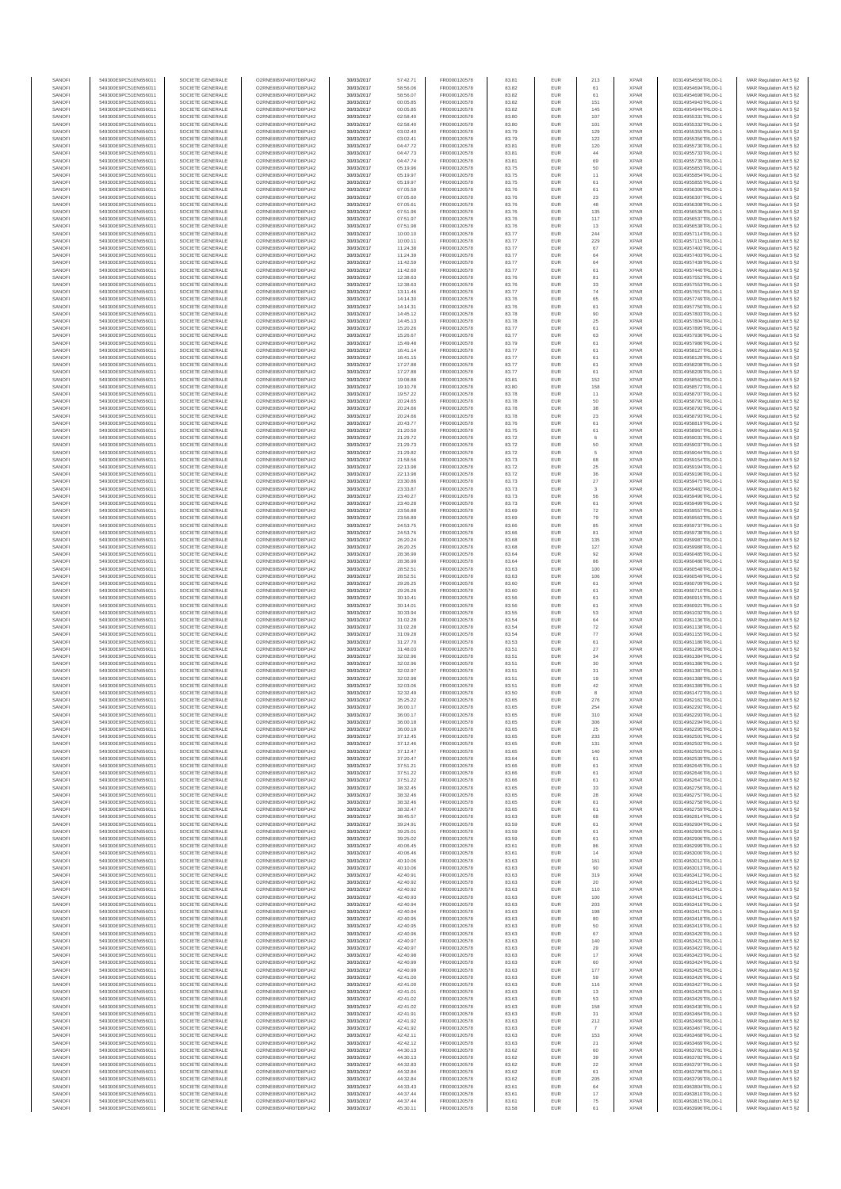| SANOF            | 549300E9PC51EN656011                         | SOCIETE GENERALE                     | O2RNE8IBXP4R0TD8PU42                          | 30/03/2017               | 57:42.71             | FR0000120578                 | 83.81          | EUR               | 213                | <b>XPAR</b>                | 00314954558TRLO0-1                       | MAR Regulation Art 5 §2                            |
|------------------|----------------------------------------------|--------------------------------------|-----------------------------------------------|--------------------------|----------------------|------------------------------|----------------|-------------------|--------------------|----------------------------|------------------------------------------|----------------------------------------------------|
| SANOFI<br>SANOFI | 549300E9PC51EN656011<br>549300E9PC51EN656011 | SOCIETE GENERALE<br>SOCIETE GENERALE | O2RNE8IBXP4R0TD8PU42                          | 30/03/2017<br>30/03/2017 | 58:56.06<br>58:56.07 | FR0000120578<br>FR0000120578 | 83.82<br>83.82 | EUR<br>EUR        | 61<br>61           | <b>XPAR</b><br><b>XPAR</b> | 00314954694TRLO0-1<br>00314954698TRLO0-1 | MAR Regulation Art 5 §2                            |
| SANOFI           | 549300E9PC51EN656011                         | SOCIETE GENERALE                     | O2RNE8IBXP4R0TD8PU42<br>O2RNE8IBXP4R0TD8PU42  | 30/03/2017               | 00:05.85             | FR0000120578                 | 83.82          | EUR               | 151                | <b>XPAR</b>                | 00314954943TRLO0-1                       | MAR Regulation Art 5 §2<br>MAR Regulation Art 5 §2 |
| SANOFI           | 549300E9PC51EN656011                         | SOCIETE GENERALE                     | O2RNE8IBXP4R0TD8PU42                          | 30/03/2017               | 00:05.85             | FR0000120578                 | 83.82          | EUR               | 145                | <b>XPAR</b>                | 00314954944TRLO0-1                       | MAR Regulation Art 5 §2                            |
| SANOFI           | 549300E9PC51EN656011                         | SOCIETE GENERALE                     | O2RNE8IBXP4R0TD8PU42                          | 30/03/2017               | 02:58.40             | FR0000120578                 | 83.80          | EUR               | 107                | <b>XPAR</b>                | 00314955331TRLO0-1                       | MAR Regulation Art 5 §2                            |
| SANOFI<br>SANOFI | 549300E9PC51EN656011<br>549300E9PC51EN656011 | SOCIETE GENERALE<br>SOCIETE GENERALE | O2RNE8IBXP4R0TD8PLI42<br>O2RNE8IBXP4R0TD8PU42 | 30/03/2017<br>30/03/2017 | 02:58.40<br>03:02.40 | FR0000120578<br>FR0000120578 | 83.80<br>83.79 | EUR<br>EUR        | 101<br>129         | <b>XPAR</b><br><b>XPAR</b> | 00314955332TRLO0-1<br>00314955355TRLO0-1 | MAR Regulation Art 5 §2<br>MAR Regulation Art 5 §2 |
| SANOFI           | 549300E9PC51EN656011                         | SOCIETE GENERALE                     | O2RNE8IBXP4R0TD8PU42                          | 30/03/2017               | 03:02.41             | FR0000120578                 | 83.79          | EUR               | 122                | <b>XPAR</b>                | 00314955356TRLO0-1                       | MAR Regulation Art 5 §2                            |
| SANOFI           | 549300E9PC51EN656011                         | SOCIETE GENERALE                     | O2RNE8IBXP4R0TD8PU42                          | 30/03/2017               | 04:47.72             | FR0000120578                 | 83.81          | EUR               | 120                | <b>XPAR</b>                | 00314955730TRLO0-1                       | MAR Regulation Art 5 §2                            |
| SANOFI<br>SANOFI | 549300E9PC51EN656011<br>549300E9PC51EN656011 | SOCIETE GENERALE<br>SOCIETE GENERALE | O2RNE8IBXP4R0TD8PU42<br>O2RNE8IBXP4R0TD8PU42  | 30/03/2017<br>30/03/2017 | 04:47.73<br>04:47.74 | FR0000120578<br>FR0000120578 | 83.81<br>83.81 | EUR<br>EUR        | $44\,$<br>69       | <b>XPAR</b><br><b>XPAR</b> | 00314955733TRLO0-1<br>00314955735TRLO0-1 | MAR Regulation Art 5 §2<br>MAR Regulation Art 5 §2 |
| SANOFI           | 549300E9PC51EN656011                         | SOCIETE GENERALE                     | O2RNE8IBXP4R0TD8PU42                          | 30/03/2017               | 05:19.96             | FR0000120578                 | 83.75          | EUR               | 50                 | <b>XPAR</b>                | 00314955853TRLO0-1                       | MAR Regulation Art 5 §2                            |
| SANOFI           | 549300E9PC51EN656011                         | SOCIETE GENERALE                     | O2RNE8IBXP4R0TD8PU42                          | 30/03/2017               | 05:19.97             | FR0000120578                 | 83.75          | EUR               | 11                 | <b>XPAR</b>                | 00314955854TRLO0-1                       | MAR Regulation Art 5 §2                            |
| SANOFI           | 549300E9PC51EN656011                         | SOCIETE GENERALE                     | O2RNE8IBXP4R0TD8PU42                          | 30/03/2017               | 05:19.97             | FR0000120578                 | 83.75          | EUR               | 61                 | <b>XPAR</b>                | 00314955855TRLO0-1                       | MAR Regulation Art 5 §2                            |
| SANOFI<br>SANOFI | 549300E9PC51EN656011<br>549300E9PC51EN656011 | SOCIETE GENERALE<br>SOCIETE GENERALE | O2RNE8IBXP4R0TD8PU42<br>O2RNE8IBXP4R0TD8PU42  | 30/03/2017<br>30/03/2017 | 07:05.59<br>07:05.60 | FR0000120578<br>FR0000120578 | 83.76<br>83.76 | EUR<br>EUR        | 61<br>23           | <b>XPAR</b><br><b>XPAR</b> | 00314956306TRLO0-1<br>00314956307TRLO0-1 | MAR Regulation Art 5 §2<br>MAR Regulation Art 5 §2 |
| SANOFI           | 549300E9PC51EN656011                         | SOCIETE GENERALE                     | O2RNE8IBXP4R0TD8PU42                          | 30/03/2017               | 07:05.61             | FR0000120578                 | 83.76          | EUR               | 48                 | <b>XPAR</b>                | 00314956308TRLO0-1                       | MAR Regulation Art 5 §2                            |
| SANOFI           | 549300E9PC51EN656011                         | SOCIETE GENERALE                     | O2RNE8IBXP4R0TD8PU42                          | 30/03/2017               | 07:51.96             | FR0000120578                 | 83.76          | EUR               | 135                | <b>XPAR</b>                | 00314956536TRLO0-1                       | MAR Regulation Art 5 §2                            |
| SANOFI           | 549300E9PC51EN656011                         | SOCIETE GENERALE                     | O2RNE8IBXP4R0TD8PU42                          | 30/03/2017               | 07:51.97             | FR0000120578                 | 83.76          | EUR               | 117                | <b>XPAR</b>                | 00314956537TRLO0-1                       | MAR Regulation Art 5 §2                            |
| SANOFI<br>SANOFI | 549300E9PC51EN656011<br>549300E9PC51EN656011 | SOCIETE GENERALE<br>SOCIETE GENERALE | O2RNE8IBXP4R0TD8PU42<br>O2RNE8IBXP4R0TD8PU42  | 30/03/2017<br>30/03/2017 | 07:51.98<br>10:00.10 | FR0000120578<br>FR0000120578 | 83.76<br>83.77 | EUR<br>EUR        | 13<br>244          | <b>XPAR</b><br><b>XPAR</b> | 00314956538TRLO0-1<br>00314957114TRLO0-1 | MAR Regulation Art 5 §2<br>MAR Regulation Art 5 §2 |
| SANOFI           | 549300E9PC51EN656011                         | SOCIETE GENERALE                     | O2RNE8IBXP4R0TD8PU42                          | 30/03/2017               | 10:00.11             | FR0000120578                 | 83.77          | <b>EUR</b>        | 229                | <b>XPAR</b>                | 00314957115TRLO0-1                       | MAR Regulation Art 5 §2                            |
| SANOFI           | 549300E9PC51EN656011                         | SOCIETE GENERALE                     | O2RNE8IBXP4R0TD8PU42                          | 30/03/2017               | 11:24.38             | FR0000120578                 | 83.77          | EUR               | 67                 | <b>XPAR</b>                | 00314957402TRLO0-1                       | MAR Regulation Art 5 §2                            |
| SANOFI<br>SANOFI | 549300E9PC51EN656011<br>549300E9PC51EN656011 | SOCIETE GENERALE<br>SOCIETE GENERALE | O2RNE8IBXP4R0TD8PU42<br>O2RNE8IBXP4R0TD8PU42  | 30/03/2017<br>30/03/2017 | 11:24.39<br>11:42.59 | FR0000120578<br>FR0000120578 | 83.77<br>83.77 | EUR<br>EUR        | 64<br>64           | <b>XPAR</b><br><b>XPAR</b> | 00314957403TRLO0-1<br>00314957439TRLO0-1 | MAR Regulation Art 5 §2<br>MAR Regulation Art 5 §2 |
| SANOFI           | 549300E9PC51EN656011                         | SOCIETE GENERALE                     | O2RNE8IBXP4R0TD8PU42                          | 30/03/2017               | 11:42.60             | FR0000120578                 | 83.77          | EUR               | 61                 | <b>XPAR</b>                | 00314957440TRLO0-1                       | MAR Regulation Art 5 §2                            |
| SANOFI           | 549300E9PC51EN656011                         | SOCIETE GENERALE                     | O2RNE8IBXP4R0TD8PU42                          | 30/03/2017               | 12:38.63             | FR0000120578                 | 83.76          | EUR               | 81                 | <b>XPAR</b>                | 00314957552TRLO0-1                       | MAR Regulation Art 5 §2                            |
| SANOFI           | 549300E9PC51EN656011                         | SOCIETE GENERALE                     | O2RNE8IBXP4R0TD8PU42                          | 30/03/2017               | 12:38.63             | FR0000120578                 | 83.76          | EUR               | $_{33}$            | <b>XPAR</b>                | 00314957553TRLO0-1                       | MAR Regulation Art 5 §2                            |
| SANOFI<br>SANOFI | 549300E9PC51EN656011<br>549300E9PC51EN656011 | SOCIETE GENERALE<br>SOCIETE GENERALE | O2RNE8IBXP4R0TD8PU42<br>O2RNE8IBXP4R0TD8PU42  | 30/03/2017<br>30/03/2017 | 13:11.46<br>14:14.30 | FR0000120578<br>FR0000120578 | 83.77<br>83.76 | EUR<br>EUR        | 74<br>65           | <b>XPAR</b><br><b>XPAR</b> | 00314957657TRLO0-1<br>00314957749TRLO0-1 | MAR Regulation Art 5 §2<br>MAR Regulation Art 5 §2 |
| SANOFI           | 549300E9PC51EN656011                         | SOCIETE GENERALE                     | O2RNE8IBXP4R0TD8PU42                          | 30/03/2017               | 14:14.31             | FR0000120578                 | 83.76          | EUR               | 61                 | <b>XPAR</b>                | 00314957750TRLO0-1                       | MAR Regulation Art 5 §2                            |
| SANOFI           | 549300E9PC51EN656011                         | SOCIETE GENERALE                     | O2RNE8IBXP4R0TD8PU42                          | 30/03/2017               | 14:45.12             | FR0000120578                 | 83.78          | EUR               | 90                 | <b>XPAR</b>                | 00314957803TRLO0-1                       | MAR Regulation Art 5 §2                            |
| SANOFI<br>SANOFI | 549300E9PC51EN656011<br>549300E9PC51EN656011 | SOCIETE GENERALE<br>SOCIETE GENERALE | O2RNE8IBXP4R0TD8PU42<br>O2RNE8IBXP4R0TD8PU42  | 30/03/2017<br>30/03/2017 | 14:45.13<br>15:20.26 | FR0000120578<br>FR0000120578 | 83.78<br>83.77 | EUR<br>EUR        | 25<br>61           | <b>XPAR</b><br><b>XPAR</b> | 00314957804TRLO0-1<br>00314957895TRLO0-1 | MAR Regulation Art 5 §2                            |
| SANOFI           | 549300E9PC51EN656011                         | SOCIETE GENERALE                     | O2RNE8IBXP4R0TD8PU42                          | 30/03/2017               | 15:26.67             | FR0000120578                 | 83.77          | EUR               | 63                 | <b>XPAR</b>                | 00314957936TRLO0-1                       | MAR Regulation Art 5 §2<br>MAR Regulation Art 5 §2 |
| SANOFI           | 549300E9PC51EN656011                         | SOCIETE GENERALE                     | O2RNE8IBXP4R0TD8PU42                          | 30/03/2017               | 15:49.48             | FR0000120578                 | 83.79          | EUR               | 61                 | <b>XPAR</b>                | 00314957986TRLO0-1                       | MAR Regulation Art 5 §2                            |
| SANOFI           | 549300E9PC51EN656011                         | SOCIETE GENERALE                     | O2RNE8IBXP4R0TD8PU42                          | 30/03/2017               | 16:41.14             | FR0000120578                 | 83.77          | EUR               | 61                 | <b>XPAR</b>                | 00314958127TRLO0-1                       | MAR Regulation Art 5 §2                            |
| SANOFI<br>SANOFI | 549300E9PC51EN656011<br>549300E9PC51EN656011 | SOCIETE GENERALE<br>SOCIETE GENERALE | O2RNE8IBXP4R0TD8PU42<br>O2RNE8IBXP4R0TD8PU42  | 30/03/2017<br>30/03/2017 | 16:41.15<br>17:27.88 | FR0000120578<br>FR0000120578 | 83.77<br>83.77 | EUR<br>EUR        | 61<br>61           | <b>XPAR</b><br><b>XPAR</b> | 00314958128TRLO0-1<br>00314958208TRLO0-1 | MAR Regulation Art 5 §2<br>MAR Regulation Art 5 §2 |
| SANOFI           | 549300E9PC51EN656011                         | SOCIETE GENERALE                     | O2RNE8IBXP4R0TD8PU42                          | 30/03/2017               | 17:27.88             | FR0000120578                 | 83.77          | <b>EUR</b>        | 61                 | <b>XPAR</b>                | 00314958209TRLO0-1                       | MAR Regulation Art 5 §2                            |
| SANOFI           | 549300E9PC51EN656011                         | SOCIETE GENERALE                     | O2RNE8IBXP4R0TD8PU42                          | 30/03/2017               | 19:08.88             | FR0000120578                 | 83.81          | EUR               | 152                | <b>XPAR</b>                | 00314958562TRLO0-1                       | MAR Regulation Art 5 §2                            |
| SANOFI           | 549300E9PC51EN656011                         | SOCIETE GENERALE<br>SOCIETE GENERALE | O2RNE8IBXP4R0TD8PU42                          | 30/03/2017               | 19:10.78             | FR0000120578                 | 83.80          | EUR               | 158                | <b>XPAR</b>                | 00314958572TRLO0-1                       | MAR Regulation Art 5 §2                            |
| SANOFI<br>SANOFI | 549300E9PC51EN656011<br>549300E9PC51EN656011 | SOCIETE GENERALE                     | O2RNE8IBXP4R0TD8PU42<br>O2RNE8IBXP4R0TD8PU42  | 30/03/2017<br>30/03/2017 | 19:57.22<br>20:24.65 | FR0000120578<br>FR0000120578 | 83.78<br>83.78 | EUR<br>EUR        | 11<br>50           | <b>XPAR</b><br><b>XPAR</b> | 00314958707TRLO0-1<br>00314958791TRLO0-1 | MAR Regulation Art 5 §2<br>MAR Regulation Art 5 §2 |
| SANOFI           | 549300E9PC51EN656011                         | SOCIETE GENERALE                     | O2RNE8IBXP4R0TD8PU42                          | 30/03/2017               | 20:24.66             | FR0000120578                 | 83.78          | EUR               | 38                 | <b>XPAR</b>                | 00314958792TRLO0-1                       | MAR Regulation Art 5 §2                            |
| SANOFI           | 549300E9PC51EN656011                         | SOCIETE GENERALE                     | O2RNE8IBXP4R0TD8PU42                          | 30/03/2017               | 20:24.66             | FR0000120578                 | 83.78          | EUR               | $23\,$             | <b>XPAR</b>                | 00314958793TRLO0-1                       | MAR Regulation Art 5 §2                            |
| SANOFI           | 549300E9PC51EN656011                         | SOCIETE GENERALE                     | O2RNE8IBXP4R0TD8PU42<br>O2RNE8IBXP4R0TD8PU42  | 30/03/2017               | 20:43.77             | FR0000120578                 | 83.76          | EUR               | 61                 | <b>XPAR</b>                | 00314958819TRLO0-1                       | MAR Regulation Art 5 §2                            |
| SANOFI<br>SANOFI | 549300E9PC51EN656011<br>549300E9PC51EN656011 | SOCIETE GENERALE<br>SOCIETE GENERALE | O2RNE8IBXP4R0TD8PU42                          | 30/03/2017<br>30/03/2017 | 21:20.50<br>21:29.72 | FR0000120578<br>FR0000120578 | 83.75<br>83.72 | EUR<br>EUR        | 61<br>6            | <b>XPAR</b><br><b>XPAR</b> | 00314958967TRLO0-1<br>00314959031TRLO0-1 | MAR Regulation Art 5 §2<br>MAR Regulation Art 5 §2 |
| SANOFI           | 549300E9PC51EN656011                         | SOCIETE GENERALE                     | O2RNE8IBXP4R0TD8PU42                          | 30/03/2017               | 21:29.73             | FR0000120578                 | 83.72          | EUR               | 50                 | <b>XPAR</b>                | 00314959037TRLO0-1                       | MAR Regulation Art 5 §2                            |
| SANOFI           | 549300E9PC51EN656011                         | SOCIETE GENERALE                     | O2RNE8IBXP4R0TD8PU42                          | 30/03/2017               | 21:29.82             | FR0000120578                 | 83.72          | EUR               | 5                  | <b>XPAR</b>                | 00314959044TRLO0-1                       | MAR Regulation Art 5 §2                            |
| SANOFI<br>SANOFI | 549300E9PC51EN656011                         | SOCIETE GENERALE                     | O2RNE8IBXP4R0TD8PU42                          | 30/03/2017               | 21:58.56             | FR0000120578<br>FR0000120578 | 83.73<br>83.72 | EUR<br>EUR        | 68<br>$25\,$       | <b>XPAR</b><br><b>XPAR</b> | 00314959154TRLO0-1                       | MAR Regulation Art 5 §2<br>MAR Regulation Art 5 §2 |
| SANOFI           | 549300E9PC51EN656011<br>549300E9PC51EN656011 | SOCIETE GENERALE<br>SOCIETE GENERALE | O2RNE8IBXP4R0TD8PU42<br>O2RNESIBXP4R0TD8PLI42 | 30/03/2017<br>30/03/2017 | 22:13.98<br>22:13.98 | FR0000120578                 | 83.72          | EUR               | 36                 | <b>XPAR</b>                | 00314959194TRLO0-1<br>00314959196TRLO0-1 | MAR Regulation Art 5 §2                            |
| SANOFI           | 549300E9PC51EN656011                         | SOCIETE GENERALE                     | O2RNE8IBXP4R0TD8PU42                          | 30/03/2017               | 23:30.86             | FR0000120578                 | 83.73          | EUR               | 27                 | <b>XPAR</b>                | 00314959475TRLO0-1                       | MAR Regulation Art 5 §2                            |
| SANOFI           | 549300E9PC51EN656011                         | SOCIETE GENERALE                     | O2RNE8IBXP4R0TD8PU42                          | 30/03/2017               | 23:33.87             | FR0000120578                 | 83.73          | EUR               | $\mathbf{3}$       | <b>XPAR</b>                | 00314959482TRLO0-1                       | MAR Regulation Art 5 §2                            |
| SANOFI<br>SANOFI | 549300E9PC51EN656011<br>549300E9PC51EN656011 | SOCIETE GENERALE<br>SOCIETE GENERALE | O2RNE8IBXP4R0TD8PU42<br>O2RNE8IBXP4R0TD8PU42  | 30/03/2017<br>30/03/2017 | 23:40.27<br>23:40.28 | FR0000120578<br>FR0000120578 | 83.73<br>83.73 | EUR<br>EUR        | 56<br>61           | <b>XPAR</b><br><b>XPAR</b> | 00314959496TRLO0-1<br>00314959499TRLO0-1 | MAR Regulation Art 5 §2<br>MAR Regulation Art 5 §2 |
| SANOFI           | 549300E9PC51EN656011                         | SOCIETE GENERALE                     | O2RNE8IBXP4R0TD8PU42                          | 30/03/2017               | 23:56.88             | FR0000120578                 | 83.69          | EUR               | 72                 | <b>XPAR</b>                | 00314959557TRLO0-1                       | MAR Regulation Art 5 §2                            |
| SANOFI           | 549300E9PC51EN656011                         | SOCIETE GENERALE                     | O2RNE8IBXP4R0TD8PU42                          | 30/03/2017               | 23:56.89             | FR0000120578                 | 83.69          | EUR               | 79                 | <b>XPAR</b>                | 00314959563TRLO0-1                       | MAR Regulation Art 5 §2                            |
| SANOFI           | 549300E9PC51EN656011                         | SOCIETE GENERALE                     | O2RNE8IBXP4R0TD8PU42                          | 30/03/2017               | 24:53.75             | FR0000120578                 | 83.66          | EUR               | 85                 | <b>XPAR</b>                | 00314959737TRLO0-1                       | MAR Regulation Art 5 §2                            |
| SANOFI<br>SANOFI | 549300E9PC51EN656011<br>549300E9PC51EN656011 | SOCIETE GENERALE<br>SOCIETE GENERALE | O2RNE8IBXP4R0TD8PU42<br>O2RNE8IBXP4R0TD8PU42  | 30/03/2017<br>30/03/2017 | 24:53.76<br>26:20.24 | FR0000120578<br>FR0000120578 | 83.66<br>83.68 | EUR<br>EUR        | 81<br>135          | <b>XPAR</b><br><b>XPAR</b> | 00314959738TRLO0-1<br>00314959987TRLO0-1 | MAR Regulation Art 5 §2<br>MAR Regulation Art 5 §2 |
| SANOFI           | 549300E9PC51EN656011                         | SOCIETE GENERALE                     | O2RNE8IBXP4R0TD8PU42                          | 30/03/2017               | 26:20.25             | FR0000120578                 | 83.68          | EUR               | 127                | <b>XPAR</b>                | 00314959988TRLO0-1                       | MAR Regulation Art 5 §2                            |
| SANOFI           | 549300E9PC51EN656011                         | SOCIETE GENERALE                     | O2RNE8IBXP4R0TD8PU42                          | 30/03/2017               | 28:36.99             | FR0000120578                 | 83.64          | <b>EUR</b>        | 92                 | <b>XPAR</b>                | 00314960485TRLO0-1                       | MAR Regulation Art 5 §2                            |
| SANOFI           | 549300E9PC51EN656011                         | SOCIETE GENERALE                     | O2RNE8IBXP4R0TD8PU42                          | 30/03/2017               | 28:36.99             | FR0000120578                 | 83.64          | EUR               | 86<br>100          | <b>XPAR</b>                | 00314960486TRLO0-1                       | MAR Regulation Art 5 §2                            |
| SANOFI<br>SANOFI | 549300E9PC51EN656011<br>549300E9PC51EN656011 | SOCIETE GENERALE<br>SOCIETE GENERALE | O2RNE8IBXP4R0TD8PU42<br>O2RNE8IBXP4R0TD8PU42  | 30/03/2017<br>30/03/2017 | 28:52.51<br>28:52.51 | FR0000120578<br>FR0000120578 | 83.63<br>83.63 | EUR<br>EUR        | 106                | <b>XPAR</b><br><b>XPAR</b> | 00314960548TRLO0-1<br>00314960549TRLO0-1 | MAR Regulation Art 5 §2<br>MAR Regulation Art 5 §2 |
| SANOFI           | 549300E9PC51EN656011                         | SOCIETE GENERALE                     | O2RNE8IBXP4R0TD8PU42                          | 30/03/2017               | 29:26.25             | FR0000120578                 | 83.60          | EUR               | 61                 | <b>XPAR</b>                | 00314960709TRLO0-1                       | MAR Regulation Art 5 §2                            |
| SANOFI           | 549300E9PC51EN656011                         | SOCIETE GENERALE                     | O2RNE8IBXP4R0TD8PU42                          | 30/03/2017               | 29:26.26             | FR0000120578                 | 83.60          | EUR               | 61                 | <b>XPAR</b>                | 00314960710TRLO0-1                       | MAR Regulation Art 5 §2                            |
| SANOFI<br>SANOFI | 549300E9PC51EN656011<br>549300E9PC51EN656011 | SOCIETE GENERALE<br>SOCIETE GENERALE | O2RNE8IBXP4R0TD8PU42<br>O2RNE8IBXP4R0TD8PU42  | 30/03/2017<br>30/03/2017 | 30:10.41<br>30:14.01 | FR0000120578<br>FR0000120578 | 83.56<br>83.56 | EUR<br>EUR        | 61<br>61           | <b>XPAR</b><br><b>XPAR</b> | 00314960915TRLO0-1<br>00314960921TRLO0-1 | MAR Regulation Art 5 §2<br>MAR Regulation Art 5 §2 |
| SANOFI           | 549300E9PC51EN656011                         | SOCIETE GENERALE                     | O2RNE8IBXP4R0TD8PU42                          | 30/03/2017               | 30:33.94             | FR0000120578                 | 83.55          | EUR               | 53                 | <b>XPAR</b>                | 00314961032TRLO0-1                       | MAR Regulation Art 5 §2                            |
| SANOFI           | 549300E9PC51EN656011                         | SOCIETE GENERALE                     | O2RNE8IBXP4R0TD8PU42                          | 30/03/2017               | 31:02.28             | FR0000120578                 | 83.54          | EUR               | 64                 | <b>XPAR</b>                | 00314961136TRLO0-1                       | MAR Regulation Art 5 §2                            |
| SANOFI<br>SANOFI | 549300E9PC51EN656011<br>549300E9PC51EN656011 | SOCIETE GENERALE<br>SOCIETE GENERALE | O2RNE8IBXP4R0TD8PU42<br>O2RNE8IBXP4R0TD8PU42  | 30/03/2017<br>30/03/2017 | 31:02.28<br>31:09.28 | FR0000120578<br>FR0000120578 | 83.54<br>83.54 | EUR<br><b>EUR</b> | 72                 | <b>XPAR</b><br><b>XPAR</b> | 00314961138TRLO0-1<br>00314961155TRLO0-1 | MAR Regulation Art 5 §2                            |
| SANOFI           | 549300E9PC51EN656011                         | SOCIETE GENERALE                     | O2RNE8IBXP4R0TD8PU42                          | 30/03/2017               | 31:27.70             | FR0000120578                 | 83.53          | EUR               | 77<br>61           | <b>XPAR</b>                | 00314961186TRLO0-1                       | MAR Regulation Art 5 §2<br>MAR Regulation Art 5 §2 |
| SANOFI           | 549300E9PC51EN656011                         | SOCIETE GENERALE                     | O2RNE8IBXP4R0TD8PU42                          | 30/03/2017               | 31:48.03             | FR0000120578                 | 83.51          | EUR               | 27                 | <b>XPAR</b>                | 00314961296TRLO0-1                       | MAR Regulation Art 5 §2                            |
| SANOFI           | 549300E9PC51EN656011                         | SOCIETE GENERALE                     | O2RNE8IBXP4R0TD8PU42                          | 30/03/2017               | 32:02.96             | FR0000120578                 | 83.51          | EUR               | 34                 | <b>XPAR</b>                | 00314961384TRLO0-1                       | MAR Regulation Art 5 §2                            |
| SANOFI<br>SANOFI | 549300E9PC51EN656011<br>549300E9PC51EN656011 | SOCIETE GENERALE<br>SOCIETE GENERALE | O2RNE8IBXP4R0TD8PU42<br>O2RNE8IBXP4R0TD8PU42  | 30/03/2017<br>30/03/2017 | 32:02.96<br>32:02.97 | FR0000120578<br>FR0000120578 | 83.51<br>83.51 | EUR<br>EUR        | 30                 | <b>XPAR</b><br><b>XPAR</b> | 00314961386TRLO0-1<br>00314961387TRLO0-1 | MAR Regulation Art 5 §2                            |
| SANOFI           | 549300E9PC51EN656011                         | SOCIETE GENERALE                     | O2RNE8IBXP4R0TD8PU42                          | 30/03/2017               | 32:02.98             | FR0000120578                 | 83.51          | EUR               | 31<br>19           | <b>XPAR</b>                | 00314961388TRLO0-1                       | MAR Regulation Art 5 §2<br>MAR Regulation Art 5 §2 |
| SANOFI           | 549300E9PC51EN656011                         | SOCIETE GENERALE                     | O2RNE8IBXP4R0TD8PU42                          | 30/03/2017               | 32:03.06             | FR0000120578                 | 83.51          | EUR               | 42                 | <b>XPAR</b>                | 00314961389TRLO0-1                       | MAR Regulation Art 5 §2                            |
| SANOFI           | 549300E9PC51EN656011                         | SOCIETE GENERALE                     | O2RNE8IBXP4R0TD8PU42                          | 30/03/2017               | 32:32.49             | FR0000120578                 | 83.50          | EUR               | 8                  | <b>XPAR</b>                | 00314961472TRLO0-1                       | MAR Regulation Art 5 §2                            |
| SANOFI<br>SANOFI | 549300E9PC51EN656011<br>549300E9PC51EN656011 | SOCIETE GENERALE<br>SOCIETE GENERALE | O2RNE8IBXP4R0TD8PU42<br>O2RNE8IBXP4R0TD8PU42  | 30/03/2017<br>30/03/2017 | 35:25.22<br>36:00.17 | FR0000120578<br>FR0000120578 | 83.65<br>83.65 | EUR<br>EUR        | 276<br>254         | <b>XPAR</b><br><b>XPAR</b> | 00314962161TRLO0-1<br>00314962292TRLO0-1 | MAR Regulation Art 5 §2<br>MAR Regulation Art 5 §2 |
| SANOFI           | 549300E9PC51EN656011                         | SOCIETE GENERALE                     | O2RNE8IBXP4R0TD8PU42                          | 30/03/2017               | 36:00.17             | FR0000120578                 | 83.65          | EUR               | 310                | <b>XPAR</b>                | 00314962293TRLO0-1                       | MAR Regulation Art 5 §2                            |
| SANOFI           | 549300E9PC51EN656011                         | SOCIETE GENERALE                     | O2RNE8IBXP4R0TD8PU42                          | 30/03/2017               | 36:00.18             | FR0000120578                 | 83.65          | EUR               | 306                | <b>XPAR</b>                | 00314962294TRLO0-1                       | MAR Regulation Art 5 §2                            |
| SANOFI<br>SANOFI | 549300E9PC51EN656011<br>549300E9PC51EN656011 | SOCIETE GENERALE<br>SOCIETE GENERALE | O2RNE8IBXP4R0TD8PU42<br>O2RNE8IBXP4R0TD8PU42  | 30/03/2017               | 36:00.19             | FR0000120578                 | 83.65          | EUR<br>EUR        | 25                 | <b>XPAR</b><br><b>XPAR</b> | 00314962295TRLO0-1                       | MAR Regulation Art 5 §2                            |
| SANOFI           | 549300E9PC51EN656011                         | SOCIETE GENERALE                     | O2RNE8IBXP4R0TD8PU42                          | 30/03/2017<br>30/03/2017 | 37:12.45<br>37:12.46 | FR0000120578<br>FR0000120578 | 83.65<br>83.65 | EUR               | 233<br>131         | <b>XPAR</b>                | 00314962501TRLO0-1<br>00314962502TRLO0-1 | MAR Regulation Art 5 §2<br>MAR Regulation Art 5 §2 |
| SANOFI           | 549300E9PC51EN656011                         | SOCIETE GENERALE                     | O2RNE8IBXP4R0TD8PU42                          | 30/03/2017               | 37:12.47             | FR0000120578                 | 83.65          | EUR               | 140                | <b>XPAR</b>                | 00314962503TRLO0-1                       | MAR Regulation Art 5 §2                            |
| SANOFI           | 549300E9PC51EN656011                         | SOCIETE GENERALE                     | O2RNE8IBXP4R0TD8PU42                          | 30/03/2017               | 37:20.47             | FR0000120578                 | 83.64          | EUR               | 61                 | <b>XPAR</b>                | 00314962539TRLO0-1                       | MAR Regulation Art 5 §2                            |
| SANOFI<br>SANOFI | 549300E9PC51EN656011<br>549300E9PC51EN656011 | SOCIETE GENERALE<br>SOCIETE GENERALE | O2RNE8IBXP4R0TD8PU42<br>O2RNE8IBXP4R0TD8PU42  | 30/03/2017<br>30/03/2017 | 37:51.21<br>37:51.22 | FR0000120578<br>FR0000120578 | 83.66<br>83.66 | <b>EUR</b><br>EUR | 61<br>61           | <b>XPAR</b><br><b>XPAR</b> | 00314962645TRLO0-1<br>00314962646TRLO0-1 | MAR Regulation Art 5 §2<br>MAR Regulation Art 5 §2 |
| SANOFI           | 549300E9PC51EN656011                         | SOCIETE GENERALE                     | O2RNE8IBXP4R0TD8PU42                          | 30/03/2017               | 37:51.22             | FR0000120578                 | 83.66          | EUR               | 61                 | <b>XPAR</b>                | 00314962647TRLO0-1                       | MAR Regulation Art 5 §2                            |
| SANOFI           | 549300E9PC51EN656011                         | SOCIETE GENERALE                     | O2RNE8IBXP4R0TD8PU42                          | 30/03/2017               | 38:32.45             | FR0000120578                 | 83.65          | EUR               | 33                 | <b>XPAR</b>                | 00314962756TRLO0-1                       | MAR Regulation Art 5 §2                            |
| SANOFI<br>SANOFI | 549300E9PC51EN656011<br>549300E9PC51EN656011 | SOCIETE GENERALE<br>SOCIETE GENERALE | O2RNE8IBXP4R0TD8PU42<br>O2RNE8IBXP4R0TD8PU42  | 30/03/2017<br>30/03/2017 | 38:32.46<br>38:32.46 | FR0000120578<br>FR0000120578 | 83.65<br>83.65 | EUR<br><b>EUR</b> | 28<br>61           | <b>XPAR</b><br><b>XPAR</b> | 00314962757TRLO0-1<br>00314962758TRLO0-1 | MAR Regulation Art 5 §2<br>MAR Regulation Art 5 §2 |
| SANOFI           | 549300E9PC51EN656011                         | SOCIETE GENERALE                     | O2RNE8IBXP4R0TD8PU42                          | 30/03/2017               | 38:32.47             | FR0000120578                 | 83.65          | EUR               | 61                 | <b>XPAR</b>                | 00314962759TRLO0-1                       | MAR Regulation Art 5 §2                            |
| SANOFI           | 549300E9PC51EN656011                         | SOCIETE GENERALE                     | O2RNE8IBXP4R0TD8PU42                          | 30/03/2017               | 38:45.57             | FR0000120578                 | 83.63          | <b>EUR</b>        | 68                 | <b>XPAR</b>                | 00314962814TRLO0-1                       | MAR Regulation Art 5 §2                            |
| SANOFI<br>SANOFI | 549300E9PC51EN656011<br>549300E9PC51EN656011 | SOCIETE GENERALE<br>SOCIETE GENERALE | O2RNE8IBXP4R0TD8PU42<br>O2RNE8IBXP4R0TD8PU42  | 30/03/2017<br>30/03/2017 | 39:24.91<br>39:25.01 | FR0000120578<br>FR0000120578 | 83.59<br>83.59 | EUR<br>EUR        | 61<br>61           | <b>XPAR</b><br><b>XPAR</b> | 00314962904TRLO0-1<br>00314962905TRLO0-1 | MAR Regulation Art 5 §2<br>MAR Regulation Art 5 §2 |
| SANOFI           | 549300E9PC51EN656011                         | SOCIETE GENERALE                     | O2RNE8IBXP4R0TD8PU42                          | 30/03/2017               | 39:25.02             | FR0000120578                 | 83.59          | EUR               | 61                 | <b>XPAR</b>                | 00314962906TRLO0-1                       | MAR Regulation Art 5 §2                            |
| SANOFI           | 549300E9PC51EN656011                         | SOCIETE GENERALE                     | O2RNE8IBXP4R0TD8PU42                          | 30/03/2017               | 40:06.45             | FR0000120578                 | 83.61          | EUR               | 86                 | <b>XPAR</b>                | 00314962999TRLO0-1                       | MAR Regulation Art 5 §2                            |
| SANOFI<br>SANOFI | 549300E9PC51EN656011<br>549300E9PC51EN656011 | SOCIETE GENERALE<br>SOCIETE GENERALE | O2RNE8IBXP4R0TD8PU42<br>O2RNE8IBXP4R0TD8PU42  | 30/03/2017<br>30/03/2017 | 40:06.46<br>40:10.06 | FR0000120578<br>FR0000120578 | 83.61<br>83.63 | EUR<br>EUR        | 14<br>161          | <b>XPAR</b><br><b>XPAR</b> | 00314963000TRLO0-1<br>00314963012TRLO0-1 | MAR Regulation Art 5 §2                            |
| SANOFI           | 549300E9PC51EN656011                         | SOCIETE GENERALE                     | O2RNE8IBXP4R0TD8PU42                          | 30/03/2017               | 40:10.06             | FR0000120578                 | 83.63          | <b>EUR</b>        | 90                 | <b>XPAR</b>                | 00314963013TRLO0-1                       | MAR Regulation Art 5 §2<br>MAR Regulation Art 5 §2 |
| SANOFI           | 549300E9PC51EN656011                         | SOCIETE GENERALE                     | O2RNE8IBXP4R0TD8PU42                          | 30/03/2017               | 42:40.91             | FR0000120578                 | 83.63          | EUR               | 319                | <b>XPAR</b>                | 00314963412TRLO0-1                       | MAR Regulation Art 5 §2                            |
| SANOFI           | 549300E9PC51EN656011                         | SOCIETE GENERALE                     | O2RNE8IBXP4R0TD8PU42                          | 30/03/2017               | 42:40.92             | FR0000120578                 | 83.63          | <b>EUR</b>        | 20                 | <b>XPAR</b>                | 00314963413TRLO0-1                       | MAR Regulation Art 5 §2                            |
| SANOFI<br>SANOFI | 549300E9PC51EN656011<br>549300E9PC51EN656011 | SOCIETE GENERALE<br>SOCIETE GENERALE | O2RNE8IBXP4R0TD8PU42<br>O2RNE8IBXP4R0TD8PU42  | 30/03/2017<br>30/03/2017 | 42:40.92<br>42:40.93 | FR0000120578<br>FR0000120578 | 83.63<br>83.63 | EUR<br>EUR        | 110<br>100         | <b>XPAR</b><br><b>XPAR</b> | 00314963414TRLO0-1<br>00314963415TRLO0-1 | MAR Regulation Art 5 §2<br>MAR Regulation Art 5 §2 |
| SANOFI           | 549300E9PC51EN656011                         | SOCIETE GENERALE                     | O2RNE8IBXP4R0TD8PU42                          | 30/03/2017               | 42:40.94             | FR0000120578                 | 83.63          | EUR               | 203                | <b>XPAR</b>                | 00314963416TRLO0-1                       | MAR Regulation Art 5 §2                            |
| SANOFI           | 549300E9PC51EN656011                         | SOCIETE GENERALE                     | O2RNE8IBXP4R0TD8PU42                          | 30/03/2017               | 42:40.94             | FR0000120578                 | 83.63          | EUR               | 198                | <b>XPAR</b>                | 00314963417TRLO0-1                       | MAR Regulation Art 5 §2                            |
| SANOFI           | 549300E9PC51EN656011                         | SOCIETE GENERALE                     | O2RNE8IBXP4R0TD8PU42                          | 30/03/2017               | 42:40.95             | FR0000120578                 | 83.63          | EUR               | 80                 | <b>XPAR</b>                | 00314963418TRLO0-1                       | MAR Regulation Art 5 §2                            |
| SANOFI<br>SANOFI | 549300E9PC51EN656011<br>549300E9PC51EN656011 | SOCIETE GENERALE<br>SOCIETE GENERALE | O2RNE8IBXP4R0TD8PU42<br>O2RNE8IBXP4R0TD8PU42  | 30/03/2017<br>30/03/2017 | 42:40.95<br>42:40.96 | FR0000120578<br>FR0000120578 | 83.63<br>83.63 | EUR<br><b>EUR</b> | 50<br>67           | <b>XPAR</b><br><b>XPAR</b> | 00314963419TRLO0-1<br>00314963420TRLO0-1 | MAR Regulation Art 5 §2<br>MAR Regulation Art 5 §2 |
| SANOFI           | 549300E9PC51EN656011                         | SOCIETE GENERALE                     | O2RNE8IBXP4R0TD8PU42                          | 30/03/2017               | 42:40.97             | FR0000120578                 | 83.63          | EUR               | 140                | <b>XPAR</b>                | 00314963421TRLO0-1                       | MAR Regulation Art 5 §2                            |
| SANOFI           | 549300E9PC51EN656011                         | SOCIETE GENERALE                     | O2RNE8IBXP4R0TD8PU42                          | 30/03/2017               | 42:40.97             | FR0000120578                 | 83.63          | <b>EUR</b>        | 29                 | <b>XPAR</b>                | 00314963422TRLO0-1                       | MAR Regulation Art 5 §2                            |
| SANOFI<br>SANOFI | 549300E9PC51EN656011<br>549300E9PC51EN656011 | SOCIETE GENERALE<br>SOCIETE GENERALE | O2RNE8IBXP4R0TD8PU42<br>O2RNE8IBXP4R0TD8PU42  | 30/03/2017<br>30/03/2017 | 42:40.98<br>42:40.99 | FR0000120578<br>FR0000120578 | 83.63<br>83.63 | EUR<br>EUR        | 17<br>60           | <b>XPAR</b><br><b>XPAR</b> | 00314963423TRLO0-1<br>00314963424TRLO0-1 | MAR Regulation Art 5 §2                            |
| SANOFI           | 549300E9PC51EN656011                         | SOCIETE GENERALE                     | O2RNE8IBXP4R0TD8PU42                          | 30/03/2017               | 42:40.99             | FR0000120578                 | 83.63          | EUR               | $177\,$            | <b>XPAR</b>                | 00314963425TRLO0-1                       | MAR Regulation Art 5 §2<br>MAR Regulation Art 5 §2 |
| SANOFI           | 549300E9PC51EN656011                         | SOCIETE GENERALE                     | O2RNE8IBXP4R0TD8PU42                          | 30/03/2017               | 42:41.00             | FR0000120578                 | 83.63          | EUR               | 59                 | <b>XPAR</b>                | 00314963426TRLO0-1                       | MAR Regulation Art 5 §2                            |
| SANOFI           | 549300E9PC51EN656011                         | SOCIETE GENERALE                     | O2RNE8IBXP4R0TD8PU42                          | 30/03/2017               | 42:41.00             | FR0000120578                 | 83.63          | EUR               | 116                | <b>XPAR</b>                | 00314963427TRLO0-1                       | MAR Regulation Art 5 §2                            |
| SANOFI<br>SANOFI | 549300E9PC51EN656011<br>549300E9PC51EN656011 | SOCIETE GENERALE<br>SOCIETE GENERALE | O2RNE8IBXP4R0TD8PU42<br>O2RNE8IBXP4R0TD8PU42  | 30/03/2017<br>30/03/2017 | 42:41.01<br>42:41.02 | FR0000120578<br>FR0000120578 | 83.63<br>83.63 | EUR<br><b>EUR</b> | 13<br>53           | <b>XPAR</b><br><b>XPAR</b> | 00314963428TRLO0-1<br>00314963429TRLO0-1 | MAR Regulation Art 5 §2                            |
| SANOFI           | 549300E9PC51EN656011                         | SOCIETE GENERALE                     | O2RNE8IBXP4R0TD8PU42                          | 30/03/2017               | 42:41.02             | FR0000120578                 | 83.63          | EUR               | 158                | <b>XPAR</b>                | 00314963430TRLO0-1                       | MAR Regulation Art 5 §2<br>MAR Regulation Art 5 §2 |
| SANOFI           | 549300E9PC51EN656011                         | SOCIETE GENERALE                     | O2RNE8IBXP4R0TD8PU42                          | 30/03/2017               | 42:41.91             | FR0000120578                 | 83.63          | <b>EUR</b>        | 31                 | <b>XPAR</b>                | 00314963464TRLO0-1                       | MAR Regulation Art 5 §2                            |
| SANOFI           | 549300E9PC51EN656011                         | SOCIETE GENERALE                     | O2RNE8IBXP4R0TD8PU42                          | 30/03/2017               | 42:41.92             | FR0000120578                 | 83.63          | EUR               | 212                | <b>XPAR</b>                | 00314963466TRLO0-1                       | MAR Regulation Art 5 §2                            |
| SANOFI<br>SANOFI | 549300E9PC51EN656011<br>549300E9PC51EN656011 | SOCIETE GENERALE<br>SOCIETE GENERALE | O2RNE8IBXP4R0TD8PU42<br>O2RNE8IBXP4R0TD8PU42  | 30/03/2017<br>30/03/2017 | 42:41.92<br>42:42.11 | FR0000120578<br>FR0000120578 | 83.63<br>83.63 | EUR<br>EUR        | -7<br>153          | <b>XPAR</b><br><b>XPAR</b> | 00314963467TRLO0-1<br>00314963468TRLO0-1 | MAR Regulation Art 5 §2<br>MAR Regulation Art 5 §2 |
| SANOFI           | 549300E9PC51EN656011                         | SOCIETE GENERALE                     | O2RNE8IBXP4R0TD8PU42                          | 30/03/2017               | 42:42.12             | FR0000120578                 | 83.63          | EUR               | 21                 | <b>XPAR</b>                | 00314963469TRLO0-1                       | MAR Regulation Art 5 §2                            |
| SANOFI           | 549300E9PC51EN656011                         | SOCIETE GENERALE                     | O2RNE8IBXP4R0TD8PU42                          | 30/03/2017               | 44:30.13             | FR0000120578                 | 83.62          | <b>EUR</b>        | 60                 | <b>XPAR</b>                | 00314963781TRLO0-1                       | MAR Regulation Art 5 §2                            |
| SANOFI<br>SANOFI | 549300E9PC51EN656011<br>549300E9PC51EN656011 | SOCIETE GENERALE<br>SOCIETE GENERALE | O2RNE8IBXP4R0TD8PU42<br>O2RNE8IBXP4R0TD8PU42  | 30/03/2017<br>30/03/2017 | 44:30.13<br>44:32.83 | FR0000120578<br>FR0000120578 | 83.62<br>83.62 | EUR<br><b>EUR</b> | 39<br>22           | <b>XPAR</b><br><b>XPAR</b> | 00314963782TRLO0-1<br>00314963797TRLO0-1 | MAR Regulation Art 5 §2                            |
| SANOFI           | 549300E9PC51EN656011                         | SOCIETE GENERALE                     | O2RNE8IBXP4R0TD8PU42                          | 30/03/2017               | 44:32.84             | FR0000120578                 | 83.62          | EUR               | 61                 | <b>XPAR</b>                | 00314963798TRLO0-1                       | MAR Regulation Art 5 §2<br>MAR Regulation Art 5 §2 |
| SANOFI           | 549300E9PC51EN656011                         | SOCIETE GENERALE                     | O2RNE8IBXP4R0TD8PU42                          | 30/03/2017               | 44:32.84             | FR0000120578                 | 83.62          | EUR               | 205                | <b>XPAR</b>                | 00314963799TRLO0-1                       | MAR Regulation Art 5 §2                            |
| SANOFI           | 549300E9PC51EN656011                         | SOCIETE GENERALE                     | O2RNE8IBXP4R0TD8PU42                          | 30/03/2017               | 44:33.43             | FR0000120578                 | 83.61          | EUR<br>EUR        | 64                 | <b>XPAR</b>                | 00314963804TRLO0-1                       | MAR Regulation Art 5 §2                            |
| SANOFI<br>SANOFI | 549300E9PC51EN656011<br>549300E9PC51EN656011 | SOCIETE GENERALE<br>SOCIETE GENERALE | O2RNE8IBXP4R0TD8PU42<br>O2RNE8IBXP4R0TD8PU42  | 30/03/2017<br>30/03/2017 | 44:37.44<br>44:37.44 | FR0000120578<br>FR0000120578 | 83.61<br>83.61 | EUR               | $17\,$<br>$\rm 75$ | <b>XPAR</b><br><b>XPAR</b> | 00314963810TRLO0-1<br>00314963815TRLO0-1 | MAR Regulation Art 5 §2<br>MAR Regulation Art 5 §2 |
| SANOFI           | 549300E9PC51EN656011                         | SOCIETE GENERALE                     | O2RNE8IBXP4R0TD8PU42                          | 30/03/2017               | 45:30.11             | FR0000120578                 | 83.58          | EUR               | 61                 | <b>XPAR</b>                | 00314963996TRLO0-1                       | MAR Regulation Art 5 §2                            |
|                  |                                              |                                      |                                               |                          |                      |                              |                |                   |                    |                            |                                          |                                                    |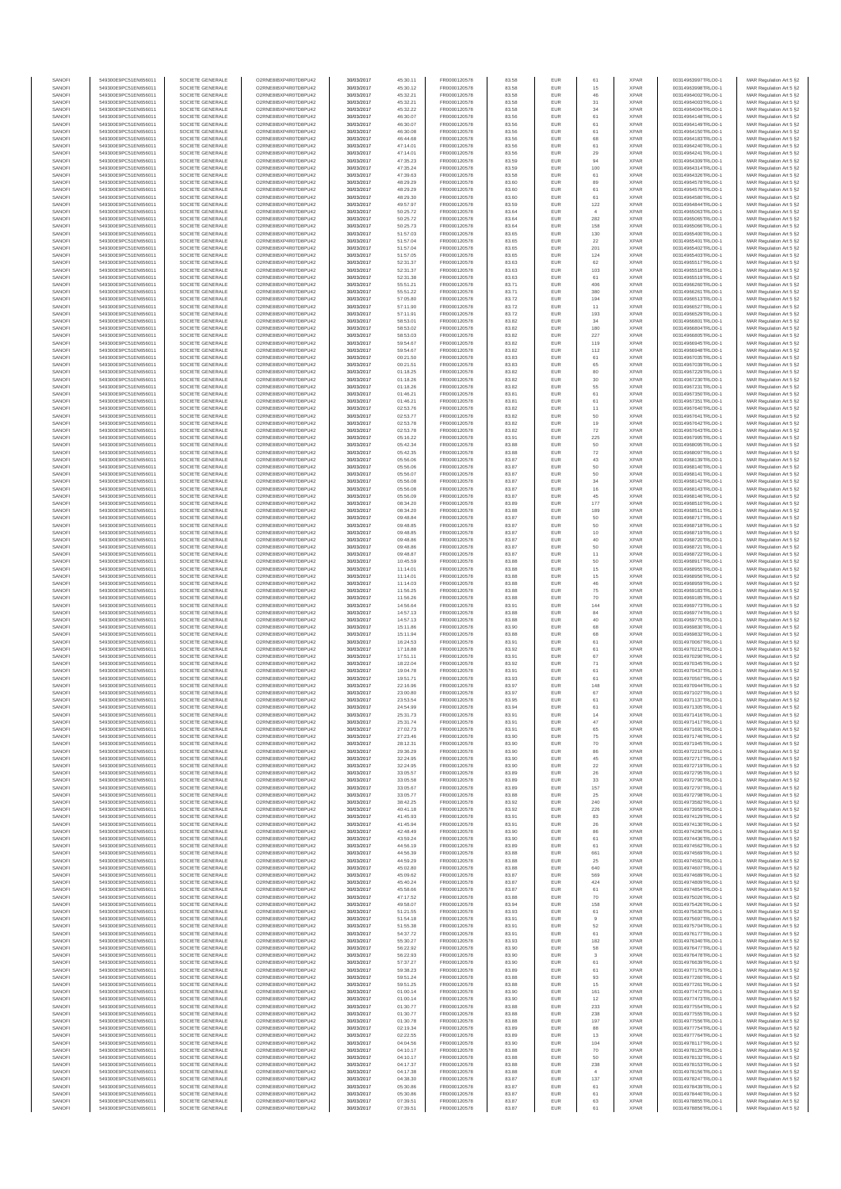| SANOFI           | 549300E9PC51EN656011                         | SOCIETE GENERALE                     | O2RNE8IBXP4R0TD8PLI42                         | 30/03/2017               | 45:30.11             | FR0000120578                 | 83.58          | EUR               | 61                    | <b>XPAR</b>                | 00314963997TRLO0-1                       | MAR Regulation Art 5 §2                             |
|------------------|----------------------------------------------|--------------------------------------|-----------------------------------------------|--------------------------|----------------------|------------------------------|----------------|-------------------|-----------------------|----------------------------|------------------------------------------|-----------------------------------------------------|
| SANOFI<br>SANOFI | 549300E9PC51EN656011<br>549300E9PC51EN656011 | SOCIETE GENERALE<br>SOCIETE GENERALE | O2RNE8IBXP4R0TD8PU42<br>O2RNE8IBXP4R0TD8PU42  | 30/03/2017<br>30/03/2017 | 45:30.12<br>45:32.21 | FR0000120578<br>FR0000120578 | 83.58<br>83.58 | EUR<br><b>EUR</b> | 15<br>46              | <b>XPAR</b><br><b>XPAR</b> | 00314963998TRLO0-1<br>00314964002TRLO0-1 | MAR Regulation Art 5 §2<br>MAR Regulation Art 5 §2  |
| SANOFI           | 549300E9PC51EN656011                         | SOCIETE GENERALE                     |                                               | 30/03/2017               | 45:32.21             | FR0000120578                 | 83.58          | EUR               | 31                    | <b>XPAF</b>                | 00314964003TRLO0-1                       | MAR Regulation Art 5 §2                             |
| SANOFI<br>SANOFI | 549300E9PC51EN656011<br>549300E9PC51EN656011 | SOCIETE GENERALE<br>SOCIETE GENERALE | O2RNE8IBXP4R0TD8PU42<br>O2RNE8IBXP4R0TD8PU42  | 30/03/2017<br>30/03/2017 | 45:32.22<br>46:30.07 | FR0000120578<br>FR0000120578 | 83.58<br>83.56 | EUR<br>EUR        | 34<br>61              | <b>XPAR</b><br><b>XPAR</b> | 00314964004TRLO0-1<br>00314964148TRLO0-1 | MAR Regulation Art 5 §2<br>MAR Regulation Art 5 §2  |
| SANOFI           | 549300E9PC51EN656011                         | SOCIETE GENERALE                     | O2RNE8IBXP4R0TD8PU42                          | 30/03/2017               | 46:30.07             | FR0000120578                 | 83.56          | EUR               | 61                    | <b>XPAR</b>                | 00314964149TRLO0-1                       | MAR Regulation Art 5 §2                             |
| SANOFI           | 549300E9PC51EN656011                         | SOCIETE GENERALE                     | O2RNE8IBXP4R0TD8PU42                          | 30/03/2017               | 46:30.08             | FR0000120578                 | 83.56          | EUR               | 61                    | <b>XPAR</b>                | 00314964150TRLO0-1                       | MAR Regulation Art 5 §2                             |
| SANOFI<br>SANOFI | 549300E9PC51EN656011<br>549300E9PC51EN656011 | SOCIETE GENERALE<br>SOCIETE GENERALE | O2RNE8IBXP4R0TD8PU42<br>O2RNE8IBXP4R0TD8PU42  | 30/03/2017<br>30/03/2017 | 46:44.68<br>47:14.01 | FR0000120578<br>FR0000120578 | 83.56<br>83.56 | EUR<br>EUR        | 68<br>61              | <b>XPAR</b><br><b>XPAR</b> | 00314964183TRLO0-1<br>00314964240TRLO0-1 | MAR Regulation Art 5 §2<br>MAR Regulation Art 5 §2  |
| SANOFI           | 549300E9PC51EN656011                         | SOCIETE GENERALE                     | O2RNE8IBXP4R0TD8PU42                          | 30/03/2017               | 47:14.01             | FR0000120578                 | 83.56          | EUR               | 29                    | <b>XPAF</b>                | 00314964241TRLO0-1                       | MAR Regulation Art 5 §2                             |
| SANOFI<br>SANOFI | 549300E9PC51EN656011<br>549300E9PC51EN656011 | SOCIETE GENERALE<br>SOCIETE GENERALE | O2RNE8IBXP4R0TD8PU42<br>O2RNE8IBXP4R0TD8PU42  | 30/03/2017<br>30/03/2017 | 47:35.23<br>47:35.24 | FR0000120578<br>FR0000120578 | 83.59<br>83.59 | EUR<br>EUR        | 94<br>100             | <b>XPAR</b><br><b>XPAR</b> | 00314964309TRLO0-1<br>00314964314TRLO0-1 | MAR Regulation Art 5 \$2<br>MAR Regulation Art 5 §2 |
| SANOFI           | 549300E9PC51EN656011                         | SOCIETE GENERALE                     | O2RNE8IBXP4R0TD8PU42                          | 30/03/2017               | 47:39.63             | FR0000120578                 | 83.58          | EUR               | 61                    | <b>XPAR</b>                | 00314964326TRLO0-1                       | MAR Regulation Art 5 §2                             |
| SANOFI           | 549300E9PC51EN656011                         | SOCIETE GENERALE<br>SOCIETE GENERALE | O2RNE8IBXP4R0TD8PU42<br>O2RNE8IBXP4R0TD8PU42  | 30/03/2017<br>30/03/2017 | 48:29.29<br>48:29.29 | FR0000120578<br>FR0000120578 | 83.60          | EUR<br>EUR        | 89<br>61              | <b>XPAR</b><br><b>XPAR</b> | 00314964578TRLO0-1<br>00314964579TRLO0-1 | MAR Regulation Art 5 §2<br>MAR Regulation Art 5 §2  |
| SANOFI<br>SANOFI | 549300E9PC51EN656011<br>549300E9PC51EN656011 | SOCIETE GENERALE                     | O2RNE8IBXP4R0TD8PU42                          | 30/03/2017               | 48:29.30             | FR0000120578                 | 83.60<br>83.60 | EUR               | 61                    | <b>XPAR</b>                | 00314964580TRLO0-1                       | MAR Regulation Art 5 §2                             |
| SANOFI           | 549300E9PC51EN656011                         | SOCIETE GENERALE                     | O2RNE8IBXP4R0TD8PU42                          | 30/03/2017               | 49:57.97             | FR0000120578                 | 83.59          | EUR               | 122                   | <b>XPAR</b>                | 00314964844TRLO0-1                       | MAR Regulation Art 5 §2                             |
| SANOFI<br>SANOFI | 549300E9PC51EN656011<br>549300E9PC51EN656011 | SOCIETE GENERALE<br>SOCIETE GENERALE | O2RNE8IBXP4R0TD8PU42<br>O2RNE8IBXP4R0TD8PU42  | 30/03/2017<br>30/03/2017 | 50:25.72<br>50:25.72 | FR0000120578<br>FR0000120578 | 83.64<br>83.64 | EUR<br>EUR        | $\mathfrak{a}$<br>282 | <b>XPAR</b><br><b>XPAF</b> | 00314965063TRLO0-1<br>00314965065TRLO0-1 | MAR Regulation Art 5 §2<br>MAR Regulation Art 5 §2  |
| SANOFI           | 549300E9PC51EN656011                         | SOCIETE GENERALE                     | O2RNE8IBXP4R0TD8PU42                          | 30/03/2017               | 50:25.73             | FR0000120578                 | 83.64          | EUR               | 158                   | <b>XPAR</b>                | 00314965066TRLO0-1                       | MAR Regulation Art 5 §2                             |
| SANOFI<br>SANOFI | 549300E9PC51EN656011<br>549300E9PC51EN656011 | SOCIETE GENERALE<br>SOCIETE GENERALE | O2RNE8IBXP4R0TD8PU42<br>O2RNE8IBXP4R0TD8PU42  | 30/03/2017<br>30/03/2017 | 51:57.03<br>51:57.04 | FR0000120578<br>FR0000120578 | 83.65<br>83.65 | EUR<br>EUR        | 130<br>22             | <b>XPAR</b><br><b>XPAR</b> | 00314965400TRLO0-1<br>00314965401TRLO0-1 | MAR Regulation Art 5 §2<br>MAR Regulation Art 5 §2  |
| SANOFI           | 549300E9PC51EN656011                         | SOCIETE GENERALE                     | O2RNE8IBXP4R0TD8PU42                          | 30/03/2017               | 51:57.04             | FR0000120578                 | 83.65          | EUR               | 201                   | <b>XPAR</b>                | 00314965402TRLO0-1                       | MAR Regulation Art 5 §2                             |
| SANOFI           | 549300E9PC51EN656011                         | SOCIETE GENERALE                     | O2RNE8IBXP4R0TD8PU42                          | 30/03/2017               | 51:57.05             | FR0000120578                 | 83.65          | EUR               | 124                   | <b>XPAR</b>                | 00314965403TRLO0-1                       | MAR Regulation Art 5 §2                             |
| SANOFI<br>SANOFI | 549300E9PC51EN656011<br>549300E9PC51EN656011 | SOCIETE GENERALE<br>SOCIETE GENERALE | O2RNE8IBXP4R0TD8PU42<br>O2RNE8IBXP4R0TD8PU42  | 30/03/2017<br>30/03/2017 | 52:31.37<br>52:31.37 | FR0000120578<br>FR0000120578 | 83.63<br>83.63 | EUR<br>EUR        | 62<br>103             | <b>XPAR</b><br><b>XPAR</b> | 00314965517TRLO0-1<br>00314965518TRLO0-1 | MAR Regulation Art 5 §2<br>MAR Regulation Art 5 §2  |
| SANOFI           | 549300E9PC51EN656011                         | SOCIETE GENERALE                     | O2RNE8IBXP4R0TD8PU42                          | 30/03/2017               | 52:31.38             | FR0000120578                 | 83.63          | EUR               | 61                    | <b>XPAR</b>                | 00314965519TRLO0-1                       | MAR Regulation Art 5 §2                             |
| SANOFI<br>SANOFI | 549300E9PC51EN656011                         | SOCIETE GENERALE                     | O2RNE8IBXP4R0TD8PU42                          | 30/03/2017               | 55:51.21             | FR0000120578                 | 83.71          | EUR               | 406                   | <b>XPAR</b>                | 00314966260TRLO0-1                       | MAR Regulation Art 5 §2                             |
| SANOFI           | 549300E9PC51EN656011<br>549300E9PC51EN656011 | SOCIETE GENERALE<br>SOCIETE GENERALE | O2RNE8IBXP4R0TD8PU42<br>O2RNE8IBXP4R0TD8PU42  | 30/03/2017<br>30/03/2017 | 55:51.22<br>57:05.80 | FR0000120578<br>FR0000120578 | 83.71<br>83.72 | EUR<br>EUR        | 380<br>194            | <b>XPAR</b><br><b>XPAF</b> | 00314966261TRLO0-1<br>00314966513TRLO0-1 | MAR Regulation Art 5 §2<br>MAR Regulation Art 5 §2  |
| SANOFI           | 549300E9PC51EN656011                         | SOCIETE GENERALE                     | O2RNE8IBXP4R0TD8PU42                          | 30/03/2017               | 57:11.90             | FR0000120578                 | 83.72          | EUR               | 11                    | <b>XPAR</b>                | 00314966527TRLO0-1                       | MAR Regulation Art 5 §2                             |
| SANOFI<br>SANOFI | 549300E9PC51EN656011<br>549300E9PC51EN656011 | SOCIETE GENERALE<br>SOCIETE GENERALE | O2RNE8IBXP4R0TD8PU42<br>O2RNE8IBXP4R0TD8PU42  | 30/03/2017<br>30/03/2017 | 57:11.91<br>58:53.01 | FR0000120578<br>FR0000120578 | 83.72<br>83.82 | EUR<br>EUR        | 193<br>34             | <b>XPAR</b><br><b>XPAR</b> | 00314966529TRLO0-1<br>00314966801TRLO0-1 | MAR Regulation Art 5 §2<br>MAR Regulation Art 5 §2  |
| SANOFI           | 549300E9PC51EN656011                         | SOCIETE GENERALE                     | O2RNE8IBXP4R0TD8PU42                          | 30/03/2017               | 58:53.02             | FR0000120578                 | 83.82          | EUR               | 180                   | <b>XPAR</b>                | 00314966804TRLO0-1                       | MAR Regulation Art 5 §2                             |
| SANOFI<br>SANOFI | 549300E9PC51EN656011<br>549300E9PC51EN656011 | SOCIETE GENERALE<br>SOCIETE GENERALE | O2RNE8IBXP4R0TD8PU42<br>O2RNE8IBXP4R0TD8PU42  | 30/03/2017<br>30/03/2017 | 58:53.03<br>59:54.67 | FR0000120578<br>FR0000120578 | 83.82<br>83.82 | EUR<br>EUR        | 227<br>119            | <b>XPAR</b><br><b>XPAR</b> | 00314966805TRLO0-1<br>00314966945TRLO0-1 | MAR Regulation Art 5 §2<br>MAR Regulation Art 5 §2  |
| SANOFI           | 549300E9PC51EN656011                         | SOCIETE GENERALE                     | O2RNE8IBXP4R0TD8PU42                          | 30/03/2017               | 59:54.67             | FR0000120578                 | 83.82          | EUR               | 112                   | <b>XPAR</b>                | 00314966948TRLO0-1                       | MAR Regulation Art 5 §2                             |
| SANOFI           | 549300E9PC51EN656011                         | SOCIETE GENERALE                     | O2RNE8IBXP4R0TD8PU42                          | 30/03/2017               | 00:21.50             | FR0000120578                 | 83.83          | EUR               | 61                    | <b>XPAR</b>                | 00314967035TRLO0-1                       | MAR Regulation Art 5 §2                             |
| SANOFI<br>SANOFI | 549300E9PC51EN656011<br>549300E9PC51EN656011 | SOCIETE GENERALE<br>SOCIETE GENERALE | O2RNE8IBXP4R0TD8PU42<br>O2RNE8IBXP4R0TD8PU42  | 30/03/2017<br>30/03/2017 | 00:21.51<br>01:18.25 | FR0000120578<br>FR0000120578 | 83.83<br>83.82 | EUR<br>EUR        | 65<br>80              | <b>XPAR</b><br><b>XPAR</b> | 00314967039TRLO0-1<br>00314967229TRLO0-1 | MAR Regulation Art 5 §2<br>MAR Regulation Art 5 §2  |
| SANOFI           | 549300E9PC51EN656011                         | SOCIETE GENERALE                     | O2RNE8IBXP4R0TD8PU42                          | 30/03/2017               | 01:18.26             | FR0000120578                 | 83.82          | EUR               | $30\,$                | <b>XPAR</b>                | 00314967230TRLO0-1                       | MAR Regulation Art 5 §2                             |
| SANOFI<br>SANOFI | 549300E9PC51EN656011<br>549300E9PC51EN656011 | SOCIETE GENERALE<br>SOCIETE GENERALE | O2RNE8IBXP4R0TD8PLI42<br>O2RNE8IBXP4R0TD8PU42 | 30/03/2017<br>30/03/2017 | 01:18.26             | FR0000120578<br>FR0000120578 | 83.82<br>83.81 | EUR<br>EUR        | 55                    | <b>XPAR</b><br><b>XPAR</b> | 00314967231TRLO0-1<br>00314967350TRLO0-1 | MAR Regulation Art 5 §2                             |
| SANOFI           | 549300E9PC51EN656011                         | SOCIETE GENERALE                     | O2RNE8IBXP4R0TD8PU42                          | 30/03/2017               | 01:46.21<br>01:46.21 | FR0000120578                 | 83.81          | EUR               | 61<br>61              | <b>XPAR</b>                | 00314967351TRLO0-1                       | MAR Regulation Art 5 §2<br>MAR Regulation Art 5 §2  |
| SANOFI           | 549300E9PC51EN656011                         | SOCIETE GENERALE                     | O2RNE8IBXP4R0TD8PU42                          | 30/03/2017               | 02:53.76             | FR0000120578                 | 83.82          | EUR               | 11                    | <b>XPAR</b>                | 00314967640TRLO0-1                       | MAR Regulation Art 5 §2                             |
| SANOFI<br>SANOFI | 49300E9PC51EN656011<br>549300E9PC51EN656011  | SOCIETE GENERALE<br>SOCIETE GENERALE | O2RNE8IBXP4R0TD8PU42<br>O2RNE8IBXP4R0TD8PU42  | 30/03/2017<br>30/03/2017 | 02:53.77<br>02:53.78 | FR0000120578<br>FR0000120578 | 83.82<br>83.82 | EUR<br>EUR        | 50<br>19              | <b>XPAF</b><br><b>XPAR</b> | 00314967641TRLO0-1<br>00314967642TRLO0-1 | MAR Regulation Art 5 §2<br>MAR Regulation Art 5 §2  |
| SANOFI           | 549300E9PC51EN656011                         | SOCIETE GENERALE                     | O2RNE8IBXP4R0TD8PU42                          | 30/03/2017               | 02:53.78             | FR0000120578                 | 83.82          | EUR               | $\scriptstyle{72}$    | <b>XPAR</b>                | 00314967643TRLO0-1                       | MAR Regulation Art 5 §2                             |
| SANOFI<br>SANOFI | 549300E9PC51EN656011                         | SOCIETE GENERALE<br>SOCIETE GENERALE | O2RNE8IBXP4R0TD8PU42<br>O2RNE8IBXP4R0TD8PU42  | 30/03/2017<br>30/03/2017 | 05:16.22             | FR0000120578<br>FR0000120578 | 83.91<br>83.88 | EUR<br>EUR        | 225<br>50             | <b>XPAR</b><br><b>XPAR</b> | 00314967995TRLO0-1                       | MAR Regulation Art 5 §2                             |
| SANOFI           | 549300E9PC51EN656011<br>549300E9PC51EN656011 | SOCIETE GENERALE                     | O2RNE8IBXP4R0TD8PU42                          | 30/03/2017               | 05:42.34<br>05:42.35 | FR0000120578                 | 83.88          | EUR               | 72                    | <b>XPAR</b>                | 00314968095TRLO0-1<br>00314968097TRLO0-1 | MAR Regulation Art 5 §2<br>MAR Regulation Art 5 §2  |
| SANOFI           | 549300E9PC51EN656011                         | SOCIETE GENERALE                     | O2RNE8IBXP4R0TD8PU42                          | 30/03/2017               | 05:56.06             | FR0000120578                 | 83.87          | EUR               | 43                    | <b>XPAR</b>                | 00314968139TRLO0-1                       | MAR Regulation Art 5 §2                             |
| SANOFI<br>SANOFI | 549300E9PC51EN656011<br>549300E9PC51EN656011 | SOCIETE GENERALE<br>SOCIETE GENERALE | O2RNE8IBXP4R0TD8PU42<br>O2RNE8IBXP4R0TD8PU42  | 30/03/2017<br>30/03/2017 | 05:56.06<br>05:56.07 | FR0000120578<br>FR0000120578 | 83.87<br>83.87 | EUR<br>EUR        | 50<br>50              | <b>XPAR</b><br><b>XPAR</b> | 00314968140TRLO0-1<br>00314968141TRLO0-1 | MAR Regulation Art 5 §2<br>MAR Regulation Art 5 §2  |
| SANOFI           | 549300E9PC51EN656011                         | SOCIETE GENERALE                     | O2RNE8IBXP4R0TD8PU42                          | 30/03/2017               | 05:56.08             | FR0000120578                 | 83.87          | EUR               | 34                    | <b>XPAF</b>                | 00314968142TRLO0-1                       | MAR Regulation Art 5 §2                             |
| SANOFI<br>SANOFI | 549300E9PC51EN656011                         | SOCIETE GENERALE<br>SOCIETE GENERALE | O2RNE8IBXP4R0TD8PU42                          | 30/03/2017               | 05:56.08<br>05:56.09 | FR0000120578<br>FR0000120578 | 83.87<br>83.87 | EUR<br>EUR        | $16\,$<br>45          | <b>XPAR</b><br><b>XPAR</b> | 00314968143TRLO0-1<br>00314968146TRLO0-1 | MAR Regulation Art 5 §2                             |
| SANOFI           | 549300E9PC51EN656011<br>549300E9PC51EN656011 | SOCIETE GENERALE                     | O2RNE8IBXP4R0TD8PU42<br>O2RNE8IBXP4R0TD8PU42  | 30/03/2017<br>30/03/2017 | 08:34.20             | FR0000120578                 | 83.89          | EUR               | 177                   | <b>XPAR</b>                | 00314968510TRLO0-1                       | MAR Regulation Art 5 §2<br>MAR Regulation Art 5 §2  |
| SANOFI           | 549300E9PC51EN656011                         | SOCIETE GENERALE                     | O2RNE8IBXP4R0TD8PU42                          | 30/03/2017               | 08:34.20             | FR0000120578                 | 83.88          | EUR               | 189                   | <b>XPAR</b>                | 00314968511TRLO0-1                       | MAR Regulation Art 5 §2                             |
| SANOFI<br>SANOFI | 549300E9PC51EN656011<br>549300E9PC51EN656011 | SOCIETE GENERALE<br>SOCIETE GENERALE | O2RNE8IBXP4R0TD8PU42<br>O2RNE8IBXP4R0TD8PU42  | 30/03/2017<br>30/03/2017 | 09:48.84<br>09:48.85 | FR0000120578<br>FR0000120578 | 83.87<br>83.87 | EUR<br>EUR        | 50<br>50              | <b>XPAR</b><br><b>XPAR</b> | 00314968717TRLO0-1<br>00314968718TRLO0-1 | MAR Regulation Art 5 §2<br>MAR Regulation Art 5 §2  |
| SANOFI           | 549300E9PC51EN656011                         | SOCIETE GENERALE                     | O2RNE8IBXP4R0TD8PU42                          | 30/03/2017               | 09:48.85             | FR0000120578                 | 83.87          | EUR               | 10                    | <b>XPAF</b>                | 00314968719TRLO0-1                       | MAR Regulation Art 5 §2                             |
| SANOFI           | 549300E9PC51EN656011                         | SOCIETE GENERALE                     | O2RNE8IBXP4R0TD8PU42                          | 30/03/2017               | 09:48.86             | FR0000120578                 | 83.87          | EUR               | 40                    | <b>XPAR</b>                | 00314968720TRLO0-1                       | MAR Regulation Art 5 §2                             |
| SANOFI<br>SANOFI | 549300E9PC51EN656011<br>549300E9PC51EN656011 | SOCIETE GENERALE<br>SOCIETE GENERALE | O2RNE8IBXP4R0TD8PU42<br>O2RNE8IBXP4R0TD8PU42  | 30/03/2017<br>30/03/2017 | 09:48.86<br>09:48.87 | FR0000120578<br>FR0000120578 | 83.87<br>83.87 | EUR<br>EUR        | 50<br>11              | <b>XPAR</b><br><b>XPAR</b> | 00314968721TRLO0-1<br>00314968722TRLO0-1 | MAR Regulation Art 5 §2<br>MAR Regulation Art 5 §2  |
| SANOFI           | 549300E9PC51EN656011                         | SOCIETE GENERALE                     | O2RNE8IBXP4R0TD8PU42                          | 30/03/2017               | 10:45.59             | FR0000120578                 | 83.88          | EUR               | 50                    | <b>XPAR</b>                | 00314968917TRLO0-1                       | MAR Regulation Art 5 §2                             |
| SANOFI<br>SANOFI | 549300E9PC51EN656011<br>549300E9PC51EN656011 | SOCIETE GENERALE<br>SOCIETE GENERALE | O2RNE8IBXP4R0TD8PU42<br>O2RNE8IBXP4R0TD8PU42  | 30/03/2017<br>30/03/2017 | 11:14.01<br>11:14.01 | FR0000120578<br>FR0000120578 | 83.88<br>83.88 | EUR<br>EUR        | $15\,$<br>$15$        | <b>XPAR</b><br><b>XPAR</b> | 00314968955TRLO0-1<br>00314968956TRLO0-1 | MAR Regulation Art 5 §2<br>MAR Regulation Art 5 §2  |
| SANOFI           | 549300E9PC51EN656011                         | SOCIETE GENERALE                     | O2RNE8IBXP4R0TD8PU42                          | 30/03/2017               | 11:14.03             | FR0000120578                 | 83.88          | EUR               | 46                    | <b>XPAF</b>                | 00314968959TRLO0-1                       | MAR Regulation Art 5 §2                             |
| SANOFI<br>SANOFI | 549300E9PC51EN656011<br>549300E9PC51EN656011 | SOCIETE GENERALE<br>SOCIETE GENERALE | O2RNE8IBXP4R0TD8PU42<br>O2RNE8IBXP4R0TD8PU42  | 30/03/2017<br>30/03/2017 | 11:56.25<br>11:56.26 | FR0000120578<br>FR0000120578 | 83.88<br>83.88 | EUR<br>EUR        | 75<br>70              | <b>XPAR</b><br><b>XPAR</b> | 00314969183TRLO0-1<br>00314969185TRLO0-1 | MAR Regulation Art 5 §2                             |
| SANOFI           | 549300E9PC51EN656011                         | SOCIETE GENERALE                     | O2RNE8IBXP4R0TD8PU42                          | 30/03/2017               | 14:56.64             | FR0000120578                 | 83.91          | EUR               | 144                   | <b>XPAR</b>                | 00314969773TRLO0-1                       | MAR Regulation Art 5 §2<br>MAR Regulation Art 5 §2  |
| SANOFI           | 549300E9PC51EN656011                         | SOCIETE GENERALE                     | O2RNE8IBXP4R0TD8PU42                          | 30/03/2017               | 14:57.13             | FR0000120578                 | 83.88          | EUR               | 84                    | <b>XPAR</b>                | 00314969774TRLO0-1                       | MAR Regulation Art 5 §2                             |
| SANOFI<br>SANOFI | 549300E9PC51EN656011<br>549300E9PC51EN656011 | SOCIETE GENERALE<br>SOCIETE GENERALE | O2RNE8IBXP4R0TD8PU42<br>O2RNE8IBXP4R0TD8PU42  | 30/03/2017<br>30/03/2017 | 14:57.13<br>15:11.86 | FR0000120578<br>FR0000120578 | 83.88<br>83.90 | EUR<br>EUR        | 40<br>68              | <b>XPAR</b><br><b>XPAR</b> | 00314969775TRLO0-1<br>00314969830TRLO0-1 | MAR Regulation Art 5 §2<br>MAR Regulation Art 5 §2  |
| SANOFI           | 549300E9PC51EN656011                         | SOCIETE GENERALE                     | O2RNE8IBXP4R0TD8PLI42                         | 30/03/2017               | 15:11.94             | FR0000120578                 | 83.88          | EUR               | 68                    | <b>XPAR</b>                | 00314969832TRLO0-1                       | MAR Regulation Art 5 §2                             |
| SANOFI           | 549300E9PC51EN656011                         | SOCIETE GENERALE<br>SOCIETE GENERALE | O2RNE8IBXP4R0TD8PU42                          | 30/03/2017               | 16:24.53             | FR0000120578                 | 83.91          | EUR               | 61                    | <b>XPAR</b>                | 00314970067TRLO0-1                       | MAR Regulation Art 5 §2                             |
| SANOFI<br>SANOFI | 549300E9PC51EN656011<br>549300E9PC51EN656011 | SOCIETE GENERALE                     | O2RNE8IBXP4R0TD8PU42<br>O2RNE8IBXP4R0TD8PU42  | 30/03/2017<br>30/03/2017 | 17:18.88<br>17:51.11 | FR0000120578<br>FR0000120578 | 83.92<br>83.91 | EUR<br>EUR        | 61<br>67              | <b>XPAR</b><br><b>XPAR</b> | 00314970212TRLO0-1<br>00314970290TRLO0-1 | MAR Regulation Art 5 §2<br>MAR Regulation Art 5 §2  |
| SANOFI           | 549300E9PC51EN656011                         | SOCIETE GENERALE                     | O2RNE8IBXP4R0TD8PU42                          | 30/03/2017               | 18:22.04             | FR0000120578                 | 83.92          | EUR               | 71                    | <b>XPAR</b>                | 00314970345TRLO0-1                       | MAR Regulation Art 5 §2                             |
| SANOFI<br>SANOFI | 549300E9PC51EN656011<br>549300E9PC51EN656011 | SOCIETE GENERALE<br>SOCIETE GENERALE | O2RNE8IBXP4R0TD8PU42<br>O2RNE8IBXP4R0TD8PU42  | 30/03/2017<br>30/03/2017 | 19:04.78<br>19:51.71 | FR0000120578<br>FR0000120578 | 83.91<br>83.93 | EUR<br>EUR        | 61<br>61              | <b>XPAR</b><br><b>XPAR</b> | 00314970437TRLO0-1<br>00314970567TRLO0-1 | MAR Regulation Art 5 §2<br>MAR Regulation Art 5 §2  |
| SANOFI           | 549300E9PC51EN656011                         | SOCIETE GENERALE                     | O2RNE8IBXP4R0TD8PU42                          | 30/03/2017               | 22:16.96             | FR0000120578                 | 83.97          | EUR               | 148                   | <b>XPAR</b>                | 00314970944TRLO0-1                       | MAR Regulation Art 5 §2                             |
| SANOFI<br>SANOFI | 549300E9PC51EN656011                         | SOCIETE GENERALE<br>SOCIETE GENERALE | O2RNE8IBXP4R0TD8PU42<br>O2RNE8IBXP4R0TD8PLI42 | 30/03/2017<br>30/03/2017 | 23:00.80             | FR0000120578<br>FR0000120578 | 83.97          | EUR<br>EUR        | 67                    | <b>XPAR</b>                | 00314971027TRLO0-1                       | MAR Regulation Art 5 §2                             |
| SANOFI           | 549300E9PC51EN656011<br>549300E9PC51EN656011 | SOCIETE GENERALE                     | O2RNE8IBXP4R0TD8PU42                          | 30/03/2017               | 23:53.54<br>24:54.99 | FR0000120578                 | 83.95<br>83.94 | <b>EUR</b>        | 61<br>61              | <b>XPAR</b><br><b>XPAR</b> | 00314971137TRLO0-1<br>00314971305TRLO0-1 | MAR Regulation Art 5 §2<br>MAR Regulation Art 5 §2  |
| SANOF            | 549300E9PC51EN656011                         | SOCIETE GENERALE                     | O2RNE8IBXP4R0TD8PU42                          | 30/03/2017               | 25:31.73             | FR0000120578                 | 83.9           |                   |                       | <b>XPAF</b>                | 00314971416TRLO0-1                       | MAR Regulation Art 5 §2                             |
| SANOFI<br>SANOFI | 549300E9PC51EN656011<br>549300E9PC51EN656011 | SOCIETE GENERALE<br>SOCIETE GENERALE | O2RNE8IBXP4R0TD8PU42<br>O2RNE8IBXP4R0TD8PU42  | 30/03/2017<br>30/03/2017 | 25:31.74<br>27:02.73 | FR0000120578<br>FR0000120578 | 83.91<br>83.91 | <b>EUR</b><br>EUR | 47<br>65              | <b>XPAR</b><br><b>XPAR</b> | 00314971417TRLO0-1<br>00314971691TRLO0-1 | MAR Regulation Art 5 §2<br>MAR Regulation Art 5 §2  |
| SANOFI           | 549300E9PC51EN656011                         | SOCIETE GENERALE                     | O2RNE8IBXP4R0TD8PU42                          | 30/03/2017               | 27:23.46             | FR0000120578                 | 83.90          | <b>EUR</b>        | 75                    | <b>XPAR</b>                | 00314971746TRLO0-1                       | MAR Regulation Art 5 §2                             |
| SANOFI<br>SANOFI | 549300E9PC51EN656011<br>549300E9PC51EN656011 | SOCIETE GENERALE<br>SOCIETE GENERALE | O2RNE8IBXP4R0TD8PU42<br>O2RNE8IBXP4R0TD8PU42  | 30/03/2017<br>30/03/2017 | 28:12.31<br>29:36.29 | FR0000120578<br>FR0000120578 | 83.90<br>83.90 | EUR<br>EUR        | 70<br>86              | <b>XPAR</b><br><b>XPAR</b> | 00314971945TRLO0-1<br>00314972210TRLO0-1 | MAR Regulation Art 5 §2                             |
| SANOFI           | 549300E9PC51EN656011                         | SOCIETE GENERALE                     | O2RNE8IBXP4R0TD8PU42                          | 30/03/2017               | 32:24.95             | FR0000120578                 | 83.90          | EUR               | 45                    | <b>XPAR</b>                | 00314972717TRLO0-1                       | MAR Regulation Art 5 §2<br>MAR Regulation Art 5 §2  |
| SANOFI           | 549300E9PC51EN656011                         | SOCIETE GENERALE                     | O2RNE8IBXP4R0TD8PU42                          | 30/03/2017               | 32:24.95             | FR0000120578                 | 83.90          | EUR               | 22                    | <b>XPAR</b>                | 00314972719TRLO0-1                       | MAR Regulation Art 5 §2                             |
| SANOFI<br>SANOFI | 549300E9PC51EN656011<br>549300E9PC51EN656011 | SOCIETE GENERALE<br>SOCIETE GENERALE | O2RNE8IBXP4R0TD8PU42<br>O2RNE8IBXP4R0TD8PU42  | 30/03/2017<br>30/03/2017 | 33:05.57<br>33:05.58 | FR0000120578<br>FR0000120578 | 83.89<br>83.89 | <b>EUR</b><br>EUR | 26<br>33              | <b>XPAR</b><br><b>XPAR</b> | 00314972795TRLO0-1<br>00314972796TRLO0-1 | MAR Regulation Art 5 §2<br>MAR Regulation Art 5 §2  |
| SANOFI           | 549300E9PC51EN656011                         | SOCIETE GENERALE                     | O2RNE8IBXP4R0TD8PU42                          | 30/03/2017               | 33:05.67             | FR0000120578                 | 83.89          | <b>EUR</b>        | 157                   | <b>XPAR</b>                | 00314972797TRLO0-1                       | MAR Regulation Art 5 §2                             |
| SANOFI<br>SANOFI | 549300E9PC51EN656011<br>549300E9PC51EN656011 | SOCIETE GENERALE<br>SOCIETE GENERALE | O2RNE8IBXP4R0TD8PU42<br>O2RNE8IBXP4R0TD8PU42  | 30/03/2017<br>30/03/2017 | 33:05.77<br>38:42.25 | FR0000120578<br>FR0000120578 | 83.88<br>83.92 | EUR<br>EUR        | 25<br>240             | <b>XPAR</b><br><b>XPAR</b> | 00314972798TRLO0-1<br>00314973582TRLO0-1 | MAR Regulation Art 5 §2<br>MAR Regulation Art 5 §2  |
| SANOFI           | 549300E9PC51EN656011                         | SOCIETE GENERALE                     | O2RNE8IBXP4R0TD8PU42                          | 30/03/2017               | 40:41.18             | FR0000120578                 | 83.92          | EUR               | 226                   | <b>XPAR</b>                | 00314973959TRLO0-1                       | MAR Regulation Art 5 §2                             |
| SANOFI<br>SANOFI | 549300E9PC51EN656011<br>549300E9PC51EN656011 | SOCIETE GENERALE<br>SOCIETE GENERALE | O2RNE8IBXP4R0TD8PU42<br>O2RNE8IBXP4R0TD8PU42  | 30/03/2017<br>30/03/2017 | 41:45.93<br>41:45.94 | FR0000120578<br>FR0000120578 | 83.91<br>83.91 | EUR<br>EUR        | 83<br>26              | <b>XPAR</b><br><b>XPAR</b> | 00314974129TRLO0-1<br>00314974130TRLO0-1 | MAR Regulation Art 5 §2<br>MAR Regulation Art 5 §2  |
| SANOFI           | 549300E9PC51EN656011                         | SOCIETE GENERALE                     | O2RNE8IBXP4R0TD8PU42                          | 30/03/2017               | 42:48.49             | FR0000120578                 | 83.90          | EUR               | 86                    | <b>XPAR</b>                | 00314974296TRLO0-1                       | MAR Regulation Art 5 §2                             |
| SANOFI           | 549300E9PC51EN656011                         | SOCIETE GENERALE                     | O2RNE8IBXP4R0TD8PU42                          | 30/03/2017               | 43:59.24             | FR0000120578                 | 83.90          | <b>EUR</b>        | 61                    | <b>XPAR</b>                | 00314974436TRLO0-1                       | MAR Regulation Art 5 §2                             |
| SANOFI<br>SANOFI | 549300E9PC51EN656011<br>549300E9PC51EN656011 | SOCIETE GENERALE<br>SOCIETE GENERALE | O2RNE8IBXP4R0TD8PU42<br>O2RNE8IBXP4R0TD8PU42  | 30/03/2017<br>30/03/2017 | 44:56.19<br>44:56.39 | FR0000120578<br>FR0000120578 | 83.89<br>83.88 | EUR<br>EUR        | 61<br>661             | <b>XPAR</b><br><b>XPAR</b> | 00314974562TRLO0-1<br>00314974569TRLO0-1 | MAR Regulation Art 5 §2<br>MAR Regulation Art 5 §2  |
| SANOFI           | 549300E9PC51EN656011                         | SOCIETE GENERALE                     | O2RNE8IBXP4R0TD8PU42                          | 30/03/2017               | 44:59.29             | FR0000120578                 | 83.88          | EUR               | 25                    | <b>XPAR</b>                | 00314974592TRLO0-1                       | MAR Regulation Art 5 §2                             |
| SANOFI<br>SANOFI | 549300E9PC51EN656011<br>549300E9PC51EN656011 | SOCIETE GENERALE<br>SOCIETE GENERALE | O2RNE8IBXP4R0TD8PU42<br>O2RNE8IBXP4R0TD8PU42  | 30/03/2017<br>30/03/2017 | 45:02.80<br>45:09.62 | FR0000120578<br>FR0000120578 | 83.88<br>83.87 | EUR<br>EUR        | 640<br>569            | <b>XPAR</b><br><b>XPAR</b> | 00314974607TRLO0-1<br>00314974689TRLO0-1 | MAR Regulation Art 5 §2<br>MAR Regulation Art 5 §2  |
| SANOFI           | 549300E9PC51EN656011                         | SOCIETE GENERALE                     | O2RNE8IBXP4R0TD8PU42                          | 30/03/2017               | 45:40.24             | FR0000120578                 | 83.87          | EUR               | 424                   | XPAR                       | 00314974809TRLO0-1                       | MAR Regulation Art 5 §2                             |
| SANOFI           | 549300E9PC51EN656011                         | SOCIETE GENERALE                     | O2RNE8IBXP4R0TD8PU42                          | 30/03/2017               | 45:58.66             | FR0000120578                 | 83.87          | EUR               | 61                    | <b>XPAR</b>                | 00314974854TRLO0-1                       | MAR Regulation Art 5 §2                             |
| SANOFI<br>SANOFI | 549300E9PC51EN656011<br>549300E9PC51EN656011 | SOCIETE GENERALE<br>SOCIETE GENERALE | O2RNE8IBXP4R0TD8PU42<br>O2RNE8IBXP4R0TD8PU42  | 30/03/2017<br>30/03/2017 | 47:17.52<br>49:58.07 | FR0000120578<br>FR0000120578 | 83.88<br>83.94 | EUR<br><b>EUR</b> | 70<br>158             | <b>XPAR</b><br><b>XPAR</b> | 00314975026TRLO0-1<br>00314975426TRLO0-1 | MAR Regulation Art 5 §2<br>MAR Regulation Art 5 §2  |
| SANOFI           | 549300E9PC51EN656011                         | SOCIETE GENERALE                     | O2RNE8IBXP4R0TD8PU42                          | 30/03/2017               | 51:21.55             | FR0000120578                 | 83.93          | EUR               | 61                    | <b>XPAR</b>                | 00314975630TRLO0-1                       | MAR Regulation Art 5 §2                             |
| SANOFI<br>SANOFI | 549300E9PC51EN656011<br>549300E9PC51EN656011 | SOCIETE GENERALE<br>SOCIETE GENERALE | O2RNE8IBXP4R0TD8PU42<br>O2RNE8IBXP4R0TD8PU42  | 30/03/2017<br>30/03/2017 | 51:54.18<br>51:55.38 | FR0000120578<br>FR0000120578 | 83.91<br>83.91 | <b>EUR</b><br>EUR | $\overline{9}$<br>52  | <b>XPAR</b><br><b>XPAR</b> | 00314975697TRLO0-1<br>00314975704TRLO0-1 | MAR Regulation Art 5 §2<br>MAR Regulation Art 5 §2  |
| SANOFI           | 549300E9PC51EN656011                         | SOCIETE GENERALE                     | O2RNE8IBXP4R0TD8PU42                          | 30/03/2017               | 54:37.72             | FR0000120578                 | 83.91          | EUR               | 61                    | <b>XPAR</b>                | 00314976177TRLO0-1                       | MAR Regulation Art 5 §2                             |
| SANOFI           | 549300E9PC51EN656011                         | SOCIETE GENERALE                     | O2RNE8IBXP4R0TD8PU42                          | 30/03/2017               | 55:30.27             | FR0000120578                 | 83.93          | EUR               | 182                   | <b>XPAR</b>                | 00314976340TRLO0-1                       | MAR Regulation Art 5 §2                             |
| SANOFI<br>SANOFI | 549300E9PC51EN656011<br>549300E9PC51EN656011 | SOCIETE GENERALE<br>SOCIETE GENERALE | O2RNE8IBXP4R0TD8PU42<br>O2RNE8IBXP4R0TD8PU42  | 30/03/2017<br>30/03/2017 | 56:22.92<br>56:22.93 | FR0000120578<br>FR0000120578 | 83.90<br>83.90 | EUR<br><b>EUR</b> | 58<br>$\mathbf{3}$    | <b>XPAR</b><br><b>XPAR</b> | 00314976477TRLO0-1<br>00314976478TRLO0-1 | MAR Regulation Art 5 §2<br>MAR Regulation Art 5 §2  |
| SANOFI           | 549300E9PC51EN656011                         | SOCIETE GENERALE                     | O2RNE8IBXP4R0TD8PU42                          | 30/03/2017               | 57:37.27             | FR0000120578                 | 83.90          | EUR               | 61                    | <b>XPAR</b>                | 00314976639TRLO0-1                       | MAR Regulation Art 5 §2                             |
| SANOFI<br>SANOFI | 549300E9PC51EN656011<br>549300E9PC51EN656011 | SOCIETE GENERALE<br>SOCIETE GENERALE | O2RNE8IBXP4R0TD8PU42<br>O2RNE8IBXP4R0TD8PU42  | 30/03/2017<br>30/03/2017 | 59:38.23<br>59:51.24 | FR0000120578<br>FR0000120578 | 83.89<br>83.88 | <b>EUR</b><br>EUR | 61<br>93              | <b>XPAR</b><br><b>XPAR</b> | 00314977179TRLO0-1<br>00314977260TRLO0-1 | MAR Regulation Art 5 §2                             |
| SANOFI           | 549300E9PC51EN656011                         | SOCIETE GENERALE                     | O2RNE8IBXP4R0TD8PU42                          | 30/03/2017               | 59:51.25             | FR0000120578                 | 83.88          | <b>EUR</b>        | 15                    | <b>XPAR</b>                | 00314977261TRLO0-1                       | MAR Regulation Art 5 §2<br>MAR Regulation Art 5 §2  |
| SANOFI           | 549300E9PC51EN656011                         | SOCIETE GENERALE                     | O2RNE8IBXP4R0TD8PU42                          | 30/03/2017               | 01:00.14             | FR0000120578                 | 83.90          | EUR               | 161                   | <b>XPAR</b>                | 00314977472TRLO0-1                       | MAR Regulation Art 5 §2                             |
| SANOFI<br>SANOFI | 549300E9PC51EN656011<br>549300E9PC51EN656011 | SOCIETE GENERALE<br>SOCIETE GENERALE | O2RNE8IBXP4R0TD8PU42<br>O2RNE8IBXP4R0TD8PU42  | 30/03/2017<br>30/03/2017 | 01:00.14<br>01:30.77 | FR0000120578<br>FR0000120578 | 83.90<br>83.88 | EUR<br>EUR        | 12<br>233             | <b>XPAR</b><br><b>XPAR</b> | 00314977473TRLO0-1<br>00314977554TRLO0-1 | MAR Regulation Art 5 §2<br>MAR Regulation Art 5 §2  |
| SANOFI           | 549300E9PC51EN656011                         | SOCIETE GENERALE                     | O2RNE8IBXP4R0TD8PU42                          | 30/03/2017               | 01:30.77             | FR0000120578                 | 83.88          | EUR               | 238                   | XPAR                       | 00314977555TRLO0-1                       | MAR Regulation Art 5 §2                             |
| SANOFI<br>SANOFI | 549300E9PC51EN656011<br>549300E9PC51EN656011 | SOCIETE GENERALE<br>SOCIETE GENERALE | O2RNE8IBXP4R0TD8PU42<br>O2RNE8IBXP4R0TD8PU42  | 30/03/2017<br>30/03/2017 | 01:30.78<br>02:19.34 | FR0000120578<br>FR0000120578 | 83.88<br>83.89 | <b>EUR</b><br>EUR | 197<br>88             | <b>XPAR</b><br><b>XPAR</b> | 00314977556TRLO0-1<br>00314977754TRLO0-1 | MAR Regulation Art 5 §2<br>MAR Regulation Art 5 §2  |
| SANOFI           | 549300E9PC51EN656011                         | SOCIETE GENERALE                     | O2RNE8IBXP4R0TD8PU42                          | 30/03/2017               | 02:22.55             | FR0000120578                 | 83.89          | <b>EUR</b>        | 13                    | <b>XPAR</b>                | 00314977764TRLO0-1                       | MAR Regulation Art 5 §2                             |
| SANOFI           | 549300E9PC51EN656011                         | SOCIETE GENERALE                     | O2RNE8IBXP4R0TD8PU42                          | 30/03/2017               | 04:04.56             | FR0000120578                 | 83.90          | EUR               | 104                   | <b>XPAR</b>                | 00314978117TRLO0-1                       | MAR Regulation Art 5 §2                             |
| SANOFI<br>SANOFI | 549300E9PC51EN656011<br>549300E9PC51EN656011 | SOCIETE GENERALE<br>SOCIETE GENERALE | O2RNE8IBXP4R0TD8PU42<br>O2RNE8IBXP4R0TD8PU42  | 30/03/2017<br>30/03/2017 | 04:10.17<br>04:10.17 | FR0000120578<br>FR0000120578 | 83.88<br>83.88 | EUR<br>EUR        | 70<br>50              | <b>XPAR</b><br><b>XPAR</b> | 00314978129TRLO0-1<br>00314978132TRLO0-1 | MAR Regulation Art 5 §2<br>MAR Regulation Art 5 §2  |
| SANOFI           | 549300E9PC51EN656011                         | SOCIETE GENERALE                     | O2RNE8IBXP4R0TD8PU42                          | 30/03/2017               | 04:17.37             | FR0000120578                 | 83.88          | EUR               | 238                   | <b>XPAR</b>                | 00314978153TRLO0-1                       | MAR Regulation Art 5 §2                             |
| SANOFI<br>SANOFI | 549300E9PC51EN656011<br>549300E9PC51EN656011 | SOCIETE GENERALE<br>SOCIETE GENERALE | O2RNE8IBXP4R0TD8PU42<br>O2RNE8IBXP4R0TD8PU42  | 30/03/2017<br>30/03/2017 | 04:17.38<br>04:38.30 | FR0000120578<br>FR0000120578 | 83.88<br>83.87 | EUR<br>EUR        | $\mathbf{A}$<br>137   | <b>XPAR</b><br><b>XPAR</b> | 00314978156TRLO0-1<br>00314978247TRLO0-1 | MAR Regulation Art 5 §2<br>MAR Regulation Art 5 §2  |
| SANOFI           | 549300E9PC51EN656011                         | SOCIETE GENERALE                     | O2RNE8IBXP4R0TD8PU42                          | 30/03/2017               | 05:30.86             | FR0000120578                 | 83.87          | EUR               | 61                    | <b>XPAR</b>                | 00314978439TRLO0-1                       | MAR Regulation Art 5 §2                             |
| SANOFI           | 549300E9PC51EN656011                         | SOCIETE GENERALE                     | O2RNE8IBXP4R0TD8PU42                          | 30/03/2017               | 05:30.86             | FR0000120578                 | 83.87          | EUR               | 61                    | <b>XPAR</b>                | 00314978440TRLO0-1                       | MAR Regulation Art 5 §2                             |
| SANOFI<br>SANOFI | 549300E9PC51EN656011<br>549300E9PC51EN656011 | SOCIETE GENERALE<br>SOCIETE GENERALE | O2RNE8IBXP4R0TD8PU42<br>O2RNE8IBXP4R0TD8PU42  | 30/03/2017<br>30/03/2017 | 07:39.51<br>07:39.51 | FR0000120578<br>FR0000120578 | 83.87<br>83.87 | <b>EUR</b><br>EUR | 63<br>61              | <b>XPAR</b><br><b>XPAR</b> | 00314978855TRLO0-1<br>00314978856TRLO0-1 | MAR Regulation Art 5 §2<br>MAR Regulation Art 5 §2  |
|                  |                                              |                                      |                                               |                          |                      |                              |                |                   |                       |                            |                                          |                                                     |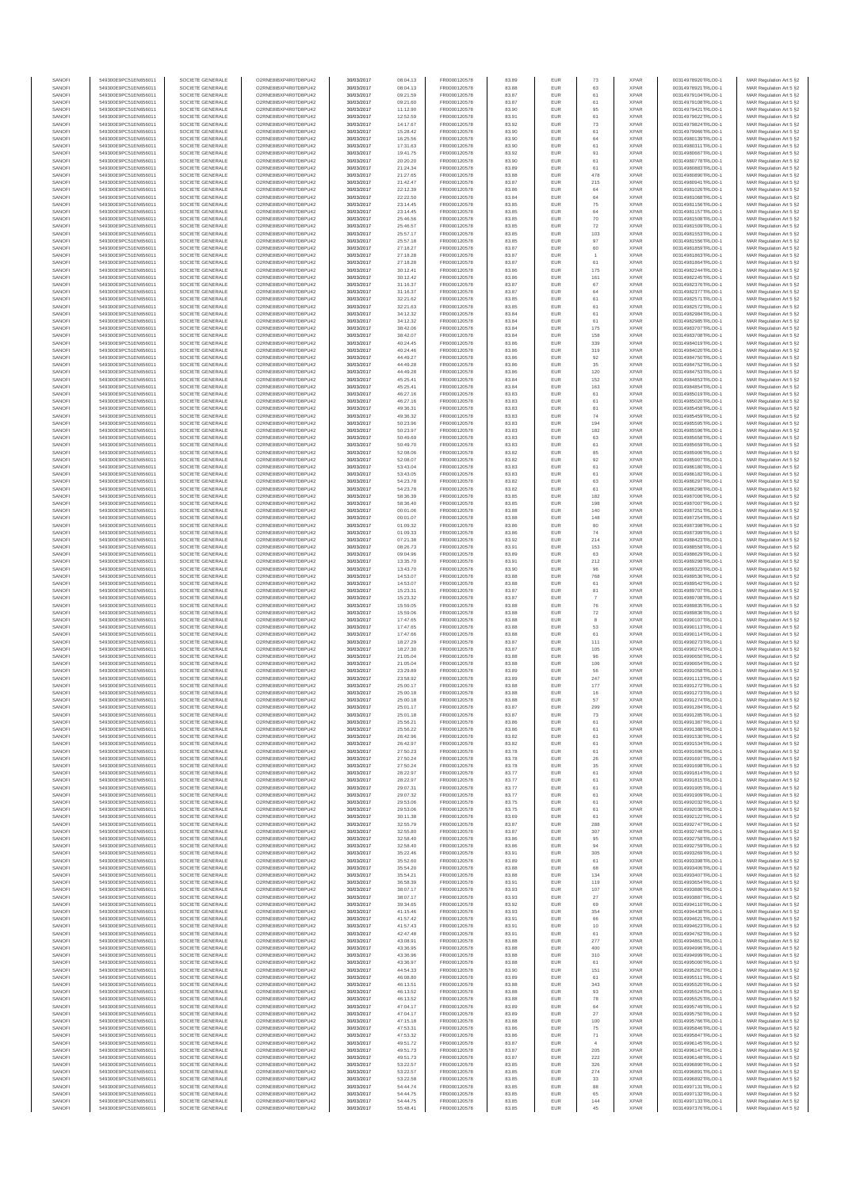| SANOF            | 549300E9PC51EN656011                         | SOCIETE GENERALE                     | O2RNE8IBXP4R0TD8PU42                          | 30/03/2017               | 08:04.13             | FR0000120578                 | 83.89          | EUR               | 73                           | <b>XPAR</b>                | 00314978920TRLO0-1                       | MAR Regulation Art 5 §2                            |
|------------------|----------------------------------------------|--------------------------------------|-----------------------------------------------|--------------------------|----------------------|------------------------------|----------------|-------------------|------------------------------|----------------------------|------------------------------------------|----------------------------------------------------|
| SANOFI<br>SANOFI | 549300E9PC51EN656011<br>549300E9PC51EN656011 | SOCIETE GENERALE<br>SOCIETE GENERALE | O2RNE8IBXP4R0TD8PU42                          | 30/03/2017<br>30/03/2017 | 08:04.13             | FR0000120578<br>FR0000120578 | 83.88<br>83.87 | EUR<br>EUR        | 63<br>61                     | <b>XPAR</b><br><b>XPAR</b> | 00314978921TRLO0-1<br>00314979104TRLO0-1 | MAR Regulation Art 5 §2                            |
| SANOFI           | 549300E9PC51EN656011                         | SOCIETE GENERALE                     | O2RNE8IBXP4R0TD8PU42<br>O2RNE8IBXP4R0TD8PU42  | 30/03/2017               | 09:21.59<br>09:21.60 | FR0000120578                 | 83.87          | EUR               | 61                           | <b>XPAR</b>                | 00314979108TRLO0-1                       | MAR Regulation Art 5 §2<br>MAR Regulation Art 5 §2 |
| SANOFI           | 549300E9PC51EN656011                         | SOCIETE GENERALE                     | O2RNE8IBXP4R0TD8PU42                          | 30/03/2017               | 11:12.90             | FR0000120578                 | 83.90          | EUR               | 95                           | <b>XPAR</b>                | 00314979421TRLO0-1                       | MAR Regulation Art 5 §2                            |
| SANOFI           | 549300E9PC51EN656011                         | SOCIETE GENERALE                     | O2RNE8IBXP4R0TD8PU42                          | 30/03/2017               | 12:52.59             | FR0000120578                 | 83.91          | EUR               | 61                           | <b>XPAR</b>                | 00314979622TRLO0-1                       | MAR Regulation Art 5 §2                            |
| SANOFI<br>SANOFI | 549300E9PC51EN656011<br>549300E9PC51EN656011 | SOCIETE GENERALE<br>SOCIETE GENERALE | O2RNE8IBXP4R0TD8PLI42<br>O2RNE8IBXP4R0TD8PU42 | 30/03/2017<br>30/03/2017 | 14:17.67<br>15:28.42 | FR0000120578<br>FR0000120578 | 83.92<br>83.90 | EUR<br>EUR        | 73<br>61                     | <b>XPAR</b><br><b>XPAR</b> | 00314979824TRLO0-1<br>00314979966TRLO0-1 | MAR Regulation Art 5 §2<br>MAR Regulation Art 5 §2 |
| SANOFI           | 549300E9PC51EN656011                         | SOCIETE GENERALE                     | O2RNE8IBXP4R0TD8PU42                          | 30/03/2017               | 16:25.56             | FR0000120578                 | 83.90          | EUR               | 64                           | <b>XPAR</b>                | 00314980139TRLO0-1                       | MAR Regulation Art 5 §2                            |
| SANOFI           | 549300E9PC51EN656011                         | SOCIETE GENERALE                     | O2RNE8IBXP4R0TD8PU42                          | 30/03/2017               | 17:31.63             | FR0000120578                 | 83.90          | EUR               | 61                           | <b>XPAR</b>                | 00314980311TRLO0-1                       | MAR Regulation Art 5 §2                            |
| SANOFI<br>SANOFI | 549300E9PC51EN656011<br>549300E9PC51EN656011 | SOCIETE GENERALE<br>SOCIETE GENERALE | O2RNE8IBXP4R0TD8PU42<br>O2RNE8IBXP4R0TD8PU42  | 30/03/2017<br>30/03/2017 | 19:41.75<br>20:20.20 | FR0000120578<br>FR0000120578 | 83.92<br>83.90 | EUR<br>EUR        | 91<br>61                     | <b>XPAR</b><br><b>XPAR</b> | 00314980667TRLO0-1<br>00314980778TRLO0-1 | MAR Regulation Art 5 §2<br>MAR Regulation Art 5 §2 |
| SANOFI           | 549300E9PC51EN656011                         | SOCIETE GENERALE                     | O2RNE8IBXP4R0TD8PU42                          | 30/03/2017               | 21:24.34             | FR0000120578                 | 83.89          | EUR               | 61                           | <b>XPAR</b>                | 00314980883TRLO0-1                       | MAR Regulation Art 5 §2                            |
| SANOFI           | 549300E9PC51EN656011                         | SOCIETE GENERALE                     | O2RNE8IBXP4R0TD8PU42                          | 30/03/2017               | 21:27.65             | FR0000120578                 | 83.88          | EUR               | 478                          | <b>XPAR</b>                | 00314980890TRLO0-1                       | MAR Regulation Art 5 §2                            |
| SANOFI           | 549300E9PC51EN656011                         | SOCIETE GENERALE                     | O2RNE8IBXP4R0TD8PU42                          | 30/03/2017               | 21:42.47             | FR0000120578                 | 83.87          | EUR               | 215                          | <b>XPAR</b>                | 00314980941TRLO0-1                       | MAR Regulation Art 5 §2                            |
| SANOFI<br>SANOFI | 549300E9PC51EN656011<br>549300E9PC51EN656011 | SOCIETE GENERALE<br>SOCIETE GENERALE | O2RNE8IBXP4R0TD8PU42<br>O2RNE8IBXP4R0TD8PU42  | 30/03/2017<br>30/03/2017 | 22:12.39<br>22:22.50 | FR0000120578<br>FR0000120578 | 83.86<br>83.84 | EUR<br>EUR        | 64<br>64                     | <b>XPAR</b><br><b>XPAR</b> | 00314981026TRLO0-1<br>00314981068TRLO0-1 | MAR Regulation Art 5 §2<br>MAR Regulation Art 5 §2 |
| SANOFI           | 549300E9PC51EN656011                         | SOCIETE GENERALE                     | O2RNE8IBXP4R0TD8PU42                          | 30/03/2017               | 23:14.45             | FR0000120578                 | 83.85          | EUR               | 75                           | <b>XPAR</b>                | 00314981156TRLO0-1                       | MAR Regulation Art 5 §2                            |
| SANOFI           | 549300E9PC51EN656011                         | SOCIETE GENERALE                     | O2RNE8IBXP4R0TD8PU42                          | 30/03/2017               | 23:14.45             | FR0000120578                 | 83.85          | EUR               | 64                           | <b>XPAR</b>                | 00314981157TRLO0-1                       | MAR Regulation Art 5 §2                            |
| SANOFI           | 549300E9PC51EN656011                         | SOCIETE GENERALE                     | O2RNE8IBXP4R0TD8PU42                          | 30/03/2017               | 25:46.56             | FR0000120578                 | 83.85          | EUR               | 70                           | <b>XPAR</b>                | 00314981508TRLO0-1                       | MAR Regulation Art 5 §2                            |
| SANOFI<br>SANOFI | 549300E9PC51EN656011<br>549300E9PC51EN656011 | SOCIETE GENERALE<br>SOCIETE GENERALE | O2RNE8IBXP4R0TD8PU42<br>O2RNE8IBXP4R0TD8PU42  | 30/03/2017<br>30/03/2017 | 25:46.57<br>25:57.17 | FR0000120578<br>FR0000120578 | 83.85<br>83.85 | EUR<br>EUR        | 72<br>103                    | <b>XPAR</b><br><b>XPAR</b> | 00314981509TRLO0-1<br>00314981553TRLO0-1 | MAR Regulation Art 5 §2<br>MAR Regulation Art 5 §2 |
| SANOFI           | 549300E9PC51EN656011                         | SOCIETE GENERALE                     | O2RNE8IBXP4R0TD8PU42                          | 30/03/2017               | 25:57.18             | FR0000120578                 | 83.85          | EUR               | 97                           | <b>XPAR</b>                | 00314981556TRLO0-1                       | MAR Regulation Art 5 §2                            |
| SANOFI           | 549300E9PC51EN656011                         | SOCIETE GENERALE                     | O2RNE8IBXP4R0TD8PU42                          | 30/03/2017               | 27:18.27             | FR0000120578                 | 83.87          | EUR               | 60                           | <b>XPAR</b>                | 00314981859TRLO0-1                       | MAR Regulation Art 5 §2                            |
| SANOFI<br>SANOFI | 549300E9PC51EN656011<br>549300E9PC51EN656011 | SOCIETE GENERALE<br>SOCIETE GENERALE | O2RNE8IBXP4R0TD8PU42<br>O2RNE8IBXP4R0TD8PU42  | 30/03/2017<br>30/03/2017 | 27:18.28<br>27:18.28 | FR0000120578<br>FR0000120578 | 83.87<br>83.87 | EUR<br>EUR        | $\overline{1}$<br>61         | <b>XPAR</b><br><b>XPAR</b> | 00314981863TRLO0-1<br>00314981864TRLO0-1 | MAR Regulation Art 5 §2<br>MAR Regulation Art 5 §2 |
| SANOFI           | 549300E9PC51EN656011                         | SOCIETE GENERALE                     | O2RNE8IBXP4R0TD8PU42                          | 30/03/2017               | 30:12.41             | FR0000120578                 | 83.86          | EUR               | 175                          | <b>XPAR</b>                | 00314982244TRLO0-1                       | MAR Regulation Art 5 §2                            |
| SANOFI           | 549300E9PC51EN656011                         | SOCIETE GENERALE                     | O2RNE8IBXP4R0TD8PU42                          | 30/03/2017               | 30:12.42             | FR0000120578                 | 83.86          | EUR               | 161                          | <b>XPAR</b>                | 00314982245TRLO0-1                       | MAR Regulation Art 5 §2                            |
| SANOFI           | 549300E9PC51EN656011                         | SOCIETE GENERALE                     | O2RNE8IBXP4R0TD8PU42                          | 30/03/2017               | 31:16.37             | FR0000120578                 | 83.87          | EUR               | 67                           | <b>XPAR</b>                | 00314982376TRLO0-1                       | MAR Regulation Art 5 §2                            |
| SANOFI<br>SANOFI | 549300E9PC51EN656011<br>549300E9PC51EN656011 | SOCIETE GENERALE<br>SOCIETE GENERALE | O2RNE8IBXP4R0TD8PU42<br>O2RNE8IBXP4R0TD8PU42  | 30/03/2017<br>30/03/2017 | 31:16.37<br>32:21.62 | FR0000120578<br>FR0000120578 | 83.87<br>83.85 | EUR<br>EUR        | 64<br>61                     | <b>XPAR</b><br><b>XPAR</b> | 00314982377TRLO0-1<br>00314982571TRLO0-1 | MAR Regulation Art 5 §2<br>MAR Regulation Art 5 §2 |
| SANOFI           | 549300E9PC51EN656011                         | SOCIETE GENERALE                     | O2RNE8IBXP4R0TD8PU42                          | 30/03/2017               | 32:21.63             | FR0000120578                 | 83.85          | EUR               | 61                           | <b>XPAR</b>                | 00314982572TRLO0-1                       | MAR Regulation Art 5 §2                            |
| SANOFI           | 549300E9PC51EN656011                         | SOCIETE GENERALE                     | O2RNE8IBXP4R0TD8PU42                          | 30/03/2017               | 34:12.32             | FR0000120578                 | 83.84          | EUR               | 61                           | <b>XPAR</b>                | 00314982984TRLO0-1                       | MAR Regulation Art 5 §2                            |
| SANOFI<br>SANOFI | 549300E9PC51EN656011<br>549300E9PC51EN656011 | SOCIETE GENERALE<br>SOCIETE GENERALE | O2RNE8IBXP4R0TD8PU42<br>O2RNE8IBXP4R0TD8PU42  | 30/03/2017<br>30/03/2017 | 34:12.32<br>38:42.06 | FR0000120578<br>FR0000120578 | 83.84<br>83.84 | EUR<br>EUR        | 61<br>175                    | <b>XPAR</b><br><b>XPAR</b> | 00314982985TRLO0-1<br>00314983707TRLO0-1 | MAR Regulation Art 5 §2                            |
| SANOFI           | 549300E9PC51EN656011                         | SOCIETE GENERALE                     | O2RNE8IBXP4R0TD8PU42                          | 30/03/2017               | 38:42.07             | FR0000120578                 | 83.84          | EUR               | 158                          | <b>XPAR</b>                | 00314983708TRLO0-1                       | MAR Regulation Art 5 §2<br>MAR Regulation Art 5 §2 |
| SANOFI           | 549300E9PC51EN656011                         | SOCIETE GENERALE                     | O2RNE8IBXP4R0TD8PU42                          | 30/03/2017               | 40:24.45             | FR0000120578                 | 83.86          | EUR               | 339                          | <b>XPAR</b>                | 00314984019TRLO0-1                       | MAR Regulation Art 5 §2                            |
| SANOFI           | 549300E9PC51EN656011                         | SOCIETE GENERALE                     | O2RNE8IBXP4R0TD8PU42                          | 30/03/2017               | 40:24.46             | FR0000120578                 | 83.86          | EUR               | 319                          | <b>XPAR</b>                | 00314984020TRLO0-1                       | MAR Regulation Art 5 §2                            |
| SANOFI<br>SANOFI | 549300E9PC51EN656011<br>549300E9PC51EN656011 | SOCIETE GENERALE<br>SOCIETE GENERALE | O2RNE8IBXP4R0TD8PU42<br>O2RNE8IBXP4R0TD8PU42  | 30/03/2017<br>30/03/2017 | 44:49.27<br>44:49.28 | FR0000120578<br>FR0000120578 | 83.86<br>83.86 | EUR<br>EUR        | 92<br>35                     | <b>XPAR</b><br><b>XPAR</b> | 00314984750TRLO0-1<br>00314984752TRLO0-1 | MAR Regulation Art 5 §2<br>MAR Regulation Art 5 §2 |
| SANOFI           | 549300E9PC51EN656011                         | SOCIETE GENERALE                     | O2RNE8IBXP4R0TD8PU42                          | 30/03/2017               | 44:49.28             | FR0000120578                 | 83.86          | <b>EUR</b>        | 120                          | <b>XPAR</b>                | 00314984753TRLO0-1                       | MAR Regulation Art 5 §2                            |
| SANOFI           | 549300E9PC51EN656011                         | SOCIETE GENERALE                     | O2RNE8IBXP4R0TD8PU42                          | 30/03/2017               | 45:25.41             | FR0000120578                 | 83.84          | EUR               | 152                          | <b>XPAR</b>                | 00314984853TRLO0-1                       | MAR Regulation Art 5 §2                            |
| SANOFI           | 549300E9PC51EN656011                         | SOCIETE GENERALE<br>SOCIETE GENERALE | O2RNE8IBXP4R0TD8PU42                          | 30/03/2017               | 45:25.41             | FR0000120578                 | 83.84          | EUR               | 163                          | <b>XPAR</b>                | 00314984854TRLO0-1                       | MAR Regulation Art 5 §2                            |
| SANOFI<br>SANOFI | 549300E9PC51EN656011<br>549300E9PC51EN656011 | SOCIETE GENERALE                     | O2RNE8IBXP4R0TD8PU42<br>O2RNE8IBXP4R0TD8PU42  | 30/03/2017<br>30/03/2017 | 46:27.16<br>46:27.16 | FR0000120578<br>FR0000120578 | 83.83<br>83.83 | EUR<br>EUR        | 61<br>61                     | <b>XPAR</b><br><b>XPAR</b> | 00314985019TRLO0-1<br>00314985020TRLO0-1 | MAR Regulation Art 5 §2<br>MAR Regulation Art 5 §2 |
| SANOFI           | 549300E9PC51EN656011                         | SOCIETE GENERALE                     | O2RNE8IBXP4R0TD8PU42                          | 30/03/2017               | 49:36.31             | FR0000120578                 | 83.83          | EUR               | 81                           | <b>XPAR</b>                | 00314985458TRLO0-1                       | MAR Regulation Art 5 §2                            |
| SANOFI           | 549300E9PC51EN656011                         | SOCIETE GENERALE                     | O2RNE8IBXP4R0TD8PU42                          | 30/03/2017               | 49:36.32             | FR0000120578                 | 83.83          | EUR               | 74                           | <b>XPAR</b>                | 00314985459TRLO0-1                       | MAR Regulation Art 5 §2                            |
| SANOFI           | 549300E9PC51EN656011                         | SOCIETE GENERALE                     | O2RNE8IBXP4R0TD8PU42<br>O2RNE8IBXP4R0TD8PU42  | 30/03/2017               | 50:23.96             | FR0000120578                 | 83.83          | EUR               | 194                          | <b>XPAR</b>                | 00314985595TRLO0-1                       | MAR Regulation Art 5 §2                            |
| SANOFI<br>SANOFI | 549300E9PC51EN656011<br>549300E9PC51EN656011 | SOCIETE GENERALE<br>SOCIETE GENERALE | O2RNE8IBXP4R0TD8PU42                          | 30/03/2017<br>30/03/2017 | 50:23.97<br>50:49.69 | FR0000120578<br>FR0000120578 | 83.83<br>83.83 | EUR<br>EUR        | 182<br>63                    | <b>XPAR</b><br><b>XPAR</b> | 00314985596TRLO0-1<br>00314985658TRLO0-1 | MAR Regulation Art 5 §2<br>MAR Regulation Art 5 §2 |
| SANOFI           | 549300E9PC51EN656011                         | SOCIETE GENERALE                     | O2RNE8IBXP4R0TD8PU42                          | 30/03/2017               | 50:49.70             | FR0000120578                 | 83.83          | EUR               | 61                           | <b>XPAR</b>                | 00314985659TRLO0-1                       | MAR Regulation Art 5 §2                            |
| SANOFI           | 549300E9PC51EN656011                         | SOCIETE GENERALE                     | O2RNE8IBXP4R0TD8PU42                          | 30/03/2017               | 52:08.06             | FR0000120578                 | 83.82          | EUR               | 85                           | <b>XPAR</b>                | 00314985906TRLO0-1                       | MAR Regulation Art 5 §2                            |
| SANOFI<br>SANOFI | 549300E9PC51EN656011                         | SOCIETE GENERALE                     | O2RNE8IBXP4R0TD8PU42                          | 30/03/2017               | 52:08.07             | FR0000120578<br>FR0000120578 | 83.82<br>83.83 | EUR<br>EUR        | 92<br>61                     | <b>XPAR</b><br><b>XPAR</b> | 00314985907TRLO0-1                       | MAR Regulation Art 5 §2                            |
| SANOFI           | 549300E9PC51EN656011<br>549300E9PC51EN656011 | SOCIETE GENERALE<br>SOCIETE GENERALE | O2RNE8IBXP4R0TD8PU42<br>O2RNESIBXP4R0TD8PLI42 | 30/03/2017<br>30/03/2017 | 53:43.04<br>53:43.05 | FR0000120578                 | 83.83          | EUR               | 61                           | <b>XPAR</b>                | 00314986180TRLO0-1<br>00314986182TRLO0-1 | MAR Regulation Art 5 §2<br>MAR Regulation Art 5 §2 |
| SANOFI           | 549300E9PC51EN656011                         | SOCIETE GENERALE                     | O2RNE8IBXP4R0TD8PU42                          | 30/03/2017               | 54:23.78             | FR0000120578                 | 83.82          | EUR               | 63                           | <b>XPAR</b>                | 00314986297TRLO0-1                       | MAR Regulation Art 5 §2                            |
| SANOFI           | 549300E9PC51EN656011                         | SOCIETE GENERALE                     | O2RNE8IBXP4R0TD8PU42                          | 30/03/2017               | 54:23.78             | FR0000120578                 | 83.82          | EUR               | 61                           | <b>XPAR</b>                | 00314986298TRLO0-1                       | MAR Regulation Art 5 §2                            |
| SANOFI<br>SANOFI | 549300E9PC51EN656011<br>549300E9PC51EN656011 | SOCIETE GENERALE<br>SOCIETE GENERALE | O2RNE8IBXP4R0TD8PU42<br>O2RNE8IBXP4R0TD8PU42  | 30/03/2017<br>30/03/2017 | 58:36.39<br>58:36.40 | FR0000120578<br>FR0000120578 | 83.85<br>83.85 | EUR<br>EUR        | 182<br>198                   | <b>XPAR</b><br><b>XPAR</b> | 00314987006TRLO0-1<br>00314987007TRLO0-1 | MAR Regulation Art 5 §2<br>MAR Regulation Art 5 §2 |
| SANOFI           | 549300E9PC51EN656011                         | SOCIETE GENERALE                     | O2RNE8IBXP4R0TD8PU42                          | 30/03/2017               | 00:01.06             | FR0000120578                 | 83.88          | EUR               | 140                          | <b>XPAR</b>                | 00314987251TRLO0-1                       | MAR Regulation Art 5 §2                            |
| SANOFI           | 549300E9PC51EN656011                         | SOCIETE GENERALE                     | O2RNE8IBXP4R0TD8PU42                          | 30/03/2017               | 00:01.07             | FR0000120578                 | 83.88          | EUR               | 148                          | <b>XPAR</b>                | 00314987254TRLO0-1                       | MAR Regulation Art 5 §2                            |
| SANOFI           | 549300E9PC51EN656011                         | SOCIETE GENERALE                     | O2RNE8IBXP4R0TD8PU42                          | 30/03/2017               | 01:09.32             | FR0000120578                 | 83.86          | EUR               | 80                           | <b>XPAR</b>                | 00314987398TRLO0-1                       | MAR Regulation Art 5 §2                            |
| SANOFI<br>SANOFI | 549300E9PC51EN656011<br>549300E9PC51EN656011 | SOCIETE GENERALE<br>SOCIETE GENERALE | O2RNE8IBXP4R0TD8PU42<br>O2RNE8IBXP4R0TD8PU42  | 30/03/2017<br>30/03/2017 | 01:09.33<br>07:21.38 | FR0000120578<br>FR0000120578 | 83.86<br>83.92 | EUR<br>EUR        | 74<br>214                    | <b>XPAR</b><br><b>XPAR</b> | 00314987399TRLO0-1<br>00314988423TRLO0-1 | MAR Regulation Art 5 §2<br>MAR Regulation Art 5 §2 |
| SANOFI           | 549300E9PC51EN656011                         | SOCIETE GENERALE                     | O2RNE8IBXP4R0TD8PU42                          | 30/03/2017               | 08:26.73             | FR0000120578                 | 83.91          | EUR               | 153                          | <b>XPAR</b>                | 00314988558TRLO0-1                       | MAR Regulation Art 5 §2                            |
| SANOFI           | 549300E9PC51EN656011                         | SOCIETE GENERALE                     | O2RNE8IBXP4R0TD8PU42                          | 30/03/2017               | 09:04.96             | FR0000120578                 | 83.89          | <b>EUR</b>        | 63                           | <b>XPAR</b>                | 00314988629TRLO0-1                       | MAR Regulation Art 5 §2                            |
| SANOFI           | 549300E9PC51EN656011                         | SOCIETE GENERALE                     | O2RNE8IBXP4R0TD8PU42                          | 30/03/2017               | 13:35.70             | FR0000120578                 | 83.91          | EUR               | 212                          | <b>XPAR</b>                | 00314989298TRLO0-1                       | MAR Regulation Art 5 §2                            |
| SANOFI<br>SANOFI | 549300E9PC51EN656011<br>549300E9PC51EN656011 | SOCIETE GENERALE<br>SOCIETE GENERALE | O2RNE8IBXP4R0TD8PU42<br>O2RNE8IBXP4R0TD8PU42  | 30/03/2017<br>30/03/2017 | 13:43.70<br>14:53.07 | FR0000120578<br>FR0000120578 | 83.90<br>83.88 | EUR<br>EUR        | 96<br>768                    | <b>XPAR</b><br><b>XPAR</b> | 00314989323TRLO0-1<br>00314989536TRLO0-1 | MAR Regulation Art 5 §2<br>MAR Regulation Art 5 §2 |
| SANOFI           | 549300E9PC51EN656011                         | SOCIETE GENERALE                     | O2RNE8IBXP4R0TD8PU42                          | 30/03/2017               | 14:53.07             | FR0000120578                 | 83.88          | EUR               | 61                           | <b>XPAR</b>                | 00314989542TRLO0-1                       | MAR Regulation Art 5 §2                            |
| SANOFI           | 549300E9PC51EN656011                         | SOCIETE GENERALE                     | O2RNE8IBXP4R0TD8PU42                          | 30/03/2017               | 15:23.31             | FR0000120578                 | 83.87          | EUR               | 81                           | <b>XPAR</b>                | 00314989707TRLO0-1                       | MAR Regulation Art 5 §2                            |
| SANOFI<br>SANOFI | 549300E9PC51EN656011<br>549300E9PC51EN656011 | SOCIETE GENERALE<br>SOCIETE GENERALE | O2RNE8IBXP4R0TD8PU42<br>O2RNE8IBXP4R0TD8PU42  | 30/03/2017<br>30/03/2017 | 15:23.32<br>15:59.05 | FR0000120578<br>FR0000120578 | 83.87<br>83.88 | EUR<br>EUR        | $\overline{7}$<br>${\bf 76}$ | <b>XPAR</b><br><b>XPAR</b> | 00314989708TRLO0-1<br>00314989835TRLO0-1 | MAR Regulation Art 5 §2<br>MAR Regulation Art 5 §2 |
| SANOFI           | 549300E9PC51EN656011                         | SOCIETE GENERALE                     | O2RNE8IBXP4R0TD8PU42                          | 30/03/2017               | 15:59.06             | FR0000120578                 | 83.88          | EUR               | $\scriptstyle{72}$           | <b>XPAR</b>                | 00314989836TRLO0-1                       | MAR Regulation Art 5 §2                            |
| SANOFI           | 549300E9PC51EN656011                         | SOCIETE GENERALE                     | O2RNE8IBXP4R0TD8PU42                          | 30/03/2017               | 17:47.65             | FR0000120578                 | 83.88          | EUR               | 8                            | <b>XPAR</b>                | 00314990107TRLO0-1                       | MAR Regulation Art 5 §2                            |
| SANOFI<br>SANOFI | 549300E9PC51EN656011<br>549300E9PC51EN656011 | SOCIETE GENERALE<br>SOCIETE GENERALE | O2RNE8IBXP4R0TD8PU42<br>O2RNE8IBXP4R0TD8PU42  | 30/03/2017<br>30/03/2017 | 17:47.65<br>17:47.66 | FR0000120578<br>FR0000120578 | 83.88<br>83.88 | EUR<br><b>EUR</b> | 53<br>61                     | <b>XPAR</b><br><b>XPAR</b> | 00314990113TRLO0-1<br>00314990114TRLO0-1 | MAR Regulation Art 5 §2                            |
| SANOFI           | 549300E9PC51EN656011                         | SOCIETE GENERALE                     | O2RNE8IBXP4R0TD8PU42                          | 30/03/2017               | 18:27.29             | FR0000120578                 | 83.87          | EUR               | 111                          | <b>XPAR</b>                | 00314990273TRLO0-1                       | MAR Regulation Art 5 §2<br>MAR Regulation Art 5 §2 |
| SANOFI           | 549300E9PC51EN656011                         | SOCIETE GENERALE                     | O2RNE8IBXP4R0TD8PU42                          | 30/03/2017               | 18:27.30             | FR0000120578                 | 83.87          | EUR               | 105                          | <b>XPAR</b>                | 00314990274TRLO0-1                       | MAR Regulation Art 5 §2                            |
| SANOFI           | 549300E9PC51EN656011                         | SOCIETE GENERALE                     | O2RNE8IBXP4R0TD8PU42                          | 30/03/2017               | 21:05.04             | FR0000120578                 | 83.88          | EUR               | 96                           | <b>XPAR</b>                | 00314990650TRLO0-1                       | MAR Regulation Art 5 §2                            |
| SANOFI<br>SANOFI | 549300E9PC51EN656011<br>549300E9PC51EN656011 | SOCIETE GENERALE<br>SOCIETE GENERALE | O2RNE8IBXP4R0TD8PU42<br>O2RNE8IBXP4R0TD8PU42  | 30/03/2017<br>30/03/2017 | 21:05.04<br>23:29.89 | FR0000120578<br>FR0000120578 | 83.88<br>83.89 | EUR<br>EUR        | 106<br>56                    | <b>XPAR</b><br><b>XPAR</b> | 00314990654TRLO0-1<br>00314991058TRLO0-1 | MAR Regulation Art 5 §2<br>MAR Regulation Art 5 §2 |
| SANOFI           | 549300E9PC51EN656011                         | SOCIETE GENERALE                     | O2RNE8IBXP4R0TD8PU42                          | 30/03/2017               | 23:58.92             | FR0000120578                 | 83.89          | EUR               | 247                          | <b>XPAR</b>                | 00314991113TRLO0-1                       | MAR Regulation Art 5 §2                            |
| SANOFI           | 549300E9PC51EN656011                         | SOCIETE GENERALE                     | O2RNE8IBXP4R0TD8PU42                          | 30/03/2017               | 25:00.17             | FR0000120578                 | 83.88          | EUR               | 177                          | <b>XPAR</b>                | 00314991272TRLO0-1                       | MAR Regulation Art 5 §2                            |
| SANOFI           | 549300E9PC51EN656011                         | SOCIETE GENERALE                     | O2RNE8IBXP4R0TD8PU42                          | 30/03/2017               | 25:00.18             | FR0000120578                 | 83.88          | EUR               | 16                           | <b>XPAR</b>                | 00314991273TRLO0-1                       | MAR Regulation Art 5 §2                            |
| SANOFI<br>SANOFI | 549300E9PC51EN656011<br>549300E9PC51EN656011 | SOCIETE GENERALE<br>SOCIETE GENERALE | O2RNE8IBXP4R0TD8PU42<br>O2RNE8IBXP4R0TD8PU42  | 30/03/2017<br>30/03/2017 | 25:00.18<br>25:01.17 | FR0000120578<br>FR0000120578 | 83.88<br>83.87 | EUR<br>EUR        | 57<br>299                    | <b>XPAR</b><br><b>XPAR</b> | 00314991274TRLO0-1<br>00314991284TRLO0-1 | MAR Regulation Art 5 §2<br>MAR Regulation Art 5 §2 |
| SANOFI           | 549300E9PC51EN656011                         | SOCIETE GENERALE                     | O2RNE8IBXP4R0TD8PU42                          | 30/03/2017               | 25:01.18             | FR0000120578                 | 83.87          | EUR               | 73                           | <b>XPAR</b>                | 00314991285TRLO0-1                       | MAR Regulation Art 5 §2                            |
| SANOFI           | 549300E9PC51EN656011                         | SOCIETE GENERALE                     | O2RNE8IBXP4R0TD8PU42                          | 30/03/2017               | 25:56.21             | FR0000120578                 | 83.86          | EUR               | 61                           | <b>XPAR</b>                | 00314991387TRLO0-1                       | MAR Regulation Art 5 §2                            |
| SANOFI<br>SANOFI | 549300E9PC51EN656011<br>549300E9PC51EN656011 | SOCIETE GENERALE<br>SOCIETE GENERALE | O2RNE8IBXP4R0TD8PU42<br>O2RNE8IBXP4R0TD8PU42  | 30/03/2017               | 25:56.22             | FR0000120578                 | 83.86          | EUR<br>EUR        | 61                           | <b>XPAR</b><br><b>XPAR</b> | 00314991388TRLO0-1                       | MAR Regulation Art 5 §2                            |
| SANOFI           | 549300E9PC51EN656011                         | SOCIETE GENERALE                     | O2RNE8IBXP4R0TD8PU42                          | 30/03/2017<br>30/03/2017 | 26:42.96<br>26:42.97 | FR0000120578<br>FR0000120578 | 83.82<br>83.82 | EUR               | 61<br>61                     | <b>XPAR</b>                | 00314991530TRLO0-1<br>00314991534TRLO0-1 | MAR Regulation Art 5 §2<br>MAR Regulation Art 5 §2 |
| SANOFI           | 549300E9PC51EN656011                         | SOCIETE GENERALE                     | O2RNE8IBXP4R0TD8PU42                          | 30/03/2017               | 27:50.23             | FR0000120578                 | 83.78          | EUR               | 61                           | <b>XPAR</b>                | 00314991696TRLO0-1                       | MAR Regulation Art 5 §2                            |
| SANOFI           | 549300E9PC51EN656011                         | SOCIETE GENERALE                     | O2RNE8IBXP4R0TD8PU42                          | 30/03/2017               | 27:50.24             | FR0000120578                 | 83.78          | EUR               | 26                           | <b>XPAR</b>                | 00314991697TRLO0-1                       | MAR Regulation Art 5 §2                            |
| SANOFI<br>SANOFI | 549300E9PC51EN656011<br>549300E9PC51EN656011 | SOCIETE GENERALE<br>SOCIETE GENERALE | O2RNE8IBXP4R0TD8PU42<br>O2RNE8IBXP4R0TD8PU42  | 30/03/2017<br>30/03/2017 | 27:50.24<br>28:22.97 | FR0000120578<br>FR0000120578 | 83.78<br>83.77 | <b>EUR</b><br>EUR | 35<br>61                     | <b>XPAR</b><br><b>XPAR</b> | 00314991698TRLO0-1<br>00314991814TRLO0-1 | MAR Regulation Art 5 §2<br>MAR Regulation Art 5 §2 |
| SANOFI           | 549300E9PC51EN656011                         | SOCIETE GENERALE                     | O2RNE8IBXP4R0TD8PU42                          | 30/03/2017               | 28:22.97             | FR0000120578                 | 83.77          | EUR               | 61                           | <b>XPAR</b>                | 00314991815TRLO0-1                       | MAR Regulation Art 5 §2                            |
| SANOFI           | 549300E9PC51EN656011                         | SOCIETE GENERALE                     | O2RNE8IBXP4R0TD8PU42                          | 30/03/2017               | 29:07.31             | FR0000120578                 | 83.77          | EUR               | 61                           | <b>XPAR</b>                | 00314991905TRLO0-1                       | MAR Regulation Art 5 §2                            |
| SANOFI<br>SANOFI | 549300E9PC51EN656011<br>549300E9PC51EN656011 | SOCIETE GENERALE<br>SOCIETE GENERALE | O2RNE8IBXP4R0TD8PU42<br>O2RNE8IBXP4R0TD8PU42  | 30/03/2017<br>30/03/2017 | 29:07.32<br>29:53.06 | FR0000120578<br>FR0000120578 | 83.77<br>83.75 | EUR<br><b>EUR</b> | 61<br>61                     | <b>XPAR</b><br><b>XPAR</b> | 00314991909TRLO0-1<br>00314992032TRLO0-1 | MAR Regulation Art 5 §2<br>MAR Regulation Art 5 §2 |
| SANOFI           | 549300E9PC51EN656011                         | SOCIETE GENERALE                     | O2RNE8IBXP4R0TD8PU42                          | 30/03/2017               | 29:53.06             | FR0000120578                 | 83.75          | EUR               | 61                           | <b>XPAR</b>                | 00314992036TRLO0-1                       | MAR Regulation Art 5 §2                            |
| SANOFI           | 549300E9PC51EN656011                         | SOCIETE GENERALE                     | O2RNE8IBXP4R0TD8PU42                          | 30/03/2017               | 30:11.38             | FR0000120578                 | 83.69          | <b>EUR</b>        | 61                           | <b>XPAR</b>                | 00314992122TRLO0-1                       | MAR Regulation Art 5 §2                            |
| SANOFI<br>SANOFI | 549300E9PC51EN656011<br>549300E9PC51EN656011 | SOCIETE GENERALE<br>SOCIETE GENERALE | O2RNE8IBXP4R0TD8PU42<br>O2RNE8IBXP4R0TD8PU42  | 30/03/2017<br>30/03/2017 | 32:55.79<br>32:55.80 | FR0000120578<br>FR0000120578 | 83.87<br>83.87 | EUR<br>EUR        | 288<br>307                   | <b>XPAR</b><br><b>XPAR</b> | 00314992747TRLO0-1<br>00314992748TRLO0-1 | MAR Regulation Art 5 §2<br>MAR Regulation Art 5 §2 |
| SANOFI           | 549300E9PC51EN656011                         | SOCIETE GENERALE                     | O2RNE8IBXP4R0TD8PU42                          | 30/03/2017               | 32:58.40             | FR0000120578                 | 83.86          | EUR               | 95                           | <b>XPAR</b>                | 00314992758TRLO0-1                       | MAR Regulation Art 5 §2                            |
| SANOFI           | 549300E9PC51EN656011                         | SOCIETE GENERALE                     | O2RNE8IBXP4R0TD8PU42                          | 30/03/2017               | 32:58.40             | FR0000120578                 | 83.86          | EUR               | 94                           | <b>XPAR</b>                | 00314992759TRLO0-1                       | MAR Regulation Art 5 §2                            |
| SANOFI<br>SANOFI | 549300E9PC51EN656011<br>549300E9PC51EN656011 | SOCIETE GENERALE<br>SOCIETE GENERALE | O2RNE8IBXP4R0TD8PU42<br>O2RNE8IBXP4R0TD8PU42  | 30/03/2017<br>30/03/2017 | 35:22.46<br>35:52.60 | FR0000120578<br>FR0000120578 | 83.91<br>83.89 | EUR<br>EUR        | 305<br>61                    | <b>XPAR</b><br><b>XPAR</b> | 00314993269TRLO0-1<br>00314993398TRLO0-1 | MAR Regulation Art 5 §2                            |
| SANOFI           | 549300E9PC51EN656011                         | SOCIETE GENERALE                     | O2RNE8IBXP4R0TD8PU42                          | 30/03/2017               | 35:54.20             | FR0000120578                 | 83.88          | <b>EUR</b>        | 68                           | <b>XPAR</b>                | 00314993406TRLO0-1                       | MAR Regulation Art 5 §2<br>MAR Regulation Art 5 §2 |
| SANOFI           | 549300E9PC51EN656011                         | SOCIETE GENERALE                     | O2RNE8IBXP4R0TD8PU42                          | 30/03/2017               | 35:54.21             | FR0000120578                 | 83.88          | EUR               | 134                          | <b>XPAR</b>                | 00314993407TRLO0-1                       | MAR Regulation Art 5 §2                            |
| SANOFI           | 549300E9PC51EN656011                         | SOCIETE GENERALE                     | O2RNE8IBXP4R0TD8PU42                          | 30/03/2017               | 36:58.39             | FR0000120578                 | 83.91          | <b>EUR</b>        | 119                          | <b>XPAR</b>                | 00314993654TRLO0-1                       | MAR Regulation Art 5 §2                            |
| SANOFI<br>SANOFI | 549300E9PC51EN656011<br>549300E9PC51EN656011 | SOCIETE GENERALE<br>SOCIETE GENERALE | O2RNE8IBXP4R0TD8PU42<br>O2RNE8IBXP4R0TD8PU42  | 30/03/2017<br>30/03/2017 | 38:07.17<br>38:07.17 | FR0000120578<br>FR0000120578 | 83.93<br>83.93 | EUR<br>EUR        | 107<br>27                    | <b>XPAR</b><br><b>XPAR</b> | 00314993886TRLO0-1<br>00314993887TRLO0-1 | MAR Regulation Art 5 §2<br>MAR Regulation Art 5 §2 |
| SANOFI           | 549300E9PC51EN656011                         | SOCIETE GENERALE                     | O2RNE8IBXP4R0TD8PU42                          | 30/03/2017               | 39:34.65             | FR0000120578                 | 83.92          | EUR               | 69                           | <b>XPAR</b>                | 00314994110TRLO0-1                       | MAR Regulation Art 5 §2                            |
| SANOFI           | 549300E9PC51EN656011                         | SOCIETE GENERALE                     | O2RNE8IBXP4R0TD8PU42                          | 30/03/2017               | 41:15.46             | FR0000120578                 | 83.93          | EUR               | 354                          | <b>XPAR</b>                | 00314994438TRLO0-1                       | MAR Regulation Art 5 §2                            |
| SANOFI           | 549300E9PC51EN656011                         | SOCIETE GENERALE                     | O2RNE8IBXP4R0TD8PU42                          | 30/03/2017               | 41:57.42             | FR0000120578                 | 83.91          | EUR               | 66                           | <b>XPAR</b>                | 00314994621TRLO0-1                       | MAR Regulation Art 5 §2                            |
| SANOFI<br>SANOFI | 549300E9PC51EN656011<br>549300E9PC51EN656011 | SOCIETE GENERALE<br>SOCIETE GENERALE | O2RNE8IBXP4R0TD8PU42<br>O2RNE8IBXP4R0TD8PU42  | 30/03/2017<br>30/03/2017 | 41:57.43<br>42:47.48 | FR0000120578<br>FR0000120578 | 83.91<br>83.91 | EUR<br><b>EUR</b> | 10<br>61                     | <b>XPAR</b><br><b>XPAR</b> | 00314994623TRLO0-1<br>00314994762TRLO0-1 | MAR Regulation Art 5 §2<br>MAR Regulation Art 5 §2 |
| SANOFI           | 549300E9PC51EN656011                         | SOCIETE GENERALE                     | O2RNE8IBXP4R0TD8PU42                          | 30/03/2017               | 43:08.91             | FR0000120578                 | 83.88          | EUR               | 277                          | <b>XPAR</b>                | 00314994861TRLO0-1                       | MAR Regulation Art 5 §2                            |
| SANOFI           | 549300E9PC51EN656011                         | SOCIETE GENERALE                     | O2RNE8IBXP4R0TD8PU42                          | 30/03/2017               | 43:36.95             | FR0000120578                 | 83.88          | <b>EUR</b>        | 400                          | <b>XPAR</b>                | 00314994996TRLO0-1                       | MAR Regulation Art 5 §2                            |
| SANOFI<br>SANOFI | 549300E9PC51EN656011<br>549300E9PC51EN656011 | SOCIETE GENERALE<br>SOCIETE GENERALE | O2RNE8IBXP4R0TD8PU42<br>O2RNE8IBXP4R0TD8PU42  | 30/03/2017<br>30/03/2017 | 43:36.96<br>43:36.97 | FR0000120578<br>FR0000120578 | 83.88<br>83.88 | EUR<br>EUR        | 310<br>61                    | <b>XPAR</b><br><b>XPAR</b> | 00314994999TRLO0-1<br>00314995000TRLO0-1 | MAR Regulation Art 5 §2                            |
| SANOFI           | 549300E9PC51EN656011                         | SOCIETE GENERALE                     | O2RNE8IBXP4R0TD8PU42                          | 30/03/2017               | 44:54.33             | FR0000120578                 | 83.90          | EUR               | 151                          | <b>XPAR</b>                | 00314995267TRLO0-1                       | MAR Regulation Art 5 §2<br>MAR Regulation Art 5 §2 |
| SANOFI           | 549300E9PC51EN656011                         | SOCIETE GENERALE                     | O2RNE8IBXP4R0TD8PU42                          | 30/03/2017               | 46:08.80             | FR0000120578                 | 83.89          | EUR               | 61                           | <b>XPAR</b>                | 00314995511TRLO0-1                       | MAR Regulation Art 5 §2                            |
| SANOFI           | 549300E9PC51EN656011                         | SOCIETE GENERALE                     | O2RNE8IBXP4R0TD8PU42                          | 30/03/2017               | 46:13.51             | FR0000120578                 | 83.88          | EUR               | 343                          | <b>XPAR</b>                | 00314995520TRLO0-1                       | MAR Regulation Art 5 §2                            |
| SANOFI<br>SANOFI | 549300E9PC51EN656011<br>549300E9PC51EN656011 | SOCIETE GENERALE<br>SOCIETE GENERALE | O2RNE8IBXP4R0TD8PU42<br>O2RNE8IBXP4R0TD8PU42  | 30/03/2017<br>30/03/2017 | 46:13.52<br>46:13.52 | FR0000120578<br>FR0000120578 | 83.88<br>83.88 | EUR<br><b>EUR</b> | 93                           | <b>XPAR</b><br><b>XPAR</b> | 00314995524TRLO0-1<br>00314995525TRLO0-1 | MAR Regulation Art 5 §2                            |
| SANOFI           | 549300E9PC51EN656011                         | SOCIETE GENERALE                     | O2RNE8IBXP4R0TD8PU42                          | 30/03/2017               | 47:04.17             | FR0000120578                 | 83.89          | EUR               | 78<br>64                     | <b>XPAR</b>                | 00314995749TRLO0-1                       | MAR Regulation Art 5 §2<br>MAR Regulation Art 5 §2 |
| SANOFI           | 549300E9PC51EN656011                         | SOCIETE GENERALE                     | O2RNE8IBXP4R0TD8PU42                          | 30/03/2017               | 47:04.17             | FR0000120578                 | 83.89          | <b>EUR</b>        | 27                           | <b>XPAR</b>                | 00314995750TRLO0-1                       | MAR Regulation Art 5 §2                            |
| SANOFI           | 549300E9PC51EN656011                         | SOCIETE GENERALE                     | O2RNE8IBXP4R0TD8PU42                          | 30/03/2017               | 47:15.18             | FR0000120578                 | 83.88          | EUR               | 100                          | <b>XPAR</b>                | 00314995766TRLO0-1                       | MAR Regulation Art 5 §2                            |
| SANOFI<br>SANOFI | 549300E9PC51EN656011<br>549300E9PC51EN656011 | SOCIETE GENERALE<br>SOCIETE GENERALE | O2RNE8IBXP4R0TD8PU42<br>O2RNE8IBXP4R0TD8PU42  | 30/03/2017<br>30/03/2017 | 47:53.31<br>47:53.32 | FR0000120578<br>FR0000120578 | 83.86<br>83.86 | EUR<br>EUR        | 75<br>71                     | <b>XPAR</b><br><b>XPAR</b> | 00314995846TRLO0-1<br>00314995847TRLO0-1 | MAR Regulation Art 5 §2<br>MAR Regulation Art 5 §2 |
| SANOFI           | 549300E9PC51EN656011                         | SOCIETE GENERALE                     | O2RNE8IBXP4R0TD8PU42                          | 30/03/2017               | 49:51.72             | FR0000120578                 | 83.87          | EUR               | $\overline{4}$               | <b>XPAR</b>                | 00314996145TRLO0-1                       | MAR Regulation Art 5 §2                            |
| SANOFI           | 549300E9PC51EN656011                         | SOCIETE GENERALE                     | O2RNE8IBXP4R0TD8PU42                          | 30/03/2017               | 49:51.73             | FR0000120578                 | 83.87          | <b>EUR</b>        | 205                          | <b>XPAR</b>                | 00314996147TRLO0-1                       | MAR Regulation Art 5 §2                            |
| SANOFI<br>SANOFI | 549300E9PC51EN656011<br>549300E9PC51EN656011 | SOCIETE GENERALE<br>SOCIETE GENERALE | O2RNE8IBXP4R0TD8PU42<br>O2RNE8IBXP4R0TD8PU42  | 30/03/2017<br>30/03/2017 | 49:51.73<br>53:22.57 | FR0000120578<br>FR0000120578 | 83.87<br>83.85 | EUR<br><b>EUR</b> | 222<br>326                   | <b>XPAR</b><br><b>XPAR</b> | 00314996148TRLO0-1<br>00314996890TRLO0-1 | MAR Regulation Art 5 §2                            |
| SANOFI           | 549300E9PC51EN656011                         | SOCIETE GENERALE                     | O2RNE8IBXP4R0TD8PU42                          | 30/03/2017               | 53:22.57             | FR0000120578                 | 83.85          | EUR               | 274                          | <b>XPAR</b>                | 00314996891TRLO0-1                       | MAR Regulation Art 5 §2<br>MAR Regulation Art 5 §2 |
| SANOFI           | 549300E9PC51EN656011                         | SOCIETE GENERALE                     | O2RNE8IBXP4R0TD8PU42                          | 30/03/2017               | 53:22.58             | FR0000120578                 | 83.85          | EUR               | 33                           | <b>XPAR</b>                | 00314996892TRLO0-1                       | MAR Regulation Art 5 §2                            |
| SANOFI           | 549300E9PC51EN656011                         | SOCIETE GENERALE                     | O2RNE8IBXP4R0TD8PU42                          | 30/03/2017               | 54:44.74             | FR0000120578                 | 83.85          | EUR<br>EUR        | 88                           | <b>XPAR</b>                | 00314997131TRLO0-1                       | MAR Regulation Art 5 §2                            |
| SANOFI<br>SANOFI | 549300E9PC51EN656011<br>549300E9PC51EN656011 | SOCIETE GENERALE<br>SOCIETE GENERALE | O2RNE8IBXP4R0TD8PU42<br>O2RNE8IBXP4R0TD8PU42  | 30/03/2017<br>30/03/2017 | 54:44.75<br>54:44.75 | FR0000120578<br>FR0000120578 | 83.85<br>83.85 | EUR               | 65<br>144                    | <b>XPAR</b><br><b>XPAR</b> | 00314997132TRLO0-1<br>00314997133TRLO0-1 | MAR Regulation Art 5 §2<br>MAR Regulation Art 5 §2 |
| SANOFI           | 549300E9PC51EN656011                         | SOCIETE GENERALE                     | O2RNE8IBXP4R0TD8PU42                          | 30/03/2017               | 55:48.41             | FR0000120578                 | 83.85          | EUR               | 45                           | <b>XPAR</b>                | 00314997376TRLO0-1                       | MAR Regulation Art 5 §2                            |
|                  |                                              |                                      |                                               |                          |                      |                              |                |                   |                              |                            |                                          |                                                    |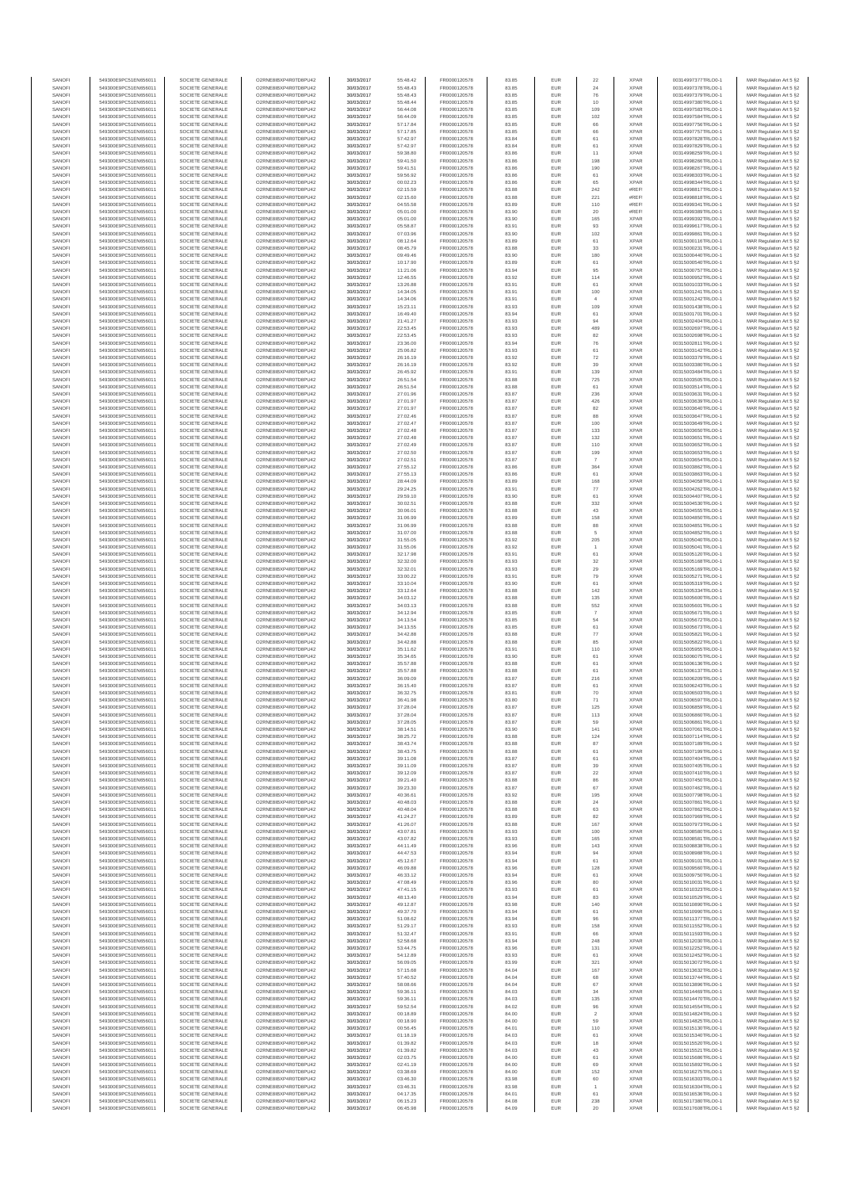| SANOFI           | 549300E9PC51EN656011                         | SOCIETE GENERALE                     | O2RNE8IBXP4R0TD8PU42                          | 30/03/2017               | 55:48.42             | FR0000120578                 | 83.85          | EUR                                | 22                       | <b>XPAR</b>                | 00314997377TRLO0-1                       | MAR Regulation Art 5 §2                             |
|------------------|----------------------------------------------|--------------------------------------|-----------------------------------------------|--------------------------|----------------------|------------------------------|----------------|------------------------------------|--------------------------|----------------------------|------------------------------------------|-----------------------------------------------------|
| SANOFI<br>SANOFI | 549300E9PC51EN656011<br>549300E9PC51EN656011 | SOCIETE GENERALE<br>SOCIETE GENERALE | O2RNE8IBXP4R0TD8PU42<br>O2RNE8IBXP4R0TD8PU42  | 30/03/2017<br>30/03/2017 | 55:48.43<br>55:48.43 | FR0000120578                 | 83.85<br>83.85 | EUR<br>EUR                         | 24<br>76                 | <b>XPAR</b><br><b>XPAR</b> | 00314997378TRLO0-1<br>00314997379TRLO0-1 | MAR Regulation Art 5 §2                             |
| SANOFI           | 549300E9PC51EN656011                         | SOCIETE GENERALE                     | O2RNE8IBXP4R0TD8PLI42                         | 30/03/2017               | 55:48.44             | FR0000120578<br>FR0000120578 | 83.85          | EUR                                | 10                       | <b>XPAR</b>                | 00314997380TRLO0-1                       | MAR Regulation Art 5 §2<br>MAR Regulation Art 5 §2  |
| SANOFI           | 549300E9PC51EN656011                         | SOCIETE GENERALE                     | O2RNE8IBXP4R0TD8PU42                          | 30/03/2017               | 56:44.08             | FR0000120578                 | 83.85          | EUR                                | 109                      | <b>XPAR</b>                | 00314997583TRLO0-1                       | MAR Regulation Art 5 §2                             |
| SANOFI           | 549300E9PC51EN656011                         | SOCIETE GENERALE                     | O2RNE8IBXP4R0TD8PU42                          | 30/03/2017               | 56:44.09             | FR0000120578                 | 83.85          | EUR                                | 102                      | <b>XPAR</b>                | 00314997584TRLO0-1                       | MAR Regulation Art 5 §2                             |
| SANOFI<br>SANOFI | 549300E9PC51EN656011<br>549300E9PC51EN656011 | SOCIETE GENERALE<br>SOCIETE GENERALE | O2RNE8IBXP4R0TD8PU42<br>O2RNE8IBXP4R0TD8PU42  | 30/03/2017<br>30/03/2017 | 57:17.84<br>57:17.85 | FR0000120578<br>FR0000120578 | 83.85<br>83.85 | <b>EUR</b><br>EUR                  | 66<br>66                 | <b>XPAR</b><br><b>XPAR</b> | 00314997756TRLO0-1<br>00314997757TRLO0-1 | MAR Regulation Art 5 §2<br>MAR Regulation Art 5 §2  |
| SANOFI           | 549300E9PC51EN656011                         | SOCIETE GENERALE                     | O2RNE8IBXP4R0TD8PU42                          | 30/03/2017               | 57:42.97             | FR0000120578                 | 83.84          | <b>EUR</b>                         | 61                       | <b>XPAR</b>                | 00314997828TRLO0-1                       | MAR Regulation Art 5 \$2                            |
| SANOFI           | 549300E9PC51EN656011                         | SOCIETE GENERALE                     | O2RNE8IBXP4R0TD8PU42                          | 30/03/2017               | 57:42.97             | FR0000120578                 | 83.84          | EUR                                | 61                       | <b>XPAR</b>                | 00314997829TRLO0-1                       | MAR Regulation Art 5 §2                             |
| SANOFI<br>SANOFI | 549300E9PC51EN656011<br>549300E9PC51EN656011 | SOCIETE GENERALE<br>SOCIETE GENERALE | O2RNE8IBXP4R0TD8PU42<br>O2RNE8IBXP4R0TD8PU42  | 30/03/2017<br>30/03/2017 | 59:38.80<br>59:41.50 | FR0000120578<br>FR0000120578 | 83.86<br>83.86 | EUR<br>EUR                         | 11<br>198                | <b>XPAR</b><br><b>XPAR</b> | 00314998259TRLO0-1<br>00314998266TRLO0-1 | MAR Regulation Art 5 §2<br>MAR Regulation Art 5 §2  |
| SANOFI           | 549300E9PC51EN656011                         | SOCIETE GENERALE                     | O2RNE8IBXP4R0TD8PLI42                         | 30/03/2017               | 59:41.51             | FR0000120578                 | 83.86          | EUR                                | 190                      | <b>XPAR</b>                | 00314998267TRLO0-1                       | MAR Regulation Art 5 §2                             |
| SANOFI           | 549300E9PC51EN656011                         | SOCIETE GENERALE                     | O2RNE8IBXP4R0TD8PU42                          | 30/03/2017               | 59:56.92             | FR0000120578                 | 83.86          | EUR                                | 61                       | <b>XPAR</b>                | 00314998303TRLO0-1                       | MAR Regulation Art 5 §2                             |
| SANOFI           | 549300E9PC51EN656011                         | SOCIETE GENERALE                     | O2RNE8IBXP4R0TD8PU42                          | 30/03/2017               | 00:02.23             | FR0000120578                 | 83.86          | EUR                                | 65                       | <b>XPAR</b>                | 00314998344TRLO0-1                       | MAR Regulation Art 5 §2                             |
| SANOFI<br>SANOFI | 549300E9PC51EN656011<br>549300E9PC51EN656011 | SOCIETE GENERALE<br>SOCIETE GENERALE | O2RNE8IBXP4R0TD8PU42<br>O2RNE8IBXP4R0TD8PU42  | 30/03/2017<br>30/03/2017 | 02:15.59<br>02:15.60 | FR0000120578<br>FR0000120578 | 83.88<br>83.88 | <b>EUR</b><br>EUR                  | 242<br>221               | #REF!<br>#REF              | 00314998817TRLO0-1<br>00314998818TRLO0-1 | MAR Regulation Art 5 §2<br>MAR Regulation Art 5 §2  |
| SANOFI           | 549300E9PC51EN656011                         | SOCIETE GENERALE                     | O2RNE8IBXP4R0TD8PU42                          | 30/03/2017               | 04:55.58             | FR0000120578                 | 83.89          | <b>EUR</b>                         | 110                      | #REF!                      | 00314999341TRLO0-1                       | MAR Regulation Art 5 §2                             |
| SANOFI           | 549300E9PC51EN656011                         | SOCIETE GENERALE                     | O2RNE8IBXP4R0TD8PU42                          | 30/03/2017               | 05:01.00             | FR0000120578                 | 83.90          | EUR                                | 20                       | #REF!                      | 00314999389TRLO0-1                       | MAR Regulation Art 5 §2                             |
| SANOFI           | 549300E9PC51EN656011                         | SOCIETE GENERALE                     | O2RNESIBXP4R0TD8PLI42                         | 30/03/2017               | 05:01.00             | FR0000120578                 | 83.90          | EUR                                | 165                      | <b>XPAR</b>                | 00314999392TRLO0-1                       | MAR Regulation Art 5 §2                             |
| SANOFI<br>SANOFI | 549300E9PC51EN656011<br>549300E9PC51EN656011 | SOCIETE GENERALE<br>SOCIETE GENERALE | O2RNE8IBXP4R0TD8PU42<br>O2RNE8IBXP4R0TD8PLI42 | 30/03/2017<br>30/03/2017 | 05:58.87<br>07:03.96 | FR0000120578<br>FR0000120578 | 83.91<br>83.90 | EUR<br>$\ensuremath{\mathsf{EUR}}$ | 93<br>102                | <b>XPAR</b><br><b>XPAR</b> | 00314999617TRLO0-1<br>00314999861TRLO0-1 | MAR Regulation Art 5 §2<br>MAR Regulation Art 5 §2  |
| SANOFI           | 549300E9PC51EN656011                         | SOCIETE GENERALE                     | O2RNE8IBXP4R0TD8PU42                          | 30/03/2017               | 08:12.64             | FR0000120578                 | 83.89          | <b>EUR</b>                         | 61                       | <b>XPAR</b>                | 00315000116TRLO0-1                       | MAR Regulation Art 5 §2                             |
| SANOFI           | 549300E9PC51EN656011                         | SOCIETE GENERALE                     | O2RNE8IBXP4R0TD8PU42                          | 30/03/2017               | 08:45.79             | FR0000120578                 | 83.88          | EUR                                | 33                       | <b>XPAR</b>                | 00315000231TRLO0-1                       | MAR Regulation Art 5 §2                             |
| SANOFI           | 549300E9PC51EN656011                         | SOCIETE GENERALE<br>SOCIETE GENERALE | O2RNE8IBXP4R0TD8PU42                          | 30/03/2017               | 09:49.46             | FR0000120578<br>FR0000120578 | 83.90          | <b>EUR</b>                         | 180                      | <b>XPAR</b>                | 00315000440TRLO0-1                       | MAR Regulation Art 5 §2                             |
| SANOFI<br>SANOFI | 549300E9PC51EN656011<br>549300E9PC51EN656011 | SOCIETE GENERALE                     | O2RNE8IBXP4R0TD8PU42<br>O2RNE8IBXP4R0TD8PU42  | 30/03/2017<br>30/03/2017 | 10:17.90<br>11:21.06 | FR0000120578                 | 83.89<br>83.94 | EUR<br><b>EUR</b>                  | 61<br>95                 | <b>XPAR</b><br><b>XPAR</b> | 00315000540TRLO0-1<br>00315000757TRLO0-1 | MAR Regulation Art 5 §2<br>MAR Regulation Art 5 \$2 |
| SANOFI           | 549300E9PC51EN656011                         | SOCIETE GENERALE                     | O2RNE8IBXP4R0TD8PU42                          | 30/03/2017               | 12:46.55             | FR0000120578                 | 83.92          | EUR                                | 114                      | <b>XPAR</b>                | 00315000952TRLO0-1                       | MAR Regulation Art 5 §2                             |
| SANOFI           | 549300E9PC51EN656011                         | SOCIETE GENERALE                     | O2RNE8IBXP4R0TD8PU42                          | 30/03/2017               | 13:26.88             | FR0000120578                 | 83.91          | EUR                                | $61\,$                   | <b>XPAR</b>                | 00315001033TRLO0-1                       | MAR Regulation Art 5 §2                             |
| SANOFI<br>SANOFI | 549300E9PC51EN656011<br>549300E9PC51EN656011 | SOCIETE GENERALE<br>SOCIETE GENERALE | O2RNE8IBXP4R0TD8PU42<br>O2RNE8IBXP4R0TD8PU42  | 30/03/2017<br>30/03/2017 | 14:34.05<br>14:34.06 | FR0000120578<br>FR0000120578 | 83.91<br>83.91 | EUR<br>EUR                         | 100<br>$\overline{4}$    | <b>XPAR</b><br><b>XPAR</b> | 00315001241TRLO0-1<br>00315001242TRLO0-1 | MAR Regulation Art 5 §2<br>MAR Regulation Art 5 §2  |
| SANOFI           | 549300E9PC51EN656011                         | SOCIETE GENERALE                     | O2RNE8IBXP4R0TD8PU42                          | 30/03/2017               | 15:23.11             | FR0000120578                 | 83.93          | <b>EUR</b>                         | 109                      | <b>XPAR</b>                | 00315001438TRLO0-1                       | MAR Regulation Art 5 §2                             |
| SANOFI           | 549300E9PC51EN656011                         | SOCIETE GENERALE                     | O2RNE8IBXP4R0TD8PU42                          | 30/03/2017               | 16:49.40             | FR0000120578                 | 83.94          | EUR                                | 61                       | <b>XPAR</b>                | 00315001701TRLO0-1                       | MAR Regulation Art 5 §2                             |
| SANOFI<br>SANOFI | 549300E9PC51EN656011<br>549300E9PC51EN656011 | SOCIETE GENERALE<br>SOCIETE GENERALE | O2RNE8IBXP4R0TD8PU42<br>O2RNE8IBXP4R0TD8PU42  | 30/03/2017<br>30/03/2017 | 21:41.27<br>22:53.45 | FR0000120578<br>FR0000120578 | 83.93<br>83.93 | <b>EUR</b><br>EUR                  | 94<br>489                | <b>XPAR</b><br><b>XPAR</b> | 00315002404TRLO0-1<br>00315002697TRLO0-1 | MAR Regulation Art 5 §2                             |
| SANOFI           | 549300E9PC51EN656011                         | SOCIETE GENERALE                     | O2RNE8IBXP4R0TD8PU42                          | 30/03/2017               | 22:53.45             | FR0000120578                 | 83.93          | EUR                                | 82                       | <b>XPAR</b>                | 00315002698TRLO0-1                       | MAR Regulation Art 5 §2<br>MAR Regulation Art 5 §2  |
| SANOFI           | 549300E9PC51EN656011                         | SOCIETE GENERALE                     | O2RNE8IBXP4R0TD8PU42                          | 30/03/2017               | 23:36.00             | FR0000120578                 | 83.94          | EUR                                | 76                       | <b>XPAR</b>                | 00315002811TRLO0-1                       | MAR Regulation Art 5 §2                             |
| SANOFI           | 549300E9PC51EN656011                         | SOCIETE GENERALE                     | O2RNE8IBXP4R0TD8PU42                          | 30/03/2017               | 25:06.82             | FR0000120578                 | 83.93          | EUR                                | 61                       | <b>XPAR</b>                | 00315003142TRLO0-1                       | MAR Regulation Art 5 §2                             |
| SANOFI<br>SANOFI | 549300E9PC51EN656011<br>549300E9PC51EN656011 | SOCIETE GENERALE<br>SOCIETE GENERALE | O2RNE8IBXP4R0TD8PU42<br>O2RNE8IBXP4R0TD8PU42  | 30/03/2017<br>30/03/2017 | 26:16.19<br>26:16.19 | FR0000120578<br>FR0000120578 | 83.92<br>83.92 | EUR<br>EUR                         | $\scriptstyle{72}$<br>39 | <b>XPAR</b><br><b>XPAR</b> | 00315003379TRLO0-1<br>00315003380TRLO0-1 | MAR Regulation Art 5 §2<br>MAR Regulation Art 5 §2  |
| SANOFI           | 549300E9PC51EN656011                         | SOCIETE GENERALE                     | O2RNE8IBXP4R0TD8PU42                          | 30/03/2017               | 26:45.92             | FR0000120578                 | 83.91          | <b>EUR</b>                         | 139                      | <b>XPAR</b>                | 00315003484TRLO0-1                       | MAR Regulation Art 5 §2                             |
| SANOFI           | 549300E9PC51EN656011                         | SOCIETE GENERALE                     | O2RNE8IBXP4R0TD8PU42                          | 30/03/2017               | 26:51.54             | FR0000120578                 | 83.88          | EUR                                | 725                      | <b>XPAR</b>                | 00315003505TRLO0-1                       | MAR Regulation Art 5 §2                             |
| SANOFI           | 549300E9PC51EN656011                         | SOCIETE GENERALE<br>SOCIETE GENERALE | O2RNE8IBXP4R0TD8PU42                          | 30/03/2017               | 26:51.54             | FR0000120578                 | 83.88          | <b>EUR</b>                         | 61                       | <b>XPAR</b>                | 00315003514TRLO0-1                       | MAR Regulation Art 5 §2                             |
| SANOFI<br>SANOFI | 549300E9PC51EN656011<br>549300E9PC51EN656011 | SOCIETE GENERALE                     | O2RNE8IBXP4R0TD8PU42<br>O2RNE8IBXP4R0TD8PU42  | 30/03/2017<br>30/03/2017 | 27:01.96<br>27:01.97 | FR0000120578<br>FR0000120578 | 83.87<br>83.87 | EUR<br><b>EUR</b>                  | 236<br>426               | <b>XPAR</b><br><b>XPAR</b> | 00315003631TRLO0-1<br>00315003639TRLO0-1 | MAR Regulation Art 5 §2<br>MAR Regulation Art 5 §2  |
| SANOFI           | 549300E9PC51EN656011                         | SOCIETE GENERALE                     | O2RNE8IBXP4R0TD8PU42                          | 30/03/2017               | 27:01.97             | FR0000120578                 | 83.87          | EUR                                | 82                       | <b>XPAR</b>                | 00315003640TRLO0-1                       | MAR Regulation Art 5 §2                             |
| SANOFI           | 549300E9PC51EN656011                         | SOCIETE GENERALE                     | O2RNE8IBXP4R0TD8PLI42                         | 30/03/2017               | 27:02.46             | FR0000120578                 | 83.87          | EUR                                | 88                       | <b>XPAR</b>                | 00315003647TRLO0-1                       | MAR Regulation Art 5 §2                             |
| SANOFI           | 549300E9PC51EN656011<br>549300E9PC51EN656011 | SOCIETE GENERALE                     | O2RNE8IBXP4R0TD8PU42                          | 30/03/2017               | 27:02.47             | FR0000120578                 | 83.87          | EUR                                | 100                      | <b>XPAR</b>                | 00315003649TRLO0-1                       | MAR Regulation Art 5 §2                             |
| SANOFI<br>SANOFI | 549300E9PC51EN656011                         | SOCIETE GENERALE<br>SOCIETE GENERALE | O2RNE8IBXP4R0TD8PU42<br>O2RNE8IBXP4R0TD8PU42  | 30/03/2017<br>30/03/2017 | 27:02.48<br>27:02.48 | FR0000120578<br>FR0000120578 | 83.87<br>83.87 | EUR<br><b>EUR</b>                  | 133<br>132               | <b>XPAR</b><br><b>XPAR</b> | 00315003650TRLO0-1<br>00315003651TRLO0-1 | MAR Regulation Art 5 §2<br>MAR Regulation Art 5 §2  |
| SANOFI           | 549300E9PC51EN656011                         | SOCIETE GENERALE                     | O2RNE8IBXP4R0TD8PU42                          | 30/03/2017               | 27:02.49             | FR0000120578                 | 83.87          | EUR                                | 110                      | <b>XPAR</b>                | 00315003652TRLO0-1                       | MAR Regulation Art 5 §2                             |
| SANOFI           | 549300E9PC51EN656011                         | SOCIETE GENERALE                     | O2RNE8IBXP4R0TD8PU42                          | 30/03/2017               | 27:02.50             | FR0000120578                 | 83.87          | <b>EUR</b>                         | 199                      | <b>XPAR</b>                | 00315003653TRLO0-1                       | MAR Regulation Art 5 §2                             |
| SANOFI<br>SANOFI | 549300E9PC51EN656011<br>549300E9PC51EN656011 | SOCIETE GENERALE                     | O2RNE8IBXP4R0TD8PU42<br>O2RNE8IBXP4R0TD8PU42  | 30/03/2017               | 27:02.5              | FR0000120578<br>FR0000120578 | 83.87<br>83.86 | <b>EUR</b><br>EUR                  | 364                      | <b>XPAR</b><br><b>XPAR</b> | 00315003654TRLO0-1                       | MAR Regulation Art 5 §2<br>MAR Regulation Art 5 §2  |
| SANOFI           | 549300E9PC51EN656011                         | SOCIETE GENERALE<br>SOCIETE GENERALE | O2RNE8IBXP4R0TD8PLI42                         | 30/03/2017<br>30/03/2017 | 27:55.12<br>27:55.13 | FR0000120578                 | 83.86          | EUR                                | 61                       | <b>XPAR</b>                | 00315003862TRLO0-1<br>00315003863TRLO0-1 | MAR Regulation Art 5 §2                             |
| SANOFI           | 549300E9PC51EN656011                         | SOCIETE GENERALE                     | O2RNESIBXP4R0TD8PLI42                         | 30/03/2017               | 28:44.09             | FR0000120578                 | 83.89          | EUR                                | 168                      | <b>XPAR</b>                | 00315004058TRLO0-1                       | MAR Regulation Art 5 §2                             |
| SANOFI           | 549300E9PC51EN656011                         | SOCIETE GENERALE                     | O2RNE8IBXP4R0TD8PU42                          | 30/03/2017               | 29:24.25             | FR0000120578                 | 83.91          | <b>EUR</b>                         | 77                       | <b>XPAR</b>                | 00315004262TRLO0-1                       | MAR Regulation Art 5 §2                             |
| SANOFI<br>SANOFI | 549300E9PC51EN656011<br>549300E9PC51EN656011 | SOCIETE GENERALE<br>SOCIETE GENERALE | O2RNE8IBXP4R0TD8PU42<br>O2RNE8IBXP4R0TD8PU42  | 30/03/2017<br>30/03/2017 | 29:59.10<br>30:02.51 | FR0000120578<br>FR0000120578 | 83.90<br>83.88 | EUR<br><b>EUR</b>                  | 61<br>332                | <b>XPAR</b><br><b>XPAR</b> | 00315004407TRLO0-1<br>00315004530TRLO0-1 | MAR Regulation Art 5 §2<br>MAR Regulation Art 5 §2  |
| SANOFI           | 549300E9PC51EN656011                         | SOCIETE GENERALE                     | O2RNE8IBXP4R0TD8PU42                          | 30/03/2017               | 30:06.0              | FR0000120578                 | 83.88          | EUR                                | 43                       | <b>XPAR</b>                | 00315004555TRLO0-1                       | MAR Regulation Art 5 §2                             |
| SANOFI           | 549300E9PC51EN656011                         | SOCIETE GENERALE                     | O2RNE8IBXP4R0TD8PU42                          | 30/03/2017               | 31:06.99             | FR0000120578                 | 83.89          | <b>EUR</b>                         | 158                      | <b>XPAR</b>                | 00315004850TRLO0-1                       | MAR Regulation Art 5 §2                             |
| SANOFI           | 549300E9PC51EN656011                         | SOCIETE GENERALE                     | O2RNE8IBXP4R0TD8PU42                          | 30/03/2017               | 31:06.99             | FR0000120578                 | 83.88          | EUR                                | 88                       | <b>XPAR</b>                | 00315004851TRLO0-1                       | MAR Regulation Art 5 §2                             |
| SANOFI<br>SANOFI | 549300E9PC51EN656011<br>549300E9PC51EN656011 | SOCIETE GENERALE<br>SOCIETE GENERALE | O2RNE8IBXP4R0TD8PU42<br>O2RNE8IBXP4R0TD8PU42  | 30/03/2017<br>30/03/2017 | 31:07.00<br>31:55.05 | FR0000120578<br>FR0000120578 | 83.88<br>83.92 | EUR<br>EUR                         | 5<br>205                 | <b>XPAR</b><br><b>XPAR</b> | 00315004852TRLO0-1<br>00315005040TRLO0-1 | MAR Regulation Art 5 §2<br>MAR Regulation Art 5 §2  |
| SANOFI           | 549300E9PC51EN656011                         | SOCIETE GENERALE                     | O2RNE8IBXP4R0TD8PU42                          | 30/03/2017               | 31:55.06             | FR0000120578                 | 83.92          | EUR                                | $\overline{1}$           | <b>XPAR</b>                | 00315005041TRLO0-1                       | MAR Regulation Art 5 §2                             |
| SANOFI           | 549300E9PC51EN656011                         | SOCIETE GENERALE                     | O2RNE8IBXP4R0TD8PU42                          | 30/03/2017               | 32:17.98             | FR0000120578                 | 83.91          | <b>EUR</b>                         | 61                       | <b>XPAR</b>                | 00315005120TRLO0-1                       | MAR Regulation Art 5 §2                             |
| SANOFI           | 549300E9PC51EN656011                         | SOCIETE GENERALE                     | O2RNE8IBXP4R0TD8PU42                          | 30/03/2017               | 32:32.00             | FR0000120578                 | 83.93          | EUR                                | 32                       | <b>XPAR</b>                | 00315005168TRLO0-1                       | MAR Regulation Art 5 §2                             |
| SANOFI<br>SANOFI | 549300E9PC51EN656011<br>549300E9PC51EN656011 | SOCIETE GENERALE<br>SOCIETE GENERALE | O2RNE8IBXP4R0TD8PU42<br>O2RNE8IBXP4R0TD8PU42  | 30/03/2017<br>30/03/2017 | 32:32.01<br>33:00.22 | FR0000120578<br>FR0000120578 | 83.93<br>83.91 | <b>EUR</b><br>EUR                  | 29<br>79                 | <b>XPAR</b><br><b>XPAR</b> | 00315005169TRLO0-1<br>00315005271TRLO0-1 | MAR Regulation Art 5 §2<br>MAR Regulation Art 5 §2  |
| SANOFI           | 549300E9PC51EN656011                         | SOCIETE GENERALE                     | O2RNE8IBXP4R0TD8PU42                          | 30/03/2017               | 33:10.04             | FR0000120578                 | 83.90          | <b>EUR</b>                         | 61                       | <b>XPAR</b>                | 00315005319TRLO0-1                       | MAR Regulation Art 5 §2                             |
| SANOFI           | 549300E9PC51EN656011                         | SOCIETE GENERALE                     | O2RNE8IBXP4R0TD8PU42                          | 30/03/2017               | 33:12.64             | FR0000120578                 | 83.88          | EUR                                | 142                      | <b>XPAR</b>                | 00315005334TRLO0-1                       | MAR Regulation Art 5 §2                             |
| SANOFI<br>SANOFI | 549300E9PC51EN656011<br>549300E9PC51EN656011 | SOCIETE GENERALE<br>SOCIETE GENERALE | O2RNE8IBXP4R0TD8PU42<br>O2RNE8IBXP4R0TD8PU42  | 30/03/2017<br>30/03/2017 | 34:03.12<br>34:03.13 | FR0000120578<br>FR0000120578 | 83.88<br>83.88 | EUR<br>EUR                         | 135<br>552               | <b>XPAR</b><br><b>XPAR</b> | 00315005600TRLO0-1<br>00315005601TRLO0-1 | MAR Regulation Art 5 §2<br>MAR Regulation Art 5 §2  |
| SANOFI           | 549300E9PC51EN656011                         | SOCIETE GENERALE                     | O2RNE8IBXP4R0TD8PU42                          | 30/03/2017               | 34:12.94             | FR0000120578                 | 83.85          | EUR                                |                          | <b>XPAR</b>                | 00315005671TRLO0-1                       | MAR Regulation Art 5 §2                             |
| SANOFI           | 549300E9PC51EN656011                         | SOCIETE GENERALE                     | O2RNE8IBXP4R0TD8PU42                          | 30/03/2017               | 34:13.54             | FR0000120578                 | 83.85          | <b>EUR</b>                         | 54                       | <b>XPAR</b>                | 00315005672TRLO0-1                       | MAR Regulation Art 5 §2                             |
| SANOFI<br>SANOFI | 549300E9PC51EN656011<br>549300E9PC51EN656011 | SOCIETE GENERALE<br>SOCIETE GENERALE | O2RNE8IBXP4R0TD8PU42<br>O2RNE8IBXP4R0TD8PU42  | 30/03/2017<br>30/03/2017 | 34:13.55<br>34:42.88 | FR0000120578<br>FR0000120578 | 83.85<br>83.88 | EUR<br><b>EUR</b>                  | 61<br>77                 | <b>XPAR</b><br><b>XPAR</b> | 00315005673TRLO0-1<br>00315005821TRLO0-1 | MAR Regulation Art 5 §2                             |
| SANOFI           | 549300E9PC51EN656011                         | SOCIETE GENERALE                     | O2RNE8IBXP4R0TD8PU42                          | 30/03/2017               | 34:42.88             | FR0000120578                 | 83.88          | EUR                                | 85                       | <b>XPAR</b>                | 00315005822TRLO0-1                       | MAR Regulation Art 5 §2<br>MAR Regulation Art 5 §2  |
| SANOFI           | 549300E9PC51EN656011                         | SOCIETE GENERALE                     | O2RNE8IBXP4R0TD8PU42                          | 30/03/2017               | 35:11.62             | FR0000120578                 | 83.91          | EUR                                | 110                      | <b>XPAR</b>                | 00315005955TRLO0-1                       | MAR Regulation Art 5 §2                             |
| SANOFI           | 549300E9PC51EN656011                         | SOCIETE GENERALE                     | O2RNE8IBXP4R0TD8PU42                          | 30/03/2017               | 35:34.65             | FR0000120578                 | 83.90          | EUR                                | 61                       | <b>XPAR</b>                | 00315006075TRLO0-1                       | MAR Regulation Art 5 §2                             |
| SANOFI<br>SANOFI | 549300E9PC51EN656011<br>549300E9PC51EN656011 | SOCIETE GENERALE<br>SOCIETE GENERALE | O2RNESIBXP4R0TD8PLI42<br>O2RNE8IBXP4R0TD8PU42 | 30/03/2017<br>30/03/2017 | 35:57.88<br>35:57.88 | FR0000120578<br>FR0000120578 | 83.88<br>83.88 | EUR<br>EUR                         | 61<br>61                 | <b>XPAR</b><br><b>XPAR</b> | 00315006136TRLO0-1<br>00315006137TRLO0-1 | MAR Regulation Art 5 §2                             |
| SANOFI           | 549300E9PC51EN656011                         | SOCIETE GENERALE                     | O2RNE8IBXP4R0TD8PU42                          | 30/03/2017               | 36:09.09             | FR0000120578                 | 83.87          | EUR                                | 216                      | <b>XPAR</b>                | 00315006209TRLO0-1                       | MAR Regulation Art 5 §2<br>MAR Regulation Art 5 §2  |
| SANOFI           | 549300E9PC51EN656011                         | SOCIETE GENERALE                     | O2RNE8IBXP4R0TD8PLI42                         | 30/03/2017               | 36:15.40             | FR0000120578                 | 83.87          | <b>EUR</b>                         | 61                       | <b>XPAR</b>                | 00315006243TRLO0-1                       | MAR Regulation Art 5 §2                             |
| SANOFI           | 549300E9PC51EN656011                         | SOCIETE GENERALE                     | O2RNE8IBXP4R0TD8PU42                          | 30/03/2017               | 36:32.75             | FR0000120578                 | 83.81          | EUR                                | 70                       | <b>XPAR</b>                | 00315006503TRLO0-1                       | MAR Regulation Art 5 §2                             |
| SANOFI<br>SANOFI | 549300E9PC51EN656011<br>549300E9PC51EN656011 | SOCIETE GENERALE<br>SOCIETE GENERALE | O2RNE8IBXP4R0TD8PU42<br>O2RNE8IBXP4R0TD8PU42  | 30/03/2017<br>30/03/2017 | 36:41.98<br>37:28.04 | FR0000120578<br>FR0000120578 | 83.80<br>83.87 | <b>EUR</b><br>EUR                  | 71<br>125                | <b>XPAR</b><br><b>XPAR</b> | 00315006597TRLO0-1<br>00315006859TRLO0-1 | MAR Regulation Art 5 §2<br>MAR Regulation Art 5 §2  |
| SANOFI           | 549300E9PC51EN656011                         | SOCIETE GENERALE                     | O2RNE8IBXP4R0TD8PLI42                         | 30/03/2017               | 37:28.04             | FR0000120578                 | 83.87          | <b>EUR</b>                         | 113                      | <b>XPAR</b>                | 00315006860TRLO0-1                       | MAR Regulation Art 5 §2                             |
| SANOFI           | 549300E9PC51EN656011                         | SOCIETE GENERALE                     | O2RNE8IBXP4R0TD8PU42                          | 30/03/2017               | 37:28.05             | FR0000120578                 | 83.87          | <b>EUR</b>                         | 59                       | <b>XPAR</b>                | 00315006861TRLO0-1                       | MAR Regulation Art 5 §2                             |
| SANOFI           | 549300E9PC51EN656011                         | SOCIETE GENERALE<br>SOCIETE GENERALE | O2RNE8IBXP4R0TD8PU42<br>O2RNE8IBXP4R0TD8PU42  | 30/03/2017               | 38:14.51             | FR0000120578                 | 83.90<br>83.88 | EUR                                | 141                      | <b>XPAR</b><br><b>XPAR</b> | 00315007061TRLO0-1                       | MAR Regulation Art 5 §2                             |
| SANOFI<br>SANOFI | 549300E9PC51EN656011<br>549300E9PC51EN656011 | SOCIETE GENERALE                     | O2RNE8IBXP4R0TD8PU42                          | 30/03/2017<br>30/03/2017 | 38:25.72<br>38:43.74 | FR0000120578<br>FR0000120578 | 83.88          | EUR<br>EUR                         | 124<br>87                | <b>XPAR</b>                | 00315007114TRLO0-1<br>00315007189TRLO0-1 | MAR Regulation Art 5 §2<br>MAR Regulation Art 5 §2  |
| SANOFI           | 549300E9PC51EN656011                         | SOCIETE GENERALE                     | O2RNE8IBXP4R0TD8PU42                          | 30/03/2017               | 38:43.75             | FR0000120578                 | 83.88          | <b>EUR</b>                         | 61                       | <b>XPAR</b>                | 00315007199TRLO0-1                       | MAR Regulation Art 5 §2                             |
| SANOFI           | 549300E9PC51EN656011                         | SOCIETE GENERALE                     | O2RNE8IBXP4R0TD8PU42                          | 30/03/2017               | 39:11.08             | FR0000120578                 | 83.87          | EUR                                | 61                       | <b>XPAR</b>                | 00315007404TRLO0-1                       | MAR Regulation Art 5 §2                             |
| SANOFI<br>SANOFI | 549300E9PC51EN656011<br>549300E9PC51EN656011 | SOCIETE GENERALE<br>SOCIETE GENERALE | O2RNE8IBXP4R0TD8PU42<br>O2RNE8IBXP4R0TD8PU42  | 30/03/2017<br>30/03/2017 | 39:11.09<br>39:12.09 | FR0000120578<br>FR0000120578 | 83.87<br>83.87 | <b>EUR</b><br><b>EUR</b>           | 39<br>22                 | <b>XPAR</b><br><b>XPAR</b> | 00315007405TRLO0-1<br>00315007410TRLO0-1 | MAR Regulation Art 5 §2<br>MAR Regulation Art 5 §2  |
| SANOFI           | 549300E9PC51EN656011                         | SOCIETE GENERALE                     | O2RNE8IBXP4R0TD8PU42                          | 30/03/2017               | 39:21.40             | FR0000120578                 | 83.88          | EUR                                | 86                       | <b>XPAR</b>                | 00315007450TRLO0-1                       | MAR Regulation Art 5 §2                             |
| SANOFI           | 549300E9PC51EN656011                         | SOCIETE GENERALE                     | O2RNE8IBXP4R0TD8PU42                          | 30/03/2017               | 39:23.30             | FR0000120578                 | 83.87          | EUR                                | 67                       | <b>XPAR</b>                | 00315007462TRLO0-1                       | MAR Regulation Art 5 §2                             |
| SANOFI<br>SANOFI | 549300E9PC51EN656011<br>549300E9PC51EN656011 | SOCIETE GENERALE<br>SOCIETE GENERALE | O2RNE8IBXP4R0TD8PU42<br>O2RNE8IBXP4R0TD8PU42  | 30/03/2017<br>30/03/2017 | 40:36.61<br>40:48.03 | FR0000120578<br>FR0000120578 | 83.92<br>83.88 | EUR<br><b>EUR</b>                  | 195<br>24                | <b>XPAR</b><br><b>XPAR</b> | 00315007798TRLO0-1<br>00315007861TRLO0-1 | MAR Regulation Art 5 §2<br>MAR Regulation Art 5 §2  |
| SANOFI           | 549300E9PC51EN656011                         | SOCIETE GENERALE                     | O2RNE8IBXP4R0TD8PU42                          | 30/03/2017               | 40:48.04             | FR0000120578                 | 83.88          | EUR                                | 63                       | <b>XPAR</b>                | 00315007862TRLO0-1                       | MAR Regulation Art 5 §2                             |
| SANOFI           | 549300E9PC51EN656011                         | SOCIETE GENERALE                     | O2RNE8IBXP4R0TD8PU42                          | 30/03/2017               | 41:24.27             | FR0000120578                 | 83.89          | <b>EUR</b>                         | 82                       | <b>XPAR</b>                | 00315007969TRLO0-1                       | MAR Regulation Art 5 §2                             |
| SANOFI<br>SANOFI | 549300E9PC51EN656011<br>549300E9PC51EN656011 | SOCIETE GENERALE<br>SOCIETE GENERALE | O2RNE8IBXP4R0TD8PU42<br>O2RNE8IBXP4R0TD8PU42  | 30/03/2017<br>30/03/2017 | 41:26.07<br>43:07.81 | FR0000120578<br>FR0000120578 | 83.88<br>83.93 | EUR<br>EUR                         | 167<br>100               | <b>XPAR</b><br><b>XPAR</b> | 00315007973TRLO0-1<br>00315008580TRLO0-1 | MAR Regulation Art 5 §2<br>MAR Regulation Art 5 §2  |
| SANOFI           | 549300E9PC51EN656011                         | SOCIETE GENERALE                     | O2RNE8IBXP4R0TD8PU42                          | 30/03/2017               | 43:07.82             | FR0000120578                 | 83.93          | EUR                                | 165                      | <b>XPAR</b>                | 00315008581TRLO0-1                       | MAR Regulation Art 5 §2                             |
| SANOFI           | 549300E9PC51EN656011                         | SOCIETE GENERALE                     | O2RNE8IBXP4R0TD8PU42                          | 30/03/2017               | 44:11.49             | FR0000120578                 | 83.96          | EUR                                | 143                      | <b>XPAR</b>                | 00315008838TRLO0-1                       | MAR Regulation Art 5 §2                             |
| SANOFI<br>SANOFI | 549300E9PC51EN656011<br>549300E9PC51EN656011 | SOCIETE GENERALE<br>SOCIETE GENERALE | O2RNE8IBXP4R0TD8PU42<br>O2RNE8IBXP4R0TD8PU42  | 30/03/2017<br>30/03/2017 | 44:47.53<br>45:12.67 | FR0000120578<br>FR0000120578 | 83.94<br>83.94 | EUR<br>EUR                         | 94<br>61                 | <b>XPAR</b><br><b>XPAR</b> | 00315008988TRLO0-1<br>00315009101TRLO0-1 | MAR Regulation Art 5 §2<br>MAR Regulation Art 5 §2  |
| SANOFI           | 549300E9PC51EN656011                         | SOCIETE GENERALE                     | O2RNE8IBXP4R0TD8PU42                          | 30/03/2017               | 46:09.88             | FR0000120578                 | 83.96          | <b>EUR</b>                         | 128                      | <b>XPAR</b>                | 00315009560TRLO0-1                       | MAR Regulation Art 5 §2                             |
| SANOFI           | 549300E9PC51EN656011                         | SOCIETE GENERALE                     | O2RNE8IBXP4R0TD8PU42                          | 30/03/2017               | 46:33.12             | FR0000120578                 | 83.94          | EUR                                | 61                       | <b>XPAR</b>                | 00315009750TRLO0-1                       | MAR Regulation Art 5 §2                             |
| SANOFI           | 549300E9PC51EN656011                         | SOCIETE GENERALE                     | O2RNE8IBXP4R0TD8PU42                          | 30/03/2017               | 47:08.49             | FR0000120578                 | 83.96          | <b>EUR</b>                         | 80                       | <b>XPAR</b>                | 00315010031TRLO0-1                       | MAR Regulation Art 5 §2                             |
| SANOFI<br>SANOFI | 549300E9PC51EN656011<br>549300E9PC51EN656011 | SOCIETE GENERALE<br>SOCIETE GENERALE | O2RNE8IBXP4R0TD8PU42<br>O2RNE8IBXP4R0TD8PU42  | 30/03/2017<br>30/03/2017 | 47:41.15<br>48:13.40 | FR0000120578<br>FR0000120578 | 83.93<br>83.94 | EUR<br><b>EUR</b>                  | 61<br>83                 | <b>XPAR</b><br><b>XPAR</b> | 00315010323TRLO0-1<br>00315010529TRLO0-1 | MAR Regulation Art 5 §2<br>MAR Regulation Art 5 §2  |
| SANOFI           | 549300E9PC51EN656011                         | SOCIETE GENERALE                     | O2RNE8IBXP4R0TD8PU42                          | 30/03/2017               | 49:12.87             | FR0000120578                 | 83.98          | <b>EUR</b>                         | 140                      | <b>XPAR</b>                | 00315010890TRLO0-1                       | MAR Regulation Art 5 §2                             |
| SANOFI           | 549300E9PC51EN656011                         | SOCIETE GENERALE                     | O2RNE8IBXP4R0TD8PU42                          | 30/03/2017               | 49:37.70             | FR0000120578                 | 83.94          | EUR                                | $61\,$                   | <b>XPAR</b>                | 00315010990TRLO0-1                       | MAR Regulation Art 5 §2                             |
| SANOFI<br>SANOFI | 549300E9PC51EN656011<br>549300E9PC51EN656011 | SOCIETE GENERALE<br>SOCIETE GENERALE | O2RNE8IBXP4R0TD8PU42<br>O2RNE8IBXP4R0TD8PU42  | 30/03/2017<br>30/03/2017 | 51:08.62<br>51:29.17 | FR0000120578<br>FR0000120578 | 83.94<br>83.93 | EUR<br>EUR                         | 96<br>158                | <b>XPAR</b><br><b>XPAR</b> | 00315011377TRLO0-1<br>00315011552TRLO0-1 | MAR Regulation Art 5 §2<br>MAR Regulation Art 5 §2  |
| SANOFI           | 549300E9PC51EN656011                         | SOCIETE GENERALE                     | O2RNE8IBXP4R0TD8PU42                          | 30/03/2017               | 51:32.47             | FR0000120578                 | 83.91          | <b>EUR</b>                         | 66                       | <b>XPAR</b>                | 00315011593TRLO0-1                       | MAR Regulation Art 5 §2                             |
| SANOFI           | 549300E9PC51EN656011                         | SOCIETE GENERALE                     | O2RNE8IBXP4R0TD8PU42                          | 30/03/2017               | 52:58.68             | FR0000120578                 | 83.94          | EUR                                | 248                      | <b>XPAR</b>                | 00315012030TRLO0-1                       | MAR Regulation Art 5 §2                             |
| SANOFI           | 549300E9PC51EN656011                         | SOCIETE GENERALE                     | O2RNE8IBXP4R0TD8PU42                          | 30/03/2017               | 53:44.75             | FR0000120578                 | 83.96          | <b>EUR</b>                         | 131                      | <b>XPAR</b>                | 00315012252TRLO0-1                       | MAR Regulation Art 5 §2                             |
| SANOFI<br>SANOFI | 549300E9PC51EN656011<br>549300E9PC51EN656011 | SOCIETE GENERALE<br>SOCIETE GENERALE | O2RNE8IBXP4R0TD8PU42<br>O2RNE8IBXP4R0TD8PU42  | 30/03/2017<br>30/03/2017 | 54:12.89<br>56:09.05 | FR0000120578<br>FR0000120578 | 83.93<br>83.99 | EUR<br>EUR                         | 61<br>321                | <b>XPAR</b><br><b>XPAR</b> | 00315012452TRLO0-1<br>00315013072TRLO0-1 | MAR Regulation Art 5 §2<br>MAR Regulation Art 5 §2  |
| SANOFI           | 549300E9PC51EN656011                         | SOCIETE GENERALE                     | O2RNE8IBXP4R0TD8PU42                          | 30/03/2017               | 57:15.68             | FR0000120578                 | 84.04          | EUR                                | 167                      | <b>XPAR</b>                | 00315013632TRLO0-1                       | MAR Regulation Art 5 §2                             |
| SANOFI           | 549300E9PC51EN656011                         | SOCIETE GENERALE                     | O2RNE8IBXP4R0TD8PU42                          | 30/03/2017               | 57:40.52             | FR0000120578                 | 84.04          | EUR                                | 68                       | <b>XPAR</b>                | 00315013744TRLO0-1                       | MAR Regulation Art 5 §2                             |
| SANOFI           | 549300E9PC51EN656011                         | SOCIETE GENERALE                     | O2RNE8IBXP4R0TD8PU42                          | 30/03/2017               | 58:08.66             | FR0000120578                 | 84.04          | EUR                                | 67                       | <b>XPAR</b>                | 00315013896TRLO0-1                       | MAR Regulation Art 5 §2                             |
| SANOFI<br>SANOFI | 549300E9PC51EN656011<br>549300E9PC51EN656011 | SOCIETE GENERALE<br>SOCIETE GENERALE | O2RNE8IBXP4R0TD8PU42<br>O2RNE8IBXP4R0TD8PU42  | 30/03/2017<br>30/03/2017 | 59:36.11<br>59:36.11 | FR0000120578<br>FR0000120578 | 84.03<br>84.03 | EUR<br><b>EUR</b>                  | 34<br>135                | <b>XPAR</b><br><b>XPAR</b> | 00315014469TRLO0-1<br>00315014470TRLO0-1 | MAR Regulation Art 5 §2<br>MAR Regulation Art 5 §2  |
| SANOFI           | 549300E9PC51EN656011                         | SOCIETE GENERALE                     | O2RNE8IBXP4R0TD8PU42                          | 30/03/2017               | 59:52.54             | FR0000120578                 | 84.02          | EUR                                | 96                       | <b>XPAR</b>                | 00315014554TRLO0-1                       | MAR Regulation Art 5 §2                             |
| SANOFI           | 549300E9PC51EN656011                         | SOCIETE GENERALE                     | O2RNE8IBXP4R0TD8PU42                          | 30/03/2017               | 00:18.89             | FR0000120578                 | 84.00          | <b>EUR</b>                         | $\overline{2}$           | <b>XPAR</b>                | 00315014824TRLO0-1                       | MAR Regulation Art 5 §2                             |
| SANOFI<br>SANOFI | 549300E9PC51EN656011<br>549300E9PC51EN656011 | SOCIETE GENERALE<br>SOCIETE GENERALE | O2RNE8IBXP4R0TD8PU42<br>O2RNE8IBXP4R0TD8PU42  | 30/03/2017<br>30/03/2017 | 00:18.90<br>00:56.45 | FR0000120578<br>FR0000120578 | 84.00<br>84.01 | EUR<br>EUR                         | 59<br>110                | <b>XPAR</b><br><b>XPAR</b> | 00315014825TRLO0-1<br>00315015130TRLO0-1 | MAR Regulation Art 5 §2<br>MAR Regulation Art 5 §2  |
| SANOFI           | 549300E9PC51EN656011                         | SOCIETE GENERALE                     | O2RNE8IBXP4R0TD8PU42                          | 30/03/2017               | 01:18.19             | FR0000120578                 | 84.03          | EUR                                | 61                       | <b>XPAR</b>                | 00315015340TRLO0-1                       | MAR Regulation Art 5 §2                             |
| SANOFI           | 549300E9PC51EN656011                         | SOCIETE GENERALE                     | O2RNE8IBXP4R0TD8PU42                          | 30/03/2017               | 01:39.82             | FR0000120578                 | 84.03          | EUR                                | 18                       | <b>XPAR</b>                | 00315015520TRLO0-1                       | MAR Regulation Art 5 §2                             |
| SANOFI           | 549300E9PC51EN656011                         | SOCIETE GENERALE                     | O2RNE8IBXP4R0TD8PU42                          | 30/03/2017               | 01:39.82             | FR0000120578                 | 84.03          | <b>EUR</b>                         | 43                       | <b>XPAR</b>                | 00315015521TRLO0-1                       | MAR Regulation Art 5 §2                             |
| SANOFI<br>SANOFI | 549300E9PC51EN656011<br>549300E9PC51EN656011 | SOCIETE GENERALE<br>SOCIETE GENERALE | O2RNE8IBXP4R0TD8PU42<br>O2RNE8IBXP4R0TD8PU42  | 30/03/2017<br>30/03/2017 | 02:03.75<br>02:41.19 | FR0000120578<br>FR0000120578 | 84.00<br>84.00 | EUR<br><b>EUR</b>                  | 61<br>69                 | <b>XPAR</b><br><b>XPAR</b> | 00315015686TRLO0-1<br>00315015892TRLO0-1 | MAR Regulation Art 5 §2<br>MAR Regulation Art 5 §2  |
| SANOFI           | 549300E9PC51EN656011                         | SOCIETE GENERALE                     | O2RNE8IBXP4R0TD8PU42                          | 30/03/2017               | 03:38.69             | FR0000120578                 | 84.00          | EUR                                | 152                      | <b>XPAR</b>                | 00315016275TRLO0-1                       | MAR Regulation Art 5 §2                             |
| SANOFI           | 549300E9PC51EN656011                         | SOCIETE GENERALE                     | O2RNE8IBXP4R0TD8PU42                          | 30/03/2017               | 03:46.30             | FR0000120578                 | 83.98          | <b>EUR</b>                         | 60                       | <b>XPAR</b>                | 00315016303TRLO0-1                       | MAR Regulation Art 5 §2                             |
| SANOFI<br>SANOFI | 549300E9PC51EN656011<br>549300E9PC51EN656011 | SOCIETE GENERALE<br>SOCIETE GENERALE | O2RNE8IBXP4R0TD8PU42<br>O2RNE8IBXP4R0TD8PU42  | 30/03/2017<br>30/03/2017 | 03:46.31<br>04:17.35 | FR0000120578<br>FR0000120578 | 83.98<br>84.01 | <b>EUR</b><br>EUR                  | $61\,$                   | <b>XPAR</b><br><b>XPAR</b> | 00315016304TRLO0-1<br>00315016536TRLO0-1 | MAR Regulation Art 5 §2<br>MAR Regulation Art 5 §2  |
| SANOFI           | 549300E9PC51EN656011                         | SOCIETE GENERALE                     | O2RNE8IBXP4R0TD8PU42                          | 30/03/2017               | 06:15.23             | FR0000120578                 | 84.08          | EUR                                | 238                      | <b>XPAR</b>                | 00315017380TRLO0-1                       | MAR Regulation Art 5 §2                             |
| SANOFI           | 549300E9PC51EN656011                         | SOCIETE GENERALE                     | O2RNE8IBXP4R0TD8PU42                          | 30/03/2017               | 06:45.98             | FR0000120578                 | 84.09          | EUR                                | 20                       | <b>XPAR</b>                | 00315017608TRLO0-1                       | MAR Regulation Art 5 §2                             |
|                  |                                              |                                      |                                               |                          |                      |                              |                |                                    |                          |                            |                                          |                                                     |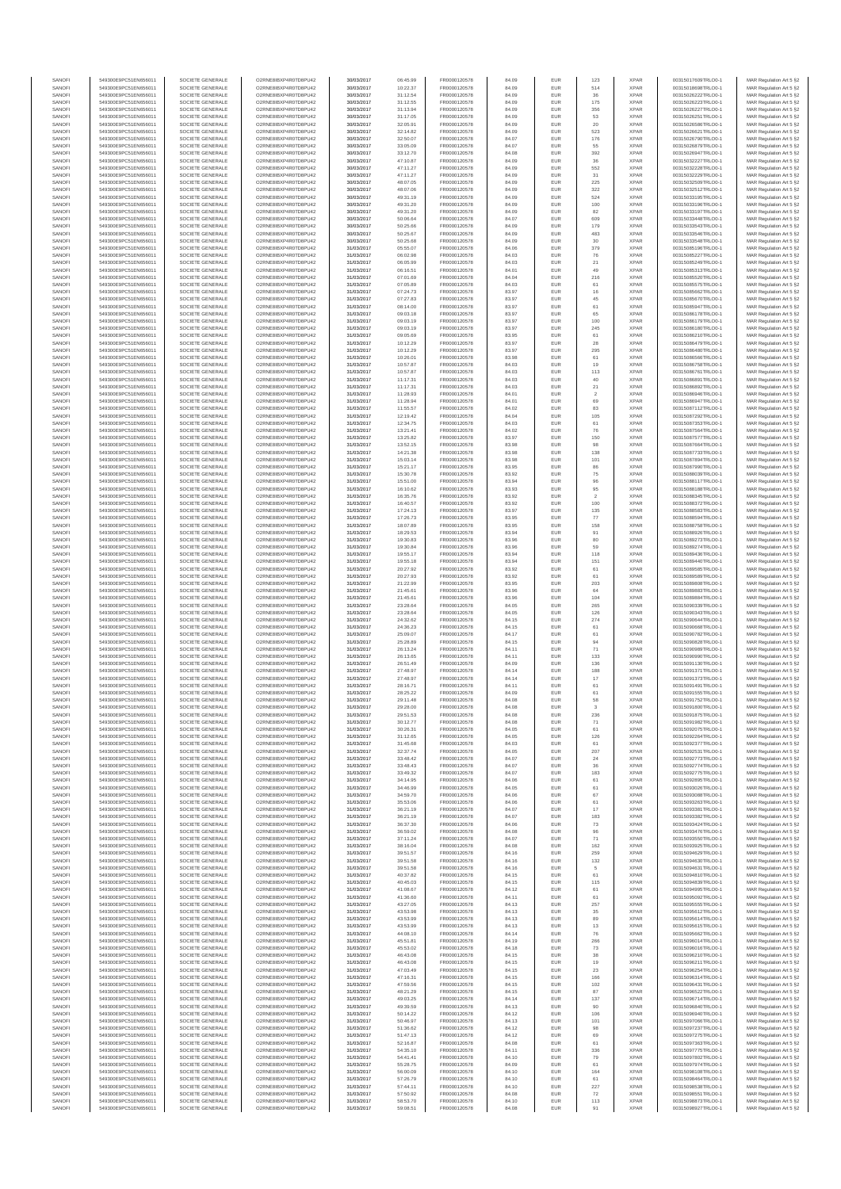| SANOFI           | 549300E9PC51EN656011                         | SOCIETE GENERALE                     | O2RNE8IBXP4R0TD8PLI42                         | 30/03/2017               | 06:45.99             | FR0000120578                 | 84.09          | <b>EUR</b>        | 123                  | <b>XPAR</b>                | 00315017609TRLO0-1                       | MAR Regulation Art 5 §2                            |
|------------------|----------------------------------------------|--------------------------------------|-----------------------------------------------|--------------------------|----------------------|------------------------------|----------------|-------------------|----------------------|----------------------------|------------------------------------------|----------------------------------------------------|
| SANOFI<br>SANOFI | 549300E9PC51EN656011<br>549300E9PC51EN656011 | SOCIETE GENERALE<br>SOCIETE GENERALE | O2RNE8IBXP4R0TD8PU42<br>O2RNE8IBXP4R0TD8PU42  | 30/03/2017<br>30/03/2017 | 10:22.37<br>31:12.54 | FR0000120578<br>FR0000120578 | 84.09<br>84.09 | <b>EUR</b><br>EUR | 514<br>36            | <b>XPAR</b><br><b>XPAR</b> | 00315018698TRLO0-1<br>00315026222TRLO0-1 | MAR Regulation Art 5 §2<br>MAR Regulation Art 5 §2 |
| SANOFI           | 549300E9PC51EN656011                         | SOCIETE GENERALE                     | O2RNE8IBXP4R0TD8PLI42                         | 30/03/2017               | 31:12.55             | FR0000120578                 | 84.09          | <b>EUR</b>        | 175                  | <b>XPAR</b>                | 00315026223TRLO0-1                       | MAR Regulation Art 5 §2                            |
| SANOFI           | 549300E9PC51EN656011                         | SOCIETE GENERALE                     | O2RNE8IBXP4R0TD8PU42                          | 30/03/2017               | 31:13.94             | FR0000120578                 | 84.09          | EUR               | 356                  | <b>XPAR</b>                | 00315026227TRLO0-1                       | MAR Regulation Art 5 §2                            |
| SANOFI           | 549300E9PC51EN656011                         | SOCIETE GENERALE                     | O2RNE8IBXP4R0TD8PU42<br>O2RNE8IBXP4R0TD8PU42  | 30/03/2017               | 31:17.05             | FR0000120578                 | 84.09          | EUR               | 53                   | <b>XPAR</b>                | 00315026251TRLO0-1                       | MAR Regulation Art 5 §2                            |
| SANOFI<br>SANOFI | 549300E9PC51EN656011<br>549300E9PC51EN656011 | SOCIETE GENERALE<br>SOCIETE GENERALE | O2RNE8IBXP4R0TD8PU42                          | 30/03/2017<br>30/03/2017 | 32:05.91<br>32:14.82 | FR0000120578<br>FR0000120578 | 84.09<br>84.09 | EUR<br>EUR        | 20<br>523            | <b>XPAR</b><br><b>XPAR</b> | 00315026586TRLO0-1<br>00315026621TRLO0-1 | MAR Regulation Art 5 §2<br>MAR Regulation Art 5 §2 |
| SANOFI           | 549300E9PC51EN656011                         | SOCIETE GENERALE                     | O2RNE8IBXP4R0TD8PU42                          | 30/03/2017               | 32:50.07             | FR0000120578                 | 84.07          | EUR               | 176                  | <b>XPAR</b>                | 00315026790TRLO0-1                       | MAR Regulation Art 5 §2                            |
| SANOFI           | 549300E9PC51EN656011                         | SOCIETE GENERALE                     | O2RNE8IBXP4R0TD8PU42                          | 30/03/2017               | 33:05.09             | FR0000120578                 | 84.07          | EUR               |                      | <b>XPAR</b>                | 00315026879TRLO0-1                       | MAR Regulation Art 5 §2                            |
| SANOFI<br>SANOFI | 549300E9PC51EN656011<br>549300E9PC51EN656011 | SOCIETE GENERALE<br>SOCIETE GENERALE | O2RNE8IBXP4R0TD8PLI42<br>O2RNE8IBXP4R0TD8PU42 | 30/03/2017<br>30/03/2017 | 33:12.70<br>47:10.87 | FR0000120578<br>FR0000120578 | 84.08<br>84.09 | <b>EUR</b><br>EUR | 392<br>36            | <b>XPAR</b><br><b>XPAR</b> | 00315026947TRLO0-1<br>00315032227TRLO0-1 | MAR Regulation Art 5 §2<br>MAR Regulation Art 5 §2 |
| SANOFI           | 549300E9PC51EN656011                         | SOCIETE GENERALE                     | O2RNE8IBXP4R0TD8PU42                          | 30/03/2017               | 47:11.27             | FR0000120578                 | 84.09          | <b>EUR</b>        | 552                  | <b>XPAR</b>                | 00315032228TRLO0-1                       | MAR Regulation Art 5 §2                            |
| SANOFI           | 549300E9PC51EN656011                         | SOCIETE GENERALE                     | O2RNE8IBXP4R0TD8PU42                          | 30/03/2017               | 47:11.27             | FR0000120578                 | 84.09          | EUR               | 31                   | <b>XPAR</b>                | 00315032229TRLO0-1                       | MAR Regulation Art 5 §2                            |
| SANOFI           | 549300E9PC51EN656011                         | SOCIETE GENERALE                     | O2RNE8IBXP4R0TD8PU42                          | 30/03/2017               | 48:07.05             | FR0000120578                 | 84.09          | EUR               | 225                  | <b>XPAR</b>                | 00315032509TRLO0-1                       | MAR Regulation Art 5 §2                            |
| SANOFI<br>SANOFI | 549300E9PC51EN656011<br>549300E9PC51EN656011 | SOCIETE GENERALE<br>SOCIETE GENERALE | O2RNE8IBXP4R0TD8PU42<br>O2RNE8IBXP4R0TD8PU42  | 30/03/2017<br>30/03/2017 | 48:07.06<br>49:31.19 | FR0000120578<br>FR0000120578 | 84.09<br>84.09 | EUR<br>EUR        | 322<br>524           | <b>XPAR</b><br><b>XPAR</b> | 00315032512TRLO0-1<br>00315033195TRLO0-1 | MAR Regulation Art 5 §2<br>MAR Regulation Art 5 §2 |
| SANOFI           | 549300E9PC51EN656011                         | SOCIETE GENERALE                     | O2RNE8IBXP4R0TD8PU42                          | 30/03/2017               | 49:31.20             | FR0000120578                 | 84.09          | EUR               | 100                  | <b>XPAR</b>                | 00315033196TRLO0-1                       | MAR Regulation Art 5 §2                            |
| SANOFI           | 549300E9PC51EN656011                         | SOCIETE GENERALE                     | O2RNE8IBXP4R0TD8PU42                          | 30/03/2017               | 49:31.20             | FR0000120578                 | 84.09          | EUR               | 82                   | <b>XPAR</b>                | 00315033197TRLO0-1                       | MAR Regulation Art 5 §2                            |
| SANOFI           | 549300E9PC51EN656011                         | SOCIETE GENERALE                     | O2RNE8IBXP4R0TD8PLI42                         | 30/03/2017               | 50:06.64             | FR0000120578                 | 84.07          | <b>EUR</b>        | 609                  | <b>XPAR</b>                | 00315033448TRLO0-1                       | MAR Regulation Art 5 §2                            |
| SANOFI<br>SANOFI | 549300E9PC51EN656011<br>549300E9PC51EN656011 | SOCIETE GENERALE<br>SOCIETE GENERALE | O2RNE8IBXP4R0TD8PU42<br>O2RNE8IBXP4R0TD8PU42  | 30/03/2017<br>30/03/2017 | 50:25.66<br>50:25.67 | FR0000120578<br>FR0000120578 | 84.09<br>84.09 | EUR<br><b>EUR</b> | 179<br>483           | <b>XPAR</b><br><b>XPAR</b> | 00315033543TRLO0-1<br>00315033546TRLO0-1 | MAR Regulation Art 5 §2<br>MAR Regulation Art 5 §2 |
| SANOFI           | 549300E9PC51EN656011                         | SOCIETE GENERALE                     | O2RNE8IBXP4R0TD8PU42                          | 30/03/2017               | 50:25.68             | FR0000120578                 | 84.09          | EUR               | 30                   | <b>XPAR</b>                | 00315033548TRLO0-1                       | MAR Regulation Art 5 §2                            |
| SANOFI           | 549300E9PC51EN656011                         | SOCIETE GENERALE                     | O2RNESIBXP4R0TD8PLI42                         | 31/03/2017               | 05:55.07             | FR0000120578                 | 84.06          | EUR               | 379                  | <b>XPAR</b>                | 00315085196TRLO0-1                       | MAR Regulation Art 5 §2                            |
| SANOFI           | 549300E9PC51EN656011                         | SOCIETE GENERALE                     | O2RNE8IBXP4R0TD8PU42                          | 31/03/2017               | 06:02.98             | FR0000120578                 | 84.03          | EUR               | 76                   | <b>XPAR</b>                | 00315085227TRLO0-1                       | MAR Regulation Art 5 §2                            |
| SANOFI<br>SANOFI | 549300E9PC51EN656011<br>549300E9PC51EN656011 | SOCIETE GENERALE<br>SOCIETE GENERALE | O2RNE8IBXP4R0TD8PU42<br>O2RNE8IBXP4R0TD8PU42  | 31/03/2017<br>31/03/2017 | 06:05.99<br>06:16.51 | FR0000120578<br>FR0000120578 | 84.03<br>84.01 | EUR<br>EUR        | $21\,$<br>49         | <b>XPAR</b><br><b>XPAR</b> | 00315085249TRLO0-1<br>00315085313TRLO0-1 | MAR Regulation Art 5 §2<br>MAR Regulation Art 5 §2 |
| SANOFI           | 549300E9PC51EN656011                         | SOCIETE GENERALE                     | O2RNE8IBXP4R0TD8PU42                          | 31/03/2017               | 07:01.69             | FR0000120578                 | 84.04          | EUR               | 216                  | <b>XPAR</b>                | 00315085520TRLO0-1                       | MAR Regulation Art 5 §2                            |
| SANOFI           | 549300E9PC51EN656011                         | SOCIETE GENERALE                     | O2RNE8IBXP4R0TD8PU42                          | 31/03/2017               | 07:05.89             | FR0000120578                 | 84.03          | EUR               | 61                   | <b>XPAR</b>                | 00315085575TRLO0-1                       | MAR Regulation Art 5 §2                            |
| SANOFI<br>SANOFI | 549300E9PC51EN656011<br>549300E9PC51EN656011 | SOCIETE GENERALE<br>SOCIETE GENERALE | O2RNE8IBXP4R0TD8PU42<br>O2RNE8IBXP4R0TD8PU42  | 31/03/2017<br>31/03/2017 | 07:24.73<br>07:27.83 | FR0000120578<br>FR0000120578 | 83.97<br>83.97 | EUR<br><b>EUR</b> | 16<br>45             | <b>XPAR</b><br><b>XPAR</b> | 00315085662TRLO0-1<br>00315085670TRLO0-1 | MAR Regulation Art 5 §2<br>MAR Regulation Art 5 §2 |
| SANOFI           | 549300E9PC51EN656011                         | SOCIETE GENERALE                     | O2RNE8IBXP4R0TD8PU42                          | 31/03/2017               | 08:14.00             | FR0000120578                 | 83.97          | EUR               | 61                   | <b>XPAR</b>                | 00315085947TRLO0-1                       | MAR Regulation Art 5 §2                            |
| SANOFI           | 549300E9PC51EN656011                         | SOCIETE GENERALE                     | O2RNE8IBXP4R0TD8PU42                          | 31/03/2017               | 09:03.18             | FR0000120578                 | 83.97          | EUR               | 65                   | <b>XPAR</b>                | 00315086178TRLO0-1                       | MAR Regulation Art 5 §2                            |
| SANOFI           | 549300E9PC51EN656011                         | SOCIETE GENERALE                     | O2RNE8IBXP4R0TD8PU42                          | 31/03/2017               | 09:03.19             | FR0000120578                 | 83.97          | EUR               | 100                  | <b>XPAR</b>                | 00315086179TRLO0-1                       | MAR Regulation Art 5 §2                            |
| SANOFI<br>SANOFI | 549300E9PC51EN656011<br>549300E9PC51EN656011 | SOCIETE GENERALE<br>SOCIETE GENERALE | O2RNE8IBXP4R0TD8PU42<br>O2RNE8IBXP4R0TD8PU42  | 31/03/2017<br>31/03/2017 | 09:03.19<br>09:05.69 | FR0000120578<br>FR0000120578 | 83.97<br>83.95 | EUR<br><b>EUR</b> | 245<br>61            | <b>XPAR</b><br><b>XPAR</b> | 00315086180TRLO0-1<br>00315086210TRLO0-1 | MAR Regulation Art 5 §2<br>MAR Regulation Art 5 §2 |
| SANOFI           | 549300E9PC51EN656011                         | SOCIETE GENERALE                     | O2RNE8IBXP4R0TD8PU42                          | 31/03/2017               | 10:12.29             | FR0000120578                 | 83.97          | EUR               | 28                   | <b>XPAR</b>                | 00315086479TRLO0-1                       | MAR Regulation Art 5 §2                            |
| SANOFI           | 549300E9PC51EN656011                         | SOCIETE GENERALE                     | O2RNE8IBXP4R0TD8PU42                          | 31/03/2017               | 10:12.29             | FR0000120578                 | 83.97          | <b>EUR</b>        | 295                  | <b>XPAR</b>                | 00315086480TRLO0-1                       | MAR Regulation Art 5 §2                            |
| SANOFI<br>SANOFI | 549300E9PC51EN656011<br>549300E9PC51EN656011 | SOCIETE GENERALE<br>SOCIETE GENERALE | O2RNE8IBXP4R0TD8PU42<br>O2RNE8IBXP4R0TD8PU42  | 31/03/2017<br>31/03/2017 | 10:26.01<br>10:57.87 | FR0000120578<br>FR0000120578 | 83.98<br>84.03 | EUR<br>EUR        | 61<br>19             | <b>XPAR</b><br><b>XPAR</b> | 00315086566TRLO0-1<br>00315086758TRLO0-1 | MAR Regulation Art 5 §2<br>MAR Regulation Art 5 §2 |
| SANOFI           | 549300E9PC51EN656011                         | SOCIETE GENERALE                     | O2RNE8IBXP4R0TD8PU42                          | 31/03/2017               | 10:57.87             | FR0000120578                 | 84.03          | EUR               | 113                  | <b>XPAR</b>                | 00315086761TRLO0-1                       | MAR Regulation Art 5 §2                            |
| SANOFI           | 549300E9PC51EN656011                         | SOCIETE GENERALE                     | O2RNE8IBXP4R0TD8PU42                          | 31/03/2017               | 11:17.31             | FR0000120578                 | 84.03          | EUR               | 40                   | <b>XPAR</b>                | 00315086891TRLO0-1                       | MAR Regulation Art 5 §2                            |
| SANOFI           | 549300E9PC51EN656011                         | SOCIETE GENERALE                     | O2RNE8IBXP4R0TD8PU42                          | 31/03/2017               | 11:17.31             | FR0000120578                 | 84.03          | EUR               | $21\,$               | <b>XPAR</b>                | 00315086892TRLO0-1                       | MAR Regulation Art 5 §2                            |
| SANOFI<br>SANOFI | 549300E9PC51EN656011<br>549300E9PC51EN656011 | SOCIETE GENERALE<br>SOCIETE GENERALE | O2RNE8IBXP4R0TD8PLI42<br>O2RNE8IBXP4R0TD8PU42 | 31/03/2017<br>31/03/2017 | 11:28.93<br>11:28.94 | FR0000120578<br>FR0000120578 | 84.01<br>84.01 | EUR<br><b>EUR</b> | $\overline{2}$<br>69 | <b>XPAR</b><br><b>XPAR</b> | 00315086946TRLO0-1<br>00315086947TRLO0-1 | MAR Regulation Art 5 §2<br>MAR Regulation Art 5 §2 |
| SANOFI           | 549300E9PC51EN656011                         | SOCIETE GENERALE                     | O2RNE8IBXP4R0TD8PU42                          | 31/03/2017               | 11:55.57             | FR0000120578                 | 84.02          | EUR               | 83                   | <b>XPAR</b>                | 00315087112TRLO0-1                       | MAR Regulation Art 5 §2                            |
| SANOFI           | 549300E9PC51EN656011                         | SOCIETE GENERALE                     | O2RNE8IBXP4R0TD8PU42                          | 31/03/2017               | 12:19.42             | FR0000120578                 | 84.04          | <b>EUR</b>        | 105                  | <b>XPAR</b>                | 00315087292TRLO0-1                       | MAR Regulation Art 5 §2                            |
| SANOFI           | 549300E9PC51EN656011                         | SOCIETE GENERALE                     | O2RNE8IBXP4R0TD8PU42                          | 31/03/2017               | 12:34.75             | FR0000120578                 | 84.03          | EUR               | 61                   | <b>XPAR</b>                | 00315087353TRLO0-1                       | MAR Regulation Art 5 §2                            |
| SANOFI<br>SANOFI | 549300E9PC51EN656011<br>549300E9PC51EN656011 | SOCIETE GENERALE<br>SOCIETE GENERALE | O2RNE8IBXP4R0TD8PU42<br>O2RNE8IBXP4R0TD8PU42  | 31/03/2017<br>31/03/2017 | 13:21.41<br>13:25.82 | FR0000120578<br>FR0000120578 | 84.02<br>83.97 | EUR<br>EUR        | 76<br>150            | <b>XPAR</b><br><b>XPAR</b> | 00315087564TRLO0-1<br>00315087577TRLO0-1 | MAR Regulation Art 5 §2<br>MAR Regulation Art 5 §2 |
| SANOFI           | 549300E9PC51EN656011                         | SOCIETE GENERALE                     | O2RNE8IBXP4R0TD8PLI42                         | 31/03/2017               | 13:52.15             | FR0000120578                 | 83.98          | EUR               | 98                   | <b>XPAR</b>                | 00315087664TRLO0-1                       | MAR Regulation Art 5 §2                            |
| SANOFI           | 549300E9PC51EN656011                         | SOCIETE GENERALE                     | O2RNE8IBXP4R0TD8PU42                          | 31/03/2017               | 14:21.38             | FR0000120578                 | 83.98          | EUR               | 138                  | <b>XPAR</b>                | 00315087733TRLO0-1                       | MAR Regulation Art 5 §2                            |
| SANOFI           | 549300E9PC51EN656011                         | SOCIETE GENERALE                     | O2RNE8IBXP4R0TD8PU42                          | 31/03/2017               | 15:03.14             | FR0000120578                 | 83.98          | EUR               | 101                  | <b>XPAR</b>                | 00315087894TRLO0-1                       | MAR Regulation Art 5 §2                            |
| SANOFI<br>SANOFI | 549300E9PC51EN656011<br>549300E9PC51EN656011 | SOCIETE GENERALE<br>SOCIETE GENERALE | O2RNE8IBXP4R0TD8PU42<br>O2RNE8IBXP4R0TD8PU42  | 31/03/2017<br>31/03/2017 | 15:21.17<br>15:30.78 | FR0000120578<br>FR0000120578 | 83.95<br>83.92 | <b>EUR</b><br>EUR | 86<br>$\bf 75$       | <b>XPAR</b><br><b>XPAR</b> | 00315087990TRLO0-1<br>00315088039TRLO0-1 | MAR Regulation Art 5 §2<br>MAR Regulation Art 5 §2 |
| SANOFI           | 549300E9PC51EN656011                         | SOCIETE GENERALE                     | O2RNE8IBXP4R0TD8PU42                          | 31/03/2017               | 15:51.00             | FR0000120578                 | 83.94          | <b>EUR</b>        | 96                   | <b>XPAR</b>                | 00315088117TRLO0-1                       | MAR Regulation Art 5 §2                            |
| SANOFI           | 549300E9PC51EN656011                         | SOCIETE GENERALE                     | O2RNE8IBXP4R0TD8PU42                          | 31/03/2017               | 16:10.62             | FR0000120578                 | 83.93          | EUR               | 95                   | <b>XPAR</b>                | 00315088188TRLO0-1                       | MAR Regulation Art 5 §2                            |
| SANOFI           | 549300E9PC51EN656011                         | SOCIETE GENERALE                     | O2RNE8IBXP4R0TD8PU42                          | 31/03/2017               | 16:35.76             | FR0000120578                 | 83.92          | EUR               | $\overline{2}$       | <b>XPAR</b>                | 00315088345TRLO0-1                       | MAR Regulation Art 5 §2                            |
| SANOFI<br>SANOFI | 549300E9PC51EN656011<br>549300E9PC51EN656011 | SOCIETE GENERALE<br>SOCIETE GENERALE | O2RNE8IBXP4R0TD8PU42<br>O2RNE8IBXP4R0TD8PU42  | 31/03/2017<br>31/03/2017 | 16:40.57<br>17:24.13 | FR0000120578<br>FR0000120578 | 83.92<br>83.97 | EUR<br>EUR        | 100<br>135           | <b>XPAR</b><br><b>XPAR</b> | 00315088372TRLO0-1<br>00315088583TRLO0-1 | MAR Regulation Art 5 §2<br>MAR Regulation Art 5 §2 |
| SANOFI           | 549300E9PC51EN656011                         | SOCIETE GENERALE                     | O2RNE8IBXP4R0TD8PU42                          | 31/03/2017               | 17:26.73             | FR0000120578                 | 83.95          | EUR               | 77                   | <b>XPAR</b>                | 00315088594TRLO0-1                       | MAR Regulation Art 5 §2                            |
| SANOFI           | 549300E9PC51EN656011                         | SOCIETE GENERALE                     | O2RNE8IBXP4R0TD8PU42                          | 31/03/2017               | 18:07.89             | FR0000120578                 | 83.95          | EUR               | 158                  | <b>XPAR</b>                | 00315088758TRLO0-1                       | MAR Regulation Art 5 §2                            |
| SANOFI<br>SANOFI | 549300E9PC51EN656011<br>549300E9PC51EN656011 | SOCIETE GENERALE<br>SOCIETE GENERALE | O2RNE8IBXP4R0TD8PU42<br>O2RNE8IBXP4R0TD8PU42  | 31/03/2017<br>31/03/2017 | 18:29.53<br>19:30.83 | FR0000120578<br>FR0000120578 | 83.94<br>83.96 | <b>EUR</b><br>EUR | 91<br>80             | <b>XPAR</b><br><b>XPAR</b> | 00315088926TRLO0-1<br>00315089273TRLO0-1 | MAR Regulation Art 5 §2                            |
| SANOFI           | 549300E9PC51EN656011                         | SOCIETE GENERALE                     | O2RNE8IBXP4R0TD8PU42                          | 31/03/2017               | 19:30.84             | FR0000120578                 | 83.96          | <b>EUR</b>        | 59                   | <b>XPAR</b>                | 00315089274TRLO0-1                       | MAR Regulation Art 5 §2<br>MAR Regulation Art 5 §2 |
| SANOFI           | 549300E9PC51EN656011                         | SOCIETE GENERALE                     | O2RNE8IBXP4R0TD8PU42                          | 31/03/2017               | 19:55.17             | FR0000120578                 | 83.94          | EUR               | 118                  | <b>XPAR</b>                | 00315089436TRLO0-1                       | MAR Regulation Art 5 §2                            |
| SANOFI           | 549300E9PC51EN656011                         | SOCIETE GENERALE                     | O2RNE8IBXP4R0TD8PU42                          | 31/03/2017               | 19:55.18             | FR0000120578                 | 83.94          | EUR               | 151                  | <b>XPAR</b>                | 00315089440TRLO0-1                       | MAR Regulation Art 5 §2                            |
| SANOFI<br>SANOFI | 549300E9PC51EN656011<br>549300E9PC51EN656011 | SOCIETE GENERALE<br>SOCIETE GENERALE | O2RNE8IBXP4R0TD8PU42<br>O2RNE8IBXP4R0TD8PU42  | 31/03/2017<br>31/03/2017 | 20:27.92<br>20:27.93 | FR0000120578<br>FR0000120578 | 83.92<br>83.92 | EUR<br>EUR        | 61<br>61             | <b>XPAR</b><br><b>XPAR</b> | 00315089585TRLO0-1<br>00315089589TRLO0-1 | MAR Regulation Art 5 §2<br>MAR Regulation Art 5 §2 |
| SANOFI           | 549300E9PC51EN656011                         | SOCIETE GENERALE                     | O2RNE8IBXP4R0TD8PU42                          | 31/03/2017               | 21:22.99             | FR0000120578                 | 83.95          | <b>EUR</b>        | 203                  | <b>XPAR</b>                | 00315089808TRLO0-1                       | MAR Regulation Art 5 §2                            |
| SANOFI           | 549300E9PC51EN656011                         | SOCIETE GENERALE                     | O2RNE8IBXP4R0TD8PU42                          | 31/03/2017               | 21:45.61             | FR0000120578                 | 83.96          | EUR               | 64                   | <b>XPAR</b>                | 00315089883TRLO0-1                       | MAR Regulation Art 5 §2                            |
| SANOFI           | 549300E9PC51EN656011                         | SOCIETE GENERALE                     | O2RNE8IBXP4R0TD8PU42                          | 31/03/2017               | 21:45.61             | FR0000120578                 | 83.96          | EUR               | 104                  | <b>XPAR</b>                | 00315089884TRLO0-1                       | MAR Regulation Art 5 §2                            |
| SANOFI<br>SANOFI | 549300E9PC51EN656011<br>549300E9PC51EN656011 | SOCIETE GENERALE<br>SOCIETE GENERALE | O2RNE8IBXP4R0TD8PU42<br>O2RNE8IBXP4R0TD8PU42  | 31/03/2017<br>31/03/2017 | 23:28.64<br>23:28.64 | FR0000120578<br>FR0000120578 | 84.05<br>84.05 | EUR<br>EUR        | 265<br>126           | <b>XPAR</b><br><b>XPAR</b> | 00315090339TRLO0-1<br>00315090343TRLO0-1 | MAR Regulation Art 5 §2<br>MAR Regulation Art 5 §2 |
| SANOFI           | 549300E9PC51EN656011                         | SOCIETE GENERALE                     | O2RNE8IBXP4R0TD8PU42                          | 31/03/2017               | 24:32.62             | FR0000120578                 | 84.15          | EUR               | 274                  | <b>XPAR</b>                | 00315090644TRLO0-1                       | MAR Regulation Art 5 §2                            |
| SANOFI           | 549300E9PC51EN656011                         | SOCIETE GENERALE                     | O2RNE8IBXP4R0TD8PLI42                         | 31/03/2017               | 24:36.23             | FR0000120578                 | 84.15          | EUR               | $61\,$               | <b>XPAR</b>                | 00315090668TRLO0-1                       | MAR Regulation Art 5 §2                            |
| SANOFI<br>SANOFI | 549300E9PC51EN656011<br>549300E9PC51EN656011 | SOCIETE GENERALE<br>SOCIETE GENERALE | O2RNE8IBXP4R0TD8PU42<br>O2RNE8IBXP4R0TD8PU42  | 31/03/2017<br>31/03/2017 | 25:09.07<br>25:28.89 | FR0000120578<br>FR0000120578 | 84.17<br>84.15 | EUR<br>EUR        | 61                   | <b>XPAR</b><br><b>XPAR</b> | 00315090782TRLO0-1<br>00315090828TRLO0-1 | MAR Regulation Art 5 §2<br>MAR Regulation Art 5 §2 |
| SANOFI           | 549300E9PC51EN656011                         | SOCIETE GENERALE                     | O2RNE8IBXP4R0TD8PU42                          | 31/03/2017               | 26:13.24             | FR0000120578                 | 84.11          | <b>EUR</b>        | 94<br>71             | <b>XPAR</b>                | 00315090989TRLO0-1                       | MAR Regulation Art 5 §2                            |
| SANOFI           | 549300E9PC51EN656011                         | SOCIETE GENERALE                     | O2RNE8IBXP4R0TD8PU42                          | 31/03/2017               | 26:13.65             | FR0000120578                 | 84.11          | EUR               | 133                  | <b>XPAR</b>                | 00315090990TRLO0-1                       | MAR Regulation Art 5 §2                            |
| SANOFI           | 549300E9PC51EN656011                         | SOCIETE GENERALE                     | O2RNE8IBXP4R0TD8PU42                          | 31/03/2017               | 26:51.49             | FR0000120578                 | 84.09          | <b>EUR</b>        | 136                  | <b>XPAR</b>                | 00315091130TRLO0-1                       | MAR Regulation Art 5 §2                            |
| SANOFI<br>SANOFI | 549300E9PC51EN656011<br>549300E9PC51EN656011 | SOCIETE GENERALE<br>SOCIETE GENERALE | O2RNE8IBXP4R0TD8PU42<br>O2RNE8IBXP4R0TD8PU42  | 31/03/2017<br>31/03/2017 | 27:48.97<br>27:48.97 | FR0000120578<br>FR0000120578 | 84.14<br>84.14 | EUR<br>EUR        | 188<br>$17\,$        | <b>XPAR</b><br><b>XPAR</b> | 00315091371TRLO0-1<br>00315091373TRLO0-1 | MAR Regulation Art 5 §2<br>MAR Regulation Art 5 §2 |
| SANOFI           | 549300E9PC51EN656011                         | SOCIETE GENERALE                     | O2RNE8IBXP4R0TD8PU42                          | 31/03/2017               | 28:16.71             | FR0000120578                 | 84.11          | EUR               | 61                   | <b>XPAR</b>                | 00315091491TRLO0-1                       | MAR Regulation Art 5 §2                            |
| SANOFI           | 549300E9PC51EN656011                         | SOCIETE GENERALE                     | O2RNESIBXP4R0TD8PLI42                         | 31/03/2017               | 28:25.22             | FR0000120578                 | 84.09          | EUR               | 61                   | <b>XPAR</b>                | 00315091555TRLO0-1                       | MAR Regulation Art 5 §2                            |
| SANOFI           | 549300E9PC51EN656011                         | SOCIETE GENERALE                     | O2RNE8IBXP4R0TD8PU42                          | 31/03/2017               | 29:11.48             | FR0000120578                 | 84.08          | EUR               | 58                   | <b>XPAR</b>                | 00315091752TRLO0-1                       | MAR Regulation Art 5 §2                            |
| SANOFI<br>SANOFI | 549300E9PC51EN656011<br>549300E9PC51EN656011 | SOCIETE GENERALE<br>SOCIETE GENERALE | O2RNE8IBXP4R0TD8PU42<br>O2RNE8IBXP4R0TD8PU42  | 31/03/2017<br>31/03/2017 | 29:28.00<br>29:51.53 | FR0000120578<br>FR0000120578 | 84.08<br>84.08 | EUR<br><b>EUR</b> | 3<br>236             | <b>XPAR</b><br><b>XPAR</b> | 00315091800TRLO0-1<br>00315091875TRLO0-1 | MAR Regulation Art 5 §2<br>MAR Regulation Art 5 §2 |
| SANOFI           | 549300E9PC51EN656011                         | SOCIETE GENERALE                     | O2RNE8IBXP4R0TD8PU42                          | 31/03/2017               | 30:12.77             | FR0000120578                 | 84.08          | EUR               | 71                   | <b>XPAR</b>                | 00315091982TRLO0-1                       | MAR Regulation Art 5 §2                            |
| SANOFI           | 549300E9PC51EN656011                         | SOCIETE GENERALE                     | O2RNE8IBXP4R0TD8PU42                          | 31/03/2017               | 30:26.31             | FR0000120578                 | 84.05          | <b>EUR</b>        | 61                   | <b>XPAR</b>                | 00315092075TRLO0-1                       | MAR Regulation Art 5 §2                            |
| SANOFI           | 549300E9PC51EN656011                         | SOCIETE GENERALE                     | O2RNE8IBXP4R0TD8PU42                          | 31/03/2017               | 31:12.65             | FR0000120578                 | 84.05          | EUR               | 126                  | <b>XPAR</b>                | 00315092264TRLO0-1                       | MAR Regulation Art 5 §2                            |
| SANOFI<br>SANOFI | 549300E9PC51EN656011<br>549300E9PC51EN656011 | SOCIETE GENERALE<br>SOCIETE GENERALE | O2RNE8IBXP4R0TD8PU42<br>O2RNE8IBXP4R0TD8PU42  | 31/03/2017<br>31/03/2017 | 31:45.68<br>32:37.74 | FR0000120578<br>FR0000120578 | 84.03<br>84.05 | EUR<br>EUR        | 61<br>207            | <b>XPAR</b><br><b>XPAR</b> | 00315092377TRLO0-1<br>00315092531TRLO0-1 | MAR Regulation Art 5 §2<br>MAR Regulation Art 5 §2 |
| SANOFI           | 549300E9PC51EN656011                         | SOCIETE GENERALE                     | O2RNESIBXP4R0TD8PLI42                         | 31/03/2017               | 33:48.42             | FR0000120578                 | 84.07          | EUR               | $\mathbf{^{24}}$     | <b>XPAR</b>                | 00315092773TRLO0-1                       | MAR Regulation Art 5 §2                            |
| SANOFI           | 549300E9PC51EN656011                         | SOCIETE GENERALE                     | O2RNE8IBXP4R0TD8PU42                          | 31/03/2017               | 33:48.43             | FR0000120578                 | 84.07          | EUR               | 36                   | <b>XPAR</b>                | 00315092774TRLO0-1                       | MAR Regulation Art 5 §2                            |
| SANOFI<br>SANOFI | 549300E9PC51EN656011<br>549300E9PC51EN656011 | SOCIETE GENERALE<br>SOCIETE GENERALE | O2RNE8IBXP4R0TD8PU42<br>O2RNE8IBXP4R0TD8PLI42 | 31/03/2017<br>31/03/2017 | 33:49.32<br>34:14.95 | FR0000120578<br>FR0000120578 | 84.07<br>84.06 | EUR<br><b>EUR</b> | 183<br>61            | <b>XPAR</b><br><b>XPAR</b> | 00315092775TRLO0-1<br>00315092895TRLO0-1 | MAR Regulation Art 5 §2                            |
| SANOFI           | 549300E9PC51EN656011                         | SOCIETE GENERALE                     | O2RNE8IBXP4R0TD8PU42                          | 31/03/2017               | 34:46.99             | FR0000120578                 | 84.05          | EUR               | 61                   | <b>XPAR</b>                | 00315093026TRLO0-1                       | MAR Regulation Art 5 §2<br>MAR Regulation Art 5 §2 |
| SANOFI           | 549300E9PC51EN656011                         | SOCIETE GENERALE                     | O2RNE8IBXP4R0TD8PU42                          | 31/03/2017               | 34:59.70             | FR0000120578                 | 84.06          | <b>EUR</b>        | 67                   | <b>XPAR</b>                | 00315093088TRLO0-1                       | MAR Regulation Art 5 §2                            |
| SANOFI<br>SANOFI | 549300E9PC51EN656011<br>549300E9PC51EN656011 | SOCIETE GENERALE<br>SOCIETE GENERALE | O2RNE8IBXP4R0TD8PU42<br>O2RNE8IBXP4R0TD8PU42  | 31/03/2017<br>31/03/2017 | 35:53.06<br>36:21.19 | FR0000120578<br>FR0000120578 | 84.06<br>84.07 | EUR<br>EUR        | 61<br>$17\,$         | <b>XPAR</b><br><b>XPAR</b> | 00315093263TRLO0-1<br>00315093381TRLO0-1 | MAR Regulation Art 5 §2<br>MAR Regulation Art 5 §2 |
| SANOFI           | 549300E9PC51EN656011                         | SOCIETE GENERALE                     | O2RNE8IBXP4R0TD8PU42                          | 31/03/2017               | 36:21.19             | FR0000120578                 | 84.07          | EUR               | 183                  | <b>XPAR</b>                | 00315093382TRLO0-1                       | MAR Regulation Art 5 §2                            |
| SANOFI           | 549300E9PC51EN656011                         | SOCIETE GENERALE                     | O2RNE8IBXP4R0TD8PU42                          | 31/03/2017               | 36:37.30             | FR0000120578                 | 84.06          | EUR               | 73                   | <b>XPAR</b>                | 00315093424TRLO0-1                       | MAR Regulation Art 5 §2                            |
| SANOFI           | 549300E9PC51EN656011                         | SOCIETE GENERALE                     | O2RNE8IBXP4R0TD8PLI42                         | 31/03/2017               | 36:59.02             | FR0000120578                 | 84.08          | <b>EUR</b>        | 96                   | <b>XPAR</b>                | 00315093476TRLO0-1                       | MAR Regulation Art 5 §2                            |
| SANOFI<br>SANOFI | 549300E9PC51EN656011<br>549300E9PC51EN656011 | SOCIETE GENERALE<br>SOCIETE GENERALE | O2RNE8IBXP4R0TD8PU42<br>O2RNE8IBXP4R0TD8PU42  | 31/03/2017<br>31/03/2017 | 37:11.24<br>38:16.04 | FR0000120578<br>FR0000120578 | 84.07<br>84.08 | EUR<br><b>EUR</b> | $71\,$<br>162        | <b>XPAR</b><br><b>XPAR</b> | 00315093550TRLO0-1<br>00315093925TRLO0-1 | MAR Regulation Art 5 §2<br>MAR Regulation Art 5 §2 |
| SANOFI           | 549300E9PC51EN656011                         | SOCIETE GENERALE                     | O2RNE8IBXP4R0TD8PU42                          | 31/03/2017               | 39:51.57             | FR0000120578                 | 84.16          | EUR               | 259                  | <b>XPAR</b>                | 00315094629TRLO0-1                       | MAR Regulation Art 5 §2                            |
| SANOFI           | 549300E9PC51EN656011                         | SOCIETE GENERALE                     | O2RNE8IBXP4R0TD8PU42                          | 31/03/2017               | 39:51.58             | FR0000120578                 | 84.16          | EUR               | 132                  | <b>XPAR</b>                | 00315094630TRLO0-1                       | MAR Regulation Art 5 §2                            |
| SANOFI           | 549300E9PC51EN656011                         | SOCIETE GENERALE                     | O2RNE8IBXP4R0TD8PU42<br>O2RNE8IBXP4R0TD8PU42  | 31/03/2017               | 39:51.58             | FR0000120578                 | 84.16          | EUR               | 5<br>61              | <b>XPAR</b>                | 00315094631TRLO0-1                       | MAR Regulation Art 5 §2                            |
| SANOFI<br>SANOFI | 549300E9PC51EN656011<br>549300E9PC51EN656011 | SOCIETE GENERALE<br>SOCIETE GENERALE | O2RNE8IBXP4R0TD8PU42                          | 31/03/2017<br>31/03/2017 | 40:37.82<br>40:45.03 | FR0000120578<br>FR0000120578 | 84.15<br>84.15 | EUR<br>EUR        | 115                  | <b>XPAR</b><br><b>XPAR</b> | 00315094810TRLO0-1<br>00315094839TRLO0-1 | MAR Regulation Art 5 §2<br>MAR Regulation Art 5 §2 |
| SANOFI           | 549300E9PC51EN656011                         | SOCIETE GENERALE                     | O2RNE8IBXP4R0TD8PU42                          | 31/03/2017               | 41:08.67             | FR0000120578                 | 84.12          | EUR               | 61                   | <b>XPAR</b>                | 00315094995TRLO0-1                       | MAR Regulation Art 5 §2                            |
| SANOFI           | 549300E9PC51EN656011                         | SOCIETE GENERALE                     | O2RNE8IBXP4R0TD8PU42                          | 31/03/2017               | 41:36.60             | FR0000120578                 | 84.11          | <b>EUR</b>        | 61                   | <b>XPAR</b>                | 00315095092TRLO0-1                       | MAR Regulation Art 5 §2                            |
| SANOFI           | 549300E9PC51EN656011                         | SOCIETE GENERALE                     | O2RNE8IBXP4R0TD8PU42                          | 31/03/2017               | 43:27.05             | FR0000120578                 | 84.13          | EUR               | 257                  | <b>XPAR</b>                | 00315095555TRLO0-1                       | MAR Regulation Art 5 §2                            |
| SANOFI<br>SANOFI | 549300E9PC51EN656011<br>549300E9PC51EN656011 | SOCIETE GENERALE<br>SOCIETE GENERALE | O2RNE8IBXP4R0TD8PU42<br>O2RNE8IBXP4R0TD8PU42  | 31/03/2017<br>31/03/2017 | 43:53.98<br>43:53.99 | FR0000120578<br>FR0000120578 | 84.13<br>84.13 | <b>EUR</b><br>EUR | 35<br>89             | <b>XPAR</b><br><b>XPAR</b> | 00315095612TRLO0-1<br>00315095614TRLO0-1 | MAR Regulation Art 5 §2<br>MAR Regulation Art 5 §2 |
| SANOFI           | 549300E9PC51EN656011                         | SOCIETE GENERALE                     | O2RNE8IBXP4R0TD8PU42                          | 31/03/2017               | 43:53.99             | FR0000120578                 | 84.13          | EUR               | 13                   | <b>XPAR</b>                | 00315095615TRLO0-1                       | MAR Regulation Art 5 §2                            |
| SANOFI           | 549300E9PC51EN656011                         | SOCIETE GENERALE                     | O2RNE8IBXP4R0TD8PU42                          | 31/03/2017               | 44:08.10             | FR0000120578                 | 84.14          | EUR               | 76                   | <b>XPAR</b>                | 00315095662TRLO0-1                       | MAR Regulation Art 5 §2                            |
| SANOFI           | 549300E9PC51EN656011                         | SOCIETE GENERALE                     | O2RNE8IBXP4R0TD8PU42                          | 31/03/2017               | 45:51.81             | FR0000120578                 | 84.19          | EUR               | 266                  | <b>XPAR</b>                | 00315096014TRLO0-1                       | MAR Regulation Art 5 §2                            |
| SANOFI<br>SANOFI | 549300E9PC51EN656011<br>549300E9PC51EN656011 | SOCIETE GENERALE<br>SOCIETE GENERALE | O2RNE8IBXP4R0TD8PU42<br>O2RNE8IBXP4R0TD8PU42  | 31/03/2017<br>31/03/2017 | 45:53.02<br>46:43.08 | FR0000120578<br>FR0000120578 | 84.18<br>84.15 | EUR<br>EUR        | $\mathbf{73}$<br>38  | <b>XPAR</b><br><b>XPAR</b> | 00315096016TRLO0-1<br>00315096210TRLO0-1 | MAR Regulation Art 5 §2<br>MAR Regulation Art 5 §2 |
| SANOFI           | 549300E9PC51EN656011                         | SOCIETE GENERALE                     | O2RNE8IBXP4R0TD8PU42                          | 31/03/2017               | 46:43.08             | FR0000120578                 | 84.15          | <b>EUR</b>        | 19                   | <b>XPAR</b>                | 00315096211TRLO0-1                       | MAR Regulation Art 5 §2                            |
| SANOFI           | 549300E9PC51EN656011                         | SOCIETE GENERALE                     | O2RNE8IBXP4R0TD8PU42                          | 31/03/2017               | 47:03.49             | FR0000120578                 | 84.15          | EUR               | 23                   | <b>XPAR</b>                | 00315096254TRLO0-1                       | MAR Regulation Art 5 §2                            |
| SANOFI           | 549300E9PC51EN656011                         | SOCIETE GENERALE                     | O2RNE8IBXP4R0TD8PU42                          | 31/03/2017               | 47:16.31             | FR0000120578                 | 84.15          | <b>EUR</b>        | 166                  | <b>XPAR</b>                | 00315096314TRLO0-1                       | MAR Regulation Art 5 §2                            |
| SANOFI<br>SANOFI | 549300E9PC51EN656011<br>549300E9PC51EN656011 | SOCIETE GENERALE<br>SOCIETE GENERALE | O2RNE8IBXP4R0TD8PU42<br>O2RNE8IBXP4R0TD8PU42  | 31/03/2017<br>31/03/2017 | 47:59.56<br>48:21.29 | FR0000120578<br>FR0000120578 | 84.15<br>84.15 | EUR<br>EUR        | 102<br>87            | <b>XPAR</b><br><b>XPAR</b> | 00315096431TRLO0-1<br>00315096522TRLO0-1 | MAR Regulation Art 5 §2<br>MAR Regulation Art 5 §2 |
| SANOFI           | 549300E9PC51EN656011                         | SOCIETE GENERALE                     | O2RNE8IBXP4R0TD8PU42                          | 31/03/2017               | 49:03.25             | FR0000120578                 | 84.14          | EUR               | 137                  | <b>XPAR</b>                | 00315096714TRLO0-1                       | MAR Regulation Art 5 §2                            |
| SANOFI           | 549300E9PC51EN656011                         | SOCIETE GENERALE                     | O2RNE8IBXP4R0TD8PU42                          | 31/03/2017               | 49:39.59             | FR0000120578                 | 84.13          | EUR               | 90                   | <b>XPAR</b>                | 00315096840TRLO0-1                       | MAR Regulation Art 5 §2                            |
| SANOFI<br>SANOFI | 549300E9PC51EN656011<br>549300E9PC51EN656011 | SOCIETE GENERALE<br>SOCIETE GENERALE | O2RNE8IBXP4R0TD8PU42<br>O2RNE8IBXP4R0TD8PU42  | 31/03/2017<br>31/03/2017 | 50:14.22<br>50:46.97 | FR0000120578<br>FR0000120578 | 84.12<br>84.13 | EUR<br>EUR        | 106<br>101           | <b>XPAR</b><br><b>XPAR</b> | 00315096940TRLO0-1<br>00315097066TRLO0-1 | MAR Regulation Art 5 §2                            |
| SANOFI           | 549300E9PC51EN656011                         | SOCIETE GENERALE                     | O2RNE8IBXP4R0TD8PU42                          | 31/03/2017               | 51:36.62             | FR0000120578                 | 84.12          | <b>EUR</b>        | 98                   | <b>XPAR</b>                | 00315097237TRLO0-1                       | MAR Regulation Art 5 §2<br>MAR Regulation Art 5 §2 |
| SANOFI           | 549300E9PC51EN656011                         | SOCIETE GENERALE                     | O2RNE8IBXP4R0TD8PU42                          | 31/03/2017               | 51:47.13             | FR0000120578                 | 84.12          | EUR               | 69                   | <b>XPAR</b>                | 00315097275TRLO0-1                       | MAR Regulation Art 5 §2                            |
| SANOFI           | 549300E9PC51EN656011                         | SOCIETE GENERALE                     | O2RNE8IBXP4R0TD8PU42                          | 31/03/2017               | 52:16.87             | FR0000120578                 | 84.08          | <b>EUR</b>        | 61                   | <b>XPAR</b>                | 00315097363TRLO0-1                       | MAR Regulation Art 5 §2                            |
| SANOFI<br>SANOFI | 549300E9PC51EN656011<br>549300E9PC51EN656011 | SOCIETE GENERALE<br>SOCIETE GENERALE | O2RNE8IBXP4R0TD8PU42<br>O2RNE8IBXP4R0TD8PU42  | 31/03/2017<br>31/03/2017 | 54:35.10<br>54:41.41 | FR0000120578<br>FR0000120578 | 84.11<br>84.10 | EUR<br>EUR        | 336<br>79            | <b>XPAR</b><br><b>XPAR</b> | 00315097775TRLO0-1<br>00315097802TRLO0-1 | MAR Regulation Art 5 §2<br>MAR Regulation Art 5 §2 |
| SANOFI           | 549300E9PC51EN656011                         | SOCIETE GENERALE                     | O2RNE8IBXP4R0TD8PU42                          | 31/03/2017               | 55:28.75             | FR0000120578                 | 84.09          | EUR               | 61                   | <b>XPAR</b>                | 00315097974TRLO0-1                       | MAR Regulation Art 5 §2                            |
| SANOFI           | 549300E9PC51EN656011                         | SOCIETE GENERALE                     | O2RNE8IBXP4R0TD8PU42                          | 31/03/2017               | 56:00.09             | FR0000120578                 | 84.10          | EUR               | 164                  | <b>XPAR</b>                | 00315098108TRLO0-1                       | MAR Regulation Art 5 §2                            |
| SANOFI           | 549300E9PC51EN656011                         | SOCIETE GENERALE                     | O2RNE8IBXP4R0TD8PU42                          | 31/03/2017               | 57:26.79             | FR0000120578                 | 84.10          | <b>EUR</b>        | 61                   | <b>XPAR</b>                | 00315098464TRLO0-1                       | MAR Regulation Art 5 §2                            |
| SANOFI<br>SANOFI | 549300E9PC51EN656011<br>549300E9PC51EN656011 | SOCIETE GENERALE<br>SOCIETE GENERALE | O2RNE8IBXP4R0TD8PU42<br>O2RNE8IBXP4R0TD8PU42  | 31/03/2017<br>31/03/2017 | 57:44.11<br>57:50.92 | FR0000120578<br>FR0000120578 | 84.10<br>84.08 | EUR<br><b>EUR</b> | 227<br>72            | <b>XPAR</b><br><b>XPAR</b> | 00315098538TRLO0-1<br>00315098551TRLO0-1 | MAR Regulation Art 5 §2<br>MAR Regulation Art 5 §2 |
| SANOFI           | 549300E9PC51EN656011                         | SOCIETE GENERALE                     | O2RNE8IBXP4R0TD8PU42                          | 31/03/2017               | 58:53.70             | FR0000120578                 | 84.10          | EUR               | 113                  | <b>XPAR</b>                | 00315098873TRLO0-1                       | MAR Regulation Art 5 §2                            |
| SANOFI           | 549300E9PC51EN656011                         | SOCIETE GENERALE                     | O2RNE8IBXP4R0TD8PU42                          | 31/03/2017               | 59:08.51             | FR0000120578                 | 84.08          | EUR               | 91                   | <b>XPAR</b>                | 00315098927TRLO0-1                       | MAR Regulation Art 5 §2                            |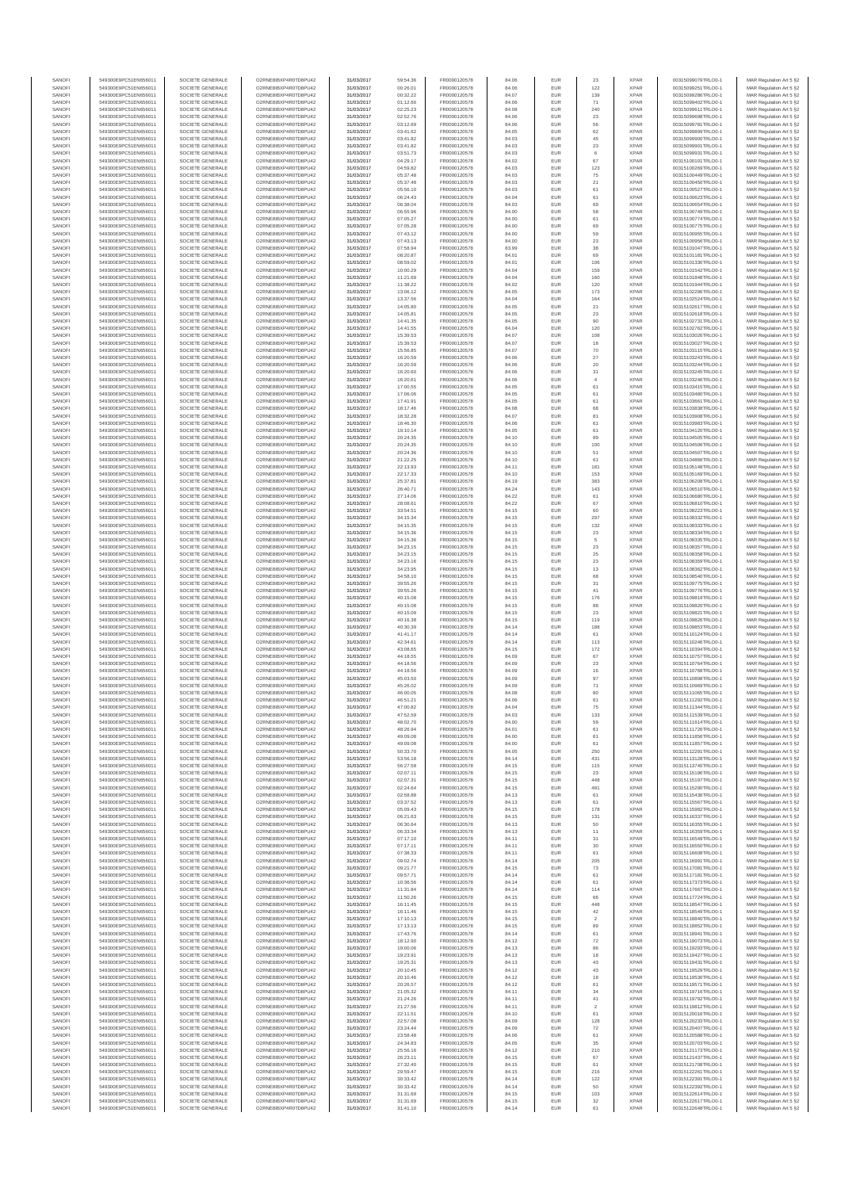| SANOFI           | 549300E9PC51EN656011                         | SOCIETE GENERALE                     | O2RNE8IBXP4R0TD8PU42                         | 31/03/2017               | 59:54.36             | FR0000120578                 | 84.06          | EUR               | 23                   | <b>XPAR</b>                | 00315099079TRLO0-1                       | MAR Regulation Art 5 §2                             |
|------------------|----------------------------------------------|--------------------------------------|----------------------------------------------|--------------------------|----------------------|------------------------------|----------------|-------------------|----------------------|----------------------------|------------------------------------------|-----------------------------------------------------|
| SANOFI<br>SANOFI | 549300E9PC51EN656011<br>549300E9PC51EN656011 | SOCIETE GENERALE<br>SOCIETE GENERALE | O2RNE8IBXP4R0TD8PU42<br>O2RNE8IBXP4R0TD8PU42 | 31/03/2017               | 00:26.01<br>00:32.22 | FR0000120578<br>FR0000120578 | 84.06<br>84.07 | EUR<br>EUR        | 122<br>139           | <b>XPAR</b><br><b>XPAR</b> | 00315099251TRLO0-1<br>00315099286TRLO0-1 | MAR Regulation Art 5 §2                             |
| SANOFI           | 549300E9PC51EN656011                         | SOCIETE GENERALE                     | O2RNE8IBXP4R0TD8PU42                         | 31/03/2017<br>31/03/2017 | 01:12.66             | FR0000120578                 | 84.06          | EUR               | 71                   | <b>XPAR</b>                | 00315099402TRLO0-1                       | MAR Regulation Art 5 §2<br>MAR Regulation Art 5 §2  |
| SANOFI           | 549300E9PC51EN656011                         | SOCIETE GENERALE                     | O2RNE8IBXP4R0TD8PU42                         | 31/03/2017               | 02:25.23             | FR0000120578                 | 84.08          | EUR               | 240                  | <b>XPAR</b>                | 00315099611TRLO0-1                       | MAR Regulation Art 5 §2                             |
| SANOFI           | 549300E9PC51EN656011                         | SOCIETE GENERALE                     | O2RNE8IBXP4R0TD8PU42                         | 31/03/2017               | 02:52.76             | FR0000120578                 | 84.06          | EUR               | 23                   | <b>XPAR</b>                | 00315099698TRLO0-1                       | MAR Regulation Art 5 §2                             |
| SANOFI<br>SANOFI | 549300E9PC51EN656011<br>549300E9PC51EN656011 | SOCIETE GENERALE<br>SOCIETE GENERALE | O2RNE8IBXP4R0TD8PU42<br>O2RNE8IBXP4R0TD8PU42 | 31/03/2017<br>31/03/2017 | 03:12.69<br>03:41.62 | FR0000120578<br>FR0000120578 | 84.06<br>84.05 | EUR<br>EUR        | 56<br>62             | <b>XPAR</b><br><b>XPAR</b> | 00315099781TRLO0-1<br>00315099899TRLO0-1 | MAR Regulation Art 5 §2<br>MAR Regulation Art 5 §2  |
| SANOFI           | 549300E9PC51EN656011                         | SOCIETE GENERALE                     | O2RNE8IBXP4R0TD8PU42                         | 31/03/2017               | 03:41.82             | FR0000120578                 | 84.03          | EUR               | 45                   | <b>XPAR</b>                | 00315099900TRLO0-1                       | MAR Regulation Art 5 \$2                            |
| SANOFI           | 549300E9PC51EN656011                         | SOCIETE GENERALE                     | O2RNE8IBXP4R0TD8PU42                         | 31/03/2017               | 03:41.82             | FR0000120578                 | 84.03          | EUR               | $23\,$               | <b>XPAR</b>                | 00315099901TRLO0-1                       | MAR Regulation Art 5 §2                             |
| SANOFI<br>SANOFI | 549300E9PC51EN656011<br>549300E9PC51EN656011 | SOCIETE GENERALE<br>SOCIETE GENERALE | O2RNE8IBXP4R0TD8PU42<br>O2RNE8IBXP4R0TD8PU42 | 31/03/2017<br>31/03/2017 | 03:51.73<br>04:29.17 | FR0000120578<br>FR0000120578 | 84.03<br>84.02 | EUR<br>EUR        | $_{\rm 6}$<br>67     | <b>XPAR</b><br><b>XPAR</b> | 00315099931TRLO0-1<br>00315100101TRLO0-1 | MAR Regulation Art 5 §2<br>MAR Regulation Art 5 §2  |
| SANOFI           | 549300E9PC51EN656011                         | SOCIETE GENERALE                     | O2RNE8IBXP4R0TD8PU42                         | 31/03/2017               | 04:59.82             | FR0000120578                 | 84.03          | EUR               | 123                  | <b>XPAR</b>                | 00315100269TRLO0-1                       | MAR Regulation Art 5 §2                             |
| SANOFI           | 549300E9PC51EN656011                         | SOCIETE GENERALE                     | O2RNE8IBXP4R0TD8PU42                         | 31/03/2017               | 05:37.48             | FR0000120578                 | 84.03          | EUR               | 75                   | <b>XPAR</b>                | 00315100449TRLO0-1                       | MAR Regulation Art 5 §2                             |
| SANOFI           | 549300E9PC51EN656011                         | SOCIETE GENERALE                     | O2RNE8IBXP4R0TD8PU42                         | 31/03/2017               | 05:37.48             | FR0000120578                 | 84.03          | EUR               | $21\,$               | <b>XPAR</b>                | 00315100450TRLO0-1                       | MAR Regulation Art 5 §2                             |
| SANOFI<br>SANOFI | 549300E9PC51EN656011<br>549300E9PC51EN656011 | SOCIETE GENERALE<br>SOCIETE GENERALE | O2RNE8IBXP4R0TD8PU42<br>O2RNE8IBXP4R0TD8PU42 | 31/03/2017<br>31/03/2017 | 05:56.10<br>06:24.43 | FR0000120578<br>FR0000120578 | 84.03<br>84.04 | EUR<br>EUR        | 61<br>61             | <b>XPAR</b><br><b>XPAR</b> | 00315100527TRLO0-1<br>00315100623TRLO0-1 | MAR Regulation Art 5 §2<br>MAR Regulation Art 5 §2  |
| SANOFI           | 549300E9PC51EN656011                         | SOCIETE GENERALE                     | O2RNE8IBXP4R0TD8PU42                         | 31/03/2017               | 06:38.04             | FR0000120578                 | 84.03          | EUR               | 69                   | <b>XPAR</b>                | 00315100654TRLO0-1                       | MAR Regulation Art 5 §2                             |
| SANOFI           | 549300E9PC51EN656011                         | SOCIETE GENERALE                     | O2RNE8IBXP4R0TD8PU42                         | 31/03/2017               | 06:55.96             | FR0000120578                 | 84.00          | EUR               | 58                   | <b>XPAR</b>                | 00315100749TRLO0-1                       | MAR Regulation Art 5 §2                             |
| SANOFI           | 549300E9PC51EN656011                         | SOCIETE GENERALE                     | O2RNE8IBXP4R0TD8PU42                         | 31/03/2017               | 07:05.27             | FR0000120578                 | 84.00          | EUR               | 61                   | <b>XPAR</b>                | 00315100774TRLO0-1                       | MAR Regulation Art 5 §2                             |
| SANOFI<br>SANOFI | 549300E9PC51EN656011<br>549300E9PC51EN656011 | SOCIETE GENERALE<br>SOCIETE GENERALE | O2RNE8IBXP4R0TD8PU42<br>O2RNE8IBXP4R0TD8PU42 | 31/03/2017<br>31/03/2017 | 07:05.28<br>07:43.12 | FR0000120578<br>FR0000120578 | 84.00<br>84.00 | EUR<br>EUR        | 69<br>59             | <b>XPAR</b><br><b>XPAR</b> | 00315100775TRLO0-1<br>00315100955TRLO0-1 | MAR Regulation Art 5 §2<br>MAR Regulation Art 5 §2  |
| SANOFI           | 549300E9PC51EN656011                         | SOCIETE GENERALE                     | O2RNE8IBXP4R0TD8PU42                         | 31/03/2017               | 07:43.13             | FR0000120578                 | 84.00          | EUR               | 23                   | <b>XPAR</b>                | 00315100956TRLO0-1                       | MAR Regulation Art 5 §2                             |
| SANOFI           | 549300E9PC51EN656011                         | SOCIETE GENERALE                     | O2RNE8IBXP4R0TD8PU42                         | 31/03/2017               | 07:58.94             | FR0000120578                 | 83.99          | EUR               | 38                   | <b>XPAR</b>                | 00315101047TRLO0-1                       | MAR Regulation Art 5 §2                             |
| SANOFI<br>SANOFI | 549300E9PC51EN656011<br>549300E9PC51EN656011 | SOCIETE GENERALE<br>SOCIETE GENERALE | O2RNE8IBXP4R0TD8PU42<br>O2RNE8IBXP4R0TD8PU42 | 31/03/2017<br>31/03/2017 | 08:20.87<br>08:59.02 | FR0000120578<br>FR0000120578 | 84.01<br>84.01 | EUR<br>EUR        | 69<br>106            | <b>XPAR</b><br><b>XPAR</b> | 00315101181TRLO0-1<br>00315101330TRLO0-1 | MAR Regulation Art 5 §2<br>MAR Regulation Art 5 §2  |
| SANOFI           | 549300E9PC51EN656011                         | SOCIETE GENERALE                     | O2RNE8IBXP4R0TD8PU42                         | 31/03/2017               | 10:00.29             | FR0000120578                 | 84.04          | EUR               | 159                  | <b>XPAR</b>                | 00315101542TRLO0-1                       | MAR Regulation Art 5 62                             |
| SANOFI           | 549300E9PC51EN656011                         | SOCIETE GENERALE                     | O2RNE8IBXP4R0TD8PU42                         | 31/03/2017               | 11:21.69             | FR0000120578                 | 84.04          | EUR               | 160                  | <b>XPAR</b>                | 00315101848TRLO0-1                       | MAR Regulation Art 5 §2                             |
| SANOFI           | 549300E9PC51EN656011                         | SOCIETE GENERALE                     | O2RNE8IBXP4R0TD8PU42                         | 31/03/2017               | 11:38.22             | FR0000120578                 | 84.02          | EUR               | 120                  | <b>XPAR</b>                | 00315101944TRLO0-1                       | MAR Regulation Art 5 §2                             |
| SANOFI<br>SANOFI | 549300E9PC51EN656011<br>549300E9PC51EN656011 | SOCIETE GENERALE<br>SOCIETE GENERALE | O2RNE8IBXP4R0TD8PU42<br>O2RNE8IBXP4R0TD8PU42 | 31/03/2017<br>31/03/2017 | 13:06.12<br>13:37.56 | FR0000120578<br>FR0000120578 | 84.05<br>84.04 | EUR<br>EUR        | 173<br>164           | <b>XPAR</b><br><b>XPAR</b> | 00315102296TRLO0-1<br>00315102524TRLO0-1 | MAR Regulation Art 5 §2<br>MAR Regulation Art 5 §2  |
| SANOFI           | 549300E9PC51EN656011                         | SOCIETE GENERALE                     | O2RNE8IBXP4R0TD8PU42                         | 31/03/2017               | 14:05.80             | FR0000120578                 | 84.05          | EUR               | 21                   | <b>XPAR</b>                | 00315102617TRLO0-1                       | MAR Regulation Art 5 §2                             |
| SANOFI           | 549300E9PC51EN656011                         | SOCIETE GENERALE                     | O2RNE8IBXP4R0TD8PU42                         | 31/03/2017               | 14:05.81             | FR0000120578                 | 84.05          | EUR               | 23                   | <b>XPAR</b>                | 00315102618TRLO0-1                       | MAR Regulation Art 5 §2                             |
| SANOFI<br>SANOFI | 549300E9PC51EN656011<br>549300E9PC51EN656011 | SOCIETE GENERALE<br>SOCIETE GENERALE | O2RNE8IBXP4R0TD8PU42<br>O2RNE8IBXP4R0TD8PU42 | 31/03/2017<br>31/03/2017 | 14:41.35<br>14:41.55 | FR0000120578<br>FR0000120578 | 84.05<br>84.04 | EUR<br>EUR        | 90<br>120            | <b>XPAR</b><br><b>XPAR</b> | 00315102731TRLO0-1<br>00315102762TRLO0-1 | MAR Regulation Art 5 \$2<br>MAR Regulation Art 5 §2 |
| SANOFI           | 549300E9PC51EN656011                         | SOCIETE GENERALE                     | O2RNE8IBXP4R0TD8PU42                         | 31/03/2017               | 15:39.53             | FR0000120578                 | 84.07          | EUR               | 108                  | <b>XPAR</b>                | 00315103026TRLO0-1                       | MAR Regulation Art 5 §2                             |
| SANOFI           | 549300E9PC51EN656011                         | SOCIETE GENERALE                     | O2RNE8IBXP4R0TD8PU42                         | 31/03/2017               | 15:39.53             | FR0000120578                 | 84.07          | EUR               | 18                   | <b>XPAR</b>                | 00315103027TRLO0-1                       | MAR Regulation Art 5 §2                             |
| SANOFI           | 549300E9PC51EN656011                         | SOCIETE GENERALE                     | O2RNE8IBXP4R0TD8PU42                         | 31/03/2017               | 15:56.85             | FR0000120578                 | 84.07          | EUR               | 70                   | <b>XPAR</b>                | 00315103115TRLO0-1                       | MAR Regulation Art 5 §2                             |
| SANOFI<br>SANOFI | 549300E9PC51EN656011<br>549300E9PC51EN656011 | SOCIETE GENERALE<br>SOCIETE GENERALE | O2RNE8IBXP4R0TD8PU42<br>O2RNE8IBXP4R0TD8PU42 | 31/03/2017<br>31/03/2017 | 16:20.59<br>16:20.59 | FR0000120578<br>FR0000120578 | 84.06<br>84.06 | EUR<br>EUR        | 27<br>20             | <b>XPAR</b><br><b>XPAR</b> | 00315103243TRLO0-1<br>00315103244TRLO0-1 | MAR Regulation Art 5 §2<br>MAR Regulation Art 5 §2  |
| SANOFI           | 549300E9PC51EN656011                         | SOCIETE GENERALE                     | O2RNE8IBXP4R0TD8PU42                         | 31/03/2017               | 16:20.60             | FR0000120578                 | 84.06          | EUR               | 31                   | <b>XPAR</b>                | 00315103245TRLO0-1                       | MAR Regulation Art 5 §2                             |
| SANOFI           | 549300E9PC51EN656011                         | SOCIETE GENERALE                     | O2RNE8IBXP4R0TD8PU42                         | 31/03/2017               | 16:20.61             | FR0000120578                 | 84.06          | EUR               | 4                    | <b>XPAR</b>                | 00315103246TRLO0-1                       | MAR Regulation Art 5 §2                             |
| SANOFI<br>SANOFI | 549300E9PC51EN656011<br>549300E9PC51EN656011 | SOCIETE GENERALE<br>SOCIETE GENERALE | O2RNE8IBXP4R0TD8PU42<br>O2RNE8IBXP4R0TD8PU42 | 31/03/2017<br>31/03/2017 | 17:00.55<br>17:06.06 | FR0000120578<br>FR0000120578 | 84.05<br>84.05 | EUR<br>EUR        | 61<br>61             | <b>XPAR</b><br><b>XPAR</b> | 00315103415TRLO0-1<br>00315103480TRLO0-1 | MAR Regulation Art 5 §2<br>MAR Regulation Art 5 §2  |
| SANOFI           | 549300E9PC51EN656011                         | SOCIETE GENERALE                     | O2RNE8IBXP4R0TD8PU42                         | 31/03/2017               | 17:41.91             | FR0000120578                 | 84.05          | EUR               | 61                   | <b>XPAR</b>                | 00315103661TRLO0-1                       | MAR Regulation Art 5 §2                             |
| SANOFI           | 549300E9PC51EN656011                         | SOCIETE GENERALE                     | O2RNE8IBXP4R0TD8PU42                         | 31/03/2017               | 18:17.46             | FR0000120578                 | 84.08          | EUR               | 68                   | <b>XPAR</b>                | 00315103838TRLO0-1                       | MAR Regulation Art 5 §2                             |
| SANOFI           | 549300E9PC51EN656011                         | SOCIETE GENERALE                     | O2RNE8IBXP4R0TD8PU42                         | 31/03/2017               | 18:32.28             | FR0000120578                 | 84.07          | EUR               | 81                   | <b>XPAR</b>                | 00315103908TRLO0-1                       | MAR Regulation Art 5 §2                             |
| SANOFI<br>SANOFI | 549300E9PC51EN656011<br>549300E9PC51EN656011 | SOCIETE GENERALE<br>SOCIETE GENERALE | O2RNE8IBXP4R0TD8PU42<br>O2RNE8IBXP4R0TD8PU42 | 31/03/2017<br>31/03/2017 | 18:46.30<br>19:10.14 | FR0000120578<br>FR0000120578 | 84.06<br>84.05 | EUR<br>EUR        | 61<br>61             | <b>XPAR</b><br><b>XPAR</b> | 00315103983TRLO0-1<br>00315104120TRLO0-1 | MAR Regulation Art 5 §2<br>MAR Regulation Art 5 §2  |
| SANOFI           | 549300E9PC51EN656011                         | SOCIETE GENERALE                     | O2RNE8IBXP4R0TD8PU42                         | 31/03/2017               | 20:24.35             | FR0000120578                 | 84.10          | EUR               | 89                   | <b>XPAR</b>                | 00315104505TRLO0-1                       | MAR Regulation Art 5 §2                             |
| SANOFI           | 549300E9PC51EN656011                         | SOCIETE GENERALE                     | O2RNE8IBXP4R0TD8PU42                         | 31/03/2017               | 20:24.35             | FR0000120578                 | 84.10          | EUR               | 100                  | <b>XPAR</b>                | 00315104506TRLO0-1                       | MAR Regulation Art 5 §2                             |
| SANOFI           | 549300E9PC51EN656011                         | SOCIETE GENERALE                     | O2RNE8IBXP4R0TD8PU42                         | 31/03/2017               | 20:24.36             | FR0000120578                 | 84.10          | EUR               | 51                   | <b>XPAR</b>                | 00315104507TRLO0-1                       | MAR Regulation Art 5 \$2                            |
| SANOFI<br>SANOFI | 549300E9PC51EN656011<br>549300E9PC51EN656011 | SOCIETE GENERALE<br>SOCIETE GENERALE | O2RNE8IBXP4R0TD8PU42<br>O2RNE8IBXP4R0TD8PU42 | 31/03/2017<br>31/03/2017 | 21:22.25<br>22:13.93 | FR0000120578<br>FR0000120578 | 84.10<br>84.11 | EUR<br>EUR        | 61<br>181            | <b>XPAR</b><br><b>XPAR</b> | 00315104866TRLO0-1<br>00315105148TRLO0-1 | MAR Regulation Art 5 §2<br>MAR Regulation Art 5 §2  |
| SANOFI           | 549300E9PC51EN656011                         | SOCIETE GENERALE                     | O2RNE8IBXP4R0TD8PU42                         | 31/03/2017               | 22:17.33             | FR0000120578                 | 84.10          | EUR               | 153                  | <b>XPAR</b>                | 00315105169TRLO0-1                       | MAR Regulation Art 5 §2                             |
| SANOFI           | 549300E9PC51EN656011                         | SOCIETE GENERALE                     | O2RNE8IBXP4R0TD8PU42                         | 31/03/2017               | 25:37.81             | FR0000120578                 | 84.19          | EUR               | 383                  | <b>XPAR</b>                | 00315106208TRLO0-1                       | MAR Regulation Art 5 §2                             |
| SANOFI           | 549300E9PC51EN656011                         | SOCIETE GENERALE                     | O2RNE8IBXP4R0TD8PU42                         | 31/03/2017               | 26:40.71             | FR0000120578                 | 84.24          | EUR               | 143                  | <b>XPAR</b>                | 00315106510TRLO0-1                       | MAR Regulation Art 5 §2                             |
| SANOFI<br>SANOFI | 549300E9PC51EN656011<br>549300E9PC51EN656011 | SOCIETE GENERALE<br>SOCIETE GENERALE | O2RNE8IBXP4R0TD8PU42<br>O2RNE8IBXP4R0TD8PU42 | 31/03/2017<br>31/03/2017 | 27:14.06<br>28:08.61 | FR0000120578<br>FR0000120578 | 84.22<br>84.22 | EUR<br>EUR        | 61<br>67             | <b>XPAR</b><br><b>XPAR</b> | 00315106680TRLO0-1<br>00315106810TRLO0-1 | MAR Regulation Art 5 §2<br>MAR Regulation Art 5 §2  |
| SANOFI           | 549300E9PC51EN656011                         | SOCIETE GENERALE                     | O2RNE8IBXP4R0TD8PU42                         | 31/03/2017               | 33:54.51             | FR0000120578                 | 84.15          | EUR               | 60                   | <b>XPAR</b>                | 00315108223TRLO0-1                       | MAR Regulation Art 5 §2                             |
| SANOFI           | 549300E9PC51EN656011                         | SOCIETE GENERALE                     | O2RNE8IBXP4R0TD8PU42                         | 31/03/2017               | 34:15.34             | FR0000120578                 | 84.15          | EUR               | 297                  | <b>XPAR</b>                | 00315108332TRLO0-1                       | MAR Regulation Art 5 §2                             |
| SANOFI           | 549300E9PC51EN656011                         | SOCIETE GENERALE                     | O2RNE8IBXP4R0TD8PU42                         | 31/03/2017               | 34:15.35             | FR0000120578                 | 84.15          | EUR               | 132                  | <b>XPAR</b>                | 00315108333TRLO0-1                       | MAR Regulation Art 5 §2                             |
| SANOFI<br>SANOFI | 549300E9PC51EN656011<br>549300E9PC51EN656011 | SOCIETE GENERALE<br>SOCIETE GENERALE | O2RNE8IBXP4R0TD8PU42<br>O2RNE8IBXP4R0TD8PU42 | 31/03/2017<br>31/03/2017 | 34:15.36<br>34:15.36 | FR0000120578<br>FR0000120578 | 84.15<br>84.15 | EUR<br>EUR        | 23<br>$\,$ 5 $\,$    | <b>XPAR</b><br><b>XPAR</b> | 00315108334TRLO0-1<br>00315108335TRLO0-1 | MAR Regulation Art 5 §2<br>MAR Regulation Art 5 §2  |
| SANOFI           | 549300E9PC51EN656011                         | SOCIETE GENERALE                     | O2RNE8IBXP4R0TD8PU42                         | 31/03/2017               | 34:23.15             | FR0000120578                 | 84.15          | EUR               | $23\,$               | <b>XPAR</b>                | 00315108357TRLO0-1                       | MAR Regulation Art 5 §2                             |
| SANOFI           | 549300E9PC51EN656011                         | SOCIETE GENERALE                     | O2RNE8IBXP4R0TD8PU42                         | 31/03/2017               | 34:23.15             | FR0000120578                 | 84.15          | EUR               | 25                   | <b>XPAR</b>                | 00315108358TRLO0-1                       | MAR Regulation Art 5 §2                             |
| SANOFI           | 549300E9PC51EN656011                         | SOCIETE GENERALE                     | O2RNE8IBXP4R0TD8PU42                         | 31/03/2017               | 34:23.16             | FR0000120578                 | 84.15          | EUR               | 23                   | <b>XPAR</b>                | 00315108359TRLO0-1                       | MAR Regulation Art 5 §2                             |
| SANOFI<br>SANOFI | 549300E9PC51EN656011<br>549300E9PC51EN656011 | SOCIETE GENERALE<br>SOCIETE GENERALE | O2RNE8IBXP4R0TD8PU42<br>O2RNE8IBXP4R0TD8PU42 | 31/03/2017<br>31/03/2017 | 34:23.95<br>34:58.10 | FR0000120578<br>FR0000120578 | 84.15<br>84.15 | EUR<br>EUR        | 13<br>68             | <b>XPAR</b><br><b>XPAR</b> | 00315108362TRLO0-1<br>00315108540TRLO0-1 | MAR Regulation Art 5 §2<br>MAR Regulation Art 5 §2  |
| SANOFI           | 549300E9PC51EN656011                         | SOCIETE GENERALE                     | O2RNE8IBXP4R0TD8PU42                         | 31/03/2017               | 39:55.26             | FR0000120578                 | 84.15          | EUR               | 31                   | <b>XPAR</b>                | 00315109775TRLO0-1                       | MAR Regulation Art 5 §2                             |
| SANOFI           | 549300E9PC51EN656011                         | SOCIETE GENERALE                     | O2RNE8IBXP4R0TD8PU42                         | 31/03/2017               | 39:55.26             | FR0000120578                 | 84.15          | EUR               | 41                   | <b>XPAR</b>                | 00315109776TRLO0-1                       | MAR Regulation Art 5 §2                             |
| SANOFI           | 549300E9PC51EN656011                         | SOCIETE GENERALE                     | O2RNE8IBXP4R0TD8PU42                         | 31/03/2017               | 40:15.08             | FR0000120578                 | 84.15          | EUR               | 176                  | <b>XPAR</b>                | 00315109819TRLO0-1                       | MAR Regulation Art 5 §2                             |
| SANOFI<br>SANOFI | 549300E9PC51EN656011<br>549300E9PC51EN656011 | SOCIETE GENERALE<br>SOCIETE GENERALE | O2RNE8IBXP4R0TD8PU42<br>O2RNE8IBXP4R0TD8PU42 | 31/03/2017<br>31/03/2017 | 40:15.08<br>40:15.09 | FR0000120578<br>FR0000120578 | 84.15<br>84.15 | EUR<br>EUR        | 88<br>23             | <b>XPAR</b><br><b>XPAR</b> | 00315109820TRLO0-1<br>00315109821TRLO0-1 | MAR Regulation Art 5 §2<br>MAR Regulation Art 5 §2  |
| SANOFI           | 549300E9PC51EN656011                         | SOCIETE GENERALE                     | O2RNE8IBXP4R0TD8PU42                         | 31/03/2017               | 40:16.38             | FR0000120578                 | 84.15          | EUR               | 119                  | <b>XPAR</b>                | 00315109826TRLO0-1                       | MAR Regulation Art 5 §2                             |
| SANOFI           | 549300E9PC51EN656011                         | SOCIETE GENERALE                     | O2RNE8IBXP4R0TD8PU42                         | 31/03/2017               | 40:30.39             | FR0000120578                 | 84.14          | EUR               | 188                  | <b>XPAR</b>                | 00315109853TRLO0-1                       | MAR Regulation Art 5 §2                             |
| SANOFI<br>SANOFI | 549300E9PC51EN656011<br>549300E9PC51EN656011 | SOCIETE GENERALE<br>SOCIETE GENERALE | O2RNE8IBXP4R0TD8PU42<br>O2RNE8IBXP4R0TD8PU42 | 31/03/2017<br>31/03/2017 | 41:41.17<br>42:34.61 | FR0000120578<br>FR0000120578 | 84.14<br>84.14 | EUR<br>EUR        | 61<br>113            | <b>XPAR</b><br><b>XPAR</b> | 00315110124TRLO0-1<br>00315110246TRLO0-1 | MAR Regulation Art 5 §2<br>MAR Regulation Art 5 §2  |
| SANOFI           | 549300E9PC51EN656011                         | SOCIETE GENERALE                     | O2RNE8IBXP4R0TD8PU42                         | 31/03/2017               | 43:08.65             | FR0000120578                 | 84.15          | EUR               | 172                  | <b>XPAR</b>                | 00315110394TRLO0-1                       | MAR Regulation Art 5 §2                             |
| SANOFI           | 549300E9PC51EN656011                         | SOCIETE GENERALE                     | O2RNE8IBXP4R0TD8PU42                         | 31/03/2017               | 44:18.55             | FR0000120578                 | 84.09          | EUR               | 67                   | <b>XPAR</b>                | 00315110757TRLO0-1                       | MAR Regulation Art 5 §2                             |
| SANOFI           | 549300E9PC51EN656011                         | SOCIETE GENERALE                     | O2RNE8IBXP4R0TD8PU42                         | 31/03/2017               | 44:18.56             | FR0000120578                 | 84.09          | EUR               | 23                   | <b>XPAR</b>                | 00315110764TRLO0-1                       | MAR Regulation Art 5 §2                             |
| SANOFI<br>SANOFI | 549300E9PC51EN656011<br>549300E9PC51EN656011 | SOCIETE GENERALE<br>SOCIETE GENERALE | O2RNE8IBXP4R0TD8PU42<br>O2RNE8IBXP4R0TD8PU42 | 31/03/2017<br>31/03/2017 | 44:18.56<br>45:03.50 | FR0000120578<br>FR0000120578 | 84.09<br>84.09 | EUR<br>EUR        | 16<br>97             | <b>XPAR</b><br><b>XPAR</b> | 00315110768TRLO0-1<br>00315110898TRLO0-1 | MAR Regulation Art 5 §2<br>MAR Regulation Art 5 §2  |
| SANOFI           | 549300E9PC51EN656011                         | SOCIETE GENERALE                     | O2RNE8IBXP4R0TD8PU42                         | 31/03/2017               | 45:26.02             | FR0000120578                 | 84.09          | EUR               | $71\,$               | <b>XPAR</b>                | 00315110969TRLO0-1                       | MAR Regulation Art 5 \$2                            |
| SANOFI           | 549300E9PC51EN656011                         | SOCIETE GENERALE                     | O2RNE8IBXP4R0TD8PU42                         | 31/03/2017               | 46:00.05             | FR0000120578                 | 84.08          | EUR               | 80                   | <b>XPAR</b>                | 00315111065TRLO0-1                       | MAR Regulation Art 5 §2                             |
| SANOFI<br>SANOFI | 549300E9PC51EN656011<br>549300E9PC51EN656011 | SOCIETE GENERALE<br>SOCIETE GENERALE | O2RNE8IBXP4R0TD8PU42<br>O2RNE8IBXP4R0TD8PU42 | 31/03/2017               | 46:51.21<br>47:00.82 | FR0000120578<br>FR0000120578 | 84.06<br>84.04 | <b>EUR</b><br>EUR | 61<br>75             | <b>XPAR</b><br><b>XPAR</b> | 00315111292TRLO0-1<br>00315111344TRLO0-1 | MAR Regulation Art 5 §2                             |
| SANOFI           | 549300E9PC51EN656011                         | SOCIETE GENERALE                     | O2RNE8IBXP4R0TD8PU42                         | 31/03/2017<br>31/03/2017 | 47:52.59             | FR0000120578                 | 84.03          | EUR               | 133                  | <b>XPAR</b>                | 00315111539TRLO0-1                       | MAR Regulation Art 5 §2<br>MAR Regulation Art 5 §2  |
| SANOFI           | 549300E9PC51EN656011                         | SOCIETE GENERALE                     | O2RNE8IBXP4R0TD8PU42                         | 31/03/2017               | 48:02.70             | FR0000120578                 | 84.00          | EUR               | 59                   | <b>XPAR</b>                | 00315111614TRLO0-1                       | MAR Regulation Art 5 §2                             |
| SANOFI           | 549300E9PC51EN656011                         | SOCIETE GENERALE                     | O2RNE8IBXP4R0TD8PU42                         | 31/03/2017               | 48:26.94             | FR0000120578                 | 84.01          | EUR               | 61                   | <b>XPAR</b>                | 00315111726TRLO0-1                       | MAR Regulation Art 5 §2                             |
| SANOFI<br>SANOFI | 549300E9PC51EN656011<br>549300E9PC51EN656011 | SOCIETE GENERALE<br>SOCIETE GENERALE | O2RNE8IBXP4R0TD8PU42<br>O2RNE8IBXP4R0TD8PU42 | 31/03/2017<br>31/03/2017 | 49:09.08<br>49:09.08 | FR0000120578<br>FR0000120578 | 84.00<br>84.00 | EUR<br>EUR        | 61<br>61             | <b>XPAR</b><br><b>XPAR</b> | 00315111856TRLO0-1<br>00315111857TRLO0-1 | MAR Regulation Art 5 §2                             |
| SANOFI           | 549300E9PC51EN656011                         | SOCIETE GENERALE                     | O2RNE8IBXP4R0TD8PU42                         | 31/03/2017               | 50:33.70             | FR0000120578                 | 84.05          | EUR               | 250                  | <b>XPAR</b>                | 00315112291TRLO0-1                       | MAR Regulation Art 5 §2<br>MAR Regulation Art 5 §2  |
| SANOFI           | 549300E9PC51EN656011                         | SOCIETE GENERALE                     | O2RNE8IBXP4R0TD8PU42                         | 31/03/2017               | 53:56.18             | FR0000120578                 | 84.14          | EUR               | 431                  | <b>XPAR</b>                | 00315113128TRLO0-1                       | MAR Regulation Art 5 §2                             |
| SANOFI           | 549300E9PC51EN656011                         | SOCIETE GENERALE                     | O2RNE8IBXP4R0TD8PU42                         | 31/03/2017               | 56:27.58             | FR0000120578                 | 84.15          | EUR               | 115                  | <b>XPAR</b>                | 00315113740TRLO0-1                       | MAR Regulation Art 5 \$2                            |
| SANOFI<br>SANOFI | 549300E9PC51EN656011<br>549300E9PC51EN656011 | SOCIETE GENERALE<br>SOCIETE GENERALE | O2RNE8IBXP4R0TD8PU42<br>O2RNE8IBXP4R0TD8PU42 | 31/03/2017<br>31/03/2017 | 02:07.11<br>02:07.31 | FR0000120578<br>FR0000120578 | 84.15<br>84.15 | EUR<br>EUR        | 23<br>448            | <b>XPAR</b><br><b>XPAR</b> | 00315115196TRLO0-1<br>00315115197TRLO0-1 | MAR Regulation Art 5 §2<br>MAR Regulation Art 5 §2  |
| SANOFI           | 549300E9PC51EN656011                         | SOCIETE GENERALE                     | O2RNE8IBXP4R0TD8PU42                         | 31/03/2017               | 02:24.64             | FR0000120578                 | 84.15          | EUR               | 481                  | <b>XPAR</b>                | 00315115290TRLO0-1                       | MAR Regulation Art 5 §2                             |
| SANOFI           | 549300E9PC51EN656011                         | SOCIETE GENERALE                     | O2RNE8IBXP4R0TD8PU42                         | 31/03/2017               | 02:58.88             | FR0000120578                 | 84.13          | EUR               | 61                   | <b>XPAR</b>                | 00315115436TRLO0-1                       | MAR Regulation Art 5 §2                             |
| SANOFI<br>SANOFI | 549300E9PC51EN656011<br>549300E9PC51EN656011 | SOCIETE GENERALE<br>SOCIETE GENERALE | O2RNE8IBXP4R0TD8PU42<br>O2RNE8IBXP4R0TD8PU42 | 31/03/2017<br>31/03/2017 | 03:37.52<br>05:09.43 | FR0000120578<br>FR0000120578 | 84.13<br>84.15 | EUR<br>EUR        | 61<br>178            | <b>XPAR</b><br><b>XPAR</b> | 00315115567TRLO0-1<br>00315115982TRLO0-1 | MAR Regulation Art 5 §2<br>MAR Regulation Art 5 §2  |
| SANOFI           | 549300E9PC51EN656011                         | SOCIETE GENERALE                     | O2RNE8IBXP4R0TD8PU42                         | 31/03/2017               | 06:21.63             | FR0000120578                 | 84.15          | EUR               | 131                  | <b>XPAR</b>                | 00315116337TRLO0-1                       | MAR Regulation Art 5 §2                             |
| SANOFI           | 549300E9PC51EN656011                         | SOCIETE GENERALE                     | O2RNE8IBXP4R0TD8PU42                         | 31/03/2017               | 06:30.64             | FR0000120578                 | 84.13          | EUR               | 50                   | <b>XPAR</b>                | 00315116355TRLO0-1                       | MAR Regulation Art 5 §2                             |
| SANOFI<br>SANOFI | 549300E9PC51EN656011<br>549300E9PC51EN656011 | SOCIETE GENERALE<br>SOCIETE GENERALE | O2RNE8IBXP4R0TD8PU42<br>O2RNE8IBXP4R0TD8PU42 | 31/03/2017<br>31/03/2017 | 06:33.34<br>07:17.10 | FR0000120578<br>FR0000120578 | 84.13<br>84.11 | EUR<br>EUR        | 11<br>31             | <b>XPAR</b><br><b>XPAR</b> | 00315116359TRLO0-1<br>00315116549TRLO0-1 | MAR Regulation Art 5 §2<br>MAR Regulation Art 5 §2  |
| SANOFI           | 549300E9PC51EN656011                         | SOCIETE GENERALE                     | O2RNE8IBXP4R0TD8PU42                         | 31/03/2017               | 07:17.11             | FR0000120578                 | 84.11          | EUR               | 30                   | <b>XPAR</b>                | 00315116550TRLO0-1                       | MAR Regulation Art 5 §2                             |
| SANOFI           | 549300E9PC51EN656011                         | SOCIETE GENERALE                     | O2RNE8IBXP4R0TD8PU42                         | 31/03/2017               | 07:38.33             | FR0000120578                 | 84.11          | EUR               | 61                   | <b>XPAR</b>                | 00315116608TRLO0-1                       | MAR Regulation Art 5 §2                             |
| SANOFI<br>SANOFI | 549300E9PC51EN656011<br>549300E9PC51EN656011 | SOCIETE GENERALE<br>SOCIETE GENERALE | O2RNE8IBXP4R0TD8PU42<br>O2RNE8IBXP4R0TD8PU42 | 31/03/2017<br>31/03/2017 | 09:02.74<br>09:21.77 | FR0000120578<br>FR0000120578 | 84.14<br>84.15 | EUR<br>EUR        | 205<br>73            | <b>XPAR</b><br><b>XPAR</b> | 00315116991TRLO0-1<br>00315117081TRLO0-1 | MAR Regulation Art 5 §2                             |
| SANOFI           | 549300E9PC51EN656011                         | SOCIETE GENERALE                     | O2RNE8IBXP4R0TD8PU42                         | 31/03/2017               | 09:57.71             | FR0000120578                 | 84.14          | EUR               | 61                   | <b>XPAR</b>                | 00315117181TRLO0-1                       | MAR Regulation Art 5 §2<br>MAR Regulation Art 5 §2  |
| SANOFI           | 549300E9PC51EN656011                         | SOCIETE GENERALE                     | O2RNE8IBXP4R0TD8PU42                         | 31/03/2017               | 10:36.56             | FR0000120578                 | 84.14          | EUR               | 61                   | <b>XPAR</b>                | 00315117373TRLO0-1                       | MAR Regulation Art 5 §2                             |
| SANOFI           | 549300E9PC51EN656011                         | SOCIETE GENERALE                     | O2RNE8IBXP4R0TD8PU42                         | 31/03/2017               | 11:31.84             | FR0000120578                 | 84.14          | EUR               | 114                  | <b>XPAR</b>                | 00315117667TRLO0-1                       | MAR Regulation Art 5 §2                             |
| SANOFI<br>SANOFI | 549300E9PC51EN656011<br>549300E9PC51EN656011 | SOCIETE GENERALE<br>SOCIETE GENERALE | O2RNE8IBXP4R0TD8PU42<br>O2RNE8IBXP4R0TD8PU42 | 31/03/2017<br>31/03/2017 | 11:50.26<br>16:11.45 | FR0000120578<br>FR0000120578 | 84.15<br>84.15 | EUR<br>EUR        | 66<br>448            | <b>XPAR</b><br><b>XPAR</b> | 00315117724TRLO0-1<br>00315118547TRLO0-1 | MAR Regulation Art 5 §2                             |
| SANOFI           | 549300E9PC51EN656011                         | SOCIETE GENERALE                     | O2RNE8IBXP4R0TD8PU42                         | 31/03/2017               | 16:11.46             | FR0000120578                 | 84.15          | EUR               | 42                   | <b>XPAR</b>                | 00315118549TRLO0-1                       | MAR Regulation Art 5 §2<br>MAR Regulation Art 5 §2  |
| SANOFI           | 549300E9PC51EN656011                         | SOCIETE GENERALE                     | O2RNE8IBXP4R0TD8PU42                         | 31/03/2017               | 17:10.13             | FR0000120578                 | 84.15          | EUR               | $\overline{2}$       | <b>XPAR</b>                | 00315118840TRLO0-1                       | MAR Regulation Art 5 §2                             |
| SANOFI           | 549300E9PC51EN656011                         | SOCIETE GENERALE                     | O2RNE8IBXP4R0TD8PU42                         | 31/03/2017               | 17:13.13             | FR0000120578                 | 84.15          | EUR               | 89                   | <b>XPAR</b>                | 00315118852TRLO0-1                       | MAR Regulation Art 5 §2                             |
| SANOFI<br>SANOFI | 549300E9PC51EN656011<br>549300E9PC51EN656011 | SOCIETE GENERALE<br>SOCIETE GENERALE | O2RNE8IBXP4R0TD8PU42<br>O2RNE8IBXP4R0TD8PU42 | 31/03/2017<br>31/03/2017 | 17:43.76<br>18:12.90 | FR0000120578<br>FR0000120578 | 84.14<br>84.12 | EUR<br>EUR        | 61<br>72             | <b>XPAR</b><br><b>XPAR</b> | 00315118941TRLO0-1<br>00315119073TRLO0-1 | MAR Regulation Art 5 §2<br>MAR Regulation Art 5 §2  |
| SANOFI           | 549300E9PC51EN656011                         | SOCIETE GENERALE                     | O2RNE8IBXP4R0TD8PU42                         | 31/03/2017               | 19:00.06             | FR0000120578                 | 84.13          | EUR               | 86                   | <b>XPAR</b>                | 00315119293TRLO0-1                       | MAR Regulation Art 5 §2                             |
| SANOFI           | 549300E9PC51EN656011                         | SOCIETE GENERALE                     | O2RNE8IBXP4R0TD8PU42                         | 31/03/2017               | 19:23.91             | FR0000120578                 | 84.13          | EUR               | 18                   | <b>XPAR</b>                | 00315119427TRLO0-1                       | MAR Regulation Art 5 §2                             |
| SANOFI<br>SANOFI | 549300E9PC51EN656011                         | SOCIETE GENERALE                     | O2RNE8IBXP4R0TD8PU42                         | 31/03/2017               | 19:25.31             | FR0000120578                 | 84.13          | EUR               | 43                   | <b>XPAR</b><br><b>XPAR</b> | 00315119431TRLO0-1                       | MAR Regulation Art 5 §2                             |
| SANOFI           | 549300E9PC51EN656011<br>549300E9PC51EN656011 | SOCIETE GENERALE<br>SOCIETE GENERALE | O2RNE8IBXP4R0TD8PU42<br>O2RNE8IBXP4R0TD8PU42 | 31/03/2017<br>31/03/2017 | 20:10.45<br>20:10.46 | FR0000120578<br>FR0000120578 | 84.12<br>84.12 | EUR<br>EUR        | 43<br>18             | <b>XPAR</b>                | 00315119529TRLO0-1<br>00315119530TRLO0-1 | MAR Regulation Art 5 §2<br>MAR Regulation Art 5 §2  |
| SANOFI           | 549300E9PC51EN656011                         | SOCIETE GENERALE                     | O2RNE8IBXP4R0TD8PU42                         | 31/03/2017               | 20:26.57             | FR0000120578                 | 84.12          | EUR               | 61                   | <b>XPAR</b>                | 00315119571TRLO0-1                       | MAR Regulation Art 5 §2                             |
| SANOFI           | 549300E9PC51EN656011                         | SOCIETE GENERALE                     | O2RNE8IBXP4R0TD8PU42                         | 31/03/2017               | 21:05.32             | FR0000120578                 | 84.11          | EUR               | 34                   | <b>XPAR</b>                | 00315119716TRLO0-1                       | MAR Regulation Art 5 §2                             |
| SANOFI           | 549300E9PC51EN656011                         | SOCIETE GENERALE                     | O2RNE8IBXP4R0TD8PU42                         | 31/03/2017               | 21:24.26             | FR0000120578                 | 84.11          | EUR               | 41                   | <b>XPAR</b>                | 00315119792TRLO0-1                       | MAR Regulation Art 5 §2                             |
| SANOFI<br>SANOFI | 549300E9PC51EN656011<br>549300E9PC51EN656011 | SOCIETE GENERALE<br>SOCIETE GENERALE | O2RNE8IBXP4R0TD8PU42<br>O2RNE8IBXP4R0TD8PU42 | 31/03/2017<br>31/03/2017 | 21:27.56<br>22:11.51 | FR0000120578<br>FR0000120578 | 84.11<br>84.10 | EUR<br>EUR        | $\overline{2}$<br>61 | <b>XPAR</b><br><b>XPAR</b> | 00315119812TRLO0-1<br>00315120016TRLO0-1 | MAR Regulation Art 5 §2<br>MAR Regulation Art 5 §2  |
| SANOFI           | 549300E9PC51EN656011                         | SOCIETE GENERALE                     | O2RNE8IBXP4R0TD8PU42                         | 31/03/2017               | 22:57.08             | FR0000120578                 | 84.09          | EUR               | 128                  | <b>XPAR</b>                | 00315120233TRLO0-1                       | MAR Regulation Art 5 §2                             |
| SANOFI           | 549300E9PC51EN656011                         | SOCIETE GENERALE                     | O2RNE8IBXP4R0TD8PU42                         | 31/03/2017               | 23:24.44             | FR0000120578                 | 84.09          | EUR               | 72                   | <b>XPAR</b>                | 00315120407TRLO0-1                       | MAR Regulation Art 5 §2                             |
| SANOFI<br>SANOFI | 549300E9PC51EN656011<br>549300E9PC51EN656011 | SOCIETE GENERALE<br>SOCIETE GENERALE | O2RNE8IBXP4R0TD8PU42<br>O2RNE8IBXP4R0TD8PU42 | 31/03/2017<br>31/03/2017 | 23:58.48<br>24:34.83 | FR0000120578<br>FR0000120578 | 84.06<br>84.05 | EUR<br>EUR        | 61<br>35             | <b>XPAR</b><br><b>XPAR</b> | 00315120588TRLO0-1<br>00315120703TRLO0-1 | MAR Regulation Art 5 §2<br>MAR Regulation Art 5 §2  |
| SANOFI           | 549300E9PC51EN656011                         | SOCIETE GENERALE                     | O2RNE8IBXP4R0TD8PU42                         | 31/03/2017               | 25:56.16             | FR0000120578                 | 84.12          | EUR               | 210                  | <b>XPAR</b>                | 00315121173TRLO0-1                       | MAR Regulation Art 5 §2                             |
| SANOFI           | 549300E9PC51EN656011                         | SOCIETE GENERALE                     | O2RNE8IBXP4R0TD8PU42                         | 31/03/2017               | 26:23.11             | FR0000120578                 | 84.15          | EUR               | 67                   | <b>XPAR</b>                | 00315121437TRLO0-1                       | MAR Regulation Art 5 §2                             |
| SANOFI<br>SANOFI | 549300E9PC51EN656011<br>549300E9PC51EN656011 | SOCIETE GENERALE<br>SOCIETE GENERALE | O2RNE8IBXP4R0TD8PU42<br>O2RNE8IBXP4R0TD8PU42 | 31/03/2017<br>31/03/2017 | 27:32.40<br>29:59.47 | FR0000120578<br>FR0000120578 | 84.15<br>84.15 | EUR<br>EUR        | 61<br>216            | <b>XPAR</b><br><b>XPAR</b> | 00315121708TRLO0-1<br>00315122261TRLO0-1 | MAR Regulation Art 5 §2<br>MAR Regulation Art 5 §2  |
| SANOFI           | 549300E9PC51EN656011                         | SOCIETE GENERALE                     | O2RNE8IBXP4R0TD8PU42                         | 31/03/2017               | 30:33.42             | FR0000120578                 | 84.14          | EUR               | 122                  | <b>XPAR</b>                | 00315122391TRLO0-1                       | MAR Regulation Art 5 §2                             |
| SANOFI           | 549300E9PC51EN656011                         | SOCIETE GENERALE                     | O2RNE8IBXP4R0TD8PU42                         | 31/03/2017               | 30:33.42             | FR0000120578                 | 84.14          | EUR               | 50                   | <b>XPAR</b>                | 00315122392TRLO0-1                       | MAR Regulation Art 5 §2                             |
| SANOFI           | 549300E9PC51EN656011                         | SOCIETE GENERALE                     | O2RNE8IBXP4R0TD8PU42                         | 31/03/2017               | 31:31.69             | FR0000120578                 | 84.15          | EUR               | 103                  | <b>XPAR</b>                | 00315122614TRLO0-1                       | MAR Regulation Art 5 §2                             |
| SANOFI<br>SANOFI | 549300E9PC51EN656011<br>549300E9PC51EN656011 | SOCIETE GENERALE<br>SOCIETE GENERALE | O2RNE8IBXP4R0TD8PU42<br>O2RNE8IBXP4R0TD8PU42 | 31/03/2017<br>31/03/2017 | 31:31.69<br>31:41.10 | FR0000120578<br>FR0000120578 | 84.15<br>84.14 | EUR<br>EUR        | $32\,$<br>61         | <b>XPAR</b><br><b>XPAR</b> | 00315122617TRLO0-1<br>00315122648TRLO0-1 | MAR Regulation Art 5 §2<br>MAR Regulation Art 5 §2  |
|                  |                                              |                                      |                                              |                          |                      |                              |                |                   |                      |                            |                                          |                                                     |